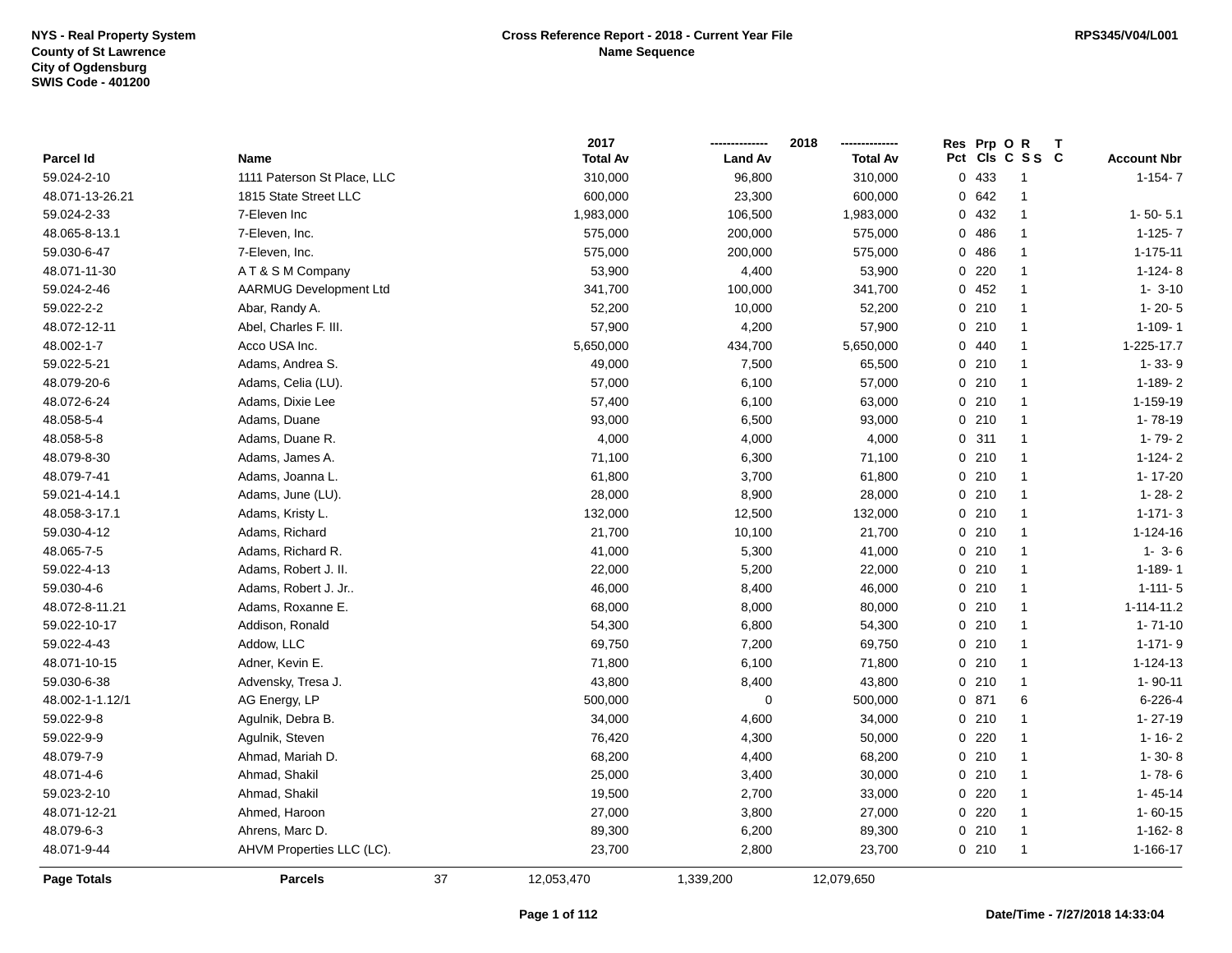|                 |                               |    | 2017            |                | 2018<br>------------- | Res Prp O R |                 | Т                  |
|-----------------|-------------------------------|----|-----------------|----------------|-----------------------|-------------|-----------------|--------------------|
| Parcel Id       | Name                          |    | <b>Total Av</b> | <b>Land Av</b> | <b>Total Av</b>       |             | Pct Cls C S S C | <b>Account Nbr</b> |
| 59.024-2-10     | 1111 Paterson St Place, LLC   |    | 310,000         | 96,800         | 310,000               | 0 433       | $\overline{1}$  | $1 - 154 - 7$      |
| 48.071-13-26.21 | 1815 State Street LLC         |    | 600,000         | 23,300         | 600,000               | 0.642       | $\overline{1}$  |                    |
| 59.024-2-33     | 7-Eleven Inc                  |    | 1,983,000       | 106,500        | 1,983,000             | 0 432       | $\overline{1}$  | $1 - 50 - 5.1$     |
| 48.065-8-13.1   | 7-Eleven, Inc.                |    | 575,000         | 200,000        | 575,000               | 0486        | $\overline{1}$  | $1-125-7$          |
| 59.030-6-47     | 7-Eleven, Inc.                |    | 575,000         | 200,000        | 575,000               | 0486        | $\overline{1}$  | $1 - 175 - 11$     |
| 48.071-11-30    | AT& SM Company                |    | 53,900          | 4,400          | 53,900                | 0220        | $\mathbf{1}$    | $1-124-8$          |
| 59.024-2-46     | <b>AARMUG Development Ltd</b> |    | 341,700         | 100,000        | 341,700               | 0452        | $\overline{1}$  | $1 - 3 - 10$       |
| 59.022-2-2      | Abar, Randy A.                |    | 52,200          | 10,000         | 52,200                | 0210        | $\overline{1}$  | $1 - 20 - 5$       |
| 48.072-12-11    | Abel, Charles F. III.         |    | 57,900          | 4,200          | 57,900                | 0210        | $\overline{1}$  | $1 - 109 - 1$      |
| 48.002-1-7      | Acco USA Inc.                 |    | 5,650,000       | 434,700        | 5,650,000             | 0.440       | $\overline{1}$  | 1-225-17.7         |
| 59.022-5-21     | Adams, Andrea S.              |    | 49,000          | 7,500          | 65,500                | 0210        | $\overline{1}$  | $1 - 33 - 9$       |
| 48.079-20-6     | Adams, Celia (LU).            |    | 57,000          | 6,100          | 57,000                | 0210        | $\overline{1}$  | $1 - 189 - 2$      |
| 48.072-6-24     | Adams, Dixie Lee              |    | 57,400          | 6,100          | 63,000                | 0210        | $\overline{1}$  | 1-159-19           |
| 48.058-5-4      | Adams, Duane                  |    | 93,000          | 6,500          | 93,000                | 0210        | $\overline{1}$  | 1-78-19            |
| 48.058-5-8      | Adams, Duane R.               |    | 4,000           | 4,000          | 4,000                 | 0.311       | $\overline{1}$  | $1 - 79 - 2$       |
| 48.079-8-30     | Adams, James A.               |    | 71,100          | 6,300          | 71,100                | 0210        | $\overline{1}$  | $1-124-2$          |
| 48.079-7-41     | Adams, Joanna L.              |    | 61,800          | 3,700          | 61,800                | 0210        | $\overline{1}$  | $1 - 17 - 20$      |
| 59.021-4-14.1   | Adams, June (LU).             |    | 28,000          | 8,900          | 28,000                | 0210        | $\overline{1}$  | $1 - 28 - 2$       |
| 48.058-3-17.1   | Adams, Kristy L.              |    | 132,000         | 12,500         | 132,000               | 0210        | $\overline{1}$  | $1 - 171 - 3$      |
| 59.030-4-12     | Adams, Richard                |    | 21,700          | 10,100         | 21,700                | 0210        | $\mathbf{1}$    | 1-124-16           |
| 48.065-7-5      | Adams, Richard R.             |    | 41,000          | 5,300          | 41,000                | 0210        | $\overline{1}$  | $1 - 3 - 6$        |
| 59.022-4-13     | Adams, Robert J. II.          |    | 22,000          | 5,200          | 22,000                | 0210        | $\overline{1}$  | $1 - 189 - 1$      |
| 59.030-4-6      | Adams, Robert J. Jr           |    | 46,000          | 8,400          | 46,000                | 0210        | $\mathbf{1}$    | $1 - 111 - 5$      |
| 48.072-8-11.21  | Adams, Roxanne E.             |    | 68,000          | 8,000          | 80,000                | 0210        | $\overline{1}$  | 1-114-11.2         |
| 59.022-10-17    | Addison, Ronald               |    | 54,300          | 6,800          | 54,300                | 0210        | $\mathbf{1}$    | $1 - 71 - 10$      |
| 59.022-4-43     | Addow, LLC                    |    | 69,750          | 7,200          | 69,750                | 0210        | $\mathbf{1}$    | $1 - 171 - 9$      |
| 48.071-10-15    | Adner, Kevin E.               |    | 71,800          | 6,100          | 71,800                | 0210        | $\mathbf{1}$    | $1 - 124 - 13$     |
| 59.030-6-38     | Advensky, Tresa J.            |    | 43,800          | 8,400          | 43,800                | 0210        | $\mathbf{1}$    | $1 - 90 - 11$      |
| 48.002-1-1.12/1 | AG Energy, LP                 |    | 500,000         | $\mathbf 0$    | 500,000               | 0 871       | 6               | $6 - 226 - 4$      |
| 59.022-9-8      | Agulnik, Debra B.             |    | 34,000          | 4,600          | 34,000                | 0210        | $\mathbf{1}$    | $1 - 27 - 19$      |
| 59.022-9-9      | Agulnik, Steven               |    | 76,420          | 4,300          | 50,000                | 0220        | $\mathbf{1}$    | $1 - 16 - 2$       |
| 48.079-7-9      | Ahmad, Mariah D.              |    | 68,200          | 4,400          | 68,200                | 0210        | $\mathbf{1}$    | $1 - 30 - 8$       |
| 48.071-4-6      | Ahmad, Shakil                 |    | 25,000          | 3,400          | 30,000                | 0210        | $\overline{1}$  | $1 - 78 - 6$       |
| 59.023-2-10     | Ahmad, Shakil                 |    | 19,500          | 2,700          | 33,000                | $0$ 220     | $\mathbf{1}$    | $1 - 45 - 14$      |
| 48.071-12-21    | Ahmed, Haroon                 |    | 27,000          | 3,800          | 27,000                | 0220        | $\mathbf{1}$    | $1 - 60 - 15$      |
| 48.079-6-3      | Ahrens, Marc D.               |    | 89,300          | 6,200          | 89,300                | 0210        | $\overline{1}$  | $1-162-8$          |
| 48.071-9-44     | AHVM Properties LLC (LC).     |    | 23,700          | 2,800          | 23,700                | 0210        | $\overline{1}$  | 1-166-17           |
| Page Totals     | <b>Parcels</b>                | 37 | 12,053,470      | 1,339,200      | 12,079,650            |             |                 |                    |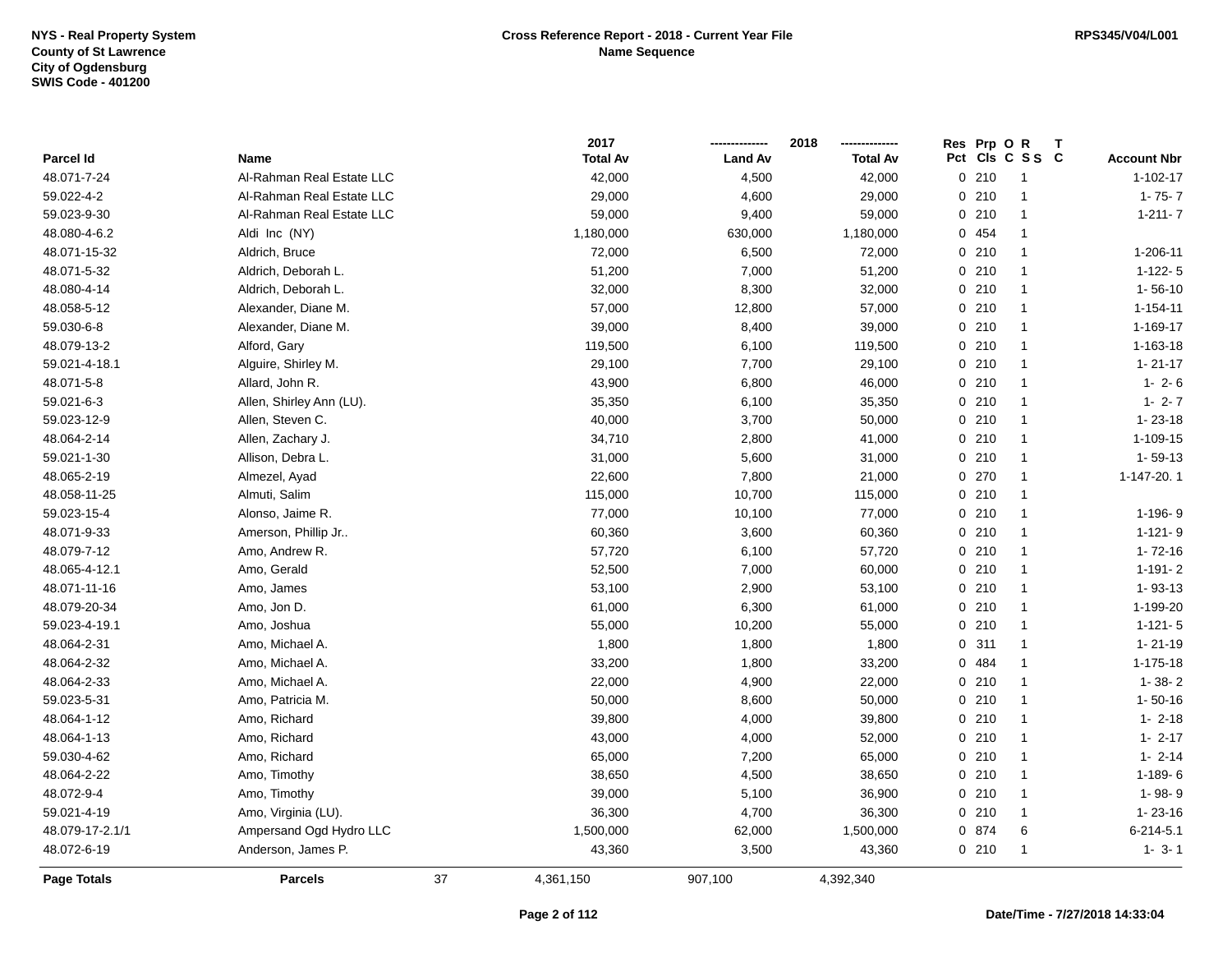|                    |                           |    | 2017            |                | 2018            | Res Prp O R |                 |                    |
|--------------------|---------------------------|----|-----------------|----------------|-----------------|-------------|-----------------|--------------------|
| Parcel Id          | Name                      |    | <b>Total Av</b> | <b>Land Av</b> | <b>Total Av</b> |             | Pct Cls C S S C | <b>Account Nbr</b> |
| 48.071-7-24        | Al-Rahman Real Estate LLC |    | 42,000          | 4,500          | 42,000          | 0210        | $\overline{1}$  | $1 - 102 - 17$     |
| 59.022-4-2         | Al-Rahman Real Estate LLC |    | 29,000          | 4,600          | 29,000          | 0210        | $\overline{1}$  | $1 - 75 - 7$       |
| 59.023-9-30        | Al-Rahman Real Estate LLC |    | 59,000          | 9,400          | 59,000          | 0210        | $\mathbf{1}$    | $1 - 211 - 7$      |
| 48.080-4-6.2       | Aldi Inc (NY)             |    | 1,180,000       | 630,000        | 1,180,000       | 0 454       | $\overline{1}$  |                    |
| 48.071-15-32       | Aldrich, Bruce            |    | 72,000          | 6,500          | 72,000          | 0210        | $\mathbf{1}$    | 1-206-11           |
| 48.071-5-32        | Aldrich, Deborah L.       |    | 51,200          | 7,000          | 51,200          | 0210        | $\mathbf{1}$    | $1 - 122 - 5$      |
| 48.080-4-14        | Aldrich, Deborah L.       |    | 32,000          | 8,300          | 32,000          | 0210        | $\mathbf{1}$    | $1 - 56 - 10$      |
| 48.058-5-12        | Alexander, Diane M.       |    | 57,000          | 12,800         | 57,000          | 0210        | $\overline{1}$  | $1 - 154 - 11$     |
| 59.030-6-8         | Alexander, Diane M.       |    | 39,000          | 8,400          | 39,000          | 0210        | $\mathbf{1}$    | 1-169-17           |
| 48.079-13-2        | Alford, Gary              |    | 119,500         | 6,100          | 119,500         | 0210        | $\overline{1}$  | 1-163-18           |
| 59.021-4-18.1      | Alguire, Shirley M.       |    | 29,100          | 7,700          | 29,100          | 0210        | $\mathbf{1}$    | $1 - 21 - 17$      |
| 48.071-5-8         | Allard, John R.           |    | 43,900          | 6,800          | 46,000          | 0210        | $\mathbf{1}$    | $1 - 2 - 6$        |
| 59.021-6-3         | Allen, Shirley Ann (LU).  |    | 35,350          | 6,100          | 35,350          | 0210        | $\mathbf{1}$    | $1 - 2 - 7$        |
| 59.023-12-9        | Allen, Steven C.          |    | 40,000          | 3,700          | 50,000          | 0210        | $\overline{1}$  | $1 - 23 - 18$      |
| 48.064-2-14        | Allen, Zachary J.         |    | 34,710          | 2,800          | 41,000          | 0210        | $\mathbf{1}$    | 1-109-15           |
| 59.021-1-30        | Allison, Debra L.         |    | 31,000          | 5,600          | 31,000          | 0210        | $\overline{1}$  | $1 - 59 - 13$      |
| 48.065-2-19        | Almezel, Ayad             |    | 22,600          | 7,800          | 21,000          | 0270        | $\overline{1}$  | 1-147-20.1         |
| 48.058-11-25       | Almuti, Salim             |    | 115,000         | 10,700         | 115,000         | 0210        | $\mathbf{1}$    |                    |
| 59.023-15-4        | Alonso, Jaime R.          |    | 77,000          | 10,100         | 77,000          | 0210        | $\overline{1}$  | 1-196-9            |
| 48.071-9-33        | Amerson, Phillip Jr       |    | 60,360          | 3,600          | 60,360          | 0210        | $\mathbf{1}$    | $1 - 121 - 9$      |
| 48.079-7-12        | Amo, Andrew R.            |    | 57,720          | 6,100          | 57,720          | 0210        | $\mathbf{1}$    | $1 - 72 - 16$      |
| 48.065-4-12.1      | Amo, Gerald               |    | 52,500          | 7,000          | 60,000          | 0210        | $\overline{1}$  | $1 - 191 - 2$      |
| 48.071-11-16       | Amo, James                |    | 53,100          | 2,900          | 53,100          | 0210        | $\overline{1}$  | $1 - 93 - 13$      |
| 48.079-20-34       | Amo, Jon D.               |    | 61,000          | 6,300          | 61,000          | 0210        | $\overline{1}$  | 1-199-20           |
| 59.023-4-19.1      | Amo, Joshua               |    | 55,000          | 10,200         | 55,000          | 0210        | $\mathbf{1}$    | $1 - 121 - 5$      |
| 48.064-2-31        | Amo, Michael A.           |    | 1,800           | 1,800          | 1,800           | 0.311       | $\mathbf{1}$    | $1 - 21 - 19$      |
| 48.064-2-32        | Amo, Michael A.           |    | 33,200          | 1,800          | 33,200          | 0 484       | $\mathbf{1}$    | $1 - 175 - 18$     |
| 48.064-2-33        | Amo, Michael A.           |    | 22,000          | 4,900          | 22,000          | 0210        | $\mathbf{1}$    | $1 - 38 - 2$       |
| 59.023-5-31        | Amo, Patricia M.          |    | 50,000          | 8,600          | 50,000          | 0210        | $\mathbf{1}$    | $1 - 50 - 16$      |
| 48.064-1-12        | Amo, Richard              |    | 39,800          | 4,000          | 39,800          | 0210        | $\mathbf{1}$    | $1 - 2 - 18$       |
| 48.064-1-13        | Amo, Richard              |    | 43,000          | 4,000          | 52,000          | 0210        | $\mathbf{1}$    | $1 - 2 - 17$       |
| 59.030-4-62        | Amo, Richard              |    | 65,000          | 7,200          | 65,000          | 0210        | $\overline{1}$  | $1 - 2 - 14$       |
| 48.064-2-22        | Amo, Timothy              |    | 38,650          | 4,500          | 38,650          | 0210        | $\mathbf{1}$    | $1-189-6$          |
| 48.072-9-4         | Amo, Timothy              |    | 39,000          | 5,100          | 36,900          | 0210        | $\overline{1}$  | 1-98-9             |
| 59.021-4-19        | Amo, Virginia (LU).       |    | 36,300          | 4,700          | 36,300          | 0210        | $\mathbf{1}$    | $1 - 23 - 16$      |
| 48.079-17-2.1/1    | Ampersand Ogd Hydro LLC   |    | 1,500,000       | 62,000         | 1,500,000       | 0 874       | 6               | $6 - 214 - 5.1$    |
| 48.072-6-19        | Anderson, James P.        |    | 43,360          | 3,500          | 43,360          | 0210        | $\mathbf{1}$    | $1 - 3 - 1$        |
| <b>Page Totals</b> | <b>Parcels</b>            | 37 | 4,361,150       | 907,100        | 4,392,340       |             |                 |                    |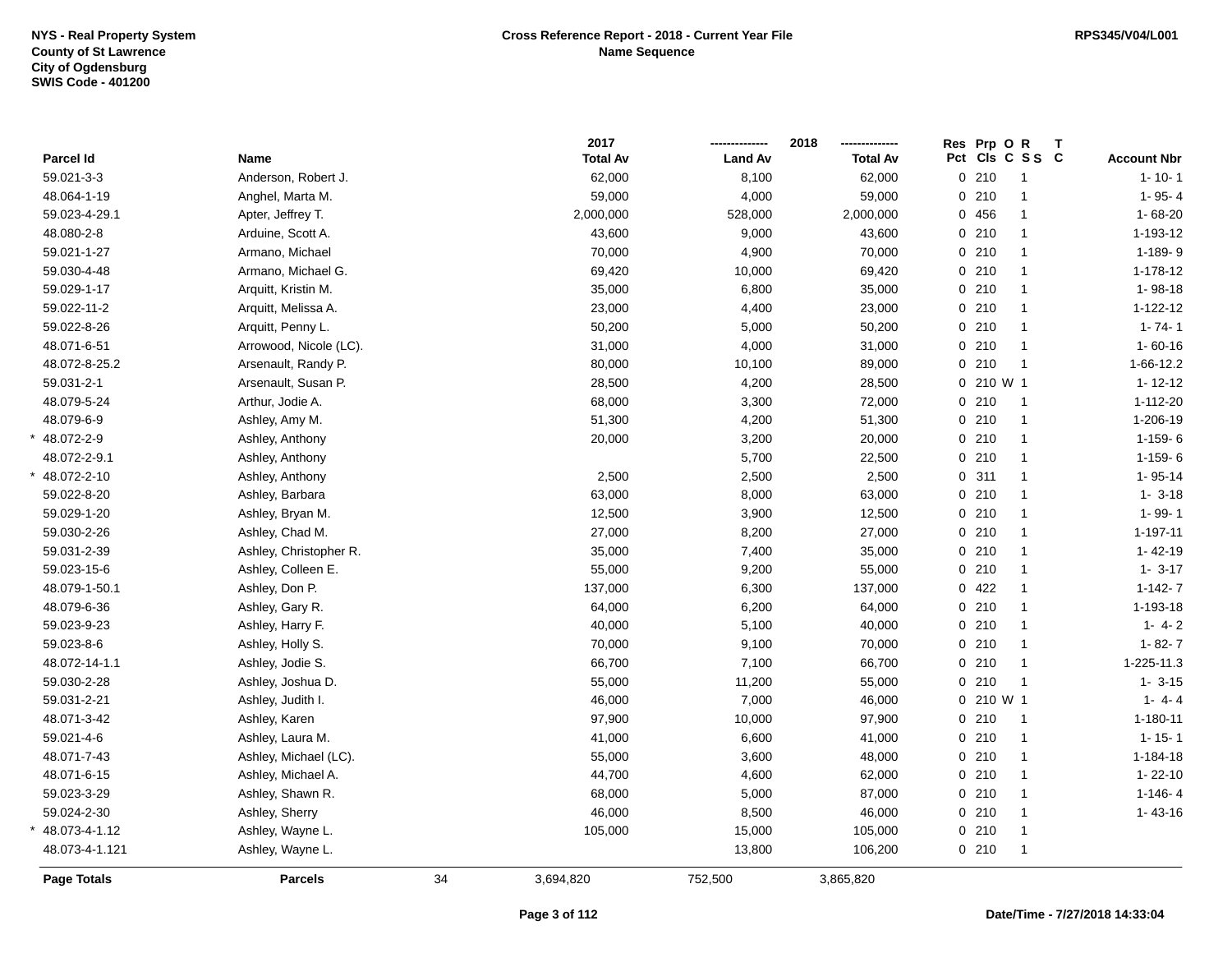|                   |                        |    | 2017            |                | 2018            | Res Prp O R |                 | Т |                    |
|-------------------|------------------------|----|-----------------|----------------|-----------------|-------------|-----------------|---|--------------------|
| Parcel Id         | Name                   |    | <b>Total Av</b> | <b>Land Av</b> | <b>Total Av</b> |             | Pct Cls C S S C |   | <b>Account Nbr</b> |
| 59.021-3-3        | Anderson, Robert J.    |    | 62,000          | 8,100          | 62,000          | $0$ 210     | $\overline{1}$  |   | $1 - 10 - 1$       |
| 48.064-1-19       | Anghel, Marta M.       |    | 59,000          | 4,000          | 59,000          | 0210        | $\mathbf{1}$    |   | $1 - 95 - 4$       |
| 59.023-4-29.1     | Apter, Jeffrey T.      |    | 2,000,000       | 528,000        | 2,000,000       | 0 456       | $\mathbf{1}$    |   | $1 - 68 - 20$      |
| 48.080-2-8        | Arduine, Scott A.      |    | 43,600          | 9,000          | 43,600          | 0210        | $\mathbf{1}$    |   | 1-193-12           |
| 59.021-1-27       | Armano, Michael        |    | 70,000          | 4,900          | 70,000          | 0210        | $\mathbf{1}$    |   | 1-189-9            |
| 59.030-4-48       | Armano, Michael G.     |    | 69,420          | 10,000         | 69,420          | 0210        | $\mathbf{1}$    |   | 1-178-12           |
| 59.029-1-17       | Arquitt, Kristin M.    |    | 35,000          | 6,800          | 35,000          | $0$ 210     | $\mathbf{1}$    |   | 1-98-18            |
| 59.022-11-2       | Arquitt, Melissa A.    |    | 23,000          | 4,400          | 23,000          | 0210        | $\mathbf{1}$    |   | $1 - 122 - 12$     |
| 59.022-8-26       | Arquitt, Penny L.      |    | 50,200          | 5,000          | 50,200          | 0210        | $\mathbf{1}$    |   | $1 - 74 - 1$       |
| 48.071-6-51       | Arrowood, Nicole (LC). |    | 31,000          | 4,000          | 31,000          | 0210        | $\mathbf{1}$    |   | $1 - 60 - 16$      |
| 48.072-8-25.2     | Arsenault, Randy P.    |    | 80,000          | 10,100         | 89,000          | 0210        | $\overline{1}$  |   | 1-66-12.2          |
| 59.031-2-1        | Arsenault, Susan P.    |    | 28,500          | 4,200          | 28,500          | 0 210 W 1   |                 |   | $1 - 12 - 12$      |
| 48.079-5-24       | Arthur, Jodie A.       |    | 68,000          | 3,300          | 72,000          | 0210        | 1               |   | 1-112-20           |
| 48.079-6-9        | Ashley, Amy M.         |    | 51,300          | 4,200          | 51,300          | 0210        | $\mathbf{1}$    |   | 1-206-19           |
| $*$ 48.072-2-9    | Ashley, Anthony        |    | 20,000          | 3,200          | 20,000          | 0210        | $\mathbf{1}$    |   | $1-159-6$          |
| 48.072-2-9.1      | Ashley, Anthony        |    |                 | 5,700          | 22,500          | 0210        | $\mathbf{1}$    |   | $1 - 159 - 6$      |
| * 48.072-2-10     | Ashley, Anthony        |    | 2,500           | 2,500          | 2,500           | 0.311       | $\mathbf{1}$    |   | $1 - 95 - 14$      |
| 59.022-8-20       | Ashley, Barbara        |    | 63,000          | 8,000          | 63,000          | 0210        | $\mathbf{1}$    |   | $1 - 3 - 18$       |
| 59.029-1-20       | Ashley, Bryan M.       |    | 12,500          | 3,900          | 12,500          | 0210        | $\mathbf{1}$    |   | $1 - 99 - 1$       |
| 59.030-2-26       | Ashley, Chad M.        |    | 27,000          | 8,200          | 27,000          | $0$ 210     | $\mathbf{1}$    |   | $1 - 197 - 11$     |
| 59.031-2-39       | Ashley, Christopher R. |    | 35,000          | 7,400          | 35,000          | $0$ 210     | $\mathbf{1}$    |   | $1 - 42 - 19$      |
| 59.023-15-6       | Ashley, Colleen E.     |    | 55,000          | 9,200          | 55,000          | 0210        | $\mathbf{1}$    |   | $1 - 3 - 17$       |
| 48.079-1-50.1     | Ashley, Don P.         |    | 137,000         | 6,300          | 137,000         | 0422        | $\mathbf{1}$    |   | $1 - 142 - 7$      |
| 48.079-6-36       | Ashley, Gary R.        |    | 64,000          | 6,200          | 64,000          | 0210        | $\mathbf{1}$    |   | 1-193-18           |
| 59.023-9-23       | Ashley, Harry F.       |    | 40,000          | 5,100          | 40,000          | 0210        | $\mathbf{1}$    |   | $1 - 4 - 2$        |
| 59.023-8-6        | Ashley, Holly S.       |    | 70,000          | 9,100          | 70,000          | 0210        | $\mathbf{1}$    |   | $1 - 82 - 7$       |
| 48.072-14-1.1     | Ashley, Jodie S.       |    | 66,700          | 7,100          | 66,700          | 0210        | $\mathbf{1}$    |   | 1-225-11.3         |
| 59.030-2-28       | Ashley, Joshua D.      |    | 55,000          | 11,200         | 55,000          | 0210        | $\mathbf{1}$    |   | $1 - 3 - 15$       |
| 59.031-2-21       | Ashley, Judith I.      |    | 46,000          | 7,000          | 46,000          | 0 210 W 1   |                 |   | $1 - 4 - 4$        |
| 48.071-3-42       | Ashley, Karen          |    | 97,900          | 10,000         | 97,900          | 0210        | $\overline{1}$  |   | $1 - 180 - 11$     |
| 59.021-4-6        | Ashley, Laura M.       |    | 41,000          | 6,600          | 41,000          | 0210        | $\mathbf{1}$    |   | $1 - 15 - 1$       |
| 48.071-7-43       | Ashley, Michael (LC).  |    | 55,000          | 3,600          | 48,000          | 0210        | $\mathbf{1}$    |   | $1 - 184 - 18$     |
| 48.071-6-15       | Ashley, Michael A.     |    | 44,700          | 4,600          | 62,000          | 0210        | $\mathbf{1}$    |   | $1 - 22 - 10$      |
| 59.023-3-29       | Ashley, Shawn R.       |    | 68,000          | 5,000          | 87,000          | 0210        | $\mathbf{1}$    |   | $1 - 146 - 4$      |
| 59.024-2-30       | Ashley, Sherry         |    | 46,000          | 8,500          | 46,000          | 0210        | $\mathbf{1}$    |   | $1 - 43 - 16$      |
| $*$ 48.073-4-1.12 | Ashley, Wayne L.       |    | 105,000         | 15,000         | 105,000         | 0210        | $\mathbf{1}$    |   |                    |
| 48.073-4-1.121    | Ashley, Wayne L.       |    |                 | 13,800         | 106,200         | 0210        | $\overline{1}$  |   |                    |
| Page Totals       | <b>Parcels</b>         | 34 | 3,694,820       | 752,500        | 3,865,820       |             |                 |   |                    |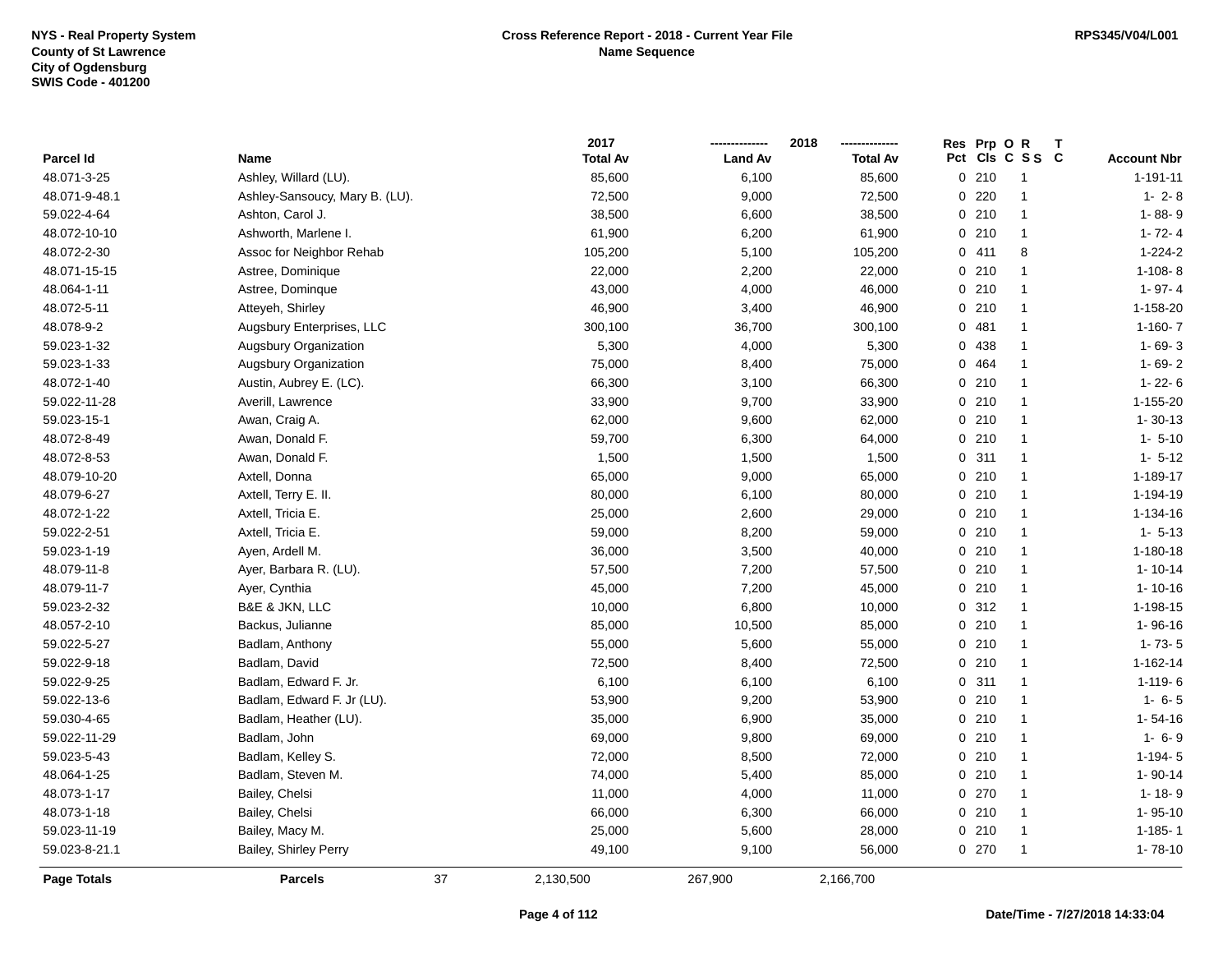|               |                                |    | 2017            |                | 2018            | <b>Res</b> | Prp OR |                 | T |                    |
|---------------|--------------------------------|----|-----------------|----------------|-----------------|------------|--------|-----------------|---|--------------------|
| Parcel Id     | Name                           |    | <b>Total Av</b> | <b>Land Av</b> | <b>Total Av</b> |            |        | Pct Cls C S S C |   | <b>Account Nbr</b> |
| 48.071-3-25   | Ashley, Willard (LU).          |    | 85,600          | 6,100          | 85,600          |            | 0210   | $\overline{1}$  |   | $1 - 191 - 11$     |
| 48.071-9-48.1 | Ashley-Sansoucy, Mary B. (LU). |    | 72,500          | 9,000          | 72,500          |            | 0.220  | -1              |   | $1 - 2 - 8$        |
| 59.022-4-64   | Ashton, Carol J.               |    | 38,500          | 6,600          | 38,500          |            | 0210   | $\mathbf{1}$    |   | 1-88-9             |
| 48.072-10-10  | Ashworth, Marlene I.           |    | 61,900          | 6,200          | 61,900          |            | 0210   | $\mathbf{1}$    |   | $1 - 72 - 4$       |
| 48.072-2-30   | Assoc for Neighbor Rehab       |    | 105,200         | 5,100          | 105,200         |            | 0411   | 8               |   | $1 - 224 - 2$      |
| 48.071-15-15  | Astree, Dominique              |    | 22,000          | 2,200          | 22,000          |            | 0210   | $\mathbf{1}$    |   | $1 - 108 - 8$      |
| 48.064-1-11   | Astree, Dominque               |    | 43,000          | 4,000          | 46,000          |            | 0210   | $\mathbf{1}$    |   | $1 - 97 - 4$       |
| 48.072-5-11   | Atteyeh, Shirley               |    | 46,900          | 3,400          | 46,900          |            | 0210   | $\mathbf{1}$    |   | 1-158-20           |
| 48.078-9-2    | Augsbury Enterprises, LLC      |    | 300,100         | 36,700         | 300,100         |            | 0481   | $\mathbf{1}$    |   | $1-160-7$          |
| 59.023-1-32   | Augsbury Organization          |    | 5,300           | 4,000          | 5,300           |            | 0 438  | $\mathbf{1}$    |   | $1 - 69 - 3$       |
| 59.023-1-33   | <b>Augsbury Organization</b>   |    | 75,000          | 8,400          | 75,000          |            | 0 464  | $\mathbf{1}$    |   | $1 - 69 - 2$       |
| 48.072-1-40   | Austin, Aubrey E. (LC).        |    | 66,300          | 3,100          | 66,300          |            | 0210   | $\mathbf{1}$    |   | $1 - 22 - 6$       |
| 59.022-11-28  | Averill, Lawrence              |    | 33,900          | 9,700          | 33,900          |            | 0210   | $\mathbf{1}$    |   | 1-155-20           |
| 59.023-15-1   | Awan, Craig A.                 |    | 62,000          | 9,600          | 62,000          |            | 0210   | $\mathbf{1}$    |   | $1 - 30 - 13$      |
| 48.072-8-49   | Awan, Donald F.                |    | 59,700          | 6,300          | 64,000          |            | 0210   | $\mathbf 1$     |   | $1 - 5 - 10$       |
| 48.072-8-53   | Awan, Donald F.                |    | 1,500           | 1,500          | 1,500           |            | 0.311  | $\mathbf{1}$    |   | $1 - 5 - 12$       |
| 48.079-10-20  | Axtell, Donna                  |    | 65,000          | 9,000          | 65,000          |            | 0210   | $\mathbf{1}$    |   | 1-189-17           |
| 48.079-6-27   | Axtell, Terry E. II.           |    | 80,000          | 6,100          | 80,000          |            | 0210   | $\mathbf{1}$    |   | 1-194-19           |
| 48.072-1-22   | Axtell, Tricia E.              |    | 25,000          | 2,600          | 29,000          |            | 0210   | $\mathbf{1}$    |   | 1-134-16           |
| 59.022-2-51   | Axtell, Tricia E.              |    | 59,000          | 8,200          | 59,000          |            | 0210   | $\mathbf{1}$    |   | $1 - 5 - 13$       |
| 59.023-1-19   | Ayen, Ardell M.                |    | 36,000          | 3,500          | 40,000          |            | 0210   | $\mathbf{1}$    |   | $1 - 180 - 18$     |
| 48.079-11-8   | Ayer, Barbara R. (LU).         |    | 57,500          | 7,200          | 57,500          |            | 0210   | $\overline{1}$  |   | $1 - 10 - 14$      |
| 48.079-11-7   | Ayer, Cynthia                  |    | 45,000          | 7,200          | 45,000          |            | 0210   | $\mathbf{1}$    |   | $1 - 10 - 16$      |
| 59.023-2-32   | B&E & JKN, LLC                 |    | 10,000          | 6,800          | 10,000          |            | 0.312  | $\mathbf{1}$    |   | 1-198-15           |
| 48.057-2-10   | Backus, Julianne               |    | 85,000          | 10,500         | 85,000          |            | 0210   | $\mathbf{1}$    |   | $1 - 96 - 16$      |
| 59.022-5-27   | Badlam, Anthony                |    | 55,000          | 5,600          | 55,000          |            | 0210   | $\mathbf{1}$    |   | $1 - 73 - 5$       |
| 59.022-9-18   | Badlam, David                  |    | 72,500          | 8,400          | 72,500          |            | 0210   | $\mathbf{1}$    |   | 1-162-14           |
| 59.022-9-25   | Badlam, Edward F. Jr.          |    | 6,100           | 6,100          | 6,100           |            | 0.311  | $\mathbf{1}$    |   | $1 - 119 - 6$      |
| 59.022-13-6   | Badlam, Edward F. Jr (LU).     |    | 53,900          | 9,200          | 53,900          |            | 0210   | $\mathbf{1}$    |   | $1 - 6 - 5$        |
| 59.030-4-65   | Badlam, Heather (LU).          |    | 35,000          | 6,900          | 35,000          |            | 0210   | -1              |   | $1 - 54 - 16$      |
| 59.022-11-29  | Badlam, John                   |    | 69,000          | 9,800          | 69,000          |            | 0210   | $\mathbf{1}$    |   | $1 - 6 - 9$        |
| 59.023-5-43   | Badlam, Kelley S.              |    | 72,000          | 8,500          | 72,000          |            | 0210   | $\mathbf{1}$    |   | $1-194-5$          |
| 48.064-1-25   | Badlam, Steven M.              |    | 74,000          | 5,400          | 85,000          |            | 0210   | $\mathbf{1}$    |   | $1 - 90 - 14$      |
| 48.073-1-17   | Bailey, Chelsi                 |    | 11,000          | 4,000          | 11,000          |            | 0.270  | $\mathbf{1}$    |   | $1 - 18 - 9$       |
| 48.073-1-18   | Bailey, Chelsi                 |    | 66,000          | 6,300          | 66,000          |            | 0210   | $\mathbf{1}$    |   | $1 - 95 - 10$      |
| 59.023-11-19  | Bailey, Macy M.                |    | 25,000          | 5,600          | 28,000          |            | 0210   | $\mathbf{1}$    |   | $1 - 185 - 1$      |
| 59.023-8-21.1 | Bailey, Shirley Perry          |    | 49,100          | 9,100          | 56,000          |            | 0270   | -1              |   | $1 - 78 - 10$      |
| Page Totals   | <b>Parcels</b>                 | 37 | 2,130,500       | 267,900        | 2,166,700       |            |        |                 |   |                    |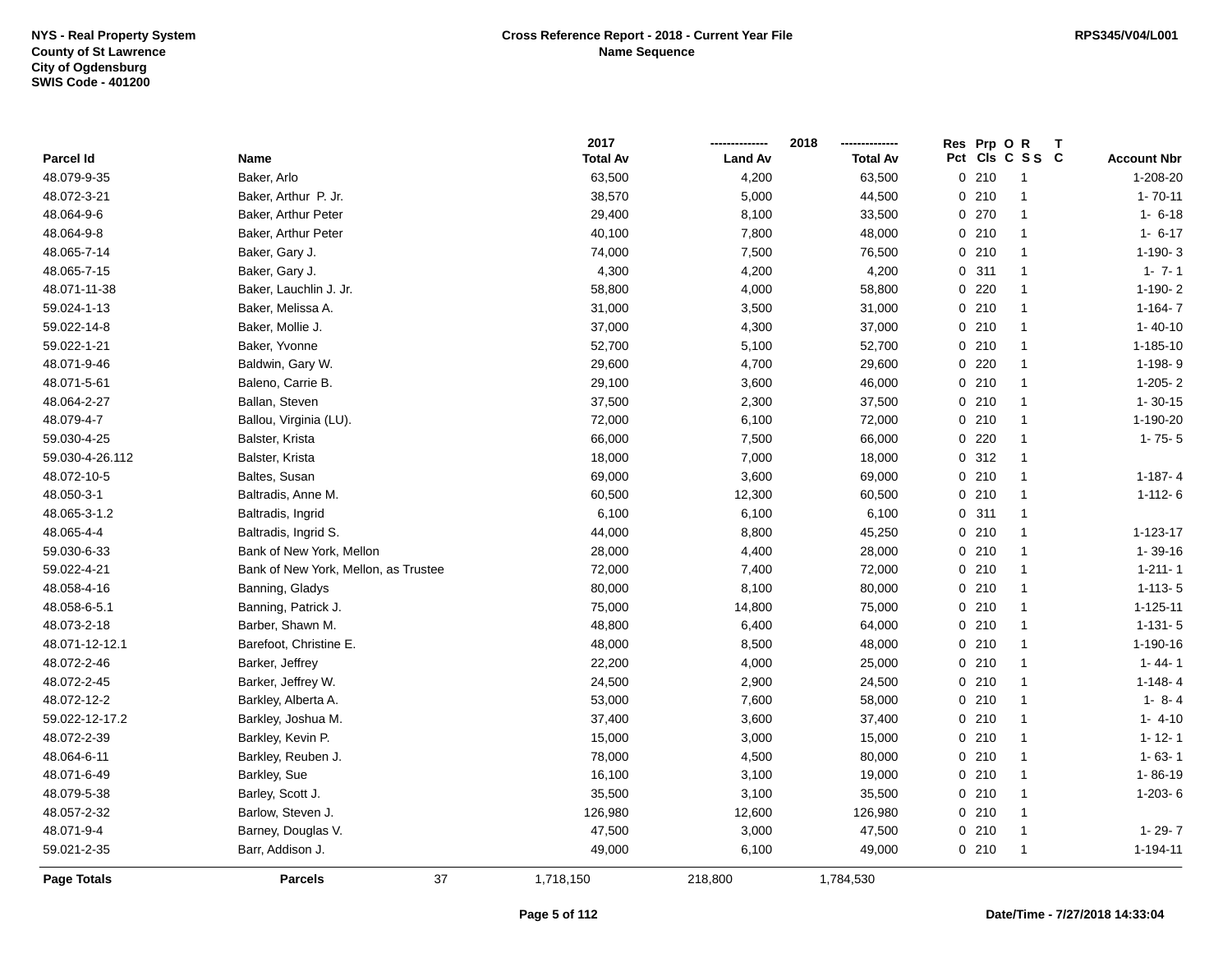|                 |                                      | 2017            |                | 2018            | Res Prp O R             | Т                  |
|-----------------|--------------------------------------|-----------------|----------------|-----------------|-------------------------|--------------------|
| Parcel Id       | <b>Name</b>                          | <b>Total Av</b> | <b>Land Av</b> | <b>Total Av</b> | Pct<br>CIs C S S C      | <b>Account Nbr</b> |
| 48.079-9-35     | Baker, Arlo                          | 63,500          | 4,200          | 63,500          | 0210<br>$\overline{1}$  | 1-208-20           |
| 48.072-3-21     | Baker, Arthur P. Jr.                 | 38,570          | 5,000          | 44,500          | 0210<br>$\overline{1}$  | $1 - 70 - 11$      |
| 48.064-9-6      | Baker, Arthur Peter                  | 29,400          | 8,100          | 33,500          | 0270<br>$\mathbf{1}$    | $1 - 6 - 18$       |
| 48.064-9-8      | Baker, Arthur Peter                  | 40,100          | 7,800          | 48,000          | 0210<br>$\mathbf{1}$    | $1 - 6 - 17$       |
| 48.065-7-14     | Baker, Gary J.                       | 74,000          | 7,500          | 76,500          | 0210<br>$\mathbf{1}$    | $1-190-3$          |
| 48.065-7-15     | Baker, Gary J.                       | 4,300           | 4,200          | 4,200           | 0.311<br>$\mathbf{1}$   | $1 - 7 - 1$        |
| 48.071-11-38    | Baker, Lauchlin J. Jr.               | 58,800          | 4,000          | 58,800          | $0$ 220<br>$\mathbf{1}$ | $1-190-2$          |
| 59.024-1-13     | Baker, Melissa A.                    | 31,000          | 3,500          | 31,000          | 0210<br>$\overline{1}$  | $1-164-7$          |
| 59.022-14-8     | Baker, Mollie J.                     | 37,000          | 4,300          | 37,000          | 0210<br>$\overline{1}$  | $1 - 40 - 10$      |
| 59.022-1-21     | Baker, Yvonne                        | 52,700          | 5,100          | 52,700          | 0210<br>$\mathbf{1}$    | 1-185-10           |
| 48.071-9-46     | Baldwin, Gary W.                     | 29,600          | 4,700          | 29,600          | 0.220<br>$\mathbf{1}$   | 1-198-9            |
| 48.071-5-61     | Baleno, Carrie B.                    | 29,100          | 3,600          | 46,000          | 0210<br>$\mathbf{1}$    | $1-205-2$          |
| 48.064-2-27     | Ballan, Steven                       | 37,500          | 2,300          | 37,500          | 0210<br>$\mathbf{1}$    | $1 - 30 - 15$      |
| 48.079-4-7      | Ballou, Virginia (LU).               | 72,000          | 6,100          | 72,000          | 0210<br>$\mathbf{1}$    | 1-190-20           |
| 59.030-4-25     | Balster, Krista                      | 66,000          | 7,500          | 66,000          | 0.220<br>$\mathbf{1}$   | $1 - 75 - 5$       |
| 59.030-4-26.112 | Balster, Krista                      | 18,000          | 7,000          | 18,000          | 0.312<br>$\mathbf{1}$   |                    |
| 48.072-10-5     | Baltes, Susan                        | 69,000          | 3,600          | 69,000          | 0210<br>$\mathbf{1}$    | $1-187-4$          |
| 48.050-3-1      | Baltradis, Anne M.                   | 60,500          | 12,300         | 60,500          | 0210<br>$\overline{1}$  | $1 - 112 - 6$      |
| 48.065-3-1.2    | Baltradis, Ingrid                    | 6,100           | 6,100          | 6,100           | 0.311<br>$\mathbf{1}$   |                    |
| 48.065-4-4      | Baltradis, Ingrid S.                 | 44,000          | 8,800          | 45,250          | 0210<br>$\mathbf{1}$    | 1-123-17           |
| 59.030-6-33     | Bank of New York, Mellon             | 28,000          | 4,400          | 28,000          | 0210<br>$\overline{1}$  | $1 - 39 - 16$      |
| 59.022-4-21     | Bank of New York, Mellon, as Trustee | 72,000          | 7,400          | 72,000          | 0210<br>$\mathbf{1}$    | $1 - 211 - 1$      |
| 48.058-4-16     | Banning, Gladys                      | 80,000          | 8,100          | 80,000          | 0210<br>$\overline{1}$  | $1 - 113 - 5$      |
| 48.058-6-5.1    | Banning, Patrick J.                  | 75,000          | 14,800         | 75,000          | 0210<br>$\mathbf{1}$    | $1 - 125 - 11$     |
| 48.073-2-18     | Barber, Shawn M.                     | 48,800          | 6,400          | 64,000          | 0210<br>$\mathbf{1}$    | $1 - 131 - 5$      |
| 48.071-12-12.1  | Barefoot, Christine E.               | 48,000          | 8,500          | 48,000          | 0210<br>$\mathbf{1}$    | 1-190-16           |
| 48.072-2-46     | Barker, Jeffrey                      | 22,200          | 4,000          | 25,000          | 0210<br>$\mathbf{1}$    | $1 - 44 - 1$       |
| 48.072-2-45     | Barker, Jeffrey W.                   | 24,500          | 2,900          | 24,500          | 0210<br>-1              | $1 - 148 - 4$      |
| 48.072-12-2     | Barkley, Alberta A.                  | 53,000          | 7,600          | 58,000          | 0210<br>$\mathbf{1}$    | $1 - 8 - 4$        |
| 59.022-12-17.2  | Barkley, Joshua M.                   | 37,400          | 3,600          | 37,400          | 0210<br>$\mathbf{1}$    | $1 - 4 - 10$       |
| 48.072-2-39     | Barkley, Kevin P.                    | 15,000          | 3,000          | 15,000          | 0210<br>$\overline{1}$  | $1 - 12 - 1$       |
| 48.064-6-11     | Barkley, Reuben J.                   | 78,000          | 4,500          | 80,000          | 0210<br>$\overline{1}$  | $1 - 63 - 1$       |
| 48.071-6-49     | Barkley, Sue                         | 16,100          | 3,100          | 19,000          | 0210<br>$\overline{1}$  | $1 - 86 - 19$      |
| 48.079-5-38     | Barley, Scott J.                     | 35,500          | 3,100          | 35,500          | 0210<br>$\overline{1}$  | $1-203-6$          |
| 48.057-2-32     | Barlow, Steven J.                    | 126,980         | 12,600         | 126,980         | 0210<br>$\mathbf{1}$    |                    |
| 48.071-9-4      | Barney, Douglas V.                   | 47,500          | 3,000          | 47,500          | 0210<br>$\overline{1}$  | $1 - 29 - 7$       |
| 59.021-2-35     | Barr, Addison J.                     | 49,000          | 6,100          | 49,000          | 0210<br>$\overline{1}$  | 1-194-11           |
| Page Totals     | 37<br><b>Parcels</b>                 | 1,718,150       | 218,800        | 1,784,530       |                         |                    |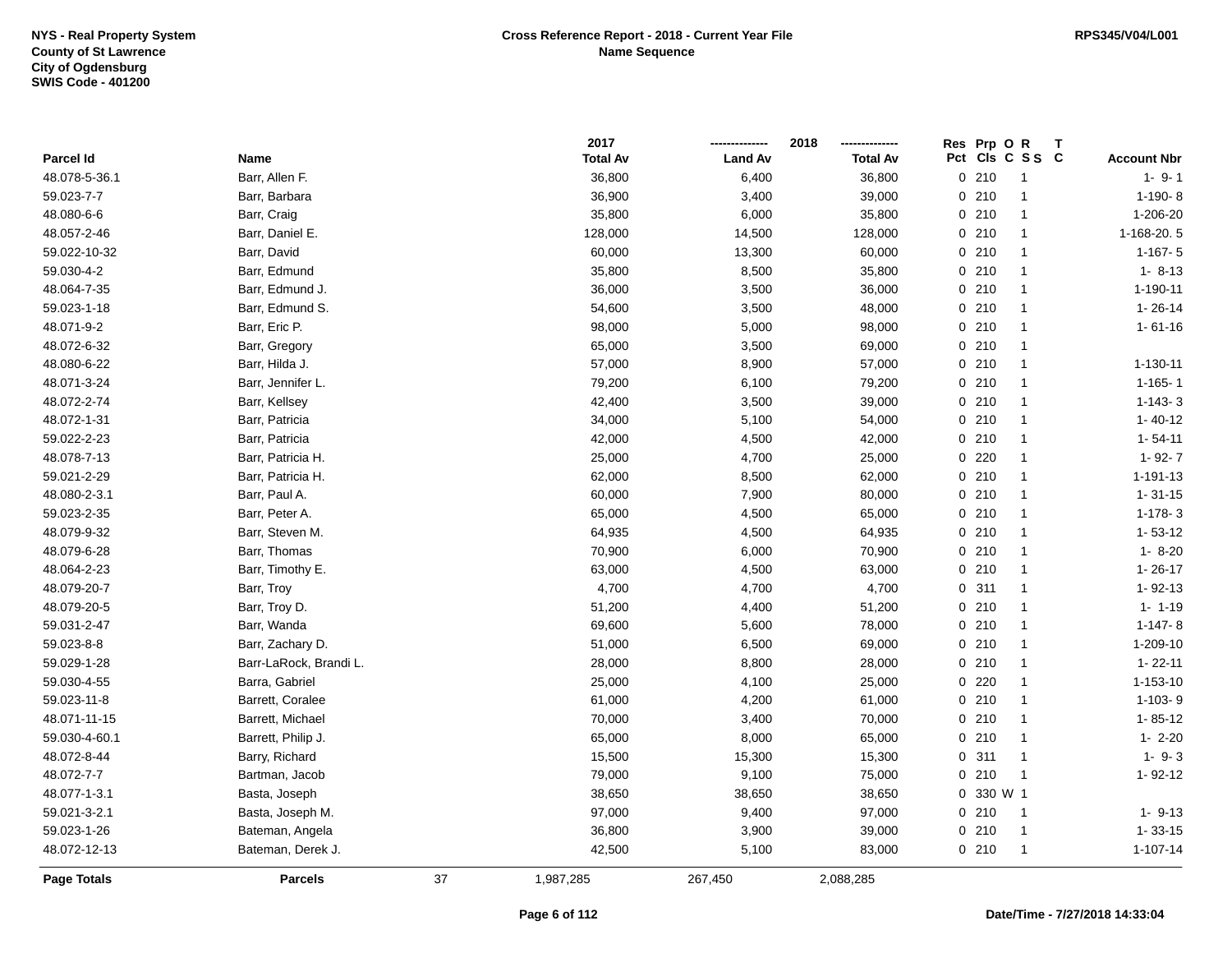|                    |                        |    | 2017            |                | 2018            | Res Prp O R<br>Τ        |                    |
|--------------------|------------------------|----|-----------------|----------------|-----------------|-------------------------|--------------------|
| Parcel Id          | Name                   |    | <b>Total Av</b> | <b>Land Av</b> | <b>Total Av</b> | Pct<br>CIs C S S C      | <b>Account Nbr</b> |
| 48.078-5-36.1      | Barr, Allen F.         |    | 36,800          | 6,400          | 36,800          | 0210<br>$\overline{1}$  | $1 - 9 - 1$        |
| 59.023-7-7         | Barr, Barbara          |    | 36,900          | 3,400          | 39,000          | 0210<br>$\mathbf{1}$    | $1-190-8$          |
| 48.080-6-6         | Barr, Craig            |    | 35,800          | 6,000          | 35,800          | 0210<br>$\mathbf{1}$    | 1-206-20           |
| 48.057-2-46        | Barr, Daniel E.        |    | 128,000         | 14,500         | 128,000         | 0210<br>$\mathbf{1}$    | 1-168-20.5         |
| 59.022-10-32       | Barr, David            |    | 60,000          | 13,300         | 60,000          | 0210<br>$\overline{1}$  | $1-167-5$          |
| 59.030-4-2         | Barr, Edmund           |    | 35,800          | 8,500          | 35,800          | 0210<br>$\mathbf{1}$    | $1 - 8 - 13$       |
| 48.064-7-35        | Barr, Edmund J.        |    | 36,000          | 3,500          | 36,000          | 0210<br>$\mathbf{1}$    | 1-190-11           |
| 59.023-1-18        | Barr, Edmund S.        |    | 54,600          | 3,500          | 48,000          | 0210<br>$\mathbf{1}$    | $1 - 26 - 14$      |
| 48.071-9-2         | Barr, Eric P.          |    | 98,000          | 5,000          | 98,000          | 0210<br>$\mathbf{1}$    | $1 - 61 - 16$      |
| 48.072-6-32        | Barr, Gregory          |    | 65,000          | 3,500          | 69,000          | 0210<br>$\mathbf{1}$    |                    |
| 48.080-6-22        | Barr, Hilda J.         |    | 57,000          | 8,900          | 57,000          | 0210<br>$\overline{1}$  | 1-130-11           |
| 48.071-3-24        | Barr, Jennifer L.      |    | 79,200          | 6,100          | 79,200          | 0210<br>$\overline{1}$  | $1 - 165 - 1$      |
| 48.072-2-74        | Barr, Kellsey          |    | 42,400          | 3,500          | 39,000          | 0210<br>-1              | $1-143-3$          |
| 48.072-1-31        | Barr, Patricia         |    | 34,000          | 5,100          | 54,000          | 0210<br>$\mathbf{1}$    | $1 - 40 - 12$      |
| 59.022-2-23        | Barr, Patricia         |    | 42,000          | 4,500          | 42,000          | 0210<br>$\mathbf{1}$    | $1 - 54 - 11$      |
| 48.078-7-13        | Barr, Patricia H.      |    | 25,000          | 4,700          | 25,000          | 0220<br>$\mathbf{1}$    | $1 - 92 - 7$       |
| 59.021-2-29        | Barr, Patricia H.      |    | 62,000          | 8,500          | 62,000          | 0210<br>$\mathbf{1}$    | $1 - 191 - 13$     |
| 48.080-2-3.1       | Barr, Paul A.          |    | 60,000          | 7,900          | 80,000          | 0210<br>$\mathbf{1}$    | $1 - 31 - 15$      |
| 59.023-2-35        | Barr, Peter A.         |    | 65,000          | 4,500          | 65,000          | 0210<br>$\mathbf{1}$    | $1-178-3$          |
| 48.079-9-32        | Barr, Steven M.        |    | 64,935          | 4,500          | 64,935          | 0210<br>-1              | $1 - 53 - 12$      |
| 48.079-6-28        | Barr, Thomas           |    | 70,900          | 6,000          | 70,900          | 0210<br>$\mathbf{1}$    | $1 - 8 - 20$       |
| 48.064-2-23        | Barr, Timothy E.       |    | 63,000          | 4,500          | 63,000          | 0210<br>$\overline{1}$  | $1 - 26 - 17$      |
| 48.079-20-7        | Barr, Troy             |    | 4,700           | 4,700          | 4,700           | 0.311<br>$\mathbf{1}$   | $1 - 92 - 13$      |
| 48.079-20-5        | Barr, Troy D.          |    | 51,200          | 4,400          | 51,200          | 0210<br>$\mathbf{1}$    | $1 - 1 - 19$       |
| 59.031-2-47        | Barr, Wanda            |    | 69,600          | 5,600          | 78,000          | 0210<br>$\mathbf{1}$    | $1-147-8$          |
| 59.023-8-8         | Barr, Zachary D.       |    | 51,000          | 6,500          | 69,000          | 0210<br>$\mathbf{1}$    | 1-209-10           |
| 59.029-1-28        | Barr-LaRock, Brandi L. |    | 28,000          | 8,800          | 28,000          | 0210<br>$\overline{1}$  | $1 - 22 - 11$      |
| 59.030-4-55        | Barra, Gabriel         |    | 25,000          | 4,100          | 25,000          | 0220<br>$\overline{1}$  | 1-153-10           |
| 59.023-11-8        | Barrett, Coralee       |    | 61,000          | 4,200          | 61,000          | 0210<br>$\mathbf{1}$    | $1 - 103 - 9$      |
| 48.071-11-15       | Barrett, Michael       |    | 70,000          | 3,400          | 70,000          | 0210<br>$\mathbf{1}$    | $1 - 85 - 12$      |
| 59.030-4-60.1      | Barrett, Philip J.     |    | 65,000          | 8,000          | 65,000          | 0210<br>$\mathbf{1}$    | $1 - 2 - 20$       |
| 48.072-8-44        | Barry, Richard         |    | 15,500          | 15,300         | 15,300          | 0.311<br>$\overline{1}$ | $1 - 9 - 3$        |
| 48.072-7-7         | Bartman, Jacob         |    | 79,000          | 9,100          | 75,000          | 0210<br>-1              | 1-92-12            |
| 48.077-1-3.1       | Basta, Joseph          |    | 38,650          | 38,650         | 38,650          | 0 330 W 1               |                    |
| 59.021-3-2.1       | Basta, Joseph M.       |    | 97,000          | 9,400          | 97,000          | 0210<br>$\overline{1}$  | $1 - 9 - 13$       |
| 59.023-1-26        | Bateman, Angela        |    | 36,800          | 3,900          | 39,000          | 0210<br>$\overline{1}$  | $1 - 33 - 15$      |
| 48.072-12-13       | Bateman, Derek J.      |    | 42,500          | 5,100          | 83,000          | 0210<br>$\overline{1}$  | $1 - 107 - 14$     |
| <b>Page Totals</b> | <b>Parcels</b>         | 37 | 1,987,285       | 267,450        | 2,088,285       |                         |                    |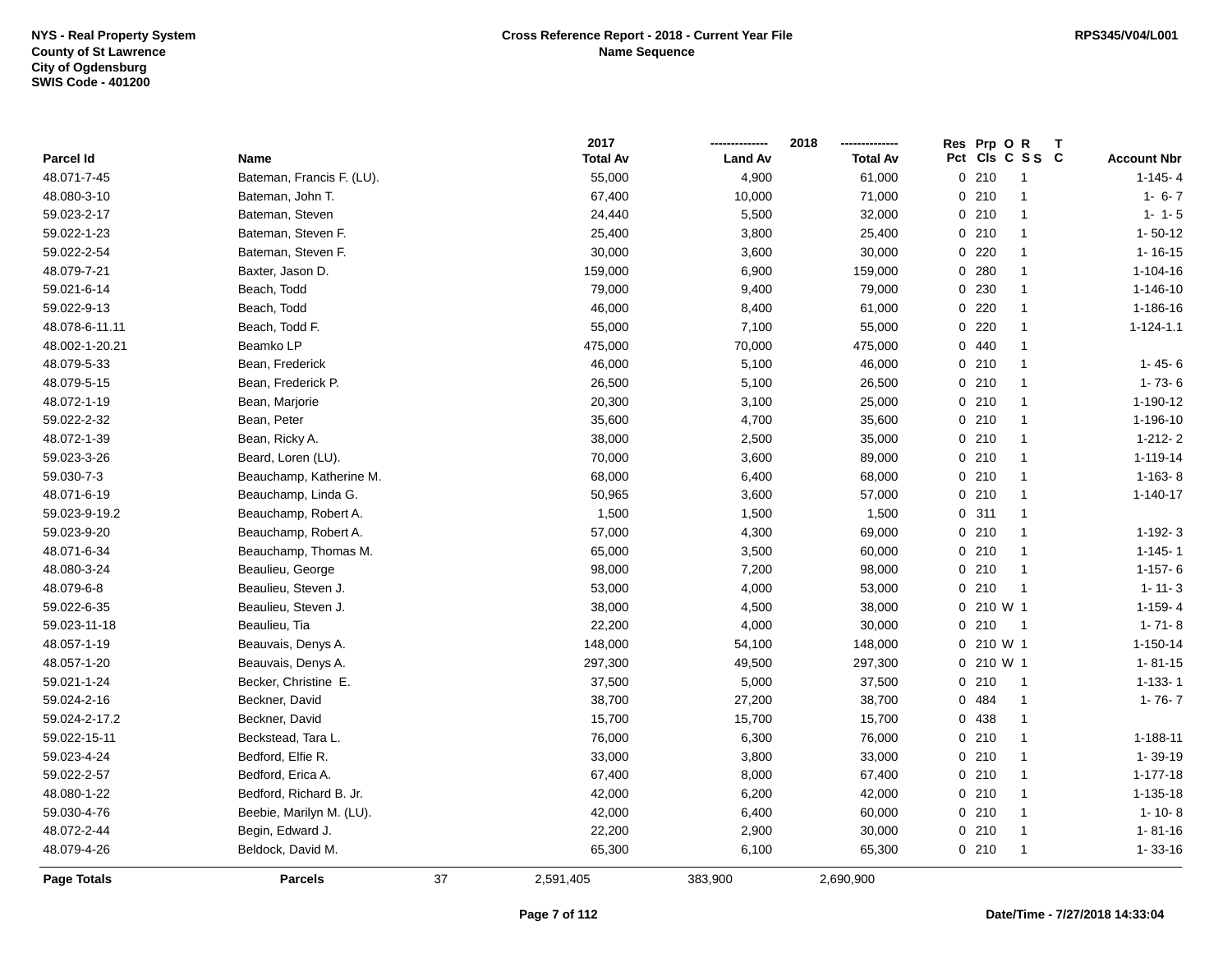|                    |                           |    | 2017            |                | 2018            | Res Prp O R | Τ               |                    |
|--------------------|---------------------------|----|-----------------|----------------|-----------------|-------------|-----------------|--------------------|
| Parcel Id          | Name                      |    | <b>Total Av</b> | <b>Land Av</b> | <b>Total Av</b> |             | Pct Cls C S S C | <b>Account Nbr</b> |
| 48.071-7-45        | Bateman, Francis F. (LU). |    | 55,000          | 4,900          | 61,000          | 0210        | $\overline{1}$  | $1 - 145 - 4$      |
| 48.080-3-10        | Bateman, John T.          |    | 67,400          | 10,000         | 71,000          | 0210        | $\overline{1}$  | $1 - 6 - 7$        |
| 59.023-2-17        | Bateman, Steven           |    | 24,440          | 5,500          | 32,000          | 0210        | $\overline{1}$  | $1 - 1 - 5$        |
| 59.022-1-23        | Bateman, Steven F.        |    | 25,400          | 3,800          | 25,400          | 0210        | $\overline{1}$  | $1 - 50 - 12$      |
| 59.022-2-54        | Bateman, Steven F.        |    | 30,000          | 3,600          | 30,000          | $0$ 220     | $\mathbf{1}$    | $1 - 16 - 15$      |
| 48.079-7-21        | Baxter, Jason D.          |    | 159,000         | 6,900          | 159,000         | 0.280       | $\overline{1}$  | 1-104-16           |
| 59.021-6-14        | Beach, Todd               |    | 79,000          | 9,400          | 79,000          | 0 230       | $\overline{1}$  | $1 - 146 - 10$     |
| 59.022-9-13        | Beach, Todd               |    | 46,000          | 8,400          | 61,000          | $0$ 220     | $\overline{1}$  | 1-186-16           |
| 48.078-6-11.11     | Beach, Todd F.            |    | 55,000          | 7,100          | 55,000          | 0220        | $\overline{1}$  | $1 - 124 - 1.1$    |
| 48.002-1-20.21     | Beamko LP                 |    | 475,000         | 70,000         | 475,000         | 0440        | $\overline{1}$  |                    |
| 48.079-5-33        | Bean, Frederick           |    | 46,000          | 5,100          | 46,000          | 0210        | $\overline{1}$  | $1 - 45 - 6$       |
| 48.079-5-15        | Bean, Frederick P.        |    | 26,500          | 5,100          | 26,500          | 0210        | $\overline{1}$  | $1 - 73 - 6$       |
| 48.072-1-19        | Bean, Marjorie            |    | 20,300          | 3,100          | 25,000          | 0210        | $\mathbf{1}$    | 1-190-12           |
| 59.022-2-32        | Bean, Peter               |    | 35,600          | 4,700          | 35,600          | 0210        | $\overline{1}$  | 1-196-10           |
| 48.072-1-39        | Bean, Ricky A.            |    | 38,000          | 2,500          | 35,000          | 0210        | $\overline{1}$  | $1 - 212 - 2$      |
| 59.023-3-26        | Beard, Loren (LU).        |    | 70,000          | 3,600          | 89,000          | 0210        | $\overline{1}$  | 1-119-14           |
| 59.030-7-3         | Beauchamp, Katherine M.   |    | 68,000          | 6,400          | 68,000          | 0210        | $\overline{1}$  | $1-163-8$          |
| 48.071-6-19        | Beauchamp, Linda G.       |    | 50,965          | 3,600          | 57,000          | 0210        | $\overline{1}$  | $1 - 140 - 17$     |
| 59.023-9-19.2      | Beauchamp, Robert A.      |    | 1,500           | 1,500          | 1,500           | 0.311       | $\overline{1}$  |                    |
| 59.023-9-20        | Beauchamp, Robert A.      |    | 57,000          | 4,300          | 69,000          | 0210        | $\overline{1}$  | $1 - 192 - 3$      |
| 48.071-6-34        | Beauchamp, Thomas M.      |    | 65,000          | 3,500          | 60,000          | 0210        | $\overline{1}$  | $1 - 145 - 1$      |
| 48.080-3-24        | Beaulieu, George          |    | 98,000          | 7,200          | 98,000          | 0210        | $\overline{1}$  | $1 - 157 - 6$      |
| 48.079-6-8         | Beaulieu, Steven J.       |    | 53,000          | 4,000          | 53,000          | 0210        | $\overline{1}$  | $1 - 11 - 3$       |
| 59.022-6-35        | Beaulieu, Steven J.       |    | 38,000          | 4,500          | 38,000          | 0 210 W 1   |                 | $1 - 159 - 4$      |
| 59.023-11-18       | Beaulieu, Tia             |    | 22,200          | 4,000          | 30,000          | 0210        | $\overline{1}$  | $1 - 71 - 8$       |
| 48.057-1-19        | Beauvais, Denys A.        |    | 148,000         | 54,100         | 148,000         | 0 210 W 1   |                 | $1 - 150 - 14$     |
| 48.057-1-20        | Beauvais, Denys A.        |    | 297,300         | 49,500         | 297,300         | 0 210 W 1   |                 | $1 - 81 - 15$      |
| 59.021-1-24        | Becker, Christine E.      |    | 37,500          | 5,000          | 37,500          | 0210        | $\overline{1}$  | $1 - 133 - 1$      |
| 59.024-2-16        | Beckner, David            |    | 38,700          | 27,200         | 38,700          | 0 484       | $\overline{1}$  | $1 - 76 - 7$       |
| 59.024-2-17.2      | Beckner, David            |    | 15,700          | 15,700         | 15,700          | 0 438       | $\overline{1}$  |                    |
| 59.022-15-11       | Beckstead, Tara L.        |    | 76,000          | 6,300          | 76,000          | 0210        | $\overline{1}$  | 1-188-11           |
| 59.023-4-24        | Bedford, Elfie R.         |    | 33,000          | 3,800          | 33,000          | 0210        | $\overline{1}$  | 1-39-19            |
| 59.022-2-57        | Bedford, Erica A.         |    | 67,400          | 8,000          | 67,400          | 0210        | $\overline{1}$  | $1 - 177 - 18$     |
| 48.080-1-22        | Bedford, Richard B. Jr.   |    | 42,000          | 6,200          | 42,000          | 0210        | $\overline{1}$  | 1-135-18           |
| 59.030-4-76        | Beebie, Marilyn M. (LU).  |    | 42,000          | 6,400          | 60,000          | 0210        | $\overline{1}$  | $1 - 10 - 8$       |
| 48.072-2-44        | Begin, Edward J.          |    | 22,200          | 2,900          | 30,000          | 0210        | $\overline{1}$  | $1 - 81 - 16$      |
| 48.079-4-26        | Beldock, David M.         |    | 65,300          | 6,100          | 65,300          | 0210        | $\overline{1}$  | $1 - 33 - 16$      |
| <b>Page Totals</b> | <b>Parcels</b>            | 37 | 2,591,405       | 383,900        | 2,690,900       |             |                 |                    |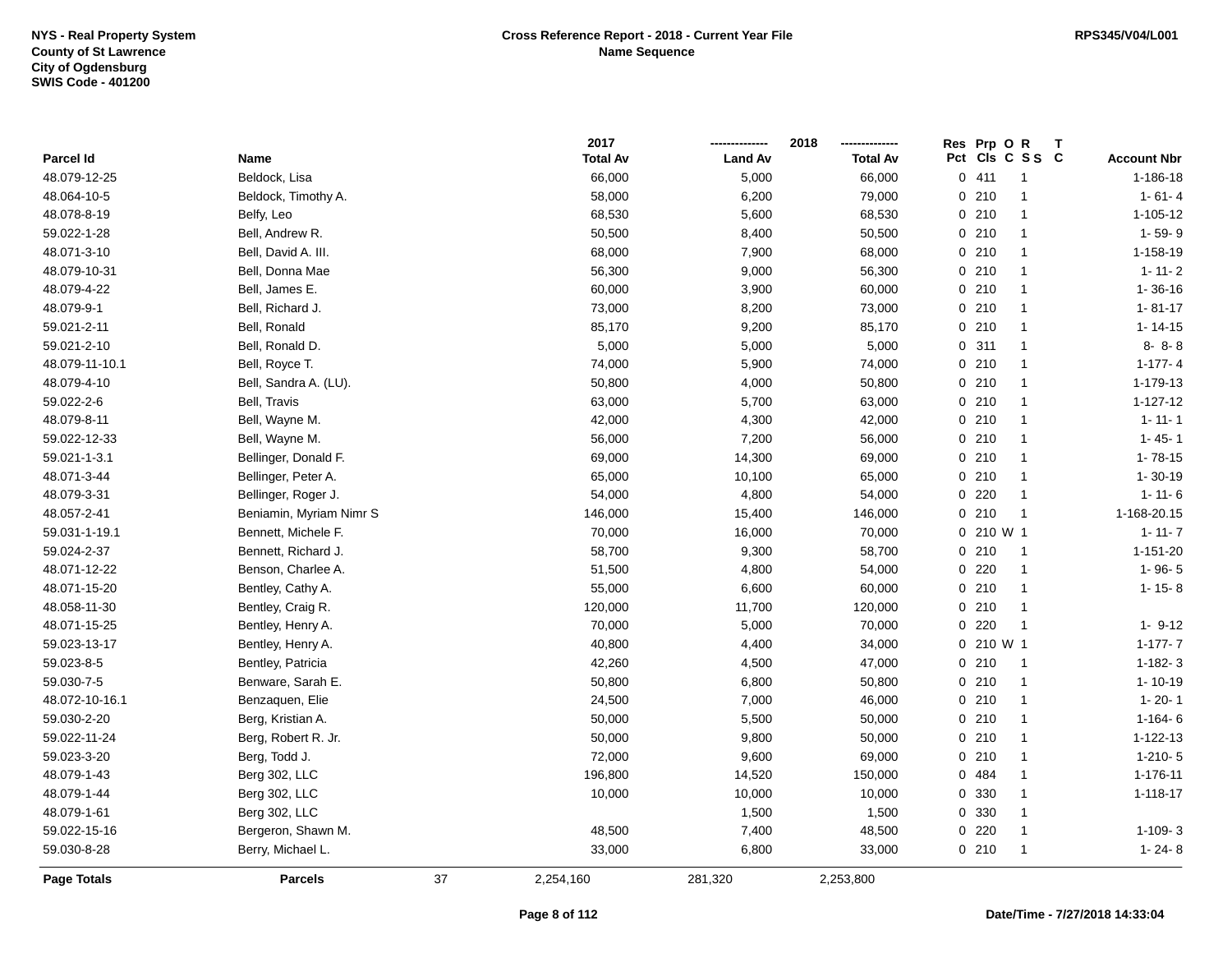|                    |                         |    | 2017            |                | 2018            | Res Prp O R  | Т              |                    |
|--------------------|-------------------------|----|-----------------|----------------|-----------------|--------------|----------------|--------------------|
| Parcel Id          | Name                    |    | <b>Total Av</b> | <b>Land Av</b> | <b>Total Av</b> | Pct          | CIs C S S C    | <b>Account Nbr</b> |
| 48.079-12-25       | Beldock, Lisa           |    | 66,000          | 5,000          | 66,000          | 0411         | $\overline{1}$ | $1 - 186 - 18$     |
| 48.064-10-5        | Beldock, Timothy A.     |    | 58,000          | 6,200          | 79,000          | 0210         | $\overline{1}$ | $1 - 61 - 4$       |
| 48.078-8-19        | Belfy, Leo              |    | 68,530          | 5,600          | 68,530          | 0210         | $\overline{1}$ | 1-105-12           |
| 59.022-1-28        | Bell, Andrew R.         |    | 50,500          | 8,400          | 50,500          | 0210         | $\mathbf{1}$   | $1 - 59 - 9$       |
| 48.071-3-10        | Bell, David A. III.     |    | 68,000          | 7,900          | 68,000          | 0210         | $\mathbf{1}$   | 1-158-19           |
| 48.079-10-31       | Bell, Donna Mae         |    | 56,300          | 9,000          | 56,300          | 0210         | $\mathbf{1}$   | $1 - 11 - 2$       |
| 48.079-4-22        | Bell, James E.          |    | 60,000          | 3,900          | 60,000          | 0210         | $\overline{1}$ | $1 - 36 - 16$      |
| 48.079-9-1         | Bell, Richard J.        |    | 73,000          | 8,200          | 73,000          | 0210         | $\overline{1}$ | $1 - 81 - 17$      |
| 59.021-2-11        | Bell, Ronald            |    | 85,170          | 9,200          | 85,170          | 0210         | $\overline{1}$ | $1 - 14 - 15$      |
| 59.021-2-10        | Bell, Ronald D.         |    | 5,000           | 5,000          | 5,000           | 0.311        | $\overline{1}$ | $8 - 8 - 8$        |
| 48.079-11-10.1     | Bell, Royce T.          |    | 74,000          | 5,900          | 74,000          | 0210         | $\mathbf{1}$   | $1 - 177 - 4$      |
| 48.079-4-10        | Bell, Sandra A. (LU).   |    | 50,800          | 4,000          | 50,800          | 0210         | $\mathbf{1}$   | 1-179-13           |
| 59.022-2-6         | Bell, Travis            |    | 63,000          | 5,700          | 63,000          | 0210         | $\mathbf{1}$   | $1 - 127 - 12$     |
| 48.079-8-11        | Bell, Wayne M.          |    | 42,000          | 4,300          | 42,000          | 0210         | $\mathbf{1}$   | $1 - 11 - 1$       |
| 59.022-12-33       | Bell, Wayne M.          |    | 56,000          | 7,200          | 56,000          | 0210         | $\overline{1}$ | $1 - 45 - 1$       |
| 59.021-1-3.1       | Bellinger, Donald F.    |    | 69,000          | 14,300         | 69,000          | 0210         | $\overline{1}$ | $1 - 78 - 15$      |
| 48.071-3-44        | Bellinger, Peter A.     |    | 65,000          | 10,100         | 65,000          | 0210         | $\overline{1}$ | $1 - 30 - 19$      |
| 48.079-3-31        | Bellinger, Roger J.     |    | 54,000          | 4,800          | 54,000          | 0220         | $\overline{1}$ | $1 - 11 - 6$       |
| 48.057-2-41        | Beniamin, Myriam Nimr S |    | 146,000         | 15,400         | 146,000         | 0210         | $\overline{1}$ | 1-168-20.15        |
| 59.031-1-19.1      | Bennett, Michele F.     |    | 70,000          | 16,000         | 70,000          | $0, 210$ W 1 |                | $1 - 11 - 7$       |
| 59.024-2-37        | Bennett, Richard J.     |    | 58,700          | 9,300          | 58,700          | 0210         | $\overline{1}$ | $1 - 151 - 20$     |
| 48.071-12-22       | Benson, Charlee A.      |    | 51,500          | 4,800          | 54,000          | 0.220        | $\overline{1}$ | $1 - 96 - 5$       |
| 48.071-15-20       | Bentley, Cathy A.       |    | 55,000          | 6,600          | 60,000          | 0210         | $\overline{1}$ | $1 - 15 - 8$       |
| 48.058-11-30       | Bentley, Craig R.       |    | 120,000         | 11,700         | 120,000         | 0210         | $\overline{1}$ |                    |
| 48.071-15-25       | Bentley, Henry A.       |    | 70,000          | 5,000          | 70,000          | $0$ 220      | $\overline{1}$ | $1 - 9 - 12$       |
| 59.023-13-17       | Bentley, Henry A.       |    | 40,800          | 4,400          | 34,000          | 0 210 W 1    |                | $1 - 177 - 7$      |
| 59.023-8-5         | Bentley, Patricia       |    | 42,260          | 4,500          | 47,000          | 0210         | $\overline{1}$ | $1 - 182 - 3$      |
| 59.030-7-5         | Benware, Sarah E.       |    | 50,800          | 6,800          | 50,800          | 0210         | $\overline{1}$ | $1 - 10 - 19$      |
| 48.072-10-16.1     | Benzaquen, Elie         |    | 24,500          | 7,000          | 46,000          | 0210         | $\mathbf{1}$   | $1 - 20 - 1$       |
| 59.030-2-20        | Berg, Kristian A.       |    | 50,000          | 5,500          | 50,000          | 0210         | $\overline{1}$ | $1 - 164 - 6$      |
| 59.022-11-24       | Berg, Robert R. Jr.     |    | 50,000          | 9,800          | 50,000          | 0210         | $\overline{1}$ | 1-122-13           |
| 59.023-3-20        | Berg, Todd J.           |    | 72,000          | 9,600          | 69,000          | 0210         | $\overline{1}$ | $1-210-5$          |
| 48.079-1-43        | Berg 302, LLC           |    | 196,800         | 14,520         | 150,000         | 0 484        | $\overline{1}$ | 1-176-11           |
| 48.079-1-44        | Berg 302, LLC           |    | 10,000          | 10,000         | 10,000          | 0 330        | $\mathbf{1}$   | $1 - 118 - 17$     |
| 48.079-1-61        | Berg 302, LLC           |    |                 | 1,500          | 1,500           | 0 330        | $\mathbf{1}$   |                    |
| 59.022-15-16       | Bergeron, Shawn M.      |    | 48,500          | 7,400          | 48,500          | $0$ 220      | $\mathbf{1}$   | $1-109-3$          |
| 59.030-8-28        | Berry, Michael L.       |    | 33,000          | 6,800          | 33,000          | 0210         | $\overline{1}$ | $1 - 24 - 8$       |
| <b>Page Totals</b> | <b>Parcels</b>          | 37 | 2,254,160       | 281,320        | 2,253,800       |              |                |                    |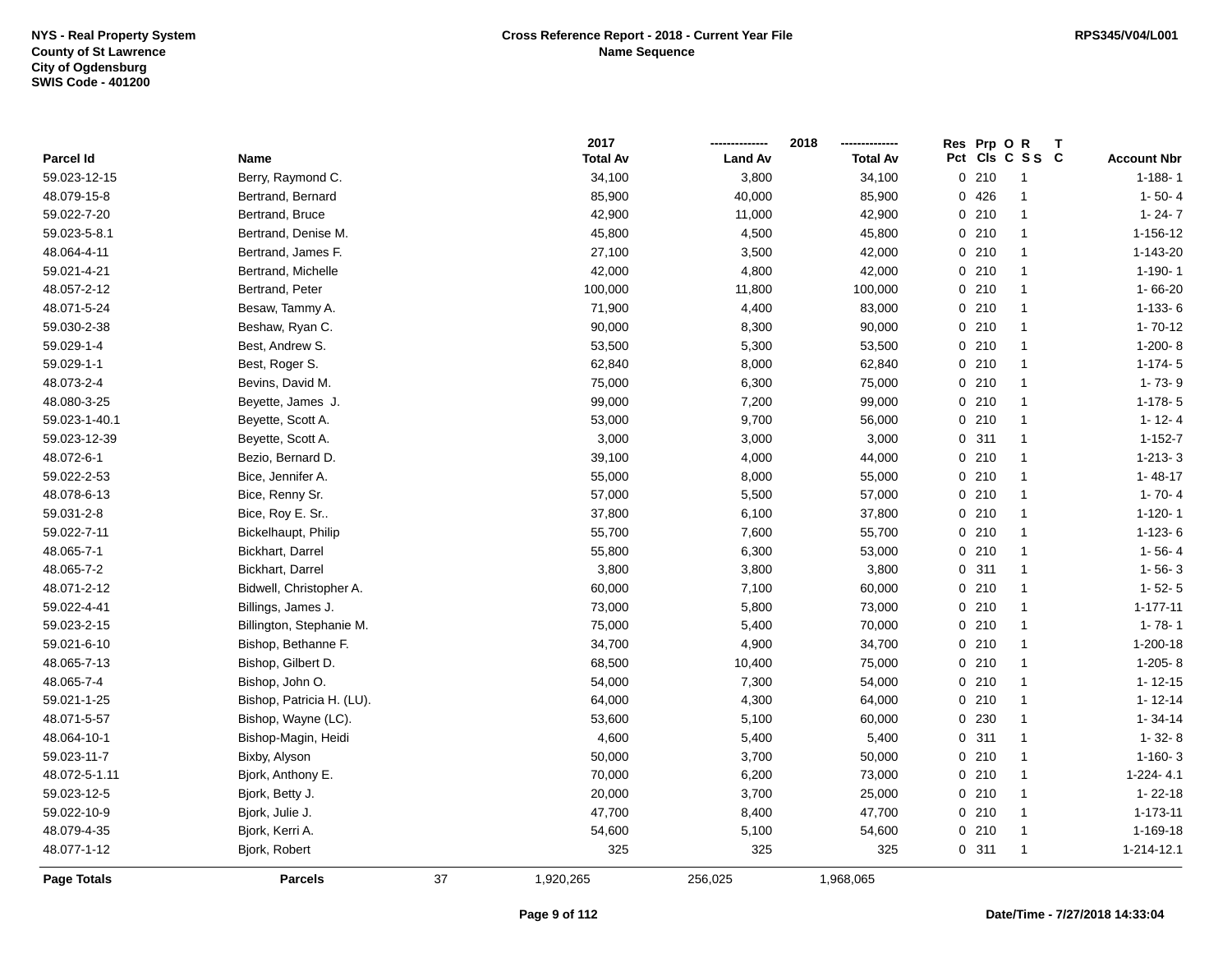|               |                           |    | 2017            |                | 2018            | Res Prp O R | Т               |                    |
|---------------|---------------------------|----|-----------------|----------------|-----------------|-------------|-----------------|--------------------|
| Parcel Id     | Name                      |    | <b>Total Av</b> | <b>Land Av</b> | <b>Total Av</b> |             | Pct Cls C S S C | <b>Account Nbr</b> |
| 59.023-12-15  | Berry, Raymond C.         |    | 34,100          | 3,800          | 34,100          | 0210        | 1               | $1 - 188 - 1$      |
| 48.079-15-8   | Bertrand, Bernard         |    | 85,900          | 40,000         | 85,900          | 0426        | $\mathbf{1}$    | $1 - 50 - 4$       |
| 59.022-7-20   | Bertrand, Bruce           |    | 42,900          | 11,000         | 42,900          | 0210        | $\mathbf{1}$    | $1 - 24 - 7$       |
| 59.023-5-8.1  | Bertrand, Denise M.       |    | 45,800          | 4,500          | 45,800          | 0210        | $\mathbf{1}$    | 1-156-12           |
| 48.064-4-11   | Bertrand, James F.        |    | 27,100          | 3,500          | 42,000          | 0210        | $\mathbf{1}$    | 1-143-20           |
| 59.021-4-21   | Bertrand, Michelle        |    | 42,000          | 4,800          | 42,000          | 0210        | 1               | $1 - 190 - 1$      |
| 48.057-2-12   | Bertrand, Peter           |    | 100,000         | 11,800         | 100,000         | 0210        | 1               | 1-66-20            |
| 48.071-5-24   | Besaw, Tammy A.           |    | 71,900          | 4,400          | 83,000          | 0210        | $\mathbf{1}$    | $1-133-6$          |
| 59.030-2-38   | Beshaw, Ryan C.           |    | 90,000          | 8,300          | 90,000          | 0210        | $\mathbf{1}$    | $1 - 70 - 12$      |
| 59.029-1-4    | Best, Andrew S.           |    | 53,500          | 5,300          | 53,500          | 0210        | 1               | $1-200-8$          |
| 59.029-1-1    | Best, Roger S.            |    | 62,840          | 8,000          | 62,840          | 0210        | $\mathbf{1}$    | $1-174-5$          |
| 48.073-2-4    | Bevins, David M.          |    | 75,000          | 6,300          | 75,000          | 0210        | $\mathbf{1}$    | $1 - 73 - 9$       |
| 48.080-3-25   | Beyette, James J.         |    | 99,000          | 7,200          | 99,000          | 0210        | 1               | $1-178-5$          |
| 59.023-1-40.1 | Beyette, Scott A.         |    | 53,000          | 9,700          | 56,000          | 0210        | $\mathbf{1}$    | $1 - 12 - 4$       |
| 59.023-12-39  | Beyette, Scott A.         |    | 3,000           | 3,000          | 3,000           | 0.311       | $\mathbf{1}$    | $1 - 152 - 7$      |
| 48.072-6-1    | Bezio, Bernard D.         |    | 39,100          | 4,000          | 44,000          | 0210        | $\mathbf{1}$    | $1 - 213 - 3$      |
| 59.022-2-53   | Bice, Jennifer A.         |    | 55,000          | 8,000          | 55,000          | 0210        | $\mathbf{1}$    | $1 - 48 - 17$      |
| 48.078-6-13   | Bice, Renny Sr.           |    | 57,000          | 5,500          | 57,000          | 0210        | $\mathbf{1}$    | $1 - 70 - 4$       |
| 59.031-2-8    | Bice, Roy E. Sr           |    | 37,800          | 6,100          | 37,800          | 0210        | $\mathbf{1}$    | $1 - 120 - 1$      |
| 59.022-7-11   | Bickelhaupt, Philip       |    | 55,700          | 7,600          | 55,700          | 0210        | $\mathbf{1}$    | $1 - 123 - 6$      |
| 48.065-7-1    | Bickhart, Darrel          |    | 55,800          | 6,300          | 53,000          | 0210        | $\mathbf{1}$    | $1 - 56 - 4$       |
| 48.065-7-2    | Bickhart, Darrel          |    | 3,800           | 3,800          | 3,800           | 0.311       | $\mathbf{1}$    | $1 - 56 - 3$       |
| 48.071-2-12   | Bidwell, Christopher A.   |    | 60,000          | 7,100          | 60,000          | 0210        | $\mathbf{1}$    | $1 - 52 - 5$       |
| 59.022-4-41   | Billings, James J.        |    | 73,000          | 5,800          | 73,000          | 0210        | $\mathbf{1}$    | $1 - 177 - 11$     |
| 59.023-2-15   | Billington, Stephanie M.  |    | 75,000          | 5,400          | 70,000          | 0210        | $\mathbf{1}$    | $1 - 78 - 1$       |
| 59.021-6-10   | Bishop, Bethanne F.       |    | 34,700          | 4,900          | 34,700          | 0210        | $\mathbf{1}$    | $1 - 200 - 18$     |
| 48.065-7-13   | Bishop, Gilbert D.        |    | 68,500          | 10,400         | 75,000          | 0210        | $\mathbf{1}$    | $1-205-8$          |
| 48.065-7-4    | Bishop, John O.           |    | 54,000          | 7,300          | 54,000          | 0210        | $\mathbf{1}$    | $1 - 12 - 15$      |
| 59.021-1-25   | Bishop, Patricia H. (LU). |    | 64,000          | 4,300          | 64,000          | 0210        | 1               | $1 - 12 - 14$      |
| 48.071-5-57   | Bishop, Wayne (LC).       |    | 53,600          | 5,100          | 60,000          | 0 230       | 1               | $1 - 34 - 14$      |
| 48.064-10-1   | Bishop-Magin, Heidi       |    | 4,600           | 5,400          | 5,400           | 0.311       | $\mathbf{1}$    | $1 - 32 - 8$       |
| 59.023-11-7   | Bixby, Alyson             |    | 50,000          | 3,700          | 50,000          | 0210        | $\mathbf{1}$    | $1 - 160 - 3$      |
| 48.072-5-1.11 | Bjork, Anthony E.         |    | 70,000          | 6,200          | 73,000          | 0210        | $\mathbf{1}$    | $1-224-4.1$        |
| 59.023-12-5   | Bjork, Betty J.           |    | 20,000          | 3,700          | 25,000          | 0210        | $\mathbf{1}$    | $1 - 22 - 18$      |
| 59.022-10-9   | Bjork, Julie J.           |    | 47,700          | 8,400          | 47,700          | 0210        | $\mathbf{1}$    | 1-173-11           |
| 48.079-4-35   | Bjork, Kerri A.           |    | 54,600          | 5,100          | 54,600          | 0210        | $\mathbf{1}$    | 1-169-18           |
| 48.077-1-12   | Bjork, Robert             |    | 325             | 325            | 325             | 0.311       | $\mathbf{1}$    | 1-214-12.1         |
| Page Totals   | <b>Parcels</b>            | 37 | 1,920,265       | 256,025        | 1,968,065       |             |                 |                    |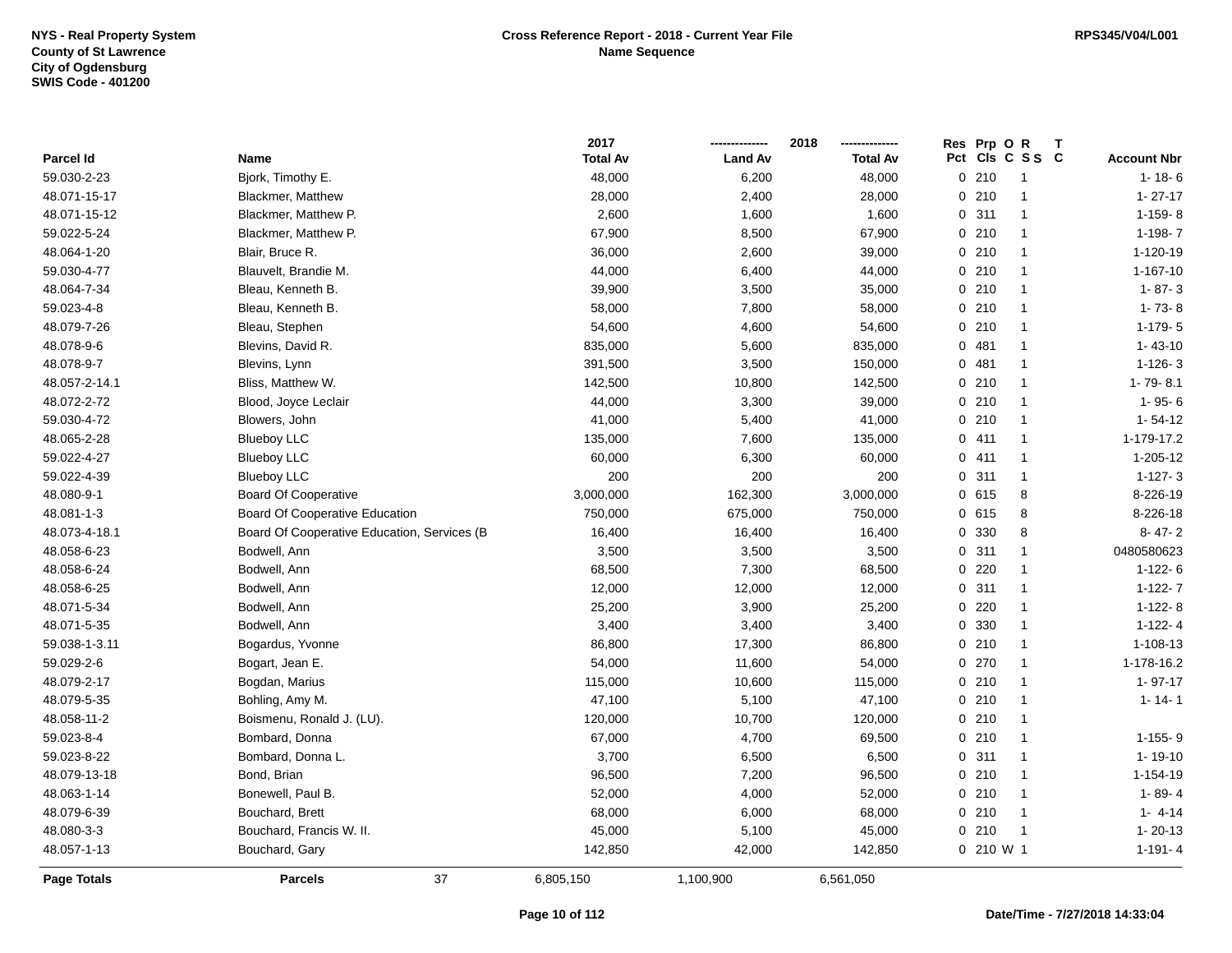|                    |                                             | 2017            |                | 2018            | Res Prp O R                              |
|--------------------|---------------------------------------------|-----------------|----------------|-----------------|------------------------------------------|
| Parcel Id          | Name                                        | <b>Total Av</b> | <b>Land Av</b> | <b>Total Av</b> | Pct<br>CIs C S S C<br><b>Account Nbr</b> |
| 59.030-2-23        | Bjork, Timothy E.                           | 48,000          | 6,200          | 48,000          | 0210<br>$1 - 18 - 6$<br>-1               |
| 48.071-15-17       | <b>Blackmer, Matthew</b>                    | 28,000          | 2,400          | 28,000          | $1 - 27 - 17$<br>0210<br>$\mathbf{1}$    |
| 48.071-15-12       | Blackmer, Matthew P.                        | 2,600           | 1,600          | 1,600           | 0.311<br>$1-159-8$<br>$\mathbf{1}$       |
| 59.022-5-24        | Blackmer, Matthew P.                        | 67,900          | 8,500          | 67,900          | 0210<br>$1-198-7$<br>$\mathbf{1}$        |
| 48.064-1-20        | Blair, Bruce R.                             | 36,000          | 2,600          | 39,000          | 0210<br>1-120-19<br>$\mathbf{1}$         |
| 59.030-4-77        | Blauvelt, Brandie M.                        | 44,000          | 6,400          | 44,000          | 0210<br>1-167-10<br>$\mathbf{1}$         |
| 48.064-7-34        | Bleau, Kenneth B.                           | 39,900          | 3,500          | 35,000          | $0$ 210<br>$\mathbf{1}$<br>$1 - 87 - 3$  |
| 59.023-4-8         | Bleau, Kenneth B.                           | 58,000          | 7,800          | 58,000          | 0210<br>$1 - 73 - 8$<br>$\mathbf{1}$     |
| 48.079-7-26        | Bleau, Stephen                              | 54,600          | 4,600          | 54,600          | $1-179-5$<br>0210<br>$\mathbf{1}$        |
| 48.078-9-6         | Blevins, David R.                           | 835,000         | 5,600          | 835,000         | 0.481<br>$1 - 43 - 10$<br>$\mathbf{1}$   |
| 48.078-9-7         | Blevins, Lynn                               | 391,500         | 3,500          | 150,000         | 0481<br>$1 - 126 - 3$<br>$\mathbf{1}$    |
| 48.057-2-14.1      | Bliss, Matthew W.                           | 142,500         | 10,800         | 142,500         | $0$ 210<br>1-79-8.1<br>$\mathbf{1}$      |
| 48.072-2-72        | Blood, Joyce Leclair                        | 44,000          | 3,300          | 39,000          | 0210<br>$1 - 95 - 6$<br>-1               |
| 59.030-4-72        | Blowers, John                               | 41,000          | 5,400          | 41,000          | 0210<br>$1 - 54 - 12$<br>$\mathbf{1}$    |
| 48.065-2-28        | <b>Blueboy LLC</b>                          | 135,000         | 7,600          | 135,000         | 1-179-17.2<br>0411<br>$\mathbf{1}$       |
| 59.022-4-27        | <b>Blueboy LLC</b>                          | 60,000          | 6,300          | 60,000          | $1 - 205 - 12$<br>0411<br>$\mathbf{1}$   |
| 59.022-4-39        | <b>Blueboy LLC</b>                          | 200             | 200            | 200             | $1-127-3$<br>0.311<br>$\mathbf{1}$       |
| 48.080-9-1         | <b>Board Of Cooperative</b>                 | 3,000,000       | 162,300        | 3,000,000       | 8-226-19<br>0615<br>8                    |
| 48.081-1-3         | <b>Board Of Cooperative Education</b>       | 750,000         | 675,000        | 750,000         | 0 615<br>8<br>8-226-18                   |
| 48.073-4-18.1      | Board Of Cooperative Education, Services (B | 16,400          | 16,400         | 16,400          | $8 - 47 - 2$<br>0 330<br>8               |
| 48.058-6-23        | Bodwell, Ann                                | 3,500           | 3,500          | 3,500           | 0.311<br>0480580623<br>$\mathbf{1}$      |
| 48.058-6-24        | Bodwell, Ann                                | 68,500          | 7,300          | 68,500          | 0.220<br>$1-122-6$<br>$\overline{1}$     |
| 48.058-6-25        | Bodwell, Ann                                | 12,000          | 12,000         | 12,000          | 0.311<br>$\mathbf{1}$<br>$1-122-7$       |
| 48.071-5-34        | Bodwell, Ann                                | 25,200          | 3,900          | 25,200          | 0220<br>$1-122-8$<br>$\mathbf{1}$        |
| 48.071-5-35        | Bodwell, Ann                                | 3,400           | 3,400          | 3,400           | 0 330<br>$1-122-4$<br>$\mathbf{1}$       |
| 59.038-1-3.11      | Bogardus, Yvonne                            | 86,800          | 17,300         | 86,800          | 0210<br>$1 - 108 - 13$<br>$\mathbf{1}$   |
| 59.029-2-6         | Bogart, Jean E.                             | 54,000          | 11,600         | 54,000          | 0270<br>1-178-16.2<br>$\overline{1}$     |
| 48.079-2-17        | Bogdan, Marius                              | 115,000         | 10,600         | 115,000         | 0210<br>$1 - 97 - 17$<br>$\overline{1}$  |
| 48.079-5-35        | Bohling, Amy M.                             | 47,100          | 5,100          | 47,100          | 0210<br>$1 - 14 - 1$<br>$\mathbf{1}$     |
| 48.058-11-2        | Boismenu, Ronald J. (LU).                   | 120,000         | 10,700         | 120,000         | 0210<br>$\mathbf{1}$                     |
| 59.023-8-4         | Bombard, Donna                              | 67,000          | 4,700          | 69,500          | 0210<br>$\mathbf{1}$<br>$1 - 155 - 9$    |
| 59.023-8-22        | Bombard, Donna L.                           | 3,700           | 6,500          | 6,500           | 0.311<br>$1 - 19 - 10$<br>$\mathbf{1}$   |
| 48.079-13-18       | Bond, Brian                                 | 96,500          | 7,200          | 96,500          | 1-154-19<br>0210<br>$\mathbf{1}$         |
| 48.063-1-14        | Bonewell, Paul B.                           | 52,000          | 4,000          | 52,000          | 0210<br>$1 - 89 - 4$<br>$\mathbf{1}$     |
| 48.079-6-39        | Bouchard, Brett                             | 68,000          | 6,000          | 68,000          | 0210<br>$\overline{1}$<br>$1 - 4 - 14$   |
| 48.080-3-3         | Bouchard, Francis W. II.                    | 45,000          | 5,100          | 45,000          | 0210<br>$\overline{1}$<br>$1 - 20 - 13$  |
| 48.057-1-13        | Bouchard, Gary                              | 142,850         | 42,000         | 142,850         | 0 210 W 1<br>$1 - 191 - 4$               |
| <b>Page Totals</b> | 37<br><b>Parcels</b>                        | 6,805,150       | 1,100,900      | 6,561,050       |                                          |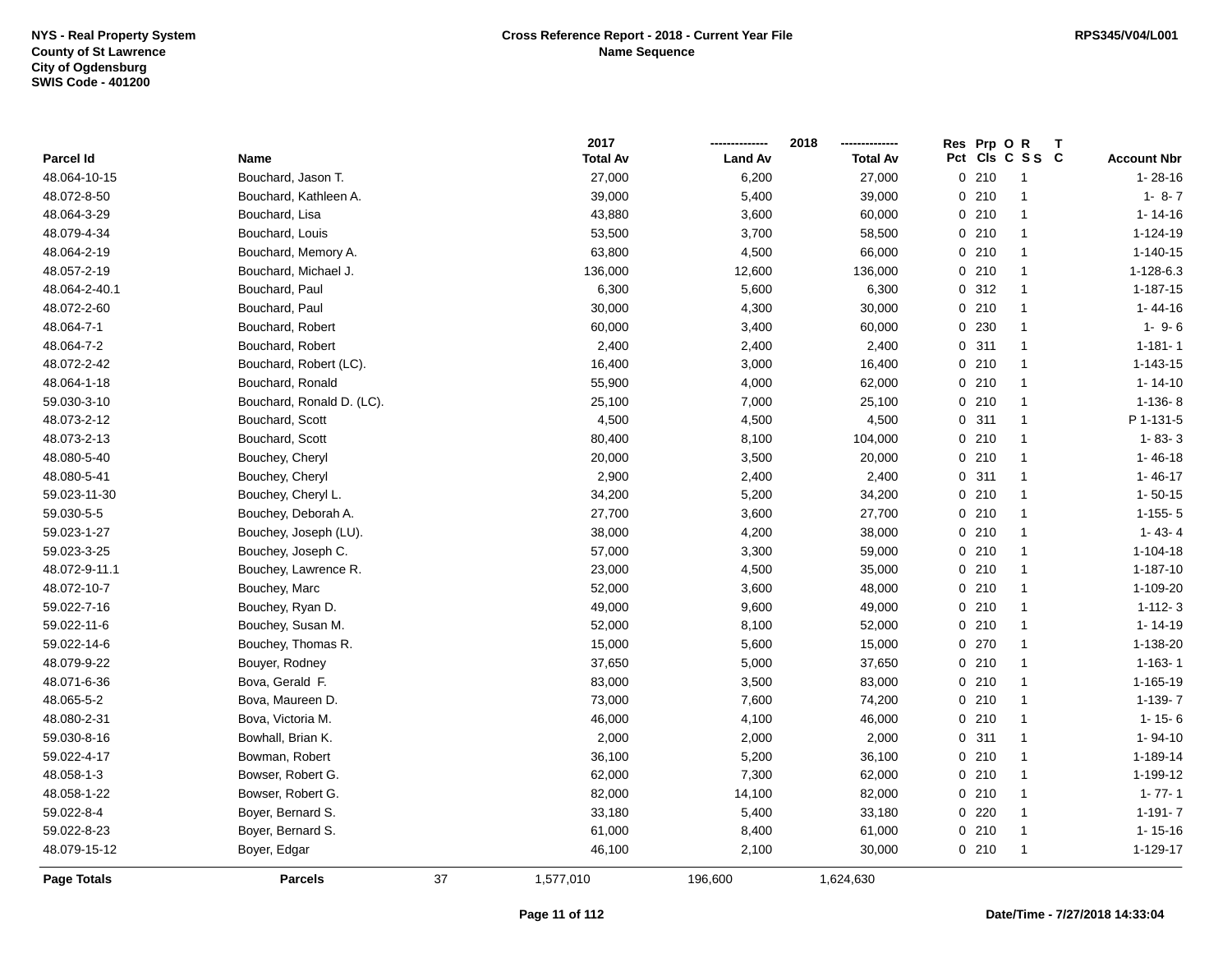|               |                           |    | 2017            |                | 2018            |     | Res Prp O R |                |                    |
|---------------|---------------------------|----|-----------------|----------------|-----------------|-----|-------------|----------------|--------------------|
| Parcel Id     | Name                      |    | <b>Total Av</b> | <b>Land Av</b> | <b>Total Av</b> | Pct |             | CIs C S S C    | <b>Account Nbr</b> |
| 48.064-10-15  | Bouchard, Jason T.        |    | 27,000          | 6,200          | 27,000          |     | 0210        | -1             | $1 - 28 - 16$      |
| 48.072-8-50   | Bouchard, Kathleen A.     |    | 39,000          | 5,400          | 39,000          |     | 0210        | $\overline{1}$ | $1 - 8 - 7$        |
| 48.064-3-29   | Bouchard, Lisa            |    | 43,880          | 3,600          | 60,000          |     | 0210        | $\mathbf{1}$   | $1 - 14 - 16$      |
| 48.079-4-34   | Bouchard, Louis           |    | 53,500          | 3,700          | 58,500          |     | 0210        | $\mathbf{1}$   | 1-124-19           |
| 48.064-2-19   | Bouchard, Memory A.       |    | 63,800          | 4,500          | 66,000          |     | 0210        | $\mathbf{1}$   | $1 - 140 - 15$     |
| 48.057-2-19   | Bouchard, Michael J.      |    | 136,000         | 12,600         | 136,000         |     | 0210        | $\mathbf{1}$   | 1-128-6.3          |
| 48.064-2-40.1 | Bouchard, Paul            |    | 6,300           | 5,600          | 6,300           |     | 0.312       | $\mathbf{1}$   | $1 - 187 - 15$     |
| 48.072-2-60   | Bouchard, Paul            |    | 30,000          | 4,300          | 30,000          |     | 0210        | $\mathbf{1}$   | 1-44-16            |
| 48.064-7-1    | Bouchard, Robert          |    | 60,000          | 3,400          | 60,000          |     | 0 230       | $\mathbf{1}$   | $1 - 9 - 6$        |
| 48.064-7-2    | Bouchard, Robert          |    | 2,400           | 2,400          | 2,400           |     | 0.311       | $\mathbf{1}$   | $1 - 181 - 1$      |
| 48.072-2-42   | Bouchard, Robert (LC).    |    | 16,400          | 3,000          | 16,400          |     | 0210        | $\mathbf{1}$   | $1 - 143 - 15$     |
| 48.064-1-18   | Bouchard, Ronald          |    | 55,900          | 4,000          | 62,000          |     | 0210        | $\mathbf{1}$   | $1 - 14 - 10$      |
| 59.030-3-10   | Bouchard, Ronald D. (LC). |    | 25,100          | 7,000          | 25,100          |     | 0210        | $\mathbf{1}$   | $1-136-8$          |
| 48.073-2-12   | Bouchard, Scott           |    | 4,500           | 4,500          | 4,500           |     | 0.311       | $\mathbf{1}$   | P 1-131-5          |
| 48.073-2-13   | Bouchard, Scott           |    | 80,400          | 8,100          | 104,000         |     | 0210        | $\mathbf{1}$   | $1 - 83 - 3$       |
| 48.080-5-40   | Bouchey, Cheryl           |    | 20,000          | 3,500          | 20,000          |     | 0210        | $\mathbf{1}$   | $1 - 46 - 18$      |
| 48.080-5-41   | Bouchey, Cheryl           |    | 2,900           | 2,400          | 2,400           |     | 0.311       | $\mathbf{1}$   | $1 - 46 - 17$      |
| 59.023-11-30  | Bouchey, Cheryl L.        |    | 34,200          | 5,200          | 34,200          |     | 0210        | $\mathbf{1}$   | $1 - 50 - 15$      |
| 59.030-5-5    | Bouchey, Deborah A.       |    | 27,700          | 3,600          | 27,700          |     | 0210        | $\mathbf{1}$   | $1 - 155 - 5$      |
| 59.023-1-27   | Bouchey, Joseph (LU).     |    | 38,000          | 4,200          | 38,000          |     | 0210        | $\mathbf{1}$   | $1 - 43 - 4$       |
| 59.023-3-25   | Bouchey, Joseph C.        |    | 57,000          | 3,300          | 59,000          |     | 0210        | $\mathbf{1}$   | $1 - 104 - 18$     |
| 48.072-9-11.1 | Bouchey, Lawrence R.      |    | 23,000          | 4,500          | 35,000          |     | 0210        | $\mathbf{1}$   | $1 - 187 - 10$     |
| 48.072-10-7   | Bouchey, Marc             |    | 52,000          | 3,600          | 48,000          |     | 0210        | $\mathbf{1}$   | 1-109-20           |
| 59.022-7-16   | Bouchey, Ryan D.          |    | 49,000          | 9,600          | 49,000          |     | 0210        | $\mathbf{1}$   | $1 - 112 - 3$      |
| 59.022-11-6   | Bouchey, Susan M.         |    | 52,000          | 8,100          | 52,000          |     | 0210        | $\mathbf{1}$   | $1 - 14 - 19$      |
| 59.022-14-6   | Bouchey, Thomas R.        |    | 15,000          | 5,600          | 15,000          |     | $0$ 270     | $\mathbf{1}$   | 1-138-20           |
| 48.079-9-22   | Bouyer, Rodney            |    | 37,650          | 5,000          | 37,650          |     | 0210        | $\mathbf{1}$   | $1 - 163 - 1$      |
| 48.071-6-36   | Bova, Gerald F.           |    | 83,000          | 3,500          | 83,000          |     | 0210        | $\mathbf{1}$   | 1-165-19           |
| 48.065-5-2    | Bova, Maureen D.          |    | 73,000          | 7,600          | 74,200          |     | 0210        | $\mathbf{1}$   | $1-139-7$          |
| 48.080-2-31   | Bova, Victoria M.         |    | 46,000          | 4,100          | 46,000          |     | 0210        | $\mathbf{1}$   | $1 - 15 - 6$       |
| 59.030-8-16   | Bowhall, Brian K.         |    | 2,000           | 2,000          | 2,000           |     | 0.311       | $\mathbf{1}$   | 1-94-10            |
| 59.022-4-17   | Bowman, Robert            |    | 36,100          | 5,200          | 36,100          |     | 0210        | $\mathbf{1}$   | 1-189-14           |
| 48.058-1-3    | Bowser, Robert G.         |    | 62,000          | 7,300          | 62,000          |     | 0210        | $\mathbf{1}$   | 1-199-12           |
| 48.058-1-22   | Bowser, Robert G.         |    | 82,000          | 14,100         | 82,000          |     | 0210        | $\mathbf{1}$   | $1 - 77 - 1$       |
| 59.022-8-4    | Boyer, Bernard S.         |    | 33,180          | 5,400          | 33,180          |     | 0.220       | $\mathbf{1}$   | $1 - 191 - 7$      |
| 59.022-8-23   | Boyer, Bernard S.         |    | 61,000          | 8,400          | 61,000          |     | 0210        | $\mathbf{1}$   | $1 - 15 - 16$      |
| 48.079-15-12  | Boyer, Edgar              |    | 46,100          | 2,100          | 30,000          |     | 0210        | $\overline{1}$ | 1-129-17           |
| Page Totals   | Parcels                   | 37 | 1,577,010       | 196,600        | 1,624,630       |     |             |                |                    |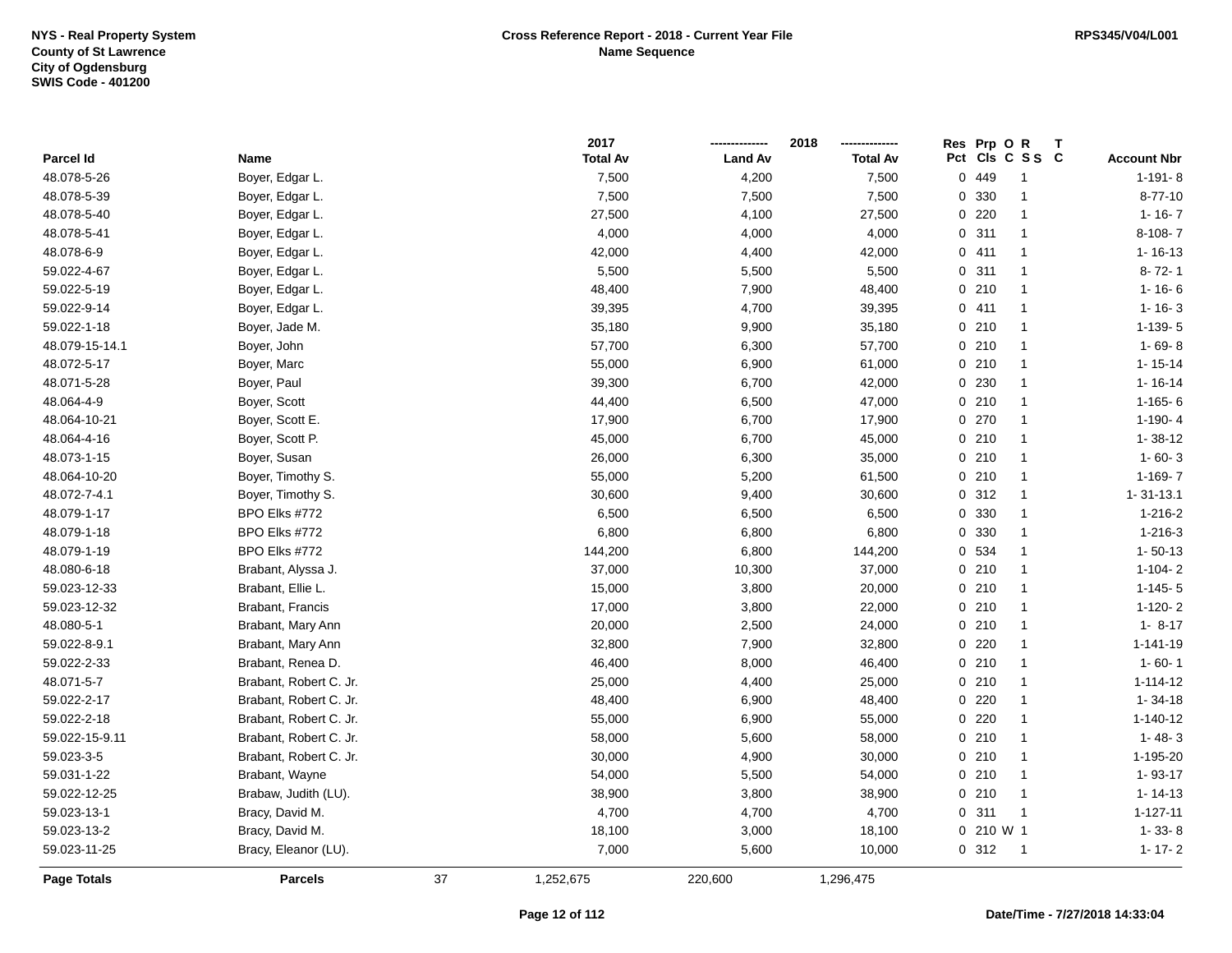|                |                        |    | 2017            |                | 2018            | Prp OR<br>Res<br>Т       |                    |
|----------------|------------------------|----|-----------------|----------------|-----------------|--------------------------|--------------------|
| Parcel Id      | Name                   |    | <b>Total Av</b> | <b>Land Av</b> | <b>Total Av</b> | Pct Cls C S S C          | <b>Account Nbr</b> |
| 48.078-5-26    | Boyer, Edgar L.        |    | 7,500           | 4,200          | 7,500           | 0 449<br>$\mathbf{1}$    | $1 - 191 - 8$      |
| 48.078-5-39    | Boyer, Edgar L.        |    | 7,500           | 7,500          | 7,500           | 330<br>$\mathbf{1}$<br>0 | $8 - 77 - 10$      |
| 48.078-5-40    | Boyer, Edgar L.        |    | 27,500          | 4,100          | 27,500          | 0220<br>1                | $1 - 16 - 7$       |
| 48.078-5-41    | Boyer, Edgar L.        |    | 4,000           | 4,000          | 4,000           | 0.311<br>$\mathbf{1}$    | $8-108-7$          |
| 48.078-6-9     | Boyer, Edgar L.        |    | 42,000          | 4,400          | 42,000          | 0411<br>$\mathbf{1}$     | $1 - 16 - 13$      |
| 59.022-4-67    | Boyer, Edgar L.        |    | 5,500           | 5,500          | 5,500           | 0.311<br>$\mathbf{1}$    | $8 - 72 - 1$       |
| 59.022-5-19    | Boyer, Edgar L.        |    | 48,400          | 7,900          | 48,400          | 0210<br>$\mathbf{1}$     | $1 - 16 - 6$       |
| 59.022-9-14    | Boyer, Edgar L.        |    | 39,395          | 4,700          | 39,395          | 0411<br>$\mathbf{1}$     | $1 - 16 - 3$       |
| 59.022-1-18    | Boyer, Jade M.         |    | 35,180          | 9,900          | 35,180          | 0210<br>$\mathbf{1}$     | 1-139-5            |
| 48.079-15-14.1 | Boyer, John            |    | 57,700          | 6,300          | 57,700          | 0210<br>$\mathbf{1}$     | $1 - 69 - 8$       |
| 48.072-5-17    | Boyer, Marc            |    | 55,000          | 6,900          | 61,000          | 0210<br>$\mathbf{1}$     | $1 - 15 - 14$      |
| 48.071-5-28    | Boyer, Paul            |    | 39,300          | 6,700          | 42,000          | 0.230<br>$\mathbf{1}$    | $1 - 16 - 14$      |
| 48.064-4-9     | Boyer, Scott           |    | 44,400          | 6,500          | 47,000          | 0210<br>$\mathbf{1}$     | $1-165-6$          |
| 48.064-10-21   | Boyer, Scott E.        |    | 17,900          | 6,700          | 17,900          | 0270<br>1                | $1 - 190 - 4$      |
| 48.064-4-16    | Boyer, Scott P.        |    | 45,000          | 6,700          | 45,000          | 0210<br>$\mathbf{1}$     | $1 - 38 - 12$      |
| 48.073-1-15    | Boyer, Susan           |    | 26,000          | 6,300          | 35,000          | 0210<br>$\mathbf{1}$     | $1 - 60 - 3$       |
| 48.064-10-20   | Boyer, Timothy S.      |    | 55,000          | 5,200          | 61,500          | 0210<br>$\mathbf{1}$     | 1-169-7            |
| 48.072-7-4.1   | Boyer, Timothy S.      |    | 30,600          | 9,400          | 30,600          | 0.312<br>$\mathbf{1}$    | $1 - 31 - 13.1$    |
| 48.079-1-17    | BPO Elks #772          |    | 6,500           | 6,500          | 6,500           | 0 330<br>$\mathbf{1}$    | $1 - 216 - 2$      |
| 48.079-1-18    | BPO Elks #772          |    | 6,800           | 6,800          | 6,800           | 0 330<br>$\mathbf{1}$    | $1 - 216 - 3$      |
| 48.079-1-19    | BPO Elks #772          |    | 144,200         | 6,800          | 144,200         | 0 534<br>$\mathbf{1}$    | $1 - 50 - 13$      |
| 48.080-6-18    | Brabant, Alyssa J.     |    | 37,000          | 10,300         | 37,000          | 0210<br>$\mathbf{1}$     | $1 - 104 - 2$      |
| 59.023-12-33   | Brabant, Ellie L.      |    | 15,000          | 3,800          | 20,000          | 0210<br>$\mathbf{1}$     | $1 - 145 - 5$      |
| 59.023-12-32   | Brabant, Francis       |    | 17,000          | 3,800          | 22,000          | 0210<br>$\mathbf{1}$     | $1-120-2$          |
| 48.080-5-1     | Brabant, Mary Ann      |    | 20,000          | 2,500          | 24,000          | 0210<br>$\mathbf{1}$     | $1 - 8 - 17$       |
| 59.022-8-9.1   | Brabant, Mary Ann      |    | 32,800          | 7,900          | 32,800          | 0.220<br>$\mathbf{1}$    | $1 - 141 - 19$     |
| 59.022-2-33    | Brabant, Renea D.      |    | 46,400          | 8,000          | 46,400          | 0210<br>$\mathbf{1}$     | $1 - 60 - 1$       |
| 48.071-5-7     | Brabant, Robert C. Jr. |    | 25,000          | 4,400          | 25,000          | 0210<br>$\mathbf{1}$     | $1 - 114 - 12$     |
| 59.022-2-17    | Brabant, Robert C. Jr. |    | 48,400          | 6,900          | 48,400          | $0$ 220<br>1             | $1 - 34 - 18$      |
| 59.022-2-18    | Brabant, Robert C. Jr. |    | 55,000          | 6,900          | 55,000          | $0$ 220<br>$\mathbf{1}$  | $1 - 140 - 12$     |
| 59.022-15-9.11 | Brabant, Robert C. Jr. |    | 58,000          | 5,600          | 58,000          | 0210<br>$\mathbf{1}$     | $1 - 48 - 3$       |
| 59.023-3-5     | Brabant, Robert C. Jr. |    | 30,000          | 4,900          | 30,000          | 0210<br>$\mathbf{1}$     | 1-195-20           |
| 59.031-1-22    | Brabant, Wayne         |    | 54,000          | 5,500          | 54,000          | 0210<br>$\mathbf{1}$     | $1 - 93 - 17$      |
| 59.022-12-25   | Brabaw, Judith (LU).   |    | 38,900          | 3,800          | 38,900          | 0210<br>$\mathbf{1}$     | $1 - 14 - 13$      |
| 59.023-13-1    | Bracy, David M.        |    | 4,700           | 4,700          | 4,700           | 0.311<br>$\mathbf{1}$    | $1 - 127 - 11$     |
| 59.023-13-2    | Bracy, David M.        |    | 18,100          | 3,000          | 18,100          | 0 210 W 1                | $1 - 33 - 8$       |
| 59.023-11-25   | Bracy, Eleanor (LU).   |    | 7,000           | 5,600          | 10,000          | 0.312<br>$\overline{1}$  | $1 - 17 - 2$       |
| Page Totals    | <b>Parcels</b>         | 37 | 1,252,675       | 220,600        | 1,296,475       |                          |                    |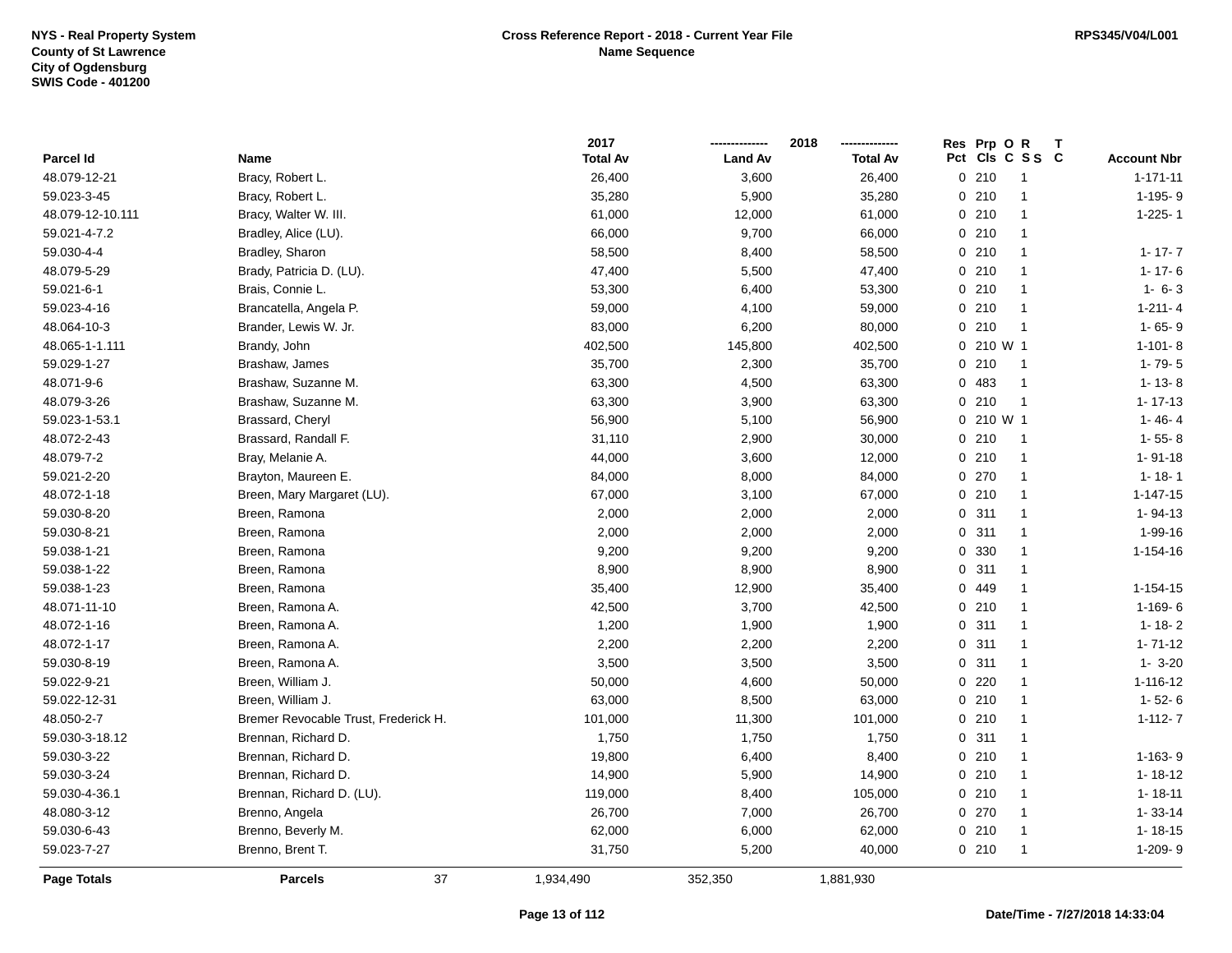|                  |                                      | 2017            |                | 2018            | Res Prp O R  | т               |                    |
|------------------|--------------------------------------|-----------------|----------------|-----------------|--------------|-----------------|--------------------|
| Parcel Id        | Name                                 | <b>Total Av</b> | <b>Land Av</b> | <b>Total Av</b> |              | Pct Cls C S S C | <b>Account Nbr</b> |
| 48.079-12-21     | Bracy, Robert L.                     | 26,400          | 3,600          | 26,400          | 0210         | $\overline{1}$  | $1 - 171 - 11$     |
| 59.023-3-45      | Bracy, Robert L.                     | 35,280          | 5,900          | 35,280          | 0210         | $\overline{1}$  | 1-195-9            |
| 48.079-12-10.111 | Bracy, Walter W. III.                | 61,000          | 12,000         | 61,000          | 0210         | $\overline{1}$  | $1 - 225 - 1$      |
| 59.021-4-7.2     | Bradley, Alice (LU).                 | 66,000          | 9,700          | 66,000          | 0210         | $\overline{1}$  |                    |
| 59.030-4-4       | Bradley, Sharon                      | 58,500          | 8,400          | 58,500          | 0210         | $\overline{1}$  | $1 - 17 - 7$       |
| 48.079-5-29      | Brady, Patricia D. (LU).             | 47,400          | 5,500          | 47,400          | 0210         | $\mathbf{1}$    | $1 - 17 - 6$       |
| 59.021-6-1       | Brais, Connie L.                     | 53,300          | 6,400          | 53,300          | 0210         | $\overline{1}$  | $1 - 6 - 3$        |
| 59.023-4-16      | Brancatella, Angela P.               | 59,000          | 4,100          | 59,000          | 0210         | $\overline{1}$  | $1 - 211 - 4$      |
| 48.064-10-3      | Brander, Lewis W. Jr.                | 83,000          | 6,200          | 80,000          | 0210         | $\overline{1}$  | $1 - 65 - 9$       |
| 48.065-1-1.111   | Brandy, John                         | 402,500         | 145,800        | 402,500         | 0 210 W 1    |                 | $1 - 101 - 8$      |
| 59.029-1-27      | Brashaw, James                       | 35,700          | 2,300          | 35,700          | 0210         | $\overline{1}$  | $1 - 79 - 5$       |
| 48.071-9-6       | Brashaw, Suzanne M.                  | 63,300          | 4,500          | 63,300          | 0 483        | $\overline{1}$  | $1 - 13 - 8$       |
| 48.079-3-26      | Brashaw, Suzanne M.                  | 63,300          | 3,900          | 63,300          | 0210         | $\overline{1}$  | $1 - 17 - 13$      |
| 59.023-1-53.1    | Brassard, Cheryl                     | 56,900          | 5,100          | 56,900          | $0, 210$ W 1 |                 | $1 - 46 - 4$       |
| 48.072-2-43      | Brassard, Randall F.                 | 31,110          | 2,900          | 30,000          | 0210         | $\overline{1}$  | $1 - 55 - 8$       |
| 48.079-7-2       | Bray, Melanie A.                     | 44,000          | 3,600          | 12,000          | 0210         | $\overline{1}$  | $1 - 91 - 18$      |
| 59.021-2-20      | Brayton, Maureen E.                  | 84,000          | 8,000          | 84,000          | 0 270        | $\mathbf{1}$    | $1 - 18 - 1$       |
| 48.072-1-18      | Breen, Mary Margaret (LU).           | 67,000          | 3,100          | 67,000          | 0210         | $\overline{1}$  | $1 - 147 - 15$     |
| 59.030-8-20      | Breen, Ramona                        | 2,000           | 2,000          | 2,000           | 0.311        | $\mathbf{1}$    | $1 - 94 - 13$      |
| 59.030-8-21      | Breen, Ramona                        | 2,000           | 2,000          | 2,000           | 0.311        | $\mathbf{1}$    | $1 - 99 - 16$      |
| 59.038-1-21      | Breen, Ramona                        | 9,200           | 9,200          | 9,200           | 0 330        | $\mathbf{1}$    | $1 - 154 - 16$     |
| 59.038-1-22      | Breen, Ramona                        | 8,900           | 8,900          | 8,900           | 0.311        | $\overline{1}$  |                    |
| 59.038-1-23      | Breen, Ramona                        | 35,400          | 12,900         | 35,400          | 0 449        | $\overline{1}$  | $1 - 154 - 15$     |
| 48.071-11-10     | Breen, Ramona A.                     | 42,500          | 3,700          | 42,500          | 0210         | $\overline{1}$  | $1-169-6$          |
| 48.072-1-16      | Breen, Ramona A.                     | 1,200           | 1,900          | 1,900           | 0.311        | $\overline{1}$  | $1 - 18 - 2$       |
| 48.072-1-17      | Breen, Ramona A.                     | 2,200           | 2,200          | 2,200           | 0.311        | $\mathbf{1}$    | $1 - 71 - 12$      |
| 59.030-8-19      | Breen, Ramona A.                     | 3,500           | 3,500          | 3,500           | 0.311        | $\mathbf{1}$    | $1 - 3 - 20$       |
| 59.022-9-21      | Breen, William J.                    | 50,000          | 4,600          | 50,000          | $0$ 220      | $\mathbf{1}$    | 1-116-12           |
| 59.022-12-31     | Breen, William J.                    | 63,000          | 8,500          | 63,000          | 0210         | $\mathbf{1}$    | $1 - 52 - 6$       |
| 48.050-2-7       | Bremer Revocable Trust, Frederick H. | 101,000         | 11,300         | 101,000         | 0210         | $\mathbf 1$     | $1 - 112 - 7$      |
| 59.030-3-18.12   | Brennan, Richard D.                  | 1,750           | 1,750          | 1,750           | 0.311        | $\overline{1}$  |                    |
| 59.030-3-22      | Brennan, Richard D.                  | 19,800          | 6,400          | 8,400           | 0210         | $\overline{1}$  | $1-163-9$          |
| 59.030-3-24      | Brennan, Richard D.                  | 14,900          | 5,900          | 14,900          | 0210         | $\overline{1}$  | $1 - 18 - 12$      |
| 59.030-4-36.1    | Brennan, Richard D. (LU).            | 119,000         | 8,400          | 105,000         | 0210         | $\overline{1}$  | $1 - 18 - 11$      |
| 48.080-3-12      | Brenno, Angela                       | 26,700          | 7,000          | 26,700          | 0 270        | $\overline{1}$  | $1 - 33 - 14$      |
| 59.030-6-43      | Brenno, Beverly M.                   | 62,000          | 6,000          | 62,000          | 0210         | $\mathbf{1}$    | $1 - 18 - 15$      |
| 59.023-7-27      | Brenno, Brent T.                     | 31,750          | 5,200          | 40,000          | 0210         | $\overline{1}$  | 1-209-9            |
| Page Totals      | 37<br><b>Parcels</b>                 | 1,934,490       | 352,350        | 1,881,930       |              |                 |                    |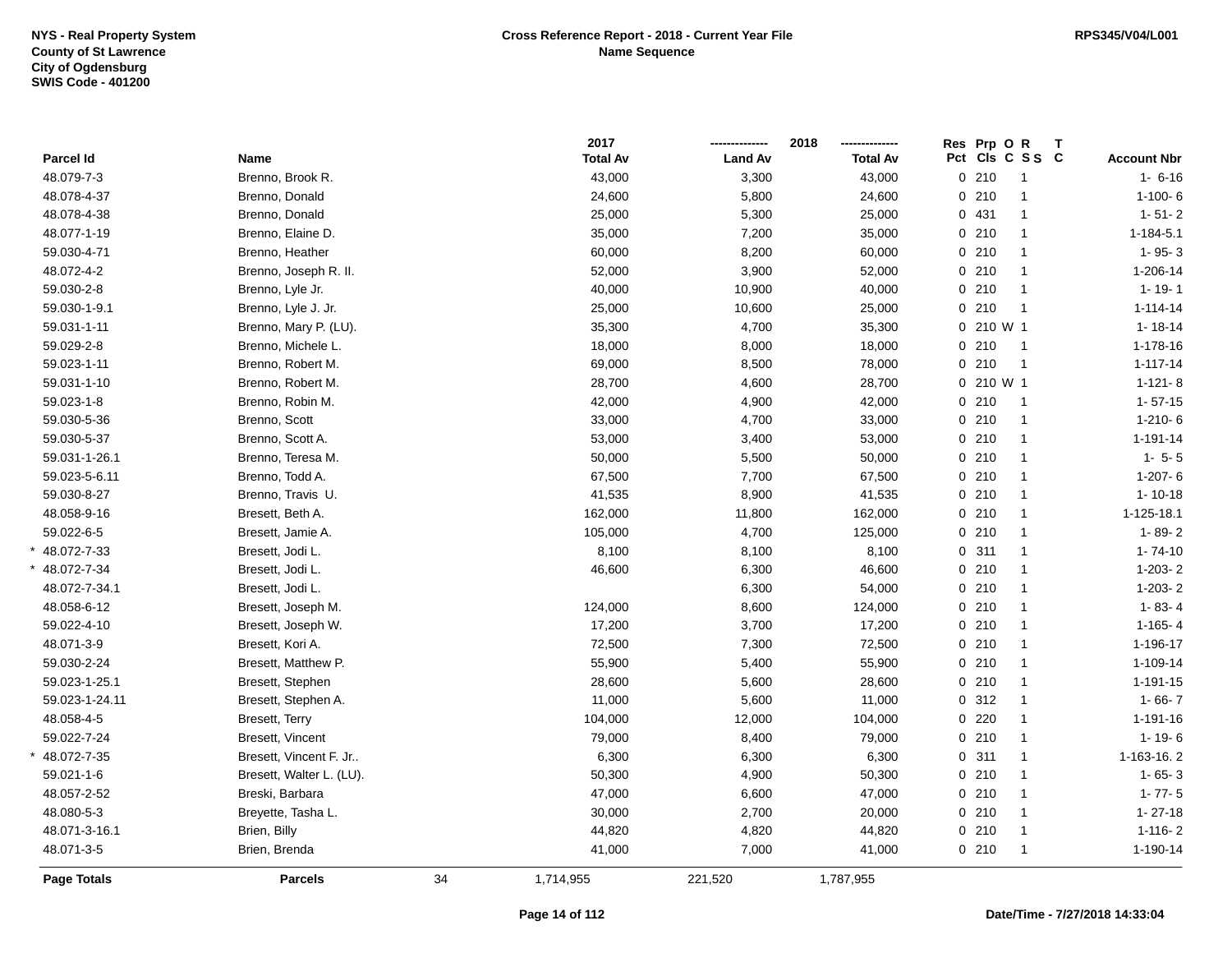|                    |                          |    | 2017            |                | 2018            | Res Prp O R | Т                       |                    |
|--------------------|--------------------------|----|-----------------|----------------|-----------------|-------------|-------------------------|--------------------|
| Parcel Id          | Name                     |    | <b>Total Av</b> | <b>Land Av</b> | <b>Total Av</b> |             | Pct Cls C S S C         | <b>Account Nbr</b> |
| 48.079-7-3         | Brenno, Brook R.         |    | 43,000          | 3,300          | 43,000          | 0210        | $\overline{1}$          | $1 - 6 - 16$       |
| 48.078-4-37        | Brenno, Donald           |    | 24,600          | 5,800          | 24,600          | 0210        | $\overline{1}$          | $1-100-6$          |
| 48.078-4-38        | Brenno, Donald           |    | 25,000          | 5,300          | 25,000          | 0 431       | $\overline{1}$          | $1 - 51 - 2$       |
| 48.077-1-19        | Brenno, Elaine D.        |    | 35,000          | 7,200          | 35,000          | 0210        | $\mathbf{1}$            | $1 - 184 - 5.1$    |
| 59.030-4-71        | Brenno, Heather          |    | 60,000          | 8,200          | 60,000          | 0210        | $\mathbf{1}$            | $1 - 95 - 3$       |
| 48.072-4-2         | Brenno, Joseph R. II.    |    | 52,000          | 3,900          | 52,000          | 0210        | $\mathbf{1}$            | 1-206-14           |
| 59.030-2-8         | Brenno, Lyle Jr.         |    | 40,000          | 10,900         | 40,000          | 0210        | $\overline{1}$          | $1 - 19 - 1$       |
| 59.030-1-9.1       | Brenno, Lyle J. Jr.      |    | 25,000          | 10,600         | 25,000          | 0210        | $\overline{1}$          | $1 - 114 - 14$     |
| 59.031-1-11        | Brenno, Mary P. (LU).    |    | 35,300          | 4,700          | 35,300          | 0 210 W 1   |                         | $1 - 18 - 14$      |
| 59.029-2-8         | Brenno, Michele L.       |    | 18,000          | 8,000          | 18,000          | 0210        | $\overline{\mathbf{1}}$ | 1-178-16           |
| 59.023-1-11        | Brenno, Robert M.        |    | 69,000          | 8,500          | 78,000          | 0210        | $\overline{1}$          | $1 - 117 - 14$     |
| 59.031-1-10        | Brenno, Robert M.        |    | 28,700          | 4,600          | 28,700          | 0 210 W 1   |                         | $1 - 121 - 8$      |
| 59.023-1-8         | Brenno, Robin M.         |    | 42,000          | 4,900          | 42,000          | 0210        | $\overline{1}$          | $1 - 57 - 15$      |
| 59.030-5-36        | Brenno, Scott            |    | 33,000          | 4,700          | 33,000          | 0210        | $\overline{1}$          | $1-210-6$          |
| 59.030-5-37        | Brenno, Scott A.         |    | 53,000          | 3,400          | 53,000          | 0210        | $\mathbf{1}$            | $1 - 191 - 14$     |
| 59.031-1-26.1      | Brenno, Teresa M.        |    | 50,000          | 5,500          | 50,000          | 0210        | $\overline{1}$          | $1 - 5 - 5$        |
| 59.023-5-6.11      | Brenno, Todd A.          |    | 67,500          | 7,700          | 67,500          | 0210        | $\mathbf{1}$            | $1-207-6$          |
| 59.030-8-27        | Brenno, Travis U.        |    | 41,535          | 8,900          | 41,535          | 0210        | $\mathbf{1}$            | $1 - 10 - 18$      |
| 48.058-9-16        | Bresett, Beth A.         |    | 162,000         | 11,800         | 162,000         | 0210        | $\mathbf{1}$            | 1-125-18.1         |
| 59.022-6-5         | Bresett, Jamie A.        |    | 105,000         | 4,700          | 125,000         | 0210        | $\mathbf{1}$            | $1 - 89 - 2$       |
| 48.072-7-33        | Bresett, Jodi L.         |    | 8,100           | 8,100          | 8,100           | 0.311       | $\mathbf{1}$            | $1 - 74 - 10$      |
| 48.072-7-34        | Bresett, Jodi L.         |    | 46,600          | 6,300          | 46,600          | 0210        | $\mathbf{1}$            | $1-203-2$          |
| 48.072-7-34.1      | Bresett, Jodi L.         |    |                 | 6,300          | 54,000          | 0210        | $\mathbf{1}$            | $1-203-2$          |
| 48.058-6-12        | Bresett, Joseph M.       |    | 124,000         | 8,600          | 124,000         | 0210        | $\overline{1}$          | $1 - 83 - 4$       |
| 59.022-4-10        | Bresett, Joseph W.       |    | 17,200          | 3,700          | 17,200          | 0210        | $\mathbf{1}$            | $1-165-4$          |
| 48.071-3-9         | Bresett, Kori A.         |    | 72,500          | 7,300          | 72,500          | 0210        | $\mathbf{1}$            | 1-196-17           |
| 59.030-2-24        | Bresett, Matthew P.      |    | 55,900          | 5,400          | 55,900          | 0210        | $\mathbf{1}$            | 1-109-14           |
| 59.023-1-25.1      | Bresett, Stephen         |    | 28,600          | 5,600          | 28,600          | 0210        | $\mathbf{1}$            | $1 - 191 - 15$     |
| 59.023-1-24.11     | Bresett, Stephen A.      |    | 11,000          | 5,600          | 11,000          | 0.312       | $\mathbf{1}$            | $1 - 66 - 7$       |
| 48.058-4-5         | Bresett, Terry           |    | 104,000         | 12,000         | 104,000         | $0$ 220     | $\overline{1}$          | 1-191-16           |
| 59.022-7-24        | Bresett, Vincent         |    | 79,000          | 8,400          | 79,000          | 0210        | $\mathbf{1}$            | $1 - 19 - 6$       |
| 48.072-7-35        | Bresett, Vincent F. Jr   |    | 6,300           | 6,300          | 6,300           | 0.311       | $\overline{1}$          | 1-163-16.2         |
| 59.021-1-6         | Bresett, Walter L. (LU). |    | 50,300          | 4,900          | 50,300          | 0210        | $\mathbf{1}$            | $1 - 65 - 3$       |
| 48.057-2-52        | Breski, Barbara          |    | 47,000          | 6,600          | 47,000          | 0210        | $\mathbf{1}$            | $1 - 77 - 5$       |
| 48.080-5-3         | Breyette, Tasha L.       |    | 30,000          | 2,700          | 20,000          | 0210        | $\overline{1}$          | $1 - 27 - 18$      |
| 48.071-3-16.1      | Brien, Billy             |    | 44,820          | 4,820          | 44,820          | 0210        | $\overline{1}$          | $1-116-2$          |
| 48.071-3-5         | Brien, Brenda            |    | 41,000          | 7,000          | 41,000          | 0210        | $\mathbf{1}$            | 1-190-14           |
| <b>Page Totals</b> | <b>Parcels</b>           | 34 | 1,714,955       | 221,520        | 1,787,955       |             |                         |                    |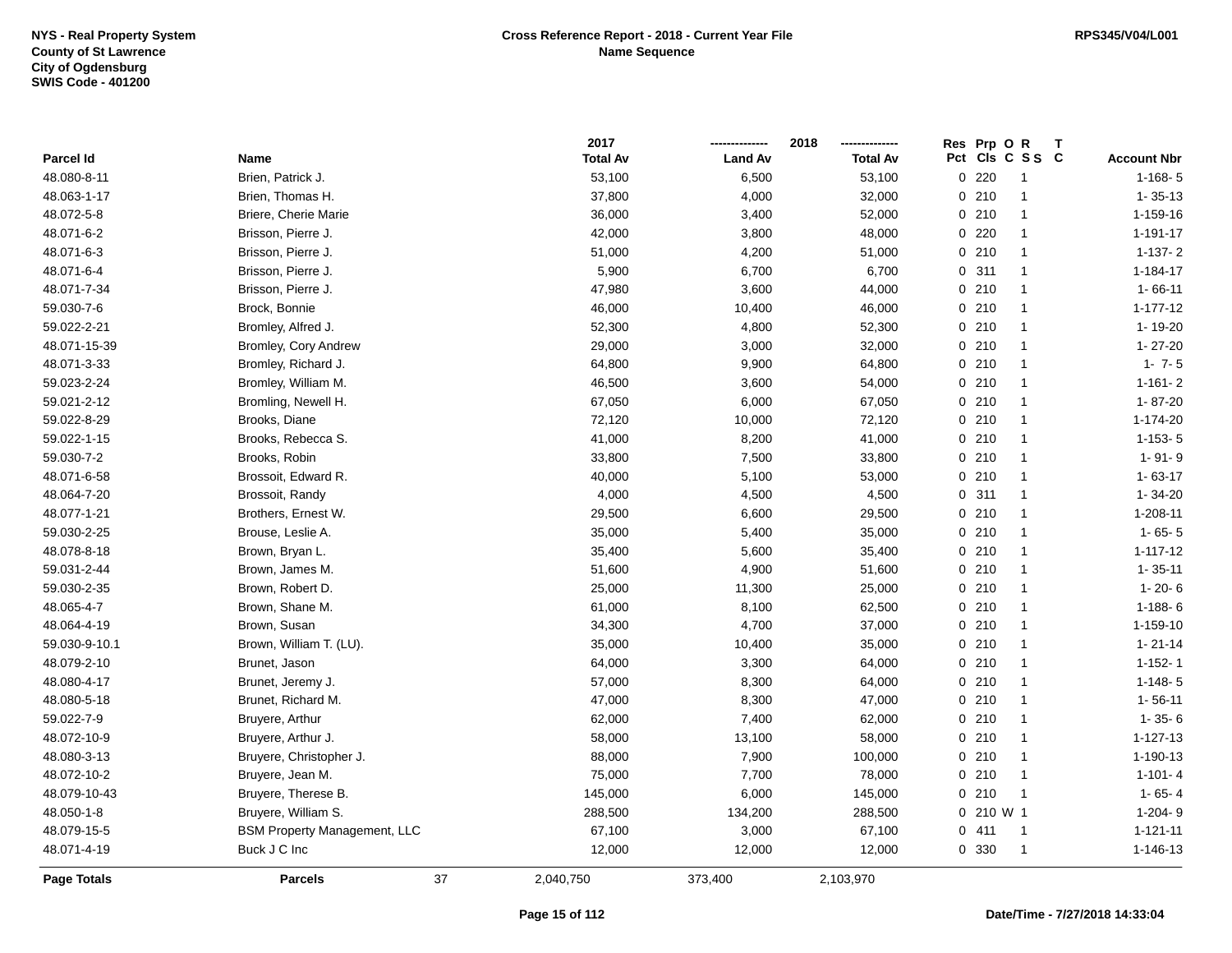|               |                                     | 2017            |                | 2018            |       | Res Prp O R            |                    |
|---------------|-------------------------------------|-----------------|----------------|-----------------|-------|------------------------|--------------------|
| Parcel Id     | Name                                | <b>Total Av</b> | <b>Land Av</b> | <b>Total Av</b> | Pct   | CIs C S S C            | <b>Account Nbr</b> |
| 48.080-8-11   | Brien, Patrick J.                   | 53,100          | 6,500          | 53,100          |       | 0220<br>-1             | $1 - 168 - 5$      |
| 48.063-1-17   | Brien, Thomas H.                    | 37,800          | 4,000          | 32,000          |       | 0210<br>$\mathbf{1}$   | $1 - 35 - 13$      |
| 48.072-5-8    | Briere, Cherie Marie                | 36,000          | 3,400          | 52,000          |       | 0210<br>$\mathbf{1}$   | 1-159-16           |
| 48.071-6-2    | Brisson, Pierre J.                  | 42,000          | 3,800          | 48,000          |       | 0220<br>$\mathbf{1}$   | 1-191-17           |
| 48.071-6-3    | Brisson, Pierre J.                  | 51,000          | 4,200          | 51,000          |       | 0210<br>-1             | $1 - 137 - 2$      |
| 48.071-6-4    | Brisson, Pierre J.                  | 5,900           | 6,700          | 6,700           | 0.311 | $\mathbf{1}$           | 1-184-17           |
| 48.071-7-34   | Brisson, Pierre J.                  | 47,980          | 3,600          | 44,000          |       | 0210<br>$\mathbf{1}$   | $1 - 66 - 11$      |
| 59.030-7-6    | Brock, Bonnie                       | 46,000          | 10,400         | 46,000          |       | 0210<br>$\mathbf{1}$   | $1 - 177 - 12$     |
| 59.022-2-21   | Bromley, Alfred J.                  | 52,300          | 4,800          | 52,300          |       | 0210<br>$\mathbf{1}$   | 1-19-20            |
| 48.071-15-39  | Bromley, Cory Andrew                | 29,000          | 3,000          | 32,000          |       | 0210<br>$\mathbf{1}$   | 1-27-20            |
| 48.071-3-33   | Bromley, Richard J.                 | 64,800          | 9,900          | 64,800          |       | 0210<br>$\mathbf{1}$   | $1 - 7 - 5$        |
| 59.023-2-24   | Bromley, William M.                 | 46,500          | 3,600          | 54,000          |       | 0210<br>$\mathbf{1}$   | $1 - 161 - 2$      |
| 59.021-2-12   | Bromling, Newell H.                 | 67,050          | 6,000          | 67,050          |       | 0210<br>$\mathbf{1}$   | 1-87-20            |
| 59.022-8-29   | Brooks, Diane                       | 72,120          | 10,000         | 72,120          |       | 0210<br>$\mathbf{1}$   | 1-174-20           |
| 59.022-1-15   | Brooks, Rebecca S.                  | 41,000          | 8,200          | 41,000          |       | 0210<br>$\mathbf{1}$   | $1-153-5$          |
| 59.030-7-2    | Brooks, Robin                       | 33,800          | 7,500          | 33,800          |       | 0210<br>$\mathbf{1}$   | 1-91-9             |
| 48.071-6-58   | Brossoit, Edward R.                 | 40,000          | 5,100          | 53,000          |       | 0210<br>$\mathbf{1}$   | $1 - 63 - 17$      |
| 48.064-7-20   | Brossoit, Randy                     | 4,000           | 4,500          | 4,500           |       | 0.311<br>$\mathbf{1}$  | 1-34-20            |
| 48.077-1-21   | Brothers, Ernest W.                 | 29,500          | 6,600          | 29,500          |       | 0210<br>$\mathbf{1}$   | 1-208-11           |
| 59.030-2-25   | Brouse, Leslie A.                   | 35,000          | 5,400          | 35,000          |       | 0210<br>$\mathbf{1}$   | $1 - 65 - 5$       |
| 48.078-8-18   | Brown, Bryan L.                     | 35,400          | 5,600          | 35,400          |       | 0210<br>$\mathbf{1}$   | $1 - 117 - 12$     |
| 59.031-2-44   | Brown, James M.                     | 51,600          | 4,900          | 51,600          |       | 0210<br>$\mathbf{1}$   | $1 - 35 - 11$      |
| 59.030-2-35   | Brown, Robert D.                    | 25,000          | 11,300         | 25,000          |       | 0210<br>$\mathbf{1}$   | $1 - 20 - 6$       |
| 48.065-4-7    | Brown, Shane M.                     | 61,000          | 8,100          | 62,500          |       | 0210<br>$\mathbf{1}$   | $1 - 188 - 6$      |
| 48.064-4-19   | Brown, Susan                        | 34,300          | 4,700          | 37,000          |       | 0210<br>$\mathbf{1}$   | 1-159-10           |
| 59.030-9-10.1 | Brown, William T. (LU).             | 35,000          | 10,400         | 35,000          |       | 0210<br>$\mathbf{1}$   | $1 - 21 - 14$      |
| 48.079-2-10   | Brunet, Jason                       | 64,000          | 3,300          | 64,000          |       | 0210<br>$\mathbf{1}$   | $1 - 152 - 1$      |
| 48.080-4-17   | Brunet, Jeremy J.                   | 57,000          | 8,300          | 64,000          |       | 0210<br>-1             | $1 - 148 - 5$      |
| 48.080-5-18   | Brunet, Richard M.                  | 47,000          | 8,300          | 47,000          |       | 0210<br>-1             | $1 - 56 - 11$      |
| 59.022-7-9    | Bruyere, Arthur                     | 62,000          | 7,400          | 62,000          |       | 0210<br>$\mathbf{1}$   | $1 - 35 - 6$       |
| 48.072-10-9   | Bruyere, Arthur J.                  | 58,000          | 13,100         | 58,000          |       | 0210<br>$\mathbf{1}$   | 1-127-13           |
| 48.080-3-13   | Bruyere, Christopher J.             | 88,000          | 7,900          | 100,000         |       | 0210<br>$\mathbf{1}$   | 1-190-13           |
| 48.072-10-2   | Bruyere, Jean M.                    | 75,000          | 7,700          | 78,000          |       | 0210<br>$\mathbf{1}$   | $1 - 101 - 4$      |
| 48.079-10-43  | Bruyere, Therese B.                 | 145,000         | 6,000          | 145,000         |       | 0210<br>$\mathbf{1}$   | $1 - 65 - 4$       |
| 48.050-1-8    | Bruyere, William S.                 | 288,500         | 134,200        | 288,500         |       | $0, 210$ W 1           | 1-204-9            |
| 48.079-15-5   | <b>BSM Property Management, LLC</b> | 67,100          | 3,000          | 67,100          |       | 0411<br>$\overline{1}$ | $1 - 121 - 11$     |
| 48.071-4-19   | Buck J C Inc                        | 12,000          | 12,000         | 12,000          | 0 330 |                        | 1-146-13           |
| Page Totals   | 37<br><b>Parcels</b>                | 2,040,750       | 373,400        | 2,103,970       |       |                        |                    |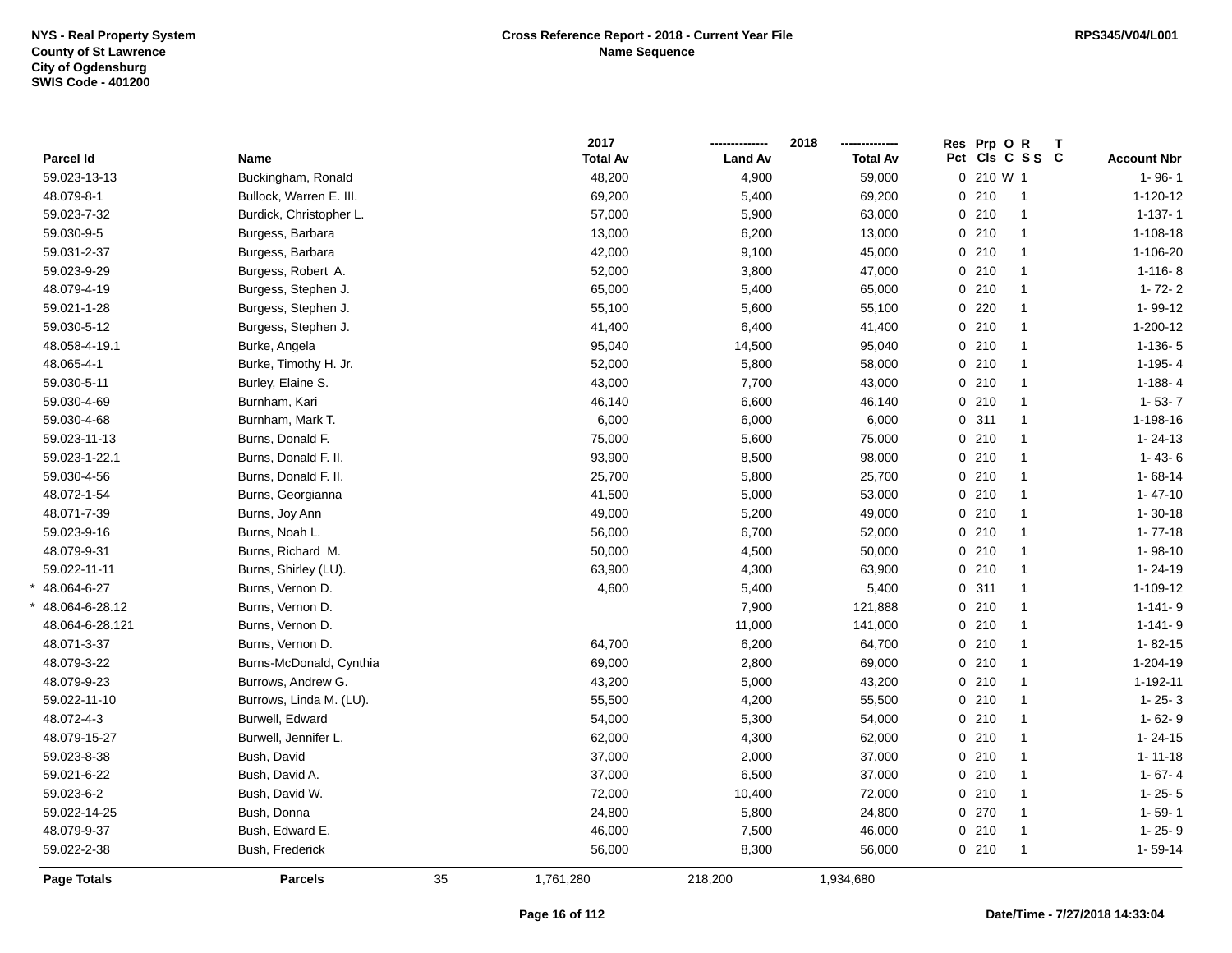|                    |                         |    | 2017            |                | 2018            | Res Prp O R | Т               |                    |
|--------------------|-------------------------|----|-----------------|----------------|-----------------|-------------|-----------------|--------------------|
| Parcel Id          | Name                    |    | <b>Total Av</b> | <b>Land Av</b> | <b>Total Av</b> |             | Pct Cls C S S C | <b>Account Nbr</b> |
| 59.023-13-13       | Buckingham, Ronald      |    | 48,200          | 4,900          | 59,000          | 0 210 W 1   |                 | $1 - 96 - 1$       |
| 48.079-8-1         | Bullock, Warren E. III. |    | 69,200          | 5,400          | 69,200          | 0210        | $\overline{1}$  | $1 - 120 - 12$     |
| 59.023-7-32        | Burdick, Christopher L. |    | 57,000          | 5,900          | 63,000          | 0210        | $\overline{1}$  | $1 - 137 - 1$      |
| 59.030-9-5         | Burgess, Barbara        |    | 13,000          | 6,200          | 13,000          | 0210        | $\overline{1}$  | $1 - 108 - 18$     |
| 59.031-2-37        | Burgess, Barbara        |    | 42,000          | 9,100          | 45,000          | 0210        | $\mathbf{1}$    | 1-106-20           |
| 59.023-9-29        | Burgess, Robert A.      |    | 52,000          | 3,800          | 47,000          | 0210        | $\mathbf{1}$    | $1 - 116 - 8$      |
| 48.079-4-19        | Burgess, Stephen J.     |    | 65,000          | 5,400          | 65,000          | 0210        | $\mathbf{1}$    | $1 - 72 - 2$       |
| 59.021-1-28        | Burgess, Stephen J.     |    | 55,100          | 5,600          | 55,100          | $0$ 220     | $\overline{1}$  | 1-99-12            |
| 59.030-5-12        | Burgess, Stephen J.     |    | 41,400          | 6,400          | 41,400          | 0210        | $\mathbf{1}$    | $1 - 200 - 12$     |
| 48.058-4-19.1      | Burke, Angela           |    | 95,040          | 14,500         | 95,040          | 0210        | $\mathbf{1}$    | $1-136-5$          |
| 48.065-4-1         | Burke, Timothy H. Jr.   |    | 52,000          | 5,800          | 58,000          | 0210        | $\overline{1}$  | $1-195-4$          |
| 59.030-5-11        | Burley, Elaine S.       |    | 43,000          | 7,700          | 43,000          | 0210        | $\mathbf{1}$    | $1 - 188 - 4$      |
| 59.030-4-69        | Burnham, Kari           |    | 46,140          | 6,600          | 46,140          | 0210        | $\mathbf{1}$    | $1 - 53 - 7$       |
| 59.030-4-68        | Burnham, Mark T.        |    | 6,000           | 6,000          | 6,000           | 0.311       | $\overline{1}$  | 1-198-16           |
| 59.023-11-13       | Burns, Donald F.        |    | 75,000          | 5,600          | 75,000          | 0210        | $\mathbf{1}$    | $1 - 24 - 13$      |
| 59.023-1-22.1      | Burns, Donald F. II.    |    | 93,900          | 8,500          | 98,000          | 0210        | $\overline{1}$  | $1 - 43 - 6$       |
| 59.030-4-56        | Burns, Donald F. II.    |    | 25,700          | 5,800          | 25,700          | 0210        | $\mathbf{1}$    | $1 - 68 - 14$      |
| 48.072-1-54        | Burns, Georgianna       |    | 41,500          | 5,000          | 53,000          | 0210        | $\mathbf{1}$    | $1 - 47 - 10$      |
| 48.071-7-39        | Burns, Joy Ann          |    | 49,000          | 5,200          | 49,000          | 0210        | $\mathbf{1}$    | $1 - 30 - 18$      |
| 59.023-9-16        | Burns, Noah L.          |    | 56,000          | 6,700          | 52,000          | 0210        | $\mathbf{1}$    | $1 - 77 - 18$      |
| 48.079-9-31        | Burns, Richard M.       |    | 50,000          | 4,500          | 50,000          | 0210        | $\mathbf{1}$    | $1 - 98 - 10$      |
| 59.022-11-11       | Burns, Shirley (LU).    |    | 63,900          | 4,300          | 63,900          | 0210        | $\overline{1}$  | $1 - 24 - 19$      |
| 48.064-6-27        | Burns, Vernon D.        |    | 4,600           | 5,400          | 5,400           | 0.311       | $\overline{1}$  | 1-109-12           |
| 48.064-6-28.12     | Burns, Vernon D.        |    |                 | 7,900          | 121,888         | 0210        | $\mathbf{1}$    | $1 - 141 - 9$      |
| 48.064-6-28.121    | Burns, Vernon D.        |    |                 | 11,000         | 141,000         | 0210        | $\mathbf{1}$    | $1 - 141 - 9$      |
| 48.071-3-37        | Burns, Vernon D.        |    | 64,700          | 6,200          | 64,700          | 0210        | $\mathbf{1}$    | $1 - 82 - 15$      |
| 48.079-3-22        | Burns-McDonald, Cynthia |    | 69,000          | 2,800          | 69,000          | 0210        | $\mathbf{1}$    | 1-204-19           |
| 48.079-9-23        | Burrows, Andrew G.      |    | 43,200          | 5,000          | 43,200          | 0210        | $\mathbf{1}$    | 1-192-11           |
| 59.022-11-10       | Burrows, Linda M. (LU). |    | 55,500          | 4,200          | 55,500          | 0210        | $\mathbf 1$     | $1 - 25 - 3$       |
| 48.072-4-3         | Burwell, Edward         |    | 54,000          | 5,300          | 54,000          | 0210        | $\mathbf 1$     | $1 - 62 - 9$       |
| 48.079-15-27       | Burwell, Jennifer L.    |    | 62,000          | 4,300          | 62,000          | 0210        | $\mathbf{1}$    | $1 - 24 - 15$      |
| 59.023-8-38        | Bush, David             |    | 37,000          | 2,000          | 37,000          | 0210        | $\overline{1}$  | $1 - 11 - 18$      |
| 59.021-6-22        | Bush, David A.          |    | 37,000          | 6,500          | 37,000          | 0210        | $\mathbf{1}$    | $1 - 67 - 4$       |
| 59.023-6-2         | Bush, David W.          |    | 72,000          | 10,400         | 72,000          | 0210        | $\mathbf{1}$    | $1 - 25 - 5$       |
| 59.022-14-25       | Bush, Donna             |    | 24,800          | 5,800          | 24,800          | 0270        | $\overline{1}$  | $1 - 59 - 1$       |
| 48.079-9-37        | Bush, Edward E.         |    | 46,000          | 7,500          | 46,000          | 0210        | $\mathbf{1}$    | $1 - 25 - 9$       |
| 59.022-2-38        | Bush, Frederick         |    | 56,000          | 8,300          | 56,000          | 0210        | $\mathbf{1}$    | $1 - 59 - 14$      |
| <b>Page Totals</b> | <b>Parcels</b>          | 35 | 1,761,280       | 218,200        | 1,934,680       |             |                 |                    |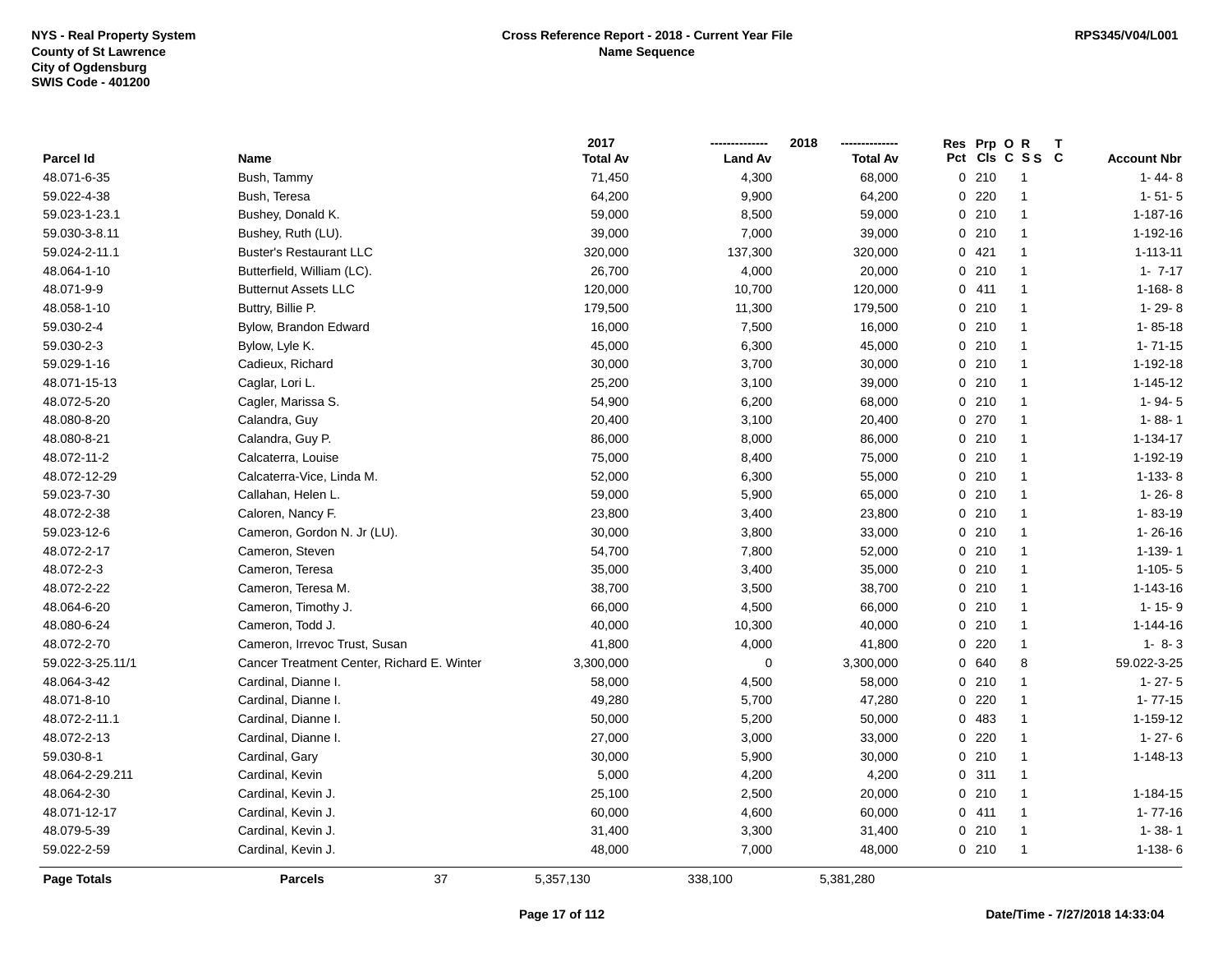|                    |                                            | 2017            |                | 2018            | Res Prp O | R<br>т         |                    |
|--------------------|--------------------------------------------|-----------------|----------------|-----------------|-----------|----------------|--------------------|
| Parcel Id          | Name                                       | <b>Total Av</b> | <b>Land Av</b> | <b>Total Av</b> | Pct       | CIs C S S C    | <b>Account Nbr</b> |
| 48.071-6-35        | Bush, Tammy                                | 71,450          | 4,300          | 68,000          | 0210      | $\overline{1}$ | $1 - 44 - 8$       |
| 59.022-4-38        | Bush, Teresa                               | 64,200          | 9,900          | 64,200          | 220<br>0  | $\overline{1}$ | $1 - 51 - 5$       |
| 59.023-1-23.1      | Bushey, Donald K.                          | 59,000          | 8,500          | 59,000          | 0210      | $\mathbf{1}$   | 1-187-16           |
| 59.030-3-8.11      | Bushey, Ruth (LU).                         | 39,000          | 7,000          | 39,000          | 0210      | $\mathbf{1}$   | 1-192-16           |
| 59.024-2-11.1      | <b>Buster's Restaurant LLC</b>             | 320,000         | 137,300        | 320,000         | 0421      | $\mathbf{1}$   | $1 - 113 - 11$     |
| 48.064-1-10        | Butterfield, William (LC).                 | 26,700          | 4,000          | 20,000          | 0210      | $\mathbf{1}$   | $1 - 7 - 17$       |
| 48.071-9-9         | <b>Butternut Assets LLC</b>                | 120,000         | 10,700         | 120,000         | 0411      | $\mathbf{1}$   | $1 - 168 - 8$      |
| 48.058-1-10        | Buttry, Billie P.                          | 179,500         | 11,300         | 179,500         | 0210      | $\mathbf{1}$   | $1 - 29 - 8$       |
| 59.030-2-4         | Bylow, Brandon Edward                      | 16,000          | 7,500          | 16,000          | 0210      | $\overline{1}$ | $1 - 85 - 18$      |
| 59.030-2-3         | Bylow, Lyle K.                             | 45,000          | 6,300          | 45,000          | 0210      | $\mathbf{1}$   | $1 - 71 - 15$      |
| 59.029-1-16        | Cadieux, Richard                           | 30,000          | 3,700          | 30,000          | 0210      | $\mathbf{1}$   | 1-192-18           |
| 48.071-15-13       | Caglar, Lori L.                            | 25,200          | 3,100          | 39,000          | 0210      | $\mathbf{1}$   | $1 - 145 - 12$     |
| 48.072-5-20        | Cagler, Marissa S.                         | 54,900          | 6,200          | 68,000          | 0210      | $\mathbf{1}$   | $1 - 94 - 5$       |
| 48.080-8-20        | Calandra, Guy                              | 20,400          | 3,100          | 20,400          | 0 270     | $\mathbf{1}$   | $1 - 88 - 1$       |
| 48.080-8-21        | Calandra, Guy P.                           | 86,000          | 8,000          | 86,000          | 0210      | $\mathbf{1}$   | 1-134-17           |
| 48.072-11-2        | Calcaterra, Louise                         | 75,000          | 8,400          | 75,000          | 0210      | $\overline{1}$ | 1-192-19           |
| 48.072-12-29       | Calcaterra-Vice, Linda M.                  | 52,000          | 6,300          | 55,000          | 0210      | $\mathbf{1}$   | $1-133-8$          |
| 59.023-7-30        | Callahan, Helen L.                         | 59,000          | 5,900          | 65,000          | 0210      | $\overline{1}$ | $1 - 26 - 8$       |
| 48.072-2-38        | Caloren, Nancy F.                          | 23,800          | 3,400          | 23,800          | 0210      | $\mathbf{1}$   | 1-83-19            |
| 59.023-12-6        | Cameron, Gordon N. Jr (LU).                | 30,000          | 3,800          | 33,000          | 0210      | $\mathbf{1}$   | $1 - 26 - 16$      |
| 48.072-2-17        | Cameron, Steven                            | 54,700          | 7,800          | 52,000          | 0210      | $\mathbf{1}$   | $1 - 139 - 1$      |
| 48.072-2-3         | Cameron, Teresa                            | 35,000          | 3,400          | 35,000          | 0210      | $\mathbf{1}$   | $1 - 105 - 5$      |
| 48.072-2-22        | Cameron, Teresa M.                         | 38,700          | 3,500          | 38,700          | 0210      | $\overline{1}$ | 1-143-16           |
| 48.064-6-20        | Cameron, Timothy J.                        | 66,000          | 4,500          | 66,000          | 0210      | $\overline{1}$ | $1 - 15 - 9$       |
| 48.080-6-24        | Cameron, Todd J.                           | 40,000          | 10,300         | 40,000          | 0210      | $\mathbf{1}$   | $1 - 144 - 16$     |
| 48.072-2-70        | Cameron, Irrevoc Trust, Susan              | 41,800          | 4,000          | 41,800          | 0220      | $\mathbf{1}$   | $1 - 8 - 3$        |
| 59.022-3-25.11/1   | Cancer Treatment Center, Richard E. Winter | 3,300,000       | 0              | 3,300,000       | 0 640     | 8              | 59.022-3-25        |
| 48.064-3-42        | Cardinal, Dianne I.                        | 58,000          | 4,500          | 58,000          | 0210      | $\mathbf{1}$   | $1 - 27 - 5$       |
| 48.071-8-10        | Cardinal, Dianne I.                        | 49,280          | 5,700          | 47,280          | 220<br>0  | $\mathbf{1}$   | $1 - 77 - 15$      |
| 48.072-2-11.1      | Cardinal, Dianne I.                        | 50,000          | 5,200          | 50,000          | 483<br>0  | $\mathbf{1}$   | 1-159-12           |
| 48.072-2-13        | Cardinal, Dianne I.                        | 27,000          | 3,000          | 33,000          | 220<br>0  | $\mathbf{1}$   | $1 - 27 - 6$       |
| 59.030-8-1         | Cardinal, Gary                             | 30,000          | 5,900          | 30,000          | 0210      | $\mathbf{1}$   | 1-148-13           |
| 48.064-2-29.211    | Cardinal, Kevin                            | 5,000           | 4,200          | 4,200           | 0.311     | $\mathbf{1}$   |                    |
| 48.064-2-30        | Cardinal, Kevin J.                         | 25,100          | 2,500          | 20,000          | 0210      | $\mathbf{1}$   | $1 - 184 - 15$     |
| 48.071-12-17       | Cardinal, Kevin J.                         | 60,000          | 4,600          | 60,000          | 0411      | $\mathbf{1}$   | $1 - 77 - 16$      |
| 48.079-5-39        | Cardinal, Kevin J.                         | 31,400          | 3,300          | 31,400          | 0210      | $\mathbf{1}$   | $1 - 38 - 1$       |
| 59.022-2-59        | Cardinal, Kevin J.                         | 48,000          | 7,000          | 48,000          | 0210      | $\overline{1}$ | $1-138-6$          |
| <b>Page Totals</b> | 37<br><b>Parcels</b>                       | 5,357,130       | 338,100        | 5,381,280       |           |                |                    |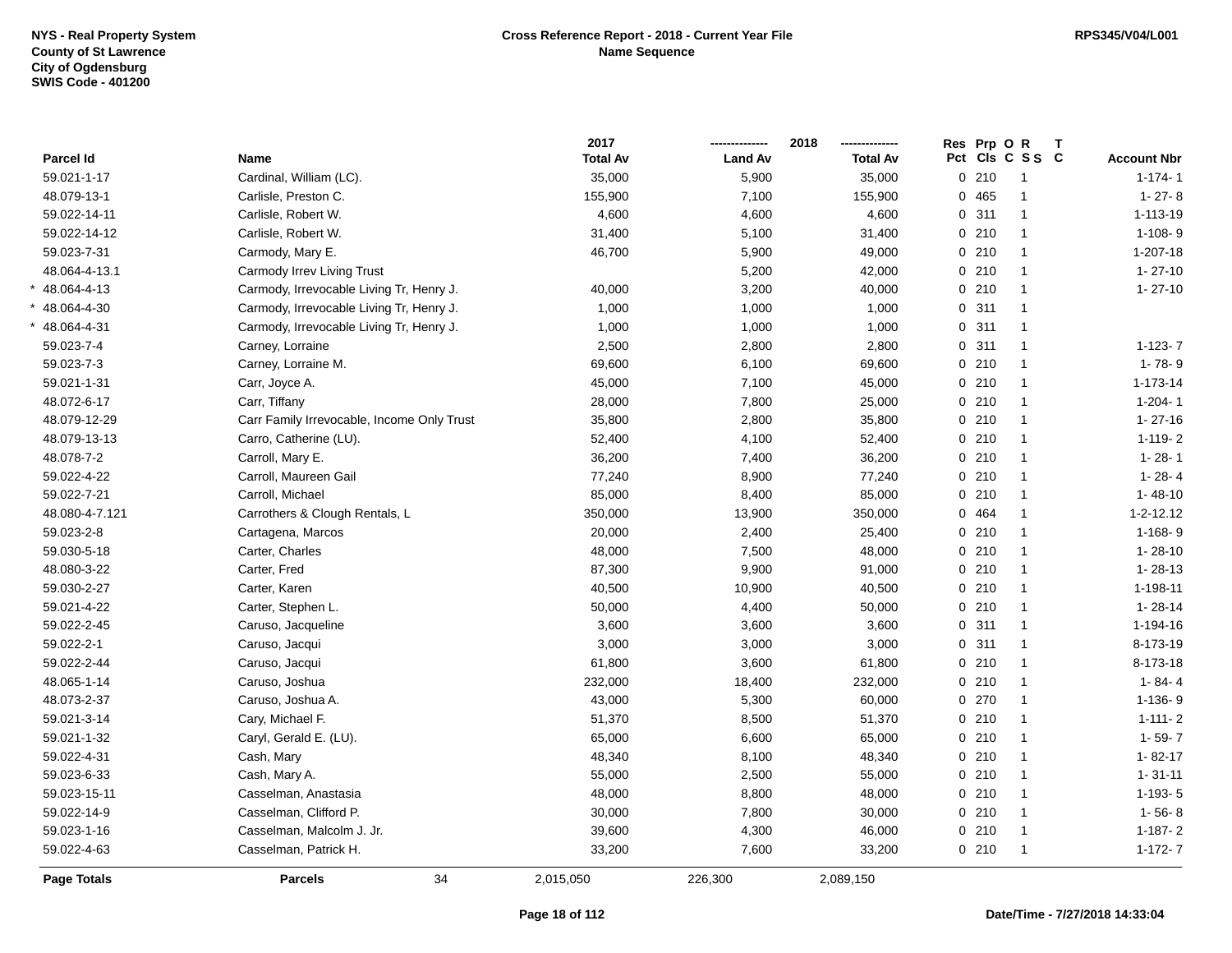|                    |                                            | 2017            |                | 2018            | Res Prp O R | $\mathbf{T}$         |                    |
|--------------------|--------------------------------------------|-----------------|----------------|-----------------|-------------|----------------------|--------------------|
| Parcel Id          | <b>Name</b>                                | <b>Total Av</b> | <b>Land Av</b> | <b>Total Av</b> |             | Pct Cls C S S C      | <b>Account Nbr</b> |
| 59.021-1-17        | Cardinal, William (LC).                    | 35,000          | 5,900          | 35,000          | 0210        | -1                   | $1 - 174 - 1$      |
| 48.079-13-1        | Carlisle, Preston C.                       | 155,900         | 7,100          | 155,900         | 0 465       |                      | $1 - 27 - 8$       |
| 59.022-14-11       | Carlisle, Robert W.                        | 4,600           | 4,600          | 4,600           | 0.311       | $\mathbf{1}$         | 1-113-19           |
| 59.022-14-12       | Carlisle, Robert W.                        | 31,400          | 5,100          | 31,400          | 0210        | $\mathbf{1}$         | $1 - 108 - 9$      |
| 59.023-7-31        | Carmody, Mary E.                           | 46,700          | 5,900          | 49,000          | 0210        | $\mathbf{1}$         | 1-207-18           |
| 48.064-4-13.1      | Carmody Irrev Living Trust                 |                 | 5,200          | 42,000          | 0210        | $\mathbf{1}$         | $1 - 27 - 10$      |
| 48.064-4-13        | Carmody, Irrevocable Living Tr, Henry J.   | 40,000          | 3,200          | 40,000          | 0210        | $\mathbf{1}$         | $1 - 27 - 10$      |
| 48.064-4-30        | Carmody, Irrevocable Living Tr, Henry J.   | 1,000           | 1,000          | 1,000           | 0.311       | $\blacktriangleleft$ |                    |
| 48.064-4-31        | Carmody, Irrevocable Living Tr, Henry J.   | 1,000           | 1,000          | 1,000           | 0.311       | $\blacktriangleleft$ |                    |
| 59.023-7-4         | Carney, Lorraine                           | 2,500           | 2,800          | 2,800           | 0.311       | $\mathbf{1}$         | $1-123-7$          |
| 59.023-7-3         | Carney, Lorraine M.                        | 69,600          | 6,100          | 69,600          | 0210        | $\mathbf{1}$         | $1 - 78 - 9$       |
| 59.021-1-31        | Carr, Joyce A.                             | 45,000          | 7,100          | 45,000          | 0210        | $\mathbf{1}$         | $1 - 173 - 14$     |
| 48.072-6-17        | Carr, Tiffany                              | 28,000          | 7,800          | 25,000          | 0210        | $\mathbf{1}$         | $1 - 204 - 1$      |
| 48.079-12-29       | Carr Family Irrevocable, Income Only Trust | 35,800          | 2,800          | 35,800          | 0210        | $\mathbf{1}$         | $1 - 27 - 16$      |
| 48.079-13-13       | Carro, Catherine (LU).                     | 52,400          | 4,100          | 52,400          | 0210        | $\mathbf{1}$         | $1 - 119 - 2$      |
| 48.078-7-2         | Carroll, Mary E.                           | 36,200          | 7,400          | 36,200          | 0210        | $\mathbf{1}$         | $1 - 28 - 1$       |
| 59.022-4-22        | Carroll, Maureen Gail                      | 77,240          | 8,900          | 77,240          | 0210        | $\mathbf{1}$         | $1 - 28 - 4$       |
| 59.022-7-21        | Carroll, Michael                           | 85,000          | 8,400          | 85,000          | 0210        | $\mathbf{1}$         | $1 - 48 - 10$      |
| 48.080-4-7.121     | Carrothers & Clough Rentals, L             | 350,000         | 13,900         | 350,000         | 0 464       | $\mathbf{1}$         | $1 - 2 - 12.12$    |
| 59.023-2-8         | Cartagena, Marcos                          | 20,000          | 2,400          | 25,400          | 0210        | $\mathbf{1}$         | $1 - 168 - 9$      |
| 59.030-5-18        | Carter, Charles                            | 48,000          | 7,500          | 48,000          | 0210        | $\mathbf{1}$         | $1 - 28 - 10$      |
| 48.080-3-22        | Carter, Fred                               | 87,300          | 9,900          | 91,000          | 0210        | $\mathbf{1}$         | $1 - 28 - 13$      |
| 59.030-2-27        | Carter, Karen                              | 40,500          | 10,900         | 40,500          | 0210        | $\mathbf{1}$         | 1-198-11           |
| 59.021-4-22        | Carter, Stephen L.                         | 50,000          | 4,400          | 50,000          | 0210        | $\mathbf{1}$         | $1 - 28 - 14$      |
| 59.022-2-45        | Caruso, Jacqueline                         | 3,600           | 3,600          | 3,600           | 0.311       | $\mathbf{1}$         | 1-194-16           |
| 59.022-2-1         | Caruso, Jacqui                             | 3,000           | 3,000          | 3,000           | 0.311       | $\mathbf{1}$         | 8-173-19           |
| 59.022-2-44        | Caruso, Jacqui                             | 61,800          | 3,600          | 61,800          | 0210        | $\mathbf{1}$         | 8-173-18           |
| 48.065-1-14        | Caruso, Joshua                             | 232,000         | 18,400         | 232,000         | 0210        | $\mathbf{1}$         | $1 - 84 - 4$       |
| 48.073-2-37        | Caruso, Joshua A.                          | 43,000          | 5,300          | 60,000          | 0270        | $\mathbf{1}$         | $1 - 136 - 9$      |
| 59.021-3-14        | Cary, Michael F.                           | 51,370          | 8,500          | 51,370          | 0210        | $\mathbf{1}$         | $1 - 111 - 2$      |
| 59.021-1-32        | Caryl, Gerald E. (LU).                     | 65,000          | 6,600          | 65,000          | 0210        | $\mathbf{1}$         | $1 - 59 - 7$       |
| 59.022-4-31        | Cash, Mary                                 | 48,340          | 8,100          | 48,340          | 0210        | $\mathbf{1}$         | $1 - 82 - 17$      |
| 59.023-6-33        | Cash, Mary A.                              | 55,000          | 2,500          | 55,000          | 0210        | $\mathbf{1}$         | $1 - 31 - 11$      |
| 59.023-15-11       | Casselman, Anastasia                       | 48,000          | 8,800          | 48,000          | 0210        | $\mathbf{1}$         | $1-193-5$          |
| 59.022-14-9        | Casselman, Clifford P.                     | 30,000          | 7,800          | 30,000          | 0210        | $\mathbf{1}$         | $1 - 56 - 8$       |
| 59.023-1-16        | Casselman, Malcolm J. Jr.                  | 39,600          | 4,300          | 46,000          | 0210        | $\mathbf{1}$         | $1-187-2$          |
| 59.022-4-63        | Casselman, Patrick H.                      | 33,200          | 7,600          | 33,200          | 0210        | $\mathbf{1}$         | $1-172-7$          |
| <b>Page Totals</b> | 34<br><b>Parcels</b>                       | 2,015,050       | 226,300        | 2,089,150       |             |                      |                    |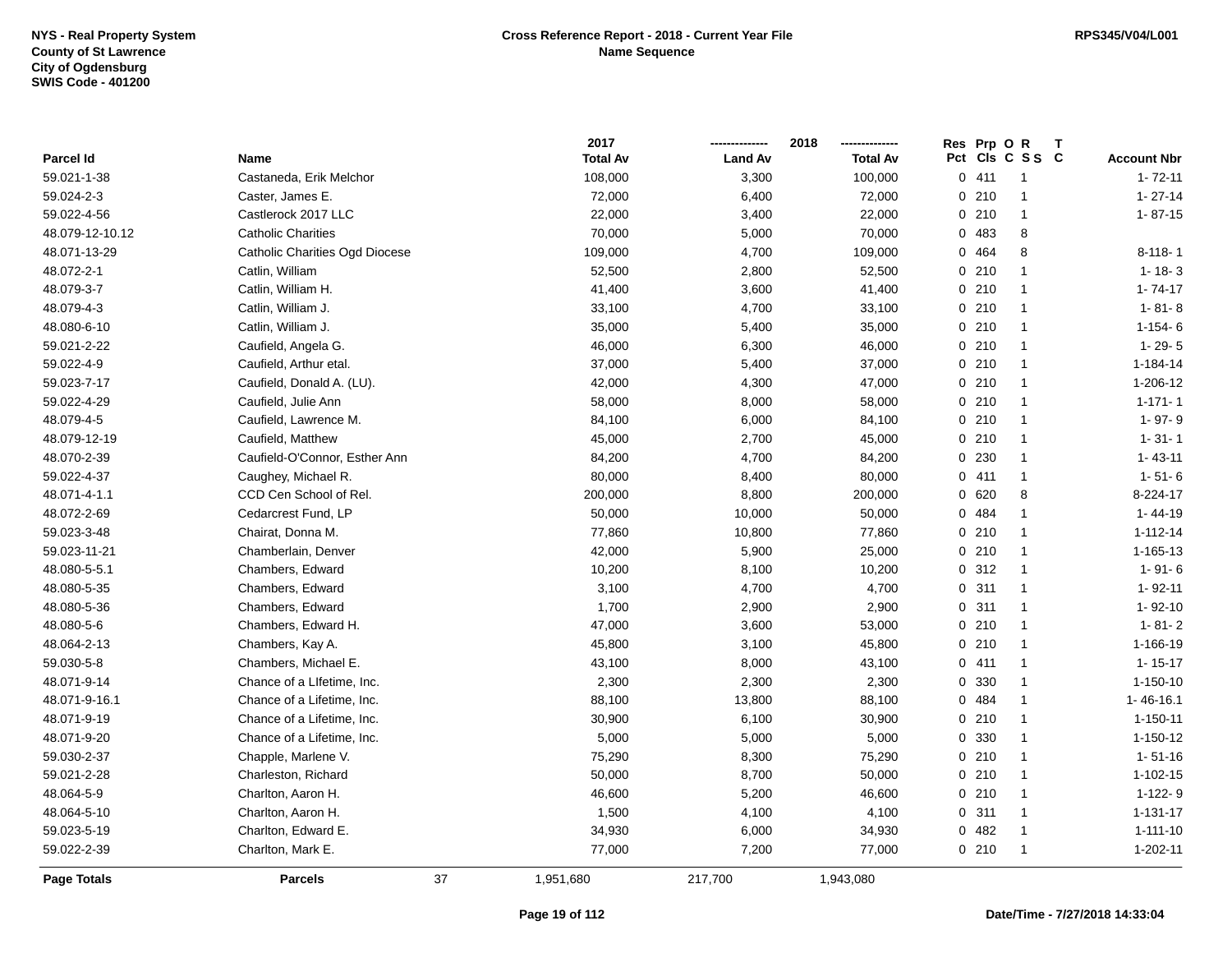|                 |                                | 2017            |                | 2018            | Res Prp O R |                 |                    |
|-----------------|--------------------------------|-----------------|----------------|-----------------|-------------|-----------------|--------------------|
| Parcel Id       | <b>Name</b>                    | <b>Total Av</b> | <b>Land Av</b> | <b>Total Av</b> |             | Pct Cls C S S C | <b>Account Nbr</b> |
| 59.021-1-38     | Castaneda, Erik Melchor        | 108,000         | 3,300          | 100,000         | 0411        | $\overline{1}$  | $1 - 72 - 11$      |
| 59.024-2-3      | Caster, James E.               | 72,000          | 6,400          | 72,000          | 0210        | $\overline{1}$  | $1 - 27 - 14$      |
| 59.022-4-56     | Castlerock 2017 LLC            | 22,000          | 3,400          | 22,000          | 0210        | $\overline{1}$  | $1 - 87 - 15$      |
| 48.079-12-10.12 | <b>Catholic Charities</b>      | 70,000          | 5,000          | 70,000          | 0 483       | 8               |                    |
| 48.071-13-29    | Catholic Charities Ogd Diocese | 109,000         | 4,700          | 109,000         | 0 464       | 8               | $8-118-1$          |
| 48.072-2-1      | Catlin, William                | 52,500          | 2,800          | 52,500          | 0210        | $\mathbf{1}$    | $1 - 18 - 3$       |
| 48.079-3-7      | Catlin, William H.             | 41,400          | 3,600          | 41,400          | 0210        | $\overline{1}$  | $1 - 74 - 17$      |
| 48.079-4-3      | Catlin, William J.             | 33,100          | 4,700          | 33,100          | 0210        | $\overline{1}$  | $1 - 81 - 8$       |
| 48.080-6-10     | Catlin, William J.             | 35,000          | 5,400          | 35,000          | 0210        | $\overline{1}$  | $1 - 154 - 6$      |
| 59.021-2-22     | Caufield, Angela G.            | 46,000          | 6,300          | 46,000          | 0210        | $\overline{1}$  | $1 - 29 - 5$       |
| 59.022-4-9      | Caufield, Arthur etal.         | 37,000          | 5,400          | 37,000          | 0210        | $\overline{1}$  | 1-184-14           |
| 59.023-7-17     | Caufield, Donald A. (LU).      | 42,000          | 4,300          | 47,000          | 0210        | $\mathbf{1}$    | 1-206-12           |
| 59.022-4-29     | Caufield, Julie Ann            | 58,000          | 8,000          | 58,000          | 0210        | $\overline{1}$  | $1 - 171 - 1$      |
| 48.079-4-5      | Caufield, Lawrence M.          | 84,100          | 6,000          | 84,100          | 0210        | $\mathbf{1}$    | 1-97-9             |
| 48.079-12-19    | Caufield, Matthew              | 45,000          | 2,700          | 45,000          | 0210        | $\mathbf{1}$    | $1 - 31 - 1$       |
| 48.070-2-39     | Caufield-O'Connor, Esther Ann  | 84,200          | 4,700          | 84,200          | 0 230       | $\mathbf{1}$    | $1 - 43 - 11$      |
| 59.022-4-37     | Caughey, Michael R.            | 80,000          | 8,400          | 80,000          | 0411        | $\overline{1}$  | $1 - 51 - 6$       |
| 48.071-4-1.1    | CCD Cen School of Rel.         | 200,000         | 8,800          | 200,000         | 0 620       | 8               | 8-224-17           |
| 48.072-2-69     | Cedarcrest Fund, LP            | 50,000          | 10,000         | 50,000          | 0 484       | $\mathbf{1}$    | 1-44-19            |
| 59.023-3-48     | Chairat, Donna M.              | 77,860          | 10,800         | 77,860          | 0210        | $\overline{1}$  | $1 - 112 - 14$     |
| 59.023-11-21    | Chamberlain, Denver            | 42,000          | 5,900          | 25,000          | 0210        | $\overline{1}$  | 1-165-13           |
| 48.080-5-5.1    | Chambers, Edward               | 10,200          | 8,100          | 10,200          | 0 312       | $\mathbf{1}$    | $1 - 91 - 6$       |
| 48.080-5-35     | Chambers, Edward               | 3,100           | 4,700          | 4,700           | 0.311       | $\overline{1}$  | $1 - 92 - 11$      |
| 48.080-5-36     | Chambers, Edward               | 1,700           | 2,900          | 2,900           | 0.311       | $\overline{1}$  | $1 - 92 - 10$      |
| 48.080-5-6      | Chambers, Edward H.            | 47,000          | 3,600          | 53,000          | 0210        | $\overline{1}$  | $1 - 81 - 2$       |
| 48.064-2-13     | Chambers, Kay A.               | 45,800          | 3,100          | 45,800          | 0210        | $\mathbf{1}$    | 1-166-19           |
| 59.030-5-8      | Chambers, Michael E.           | 43,100          | 8,000          | 43,100          | 0411        | $\overline{1}$  | $1 - 15 - 17$      |
| 48.071-9-14     | Chance of a Lifetime, Inc.     | 2,300           | 2,300          | 2,300           | 0 330       | $\mathbf{1}$    | $1 - 150 - 10$     |
| 48.071-9-16.1   | Chance of a Lifetime, Inc.     | 88,100          | 13,800         | 88,100          | 0 484       | $\mathbf{1}$    | 1-46-16.1          |
| 48.071-9-19     | Chance of a Lifetime, Inc.     | 30,900          | 6,100          | 30,900          | 0210        | $\overline{1}$  | $1 - 150 - 11$     |
| 48.071-9-20     | Chance of a Lifetime, Inc.     | 5,000           | 5,000          | 5,000           | 0 330       | $\overline{1}$  | $1 - 150 - 12$     |
| 59.030-2-37     | Chapple, Marlene V.            | 75,290          | 8,300          | 75,290          | 0210        | $\overline{1}$  | $1 - 51 - 16$      |
| 59.021-2-28     | Charleston, Richard            | 50,000          | 8,700          | 50,000          | 0210        | $\mathbf{1}$    | $1 - 102 - 15$     |
| 48.064-5-9      | Charlton, Aaron H.             | 46,600          | 5,200          | 46,600          | 0210        | $\mathbf{1}$    | 1-122-9            |
| 48.064-5-10     | Charlton, Aaron H.             | 1,500           | 4,100          | 4,100           | 0.311       | $\overline{1}$  | $1 - 131 - 17$     |
| 59.023-5-19     | Charlton, Edward E.            | 34,930          | 6,000          | 34,930          | 0.482       | $\overline{1}$  | $1 - 111 - 10$     |
| 59.022-2-39     | Charlton, Mark E.              | 77,000          | 7,200          | 77,000          | 0210        | $\overline{1}$  | 1-202-11           |
| Page Totals     | <b>Parcels</b>                 | 37<br>1,951,680 | 217,700        | 1,943,080       |             |                 |                    |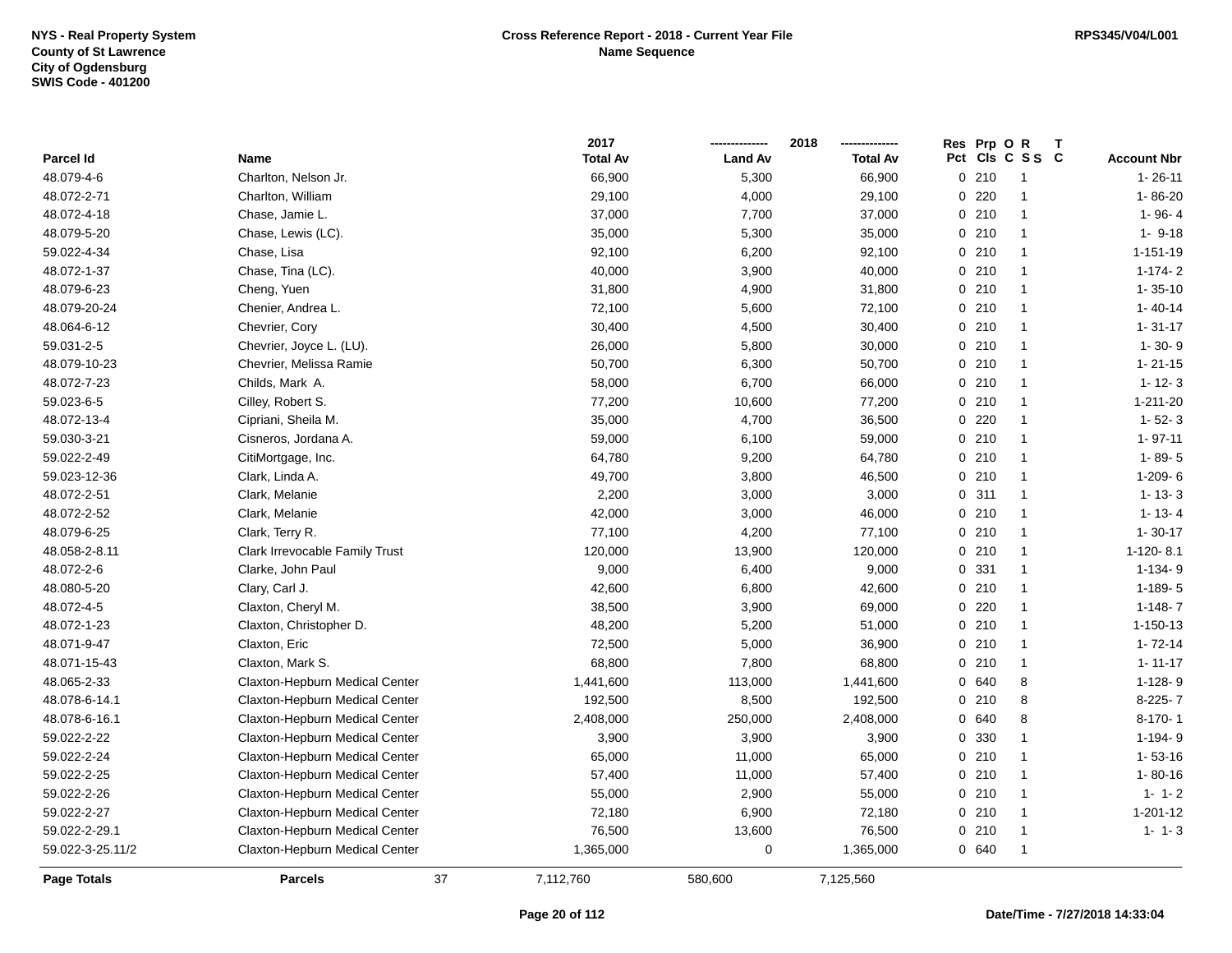|                  |                                |    | 2017            |                | 2018            | Res Prp O R |                 |                    |
|------------------|--------------------------------|----|-----------------|----------------|-----------------|-------------|-----------------|--------------------|
| Parcel Id        | Name                           |    | <b>Total Av</b> | <b>Land Av</b> | <b>Total Av</b> |             | Pct Cls C S S C | <b>Account Nbr</b> |
| 48.079-4-6       | Charlton, Nelson Jr.           |    | 66,900          | 5,300          | 66,900          | 0210        | $\mathbf{1}$    | $1 - 26 - 11$      |
| 48.072-2-71      | Charlton, William              |    | 29,100          | 4,000          | 29,100          | $0$ 220     | $\mathbf{1}$    | $1 - 86 - 20$      |
| 48.072-4-18      | Chase, Jamie L.                |    | 37,000          | 7,700          | 37,000          | 0210        | $\mathbf{1}$    | $1 - 96 - 4$       |
| 48.079-5-20      | Chase, Lewis (LC).             |    | 35,000          | 5,300          | 35,000          | 0210        | $\mathbf{1}$    | $1 - 9 - 18$       |
| 59.022-4-34      | Chase, Lisa                    |    | 92,100          | 6,200          | 92,100          | 0210        | $\mathbf{1}$    | $1 - 151 - 19$     |
| 48.072-1-37      | Chase, Tina (LC).              |    | 40,000          | 3,900          | 40,000          | 0210        | $\mathbf{1}$    | $1-174-2$          |
| 48.079-6-23      | Cheng, Yuen                    |    | 31,800          | 4,900          | 31,800          | 0210        | $\mathbf{1}$    | $1 - 35 - 10$      |
| 48.079-20-24     | Chenier, Andrea L.             |    | 72,100          | 5,600          | 72,100          | 0210        | $\mathbf{1}$    | $1 - 40 - 14$      |
| 48.064-6-12      | Chevrier, Cory                 |    | 30,400          | 4,500          | 30,400          | 0210        | $\mathbf{1}$    | $1 - 31 - 17$      |
| 59.031-2-5       | Chevrier, Joyce L. (LU).       |    | 26,000          | 5,800          | 30,000          | 0210        | $\mathbf{1}$    | $1 - 30 - 9$       |
| 48.079-10-23     | Chevrier, Melissa Ramie        |    | 50,700          | 6,300          | 50,700          | 0210        | $\mathbf{1}$    | $1 - 21 - 15$      |
| 48.072-7-23      | Childs, Mark A.                |    | 58,000          | 6,700          | 66,000          | 0210        | $\mathbf{1}$    | $1 - 12 - 3$       |
| 59.023-6-5       | Cilley, Robert S.              |    | 77,200          | 10,600         | 77,200          | 0210        | $\mathbf{1}$    | 1-211-20           |
| 48.072-13-4      | Cipriani, Sheila M.            |    | 35,000          | 4,700          | 36,500          | $0$ 220     | $\mathbf{1}$    | $1 - 52 - 3$       |
| 59.030-3-21      | Cisneros, Jordana A.           |    | 59,000          | 6,100          | 59,000          | 0210        | $\mathbf{1}$    | $1 - 97 - 11$      |
| 59.022-2-49      | CitiMortgage, Inc.             |    | 64,780          | 9,200          | 64,780          | 0210        | $\mathbf{1}$    | $1 - 89 - 5$       |
| 59.023-12-36     | Clark, Linda A.                |    | 49,700          | 3,800          | 46,500          | 0210        | $\mathbf{1}$    | $1-209 - 6$        |
| 48.072-2-51      | Clark, Melanie                 |    | 2,200           | 3,000          | 3,000           | 0.311       | $\mathbf{1}$    | $1 - 13 - 3$       |
| 48.072-2-52      | Clark, Melanie                 |    | 42,000          | 3,000          | 46,000          | 0210        | $\mathbf{1}$    | $1 - 13 - 4$       |
| 48.079-6-25      | Clark, Terry R.                |    | 77,100          | 4,200          | 77,100          | 0210        | $\mathbf{1}$    | $1 - 30 - 17$      |
| 48.058-2-8.11    | Clark Irrevocable Family Trust |    | 120,000         | 13,900         | 120,000         | 0210        | $\mathbf{1}$    | 1-120-8.1          |
| 48.072-2-6       | Clarke, John Paul              |    | 9,000           | 6,400          | 9,000           | 0 331       | $\mathbf{1}$    | $1-134-9$          |
| 48.080-5-20      | Clary, Carl J.                 |    | 42,600          | 6,800          | 42,600          | 0210        | $\mathbf{1}$    | $1-189-5$          |
| 48.072-4-5       | Claxton, Cheryl M.             |    | 38,500          | 3,900          | 69,000          | $0$ 220     | $\mathbf{1}$    | $1-148-7$          |
| 48.072-1-23      | Claxton, Christopher D.        |    | 48,200          | 5,200          | 51,000          | 0210        | $\mathbf{1}$    | $1 - 150 - 13$     |
| 48.071-9-47      | Claxton, Eric                  |    | 72,500          | 5,000          | 36,900          | 0210        | $\mathbf{1}$    | $1 - 72 - 14$      |
| 48.071-15-43     | Claxton, Mark S.               |    | 68,800          | 7,800          | 68,800          | 0210        | $\mathbf{1}$    | $1 - 11 - 17$      |
| 48.065-2-33      | Claxton-Hepburn Medical Center |    | 1,441,600       | 113,000        | 1,441,600       | 0 640       | 8               | $1-128-9$          |
| 48.078-6-14.1    | Claxton-Hepburn Medical Center |    | 192,500         | 8,500          | 192,500         | 0210        | 8               | 8-225-7            |
| 48.078-6-16.1    | Claxton-Hepburn Medical Center |    | 2,408,000       | 250,000        | 2,408,000       | 0 640       | 8               | $8-170-1$          |
| 59.022-2-22      | Claxton-Hepburn Medical Center |    | 3,900           | 3,900          | 3,900           | 0 330       | $\mathbf{1}$    | $1-194-9$          |
| 59.022-2-24      | Claxton-Hepburn Medical Center |    | 65,000          | 11,000         | 65,000          | 0210        | $\mathbf{1}$    | $1 - 53 - 16$      |
| 59.022-2-25      | Claxton-Hepburn Medical Center |    | 57,400          | 11,000         | 57,400          | 0210        | $\mathbf{1}$    | $1 - 80 - 16$      |
| 59.022-2-26      | Claxton-Hepburn Medical Center |    | 55,000          | 2,900          | 55,000          | 0210        | $\mathbf{1}$    | $1 - 1 - 2$        |
| 59.022-2-27      | Claxton-Hepburn Medical Center |    | 72,180          | 6,900          | 72,180          | 0210        | $\mathbf{1}$    | 1-201-12           |
| 59.022-2-29.1    | Claxton-Hepburn Medical Center |    | 76,500          | 13,600         | 76,500          | 0210        | $\mathbf{1}$    | $1 - 1 - 3$        |
| 59.022-3-25.11/2 | Claxton-Hepburn Medical Center |    | 1,365,000       | 0              | 1,365,000       | 0 640       | $\mathbf{1}$    |                    |
| Page Totals      | <b>Parcels</b>                 | 37 | 7,112,760       | 580,600        | 7,125,560       |             |                 |                    |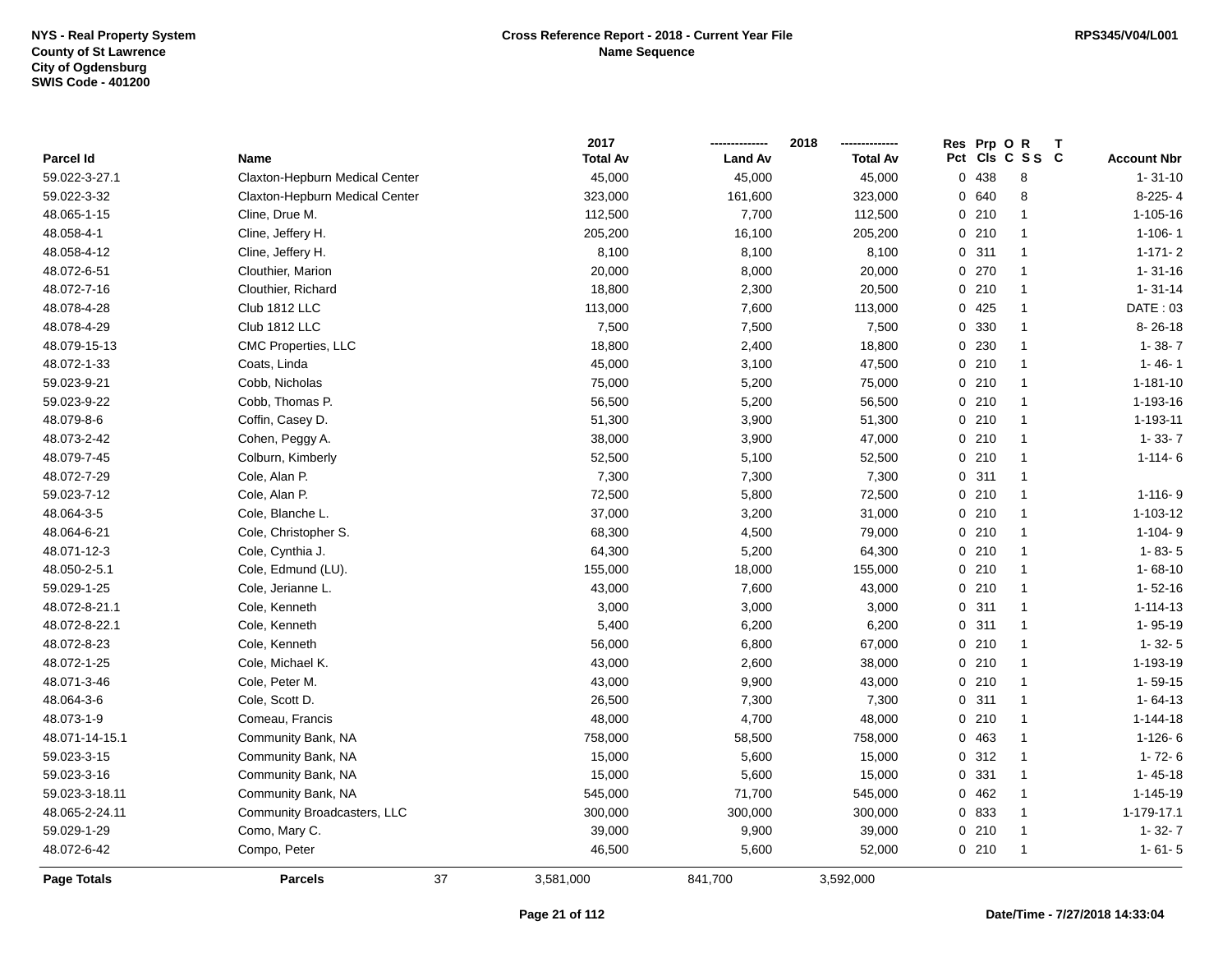|                |                                |    | 2017            |                | 2018            | Res Prp O R |                      |                    |
|----------------|--------------------------------|----|-----------------|----------------|-----------------|-------------|----------------------|--------------------|
| Parcel Id      | Name                           |    | <b>Total Av</b> | <b>Land Av</b> | <b>Total Av</b> |             | Pct Cls C S S C      | <b>Account Nbr</b> |
| 59.022-3-27.1  | Claxton-Hepburn Medical Center |    | 45,000          | 45,000         | 45,000          | 0 438       | 8                    | $1 - 31 - 10$      |
| 59.022-3-32    | Claxton-Hepburn Medical Center |    | 323,000         | 161,600        | 323,000         | 0 640       | 8                    | 8-225-4            |
| 48.065-1-15    | Cline, Drue M.                 |    | 112,500         | 7,700          | 112,500         | 0210        | $\mathbf{1}$         | 1-105-16           |
| 48.058-4-1     | Cline, Jeffery H.              |    | 205,200         | 16,100         | 205,200         | 0210        | $\mathbf{1}$         | $1 - 106 - 1$      |
| 48.058-4-12    | Cline, Jeffery H.              |    | 8,100           | 8,100          | 8,100           | 0.311       | $\overline{1}$       | $1 - 171 - 2$      |
| 48.072-6-51    | Clouthier, Marion              |    | 20,000          | 8,000          | 20,000          | 0270        | $\overline{1}$       | $1 - 31 - 16$      |
| 48.072-7-16    | Clouthier, Richard             |    | 18,800          | 2,300          | 20,500          | 0210        | $\overline{1}$       | $1 - 31 - 14$      |
| 48.078-4-28    | Club 1812 LLC                  |    | 113,000         | 7,600          | 113,000         | 0425        | $\overline{1}$       | DATE: 03           |
| 48.078-4-29    | Club 1812 LLC                  |    | 7,500           | 7,500          | 7,500           | 0 330       | $\overline{1}$       | $8 - 26 - 18$      |
| 48.079-15-13   | CMC Properties, LLC            |    | 18,800          | 2,400          | 18,800          | 0 230       | $\overline{1}$       | $1 - 38 - 7$       |
| 48.072-1-33    | Coats, Linda                   |    | 45,000          | 3,100          | 47,500          | 0210        | $\mathbf{1}$         | $1 - 46 - 1$       |
| 59.023-9-21    | Cobb, Nicholas                 |    | 75,000          | 5,200          | 75,000          | 0210        | $\mathbf{1}$         | $1 - 181 - 10$     |
| 59.023-9-22    | Cobb, Thomas P.                |    | 56,500          | 5,200          | 56,500          | 0210        | $\mathbf{1}$         | 1-193-16           |
| 48.079-8-6     | Coffin, Casey D.               |    | 51,300          | 3,900          | 51,300          | 0210        | $\overline{1}$       | 1-193-11           |
| 48.073-2-42    | Cohen, Peggy A.                |    | 38,000          | 3,900          | 47,000          | 0210        | $\mathbf{1}$         | $1 - 33 - 7$       |
| 48.079-7-45    | Colburn, Kimberly              |    | 52,500          | 5,100          | 52,500          | 0210        | $\overline{1}$       | $1 - 114 - 6$      |
| 48.072-7-29    | Cole, Alan P.                  |    | 7,300           | 7,300          | 7,300           | 0.311       | $\overline{1}$       |                    |
| 59.023-7-12    | Cole, Alan P.                  |    | 72,500          | 5,800          | 72,500          | 0210        | $\overline{1}$       | $1 - 116 - 9$      |
| 48.064-3-5     | Cole, Blanche L.               |    | 37,000          | 3,200          | 31,000          | 0210        | $\overline{1}$       | 1-103-12           |
| 48.064-6-21    | Cole, Christopher S.           |    | 68,300          | 4,500          | 79,000          | 0210        | $\mathbf{1}$         | $1 - 104 - 9$      |
| 48.071-12-3    | Cole, Cynthia J.               |    | 64,300          | 5,200          | 64,300          | 0210        | $\blacktriangleleft$ | $1 - 83 - 5$       |
| 48.050-2-5.1   | Cole, Edmund (LU).             |    | 155,000         | 18,000         | 155,000         | 0210        | $\overline{1}$       | $1 - 68 - 10$      |
| 59.029-1-25    | Cole, Jerianne L.              |    | 43,000          | 7,600          | 43,000          | 0210        | $\overline{1}$       | $1 - 52 - 16$      |
| 48.072-8-21.1  | Cole, Kenneth                  |    | 3,000           | 3,000          | 3,000           | 0.311       | $\overline{1}$       | $1 - 114 - 13$     |
| 48.072-8-22.1  | Cole, Kenneth                  |    | 5,400           | 6,200          | 6,200           | 0.311       | $\overline{1}$       | 1-95-19            |
| 48.072-8-23    | Cole, Kenneth                  |    | 56,000          | 6,800          | 67,000          | 0210        | $\overline{1}$       | $1 - 32 - 5$       |
| 48.072-1-25    | Cole, Michael K.               |    | 43,000          | 2,600          | 38,000          | 0210        | $\overline{1}$       | 1-193-19           |
| 48.071-3-46    | Cole, Peter M.                 |    | 43,000          | 9,900          | 43,000          | 0210        | $\mathbf{1}$         | $1 - 59 - 15$      |
| 48.064-3-6     | Cole, Scott D.                 |    | 26,500          | 7,300          | 7,300           | 0.311       | $\overline{1}$       | $1 - 64 - 13$      |
| 48.073-1-9     | Comeau, Francis                |    | 48,000          | 4,700          | 48,000          | 0210        | $\mathbf{1}$         | $1 - 144 - 18$     |
| 48.071-14-15.1 | Community Bank, NA             |    | 758,000         | 58,500         | 758,000         | 0 463       | $\overline{1}$       | $1 - 126 - 6$      |
| 59.023-3-15    | Community Bank, NA             |    | 15,000          | 5,600          | 15,000          | 0.312       | $\overline{1}$       | $1 - 72 - 6$       |
| 59.023-3-16    | Community Bank, NA             |    | 15,000          | 5,600          | 15,000          | 0 331       | $\overline{1}$       | $1 - 45 - 18$      |
| 59.023-3-18.11 | Community Bank, NA             |    | 545,000         | 71,700         | 545,000         | 0462        | $\overline{1}$       | 1-145-19           |
| 48.065-2-24.11 | Community Broadcasters, LLC    |    | 300,000         | 300,000        | 300,000         | 0 833       | $\overline{1}$       | 1-179-17.1         |
| 59.029-1-29    | Como, Mary C.                  |    | 39,000          | 9,900          | 39,000          | 0210        | $\overline{1}$       | $1 - 32 - 7$       |
| 48.072-6-42    | Compo, Peter                   |    | 46,500          | 5,600          | 52,000          | 0210        | $\overline{1}$       | $1 - 61 - 5$       |
| Page Totals    | <b>Parcels</b>                 | 37 | 3,581,000       | 841,700        | 3,592,000       |             |                      |                    |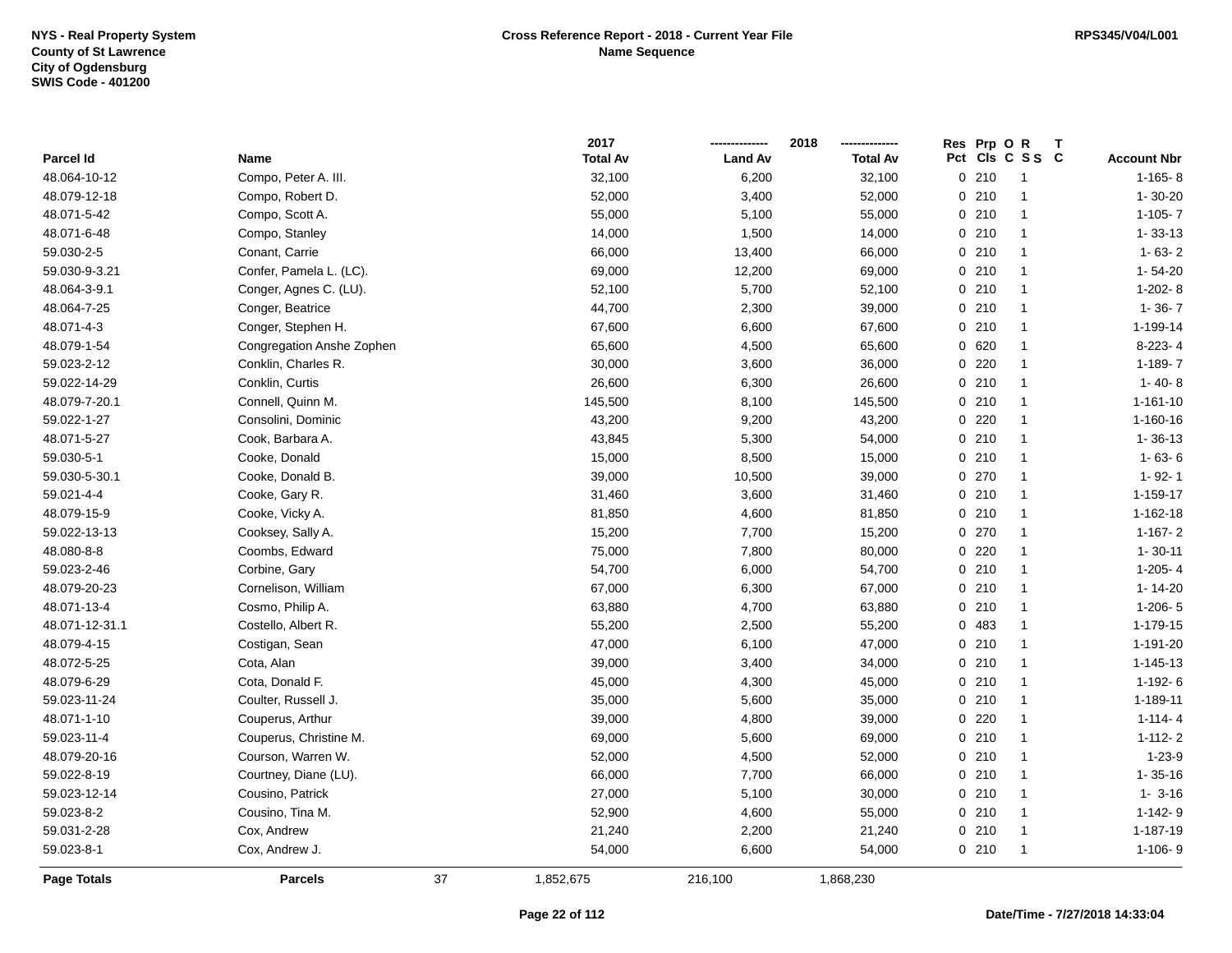|                |                           |    | 2017            |                | 2018            | Res Prp O R |                 |                    |
|----------------|---------------------------|----|-----------------|----------------|-----------------|-------------|-----------------|--------------------|
| Parcel Id      | <b>Name</b>               |    | <b>Total Av</b> | <b>Land Av</b> | <b>Total Av</b> |             | Pct Cls C S S C | <b>Account Nbr</b> |
| 48.064-10-12   | Compo, Peter A. III.      |    | 32,100          | 6,200          | 32,100          | 0210        | $\mathbf{1}$    | $1-165-8$          |
| 48.079-12-18   | Compo, Robert D.          |    | 52,000          | 3,400          | 52,000          | 0210        | $\mathbf{1}$    | $1 - 30 - 20$      |
| 48.071-5-42    | Compo, Scott A.           |    | 55,000          | 5,100          | 55,000          | 0210        | $\mathbf{1}$    | $1-105 - 7$        |
| 48.071-6-48    | Compo, Stanley            |    | 14,000          | 1,500          | 14,000          | 0210        | $\mathbf{1}$    | $1 - 33 - 13$      |
| 59.030-2-5     | Conant, Carrie            |    | 66,000          | 13,400         | 66,000          | 0210        | $\mathbf{1}$    | $1 - 63 - 2$       |
| 59.030-9-3.21  | Confer, Pamela L. (LC).   |    | 69,000          | 12,200         | 69,000          | 0210        | $\mathbf{1}$    | $1 - 54 - 20$      |
| 48.064-3-9.1   | Conger, Agnes C. (LU).    |    | 52,100          | 5,700          | 52,100          | 0210        | $\mathbf{1}$    | $1-202-8$          |
| 48.064-7-25    | Conger, Beatrice          |    | 44,700          | 2,300          | 39,000          | 0210        | $\mathbf{1}$    | $1 - 36 - 7$       |
| 48.071-4-3     | Conger, Stephen H.        |    | 67,600          | 6,600          | 67,600          | 0210        | $\mathbf{1}$    | 1-199-14           |
| 48.079-1-54    | Congregation Anshe Zophen |    | 65,600          | 4,500          | 65,600          | 0 620       | $\mathbf{1}$    | 8-223-4            |
| 59.023-2-12    | Conklin, Charles R.       |    | 30,000          | 3,600          | 36,000          | $0$ 220     | $\mathbf{1}$    | 1-189-7            |
| 59.022-14-29   | Conklin, Curtis           |    | 26,600          | 6,300          | 26,600          | 0210        | $\mathbf{1}$    | $1 - 40 - 8$       |
| 48.079-7-20.1  | Connell, Quinn M.         |    | 145,500         | 8,100          | 145,500         | 0210        | $\mathbf{1}$    | $1 - 161 - 10$     |
| 59.022-1-27    | Consolini, Dominic        |    | 43,200          | 9,200          | 43,200          | $0$ 220     | $\mathbf{1}$    | 1-160-16           |
| 48.071-5-27    | Cook, Barbara A.          |    | 43,845          | 5,300          | 54,000          | 0210        | $\mathbf{1}$    | $1 - 36 - 13$      |
| 59.030-5-1     | Cooke, Donald             |    | 15,000          | 8,500          | 15,000          | 0210        | $\mathbf{1}$    | $1 - 63 - 6$       |
| 59.030-5-30.1  | Cooke, Donald B.          |    | 39,000          | 10,500         | 39,000          | 0.270       | $\mathbf{1}$    | $1 - 92 - 1$       |
| 59.021-4-4     | Cooke, Gary R.            |    | 31,460          | 3,600          | 31,460          | 0210        | $\mathbf{1}$    | 1-159-17           |
| 48.079-15-9    | Cooke, Vicky A.           |    | 81,850          | 4,600          | 81,850          | 0210        | $\mathbf{1}$    | 1-162-18           |
| 59.022-13-13   | Cooksey, Sally A.         |    | 15,200          | 7,700          | 15,200          | 0270        | $\mathbf{1}$    | $1 - 167 - 2$      |
| 48.080-8-8     | Coombs, Edward            |    | 75,000          | 7,800          | 80,000          | $0$ 220     | $\mathbf{1}$    | $1 - 30 - 11$      |
| 59.023-2-46    | Corbine, Gary             |    | 54,700          | 6,000          | 54,700          | 0210        | $\mathbf{1}$    | $1-205 - 4$        |
| 48.079-20-23   | Cornelison, William       |    | 67,000          | 6,300          | 67,000          | 0210        | $\mathbf{1}$    | $1 - 14 - 20$      |
| 48.071-13-4    | Cosmo, Philip A.          |    | 63,880          | 4,700          | 63,880          | 0210        | $\mathbf{1}$    | $1-206-5$          |
| 48.071-12-31.1 | Costello, Albert R.       |    | 55,200          | 2,500          | 55,200          | 0 483       | $\mathbf{1}$    | 1-179-15           |
| 48.079-4-15    | Costigan, Sean            |    | 47,000          | 6,100          | 47,000          | 0210        | $\mathbf{1}$    | 1-191-20           |
| 48.072-5-25    | Cota, Alan                |    | 39,000          | 3,400          | 34,000          | 0210        | $\mathbf{1}$    | $1 - 145 - 13$     |
| 48.079-6-29    | Cota, Donald F.           |    | 45,000          | 4,300          | 45,000          | 0210        | $\mathbf{1}$    | $1-192-6$          |
| 59.023-11-24   | Coulter, Russell J.       |    | 35,000          | 5,600          | 35,000          | 0210        | $\mathbf{1}$    | 1-189-11           |
| 48.071-1-10    | Couperus, Arthur          |    | 39,000          | 4,800          | 39,000          | 0220        | $\mathbf{1}$    | $1 - 114 - 4$      |
| 59.023-11-4    | Couperus, Christine M.    |    | 69,000          | 5,600          | 69,000          | 0210        | $\mathbf{1}$    | $1 - 112 - 2$      |
| 48.079-20-16   | Courson, Warren W.        |    | 52,000          | 4,500          | 52,000          | 0210        | $\mathbf{1}$    | $1 - 23 - 9$       |
| 59.022-8-19    | Courtney, Diane (LU).     |    | 66,000          | 7,700          | 66,000          | 0210        | $\mathbf{1}$    | $1 - 35 - 16$      |
| 59.023-12-14   | Cousino, Patrick          |    | 27,000          | 5,100          | 30,000          | 0210        | $\mathbf{1}$    | $1 - 3 - 16$       |
| 59.023-8-2     | Cousino, Tina M.          |    | 52,900          | 4,600          | 55,000          | 0210        | $\mathbf{1}$    | $1-142-9$          |
| 59.031-2-28    | Cox, Andrew               |    | 21,240          | 2,200          | 21,240          | 0210        | $\mathbf{1}$    | 1-187-19           |
| 59.023-8-1     | Cox, Andrew J.            |    | 54,000          | 6,600          | 54,000          | 0210        | $\mathbf{1}$    | $1-106-9$          |
| Page Totals    | <b>Parcels</b>            | 37 | 1,852,675       | 216,100        | 1,868,230       |             |                 |                    |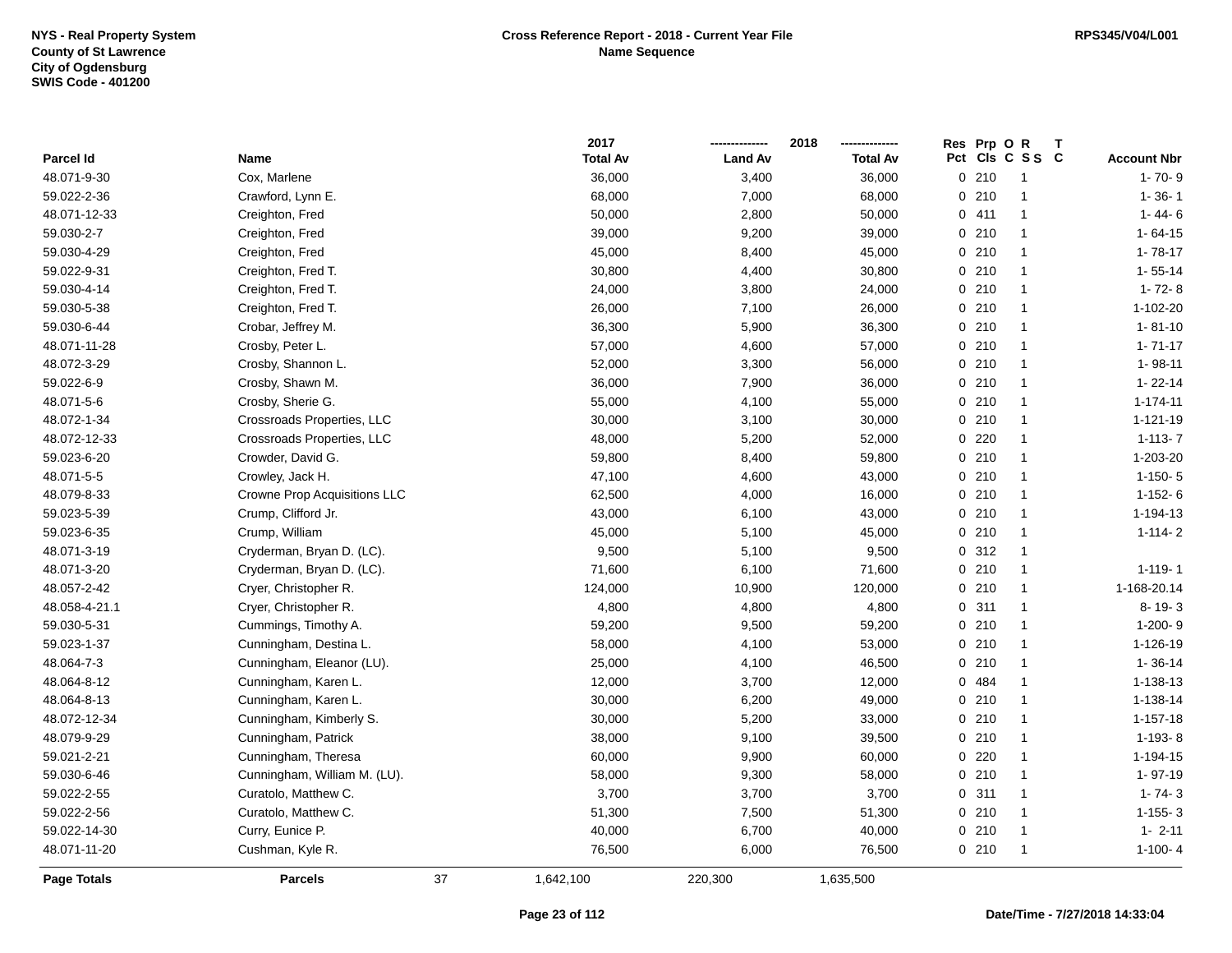|                    |                              |    | 2017            |                | 2018            | <b>Res</b> | Prp OR |                 | $\mathbf{T}$ |                    |
|--------------------|------------------------------|----|-----------------|----------------|-----------------|------------|--------|-----------------|--------------|--------------------|
| <b>Parcel Id</b>   | Name                         |    | <b>Total Av</b> | <b>Land Av</b> | <b>Total Av</b> |            |        | Pct Cls C S S C |              | <b>Account Nbr</b> |
| 48.071-9-30        | Cox, Marlene                 |    | 36,000          | 3,400          | 36,000          |            | 0210   | $\mathbf{1}$    |              | $1 - 70 - 9$       |
| 59.022-2-36        | Crawford, Lynn E.            |    | 68,000          | 7,000          | 68,000          |            | 0210   | -1              |              | $1 - 36 - 1$       |
| 48.071-12-33       | Creighton, Fred              |    | 50,000          | 2,800          | 50,000          |            | 0411   | $\mathbf{1}$    |              | $1 - 44 - 6$       |
| 59.030-2-7         | Creighton, Fred              |    | 39,000          | 9,200          | 39,000          |            | 0210   | $\mathbf{1}$    |              | $1 - 64 - 15$      |
| 59.030-4-29        | Creighton, Fred              |    | 45,000          | 8,400          | 45,000          |            | 0210   | $\mathbf{1}$    |              | $1 - 78 - 17$      |
| 59.022-9-31        | Creighton, Fred T.           |    | 30,800          | 4,400          | 30,800          |            | 0210   | $\mathbf{1}$    |              | $1 - 55 - 14$      |
| 59.030-4-14        | Creighton, Fred T.           |    | 24,000          | 3,800          | 24,000          |            | 0210   | $\mathbf{1}$    |              | $1 - 72 - 8$       |
| 59.030-5-38        | Creighton, Fred T.           |    | 26,000          | 7,100          | 26,000          |            | 0210   | $\mathbf{1}$    |              | $1 - 102 - 20$     |
| 59.030-6-44        | Crobar, Jeffrey M.           |    | 36,300          | 5,900          | 36,300          |            | 0210   | $\mathbf{1}$    |              | $1 - 81 - 10$      |
| 48.071-11-28       | Crosby, Peter L.             |    | 57,000          | 4,600          | 57,000          |            | 0210   | $\mathbf{1}$    |              | $1 - 71 - 17$      |
| 48.072-3-29        | Crosby, Shannon L.           |    | 52,000          | 3,300          | 56,000          |            | 0210   | $\mathbf{1}$    |              | 1-98-11            |
| 59.022-6-9         | Crosby, Shawn M.             |    | 36,000          | 7,900          | 36,000          |            | 0210   | $\mathbf{1}$    |              | $1 - 22 - 14$      |
| 48.071-5-6         | Crosby, Sherie G.            |    | 55,000          | 4,100          | 55,000          |            | 0210   | $\mathbf{1}$    |              | $1 - 174 - 11$     |
| 48.072-1-34        | Crossroads Properties, LLC   |    | 30,000          | 3,100          | 30,000          |            | 0210   | $\mathbf{1}$    |              | 1-121-19           |
| 48.072-12-33       | Crossroads Properties, LLC   |    | 48,000          | 5,200          | 52,000          |            | 0220   | $\mathbf{1}$    |              | $1 - 113 - 7$      |
| 59.023-6-20        | Crowder, David G.            |    | 59,800          | 8,400          | 59,800          |            | 0210   | $\mathbf{1}$    |              | 1-203-20           |
| 48.071-5-5         | Crowley, Jack H.             |    | 47,100          | 4,600          | 43,000          |            | 0210   | $\mathbf{1}$    |              | $1-150-5$          |
| 48.079-8-33        | Crowne Prop Acquisitions LLC |    | 62,500          | 4,000          | 16,000          |            | 0210   | $\mathbf{1}$    |              | $1-152-6$          |
| 59.023-5-39        | Crump, Clifford Jr.          |    | 43,000          | 6,100          | 43,000          |            | 0210   | $\mathbf{1}$    |              | 1-194-13           |
| 59.023-6-35        | Crump, William               |    | 45,000          | 5,100          | 45,000          |            | 0210   | $\mathbf{1}$    |              | $1 - 114 - 2$      |
| 48.071-3-19        | Cryderman, Bryan D. (LC).    |    | 9,500           | 5,100          | 9,500           |            | 0.312  | $\mathbf{1}$    |              |                    |
| 48.071-3-20        | Cryderman, Bryan D. (LC).    |    | 71,600          | 6,100          | 71,600          |            | 0210   | $\mathbf{1}$    |              | $1 - 119 - 1$      |
| 48.057-2-42        | Cryer, Christopher R.        |    | 124,000         | 10,900         | 120,000         |            | 0210   | $\mathbf{1}$    |              | 1-168-20.14        |
| 48.058-4-21.1      | Cryer, Christopher R.        |    | 4,800           | 4,800          | 4,800           |            | 0.311  | $\mathbf{1}$    |              | $8 - 19 - 3$       |
| 59.030-5-31        | Cummings, Timothy A.         |    | 59,200          | 9,500          | 59,200          |            | 0210   | $\mathbf{1}$    |              | $1-200-9$          |
| 59.023-1-37        | Cunningham, Destina L.       |    | 58,000          | 4,100          | 53,000          |            | 0210   | $\mathbf{1}$    |              | 1-126-19           |
| 48.064-7-3         | Cunningham, Eleanor (LU).    |    | 25,000          | 4,100          | 46,500          |            | 0210   | $\mathbf{1}$    |              | $1 - 36 - 14$      |
| 48.064-8-12        | Cunningham, Karen L.         |    | 12,000          | 3,700          | 12,000          |            | 0 484  | $\mathbf{1}$    |              | 1-138-13           |
| 48.064-8-13        | Cunningham, Karen L.         |    | 30,000          | 6,200          | 49,000          |            | 0210   | $\mathbf{1}$    |              | 1-138-14           |
| 48.072-12-34       | Cunningham, Kimberly S.      |    | 30,000          | 5,200          | 33,000          |            | 0210   | $\mathbf{1}$    |              | $1 - 157 - 18$     |
| 48.079-9-29        | Cunningham, Patrick          |    | 38,000          | 9,100          | 39,500          |            | 0210   | $\mathbf{1}$    |              | 1-193-8            |
| 59.021-2-21        | Cunningham, Theresa          |    | 60,000          | 9,900          | 60,000          |            | 0220   | $\mathbf{1}$    |              | 1-194-15           |
| 59.030-6-46        | Cunningham, William M. (LU). |    | 58,000          | 9,300          | 58,000          |            | 0210   | $\mathbf{1}$    |              | $1 - 97 - 19$      |
| 59.022-2-55        | Curatolo, Matthew C.         |    | 3,700           | 3,700          | 3,700           | 0          | 311    | $\mathbf{1}$    |              | $1 - 74 - 3$       |
| 59.022-2-56        | Curatolo, Matthew C.         |    | 51,300          | 7,500          | 51,300          |            | 0210   | $\mathbf{1}$    |              | $1 - 155 - 3$      |
| 59.022-14-30       | Curry, Eunice P.             |    | 40,000          | 6,700          | 40,000          |            | 0210   | $\mathbf{1}$    |              | $1 - 2 - 11$       |
| 48.071-11-20       | Cushman, Kyle R.             |    | 76,500          | 6,000          | 76,500          |            | 0210   | -1              |              | $1-100-4$          |
| <b>Page Totals</b> | <b>Parcels</b>               | 37 | 1,642,100       | 220,300        | 1,635,500       |            |        |                 |              |                    |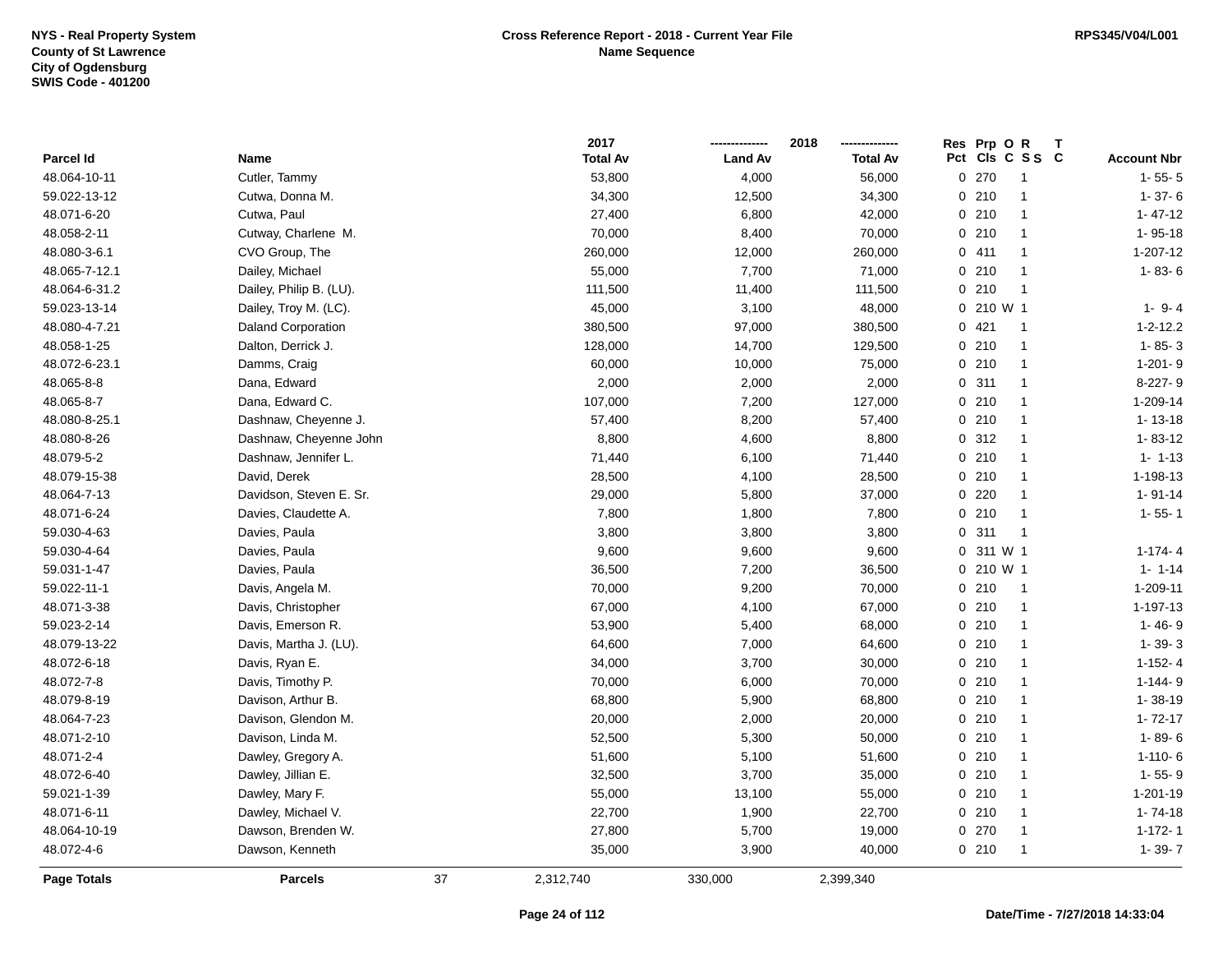|                    |                           |    | 2017            |                | 2018            | Res Prp O R     |                      |                    |
|--------------------|---------------------------|----|-----------------|----------------|-----------------|-----------------|----------------------|--------------------|
| Parcel Id          | Name                      |    | <b>Total Av</b> | <b>Land Av</b> | <b>Total Av</b> | Pct Cls C S S C |                      | <b>Account Nbr</b> |
| 48.064-10-11       | Cutler, Tammy             |    | 53,800          | 4,000          | 56,000          | 0.270           | $\mathbf{1}$         | $1 - 55 - 5$       |
| 59.022-13-12       | Cutwa, Donna M.           |    | 34,300          | 12,500         | 34,300          | 0210            | $\mathbf{1}$         | $1 - 37 - 6$       |
| 48.071-6-20        | Cutwa, Paul               |    | 27,400          | 6,800          | 42,000          | 0210            | $\mathbf{1}$         | $1 - 47 - 12$      |
| 48.058-2-11        | Cutway, Charlene M.       |    | 70,000          | 8,400          | 70,000          | 0210            | $\blacktriangleleft$ | $1 - 95 - 18$      |
| 48.080-3-6.1       | CVO Group, The            |    | 260,000         | 12,000         | 260,000         | 0411            | -1                   | 1-207-12           |
| 48.065-7-12.1      | Dailey, Michael           |    | 55,000          | 7,700          | 71,000          | 0210            | -1                   | $1 - 83 - 6$       |
| 48.064-6-31.2      | Dailey, Philip B. (LU).   |    | 111,500         | 11,400         | 111,500         | 0210            | $\overline{1}$       |                    |
| 59.023-13-14       | Dailey, Troy M. (LC).     |    | 45,000          | 3,100          | 48,000          | 0 210 W 1       |                      | $1 - 9 - 4$        |
| 48.080-4-7.21      | <b>Daland Corporation</b> |    | 380,500         | 97,000         | 380,500         | 0421            | $\mathbf{1}$         | $1 - 2 - 12.2$     |
| 48.058-1-25        | Dalton, Derrick J.        |    | 128,000         | 14,700         | 129,500         | 0210            | $\mathbf{1}$         | $1 - 85 - 3$       |
| 48.072-6-23.1      | Damms, Craig              |    | 60,000          | 10,000         | 75,000          | 0210            | $\mathbf{1}$         | $1-201-9$          |
| 48.065-8-8         | Dana, Edward              |    | 2,000           | 2,000          | 2,000           | 0.311           | -1                   | 8-227-9            |
| 48.065-8-7         | Dana, Edward C.           |    | 107,000         | 7,200          | 127,000         | 0210            | -1                   | 1-209-14           |
| 48.080-8-25.1      | Dashnaw, Cheyenne J.      |    | 57,400          | 8,200          | 57,400          | 0210            | -1                   | $1 - 13 - 18$      |
| 48.080-8-26        | Dashnaw, Cheyenne John    |    | 8,800           | 4,600          | 8,800           | 0.312           | $\blacktriangleleft$ | $1 - 83 - 12$      |
| 48.079-5-2         | Dashnaw, Jennifer L.      |    | 71,440          | 6,100          | 71,440          | 0210            | $\mathbf{1}$         | $1 - 1 - 13$       |
| 48.079-15-38       | David, Derek              |    | 28,500          | 4,100          | 28,500          | 0210            | $\mathbf{1}$         | 1-198-13           |
| 48.064-7-13        | Davidson, Steven E. Sr.   |    | 29,000          | 5,800          | 37,000          | 0220            | $\blacktriangleleft$ | $1 - 91 - 14$      |
| 48.071-6-24        | Davies, Claudette A.      |    | 7,800           | 1,800          | 7,800           | 0210            | $\mathbf{1}$         | $1 - 55 - 1$       |
| 59.030-4-63        | Davies, Paula             |    | 3,800           | 3,800          | 3,800           | 0.311           | $\overline{1}$       |                    |
| 59.030-4-64        | Davies, Paula             |    | 9,600           | 9,600          | 9,600           | 0 311 W 1       |                      | $1-174-4$          |
| 59.031-1-47        | Davies, Paula             |    | 36,500          | 7,200          | 36,500          | 0 210 W 1       |                      | $1 - 1 - 14$       |
| 59.022-11-1        | Davis, Angela M.          |    | 70,000          | 9,200          | 70,000          | 0210            | $\overline{1}$       | 1-209-11           |
| 48.071-3-38        | Davis, Christopher        |    | 67,000          | 4,100          | 67,000          | 0210            | $\mathbf{1}$         | 1-197-13           |
| 59.023-2-14        | Davis, Emerson R.         |    | 53,900          | 5,400          | 68,000          | 0210            | $\mathbf{1}$         | $1 - 46 - 9$       |
| 48.079-13-22       | Davis, Martha J. (LU).    |    | 64,600          | 7,000          | 64,600          | 0210            | $\mathbf{1}$         | $1 - 39 - 3$       |
| 48.072-6-18        | Davis, Ryan E.            |    | 34,000          | 3,700          | 30,000          | 0210            | -1                   | $1-152-4$          |
| 48.072-7-8         | Davis, Timothy P.         |    | 70,000          | 6,000          | 70,000          | 0210            | -1                   | $1 - 144 - 9$      |
| 48.079-8-19        | Davison, Arthur B.        |    | 68,800          | 5,900          | 68,800          | 0210            | -1                   | $1 - 38 - 19$      |
| 48.064-7-23        | Davison, Glendon M.       |    | 20,000          | 2,000          | 20,000          | 0210            | -1                   | $1 - 72 - 17$      |
| 48.071-2-10        | Davison, Linda M.         |    | 52,500          | 5,300          | 50,000          | 0210            | $\mathbf{1}$         | $1 - 89 - 6$       |
| 48.071-2-4         | Dawley, Gregory A.        |    | 51,600          | 5,100          | 51,600          | 0210            | $\overline{1}$       | $1 - 110 - 6$      |
| 48.072-6-40        | Dawley, Jillian E.        |    | 32,500          | 3,700          | 35,000          | 0210            | $\mathbf{1}$         | $1 - 55 - 9$       |
| 59.021-1-39        | Dawley, Mary F.           |    | 55,000          | 13,100         | 55,000          | 0210            | $\mathbf{1}$         | 1-201-19           |
| 48.071-6-11        | Dawley, Michael V.        |    | 22,700          | 1,900          | 22,700          | 0210            | $\mathbf{1}$         | $1 - 74 - 18$      |
| 48.064-10-19       | Dawson, Brenden W.        |    | 27,800          | 5,700          | 19,000          | 0 270           | -1                   | $1 - 172 - 1$      |
| 48.072-4-6         | Dawson, Kenneth           |    | 35,000          | 3,900          | 40,000          | 0210            | -1                   | $1 - 39 - 7$       |
| <b>Page Totals</b> | <b>Parcels</b>            | 37 | 2,312,740       | 330,000        | 2,399,340       |                 |                      |                    |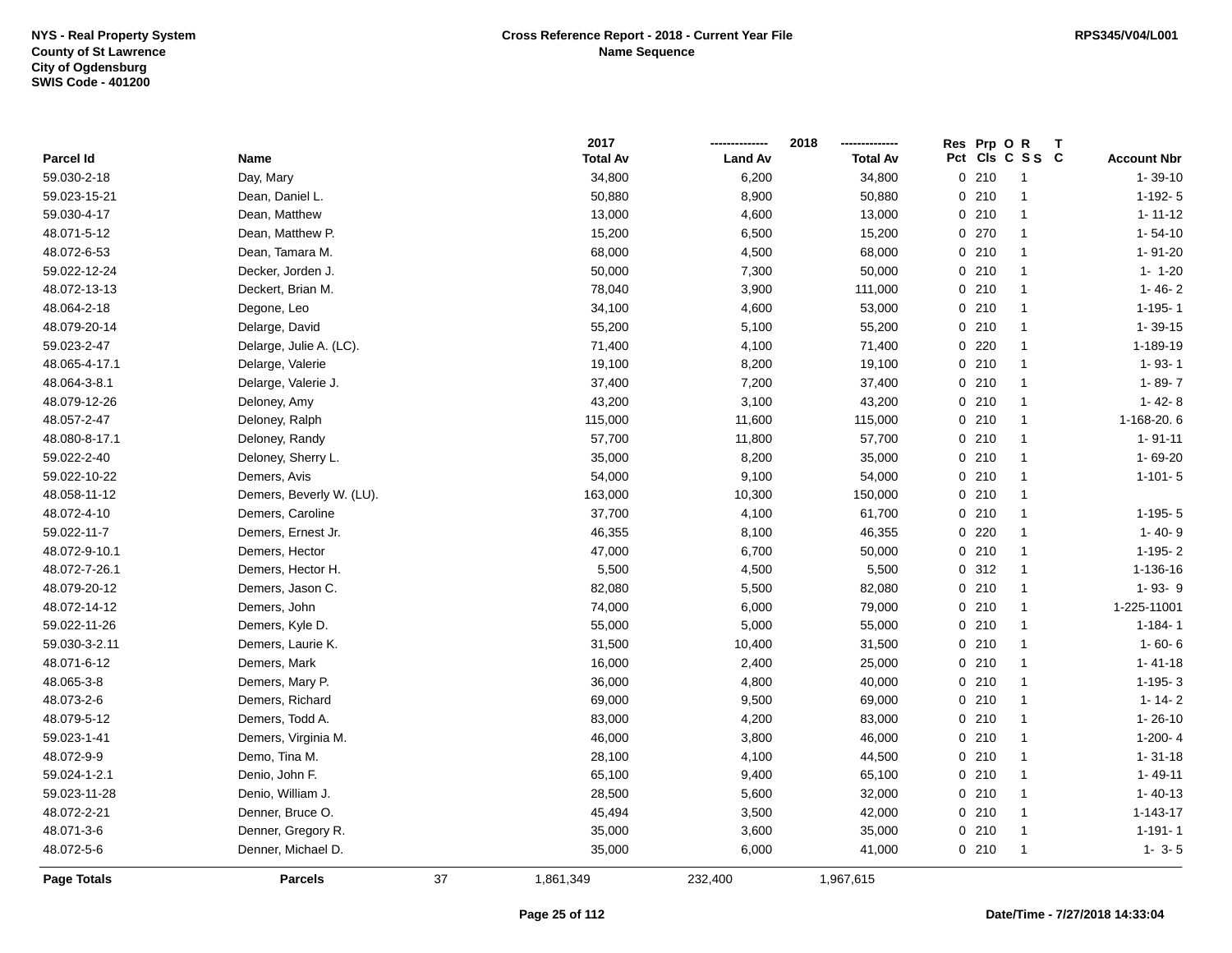|                    |                          |    | 2017            |                | 2018            | <b>Res</b> | Prp OR |                 | T |                    |
|--------------------|--------------------------|----|-----------------|----------------|-----------------|------------|--------|-----------------|---|--------------------|
| Parcel Id          | Name                     |    | <b>Total Av</b> | <b>Land Av</b> | <b>Total Av</b> |            |        | Pct Cls C S S C |   | <b>Account Nbr</b> |
| 59.030-2-18        | Day, Mary                |    | 34,800          | 6,200          | 34,800          | 0210       |        | $\overline{1}$  |   | $1 - 39 - 10$      |
| 59.023-15-21       | Dean, Daniel L.          |    | 50,880          | 8,900          | 50,880          | 0210       |        | -1              |   | $1-192-5$          |
| 59.030-4-17        | Dean, Matthew            |    | 13,000          | 4,600          | 13,000          | 0210       |        | $\mathbf{1}$    |   | $1 - 11 - 12$      |
| 48.071-5-12        | Dean, Matthew P.         |    | 15,200          | 6,500          | 15,200          | 0 270      |        | $\mathbf{1}$    |   | $1 - 54 - 10$      |
| 48.072-6-53        | Dean, Tamara M.          |    | 68,000          | 4,500          | 68,000          | 0210       |        | $\mathbf{1}$    |   | 1-91-20            |
| 59.022-12-24       | Decker, Jorden J.        |    | 50,000          | 7,300          | 50,000          | 0210       |        | $\mathbf{1}$    |   | $1 - 1 - 20$       |
| 48.072-13-13       | Deckert, Brian M.        |    | 78,040          | 3,900          | 111,000         | 0210       |        | $\mathbf{1}$    |   | $1 - 46 - 2$       |
| 48.064-2-18        | Degone, Leo              |    | 34,100          | 4,600          | 53,000          | 0210       |        | $\mathbf{1}$    |   | $1 - 195 - 1$      |
| 48.079-20-14       | Delarge, David           |    | 55,200          | 5,100          | 55,200          | 0210       |        | $\mathbf{1}$    |   | $1 - 39 - 15$      |
| 59.023-2-47        | Delarge, Julie A. (LC).  |    | 71,400          | 4,100          | 71,400          | $0$ 220    |        | $\mathbf{1}$    |   | 1-189-19           |
| 48.065-4-17.1      | Delarge, Valerie         |    | 19,100          | 8,200          | 19,100          | 0210       |        | $\mathbf{1}$    |   | $1 - 93 - 1$       |
| 48.064-3-8.1       | Delarge, Valerie J.      |    | 37,400          | 7,200          | 37,400          | 0210       |        | $\mathbf{1}$    |   | $1 - 89 - 7$       |
| 48.079-12-26       | Deloney, Amy             |    | 43,200          | 3,100          | 43,200          | 0210       |        | $\mathbf{1}$    |   | $1 - 42 - 8$       |
| 48.057-2-47        | Deloney, Ralph           |    | 115,000         | 11,600         | 115,000         | $0$ 210    |        | $\mathbf{1}$    |   | 1-168-20.6         |
| 48.080-8-17.1      | Deloney, Randy           |    | 57,700          | 11,800         | 57,700          | 0210       |        | $\mathbf{1}$    |   | $1 - 91 - 11$      |
| 59.022-2-40        | Deloney, Sherry L.       |    | 35,000          | 8,200          | 35,000          | 0210       |        | $\overline{1}$  |   | 1-69-20            |
| 59.022-10-22       | Demers, Avis             |    | 54,000          | 9,100          | 54,000          | 0210       |        | $\mathbf{1}$    |   | $1 - 101 - 5$      |
| 48.058-11-12       | Demers, Beverly W. (LU). |    | 163,000         | 10,300         | 150,000         | 0210       |        | $\mathbf{1}$    |   |                    |
| 48.072-4-10        | Demers, Caroline         |    | 37,700          | 4,100          | 61,700          | 0210       |        | $\mathbf{1}$    |   | $1-195-5$          |
| 59.022-11-7        | Demers, Ernest Jr.       |    | 46,355          | 8,100          | 46,355          | $0$ 220    |        | $\mathbf{1}$    |   | $1 - 40 - 9$       |
| 48.072-9-10.1      | Demers, Hector           |    | 47,000          | 6,700          | 50,000          | 0210       |        | $\mathbf{1}$    |   | $1-195-2$          |
| 48.072-7-26.1      | Demers, Hector H.        |    | 5,500           | 4,500          | 5,500           | 0.312      |        | $\mathbf{1}$    |   | 1-136-16           |
| 48.079-20-12       | Demers, Jason C.         |    | 82,080          | 5,500          | 82,080          | 0210       |        | $\mathbf{1}$    |   | $1 - 93 - 9$       |
| 48.072-14-12       | Demers, John             |    | 74,000          | 6,000          | 79,000          | 0210       |        | $\mathbf{1}$    |   | 1-225-11001        |
| 59.022-11-26       | Demers, Kyle D.          |    | 55,000          | 5,000          | 55,000          | 0210       |        | $\mathbf{1}$    |   | $1 - 184 - 1$      |
| 59.030-3-2.11      | Demers, Laurie K.        |    | 31,500          | 10,400         | 31,500          | 0210       |        | $\mathbf{1}$    |   | $1 - 60 - 6$       |
| 48.071-6-12        | Demers, Mark             |    | 16,000          | 2,400          | 25,000          | 0210       |        | $\mathbf{1}$    |   | $1 - 41 - 18$      |
| 48.065-3-8         | Demers, Mary P.          |    | 36,000          | 4,800          | 40,000          | 0210       |        | $\mathbf{1}$    |   | $1-195-3$          |
| 48.073-2-6         | Demers, Richard          |    | 69,000          | 9,500          | 69,000          | 0210       |        | $\mathbf{1}$    |   | $1 - 14 - 2$       |
| 48.079-5-12        | Demers, Todd A.          |    | 83,000          | 4,200          | 83,000          | 0210       |        | $\overline{1}$  |   | $1 - 26 - 10$      |
| 59.023-1-41        | Demers, Virginia M.      |    | 46,000          | 3,800          | 46,000          | 0210       |        | $\mathbf{1}$    |   | $1-200-4$          |
| 48.072-9-9         | Demo, Tina M.            |    | 28,100          | 4,100          | 44,500          | 0210       |        | $\mathbf{1}$    |   | $1 - 31 - 18$      |
| 59.024-1-2.1       | Denio, John F.           |    | 65,100          | 9,400          | 65,100          | 0210       |        | $\mathbf{1}$    |   | $1 - 49 - 11$      |
| 59.023-11-28       | Denio, William J.        |    | 28,500          | 5,600          | 32,000          | 0210       |        | $\mathbf{1}$    |   | $1 - 40 - 13$      |
| 48.072-2-21        | Denner, Bruce O.         |    | 45,494          | 3,500          | 42,000          | 0210       |        | $\mathbf{1}$    |   | $1 - 143 - 17$     |
| 48.071-3-6         | Denner, Gregory R.       |    | 35,000          | 3,600          | 35,000          | 0210       |        | $\mathbf{1}$    |   | $1 - 191 - 1$      |
| 48.072-5-6         | Denner, Michael D.       |    | 35,000          | 6,000          | 41,000          | 0210       |        | -1              |   | $1 - 3 - 5$        |
| <b>Page Totals</b> | <b>Parcels</b>           | 37 | 1,861,349       | 232,400        | 1,967,615       |            |        |                 |   |                    |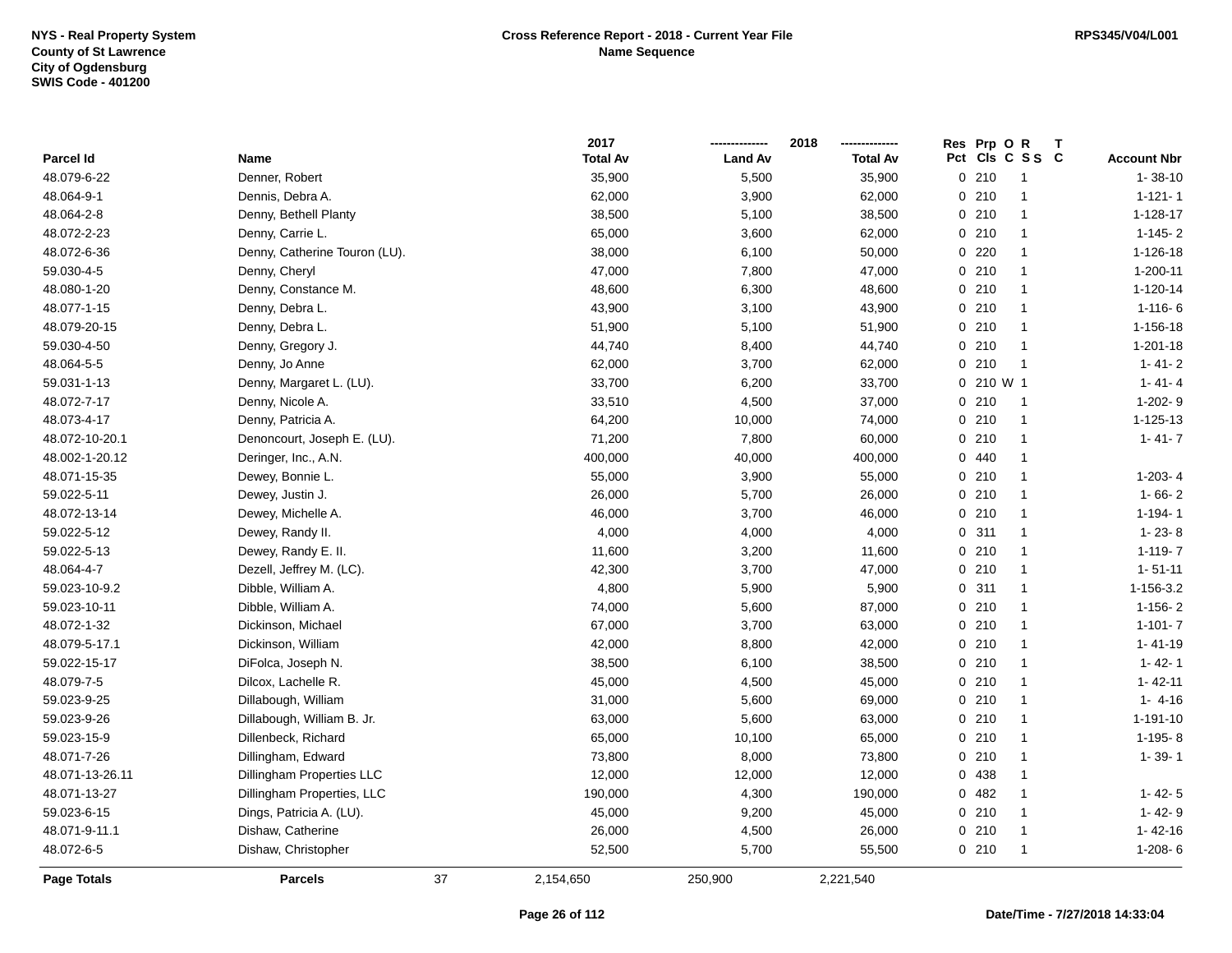|                    |                               |    | 2017            |                | 2018            |     | Res Prp O R  | Т              |                    |
|--------------------|-------------------------------|----|-----------------|----------------|-----------------|-----|--------------|----------------|--------------------|
| Parcel Id          | Name                          |    | <b>Total Av</b> | <b>Land Av</b> | <b>Total Av</b> | Pct |              | CIs C S S C    | <b>Account Nbr</b> |
| 48.079-6-22        | Denner, Robert                |    | 35,900          | 5,500          | 35,900          |     | 0210         | $\overline{1}$ | $1 - 38 - 10$      |
| 48.064-9-1         | Dennis, Debra A.              |    | 62,000          | 3,900          | 62,000          |     | 0210         | $\mathbf{1}$   | $1 - 121 - 1$      |
| 48.064-2-8         | Denny, Bethell Planty         |    | 38,500          | 5,100          | 38,500          |     | 0210         | $\mathbf{1}$   | $1 - 128 - 17$     |
| 48.072-2-23        | Denny, Carrie L.              |    | 65,000          | 3,600          | 62,000          |     | 0210         | $\overline{1}$ | $1-145-2$          |
| 48.072-6-36        | Denny, Catherine Touron (LU). |    | 38,000          | 6,100          | 50,000          |     | $0$ 220      | -1             | $1 - 126 - 18$     |
| 59.030-4-5         | Denny, Cheryl                 |    | 47,000          | 7,800          | 47,000          |     | 0210         | -1             | $1 - 200 - 11$     |
| 48.080-1-20        | Denny, Constance M.           |    | 48,600          | 6,300          | 48,600          |     | 0210         | $\overline{1}$ | $1 - 120 - 14$     |
| 48.077-1-15        | Denny, Debra L.               |    | 43,900          | 3,100          | 43,900          |     | 0210         | $\overline{1}$ | $1 - 116 - 6$      |
| 48.079-20-15       | Denny, Debra L.               |    | 51,900          | 5,100          | 51,900          |     | 0210         | $\mathbf{1}$   | $1 - 156 - 18$     |
| 59.030-4-50        | Denny, Gregory J.             |    | 44,740          | 8,400          | 44,740          |     | 0210         | $\overline{1}$ | $1 - 201 - 18$     |
| 48.064-5-5         | Denny, Jo Anne                |    | 62,000          | 3,700          | 62,000          |     | 0210         | $\overline{1}$ | $1 - 41 - 2$       |
| 59.031-1-13        | Denny, Margaret L. (LU).      |    | 33,700          | 6,200          | 33,700          |     | $0, 210$ W 1 |                | $1 - 41 - 4$       |
| 48.072-7-17        | Denny, Nicole A.              |    | 33,510          | 4,500          | 37,000          |     | 0210         | -1             | $1-202-9$          |
| 48.073-4-17        | Denny, Patricia A.            |    | 64,200          | 10,000         | 74,000          |     | 0210         | $\overline{1}$ | 1-125-13           |
| 48.072-10-20.1     | Denoncourt, Joseph E. (LU).   |    | 71,200          | 7,800          | 60,000          |     | 0210         | $\mathbf{1}$   | $1 - 41 - 7$       |
| 48.002-1-20.12     | Deringer, Inc., A.N.          |    | 400,000         | 40,000         | 400,000         |     | 0440         | $\mathbf{1}$   |                    |
| 48.071-15-35       | Dewey, Bonnie L.              |    | 55,000          | 3,900          | 55,000          |     | 0210         | $\mathbf{1}$   | $1-203-4$          |
| 59.022-5-11        | Dewey, Justin J.              |    | 26,000          | 5,700          | 26,000          |     | 0210         | $\mathbf{1}$   | $1 - 66 - 2$       |
| 48.072-13-14       | Dewey, Michelle A.            |    | 46,000          | 3,700          | 46,000          |     | 0210         | $\mathbf{1}$   | $1 - 194 - 1$      |
| 59.022-5-12        | Dewey, Randy II.              |    | 4,000           | 4,000          | 4,000           |     | 0.311        | $\mathbf{1}$   | $1 - 23 - 8$       |
| 59.022-5-13        | Dewey, Randy E. II.           |    | 11,600          | 3,200          | 11,600          |     | 0210         | $\overline{1}$ | $1 - 119 - 7$      |
| 48.064-4-7         | Dezell, Jeffrey M. (LC).      |    | 42,300          | 3,700          | 47,000          |     | 0210         | $\overline{1}$ | $1 - 51 - 11$      |
| 59.023-10-9.2      | Dibble, William A.            |    | 4,800           | 5,900          | 5,900           |     | 0.311        | $\mathbf{1}$   | 1-156-3.2          |
| 59.023-10-11       | Dibble, William A.            |    | 74,000          | 5,600          | 87,000          |     | 0210         | $\overline{1}$ | $1-156-2$          |
| 48.072-1-32        | Dickinson, Michael            |    | 67,000          | 3,700          | 63,000          |     | 0210         | $\overline{1}$ | $1 - 101 - 7$      |
| 48.079-5-17.1      | Dickinson, William            |    | 42,000          | 8,800          | 42,000          |     | 0210         | $\mathbf{1}$   | $1 - 41 - 19$      |
| 59.022-15-17       | DiFolca, Joseph N.            |    | 38,500          | 6,100          | 38,500          |     | 0210         | $\mathbf{1}$   | $1 - 42 - 1$       |
| 48.079-7-5         | Dilcox, Lachelle R.           |    | 45,000          | 4,500          | 45,000          |     | 0210         | -1             | $1 - 42 - 11$      |
| 59.023-9-25        | Dillabough, William           |    | 31,000          | 5,600          | 69,000          |     | 0210         | -1             | $1 - 4 - 16$       |
| 59.023-9-26        | Dillabough, William B. Jr.    |    | 63,000          | 5,600          | 63,000          |     | 0210         | $\overline{1}$ | $1 - 191 - 10$     |
| 59.023-15-9        | Dillenbeck, Richard           |    | 65,000          | 10,100         | 65,000          |     | 0210         | -1             | $1-195-8$          |
| 48.071-7-26        | Dillingham, Edward            |    | 73,800          | 8,000          | 73,800          |     | 0210         | $\overline{1}$ | $1 - 39 - 1$       |
| 48.071-13-26.11    | Dillingham Properties LLC     |    | 12,000          | 12,000         | 12,000          |     | 0 438        | $\mathbf{1}$   |                    |
| 48.071-13-27       | Dillingham Properties, LLC    |    | 190,000         | 4,300          | 190,000         |     | 0.482        | $\mathbf{1}$   | $1 - 42 - 5$       |
| 59.023-6-15        | Dings, Patricia A. (LU).      |    | 45,000          | 9,200          | 45,000          |     | 0210         | $\mathbf{1}$   | $1 - 42 - 9$       |
| 48.071-9-11.1      | Dishaw, Catherine             |    | 26,000          | 4,500          | 26,000          |     | 0210         | $\overline{1}$ | $1 - 42 - 16$      |
| 48.072-6-5         | Dishaw, Christopher           |    | 52,500          | 5,700          | 55,500          |     | 0210         | -1             | $1-208-6$          |
| <b>Page Totals</b> | <b>Parcels</b>                | 37 | 2,154,650       | 250,900        | 2,221,540       |     |              |                |                    |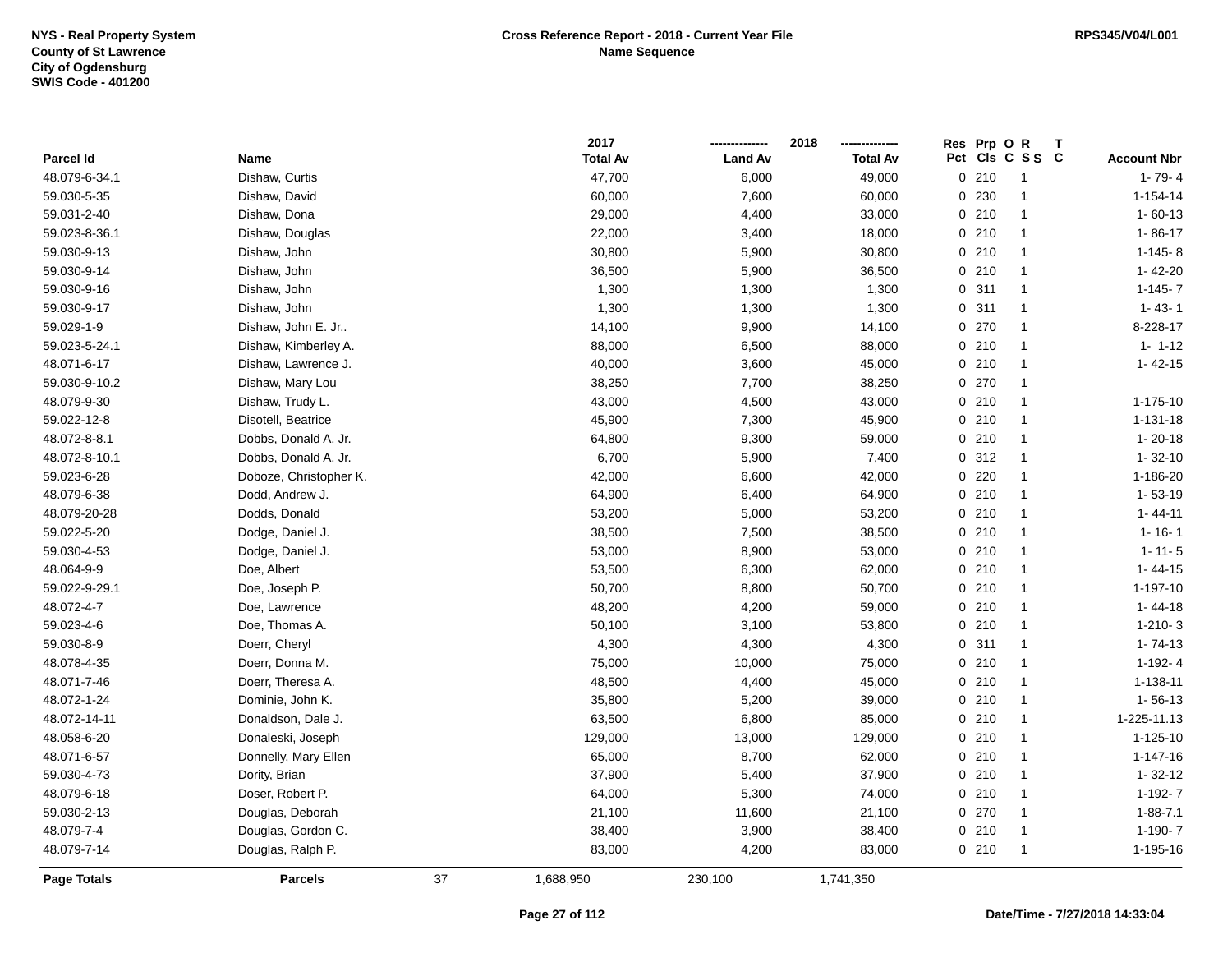|                    |                        |    | 2017            |                | 2018            | Res Prp O R |                 |                    |
|--------------------|------------------------|----|-----------------|----------------|-----------------|-------------|-----------------|--------------------|
| Parcel Id          | Name                   |    | <b>Total Av</b> | <b>Land Av</b> | <b>Total Av</b> |             | Pct Cls C S S C | <b>Account Nbr</b> |
| 48.079-6-34.1      | Dishaw, Curtis         |    | 47,700          | 6,000          | 49,000          | 0210        | $\overline{1}$  | $1 - 79 - 4$       |
| 59.030-5-35        | Dishaw, David          |    | 60,000          | 7,600          | 60,000          | 0 230       | $\overline{1}$  | $1 - 154 - 14$     |
| 59.031-2-40        | Dishaw, Dona           |    | 29,000          | 4,400          | 33,000          | 0210        | $\overline{1}$  | $1 - 60 - 13$      |
| 59.023-8-36.1      | Dishaw, Douglas        |    | 22,000          | 3,400          | 18,000          | 0210        | 1               | $1 - 86 - 17$      |
| 59.030-9-13        | Dishaw, John           |    | 30,800          | 5,900          | 30,800          | 0210        | $\mathbf{1}$    | $1-145-8$          |
| 59.030-9-14        | Dishaw, John           |    | 36,500          | 5,900          | 36,500          | 0210        | -1              | 1-42-20            |
| 59.030-9-16        | Dishaw, John           |    | 1,300           | 1,300          | 1,300           | 0.311       | $\mathbf{1}$    | $1-145-7$          |
| 59.030-9-17        | Dishaw, John           |    | 1,300           | 1,300          | 1,300           | 0.311       | $\overline{1}$  | $1 - 43 - 1$       |
| 59.029-1-9         | Dishaw, John E. Jr     |    | 14,100          | 9,900          | 14,100          | 0 270       | $\overline{1}$  | 8-228-17           |
| 59.023-5-24.1      | Dishaw, Kimberley A.   |    | 88,000          | 6,500          | 88,000          | 0210        | $\overline{1}$  | $1 - 1 - 12$       |
| 48.071-6-17        | Dishaw, Lawrence J.    |    | 40,000          | 3,600          | 45,000          | 0210        | $\overline{1}$  | $1 - 42 - 15$      |
| 59.030-9-10.2      | Dishaw, Mary Lou       |    | 38,250          | 7,700          | 38,250          | 0270        | $\overline{1}$  |                    |
| 48.079-9-30        | Dishaw, Trudy L.       |    | 43,000          | 4,500          | 43,000          | 0210        | $\mathbf{1}$    | 1-175-10           |
| 59.022-12-8        | Disotell, Beatrice     |    | 45,900          | 7,300          | 45,900          | 0210        | $\mathbf{1}$    | $1 - 131 - 18$     |
| 48.072-8-8.1       | Dobbs, Donald A. Jr.   |    | 64,800          | 9,300          | 59,000          | 0210        | $\mathbf{1}$    | $1 - 20 - 18$      |
| 48.072-8-10.1      | Dobbs, Donald A. Jr.   |    | 6,700           | 5,900          | 7,400           | 0.312       | $\mathbf{1}$    | $1 - 32 - 10$      |
| 59.023-6-28        | Doboze, Christopher K. |    | 42,000          | 6,600          | 42,000          | 0 220       | $\overline{1}$  | 1-186-20           |
| 48.079-6-38        | Dodd, Andrew J.        |    | 64,900          | 6,400          | 64,900          | 0210        | $\overline{1}$  | $1 - 53 - 19$      |
| 48.079-20-28       | Dodds, Donald          |    | 53,200          | 5,000          | 53,200          | 0210        | $\mathbf{1}$    | $1 - 44 - 11$      |
| 59.022-5-20        | Dodge, Daniel J.       |    | 38,500          | 7,500          | 38,500          | 0210        | $\overline{1}$  | $1 - 16 - 1$       |
| 59.030-4-53        | Dodge, Daniel J.       |    | 53,000          | 8,900          | 53,000          | 0210        | $\mathbf{1}$    | $1 - 11 - 5$       |
| 48.064-9-9         | Doe, Albert            |    | 53,500          | 6,300          | 62,000          | 0210        | $\overline{1}$  | $1 - 44 - 15$      |
| 59.022-9-29.1      | Doe, Joseph P.         |    | 50,700          | 8,800          | 50,700          | 0210        | $\overline{1}$  | 1-197-10           |
| 48.072-4-7         | Doe, Lawrence          |    | 48,200          | 4,200          | 59,000          | 0210        | $\overline{1}$  | $1 - 44 - 18$      |
| 59.023-4-6         | Doe, Thomas A.         |    | 50,100          | 3,100          | 53,800          | 0210        | $\overline{1}$  | $1 - 210 - 3$      |
| 59.030-8-9         | Doerr, Cheryl          |    | 4,300           | 4,300          | 4,300           | 0.311       | $\overline{1}$  | $1 - 74 - 13$      |
| 48.078-4-35        | Doerr, Donna M.        |    | 75,000          | 10,000         | 75,000          | 0210        | $\mathbf{1}$    | $1-192-4$          |
| 48.071-7-46        | Doerr, Theresa A.      |    | 48,500          | 4,400          | 45,000          | 0210        | -1              | 1-138-11           |
| 48.072-1-24        | Dominie, John K.       |    | 35,800          | 5,200          | 39,000          | 0210        | 1               | $1 - 56 - 13$      |
| 48.072-14-11       | Donaldson, Dale J.     |    | 63,500          | 6,800          | 85,000          | 0210        | $\mathbf{1}$    | 1-225-11.13        |
| 48.058-6-20        | Donaleski, Joseph      |    | 129,000         | 13,000         | 129,000         | 0210        | $\mathbf{1}$    | 1-125-10           |
| 48.071-6-57        | Donnelly, Mary Ellen   |    | 65,000          | 8,700          | 62,000          | 0210        | $\overline{1}$  | $1 - 147 - 16$     |
| 59.030-4-73        | Dority, Brian          |    | 37,900          | 5,400          | 37,900          | 0210        | $\overline{1}$  | $1 - 32 - 12$      |
| 48.079-6-18        | Doser, Robert P.       |    | 64,000          | 5,300          | 74,000          | 0210        | $\overline{1}$  | 1-192-7            |
| 59.030-2-13        | Douglas, Deborah       |    | 21,100          | 11,600         | 21,100          | 0 270       | $\overline{1}$  | $1 - 88 - 7.1$     |
| 48.079-7-4         | Douglas, Gordon C.     |    | 38,400          | 3,900          | 38,400          | 0210        | $\overline{1}$  | 1-190-7            |
| 48.079-7-14        | Douglas, Ralph P.      |    | 83,000          | 4,200          | 83,000          | 0210        | $\overline{1}$  | 1-195-16           |
| <b>Page Totals</b> | <b>Parcels</b>         | 37 | 1,688,950       | 230,100        | 1,741,350       |             |                 |                    |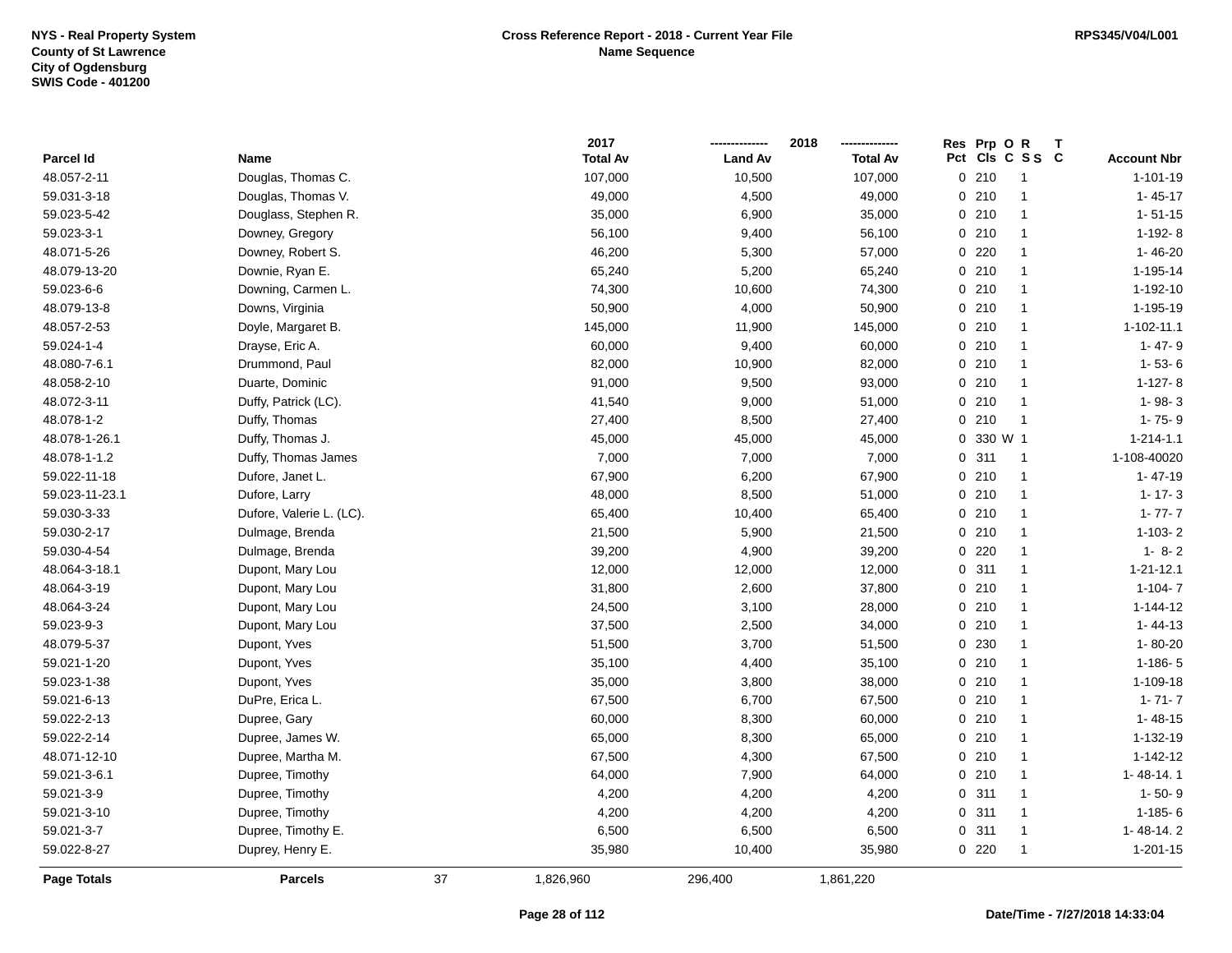|                    |                          |    | 2017            |                | 2018            | Res Prp O R |                         |                    |
|--------------------|--------------------------|----|-----------------|----------------|-----------------|-------------|-------------------------|--------------------|
| <b>Parcel Id</b>   | Name                     |    | <b>Total Av</b> | <b>Land Av</b> | <b>Total Av</b> |             | Pct Cls C S S C         | <b>Account Nbr</b> |
| 48.057-2-11        | Douglas, Thomas C.       |    | 107,000         | 10,500         | 107,000         | 0210        | $\overline{1}$          | $1 - 101 - 19$     |
| 59.031-3-18        | Douglas, Thomas V.       |    | 49,000          | 4,500          | 49,000          | 0210        | $\overline{1}$          | $1 - 45 - 17$      |
| 59.023-5-42        | Douglass, Stephen R.     |    | 35,000          | 6,900          | 35,000          | 0210        | $\overline{1}$          | $1 - 51 - 15$      |
| 59.023-3-1         | Downey, Gregory          |    | 56,100          | 9,400          | 56,100          | 0210        | $\overline{1}$          | $1-192-8$          |
| 48.071-5-26        | Downey, Robert S.        |    | 46,200          | 5,300          | 57,000          | 0220        | $\mathbf{1}$            | $1 - 46 - 20$      |
| 48.079-13-20       | Downie, Ryan E.          |    | 65,240          | 5,200          | 65,240          | 0210        | $\overline{1}$          | 1-195-14           |
| 59.023-6-6         | Downing, Carmen L.       |    | 74,300          | 10,600         | 74,300          | 0210        | $\mathbf{1}$            | 1-192-10           |
| 48.079-13-8        | Downs, Virginia          |    | 50,900          | 4,000          | 50,900          | 0 210       | $\mathbf{1}$            | 1-195-19           |
| 48.057-2-53        | Doyle, Margaret B.       |    | 145,000         | 11,900         | 145,000         | 0210        | $\overline{1}$          | $1 - 102 - 11.1$   |
| 59.024-1-4         | Drayse, Eric A.          |    | 60,000          | 9,400          | 60,000          | 0210        | $\mathbf{1}$            | $1 - 47 - 9$       |
| 48.080-7-6.1       | Drummond, Paul           |    | 82,000          | 10,900         | 82,000          | 0210        | $\overline{1}$          | $1 - 53 - 6$       |
| 48.058-2-10        | Duarte, Dominic          |    | 91,000          | 9,500          | 93,000          | 0210        | $\mathbf{1}$            | $1-127-8$          |
| 48.072-3-11        | Duffy, Patrick (LC).     |    | 41,540          | 9,000          | 51,000          | 0210        | $\overline{1}$          | $1 - 98 - 3$       |
| 48.078-1-2         | Duffy, Thomas            |    | 27,400          | 8,500          | 27,400          | 0210        | $\overline{\mathbf{1}}$ | $1 - 75 - 9$       |
| 48.078-1-26.1      | Duffy, Thomas J.         |    | 45,000          | 45,000         | 45,000          | 0 330 W 1   |                         | $1 - 214 - 1.1$    |
| 48.078-1-1.2       | Duffy, Thomas James      |    | 7,000           | 7,000          | 7,000           | 0.311       | $\overline{1}$          | 1-108-40020        |
| 59.022-11-18       | Dufore, Janet L.         |    | 67,900          | 6,200          | 67,900          | 0210        | $\overline{1}$          | $1 - 47 - 19$      |
| 59.023-11-23.1     | Dufore, Larry            |    | 48,000          | 8,500          | 51,000          | 0210        | $\overline{1}$          | $1 - 17 - 3$       |
| 59.030-3-33        | Dufore, Valerie L. (LC). |    | 65,400          | 10,400         | 65,400          | 0210        | $\overline{1}$          | $1 - 77 - 7$       |
| 59.030-2-17        | Dulmage, Brenda          |    | 21,500          | 5,900          | 21,500          | 0210        | $\overline{1}$          | $1 - 103 - 2$      |
| 59.030-4-54        | Dulmage, Brenda          |    | 39,200          | 4,900          | 39,200          | 0220        | $\overline{1}$          | $1 - 8 - 2$        |
| 48.064-3-18.1      | Dupont, Mary Lou         |    | 12,000          | 12,000         | 12,000          | 0.311       | $\overline{1}$          | $1 - 21 - 12.1$    |
| 48.064-3-19        | Dupont, Mary Lou         |    | 31,800          | 2,600          | 37,800          | 0210        | $\overline{1}$          | $1 - 104 - 7$      |
| 48.064-3-24        | Dupont, Mary Lou         |    | 24,500          | 3,100          | 28,000          | 0210        | $\overline{1}$          | $1 - 144 - 12$     |
| 59.023-9-3         | Dupont, Mary Lou         |    | 37,500          | 2,500          | 34,000          | 0210        | $\overline{1}$          | $1 - 44 - 13$      |
| 48.079-5-37        | Dupont, Yves             |    | 51,500          | 3,700          | 51,500          | 0 230       | $\overline{1}$          | $1 - 80 - 20$      |
| 59.021-1-20        | Dupont, Yves             |    | 35,100          | 4,400          | 35,100          | 0210        | $\overline{1}$          | $1 - 186 - 5$      |
| 59.023-1-38        | Dupont, Yves             |    | 35,000          | 3,800          | 38,000          | 0210        | $\mathbf{1}$            | 1-109-18           |
| 59.021-6-13        | DuPre, Erica L.          |    | 67,500          | 6,700          | 67,500          | 0210        | $\overline{1}$          | $1 - 71 - 7$       |
| 59.022-2-13        | Dupree, Gary             |    | 60,000          | 8,300          | 60,000          | 0210        | $\overline{1}$          | $1 - 48 - 15$      |
| 59.022-2-14        | Dupree, James W.         |    | 65,000          | 8,300          | 65,000          | 0210        | $\mathbf{1}$            | 1-132-19           |
| 48.071-12-10       | Dupree, Martha M.        |    | 67,500          | 4,300          | 67,500          | 0210        | $\overline{1}$          | $1 - 142 - 12$     |
| 59.021-3-6.1       | Dupree, Timothy          |    | 64,000          | 7,900          | 64,000          | 0210        | $\overline{1}$          | $1 - 48 - 14.1$    |
| 59.021-3-9         | Dupree, Timothy          |    | 4,200           | 4,200          | 4,200           | 0.311       | $\overline{1}$          | $1 - 50 - 9$       |
| 59.021-3-10        | Dupree, Timothy          |    | 4,200           | 4,200          | 4,200           | 0.311       | $\mathbf{1}$            | $1 - 185 - 6$      |
| 59.021-3-7         | Dupree, Timothy E.       |    | 6,500           | 6,500          | 6,500           | 0.311       | $\overline{1}$          | 1-48-14.2          |
| 59.022-8-27        | Duprey, Henry E.         |    | 35,980          | 10,400         | 35,980          | 0220        | $\overline{1}$          | $1 - 201 - 15$     |
| <b>Page Totals</b> | <b>Parcels</b>           | 37 | 1,826,960       | 296,400        | 1,861,220       |             |                         |                    |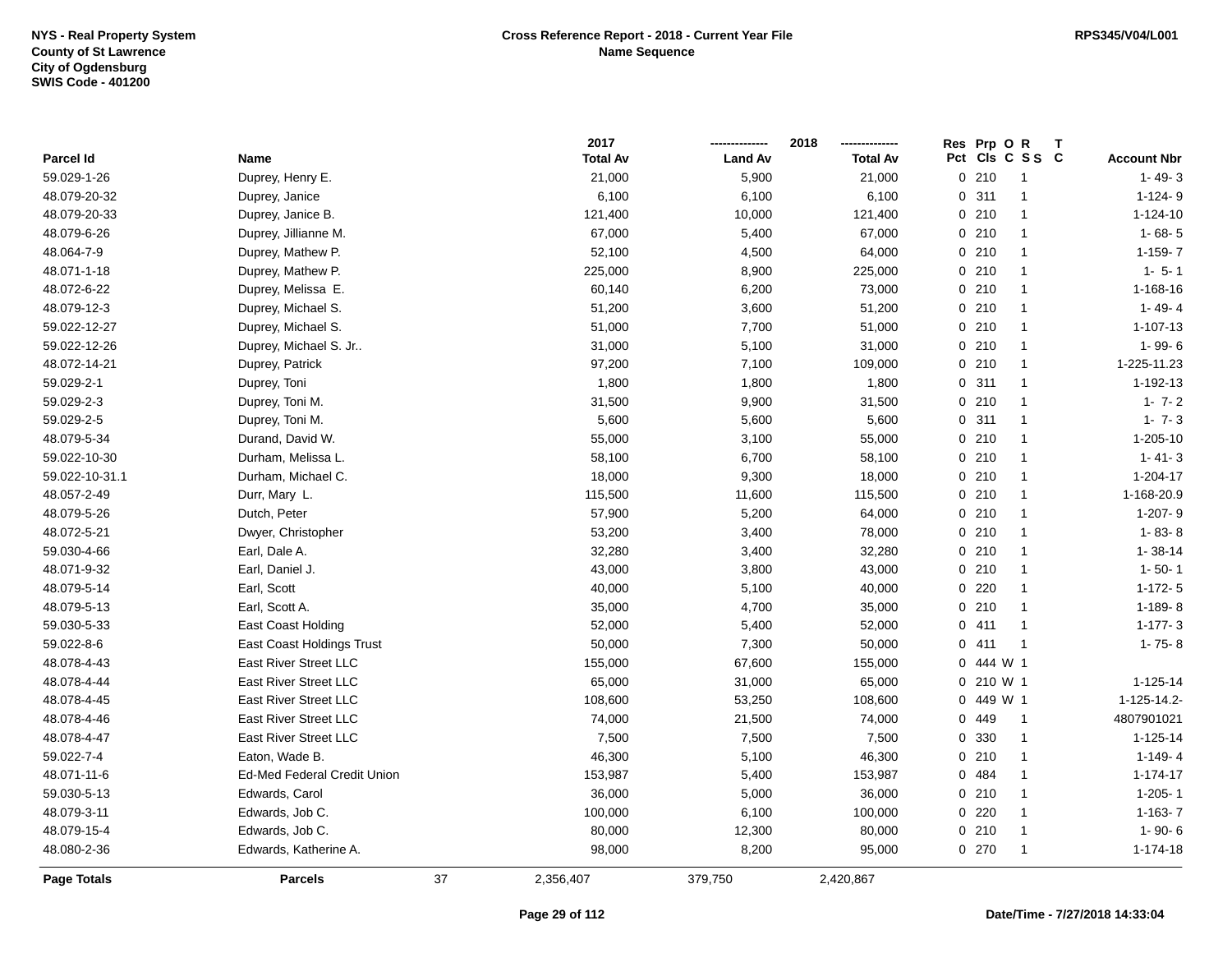|                |                                    |    | 2017            |                | 2018            |              | Res Prp O R  | Т               |                    |
|----------------|------------------------------------|----|-----------------|----------------|-----------------|--------------|--------------|-----------------|--------------------|
| Parcel Id      | Name                               |    | <b>Total Av</b> | <b>Land Av</b> | <b>Total Av</b> |              |              | Pct Cls C S S C | <b>Account Nbr</b> |
| 59.029-1-26    | Duprey, Henry E.                   |    | 21,000          | 5,900          | 21,000          |              | 0210         | $\mathbf{1}$    | $1 - 49 - 3$       |
| 48.079-20-32   | Duprey, Janice                     |    | 6,100           | 6,100          | 6,100           | $\Omega$     | 311          | $\overline{1}$  | $1-124-9$          |
| 48.079-20-33   | Duprey, Janice B.                  |    | 121,400         | 10,000         | 121,400         |              | 0210         | $\mathbf{1}$    | $1 - 124 - 10$     |
| 48.079-6-26    | Duprey, Jillianne M.               |    | 67,000          | 5,400          | 67,000          |              | 0210         | $\mathbf{1}$    | $1 - 68 - 5$       |
| 48.064-7-9     | Duprey, Mathew P.                  |    | 52,100          | 4,500          | 64,000          |              | 0210         | $\mathbf{1}$    | $1-159-7$          |
| 48.071-1-18    | Duprey, Mathew P.                  |    | 225,000         | 8,900          | 225,000         |              | 0210         | $\mathbf{1}$    | $1 - 5 - 1$        |
| 48.072-6-22    | Duprey, Melissa E.                 |    | 60,140          | 6,200          | 73,000          |              | 0210         | $\mathbf{1}$    | 1-168-16           |
| 48.079-12-3    | Duprey, Michael S.                 |    | 51,200          | 3,600          | 51,200          |              | 0210         | $\mathbf{1}$    | $1 - 49 - 4$       |
| 59.022-12-27   | Duprey, Michael S.                 |    | 51,000          | 7,700          | 51,000          |              | 0210         | $\mathbf{1}$    | $1 - 107 - 13$     |
| 59.022-12-26   | Duprey, Michael S. Jr              |    | 31,000          | 5,100          | 31,000          |              | 0210         | $\mathbf{1}$    | $1 - 99 - 6$       |
| 48.072-14-21   | Duprey, Patrick                    |    | 97,200          | 7,100          | 109,000         |              | 0210         | $\mathbf{1}$    | 1-225-11.23        |
| 59.029-2-1     | Duprey, Toni                       |    | 1,800           | 1,800          | 1,800           |              | 0.311        | -1              | $1 - 192 - 13$     |
| 59.029-2-3     | Duprey, Toni M.                    |    | 31,500          | 9,900          | 31,500          |              | 0210         | -1              | $1 - 7 - 2$        |
| 59.029-2-5     | Duprey, Toni M.                    |    | 5,600           | 5,600          | 5,600           |              | 0.311        | $\mathbf{1}$    | $1 - 7 - 3$        |
| 48.079-5-34    | Durand, David W.                   |    | 55,000          | 3,100          | 55,000          |              | 0210         | $\mathbf{1}$    | 1-205-10           |
| 59.022-10-30   | Durham, Melissa L.                 |    | 58,100          | 6,700          | 58,100          |              | 0210         | $\mathbf{1}$    | $1 - 41 - 3$       |
| 59.022-10-31.1 | Durham, Michael C.                 |    | 18,000          | 9,300          | 18,000          |              | 0210         | $\mathbf{1}$    | 1-204-17           |
| 48.057-2-49    | Durr, Mary L.                      |    | 115,500         | 11,600         | 115,500         |              | 0210         | $\mathbf{1}$    | 1-168-20.9         |
| 48.079-5-26    | Dutch, Peter                       |    | 57,900          | 5,200          | 64,000          |              | 0210         | $\mathbf{1}$    | 1-207-9            |
| 48.072-5-21    | Dwyer, Christopher                 |    | 53,200          | 3,400          | 78,000          |              | 0210         | $\mathbf{1}$    | $1 - 83 - 8$       |
| 59.030-4-66    | Earl, Dale A.                      |    | 32,280          | 3,400          | 32,280          |              | 0210         | $\mathbf{1}$    | $1 - 38 - 14$      |
| 48.071-9-32    | Earl, Daniel J.                    |    | 43,000          | 3,800          | 43,000          |              | 0210         | $\mathbf{1}$    | $1 - 50 - 1$       |
| 48.079-5-14    | Earl, Scott                        |    | 40,000          | 5,100          | 40,000          |              | 0220         | $\mathbf{1}$    | $1-172-5$          |
| 48.079-5-13    | Earl, Scott A.                     |    | 35,000          | 4,700          | 35,000          |              | 0210         | $\mathbf{1}$    | $1-189-8$          |
| 59.030-5-33    | East Coast Holding                 |    | 52,000          | 5,400          | 52,000          |              | 0411         | $\overline{1}$  | $1-177-3$          |
| 59.022-8-6     | East Coast Holdings Trust          |    | 50,000          | 7,300          | 50,000          |              | 0411         | $\overline{1}$  | $1 - 75 - 8$       |
| 48.078-4-43    | East River Street LLC              |    | 155,000         | 67,600         | 155,000         |              | 0 444 W 1    |                 |                    |
| 48.078-4-44    | <b>East River Street LLC</b>       |    | 65,000          | 31,000         | 65,000          |              | $0, 210$ W 1 |                 | 1-125-14           |
| 48.078-4-45    | <b>East River Street LLC</b>       |    | 108,600         | 53,250         | 108,600         | $\mathbf{0}$ | 449 W 1      |                 | 1-125-14.2-        |
| 48.078-4-46    | <b>East River Street LLC</b>       |    | 74,000          | 21,500         | 74,000          |              | 0 449        | $\overline{1}$  | 4807901021         |
| 48.078-4-47    | East River Street LLC              |    | 7,500           | 7,500          | 7,500           | $\mathbf 0$  | 330          | $\overline{1}$  | $1 - 125 - 14$     |
| 59.022-7-4     | Eaton, Wade B.                     |    | 46,300          | 5,100          | 46,300          |              | 0210         | $\mathbf{1}$    | $1-149-4$          |
| 48.071-11-6    | <b>Ed-Med Federal Credit Union</b> |    | 153,987         | 5,400          | 153,987         |              | 0 484        | $\mathbf{1}$    | $1 - 174 - 17$     |
| 59.030-5-13    | Edwards, Carol                     |    | 36,000          | 5,000          | 36,000          |              | 0210         | $\mathbf{1}$    | $1 - 205 - 1$      |
| 48.079-3-11    | Edwards, Job C.                    |    | 100,000         | 6,100          | 100,000         |              | 0220         | $\mathbf{1}$    | $1-163-7$          |
| 48.079-15-4    | Edwards, Job C.                    |    | 80,000          | 12,300         | 80,000          |              | 0210         | $\mathbf{1}$    | $1 - 90 - 6$       |
| 48.080-2-36    | Edwards, Katherine A.              |    | 98,000          | 8,200          | 95,000          |              | 0 270        | $\mathbf{1}$    | 1-174-18           |
| Page Totals    | <b>Parcels</b>                     | 37 | 2,356,407       | 379,750        | 2,420,867       |              |              |                 |                    |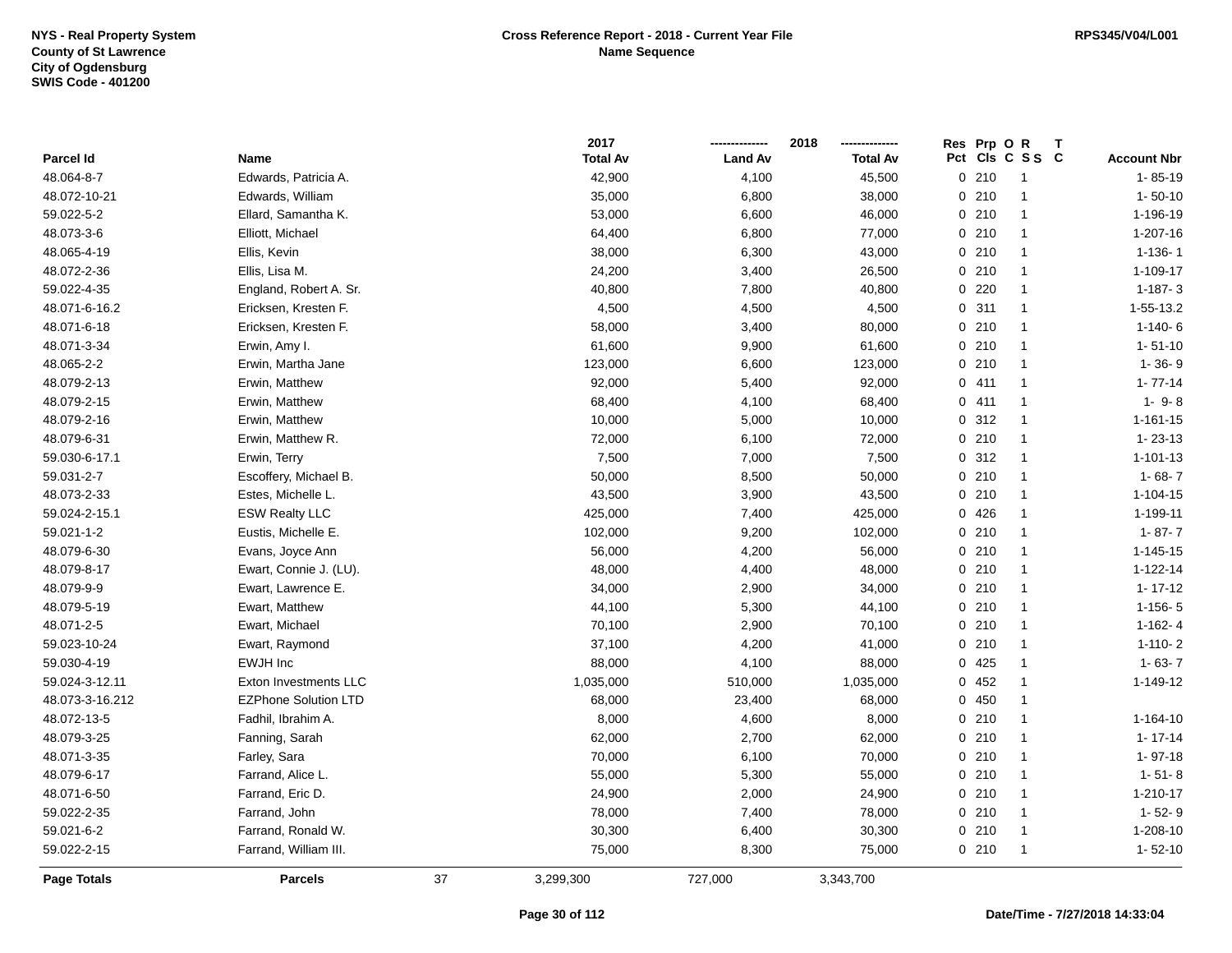|                  |                             |    | 2017            |                | 2018            | Res Prp O R |                 | $\mathsf{T}$ |                    |
|------------------|-----------------------------|----|-----------------|----------------|-----------------|-------------|-----------------|--------------|--------------------|
| <b>Parcel Id</b> | Name                        |    | <b>Total Av</b> | <b>Land Av</b> | <b>Total Av</b> |             | Pct Cls C S S C |              | <b>Account Nbr</b> |
| 48.064-8-7       | Edwards, Patricia A.        |    | 42,900          | 4,100          | 45,500          | 0210        | $\mathbf{1}$    |              | $1 - 85 - 19$      |
| 48.072-10-21     | Edwards, William            |    | 35,000          | 6,800          | 38,000          | 0210        | 1               |              | $1 - 50 - 10$      |
| 59.022-5-2       | Ellard, Samantha K.         |    | 53,000          | 6,600          | 46,000          | 0210        | $\mathbf{1}$    |              | 1-196-19           |
| 48.073-3-6       | Elliott, Michael            |    | 64,400          | 6,800          | 77,000          | 0210        | $\mathbf{1}$    |              | $1 - 207 - 16$     |
| 48.065-4-19      | Ellis, Kevin                |    | 38,000          | 6,300          | 43,000          | 0210        | $\mathbf{1}$    |              | $1 - 136 - 1$      |
| 48.072-2-36      | Ellis, Lisa M.              |    | 24,200          | 3,400          | 26,500          | 0210        | $\mathbf{1}$    |              | 1-109-17           |
| 59.022-4-35      | England, Robert A. Sr.      |    | 40,800          | 7,800          | 40,800          | 0220        | $\mathbf{1}$    |              | $1 - 187 - 3$      |
| 48.071-6-16.2    | Ericksen, Kresten F.        |    | 4,500           | 4,500          | 4,500           | 0.311       | $\mathbf{1}$    |              | 1-55-13.2          |
| 48.071-6-18      | Ericksen, Kresten F.        |    | 58,000          | 3,400          | 80,000          | 0210        | $\mathbf{1}$    |              | $1-140-6$          |
| 48.071-3-34      | Erwin, Amy I.               |    | 61,600          | 9,900          | 61,600          | 0210        | $\mathbf{1}$    |              | $1 - 51 - 10$      |
| 48.065-2-2       | Erwin, Martha Jane          |    | 123,000         | 6,600          | 123,000         | 0210        | $\mathbf{1}$    |              | $1 - 36 - 9$       |
| 48.079-2-13      | Erwin, Matthew              |    | 92,000          | 5,400          | 92,000          | 0411        | $\mathbf{1}$    |              | $1 - 77 - 14$      |
| 48.079-2-15      | Erwin, Matthew              |    | 68,400          | 4,100          | 68,400          | 0411        | $\mathbf{1}$    |              | $1 - 9 - 8$        |
| 48.079-2-16      | Erwin, Matthew              |    | 10,000          | 5,000          | 10,000          | 0.312       | $\mathbf{1}$    |              | $1 - 161 - 15$     |
| 48.079-6-31      | Erwin, Matthew R.           |    | 72,000          | 6,100          | 72,000          | 0210        | $\mathbf{1}$    |              | $1 - 23 - 13$      |
| 59.030-6-17.1    | Erwin, Terry                |    | 7,500           | 7,000          | 7,500           | 0.312       | $\mathbf{1}$    |              | $1 - 101 - 13$     |
| 59.031-2-7       | Escoffery, Michael B.       |    | 50,000          | 8,500          | 50,000          | 0210        | $\mathbf{1}$    |              | $1 - 68 - 7$       |
| 48.073-2-33      | Estes, Michelle L.          |    | 43,500          | 3,900          | 43,500          | 0210        | $\mathbf{1}$    |              | $1 - 104 - 15$     |
| 59.024-2-15.1    | <b>ESW Realty LLC</b>       |    | 425,000         | 7,400          | 425,000         | 0426        | $\mathbf{1}$    |              | 1-199-11           |
| 59.021-1-2       | Eustis, Michelle E.         |    | 102,000         | 9,200          | 102,000         | 0210        | $\mathbf{1}$    |              | $1 - 87 - 7$       |
| 48.079-6-30      | Evans, Joyce Ann            |    | 56,000          | 4,200          | 56,000          | 0210        | $\mathbf{1}$    |              | $1 - 145 - 15$     |
| 48.079-8-17      | Ewart, Connie J. (LU).      |    | 48,000          | 4,400          | 48,000          | 0210        | $\mathbf{1}$    |              | $1 - 122 - 14$     |
| 48.079-9-9       | Ewart, Lawrence E.          |    | 34,000          | 2,900          | 34,000          | 0210        | $\mathbf{1}$    |              | $1 - 17 - 12$      |
| 48.079-5-19      | Ewart, Matthew              |    | 44,100          | 5,300          | 44,100          | 0210        | $\mathbf{1}$    |              | $1 - 156 - 5$      |
| 48.071-2-5       | Ewart, Michael              |    | 70,100          | 2,900          | 70,100          | 0210        | $\mathbf{1}$    |              | $1 - 162 - 4$      |
| 59.023-10-24     | Ewart, Raymond              |    | 37,100          | 4,200          | 41,000          | 0210        | $\mathbf{1}$    |              | $1 - 110 - 2$      |
| 59.030-4-19      | <b>EWJH Inc</b>             |    | 88,000          | 4,100          | 88,000          | 0425        | $\mathbf{1}$    |              | $1 - 63 - 7$       |
| 59.024-3-12.11   | Exton Investments LLC       |    | 1,035,000       | 510,000        | 1,035,000       | 0452        | $\mathbf{1}$    |              | 1-149-12           |
| 48.073-3-16.212  | <b>EZPhone Solution LTD</b> |    | 68,000          | 23,400         | 68,000          | 0450        | $\mathbf{1}$    |              |                    |
| 48.072-13-5      | Fadhil, Ibrahim A.          |    | 8,000           | 4,600          | 8,000           | 0210        | $\mathbf{1}$    |              | $1 - 164 - 10$     |
| 48.079-3-25      | Fanning, Sarah              |    | 62,000          | 2,700          | 62,000          | 0210        | $\mathbf{1}$    |              | $1 - 17 - 14$      |
| 48.071-3-35      | Farley, Sara                |    | 70,000          | 6,100          | 70,000          | 0210        | $\mathbf{1}$    |              | $1 - 97 - 18$      |
| 48.079-6-17      | Farrand, Alice L.           |    | 55,000          | 5,300          | 55,000          | 0210        | $\mathbf{1}$    |              | $1 - 51 - 8$       |
| 48.071-6-50      | Farrand, Eric D.            |    | 24,900          | 2,000          | 24,900          | 0210        | $\mathbf{1}$    |              | 1-210-17           |
| 59.022-2-35      | Farrand, John               |    | 78,000          | 7,400          | 78,000          | 0210        | $\mathbf{1}$    |              | $1 - 52 - 9$       |
| 59.021-6-2       | Farrand, Ronald W.          |    | 30,300          | 6,400          | 30,300          | 0210        | $\mathbf{1}$    |              | 1-208-10           |
| 59.022-2-15      | Farrand, William III.       |    | 75,000          | 8,300          | 75,000          | 0210        | $\mathbf{1}$    |              | $1 - 52 - 10$      |
| Page Totals      | <b>Parcels</b>              | 37 | 3,299,300       | 727,000        | 3,343,700       |             |                 |              |                    |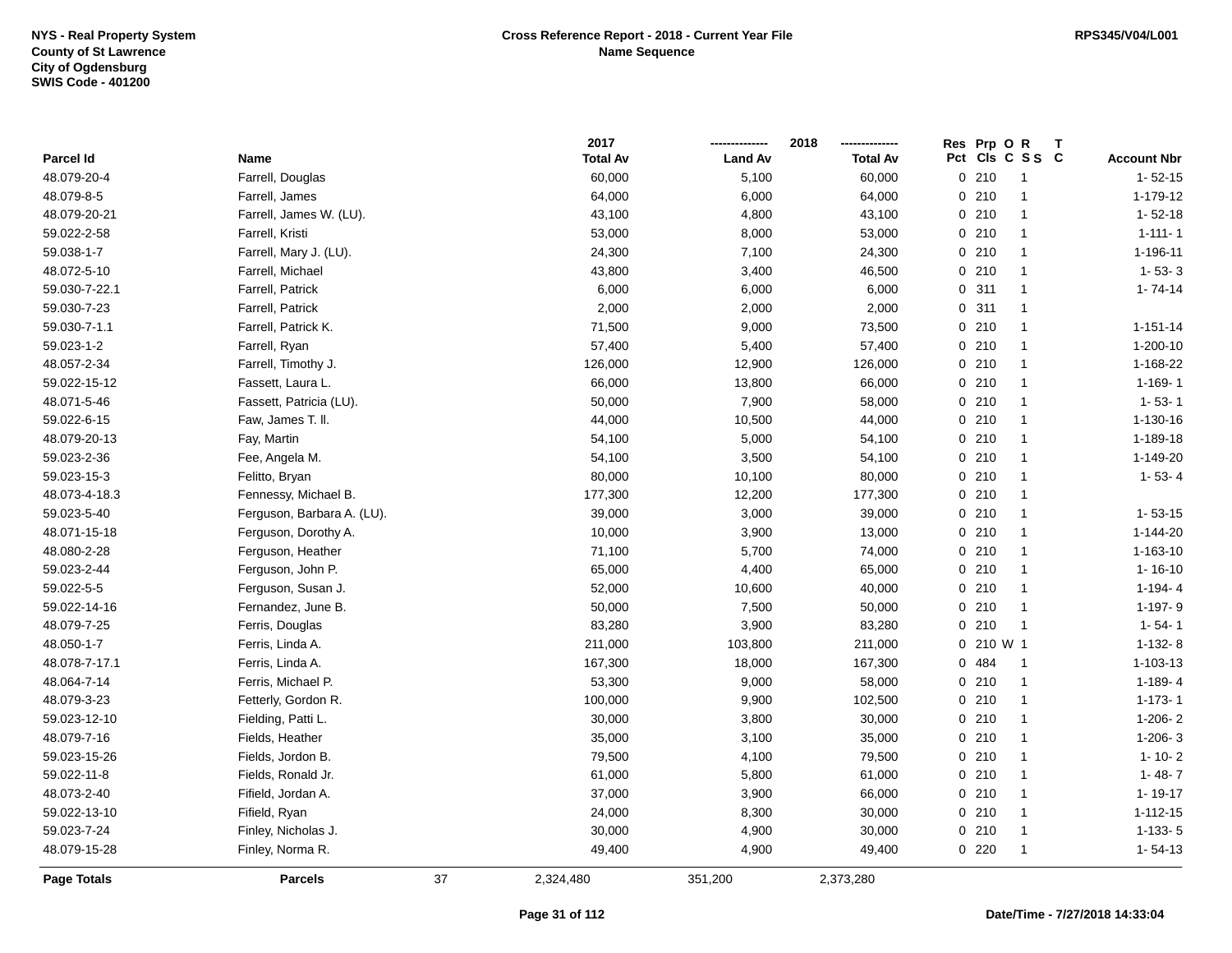|               |                            |    | 2017            |                | 2018            | Res Prp O R             |                    |
|---------------|----------------------------|----|-----------------|----------------|-----------------|-------------------------|--------------------|
| Parcel Id     | <b>Name</b>                |    | <b>Total Av</b> | <b>Land Av</b> | <b>Total Av</b> | Pct Cls C S S C         | <b>Account Nbr</b> |
| 48.079-20-4   | Farrell, Douglas           |    | 60,000          | 5,100          | 60,000          | 0210<br>$\overline{1}$  | $1 - 52 - 15$      |
| 48.079-8-5    | Farrell, James             |    | 64,000          | 6,000          | 64,000          | 0210<br>$\overline{1}$  | 1-179-12           |
| 48.079-20-21  | Farrell, James W. (LU).    |    | 43,100          | 4,800          | 43,100          | 0210<br>$\overline{1}$  | $1 - 52 - 18$      |
| 59.022-2-58   | Farrell, Kristi            |    | 53,000          | 8,000          | 53,000          | 0210<br>$\overline{1}$  | $1 - 111 - 1$      |
| 59.038-1-7    | Farrell, Mary J. (LU).     |    | 24,300          | 7,100          | 24,300          | 0210<br>$\overline{1}$  | 1-196-11           |
| 48.072-5-10   | Farrell, Michael           |    | 43,800          | 3,400          | 46,500          | 0210<br>-1              | $1 - 53 - 3$       |
| 59.030-7-22.1 | Farrell, Patrick           |    | 6,000           | 6,000          | 6,000           | 0.311<br>$\mathbf{1}$   | $1 - 74 - 14$      |
| 59.030-7-23   | Farrell, Patrick           |    | 2,000           | 2,000          | 2,000           | 0.311<br>$\overline{1}$ |                    |
| 59.030-7-1.1  | Farrell, Patrick K.        |    | 71,500          | 9,000          | 73,500          | 0210<br>$\overline{1}$  | $1 - 151 - 14$     |
| 59.023-1-2    | Farrell, Ryan              |    | 57,400          | 5,400          | 57,400          | 0210<br>$\overline{1}$  | $1 - 200 - 10$     |
| 48.057-2-34   | Farrell, Timothy J.        |    | 126,000         | 12,900         | 126,000         | 0210<br>$\mathbf{1}$    | 1-168-22           |
| 59.022-15-12  | Fassett, Laura L.          |    | 66,000          | 13,800         | 66,000          | 0210<br>-1              | 1-169-1            |
| 48.071-5-46   | Fassett, Patricia (LU).    |    | 50,000          | 7,900          | 58,000          | 0210<br>$\mathbf{1}$    | $1 - 53 - 1$       |
| 59.022-6-15   | Faw, James T. II.          |    | 44,000          | 10,500         | 44,000          | 0210<br>$\overline{1}$  | 1-130-16           |
| 48.079-20-13  | Fay, Martin                |    | 54,100          | 5,000          | 54,100          | 0210<br>$\mathbf{1}$    | 1-189-18           |
| 59.023-2-36   | Fee, Angela M.             |    | 54,100          | 3,500          | 54,100          | 0210<br>$\overline{1}$  | 1-149-20           |
| 59.023-15-3   | Felitto, Bryan             |    | 80,000          | 10,100         | 80,000          | 0210<br>$\mathbf{1}$    | $1 - 53 - 4$       |
| 48.073-4-18.3 | Fennessy, Michael B.       |    | 177,300         | 12,200         | 177,300         | 0210<br>$\overline{1}$  |                    |
| 59.023-5-40   | Ferguson, Barbara A. (LU). |    | 39,000          | 3,000          | 39,000          | 0210<br>$\mathbf{1}$    | $1 - 53 - 15$      |
| 48.071-15-18  | Ferguson, Dorothy A.       |    | 10,000          | 3,900          | 13,000          | 0210<br>$\overline{1}$  | $1 - 144 - 20$     |
| 48.080-2-28   | Ferguson, Heather          |    | 71,100          | 5,700          | 74,000          | 0210<br>$\overline{1}$  | $1 - 163 - 10$     |
| 59.023-2-44   | Ferguson, John P.          |    | 65,000          | 4,400          | 65,000          | 0210<br>$\overline{1}$  | $1 - 16 - 10$      |
| 59.022-5-5    | Ferguson, Susan J.         |    | 52,000          | 10,600         | 40,000          | 0210<br>$\overline{1}$  | $1 - 194 - 4$      |
| 59.022-14-16  | Fernandez, June B.         |    | 50,000          | 7,500          | 50,000          | 0210<br>$\overline{1}$  | 1-197-9            |
| 48.079-7-25   | Ferris, Douglas            |    | 83,280          | 3,900          | 83,280          | 0210<br>$\overline{1}$  | $1 - 54 - 1$       |
| 48.050-1-7    | Ferris, Linda A.           |    | 211,000         | 103,800        | 211,000         | 0 210 W 1               | $1-132-8$          |
| 48.078-7-17.1 | Ferris, Linda A.           |    | 167,300         | 18,000         | 167,300         | 0 484<br>$\overline{1}$ | 1-103-13           |
| 48.064-7-14   | Ferris, Michael P.         |    | 53,300          | 9,000          | 58,000          | 0210<br>$\overline{1}$  | $1 - 189 - 4$      |
| 48.079-3-23   | Fetterly, Gordon R.        |    | 100,000         | 9,900          | 102,500         | 0210<br>$\overline{1}$  | $1 - 173 - 1$      |
| 59.023-12-10  | Fielding, Patti L.         |    | 30,000          | 3,800          | 30,000          | 0210<br>$\overline{1}$  | $1-206-2$          |
| 48.079-7-16   | Fields, Heather            |    | 35,000          | 3,100          | 35,000          | 0210<br>$\mathbf{1}$    | $1-206-3$          |
| 59.023-15-26  | Fields, Jordon B.          |    | 79,500          | 4,100          | 79,500          | 0210<br>$\overline{1}$  | $1 - 10 - 2$       |
| 59.022-11-8   | Fields, Ronald Jr.         |    | 61,000          | 5,800          | 61,000          | 0210<br>$\overline{1}$  | $1 - 48 - 7$       |
| 48.073-2-40   | Fifield, Jordan A.         |    | 37,000          | 3,900          | 66,000          | 0210<br>$\overline{1}$  | $1 - 19 - 17$      |
| 59.022-13-10  | Fifield, Ryan              |    | 24,000          | 8,300          | 30,000          | 0210<br>$\mathbf{1}$    | $1 - 112 - 15$     |
| 59.023-7-24   | Finley, Nicholas J.        |    | 30,000          | 4,900          | 30,000          | 0210<br>$\overline{1}$  | $1-133-5$          |
| 48.079-15-28  | Finley, Norma R.           |    | 49,400          | 4,900          | 49,400          | 0220<br>$\overline{1}$  | $1 - 54 - 13$      |
| Page Totals   | <b>Parcels</b>             | 37 | 2,324,480       | 351,200        | 2,373,280       |                         |                    |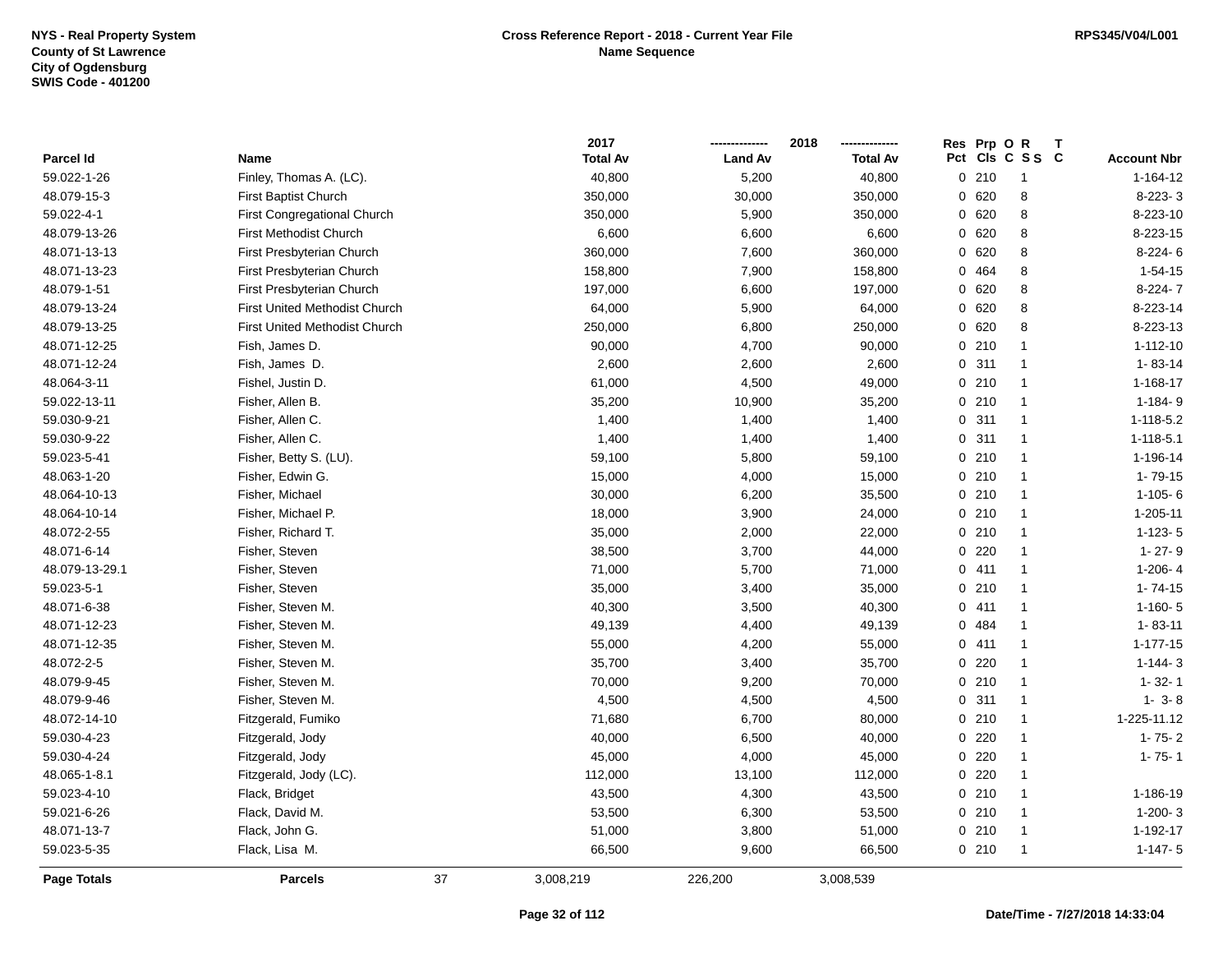|                    |                                      |    | 2017            |                | 2018            | Res Prp O R |                         |                    |
|--------------------|--------------------------------------|----|-----------------|----------------|-----------------|-------------|-------------------------|--------------------|
| Parcel Id          | Name                                 |    | <b>Total Av</b> | <b>Land Av</b> | <b>Total Av</b> |             | Pct Cls C S S C         | <b>Account Nbr</b> |
| 59.022-1-26        | Finley, Thomas A. (LC).              |    | 40,800          | 5,200          | 40,800          | 0210        | $\overline{1}$          | $1 - 164 - 12$     |
| 48.079-15-3        | First Baptist Church                 |    | 350,000         | 30,000         | 350,000         | 0620        | $\bf 8$                 | 8-223-3            |
| 59.022-4-1         | First Congregational Church          |    | 350,000         | 5,900          | 350,000         | 0 620       | 8                       | 8-223-10           |
| 48.079-13-26       | <b>First Methodist Church</b>        |    | 6,600           | 6,600          | 6,600           | 0 620       | 8                       | 8-223-15           |
| 48.071-13-13       | First Presbyterian Church            |    | 360,000         | 7,600          | 360,000         | 0 620       | 8                       | $8-224-6$          |
| 48.071-13-23       | First Presbyterian Church            |    | 158,800         | 7,900          | 158,800         | 0 464       | 8                       | $1 - 54 - 15$      |
| 48.079-1-51        | First Presbyterian Church            |    | 197,000         | 6,600          | 197,000         | 0 620       | 8                       | 8-224-7            |
| 48.079-13-24       | <b>First United Methodist Church</b> |    | 64,000          | 5,900          | 64,000          | 0 620       | 8                       | 8-223-14           |
| 48.079-13-25       | <b>First United Methodist Church</b> |    | 250,000         | 6,800          | 250,000         | 0 620       | 8                       | 8-223-13           |
| 48.071-12-25       | Fish, James D.                       |    | 90,000          | 4,700          | 90,000          | 0210        | $\mathbf{1}$            | $1 - 112 - 10$     |
| 48.071-12-24       | Fish, James D.                       |    | 2,600           | 2,600          | 2,600           | 0.311       | $\mathbf{1}$            | $1 - 83 - 14$      |
| 48.064-3-11        | Fishel, Justin D.                    |    | 61,000          | 4,500          | 49,000          | 0210        | $\mathbf{1}$            | 1-168-17           |
| 59.022-13-11       | Fisher, Allen B.                     |    | 35,200          | 10,900         | 35,200          | 0210        | $\mathbf{1}$            | $1 - 184 - 9$      |
| 59.030-9-21        | Fisher, Allen C.                     |    | 1,400           | 1,400          | 1,400           | 0.311       | $\overline{\mathbf{1}}$ | 1-118-5.2          |
| 59.030-9-22        | Fisher, Allen C.                     |    | 1,400           | 1,400          | 1,400           | 0.311       | $\mathbf{1}$            | $1 - 118 - 5.1$    |
| 59.023-5-41        | Fisher, Betty S. (LU).               |    | 59,100          | 5,800          | 59,100          | 0210        | $\mathbf{1}$            | 1-196-14           |
| 48.063-1-20        | Fisher, Edwin G.                     |    | 15,000          | 4,000          | 15,000          | 0210        | $\mathbf{1}$            | $1 - 79 - 15$      |
| 48.064-10-13       | Fisher, Michael                      |    | 30,000          | 6,200          | 35,500          | 0210        | $\mathbf{1}$            | $1 - 105 - 6$      |
| 48.064-10-14       | Fisher, Michael P.                   |    | 18,000          | 3,900          | 24,000          | 0210        | $\mathbf{1}$            | 1-205-11           |
| 48.072-2-55        | Fisher, Richard T.                   |    | 35,000          | 2,000          | 22,000          | 0210        | $\mathbf{1}$            | $1 - 123 - 5$      |
| 48.071-6-14        | Fisher, Steven                       |    | 38,500          | 3,700          | 44,000          | 0220        | $\mathbf{1}$            | $1 - 27 - 9$       |
| 48.079-13-29.1     | Fisher, Steven                       |    | 71,000          | 5,700          | 71,000          | 0411        | $\overline{1}$          | $1-206-4$          |
| 59.023-5-1         | Fisher, Steven                       |    | 35,000          | 3,400          | 35,000          | 0210        | $\mathbf{1}$            | $1 - 74 - 15$      |
| 48.071-6-38        | Fisher, Steven M.                    |    | 40,300          | 3,500          | 40,300          | 0411        | $\mathbf{1}$            | $1-160-5$          |
| 48.071-12-23       | Fisher, Steven M.                    |    | 49,139          | 4,400          | 49,139          | 0 484       | $\mathbf{1}$            | $1 - 83 - 11$      |
| 48.071-12-35       | Fisher, Steven M.                    |    | 55,000          | 4,200          | 55,000          | 0411        | $\mathbf{1}$            | $1 - 177 - 15$     |
| 48.072-2-5         | Fisher, Steven M.                    |    | 35,700          | 3,400          | 35,700          | $0$ 220     | $\mathbf{1}$            | $1 - 144 - 3$      |
| 48.079-9-45        | Fisher, Steven M.                    |    | 70,000          | 9,200          | 70,000          | 0210        | $\mathbf{1}$            | $1 - 32 - 1$       |
| 48.079-9-46        | Fisher, Steven M.                    |    | 4,500           | 4,500          | 4,500           | 0.311       | $\mathbf{1}$            | $1 - 3 - 8$        |
| 48.072-14-10       | Fitzgerald, Fumiko                   |    | 71,680          | 6,700          | 80,000          | 0210        | $\mathbf{1}$            | 1-225-11.12        |
| 59.030-4-23        | Fitzgerald, Jody                     |    | 40,000          | 6,500          | 40,000          | 0220        | $\mathbf{1}$            | $1 - 75 - 2$       |
| 59.030-4-24        | Fitzgerald, Jody                     |    | 45,000          | 4,000          | 45,000          | 0220        | $\overline{1}$          | $1 - 75 - 1$       |
| 48.065-1-8.1       | Fitzgerald, Jody (LC).               |    | 112,000         | 13,100         | 112,000         | 0220        | $\mathbf{1}$            |                    |
| 59.023-4-10        | Flack, Bridget                       |    | 43,500          | 4,300          | 43,500          | 0210        | $\mathbf{1}$            | 1-186-19           |
| 59.021-6-26        | Flack, David M.                      |    | 53,500          | 6,300          | 53,500          | 0210        | $\mathbf{1}$            | $1 - 200 - 3$      |
| 48.071-13-7        | Flack, John G.                       |    | 51,000          | 3,800          | 51,000          | 0210        | $\overline{1}$          | 1-192-17           |
| 59.023-5-35        | Flack, Lisa M.                       |    | 66,500          | 9,600          | 66,500          | 0210        | $\overline{\mathbf{1}}$ | $1 - 147 - 5$      |
| <b>Page Totals</b> | <b>Parcels</b>                       | 37 | 3,008,219       | 226,200        | 3,008,539       |             |                         |                    |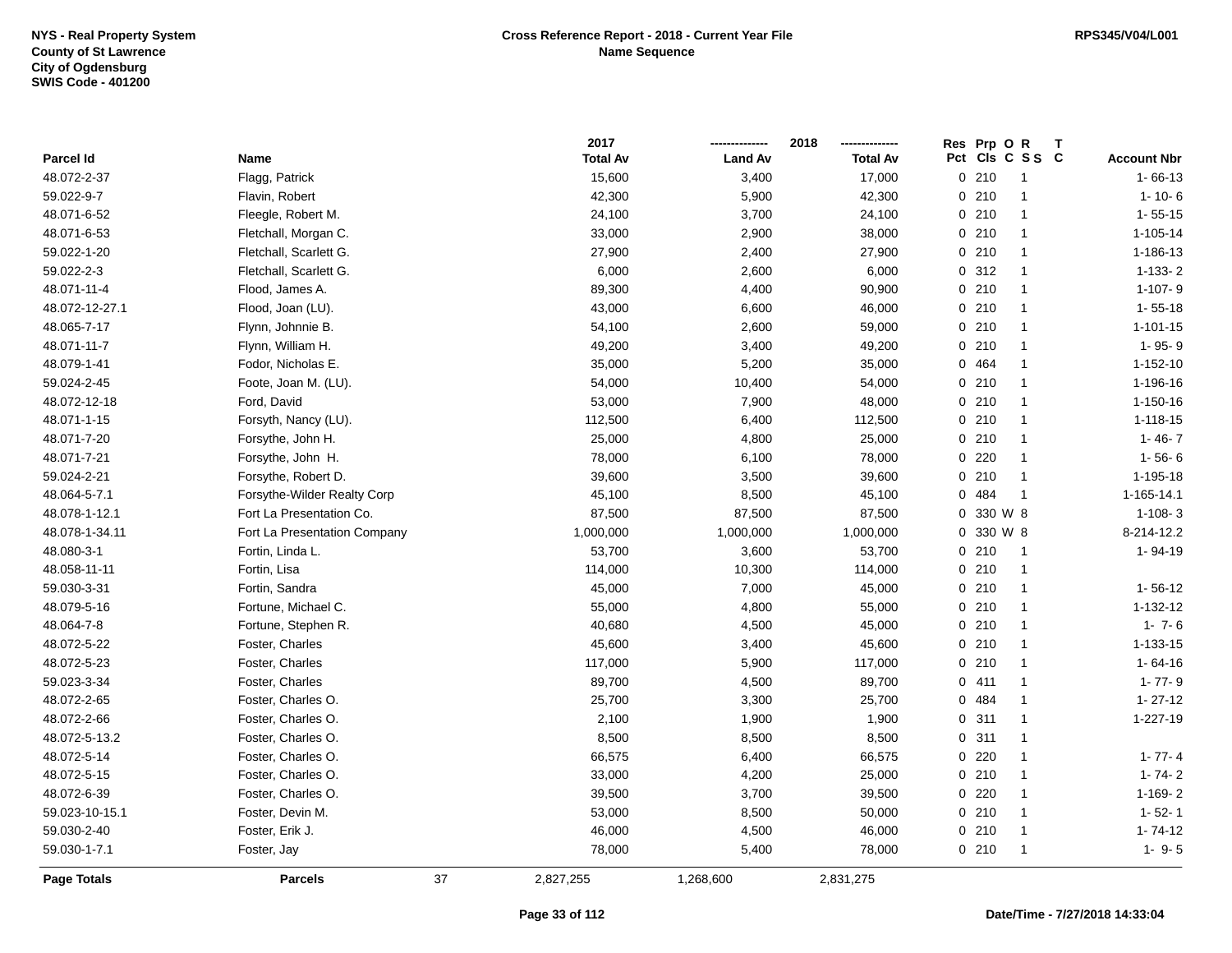|                    |                              |    | 2017            |                | 2018            | Res Prp O R |                 |                    |
|--------------------|------------------------------|----|-----------------|----------------|-----------------|-------------|-----------------|--------------------|
| Parcel Id          | Name                         |    | <b>Total Av</b> | <b>Land Av</b> | <b>Total Av</b> |             | Pct Cls C S S C | <b>Account Nbr</b> |
| 48.072-2-37        | Flagg, Patrick               |    | 15,600          | 3,400          | 17,000          | 0210        | $\overline{1}$  | $1 - 66 - 13$      |
| 59.022-9-7         | Flavin, Robert               |    | 42,300          | 5,900          | 42,300          | 0210        | $\overline{1}$  | $1 - 10 - 6$       |
| 48.071-6-52        | Fleegle, Robert M.           |    | 24,100          | 3,700          | 24,100          | 0210        | $\overline{1}$  | $1 - 55 - 15$      |
| 48.071-6-53        | Fletchall, Morgan C.         |    | 33,000          | 2,900          | 38,000          | 0210        | $\overline{1}$  | $1 - 105 - 14$     |
| 59.022-1-20        | Fletchall, Scarlett G.       |    | 27,900          | 2,400          | 27,900          | 0210        | $\mathbf{1}$    | 1-186-13           |
| 59.022-2-3         | Fletchall, Scarlett G.       |    | 6,000           | 2,600          | 6,000           | 0.312       | -1              | $1-133-2$          |
| 48.071-11-4        | Flood, James A.              |    | 89,300          | 4,400          | 90,900          | 0210        | $\mathbf{1}$    | $1-107-9$          |
| 48.072-12-27.1     | Flood, Joan (LU).            |    | 43,000          | 6,600          | 46,000          | 0210        | $\mathbf{1}$    | $1 - 55 - 18$      |
| 48.065-7-17        | Flynn, Johnnie B.            |    | 54,100          | 2,600          | 59,000          | 0210        | $\mathbf{1}$    | $1 - 101 - 15$     |
| 48.071-11-7        | Flynn, William H.            |    | 49,200          | 3,400          | 49,200          | 0210        | $\overline{1}$  | 1-95-9             |
| 48.079-1-41        | Fodor, Nicholas E.           |    | 35,000          | 5,200          | 35,000          | 0 464       | $\mathbf{1}$    | $1 - 152 - 10$     |
| 59.024-2-45        | Foote, Joan M. (LU).         |    | 54,000          | 10,400         | 54,000          | 0210        | $\overline{1}$  | 1-196-16           |
| 48.072-12-18       | Ford, David                  |    | 53,000          | 7,900          | 48,000          | 0210        | $\mathbf{1}$    | 1-150-16           |
| 48.071-1-15        | Forsyth, Nancy (LU).         |    | 112,500         | 6,400          | 112,500         | 0210        | $\overline{1}$  | $1 - 118 - 15$     |
| 48.071-7-20        | Forsythe, John H.            |    | 25,000          | 4,800          | 25,000          | 0210        | $\mathbf{1}$    | $1 - 46 - 7$       |
| 48.071-7-21        | Forsythe, John H.            |    | 78,000          | 6,100          | 78,000          | $0$ 220     | $\mathbf{1}$    | $1 - 56 - 6$       |
| 59.024-2-21        | Forsythe, Robert D.          |    | 39,600          | 3,500          | 39,600          | 0210        | $\mathbf{1}$    | 1-195-18           |
| 48.064-5-7.1       | Forsythe-Wilder Realty Corp  |    | 45,100          | 8,500          | 45,100          | 0 484       | $\overline{1}$  | 1-165-14.1         |
| 48.078-1-12.1      | Fort La Presentation Co.     |    | 87,500          | 87,500         | 87,500          | 0 330 W 8   |                 | $1-108-3$          |
| 48.078-1-34.11     | Fort La Presentation Company |    | 1,000,000       | 1,000,000      | 1,000,000       | 0 330 W 8   |                 | 8-214-12.2         |
| 48.080-3-1         | Fortin, Linda L.             |    | 53,700          | 3,600          | 53,700          | 0210        | $\overline{1}$  | 1-94-19            |
| 48.058-11-11       | Fortin, Lisa                 |    | 114,000         | 10,300         | 114,000         | 0210        | $\overline{1}$  |                    |
| 59.030-3-31        | Fortin, Sandra               |    | 45,000          | 7,000          | 45,000          | 0210        | $\mathbf{1}$    | $1 - 56 - 12$      |
| 48.079-5-16        | Fortune, Michael C.          |    | 55,000          | 4,800          | 55,000          | 0210        | $\overline{1}$  | 1-132-12           |
| 48.064-7-8         | Fortune, Stephen R.          |    | 40,680          | 4,500          | 45,000          | 0210        | $\overline{1}$  | $1 - 7 - 6$        |
| 48.072-5-22        | Foster, Charles              |    | 45,600          | 3,400          | 45,600          | 0210        | $\overline{1}$  | 1-133-15           |
| 48.072-5-23        | Foster, Charles              |    | 117,000         | 5,900          | 117,000         | 0210        | $\mathbf{1}$    | $1 - 64 - 16$      |
| 59.023-3-34        | Foster, Charles              |    | 89,700          | 4,500          | 89,700          | 0411        | $\mathbf{1}$    | $1 - 77 - 9$       |
| 48.072-2-65        | Foster, Charles O.           |    | 25,700          | 3,300          | 25,700          | 0 484       |                 | $1 - 27 - 12$      |
| 48.072-2-66        | Foster, Charles O.           |    | 2,100           | 1,900          | 1,900           | 0.311       | $\mathbf{1}$    | 1-227-19           |
| 48.072-5-13.2      | Foster, Charles O.           |    | 8,500           | 8,500          | 8,500           | 0.311       | $\mathbf{1}$    |                    |
| 48.072-5-14        | Foster, Charles O.           |    | 66,575          | 6,400          | 66,575          | $0$ 220     | $\overline{1}$  | $1 - 77 - 4$       |
| 48.072-5-15        | Foster, Charles O.           |    | 33,000          | 4,200          | 25,000          | 0210        | $\overline{1}$  | $1 - 74 - 2$       |
| 48.072-6-39        | Foster, Charles O.           |    | 39,500          | 3,700          | 39,500          | 0220        | $\overline{1}$  | $1-169-2$          |
| 59.023-10-15.1     | Foster, Devin M.             |    | 53,000          | 8,500          | 50,000          | 0210        | $\overline{1}$  | $1 - 52 - 1$       |
| 59.030-2-40        | Foster, Erik J.              |    | 46,000          | 4,500          | 46,000          | 0210        | $\overline{1}$  | $1 - 74 - 12$      |
| 59.030-1-7.1       | Foster, Jay                  |    | 78,000          | 5,400          | 78,000          | 0210        | $\mathbf{1}$    | $1 - 9 - 5$        |
| <b>Page Totals</b> | <b>Parcels</b>               | 37 | 2,827,255       | 1,268,600      | 2,831,275       |             |                 |                    |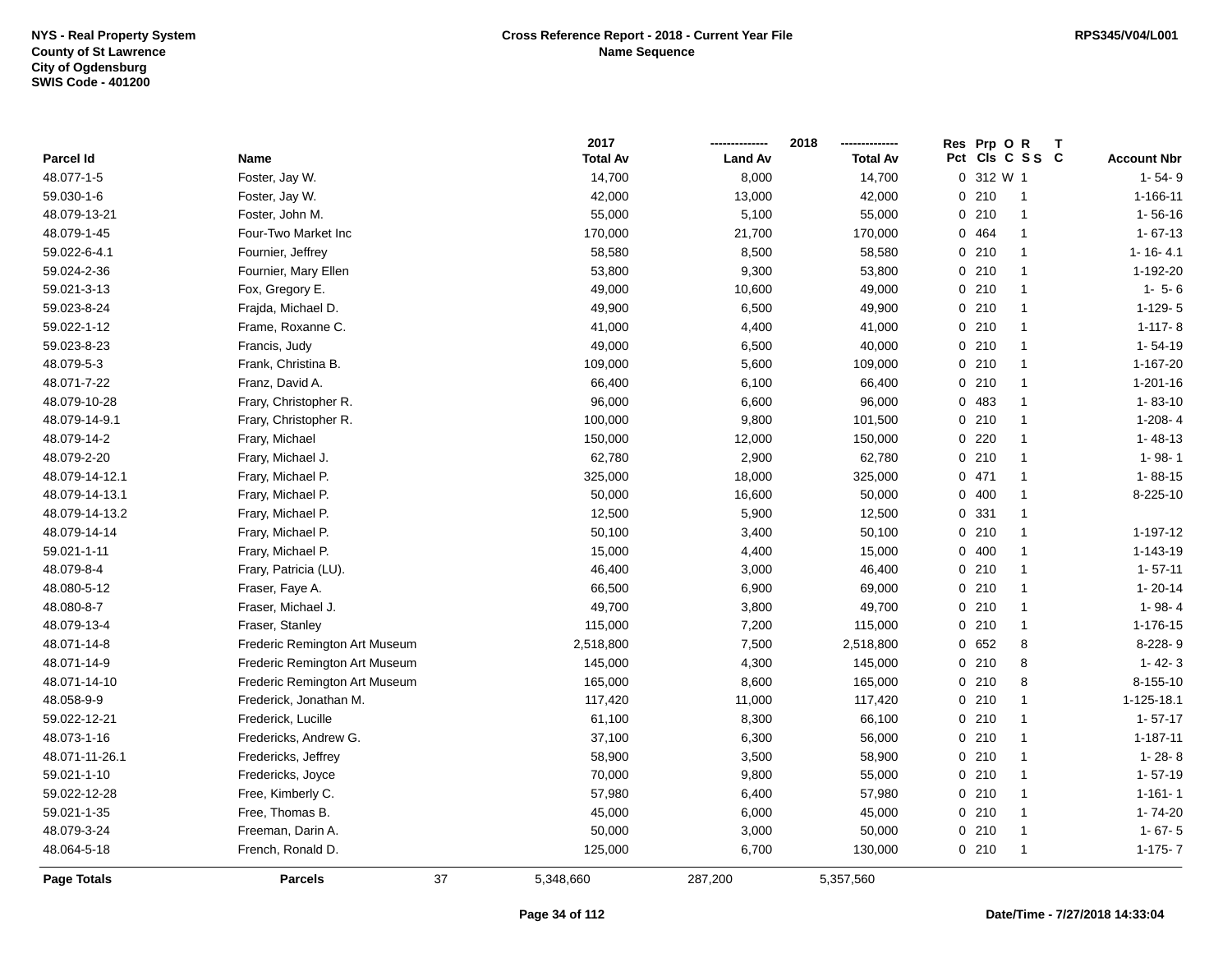|                    |                               |    | 2017            |                | 2018            | Res      | Prp OR                | Т |                    |
|--------------------|-------------------------------|----|-----------------|----------------|-----------------|----------|-----------------------|---|--------------------|
| Parcel Id          | Name                          |    | <b>Total Av</b> | <b>Land Av</b> | <b>Total Av</b> |          | Pct Cls C S S C       |   | <b>Account Nbr</b> |
| 48.077-1-5         | Foster, Jay W.                |    | 14,700          | 8,000          | 14,700          |          | 0 312 W 1             |   | $1 - 54 - 9$       |
| 59.030-1-6         | Foster, Jay W.                |    | 42,000          | 13,000         | 42,000          | $\Omega$ | 210<br>$\overline{1}$ |   | 1-166-11           |
| 48.079-13-21       | Foster, John M.               |    | 55,000          | 5,100          | 55,000          | 0210     | $\mathbf{1}$          |   | $1 - 56 - 16$      |
| 48.079-1-45        | Four-Two Market Inc           |    | 170,000         | 21,700         | 170,000         | 0 464    | $\mathbf{1}$          |   | $1 - 67 - 13$      |
| 59.022-6-4.1       | Fournier, Jeffrey             |    | 58,580          | 8,500          | 58,580          | 0210     | -1                    |   | $1 - 16 - 4.1$     |
| 59.024-2-36        | Fournier, Mary Ellen          |    | 53,800          | 9,300          | 53,800          | 0210     | -1                    |   | 1-192-20           |
| 59.021-3-13        | Fox, Gregory E.               |    | 49,000          | 10,600         | 49,000          | 0210     | $\mathbf{1}$          |   | $1 - 5 - 6$        |
| 59.023-8-24        | Frajda, Michael D.            |    | 49,900          | 6,500          | 49,900          |          | 0210<br>$\mathbf{1}$  |   | $1-129-5$          |
| 59.022-1-12        | Frame, Roxanne C.             |    | 41,000          | 4,400          | 41,000          | 0210     | $\mathbf{1}$          |   | $1 - 117 - 8$      |
| 59.023-8-23        | Francis, Judy                 |    | 49,000          | 6,500          | 40,000          |          | 0210<br>$\mathbf{1}$  |   | $1 - 54 - 19$      |
| 48.079-5-3         | Frank, Christina B.           |    | 109,000         | 5,600          | 109,000         | 0210     | $\mathbf{1}$          |   | 1-167-20           |
| 48.071-7-22        | Franz, David A.               |    | 66,400          | 6,100          | 66,400          |          | 0210<br>$\mathbf{1}$  |   | $1 - 201 - 16$     |
| 48.079-10-28       | Frary, Christopher R.         |    | 96,000          | 6,600          | 96,000          | 0 483    | -1                    |   | $1 - 83 - 10$      |
| 48.079-14-9.1      | Frary, Christopher R.         |    | 100,000         | 9,800          | 101,500         | 0210     | -1                    |   | $1-208 - 4$        |
| 48.079-14-2        | Frary, Michael                |    | 150,000         | 12,000         | 150,000         | $0$ 220  | $\mathbf{1}$          |   | $1 - 48 - 13$      |
| 48.079-2-20        | Frary, Michael J.             |    | 62,780          | 2,900          | 62,780          |          | 0210<br>$\mathbf{1}$  |   | $1 - 98 - 1$       |
| 48.079-14-12.1     | Frary, Michael P.             |    | 325,000         | 18,000         | 325,000         | 0471     | $\mathbf{1}$          |   | $1 - 88 - 15$      |
| 48.079-14-13.1     | Frary, Michael P.             |    | 50,000          | 16,600         | 50,000          | 0400     | $\mathbf{1}$          |   | 8-225-10           |
| 48.079-14-13.2     | Frary, Michael P.             |    | 12,500          | 5,900          | 12,500          | 0 331    | $\mathbf{1}$          |   |                    |
| 48.079-14-14       | Frary, Michael P.             |    | 50,100          | 3,400          | 50,100          | 0210     | -1                    |   | 1-197-12           |
| 59.021-1-11        | Frary, Michael P.             |    | 15,000          | 4,400          | 15,000          | 0400     | -1                    |   | 1-143-19           |
| 48.079-8-4         | Frary, Patricia (LU).         |    | 46,400          | 3,000          | 46,400          | 0210     | $\mathbf{1}$          |   | $1 - 57 - 11$      |
| 48.080-5-12        | Fraser, Faye A.               |    | 66,500          | 6,900          | 69,000          | 0210     | $\mathbf{1}$          |   | $1 - 20 - 14$      |
| 48.080-8-7         | Fraser, Michael J.            |    | 49,700          | 3,800          | 49,700          |          | 0210<br>$\mathbf{1}$  |   | 1-98-4             |
| 48.079-13-4        | Fraser, Stanley               |    | 115,000         | 7,200          | 115,000         |          | 0210<br>$\mathbf{1}$  |   | 1-176-15           |
| 48.071-14-8        | Frederic Remington Art Museum |    | 2,518,800       | 7,500          | 2,518,800       |          | 0652<br>8             |   | 8-228-9            |
| 48.071-14-9        | Frederic Remington Art Museum |    | 145,000         | 4,300          | 145,000         |          | 0210<br>8             |   | $1 - 42 - 3$       |
| 48.071-14-10       | Frederic Remington Art Museum |    | 165,000         | 8,600          | 165,000         | 0210     | 8                     |   | 8-155-10           |
| 48.058-9-9         | Frederick, Jonathan M.        |    | 117,420         | 11,000         | 117,420         |          | 0210<br>$\mathbf{1}$  |   | 1-125-18.1         |
| 59.022-12-21       | Frederick, Lucille            |    | 61,100          | 8,300          | 66,100          | 0210     | -1                    |   | $1 - 57 - 17$      |
| 48.073-1-16        | Fredericks, Andrew G.         |    | 37,100          | 6,300          | 56,000          |          | 0210<br>$\mathbf{1}$  |   | 1-187-11           |
| 48.071-11-26.1     | Fredericks, Jeffrey           |    | 58,900          | 3,500          | 58,900          | 0210     | $\mathbf{1}$          |   | $1 - 28 - 8$       |
| 59.021-1-10        | Fredericks, Joyce             |    | 70,000          | 9,800          | 55,000          | 0210     | $\mathbf{1}$          |   | $1 - 57 - 19$      |
| 59.022-12-28       | Free, Kimberly C.             |    | 57,980          | 6,400          | 57,980          | 0210     | $\mathbf{1}$          |   | $1 - 161 - 1$      |
| 59.021-1-35        | Free, Thomas B.               |    | 45,000          | 6,000          | 45,000          |          | 0210<br>$\mathbf{1}$  |   | 1-74-20            |
| 48.079-3-24        | Freeman, Darin A.             |    | 50,000          | 3,000          | 50,000          | 0210     | $\mathbf{1}$          |   | $1 - 67 - 5$       |
| 48.064-5-18        | French, Ronald D.             |    | 125,000         | 6,700          | 130,000         | 0210     | $\mathbf 1$           |   | $1-175-7$          |
| <b>Page Totals</b> | <b>Parcels</b>                | 37 | 5,348,660       | 287,200        | 5,357,560       |          |                       |   |                    |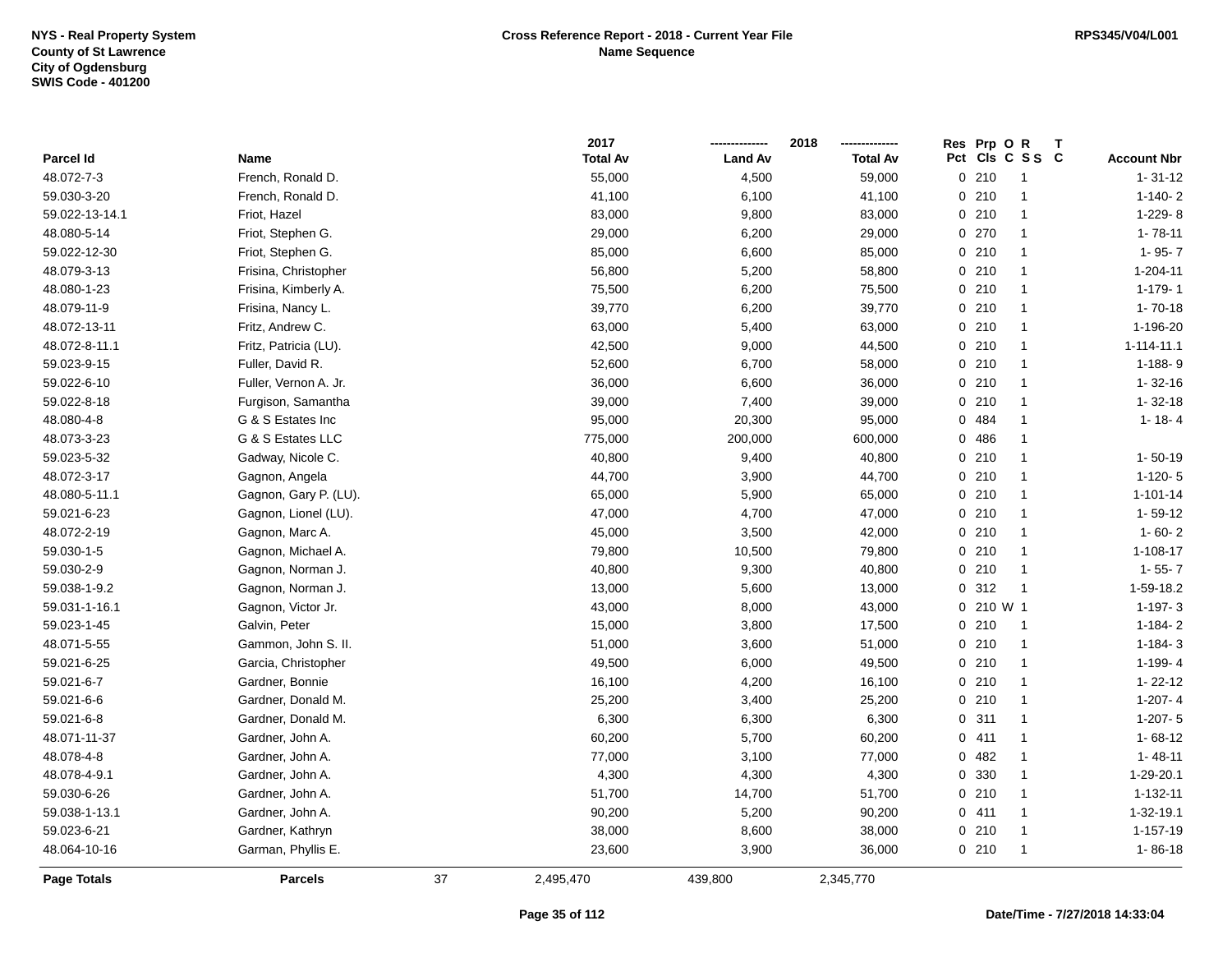|                    |                       |    | 2017            |                | 2018            |              | Res Prp O R         |                    |
|--------------------|-----------------------|----|-----------------|----------------|-----------------|--------------|---------------------|--------------------|
| Parcel Id          | Name                  |    | <b>Total Av</b> | <b>Land Av</b> | <b>Total Av</b> |              | Pct Cls C S S C     | <b>Account Nbr</b> |
| 48.072-7-3         | French, Ronald D.     |    | 55,000          | 4,500          | 59,000          | 0210         | $\mathbf{1}$        | $1 - 31 - 12$      |
| 59.030-3-20        | French, Ronald D.     |    | 41,100          | 6,100          | 41,100          | 0210         | $\mathbf{1}$        | $1-140-2$          |
| 59.022-13-14.1     | Friot, Hazel          |    | 83,000          | 9,800          | 83,000          | 0210         | $\mathbf 1$         | 1-229-8            |
| 48.080-5-14        | Friot, Stephen G.     |    | 29,000          | 6,200          | 29,000          | 0 270        | $\mathbf{1}$        | $1 - 78 - 11$      |
| 59.022-12-30       | Friot, Stephen G.     |    | 85,000          | 6,600          | 85,000          | 0210         | $\mathbf{1}$        | $1 - 95 - 7$       |
| 48.079-3-13        | Frisina, Christopher  |    | 56,800          | 5,200          | 58,800          | 0210         | $\mathbf 1$         | 1-204-11           |
| 48.080-1-23        | Frisina, Kimberly A.  |    | 75,500          | 6,200          | 75,500          | 0210         | $\mathbf{1}$        | $1-179-1$          |
| 48.079-11-9        | Frisina, Nancy L.     |    | 39,770          | 6,200          | 39,770          | 0210         | $\mathbf{1}$        | $1 - 70 - 18$      |
| 48.072-13-11       | Fritz, Andrew C.      |    | 63,000          | 5,400          | 63,000          | 0210         | $\mathbf{1}$        | 1-196-20           |
| 48.072-8-11.1      | Fritz, Patricia (LU). |    | 42,500          | 9,000          | 44,500          | 0210         | $\mathbf{1}$        | $1 - 114 - 11.1$   |
| 59.023-9-15        | Fuller, David R.      |    | 52,600          | 6,700          | 58,000          | 0210         | $\mathbf{1}$        | $1 - 188 - 9$      |
| 59.022-6-10        | Fuller, Vernon A. Jr. |    | 36,000          | 6,600          | 36,000          | 0210         | -1                  | $1 - 32 - 16$      |
| 59.022-8-18        | Furgison, Samantha    |    | 39,000          | 7,400          | 39,000          | 0210         | -1                  | $1 - 32 - 18$      |
| 48.080-4-8         | G & S Estates Inc     |    | 95,000          | 20,300         | 95,000          | 0 484        | -1                  | $1 - 18 - 4$       |
| 48.073-3-23        | G & S Estates LLC     |    | 775,000         | 200,000        | 600,000         | $\mathbf 0$  | 486<br>-1           |                    |
| 59.023-5-32        | Gadway, Nicole C.     |    | 40,800          | 9,400          | 40,800          | 0210         | $\mathbf{1}$        | $1 - 50 - 19$      |
| 48.072-3-17        | Gagnon, Angela        |    | 44,700          | 3,900          | 44,700          | 0210         | $\mathbf 1$         | $1-120-5$          |
| 48.080-5-11.1      | Gagnon, Gary P. (LU). |    | 65,000          | 5,900          | 65,000          | 0210         | $\mathbf{1}$        | $1 - 101 - 14$     |
| 59.021-6-23        | Gagnon, Lionel (LU).  |    | 47,000          | 4,700          | 47,000          | 0210         | $\mathbf{1}$        | $1 - 59 - 12$      |
| 48.072-2-19        | Gagnon, Marc A.       |    | 45,000          | 3,500          | 42,000          | 0210         | -1                  | $1 - 60 - 2$       |
| 59.030-1-5         | Gagnon, Michael A.    |    | 79,800          | 10,500         | 79,800          | 0210         | $\mathbf 1$         | 1-108-17           |
| 59.030-2-9         | Gagnon, Norman J.     |    | 40,800          | 9,300          | 40,800          | 0210         | $\mathbf 1$         | $1 - 55 - 7$       |
| 59.038-1-9.2       | Gagnon, Norman J.     |    | 13,000          | 5,600          | 13,000          | 0.312        | $\overline{1}$      | 1-59-18.2          |
| 59.031-1-16.1      | Gagnon, Victor Jr.    |    | 43,000          | 8,000          | 43,000          |              | 0 210 W 1           | $1-197-3$          |
| 59.023-1-45        | Galvin, Peter         |    | 15,000          | 3,800          | 17,500          | 0210         | $\overline{1}$      | $1 - 184 - 2$      |
| 48.071-5-55        | Gammon, John S. II.   |    | 51,000          | 3,600          | 51,000          | 0210         | $\mathbf{1}$        | $1 - 184 - 3$      |
| 59.021-6-25        | Garcia, Christopher   |    | 49,500          | 6,000          | 49,500          | 0210         | $\mathbf{1}$        | $1-199-4$          |
| 59.021-6-7         | Gardner, Bonnie       |    | 16,100          | 4,200          | 16,100          | 0210         | $\mathbf{1}$        | $1 - 22 - 12$      |
| 59.021-6-6         | Gardner, Donald M.    |    | 25,200          | 3,400          | 25,200          | 0210         | -1                  | $1-207 - 4$        |
| 59.021-6-8         | Gardner, Donald M.    |    | 6,300           | 6,300          | 6,300           | 0.311        | $\mathbf{1}$        | $1-207 - 5$        |
| 48.071-11-37       | Gardner, John A.      |    | 60,200          | 5,700          | 60,200          | 0411         | $\mathbf{1}$        | $1 - 68 - 12$      |
| 48.078-4-8         | Gardner, John A.      |    | 77,000          | 3,100          | 77,000          | 0482         | $\mathbf{1}$        | $1 - 48 - 11$      |
| 48.078-4-9.1       | Gardner, John A.      |    | 4,300           | 4,300          | 4,300           | $\mathbf{0}$ | 330<br>$\mathbf{1}$ | 1-29-20.1          |
| 59.030-6-26        | Gardner, John A.      |    | 51,700          | 14,700         | 51,700          | 0210         | $\mathbf{1}$        | 1-132-11           |
| 59.038-1-13.1      | Gardner, John A.      |    | 90,200          | 5,200          | 90,200          | 0411         | $\mathbf{1}$        | 1-32-19.1          |
| 59.023-6-21        | Gardner, Kathryn      |    | 38,000          | 8,600          | 38,000          | 0210         | -1                  | 1-157-19           |
| 48.064-10-16       | Garman, Phyllis E.    |    | 23,600          | 3,900          | 36,000          | 0210         | $\mathbf{1}$        | $1 - 86 - 18$      |
| <b>Page Totals</b> | <b>Parcels</b>        | 37 | 2,495,470       | 439,800        | 2,345,770       |              |                     |                    |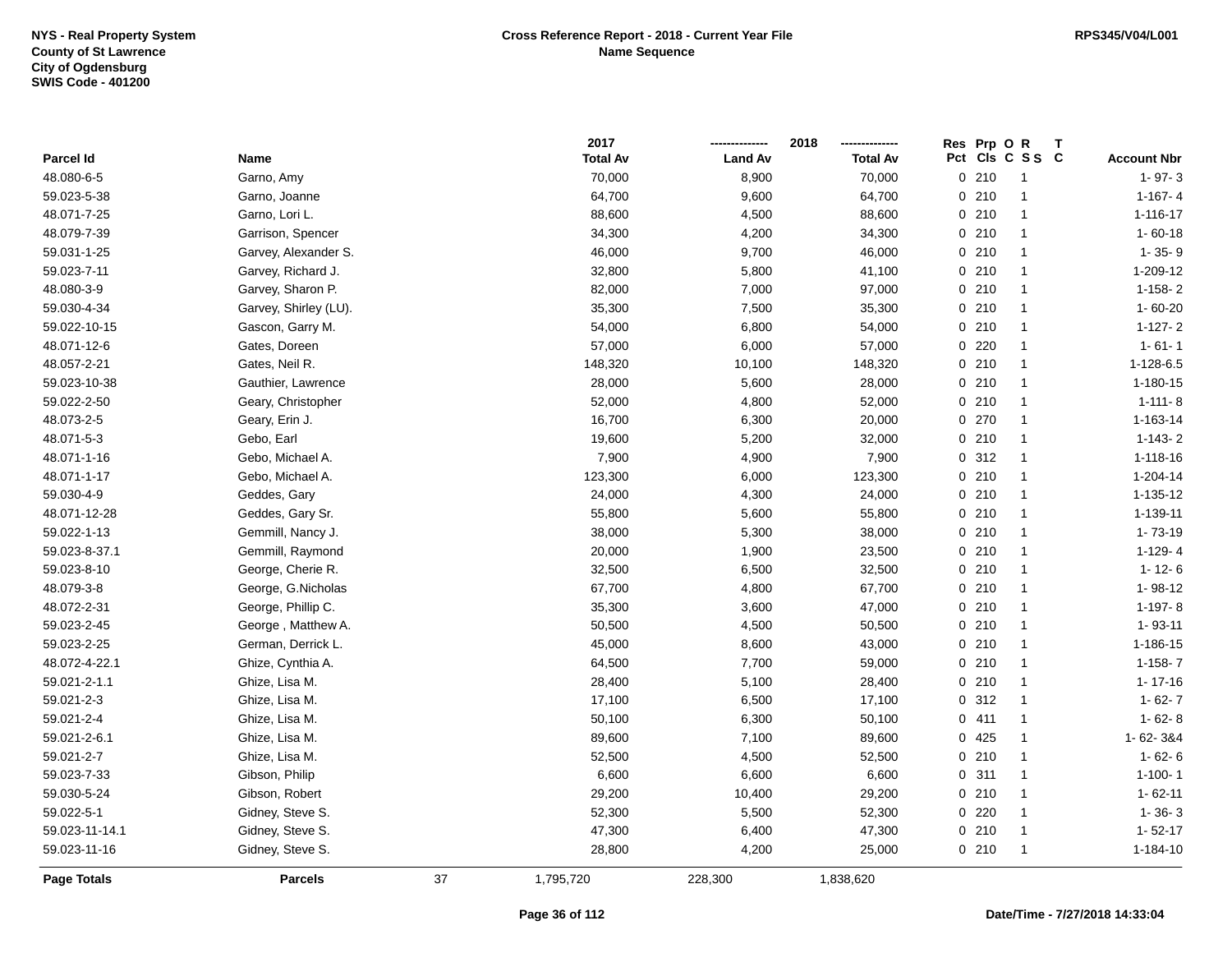|                    |                       |    | 2017            |                | 2018            |       | Res Prp O R |                 |                    |
|--------------------|-----------------------|----|-----------------|----------------|-----------------|-------|-------------|-----------------|--------------------|
| Parcel Id          | Name                  |    | <b>Total Av</b> | <b>Land Av</b> | <b>Total Av</b> |       |             | Pct Cls C S S C | <b>Account Nbr</b> |
| 48.080-6-5         | Garno, Amy            |    | 70,000          | 8,900          | 70,000          |       | 0210        | $\mathbf{1}$    | $1 - 97 - 3$       |
| 59.023-5-38        | Garno, Joanne         |    | 64,700          | 9,600          | 64,700          |       | 0210        | $\mathbf{1}$    | $1-167-4$          |
| 48.071-7-25        | Garno, Lori L.        |    | 88,600          | 4,500          | 88,600          |       | 0210        | $\mathbf{1}$    | 1-116-17           |
| 48.079-7-39        | Garrison, Spencer     |    | 34,300          | 4,200          | 34,300          |       | 0210        | $\mathbf{1}$    | $1 - 60 - 18$      |
| 59.031-1-25        | Garvey, Alexander S.  |    | 46,000          | 9,700          | 46,000          |       | 0210        | $\mathbf{1}$    | $1 - 35 - 9$       |
| 59.023-7-11        | Garvey, Richard J.    |    | 32,800          | 5,800          | 41,100          |       | 0210        | $\mathbf{1}$    | 1-209-12           |
| 48.080-3-9         | Garvey, Sharon P.     |    | 82,000          | 7,000          | 97,000          |       | 0210        | $\mathbf{1}$    | $1 - 158 - 2$      |
| 59.030-4-34        | Garvey, Shirley (LU). |    | 35,300          | 7,500          | 35,300          |       | 0210        | $\mathbf{1}$    | $1 - 60 - 20$      |
| 59.022-10-15       | Gascon, Garry M.      |    | 54,000          | 6,800          | 54,000          |       | 0210        | $\mathbf{1}$    | $1-127-2$          |
| 48.071-12-6        | Gates, Doreen         |    | 57,000          | 6,000          | 57,000          | 0     | 220         | $\mathbf{1}$    | $1 - 61 - 1$       |
| 48.057-2-21        | Gates, Neil R.        |    | 148,320         | 10,100         | 148,320         |       | 0210        | $\mathbf{1}$    | $1-128-6.5$        |
| 59.023-10-38       | Gauthier, Lawrence    |    | 28,000          | 5,600          | 28,000          |       | 0210        | -1              | $1 - 180 - 15$     |
| 59.022-2-50        | Geary, Christopher    |    | 52,000          | 4,800          | 52,000          | 0210  |             | $\overline{1}$  | $1 - 111 - 8$      |
| 48.073-2-5         | Geary, Erin J.        |    | 16,700          | 6,300          | 20,000          | 0270  |             | $\mathbf{1}$    | 1-163-14           |
| 48.071-5-3         | Gebo, Earl            |    | 19,600          | 5,200          | 32,000          |       | 0210        | $\mathbf{1}$    | $1-143-2$          |
| 48.071-1-16        | Gebo, Michael A.      |    | 7,900           | 4,900          | 7,900           |       | 0.312       | $\mathbf{1}$    | $1 - 118 - 16$     |
| 48.071-1-17        | Gebo, Michael A.      |    | 123,300         | 6,000          | 123,300         |       | 0210        | $\mathbf{1}$    | 1-204-14           |
| 59.030-4-9         | Geddes, Gary          |    | 24,000          | 4,300          | 24,000          |       | 0210        | $\mathbf{1}$    | 1-135-12           |
| 48.071-12-28       | Geddes, Gary Sr.      |    | 55,800          | 5,600          | 55,800          |       | 0210        | $\mathbf{1}$    | 1-139-11           |
| 59.022-1-13        | Gemmill, Nancy J.     |    | 38,000          | 5,300          | 38,000          |       | 0210        | -1              | $1 - 73 - 19$      |
| 59.023-8-37.1      | Gemmill, Raymond      |    | 20,000          | 1,900          | 23,500          |       | 0210        | $\mathbf{1}$    | $1-129-4$          |
| 59.023-8-10        | George, Cherie R.     |    | 32,500          | 6,500          | 32,500          |       | 0210        | -1              | $1 - 12 - 6$       |
| 48.079-3-8         | George, G.Nicholas    |    | 67,700          | 4,800          | 67,700          |       | 0210        | $\mathbf{1}$    | $1 - 98 - 12$      |
| 48.072-2-31        | George, Phillip C.    |    | 35,300          | 3,600          | 47,000          |       | 0210        | $\mathbf{1}$    | $1-197-8$          |
| 59.023-2-45        | George, Matthew A.    |    | 50,500          | 4,500          | 50,500          |       | 0210        | $\mathbf{1}$    | $1 - 93 - 11$      |
| 59.023-2-25        | German, Derrick L.    |    | 45,000          | 8,600          | 43,000          |       | 0210        | $\mathbf{1}$    | 1-186-15           |
| 48.072-4-22.1      | Ghize, Cynthia A.     |    | 64,500          | 7,700          | 59,000          |       | 0210        | $\mathbf{1}$    | $1 - 158 - 7$      |
| 59.021-2-1.1       | Ghize, Lisa M.        |    | 28,400          | 5,100          | 28,400          |       | 0210        | $\mathbf{1}$    | $1 - 17 - 16$      |
| 59.021-2-3         | Ghize, Lisa M.        |    | 17,100          | 6,500          | 17,100          |       | 0.312       | -1              | $1 - 62 - 7$       |
| 59.021-2-4         | Ghize, Lisa M.        |    | 50,100          | 6,300          | 50,100          | 0411  |             | $\mathbf{1}$    | $1 - 62 - 8$       |
| 59.021-2-6.1       | Ghize, Lisa M.        |    | 89,600          | 7,100          | 89,600          | 0 425 |             | $\overline{1}$  | 1-62-3&4           |
| 59.021-2-7         | Ghize, Lisa M.        |    | 52,500          | 4,500          | 52,500          |       | 0210        | $\mathbf{1}$    | $1 - 62 - 6$       |
| 59.023-7-33        | Gibson, Philip        |    | 6,600           | 6,600          | 6,600           | 0.311 |             | $\mathbf{1}$    | $1 - 100 - 1$      |
| 59.030-5-24        | Gibson, Robert        |    | 29,200          | 10,400         | 29,200          |       | 0210        | $\mathbf{1}$    | $1 - 62 - 11$      |
| 59.022-5-1         | Gidney, Steve S.      |    | 52,300          | 5,500          | 52,300          |       | 0220        | $\mathbf{1}$    | $1 - 36 - 3$       |
| 59.023-11-14.1     | Gidney, Steve S.      |    | 47,300          | 6,400          | 47,300          |       | 0210        | -1              | $1 - 52 - 17$      |
| 59.023-11-16       | Gidney, Steve S.      |    | 28,800          | 4,200          | 25,000          |       | 0210        | $\mathbf{1}$    | 1-184-10           |
| <b>Page Totals</b> | <b>Parcels</b>        | 37 | 1,795,720       | 228,300        | 1,838,620       |       |             |                 |                    |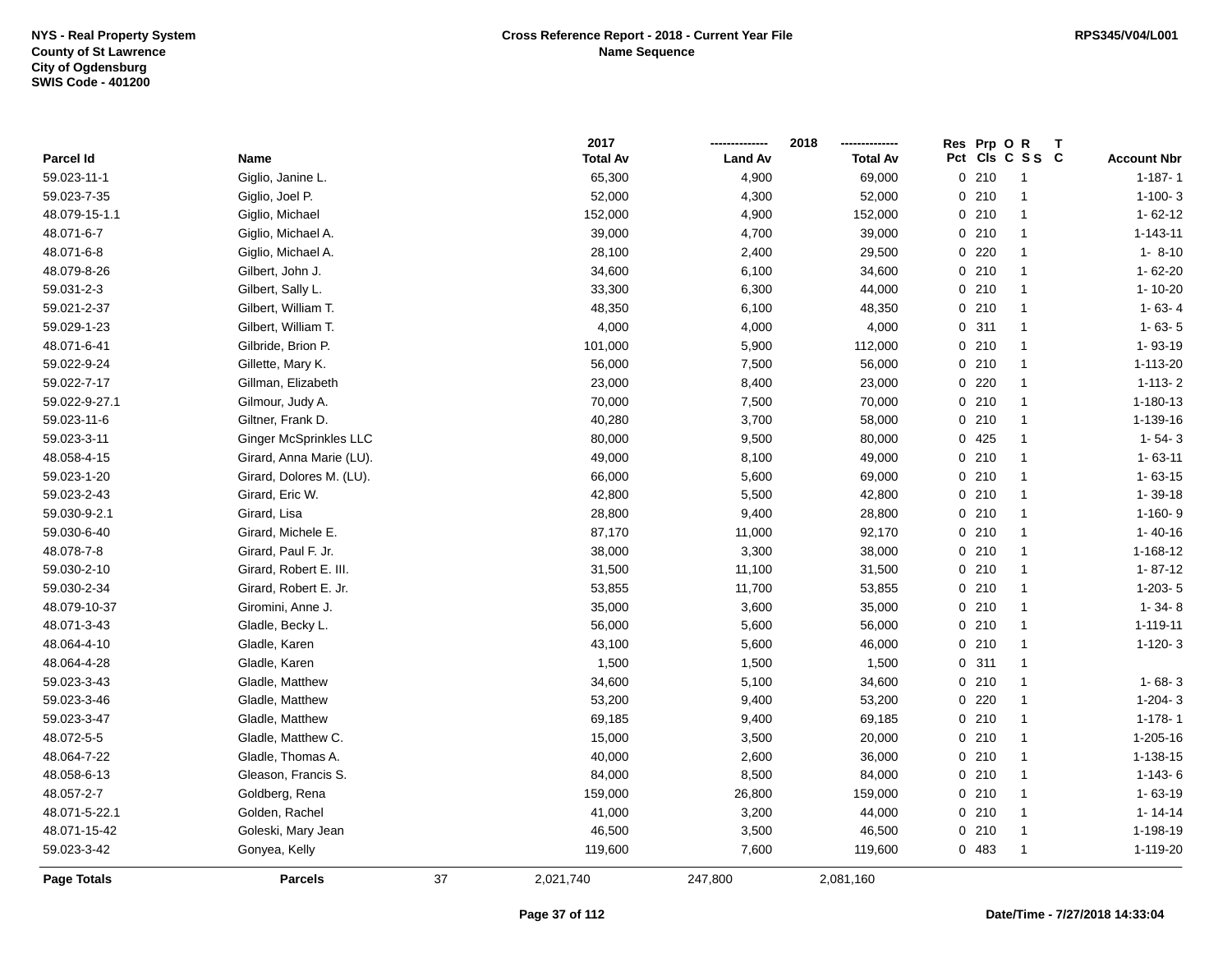|               |                               |    | 2017            |                | 2018            | Res            | Prp OR |                 | Т                  |
|---------------|-------------------------------|----|-----------------|----------------|-----------------|----------------|--------|-----------------|--------------------|
| Parcel Id     | Name                          |    | <b>Total Av</b> | <b>Land Av</b> | <b>Total Av</b> |                |        | Pct Cls C S S C | <b>Account Nbr</b> |
| 59.023-11-1   | Giglio, Janine L.             |    | 65,300          | 4,900          | 69,000          | $\overline{0}$ | 210    | $\mathbf{1}$    | $1 - 187 - 1$      |
| 59.023-7-35   | Giglio, Joel P.               |    | 52,000          | 4,300          | 52,000          |                | 0210   | $\mathbf{1}$    | $1-100-3$          |
| 48.079-15-1.1 | Giglio, Michael               |    | 152,000         | 4,900          | 152,000         |                | 0210   | $\mathbf{1}$    | $1 - 62 - 12$      |
| 48.071-6-7    | Giglio, Michael A.            |    | 39,000          | 4,700          | 39,000          |                | 0210   | $\mathbf{1}$    | $1 - 143 - 11$     |
| 48.071-6-8    | Giglio, Michael A.            |    | 28,100          | 2,400          | 29,500          |                | 0.220  | $\mathbf{1}$    | $1 - 8 - 10$       |
| 48.079-8-26   | Gilbert, John J.              |    | 34,600          | 6,100          | 34,600          |                | 0210   | $\mathbf{1}$    | $1 - 62 - 20$      |
| 59.031-2-3    | Gilbert, Sally L.             |    | 33,300          | 6,300          | 44,000          |                | 0210   | $\mathbf{1}$    | 1-10-20            |
| 59.021-2-37   | Gilbert, William T.           |    | 48,350          | 6,100          | 48,350          |                | 0210   | $\mathbf{1}$    | $1 - 63 - 4$       |
| 59.029-1-23   | Gilbert, William T.           |    | 4,000           | 4,000          | 4,000           |                | 0.311  | $\mathbf{1}$    | $1 - 63 - 5$       |
| 48.071-6-41   | Gilbride, Brion P.            |    | 101,000         | 5,900          | 112,000         |                | 0210   | $\mathbf{1}$    | 1-93-19            |
| 59.022-9-24   | Gillette, Mary K.             |    | 56,000          | 7,500          | 56,000          |                | 0210   | $\mathbf{1}$    | 1-113-20           |
| 59.022-7-17   | Gillman, Elizabeth            |    | 23,000          | 8,400          | 23,000          |                | 0220   | $\mathbf{1}$    | $1 - 113 - 2$      |
| 59.022-9-27.1 | Gilmour, Judy A.              |    | 70,000          | 7,500          | 70,000          |                | 0210   | $\mathbf{1}$    | 1-180-13           |
| 59.023-11-6   | Giltner, Frank D.             |    | 40,280          | 3,700          | 58,000          |                | 0210   | $\mathbf{1}$    | 1-139-16           |
| 59.023-3-11   | <b>Ginger McSprinkles LLC</b> |    | 80,000          | 9,500          | 80,000          |                | 0 425  | $\mathbf{1}$    | $1 - 54 - 3$       |
| 48.058-4-15   | Girard, Anna Marie (LU).      |    | 49,000          | 8,100          | 49,000          |                | 0210   | $\mathbf{1}$    | $1 - 63 - 11$      |
| 59.023-1-20   | Girard, Dolores M. (LU).      |    | 66,000          | 5,600          | 69,000          |                | 0210   | $\mathbf{1}$    | $1 - 63 - 15$      |
| 59.023-2-43   | Girard, Eric W.               |    | 42,800          | 5,500          | 42,800          |                | 0210   | $\mathbf{1}$    | $1 - 39 - 18$      |
| 59.030-9-2.1  | Girard, Lisa                  |    | 28,800          | 9,400          | 28,800          |                | 0210   | $\mathbf{1}$    | $1-160-9$          |
| 59.030-6-40   | Girard, Michele E.            |    | 87,170          | 11,000         | 92,170          |                | 0210   | $\mathbf{1}$    | $1 - 40 - 16$      |
| 48.078-7-8    | Girard, Paul F. Jr.           |    | 38,000          | 3,300          | 38,000          |                | 0210   | $\mathbf{1}$    | 1-168-12           |
| 59.030-2-10   | Girard, Robert E. III.        |    | 31,500          | 11,100         | 31,500          |                | 0210   | $\mathbf{1}$    | $1 - 87 - 12$      |
| 59.030-2-34   | Girard, Robert E. Jr.         |    | 53,855          | 11,700         | 53,855          |                | 0210   | $\mathbf{1}$    | $1-203-5$          |
| 48.079-10-37  | Giromini, Anne J.             |    | 35,000          | 3,600          | 35,000          |                | 0210   | $\mathbf{1}$    | $1 - 34 - 8$       |
| 48.071-3-43   | Gladle, Becky L.              |    | 56,000          | 5,600          | 56,000          |                | 0210   | $\mathbf{1}$    | 1-119-11           |
| 48.064-4-10   | Gladle, Karen                 |    | 43,100          | 5,600          | 46,000          |                | 0210   | $\mathbf{1}$    | $1-120-3$          |
| 48.064-4-28   | Gladle, Karen                 |    | 1,500           | 1,500          | 1,500           |                | 0.311  | 1               |                    |
| 59.023-3-43   | Gladle, Matthew               |    | 34,600          | 5,100          | 34,600          |                | 0210   | $\mathbf{1}$    | $1 - 68 - 3$       |
| 59.023-3-46   | Gladle, Matthew               |    | 53,200          | 9,400          | 53,200          |                | 0.220  | $\mathbf{1}$    | $1-204-3$          |
| 59.023-3-47   | Gladle, Matthew               |    | 69,185          | 9,400          | 69,185          |                | 0210   | $\mathbf{1}$    | $1 - 178 - 1$      |
| 48.072-5-5    | Gladle, Matthew C.            |    | 15,000          | 3,500          | 20,000          |                | 0210   | 1               | 1-205-16           |
| 48.064-7-22   | Gladle, Thomas A.             |    | 40,000          | 2,600          | 36,000          |                | 0210   | 1               | 1-138-15           |
| 48.058-6-13   | Gleason, Francis S.           |    | 84,000          | 8,500          | 84,000          |                | 0210   | 1               | $1 - 143 - 6$      |
| 48.057-2-7    | Goldberg, Rena                |    | 159,000         | 26,800         | 159,000         |                | 0210   | $\mathbf{1}$    | $1 - 63 - 19$      |
| 48.071-5-22.1 | Golden, Rachel                |    | 41,000          | 3,200          | 44,000          |                | 0210   | $\mathbf{1}$    | $1 - 14 - 14$      |
| 48.071-15-42  | Goleski, Mary Jean            |    | 46,500          | 3,500          | 46,500          |                | 0210   | $\overline{1}$  | 1-198-19           |
| 59.023-3-42   | Gonyea, Kelly                 |    | 119,600         | 7,600          | 119,600         |                | 0 483  | $\mathbf{1}$    | 1-119-20           |
| Page Totals   | <b>Parcels</b>                | 37 | 2,021,740       | 247,800        | 2,081,160       |                |        |                 |                    |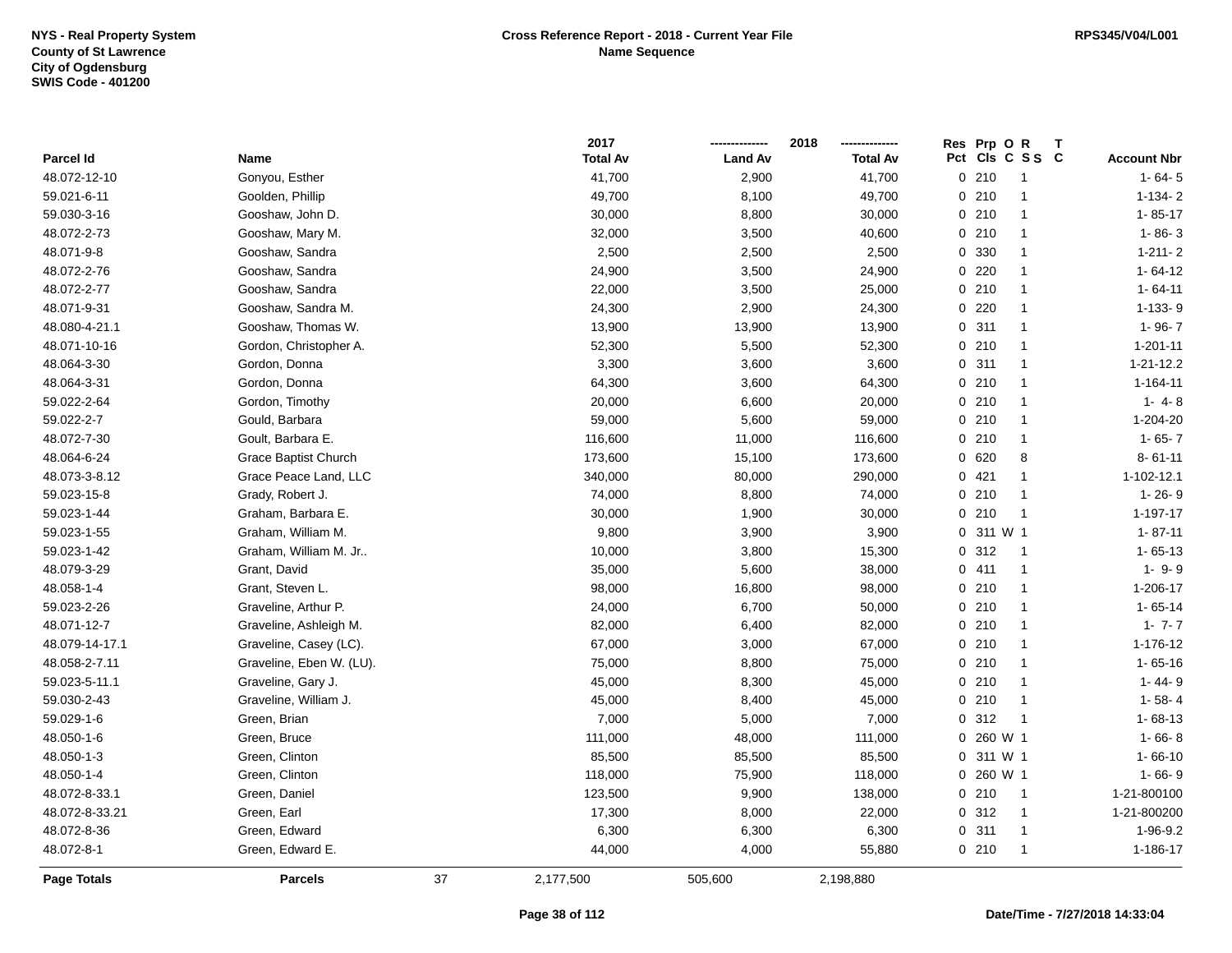|                    |                          |    | 2017            |                | 2018            |      | Res Prp O R             |                    |
|--------------------|--------------------------|----|-----------------|----------------|-----------------|------|-------------------------|--------------------|
| Parcel Id          | Name                     |    | <b>Total Av</b> | <b>Land Av</b> | <b>Total Av</b> |      | Pct Cls C S S C         | <b>Account Nbr</b> |
| 48.072-12-10       | Gonyou, Esther           |    | 41,700          | 2,900          | 41,700          |      | 0210<br>$\overline{1}$  | $1 - 64 - 5$       |
| 59.021-6-11        | Goolden, Phillip         |    | 49,700          | 8,100          | 49,700          |      | 0210<br>$\overline{1}$  | $1-134-2$          |
| 59.030-3-16        | Gooshaw, John D.         |    | 30,000          | 8,800          | 30,000          |      | 0210<br>$\mathbf{1}$    | $1 - 85 - 17$      |
| 48.072-2-73        | Gooshaw, Mary M.         |    | 32,000          | 3,500          | 40,600          |      | 0210<br>$\mathbf{1}$    | $1 - 86 - 3$       |
| 48.071-9-8         | Gooshaw, Sandra          |    | 2,500           | 2,500          | 2,500           |      | 0 330<br>$\mathbf{1}$   | $1 - 211 - 2$      |
| 48.072-2-76        | Gooshaw, Sandra          |    | 24,900          | 3,500          | 24,900          |      | 0220<br>$\overline{1}$  | $1 - 64 - 12$      |
| 48.072-2-77        | Gooshaw, Sandra          |    | 22,000          | 3,500          | 25,000          |      | 0210<br>$\overline{1}$  | $1 - 64 - 11$      |
| 48.071-9-31        | Gooshaw, Sandra M.       |    | 24,300          | 2,900          | 24,300          |      | 0220<br>$\overline{1}$  | $1-133-9$          |
| 48.080-4-21.1      | Gooshaw, Thomas W.       |    | 13,900          | 13,900         | 13,900          |      | 0.311<br>$\overline{1}$ | $1 - 96 - 7$       |
| 48.071-10-16       | Gordon, Christopher A.   |    | 52,300          | 5,500          | 52,300          |      | 0210<br>$\overline{1}$  | $1 - 201 - 11$     |
| 48.064-3-30        | Gordon, Donna            |    | 3,300           | 3,600          | 3,600           |      | 0.311<br>$\mathbf{1}$   | 1-21-12.2          |
| 48.064-3-31        | Gordon, Donna            |    | 64,300          | 3,600          | 64,300          |      | 0210<br>$\mathbf{1}$    | $1 - 164 - 11$     |
| 59.022-2-64        | Gordon, Timothy          |    | 20,000          | 6,600          | 20,000          |      | 0210<br>$\overline{1}$  | $1 - 4 - 8$        |
| 59.022-2-7         | Gould, Barbara           |    | 59,000          | 5,600          | 59,000          |      | 0210<br>$\overline{1}$  | 1-204-20           |
| 48.072-7-30        | Goult, Barbara E.        |    | 116,600         | 11,000         | 116,600         |      | 0210<br>$\overline{1}$  | $1 - 65 - 7$       |
| 48.064-6-24        | Grace Baptist Church     |    | 173,600         | 15,100         | 173,600         |      | 0620<br>8               | $8 - 61 - 11$      |
| 48.073-3-8.12      | Grace Peace Land, LLC    |    | 340,000         | 80,000         | 290,000         | 0421 | $\overline{1}$          | 1-102-12.1         |
| 59.023-15-8        | Grady, Robert J.         |    | 74,000          | 8,800          | 74,000          |      | 0210<br>$\overline{1}$  | $1 - 26 - 9$       |
| 59.023-1-44        | Graham, Barbara E.       |    | 30,000          | 1,900          | 30,000          |      | 0210<br>$\overline{1}$  | $1 - 197 - 17$     |
| 59.023-1-55        | Graham, William M.       |    | 9,800           | 3,900          | 3,900           |      | 0 311 W 1               | $1 - 87 - 11$      |
| 59.023-1-42        | Graham, William M. Jr    |    | 10,000          | 3,800          | 15,300          |      | 0.312<br>$\overline{1}$ | $1 - 65 - 13$      |
| 48.079-3-29        | Grant, David             |    | 35,000          | 5,600          | 38,000          |      | 0411<br>$\overline{1}$  | $1 - 9 - 9$        |
| 48.058-1-4         | Grant, Steven L.         |    | 98,000          | 16,800         | 98,000          |      | 0210<br>$\overline{1}$  | 1-206-17           |
| 59.023-2-26        | Graveline, Arthur P.     |    | 24,000          | 6,700          | 50,000          |      | 0210<br>$\overline{1}$  | $1 - 65 - 14$      |
| 48.071-12-7        | Graveline, Ashleigh M.   |    | 82,000          | 6,400          | 82,000          |      | 0210<br>$\mathbf{1}$    | $1 - 7 - 7$        |
| 48.079-14-17.1     | Graveline, Casey (LC).   |    | 67,000          | 3,000          | 67,000          |      | 0210<br>$\mathbf{1}$    | 1-176-12           |
| 48.058-2-7.11      | Graveline, Eben W. (LU). |    | 75,000          | 8,800          | 75,000          |      | 0210<br>$\mathbf{1}$    | $1 - 65 - 16$      |
| 59.023-5-11.1      | Graveline, Gary J.       |    | 45,000          | 8,300          | 45,000          |      | 0210<br>$\overline{1}$  | $1 - 44 - 9$       |
| 59.030-2-43        | Graveline, William J.    |    | 45,000          | 8,400          | 45,000          |      | 0 210<br>$\overline{1}$ | $1 - 58 - 4$       |
| 59.029-1-6         | Green, Brian             |    | 7,000           | 5,000          | 7,000           |      | 0.312<br>$\overline{1}$ | $1 - 68 - 13$      |
| 48.050-1-6         | Green, Bruce             |    | 111,000         | 48,000         | 111,000         |      | 0 260 W 1               | $1 - 66 - 8$       |
| 48.050-1-3         | Green, Clinton           |    | 85,500          | 85,500         | 85,500          |      | 0.311 W1                | $1 - 66 - 10$      |
| 48.050-1-4         | Green, Clinton           |    | 118,000         | 75,900         | 118,000         |      | 0 260 W 1               | $1 - 66 - 9$       |
| 48.072-8-33.1      | Green, Daniel            |    | 123,500         | 9,900          | 138,000         |      | 0210<br>$\overline{1}$  | 1-21-800100        |
| 48.072-8-33.21     | Green, Earl              |    | 17,300          | 8,000          | 22,000          |      | 0.312<br>$\overline{1}$ | 1-21-800200        |
| 48.072-8-36        | Green, Edward            |    | 6,300           | 6,300          | 6,300           |      | 0.311<br>$\overline{1}$ | 1-96-9.2           |
| 48.072-8-1         | Green, Edward E.         |    | 44,000          | 4,000          | 55,880          |      | 0210<br>$\overline{1}$  | 1-186-17           |
| <b>Page Totals</b> | <b>Parcels</b>           | 37 | 2,177,500       | 505,600        | 2,198,880       |      |                         |                    |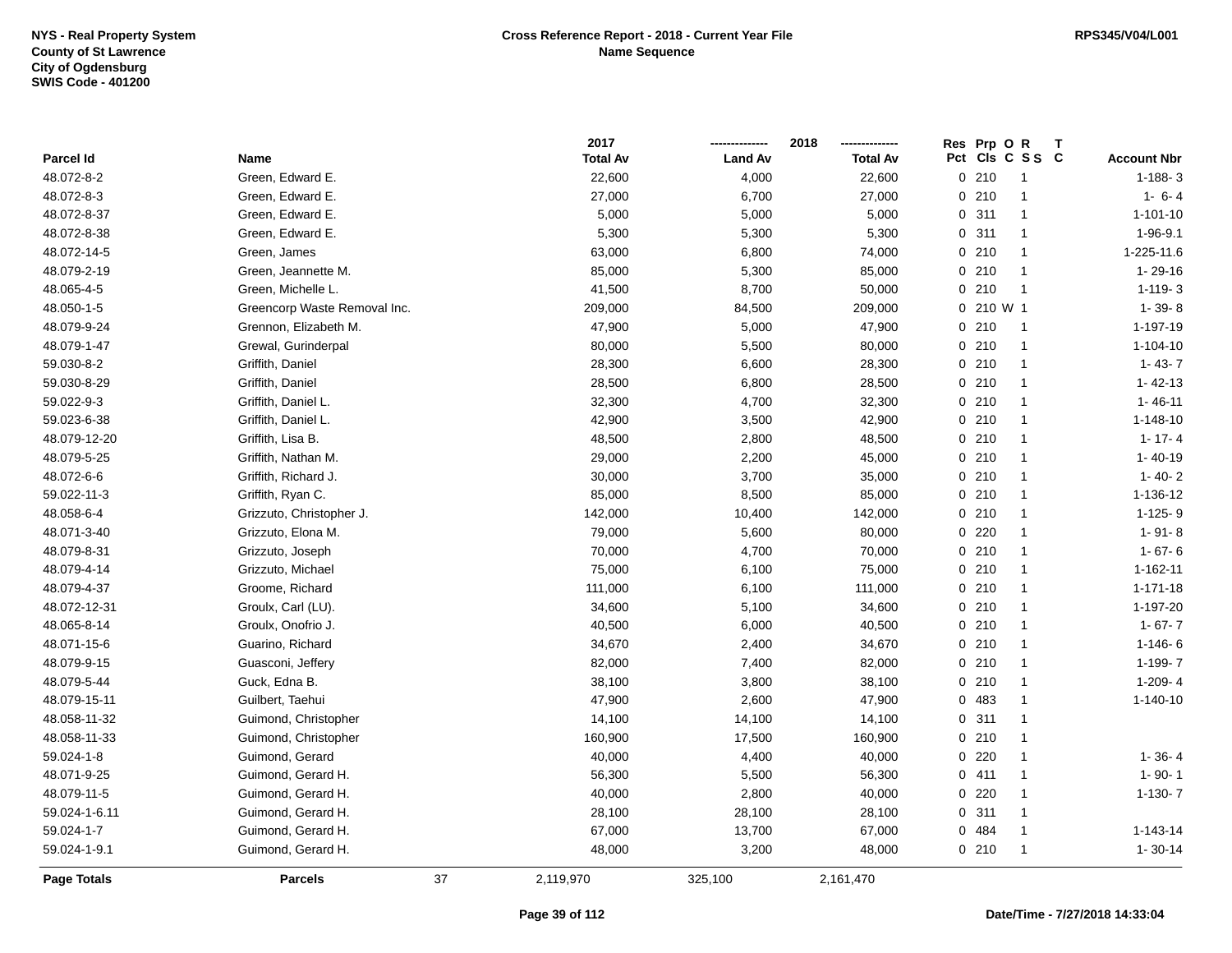|               |                              | 2017            |                | 2018            |     | Res Prp O | R<br>Τ         |                    |
|---------------|------------------------------|-----------------|----------------|-----------------|-----|-----------|----------------|--------------------|
| Parcel Id     | Name                         | <b>Total Av</b> | <b>Land Av</b> | <b>Total Av</b> | Pct |           | CIs C S S C    | <b>Account Nbr</b> |
| 48.072-8-2    | Green, Edward E.             | 22,600          | 4,000          | 22,600          |     | 0210      | $\overline{1}$ | $1 - 188 - 3$      |
| 48.072-8-3    | Green, Edward E.             | 27,000          | 6,700          | 27,000          |     | 0210      | $\mathbf{1}$   | $1 - 6 - 4$        |
| 48.072-8-37   | Green, Edward E.             | 5,000           | 5,000          | 5,000           |     | 0.311     | $\mathbf{1}$   | $1 - 101 - 10$     |
| 48.072-8-38   | Green, Edward E.             | 5,300           | 5,300          | 5,300           |     | 0.311     | $\mathbf{1}$   | $1 - 96 - 9.1$     |
| 48.072-14-5   | Green, James                 | 63,000          | 6,800          | 74,000          |     | 0210      | $\mathbf{1}$   | 1-225-11.6         |
| 48.079-2-19   | Green, Jeannette M.          | 85,000          | 5,300          | 85,000          |     | 0210      | $\overline{1}$ | $1 - 29 - 16$      |
| 48.065-4-5    | Green, Michelle L.           | 41,500          | 8,700          | 50,000          |     | $0$ 210   | $\overline{1}$ | $1 - 119 - 3$      |
| 48.050-1-5    | Greencorp Waste Removal Inc. | 209,000         | 84,500         | 209,000         |     | 0 210 W 1 |                | $1 - 39 - 8$       |
| 48.079-9-24   | Grennon, Elizabeth M.        | 47,900          | 5,000          | 47,900          |     | 0210      | $\overline{1}$ | 1-197-19           |
| 48.079-1-47   | Grewal, Gurinderpal          | 80,000          | 5,500          | 80,000          |     | 0210      | $\mathbf{1}$   | $1 - 104 - 10$     |
| 59.030-8-2    | Griffith, Daniel             | 28,300          | 6,600          | 28,300          |     | 0210      | $\mathbf{1}$   | $1 - 43 - 7$       |
| 59.030-8-29   | Griffith, Daniel             | 28,500          | 6,800          | 28,500          |     | 0210      | $\mathbf{1}$   | $1 - 42 - 13$      |
| 59.022-9-3    | Griffith, Daniel L.          | 32,300          | 4,700          | 32,300          |     | 0210      | $\mathbf{1}$   | $1 - 46 - 11$      |
| 59.023-6-38   | Griffith, Daniel L.          | 42,900          | 3,500          | 42,900          |     | 0210      | $\mathbf{1}$   | $1 - 148 - 10$     |
| 48.079-12-20  | Griffith, Lisa B.            | 48,500          | 2,800          | 48,500          |     | 0210      | $\mathbf{1}$   | $1 - 17 - 4$       |
| 48.079-5-25   | Griffith, Nathan M.          | 29,000          | 2,200          | 45,000          |     | 0210      | $\mathbf{1}$   | $1 - 40 - 19$      |
| 48.072-6-6    | Griffith, Richard J.         | 30,000          | 3,700          | 35,000          |     | 0210      | $\mathbf{1}$   | $1 - 40 - 2$       |
| 59.022-11-3   | Griffith, Ryan C.            | 85,000          | 8,500          | 85,000          |     | 0210      | $\mathbf{1}$   | 1-136-12           |
| 48.058-6-4    | Grizzuto, Christopher J.     | 142,000         | 10,400         | 142,000         |     | 0210      | $\mathbf{1}$   | 1-125-9            |
| 48.071-3-40   | Grizzuto, Elona M.           | 79,000          | 5,600          | 80,000          |     | 0220      | $\overline{1}$ | $1 - 91 - 8$       |
| 48.079-8-31   | Grizzuto, Joseph             | 70,000          | 4,700          | 70,000          |     | 0210      | $\mathbf{1}$   | $1 - 67 - 6$       |
| 48.079-4-14   | Grizzuto, Michael            | 75,000          | 6,100          | 75,000          |     | 0210      | $\mathbf{1}$   | 1-162-11           |
| 48.079-4-37   | Groome, Richard              | 111,000         | 6,100          | 111,000         |     | 0210      | $\mathbf{1}$   | $1 - 171 - 18$     |
| 48.072-12-31  | Groulx, Carl (LU).           | 34,600          | 5,100          | 34,600          |     | 0210      | $\mathbf{1}$   | 1-197-20           |
| 48.065-8-14   | Groulx, Onofrio J.           | 40,500          | 6,000          | 40,500          |     | 0210      | $\mathbf{1}$   | $1 - 67 - 7$       |
| 48.071-15-6   | Guarino, Richard             | 34,670          | 2,400          | 34,670          |     | 0210      | $\mathbf{1}$   | $1 - 146 - 6$      |
| 48.079-9-15   | Guasconi, Jeffery            | 82,000          | 7,400          | 82,000          |     | 0210      | $\mathbf{1}$   | 1-199-7            |
| 48.079-5-44   | Guck, Edna B.                | 38,100          | 3,800          | 38,100          |     | 0210      | $\mathbf{1}$   | $1-209-4$          |
| 48.079-15-11  | Guilbert, Taehui             | 47,900          | 2,600          | 47,900          |     | 0 483     | $\mathbf{1}$   | $1 - 140 - 10$     |
| 48.058-11-32  | Guimond, Christopher         | 14,100          | 14,100         | 14,100          |     | 0.311     | $\mathbf{1}$   |                    |
| 48.058-11-33  | Guimond, Christopher         | 160,900         | 17,500         | 160,900         |     | 0210      | $\mathbf{1}$   |                    |
| 59.024-1-8    | Guimond, Gerard              | 40,000          | 4,400          | 40,000          |     | $0$ 220   | $\mathbf{1}$   | $1 - 36 - 4$       |
| 48.071-9-25   | Guimond, Gerard H.           | 56,300          | 5,500          | 56,300          |     | 0411      | $\mathbf{1}$   | $1 - 90 - 1$       |
| 48.079-11-5   | Guimond, Gerard H.           | 40,000          | 2,800          | 40,000          |     | 0220      | $\mathbf{1}$   | $1-130-7$          |
| 59.024-1-6.11 | Guimond, Gerard H.           | 28,100          | 28,100         | 28,100          |     | 0.311     | $\mathbf{1}$   |                    |
| 59.024-1-7    | Guimond, Gerard H.           | 67,000          | 13,700         | 67,000          |     | 0 484     | $\mathbf{1}$   | 1-143-14           |
| 59.024-1-9.1  | Guimond, Gerard H.           | 48,000          | 3,200          | 48,000          |     | 0210      | $\overline{1}$ | $1 - 30 - 14$      |
| Page Totals   | <b>Parcels</b>               | 37<br>2,119,970 | 325,100        | 2,161,470       |     |           |                |                    |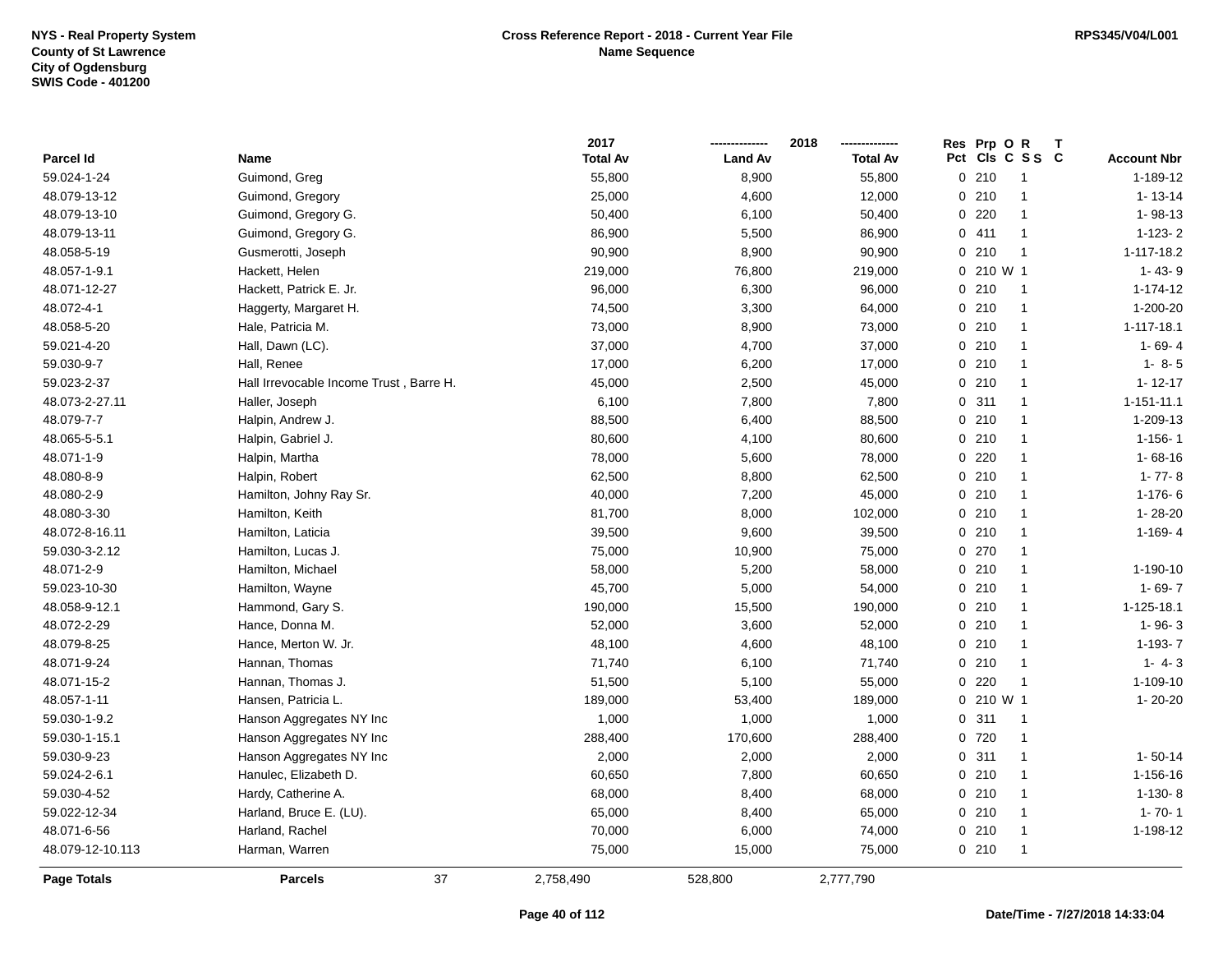|                  |                                         | 2017            |                | 2018            | Res Prp O R  |                 |                    |
|------------------|-----------------------------------------|-----------------|----------------|-----------------|--------------|-----------------|--------------------|
| Parcel Id        | Name                                    | <b>Total Av</b> | <b>Land Av</b> | <b>Total Av</b> |              | Pct Cls C S S C | <b>Account Nbr</b> |
| 59.024-1-24      | Guimond, Greg                           | 55,800          | 8,900          | 55,800          | 0210         | $\overline{1}$  | 1-189-12           |
| 48.079-13-12     | Guimond, Gregory                        | 25,000          | 4,600          | 12,000          | 0210         | $\overline{1}$  | $1 - 13 - 14$      |
| 48.079-13-10     | Guimond, Gregory G.                     | 50,400          | 6,100          | 50,400          | 0220         | $\overline{1}$  | $1 - 98 - 13$      |
| 48.079-13-11     | Guimond, Gregory G.                     | 86,900          | 5,500          | 86,900          | 0411         | $\mathbf{1}$    | $1-123-2$          |
| 48.058-5-19      | Gusmerotti, Joseph                      | 90,900          | 8,900          | 90,900          | 0210         | $\overline{1}$  | 1-117-18.2         |
| 48.057-1-9.1     | Hackett, Helen                          | 219,000         | 76,800         | 219,000         | $0, 210$ W 1 |                 | $1 - 43 - 9$       |
| 48.071-12-27     | Hackett, Patrick E. Jr.                 | 96,000          | 6,300          | 96,000          | 0210         | $\overline{1}$  | $1 - 174 - 12$     |
| 48.072-4-1       | Haggerty, Margaret H.                   | 74,500          | 3,300          | 64,000          | 0210         | $\overline{1}$  | 1-200-20           |
| 48.058-5-20      | Hale, Patricia M.                       | 73,000          | 8,900          | 73,000          | 0210         | $\overline{1}$  | 1-117-18.1         |
| 59.021-4-20      | Hall, Dawn (LC).                        | 37,000          | 4,700          | 37,000          | 0210         | $\overline{1}$  | $1 - 69 - 4$       |
| 59.030-9-7       | Hall, Renee                             | 17,000          | 6,200          | 17,000          | 0210         | $\overline{1}$  | $1 - 8 - 5$        |
| 59.023-2-37      | Hall Irrevocable Income Trust, Barre H. | 45,000          | 2,500          | 45,000          | 0210         | $\mathbf 1$     | $1 - 12 - 17$      |
| 48.073-2-27.11   | Haller, Joseph                          | 6,100           | 7,800          | 7,800           | 0.311        | $\mathbf 1$     | $1 - 151 - 11.1$   |
| 48.079-7-7       | Halpin, Andrew J.                       | 88,500          | 6,400          | 88,500          | 0210         | $\mathbf 1$     | 1-209-13           |
| 48.065-5-5.1     | Halpin, Gabriel J.                      | 80,600          | 4,100          | 80,600          | 0210         | $\mathbf{1}$    | $1 - 156 - 1$      |
| 48.071-1-9       | Halpin, Martha                          | 78,000          | 5,600          | 78,000          | 0220         | $\overline{1}$  | $1 - 68 - 16$      |
| 48.080-8-9       | Halpin, Robert                          | 62,500          | 8,800          | 62,500          | 0210         | $\overline{1}$  | $1 - 77 - 8$       |
| 48.080-2-9       | Hamilton, Johny Ray Sr.                 | 40,000          | 7,200          | 45,000          | 0210         | $\overline{1}$  | $1-176-6$          |
| 48.080-3-30      | Hamilton, Keith                         | 81,700          | 8,000          | 102,000         | 0210         | $\overline{1}$  | 1-28-20            |
| 48.072-8-16.11   | Hamilton, Laticia                       | 39,500          | 9,600          | 39,500          | 0210         | $\mathbf 1$     | $1 - 169 - 4$      |
| 59.030-3-2.12    | Hamilton, Lucas J.                      | 75,000          | 10,900         | 75,000          | 0 270        | $\mathbf 1$     |                    |
| 48.071-2-9       | Hamilton, Michael                       | 58,000          | 5,200          | 58,000          | 0210         | $\overline{1}$  | 1-190-10           |
| 59.023-10-30     | Hamilton, Wayne                         | 45,700          | 5,000          | 54,000          | 0210         | $\overline{1}$  | $1 - 69 - 7$       |
| 48.058-9-12.1    | Hammond, Gary S.                        | 190,000         | 15,500         | 190,000         | 0210         | $\overline{1}$  | 1-125-18.1         |
| 48.072-2-29      | Hance, Donna M.                         | 52,000          | 3,600          | 52,000          | 0210         | $\overline{1}$  | $1 - 96 - 3$       |
| 48.079-8-25      | Hance, Merton W. Jr.                    | 48,100          | 4,600          | 48,100          | 0210         | $\overline{1}$  | $1-193-7$          |
| 48.071-9-24      | Hannan, Thomas                          | 71,740          | 6,100          | 71,740          | 0210         | $\overline{1}$  | $1 - 4 - 3$        |
| 48.071-15-2      | Hannan, Thomas J.                       | 51,500          | 5,100          | 55,000          | $0$ 220      | $\overline{1}$  | 1-109-10           |
| 48.057-1-11      | Hansen, Patricia L.                     | 189,000         | 53,400         | 189,000         | 0 210 W 1    |                 | $1 - 20 - 20$      |
| 59.030-1-9.2     | Hanson Aggregates NY Inc                | 1,000           | 1,000          | 1,000           | 0.311        | $\overline{1}$  |                    |
| 59.030-1-15.1    | Hanson Aggregates NY Inc                | 288,400         | 170,600        | 288,400         | 0 720        | $\overline{1}$  |                    |
| 59.030-9-23      | Hanson Aggregates NY Inc                | 2,000           | 2,000          | 2,000           | 0.311        | $\overline{1}$  | $1 - 50 - 14$      |
| 59.024-2-6.1     | Hanulec, Elizabeth D.                   | 60,650          | 7,800          | 60,650          | 0210         | $\overline{1}$  | 1-156-16           |
| 59.030-4-52      | Hardy, Catherine A.                     | 68,000          | 8,400          | 68,000          | 0210         | $\overline{1}$  | $1-130-8$          |
| 59.022-12-34     | Harland, Bruce E. (LU).                 | 65,000          | 8,400          | 65,000          | 0210         | $\overline{1}$  | $1 - 70 - 1$       |
| 48.071-6-56      | Harland, Rachel                         | 70,000          | 6,000          | 74,000          | 0210         | $\overline{1}$  | 1-198-12           |
| 48.079-12-10.113 | Harman, Warren                          | 75,000          | 15,000         | 75,000          | 0210         | $\overline{1}$  |                    |
| Page Totals      | 37<br><b>Parcels</b>                    | 2,758,490       | 528,800        | 2,777,790       |              |                 |                    |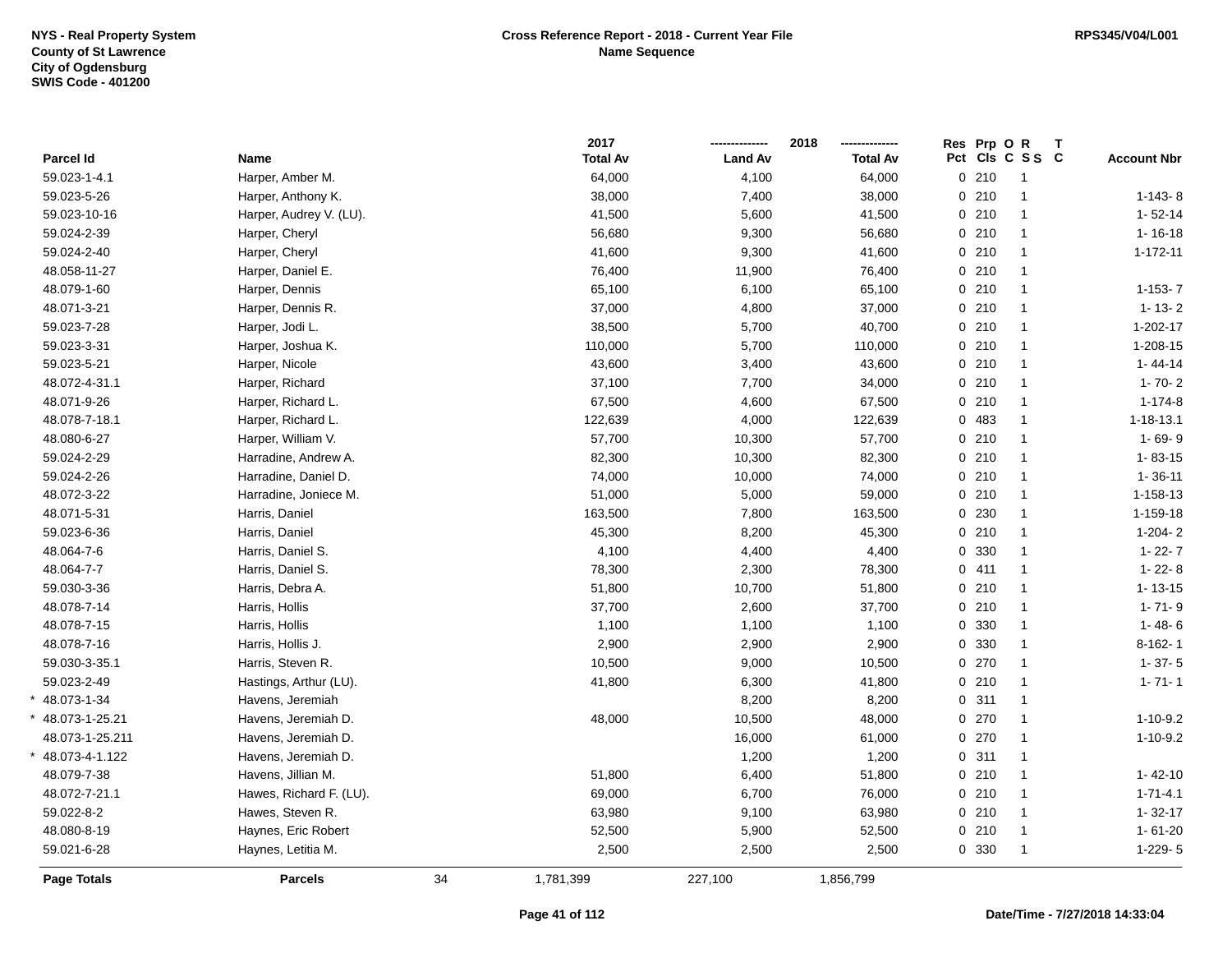\*

\*

\*

|                    |                         |    | 2017            |                | 2018            | Res Prp O R |                 |                    |
|--------------------|-------------------------|----|-----------------|----------------|-----------------|-------------|-----------------|--------------------|
| Parcel Id          | Name                    |    | <b>Total Av</b> | <b>Land Av</b> | <b>Total Av</b> |             | Pct Cls C S S C | <b>Account Nbr</b> |
| 59.023-1-4.1       | Harper, Amber M.        |    | 64,000          | 4,100          | 64,000          | 0210        | $\overline{1}$  |                    |
| 59.023-5-26        | Harper, Anthony K.      |    | 38,000          | 7,400          | 38,000          | 0210        | $\mathbf{1}$    | $1-143-8$          |
| 59.023-10-16       | Harper, Audrey V. (LU). |    | 41,500          | 5,600          | 41,500          | 0210        | $\mathbf{1}$    | $1 - 52 - 14$      |
| 59.024-2-39        | Harper, Cheryl          |    | 56,680          | 9,300          | 56,680          | 0210        | $\mathbf{1}$    | $1 - 16 - 18$      |
| 59.024-2-40        | Harper, Cheryl          |    | 41,600          | 9,300          | 41,600          | 0210        | $\mathbf{1}$    | $1 - 172 - 11$     |
| 48.058-11-27       | Harper, Daniel E.       |    | 76,400          | 11,900         | 76,400          | 0210        | $\mathbf{1}$    |                    |
| 48.079-1-60        | Harper, Dennis          |    | 65,100          | 6,100          | 65,100          | 0210        | $\mathbf{1}$    | $1-153-7$          |
| 48.071-3-21        | Harper, Dennis R.       |    | 37,000          | 4,800          | 37,000          | 0210        | $\mathbf{1}$    | $1 - 13 - 2$       |
| 59.023-7-28        | Harper, Jodi L.         |    | 38,500          | 5,700          | 40,700          | 0210        | $\mathbf{1}$    | 1-202-17           |
| 59.023-3-31        | Harper, Joshua K.       |    | 110,000         | 5,700          | 110,000         | 0210        | $\mathbf{1}$    | 1-208-15           |
| 59.023-5-21        | Harper, Nicole          |    | 43,600          | 3,400          | 43,600          | 0210        | $\mathbf{1}$    | $1 - 44 - 14$      |
| 48.072-4-31.1      | Harper, Richard         |    | 37,100          | 7,700          | 34,000          | 0210        | $\mathbf{1}$    | $1 - 70 - 2$       |
| 48.071-9-26        | Harper, Richard L.      |    | 67,500          | 4,600          | 67,500          | 0210        | $\mathbf{1}$    | $1 - 174 - 8$      |
| 48.078-7-18.1      | Harper, Richard L.      |    | 122,639         | 4,000          | 122,639         | 0 483       | $\mathbf{1}$    | $1 - 18 - 13.1$    |
| 48.080-6-27        | Harper, William V.      |    | 57,700          | 10,300         | 57,700          | 0210        | $\mathbf{1}$    | $1 - 69 - 9$       |
| 59.024-2-29        | Harradine, Andrew A.    |    | 82,300          | 10,300         | 82,300          | 0210        | $\mathbf{1}$    | $1 - 83 - 15$      |
| 59.024-2-26        | Harradine, Daniel D.    |    | 74,000          | 10,000         | 74,000          | 0210        | $\mathbf{1}$    | $1 - 36 - 11$      |
| 48.072-3-22        | Harradine, Joniece M.   |    | 51,000          | 5,000          | 59,000          | 0210        | $\mathbf{1}$    | 1-158-13           |
| 48.071-5-31        | Harris, Daniel          |    | 163,500         | 7,800          | 163,500         | 0 230       | $\mathbf{1}$    | 1-159-18           |
| 59.023-6-36        | Harris, Daniel          |    | 45,300          | 8,200          | 45,300          | 0210        | $\mathbf{1}$    | $1-204-2$          |
| 48.064-7-6         | Harris, Daniel S.       |    | 4,100           | 4,400          | 4,400           | 0 330       | $\mathbf{1}$    | $1 - 22 - 7$       |
| 48.064-7-7         | Harris, Daniel S.       |    | 78,300          | 2,300          | 78,300          | 0411        | $\mathbf{1}$    | $1 - 22 - 8$       |
| 59.030-3-36        | Harris, Debra A.        |    | 51,800          | 10,700         | 51,800          | 0210        | $\mathbf{1}$    | $1 - 13 - 15$      |
| 48.078-7-14        | Harris, Hollis          |    | 37,700          | 2,600          | 37,700          | 0210        | $\mathbf{1}$    | $1 - 71 - 9$       |
| 48.078-7-15        | Harris, Hollis          |    | 1,100           | 1,100          | 1,100           | 0 330       | $\mathbf{1}$    | $1 - 48 - 6$       |
| 48.078-7-16        | Harris, Hollis J.       |    | 2,900           | 2,900          | 2,900           | 0 330       | $\mathbf{1}$    | $8-162-1$          |
| 59.030-3-35.1      | Harris, Steven R.       |    | 10,500          | 9,000          | 10,500          | 0270        | $\mathbf{1}$    | $1 - 37 - 5$       |
| 59.023-2-49        | Hastings, Arthur (LU).  |    | 41,800          | 6,300          | 41,800          | 0210        | $\mathbf{1}$    | $1 - 71 - 1$       |
| 48.073-1-34        | Havens, Jeremiah        |    |                 | 8,200          | 8,200           | 0.311       | $\mathbf{1}$    |                    |
| 48.073-1-25.21     | Havens, Jeremiah D.     |    | 48,000          | 10,500         | 48,000          | 0270        | $\mathbf{1}$    | 1-10-9.2           |
| 48.073-1-25.211    | Havens, Jeremiah D.     |    |                 | 16,000         | 61,000          | 0270        | $\mathbf{1}$    | $1 - 10 - 9.2$     |
| 48.073-4-1.122     | Havens, Jeremiah D.     |    |                 | 1,200          | 1,200           | 0.311       | $\mathbf{1}$    |                    |
| 48.079-7-38        | Havens, Jillian M.      |    | 51,800          | 6,400          | 51,800          | 0210        | $\mathbf{1}$    | $1 - 42 - 10$      |
| 48.072-7-21.1      | Hawes, Richard F. (LU). |    | 69,000          | 6,700          | 76,000          | 0210        | $\mathbf{1}$    | $1 - 71 - 4.1$     |
| 59.022-8-2         | Hawes, Steven R.        |    | 63,980          | 9,100          | 63,980          | 0210        | $\mathbf{1}$    | $1 - 32 - 17$      |
| 48.080-8-19        | Haynes, Eric Robert     |    | 52,500          | 5,900          | 52,500          | 0210        | $\mathbf{1}$    | $1 - 61 - 20$      |
| 59.021-6-28        | Haynes, Letitia M.      |    | 2,500           | 2,500          | 2,500           | 0 330       | $\mathbf{1}$    | $1-229-5$          |
| <b>Page Totals</b> | <b>Parcels</b>          | 34 | 1,781,399       | 227,100        | 1,856,799       |             |                 |                    |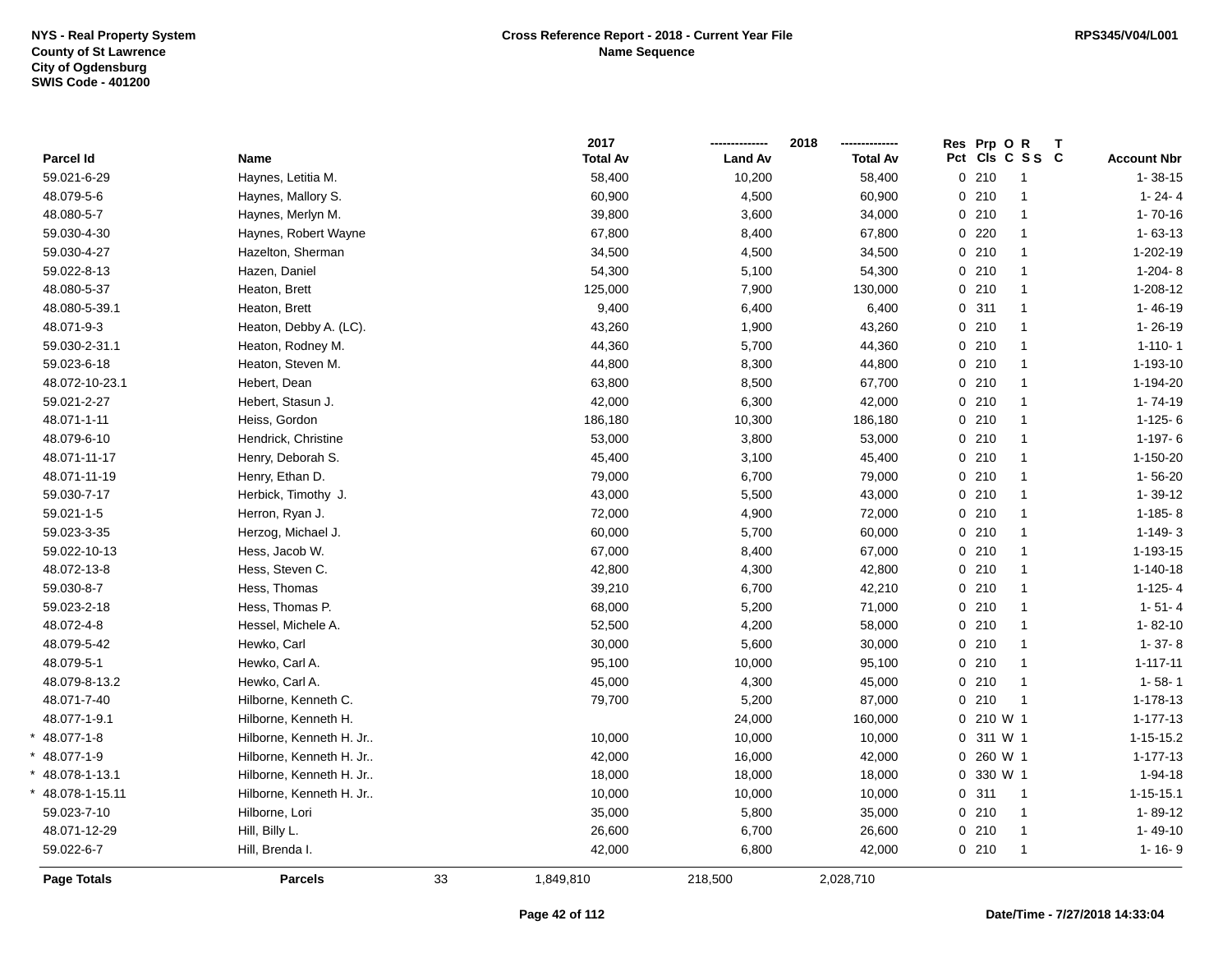|                    |                         |    | 2017            |                | 2018            | Res Prp O R |                 | Т |                    |
|--------------------|-------------------------|----|-----------------|----------------|-----------------|-------------|-----------------|---|--------------------|
| Parcel Id          | Name                    |    | <b>Total Av</b> | <b>Land Av</b> | <b>Total Av</b> |             | Pct Cls C S S C |   | <b>Account Nbr</b> |
| 59.021-6-29        | Haynes, Letitia M.      |    | 58,400          | 10,200         | 58,400          | 0210        | $\overline{1}$  |   | $1 - 38 - 15$      |
| 48.079-5-6         | Haynes, Mallory S.      |    | 60,900          | 4,500          | 60,900          | 0210        | $\mathbf{1}$    |   | $1 - 24 - 4$       |
| 48.080-5-7         | Haynes, Merlyn M.       |    | 39,800          | 3,600          | 34,000          | 0210        | $\mathbf{1}$    |   | $1 - 70 - 16$      |
| 59.030-4-30        | Haynes, Robert Wayne    |    | 67,800          | 8,400          | 67,800          | $0$ 220     | $\mathbf{1}$    |   | $1 - 63 - 13$      |
| 59.030-4-27        | Hazelton, Sherman       |    | 34,500          | 4,500          | 34,500          | 0210        | $\mathbf{1}$    |   | 1-202-19           |
| 59.022-8-13        | Hazen, Daniel           |    | 54,300          | 5,100          | 54,300          | 0210        | $\mathbf{1}$    |   | $1-204-8$          |
| 48.080-5-37        | Heaton, Brett           |    | 125,000         | 7,900          | 130,000         | 0210        | $\mathbf{1}$    |   | 1-208-12           |
| 48.080-5-39.1      | Heaton, Brett           |    | 9,400           | 6,400          | 6,400           | 0.311       | $\mathbf{1}$    |   | $1 - 46 - 19$      |
| 48.071-9-3         | Heaton, Debby A. (LC).  |    | 43,260          | 1,900          | 43,260          | 0210        | $\mathbf{1}$    |   | $1 - 26 - 19$      |
| 59.030-2-31.1      | Heaton, Rodney M.       |    | 44,360          | 5,700          | 44,360          | 0210        | $\mathbf{1}$    |   | $1 - 110 - 1$      |
| 59.023-6-18        | Heaton, Steven M.       |    | 44,800          | 8,300          | 44,800          | 0210        | $\mathbf{1}$    |   | 1-193-10           |
| 48.072-10-23.1     | Hebert, Dean            |    | 63,800          | 8,500          | 67,700          | 0210        | $\mathbf{1}$    |   | 1-194-20           |
| 59.021-2-27        | Hebert, Stasun J.       |    | 42,000          | 6,300          | 42,000          | 0210        | $\mathbf{1}$    |   | $1 - 74 - 19$      |
| 48.071-1-11        | Heiss, Gordon           |    | 186,180         | 10,300         | 186,180         | 0210        | $\mathbf{1}$    |   | $1-125-6$          |
| 48.079-6-10        | Hendrick, Christine     |    | 53,000          | 3,800          | 53,000          | 0210        | $\mathbf{1}$    |   | $1-197-6$          |
| 48.071-11-17       | Henry, Deborah S.       |    | 45,400          | 3,100          | 45,400          | $0$ 210     | $\mathbf{1}$    |   | 1-150-20           |
| 48.071-11-19       | Henry, Ethan D.         |    | 79,000          | 6,700          | 79,000          | 0210        | $\mathbf{1}$    |   | 1-56-20            |
| 59.030-7-17        | Herbick, Timothy J.     |    | 43,000          | 5,500          | 43,000          | 0210        | $\mathbf{1}$    |   | $1 - 39 - 12$      |
| 59.021-1-5         | Herron, Ryan J.         |    | 72,000          | 4,900          | 72,000          | 0210        | $\mathbf{1}$    |   | $1-185 - 8$        |
| 59.023-3-35        | Herzog, Michael J.      |    | 60,000          | 5,700          | 60,000          | 0210        | $\mathbf{1}$    |   | $1-149-3$          |
| 59.022-10-13       | Hess, Jacob W.          |    | 67,000          | 8,400          | 67,000          | 0210        | $\mathbf{1}$    |   | 1-193-15           |
| 48.072-13-8        | Hess, Steven C.         |    | 42,800          | 4,300          | 42,800          | 0210        | $\mathbf{1}$    |   | $1 - 140 - 18$     |
| 59.030-8-7         | Hess, Thomas            |    | 39,210          | 6,700          | 42,210          | 0210        | $\mathbf{1}$    |   | $1-125-4$          |
| 59.023-2-18        | Hess, Thomas P.         |    | 68,000          | 5,200          | 71,000          | 0210        | $\mathbf{1}$    |   | $1 - 51 - 4$       |
| 48.072-4-8         | Hessel, Michele A.      |    | 52,500          | 4,200          | 58,000          | 0210        | $\mathbf{1}$    |   | $1 - 82 - 10$      |
| 48.079-5-42        | Hewko, Carl             |    | 30,000          | 5,600          | 30,000          | 0210        | $\mathbf{1}$    |   | $1 - 37 - 8$       |
| 48.079-5-1         | Hewko, Carl A.          |    | 95,100          | 10,000         | 95,100          | 0210        | $\mathbf{1}$    |   | $1 - 117 - 11$     |
| 48.079-8-13.2      | Hewko, Carl A.          |    | 45,000          | 4,300          | 45,000          | 0210        | $\mathbf{1}$    |   | $1 - 58 - 1$       |
| 48.071-7-40        | Hilborne, Kenneth C.    |    | 79,700          | 5,200          | 87,000          | 0210        | $\mathbf{1}$    |   | 1-178-13           |
| 48.077-1-9.1       | Hilborne, Kenneth H.    |    |                 | 24,000         | 160,000         | 0 210 W 1   |                 |   | $1 - 177 - 13$     |
| $*$ 48.077-1-8     | Hilborne, Kenneth H. Jr |    | 10,000          | 10,000         | 10,000          | 0 311 W 1   |                 |   | $1 - 15 - 15.2$    |
| * 48.077-1-9       | Hilborne, Kenneth H. Jr |    | 42,000          | 16,000         | 42,000          | 0 260 W 1   |                 |   | $1 - 177 - 13$     |
| $*$ 48.078-1-13.1  | Hilborne, Kenneth H. Jr |    | 18,000          | 18,000         | 18,000          | 0 330 W 1   |                 |   | 1-94-18            |
| 48.078-1-15.11     | Hilborne, Kenneth H. Jr |    | 10,000          | 10,000         | 10,000          | 0.311       | $\overline{1}$  |   | $1 - 15 - 15.1$    |
| 59.023-7-10        | Hilborne, Lori          |    | 35,000          | 5,800          | 35,000          | 0210        | $\overline{1}$  |   | 1-89-12            |
| 48.071-12-29       | Hill, Billy L.          |    | 26,600          | 6,700          | 26,600          | 0210        | 1               |   | 1-49-10            |
| 59.022-6-7         | Hill, Brenda I.         |    | 42,000          | 6,800          | 42,000          | 0210        | $\mathbf{1}$    |   | $1 - 16 - 9$       |
| <b>Page Totals</b> | <b>Parcels</b>          | 33 | 1,849,810       | 218,500        | 2,028,710       |             |                 |   |                    |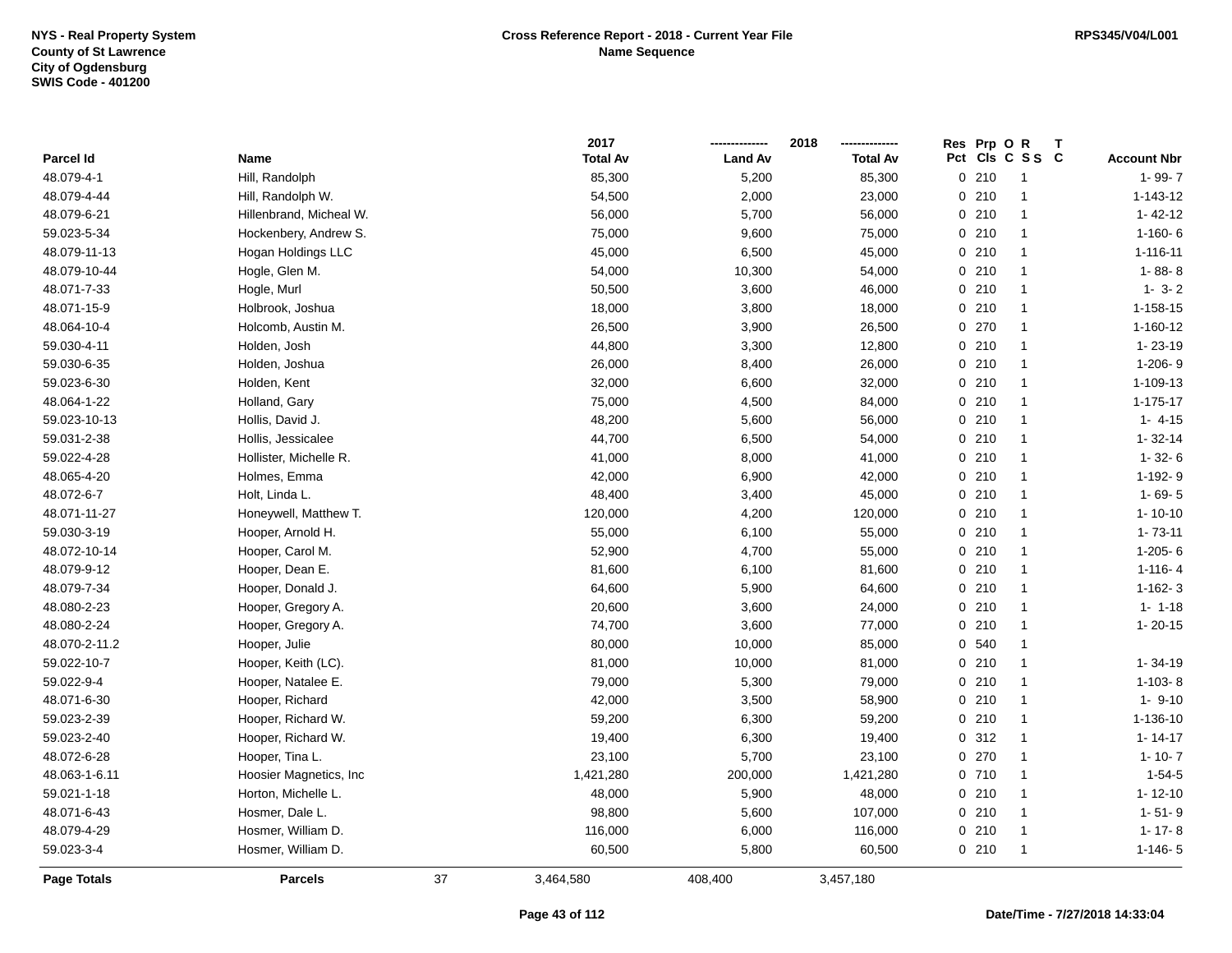|                    |                         |    | 2017            |                | 2018            |       | Res Prp O R |                 |                    |
|--------------------|-------------------------|----|-----------------|----------------|-----------------|-------|-------------|-----------------|--------------------|
| Parcel Id          | Name                    |    | <b>Total Av</b> | <b>Land Av</b> | <b>Total Av</b> |       |             | Pct Cls C S S C | <b>Account Nbr</b> |
| 48.079-4-1         | Hill, Randolph          |    | 85,300          | 5,200          | 85,300          | 0210  |             | $\mathbf{1}$    | $1 - 99 - 7$       |
| 48.079-4-44        | Hill, Randolph W.       |    | 54,500          | 2,000          | 23,000          | 0210  |             | $\mathbf{1}$    | $1 - 143 - 12$     |
| 48.079-6-21        | Hillenbrand, Micheal W. |    | 56,000          | 5,700          | 56,000          | 0210  |             | $\mathbf{1}$    | $1 - 42 - 12$      |
| 59.023-5-34        | Hockenbery, Andrew S.   |    | 75,000          | 9,600          | 75,000          | 0210  |             | $\mathbf{1}$    | $1-160-6$          |
| 48.079-11-13       | Hogan Holdings LLC      |    | 45,000          | 6,500          | 45,000          | 0210  |             | $\mathbf{1}$    | $1 - 116 - 11$     |
| 48.079-10-44       | Hogle, Glen M.          |    | 54,000          | 10,300         | 54,000          | 0210  |             | $\mathbf{1}$    | $1 - 88 - 8$       |
| 48.071-7-33        | Hogle, Murl             |    | 50,500          | 3,600          | 46,000          | 0210  |             | $\mathbf{1}$    | $1 - 3 - 2$        |
| 48.071-15-9        | Holbrook, Joshua        |    | 18,000          | 3,800          | 18,000          | 0210  |             | $\mathbf{1}$    | $1 - 158 - 15$     |
| 48.064-10-4        | Holcomb, Austin M.      |    | 26,500          | 3,900          | 26,500          | 0270  |             | $\mathbf{1}$    | 1-160-12           |
| 59.030-4-11        | Holden, Josh            |    | 44,800          | 3,300          | 12,800          | 0210  |             | $\mathbf{1}$    | 1-23-19            |
| 59.030-6-35        | Holden, Joshua          |    | 26,000          | 8,400          | 26,000          | 0210  |             | $\mathbf{1}$    | $1-206-9$          |
| 59.023-6-30        | Holden, Kent            |    | 32,000          | 6,600          | 32,000          | 0210  |             | $\mathbf{1}$    | 1-109-13           |
| 48.064-1-22        | Holland, Gary           |    | 75,000          | 4,500          | 84,000          | 0210  |             | -1              | $1 - 175 - 17$     |
| 59.023-10-13       | Hollis, David J.        |    | 48,200          | 5,600          | 56,000          | 0210  |             | $\mathbf{1}$    | $1 - 4 - 15$       |
| 59.031-2-38        | Hollis, Jessicalee      |    | 44,700          | 6,500          | 54,000          | 0210  |             | $\mathbf{1}$    | $1 - 32 - 14$      |
| 59.022-4-28        | Hollister, Michelle R.  |    | 41,000          | 8,000          | 41,000          | 0210  |             | $\mathbf{1}$    | $1 - 32 - 6$       |
| 48.065-4-20        | Holmes, Emma            |    | 42,000          | 6,900          | 42,000          | 0210  |             | $\mathbf{1}$    | 1-192-9            |
| 48.072-6-7         | Holt, Linda L.          |    | 48,400          | 3,400          | 45,000          | 0210  |             | $\mathbf{1}$    | $1 - 69 - 5$       |
| 48.071-11-27       | Honeywell, Matthew T.   |    | 120,000         | 4,200          | 120,000         | 0210  |             | $\mathbf{1}$    | $1 - 10 - 10$      |
| 59.030-3-19        | Hooper, Arnold H.       |    | 55,000          | 6,100          | 55,000          | 0210  |             | -1              | $1 - 73 - 11$      |
| 48.072-10-14       | Hooper, Carol M.        |    | 52,900          | 4,700          | 55,000          | 0210  |             | $\overline{1}$  | $1-205-6$          |
| 48.079-9-12        | Hooper, Dean E.         |    | 81,600          | 6,100          | 81,600          | 0210  |             | $\mathbf{1}$    | $1-116-4$          |
| 48.079-7-34        | Hooper, Donald J.       |    | 64,600          | 5,900          | 64,600          | 0210  |             | $\mathbf{1}$    | $1 - 162 - 3$      |
| 48.080-2-23        | Hooper, Gregory A.      |    | 20,600          | 3,600          | 24,000          | 0210  |             | $\mathbf{1}$    | $1 - 1 - 18$       |
| 48.080-2-24        | Hooper, Gregory A.      |    | 74,700          | 3,600          | 77,000          | 0210  |             | $\mathbf{1}$    | $1 - 20 - 15$      |
| 48.070-2-11.2      | Hooper, Julie           |    | 80,000          | 10,000         | 85,000          | 0 540 |             | $\mathbf{1}$    |                    |
| 59.022-10-7        | Hooper, Keith (LC).     |    | 81,000          | 10,000         | 81,000          | 0210  |             | $\mathbf{1}$    | 1-34-19            |
| 59.022-9-4         | Hooper, Natalee E.      |    | 79,000          | 5,300          | 79,000          | 0210  |             | -1              | $1-103-8$          |
| 48.071-6-30        | Hooper, Richard         |    | 42,000          | 3,500          | 58,900          | 0210  |             | -1              | $1 - 9 - 10$       |
| 59.023-2-39        | Hooper, Richard W.      |    | 59,200          | 6,300          | 59,200          | 0210  |             | -1              | 1-136-10           |
| 59.023-2-40        | Hooper, Richard W.      |    | 19,400          | 6,300          | 19,400          | 0.312 |             | $\mathbf{1}$    | $1 - 14 - 17$      |
| 48.072-6-28        | Hooper, Tina L.         |    | 23,100          | 5,700          | 23,100          | 0.270 |             | $\mathbf{1}$    | $1 - 10 - 7$       |
| 48.063-1-6.11      | Hoosier Magnetics, Inc  |    | 1,421,280       | 200,000        | 1,421,280       | 0710  |             | $\mathbf{1}$    | $1 - 54 - 5$       |
| 59.021-1-18        | Horton, Michelle L.     |    | 48,000          | 5,900          | 48,000          | 0210  |             | $\mathbf{1}$    | $1 - 12 - 10$      |
| 48.071-6-43        | Hosmer, Dale L.         |    | 98,800          | 5,600          | 107,000         | 0210  |             | $\mathbf{1}$    | $1 - 51 - 9$       |
| 48.079-4-29        | Hosmer, William D.      |    | 116,000         | 6,000          | 116,000         | 0210  |             | $\mathbf{1}$    | $1 - 17 - 8$       |
| 59.023-3-4         | Hosmer, William D.      |    | 60,500          | 5,800          | 60,500          | 0210  |             | $\mathbf{1}$    | $1-146-5$          |
| <b>Page Totals</b> | <b>Parcels</b>          | 37 | 3,464,580       | 408,400        | 3,457,180       |       |             |                 |                    |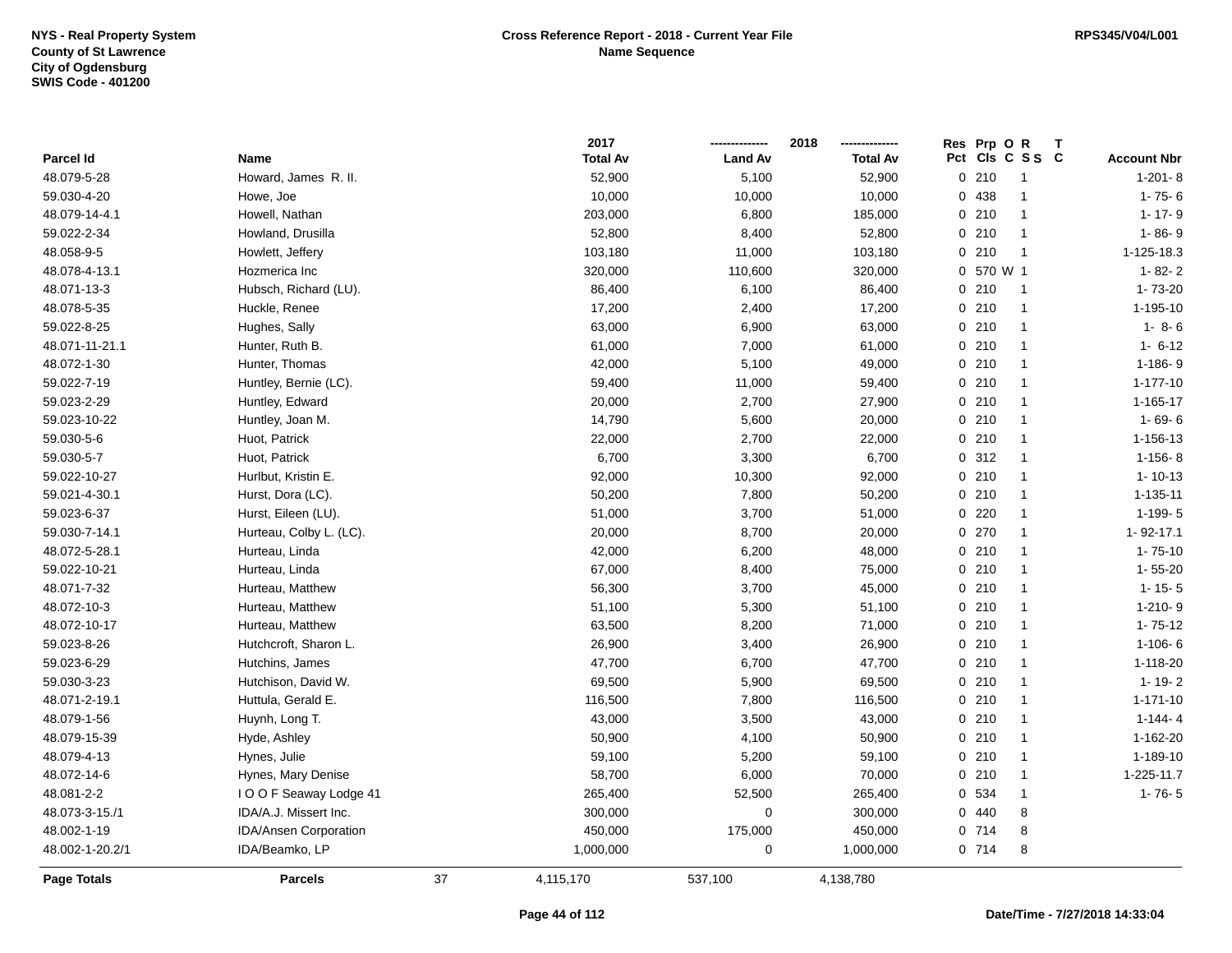|                 |                         |    | 2017            |                | 2018            | Res Prp O R |                 |                    |
|-----------------|-------------------------|----|-----------------|----------------|-----------------|-------------|-----------------|--------------------|
| Parcel Id       | Name                    |    | <b>Total Av</b> | <b>Land Av</b> | <b>Total Av</b> |             | Pct Cls C S S C | <b>Account Nbr</b> |
| 48.079-5-28     | Howard, James R. II.    |    | 52,900          | 5,100          | 52,900          | 0210        | $\overline{1}$  | $1-201-8$          |
| 59.030-4-20     | Howe, Joe               |    | 10,000          | 10,000         | 10,000          | 0 438       | $\overline{1}$  | $1 - 75 - 6$       |
| 48.079-14-4.1   | Howell, Nathan          |    | 203,000         | 6,800          | 185,000         | 0210        | $\overline{1}$  | $1 - 17 - 9$       |
| 59.022-2-34     | Howland, Drusilla       |    | 52,800          | 8,400          | 52,800          | 0210        | $\overline{1}$  | $1 - 86 - 9$       |
| 48.058-9-5      | Howlett, Jeffery        |    | 103,180         | 11,000         | 103,180         | 0210        | $\overline{1}$  | 1-125-18.3         |
| 48.078-4-13.1   | Hozmerica Inc           |    | 320,000         | 110,600        | 320,000         | 0 570 W 1   |                 | $1 - 82 - 2$       |
| 48.071-13-3     | Hubsch, Richard (LU).   |    | 86,400          | 6,100          | 86,400          | 0210        | $\overline{1}$  | 1-73-20            |
| 48.078-5-35     | Huckle, Renee           |    | 17,200          | 2,400          | 17,200          | 0210        | $\overline{1}$  | $1 - 195 - 10$     |
| 59.022-8-25     | Hughes, Sally           |    | 63,000          | 6,900          | 63,000          | 0210        | $\overline{1}$  | $1 - 8 - 6$        |
| 48.071-11-21.1  | Hunter, Ruth B.         |    | 61,000          | 7,000          | 61,000          | 0210        | $\overline{1}$  | $1 - 6 - 12$       |
| 48.072-1-30     | Hunter, Thomas          |    | 42,000          | 5,100          | 49,000          | 0210        | $\mathbf{1}$    | 1-186-9            |
| 59.022-7-19     | Huntley, Bernie (LC).   |    | 59,400          | 11,000         | 59,400          | 0210        | $\mathbf{1}$    | $1 - 177 - 10$     |
| 59.023-2-29     | Huntley, Edward         |    | 20,000          | 2,700          | 27,900          | 0210        | $\overline{1}$  | $1 - 165 - 17$     |
| 59.023-10-22    | Huntley, Joan M.        |    | 14,790          | 5,600          | 20,000          | 0210        | $\overline{1}$  | $1 - 69 - 6$       |
| 59.030-5-6      | Huot, Patrick           |    | 22,000          | 2,700          | 22,000          | 0210        | $\mathbf{1}$    | 1-156-13           |
| 59.030-5-7      | Huot, Patrick           |    | 6,700           | 3,300          | 6,700           | 0.312       | $\overline{1}$  | $1-156-8$          |
| 59.022-10-27    | Hurlbut, Kristin E.     |    | 92,000          | 10,300         | 92,000          | 0210        | $\overline{1}$  | $1 - 10 - 13$      |
| 59.021-4-30.1   | Hurst, Dora (LC).       |    | 50,200          | 7,800          | 50,200          | 0210        | $\overline{1}$  | 1-135-11           |
| 59.023-6-37     | Hurst, Eileen (LU).     |    | 51,000          | 3,700          | 51,000          | $0$ 220     | $\overline{1}$  | $1-199-5$          |
| 59.030-7-14.1   | Hurteau, Colby L. (LC). |    | 20,000          | 8,700          | 20,000          | $0$ 270     | $\overline{1}$  | 1-92-17.1          |
| 48.072-5-28.1   | Hurteau, Linda          |    | 42,000          | 6,200          | 48,000          | $0$ 210     | $\overline{1}$  | $1 - 75 - 10$      |
| 59.022-10-21    | Hurteau, Linda          |    | 67,000          | 8,400          | 75,000          | 0210        | $\overline{1}$  | $1 - 55 - 20$      |
| 48.071-7-32     | Hurteau, Matthew        |    | 56,300          | 3,700          | 45,000          | 0210        | $\overline{1}$  | $1 - 15 - 5$       |
| 48.072-10-3     | Hurteau, Matthew        |    | 51,100          | 5,300          | 51,100          | 0210        | $\overline{1}$  | $1-210-9$          |
| 48.072-10-17    | Hurteau, Matthew        |    | 63,500          | 8,200          | 71,000          | 0210        | $\overline{1}$  | $1 - 75 - 12$      |
| 59.023-8-26     | Hutchcroft, Sharon L.   |    | 26,900          | 3,400          | 26,900          | 0210        | $\mathbf{1}$    | $1 - 106 - 6$      |
| 59.023-6-29     | Hutchins, James         |    | 47,700          | 6,700          | 47,700          | 0210        | $\overline{1}$  | 1-118-20           |
| 59.030-3-23     | Hutchison, David W.     |    | 69,500          | 5,900          | 69,500          | 0210        | $\overline{1}$  | $1 - 19 - 2$       |
| 48.071-2-19.1   | Huttula, Gerald E.      |    | 116,500         | 7,800          | 116,500         | 0210        | $\mathbf{1}$    | $1 - 171 - 10$     |
| 48.079-1-56     | Huynh, Long T.          |    | 43,000          | 3,500          | 43,000          | 0210        | $\mathbf{1}$    | $1 - 144 - 4$      |
| 48.079-15-39    | Hyde, Ashley            |    | 50,900          | 4,100          | 50,900          | 0210        | $\overline{1}$  | 1-162-20           |
| 48.079-4-13     | Hynes, Julie            |    | 59,100          | 5,200          | 59,100          | 0210        | $\overline{1}$  | 1-189-10           |
| 48.072-14-6     | Hynes, Mary Denise      |    | 58,700          | 6,000          | 70,000          | 0210        | $\overline{1}$  | 1-225-11.7         |
| 48.081-2-2      | I O O F Seaway Lodge 41 |    | 265,400         | 52,500         | 265,400         | 0 534       | $\mathbf{1}$    | $1 - 76 - 5$       |
| 48.073-3-15./1  | IDA/A.J. Missert Inc.   |    | 300,000         | $\mathbf 0$    | 300,000         | 0440        | 8               |                    |
| 48.002-1-19     | IDA/Ansen Corporation   |    | 450,000         | 175,000        | 450,000         | 0 714       | 8               |                    |
| 48.002-1-20.2/1 | IDA/Beamko, LP          |    | 1,000,000       | 0              | 1,000,000       | 0714        | 8               |                    |
| Page Totals     | <b>Parcels</b>          | 37 | 4,115,170       | 537,100        | 4,138,780       |             |                 |                    |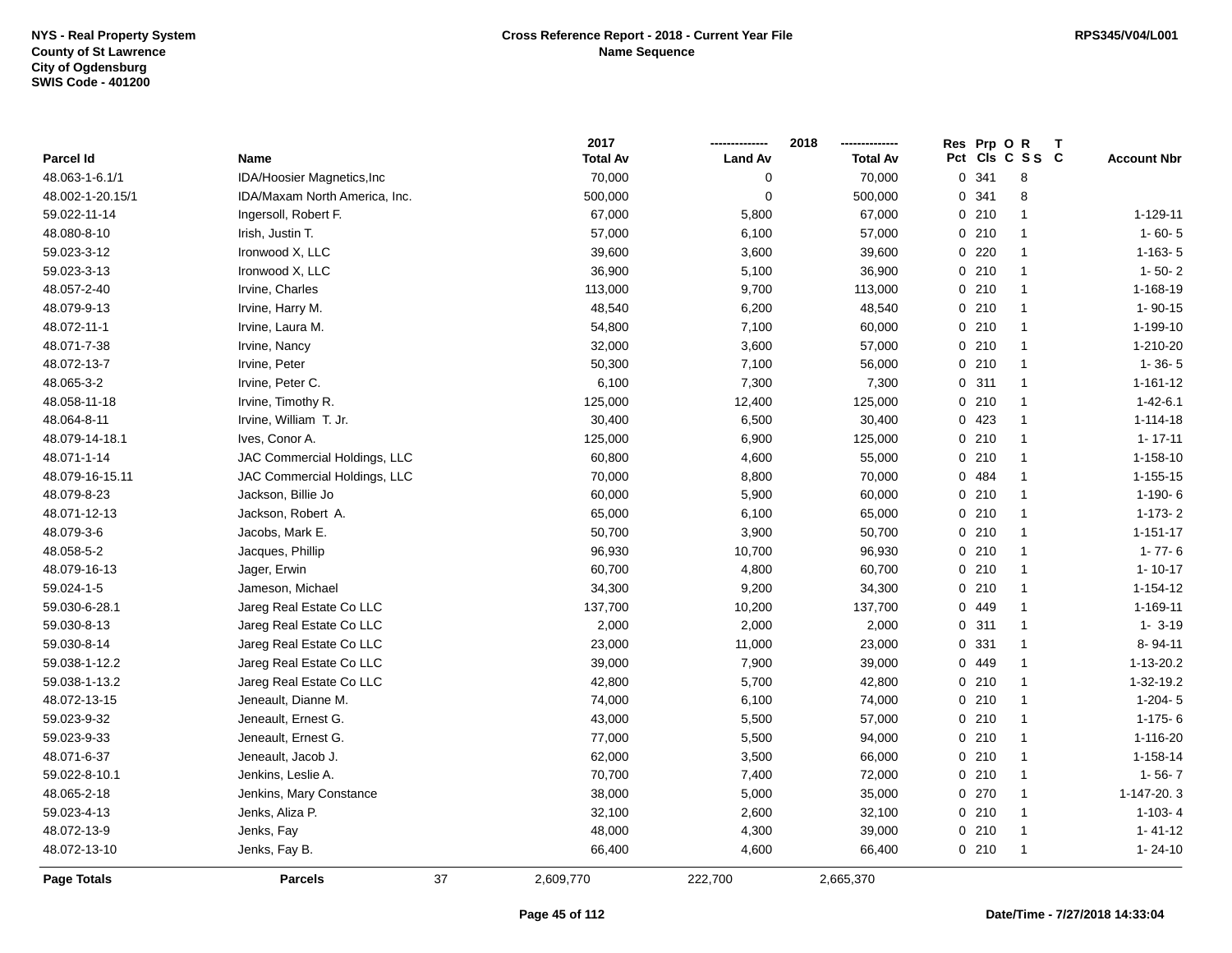|                  |                               |    | 2017            |                | 2018            |   | Res Prp O R |                 |                    |
|------------------|-------------------------------|----|-----------------|----------------|-----------------|---|-------------|-----------------|--------------------|
| Parcel Id        | Name                          |    | <b>Total Av</b> | <b>Land Av</b> | <b>Total Av</b> |   |             | Pct Cls C S S C | <b>Account Nbr</b> |
| 48.063-1-6.1/1   | IDA/Hoosier Magnetics, Inc    |    | 70,000          | $\mathbf 0$    | 70,000          |   | 0.341       | 8               |                    |
| 48.002-1-20.15/1 | IDA/Maxam North America, Inc. |    | 500,000         | $\mathbf 0$    | 500,000         | 0 | 341         | 8               |                    |
| 59.022-11-14     | Ingersoll, Robert F.          |    | 67,000          | 5,800          | 67,000          |   | 0210        | $\mathbf{1}$    | 1-129-11           |
| 48.080-8-10      | Irish, Justin T.              |    | 57,000          | 6,100          | 57,000          |   | 0210        | $\mathbf{1}$    | $1 - 60 - 5$       |
| 59.023-3-12      | Ironwood X, LLC               |    | 39,600          | 3,600          | 39,600          |   | $0$ 220     | $\overline{1}$  | $1 - 163 - 5$      |
| 59.023-3-13      | Ironwood X, LLC               |    | 36,900          | 5,100          | 36,900          |   | 0210        | $\mathbf{1}$    | $1 - 50 - 2$       |
| 48.057-2-40      | Irvine, Charles               |    | 113,000         | 9,700          | 113,000         |   | 0210        | $\overline{1}$  | 1-168-19           |
| 48.079-9-13      | Irvine, Harry M.              |    | 48,540          | 6,200          | 48,540          |   | 0210        | $\overline{1}$  | $1 - 90 - 15$      |
| 48.072-11-1      | Irvine, Laura M.              |    | 54,800          | 7,100          | 60,000          |   | 0210        | $\overline{1}$  | 1-199-10           |
| 48.071-7-38      | Irvine, Nancy                 |    | 32,000          | 3,600          | 57,000          |   | 0210        | $\overline{1}$  | 1-210-20           |
| 48.072-13-7      | Irvine, Peter                 |    | 50,300          | 7,100          | 56,000          |   | 0210        | $\overline{1}$  | $1 - 36 - 5$       |
| 48.065-3-2       | Irvine, Peter C.              |    | 6,100           | 7,300          | 7,300           |   | 0.311       | $\mathbf{1}$    | $1 - 161 - 12$     |
| 48.058-11-18     | Irvine, Timothy R.            |    | 125,000         | 12,400         | 125,000         |   | 0210        | $\overline{1}$  | $1 - 42 - 6.1$     |
| 48.064-8-11      | Irvine, William T. Jr.        |    | 30,400          | 6,500          | 30,400          |   | 0 423       | $\overline{1}$  | $1 - 114 - 18$     |
| 48.079-14-18.1   | Ives, Conor A.                |    | 125,000         | 6,900          | 125,000         |   | 0210        | $\overline{1}$  | $1 - 17 - 11$      |
| 48.071-1-14      | JAC Commercial Holdings, LLC  |    | 60,800          | 4,600          | 55,000          |   | 0210        | $\mathbf{1}$    | 1-158-10           |
| 48.079-16-15.11  | JAC Commercial Holdings, LLC  |    | 70,000          | 8,800          | 70,000          |   | 0 484       | $\mathbf{1}$    | $1 - 155 - 15$     |
| 48.079-8-23      | Jackson, Billie Jo            |    | 60,000          | 5,900          | 60,000          |   | 0210        | $\overline{1}$  | $1-190-6$          |
| 48.071-12-13     | Jackson, Robert A.            |    | 65,000          | 6,100          | 65,000          |   | 0210        | $\mathbf{1}$    | $1 - 173 - 2$      |
| 48.079-3-6       | Jacobs, Mark E.               |    | 50,700          | 3,900          | 50,700          |   | 0210        | $\mathbf{1}$    | $1 - 151 - 17$     |
| 48.058-5-2       | Jacques, Phillip              |    | 96,930          | 10,700         | 96,930          |   | 0210        | $\overline{1}$  | $1 - 77 - 6$       |
| 48.079-16-13     | Jager, Erwin                  |    | 60,700          | 4,800          | 60,700          |   | 0210        | $\overline{1}$  | $1 - 10 - 17$      |
| 59.024-1-5       | Jameson, Michael              |    | 34,300          | 9,200          | 34,300          |   | 0210        | $\overline{1}$  | 1-154-12           |
| 59.030-6-28.1    | Jareg Real Estate Co LLC      |    | 137,700         | 10,200         | 137,700         |   | 0 449       | $\overline{1}$  | 1-169-11           |
| 59.030-8-13      | Jareg Real Estate Co LLC      |    | 2,000           | 2,000          | 2,000           |   | 0.311       | $\overline{1}$  | $1 - 3 - 19$       |
| 59.030-8-14      | Jareg Real Estate Co LLC      |    | 23,000          | 11,000         | 23,000          |   | 0 331       | $\overline{1}$  | 8-94-11            |
| 59.038-1-12.2    | Jareg Real Estate Co LLC      |    | 39,000          | 7,900          | 39,000          |   | 0 449       | -1              | $1 - 13 - 20.2$    |
| 59.038-1-13.2    | Jareg Real Estate Co LLC      |    | 42,800          | 5,700          | 42,800          |   | 0210        | $\mathbf{1}$    | 1-32-19.2          |
| 48.072-13-15     | Jeneault, Dianne M.           |    | 74,000          | 6,100          | 74,000          |   | 0210        | $\overline{1}$  | $1-204-5$          |
| 59.023-9-32      | Jeneault, Ernest G.           |    | 43,000          | 5,500          | 57,000          |   | 0210        | $\overline{1}$  | $1-175-6$          |
| 59.023-9-33      | Jeneault, Ernest G.           |    | 77,000          | 5,500          | 94,000          |   | 0210        | $\mathbf{1}$    | 1-116-20           |
| 48.071-6-37      | Jeneault, Jacob J.            |    | 62,000          | 3,500          | 66,000          |   | 0210        | $\overline{1}$  | 1-158-14           |
| 59.022-8-10.1    | Jenkins, Leslie A.            |    | 70,700          | 7,400          | 72,000          |   | 0210        | $\overline{1}$  | $1 - 56 - 7$       |
| 48.065-2-18      | Jenkins, Mary Constance       |    | 38,000          | 5,000          | 35,000          |   | 0 270       | $\overline{1}$  | 1-147-20.3         |
| 59.023-4-13      | Jenks, Aliza P.               |    | 32,100          | 2,600          | 32,100          |   | 0210        | $\mathbf{1}$    | $1 - 103 - 4$      |
| 48.072-13-9      | Jenks, Fay                    |    | 48,000          | 4,300          | 39,000          |   | 0210        | $\mathbf{1}$    | $1 - 41 - 12$      |
| 48.072-13-10     | Jenks, Fay B.                 |    | 66,400          | 4,600          | 66,400          |   | 0210        | $\overline{1}$  | $1 - 24 - 10$      |
| Page Totals      | <b>Parcels</b>                | 37 | 2,609,770       | 222,700        | 2,665,370       |   |             |                 |                    |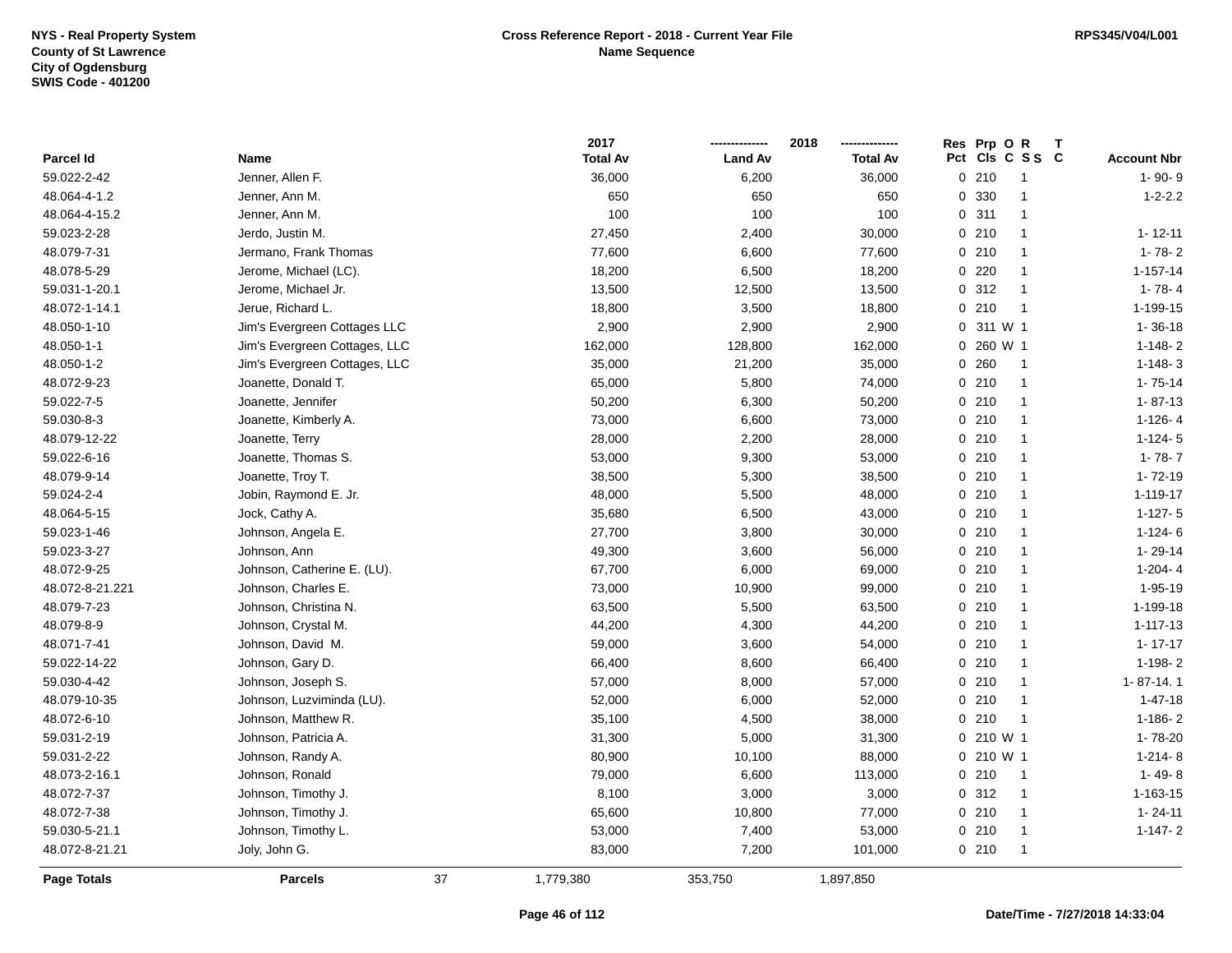|                 |                               |    | 2017            |                | 2018            |          | Res Prp O R | Т               |                    |
|-----------------|-------------------------------|----|-----------------|----------------|-----------------|----------|-------------|-----------------|--------------------|
| Parcel Id       | Name                          |    | <b>Total Av</b> | <b>Land Av</b> | <b>Total Av</b> |          |             | Pct Cls C S S C | <b>Account Nbr</b> |
| 59.022-2-42     | Jenner, Allen F.              |    | 36,000          | 6,200          | 36,000          |          | 0210        | $\overline{1}$  | $1 - 90 - 9$       |
| 48.064-4-1.2    | Jenner, Ann M.                |    | 650             | 650            | 650             | $\Omega$ | 330         | $\overline{1}$  | $1 - 2 - 2.2$      |
| 48.064-4-15.2   | Jenner, Ann M.                |    | 100             | 100            | 100             |          | 0.311       | $\mathbf{1}$    |                    |
| 59.023-2-28     | Jerdo, Justin M.              |    | 27,450          | 2,400          | 30,000          |          | 0210        | $\mathbf{1}$    | $1 - 12 - 11$      |
| 48.079-7-31     | Jermano, Frank Thomas         |    | 77,600          | 6,600          | 77,600          |          | 0210        | $\mathbf 1$     | $1 - 78 - 2$       |
| 48.078-5-29     | Jerome, Michael (LC).         |    | 18,200          | 6,500          | 18,200          |          | $0$ 220     | $\mathbf 1$     | $1 - 157 - 14$     |
| 59.031-1-20.1   | Jerome, Michael Jr.           |    | 13,500          | 12,500         | 13,500          |          | 0.312       | $\overline{1}$  | $1 - 78 - 4$       |
| 48.072-1-14.1   | Jerue, Richard L.             |    | 18,800          | 3,500          | 18,800          |          | 0210        | $\overline{1}$  | 1-199-15           |
| 48.050-1-10     | Jim's Evergreen Cottages LLC  |    | 2,900           | 2,900          | 2,900           | 0        | 311 W 1     |                 | $1 - 36 - 18$      |
| 48.050-1-1      | Jim's Evergreen Cottages, LLC |    | 162,000         | 128,800        | 162,000         | $\Omega$ | 260 W 1     |                 | $1 - 148 - 2$      |
| 48.050-1-2      | Jim's Evergreen Cottages, LLC |    | 35,000          | 21,200         | 35,000          |          | 0.260       | $\overline{1}$  | $1 - 148 - 3$      |
| 48.072-9-23     | Joanette, Donald T.           |    | 65,000          | 5,800          | 74,000          |          | 0210        | $\mathbf 1$     | $1 - 75 - 14$      |
| 59.022-7-5      | Joanette, Jennifer            |    | 50,200          | 6,300          | 50,200          |          | 0210        | $\mathbf{1}$    | $1 - 87 - 13$      |
| 59.030-8-3      | Joanette, Kimberly A.         |    | 73,000          | 6,600          | 73,000          |          | 0210        | $\mathbf 1$     | $1-126-4$          |
| 48.079-12-22    | Joanette, Terry               |    | 28,000          | 2,200          | 28,000          |          | 0210        | $\mathbf{1}$    | $1 - 124 - 5$      |
| 59.022-6-16     | Joanette, Thomas S.           |    | 53,000          | 9,300          | 53,000          |          | 0210        | $\mathbf{1}$    | $1 - 78 - 7$       |
| 48.079-9-14     | Joanette, Troy T.             |    | 38,500          | 5,300          | 38,500          |          | 0210        | $\mathbf{1}$    | $1 - 72 - 19$      |
| 59.024-2-4      | Jobin, Raymond E. Jr.         |    | 48,000          | 5,500          | 48,000          |          | 0210        | $\mathbf{1}$    | 1-119-17           |
| 48.064-5-15     | Jock, Cathy A.                |    | 35,680          | 6,500          | 43,000          |          | 0210        | $\mathbf{1}$    | $1-127-5$          |
| 59.023-1-46     | Johnson, Angela E.            |    | 27,700          | 3,800          | 30,000          |          | 0210        | $\mathbf{1}$    | $1-124-6$          |
| 59.023-3-27     | Johnson, Ann                  |    | 49,300          | 3,600          | 56,000          |          | 0210        | $\mathbf{1}$    | $1 - 29 - 14$      |
| 48.072-9-25     | Johnson, Catherine E. (LU).   |    | 67,700          | 6,000          | 69,000          |          | 0210        | $\mathbf 1$     | $1-204-4$          |
| 48.072-8-21.221 | Johnson, Charles E.           |    | 73,000          | 10,900         | 99,000          |          | 0210        | $\mathbf{1}$    | $1 - 95 - 19$      |
| 48.079-7-23     | Johnson, Christina N.         |    | 63,500          | 5,500          | 63,500          |          | 0210        | $\mathbf{1}$    | 1-199-18           |
| 48.079-8-9      | Johnson, Crystal M.           |    | 44,200          | 4,300          | 44,200          |          | 0210        | $\mathbf{1}$    | $1 - 117 - 13$     |
| 48.071-7-41     | Johnson, David M.             |    | 59,000          | 3,600          | 54,000          |          | 0210        | $\mathbf{1}$    | $1 - 17 - 17$      |
| 59.022-14-22    | Johnson, Gary D.              |    | 66,400          | 8,600          | 66,400          |          | 0210        | $\mathbf{1}$    | $1-198-2$          |
| 59.030-4-42     | Johnson, Joseph S.            |    | 57,000          | 8,000          | 57,000          |          | 0210        |                 | 1-87-14.1          |
| 48.079-10-35    | Johnson, Luzviminda (LU).     |    | 52,000          | 6,000          | 52,000          |          | 0210        | -1              | $1 - 47 - 18$      |
| 48.072-6-10     | Johnson, Matthew R.           |    | 35,100          | 4,500          | 38,000          |          | 0210        | -1              | $1-186-2$          |
| 59.031-2-19     | Johnson, Patricia A.          |    | 31,300          | 5,000          | 31,300          |          | 0 210 W 1   |                 | 1-78-20            |
| 59.031-2-22     | Johnson, Randy A.             |    | 80,900          | 10,100         | 88,000          |          | 0 210 W 1   |                 | $1-214-8$          |
| 48.073-2-16.1   | Johnson, Ronald               |    | 79,000          | 6,600          | 113,000         |          | 0210        | $\overline{1}$  | $1 - 49 - 8$       |
| 48.072-7-37     | Johnson, Timothy J.           |    | 8,100           | 3,000          | 3,000           |          | 0.312       | $\overline{1}$  | 1-163-15           |
| 48.072-7-38     | Johnson, Timothy J.           |    | 65,600          | 10,800         | 77,000          |          | 0210        | $\mathbf{1}$    | $1 - 24 - 11$      |
| 59.030-5-21.1   | Johnson, Timothy L.           |    | 53,000          | 7,400          | 53,000          |          | 0210        | $\mathbf{1}$    | $1 - 147 - 2$      |
| 48.072-8-21.21  | Joly, John G.                 |    | 83,000          | 7,200          | 101,000         |          | 0210        | $\mathbf{1}$    |                    |
| Page Totals     | <b>Parcels</b>                | 37 | 1,779,380       | 353,750        | 1,897,850       |          |             |                 |                    |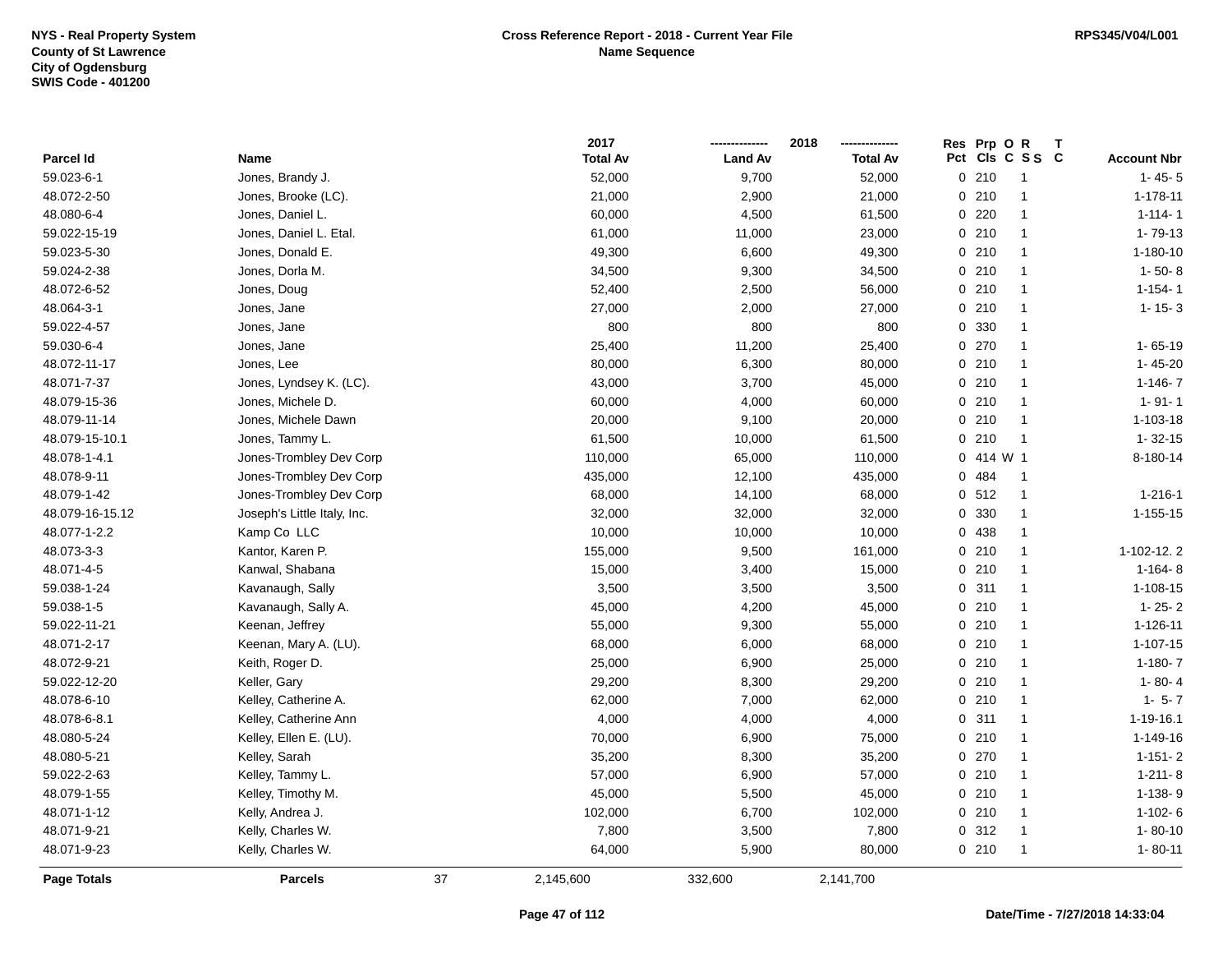|                 |                             |    | 2017            |                | 2018            | Res | Prp O    | R               |                    |
|-----------------|-----------------------------|----|-----------------|----------------|-----------------|-----|----------|-----------------|--------------------|
| Parcel Id       | <b>Name</b>                 |    | <b>Total Av</b> | <b>Land Av</b> | <b>Total Av</b> |     |          | Pct Cls C S S C | <b>Account Nbr</b> |
| 59.023-6-1      | Jones, Brandy J.            |    | 52,000          | 9,700          | 52,000          |     | 0210     | $\overline{1}$  | $1 - 45 - 5$       |
| 48.072-2-50     | Jones, Brooke (LC).         |    | 21,000          | 2,900          | 21,000          |     | 0210     | $\mathbf{1}$    | $1 - 178 - 11$     |
| 48.080-6-4      | Jones, Daniel L.            |    | 60,000          | 4,500          | 61,500          |     | $0$ 220  | $\mathbf{1}$    | $1 - 114 - 1$      |
| 59.022-15-19    | Jones, Daniel L. Etal.      |    | 61,000          | 11,000         | 23,000          |     | 0210     | $\mathbf{1}$    | $1 - 79 - 13$      |
| 59.023-5-30     | Jones, Donald E.            |    | 49,300          | 6,600          | 49,300          |     | 0210     | $\mathbf{1}$    | $1 - 180 - 10$     |
| 59.024-2-38     | Jones, Dorla M.             |    | 34,500          | 9,300          | 34,500          |     | 0210     | -1              | $1 - 50 - 8$       |
| 48.072-6-52     | Jones, Doug                 |    | 52,400          | 2,500          | 56,000          |     | 0210     | $\mathbf{1}$    | $1 - 154 - 1$      |
| 48.064-3-1      | Jones, Jane                 |    | 27,000          | 2,000          | 27,000          |     | 0210     | $\mathbf{1}$    | $1 - 15 - 3$       |
| 59.022-4-57     | Jones, Jane                 |    | 800             | 800            | 800             |     | 0 330    | $\mathbf{1}$    |                    |
| 59.030-6-4      | Jones, Jane                 |    | 25,400          | 11,200         | 25,400          |     | 0270     | $\mathbf{1}$    | $1 - 65 - 19$      |
| 48.072-11-17    | Jones, Lee                  |    | 80,000          | 6,300          | 80,000          |     | 0210     | $\mathbf{1}$    | $1 - 45 - 20$      |
| 48.071-7-37     | Jones, Lyndsey K. (LC).     |    | 43,000          | 3,700          | 45,000          |     | 0210     | $\mathbf{1}$    | $1 - 146 - 7$      |
| 48.079-15-36    | Jones, Michele D.           |    | 60,000          | 4,000          | 60,000          |     | 0210     | $\overline{1}$  | $1 - 91 - 1$       |
| 48.079-11-14    | Jones, Michele Dawn         |    | 20,000          | 9,100          | 20,000          |     | 0210     | $\mathbf{1}$    | $1 - 103 - 18$     |
| 48.079-15-10.1  | Jones, Tammy L.             |    | 61,500          | 10,000         | 61,500          |     | 0210     | $\overline{1}$  | $1 - 32 - 15$      |
| 48.078-1-4.1    | Jones-Trombley Dev Corp     |    | 110,000         | 65,000         | 110,000         |     | 0.414 W1 |                 | 8-180-14           |
| 48.078-9-11     | Jones-Trombley Dev Corp     |    | 435,000         | 12,100         | 435,000         |     | 0 484    | $\overline{1}$  |                    |
| 48.079-1-42     | Jones-Trombley Dev Corp     |    | 68,000          | 14,100         | 68,000          |     | 0.512    | $\mathbf{1}$    | $1 - 216 - 1$      |
| 48.079-16-15.12 | Joseph's Little Italy, Inc. |    | 32,000          | 32,000         | 32,000          |     | 0 330    | $\mathbf{1}$    | $1 - 155 - 15$     |
| 48.077-1-2.2    | Kamp Co LLC                 |    | 10,000          | 10,000         | 10,000          |     | 0 438    | $\mathbf{1}$    |                    |
| 48.073-3-3      | Kantor, Karen P.            |    | 155,000         | 9,500          | 161,000         |     | 0210     | -1              | 1-102-12.2         |
| 48.071-4-5      | Kanwal, Shabana             |    | 15,000          | 3,400          | 15,000          |     | 0210     | $\overline{1}$  | $1 - 164 - 8$      |
| 59.038-1-24     | Kavanaugh, Sally            |    | 3,500           | 3,500          | 3,500           |     | 0.311    | $\mathbf{1}$    | $1 - 108 - 15$     |
| 59.038-1-5      | Kavanaugh, Sally A.         |    | 45,000          | 4,200          | 45,000          |     | 0210     | $\mathbf{1}$    | $1 - 25 - 2$       |
| 59.022-11-21    | Keenan, Jeffrey             |    | 55,000          | 9,300          | 55,000          |     | 0210     | $\mathbf{1}$    | $1 - 126 - 11$     |
| 48.071-2-17     | Keenan, Mary A. (LU).       |    | 68,000          | 6,000          | 68,000          |     | 0210     | $\mathbf{1}$    | $1 - 107 - 15$     |
| 48.072-9-21     | Keith, Roger D.             |    | 25,000          | 6,900          | 25,000          |     | 0210     | $\mathbf{1}$    | $1-180-7$          |
| 59.022-12-20    | Keller, Gary                |    | 29,200          | 8,300          | 29,200          |     | 0210     | $\overline{1}$  | $1 - 80 - 4$       |
| 48.078-6-10     | Kelley, Catherine A.        |    | 62,000          | 7,000          | 62,000          |     | 0210     | $\overline{1}$  | $1 - 5 - 7$        |
| 48.078-6-8.1    | Kelley, Catherine Ann       |    | 4,000           | 4,000          | 4,000           |     | 0.311    | $\overline{1}$  | 1-19-16.1          |
| 48.080-5-24     | Kelley, Ellen E. (LU).      |    | 70,000          | 6,900          | 75,000          |     | 0210     | $\mathbf{1}$    | 1-149-16           |
| 48.080-5-21     | Kelley, Sarah               |    | 35,200          | 8,300          | 35,200          |     | 0270     | $\mathbf{1}$    | $1 - 151 - 2$      |
| 59.022-2-63     | Kelley, Tammy L.            |    | 57,000          | 6,900          | 57,000          |     | 0210     | $\mathbf{1}$    | $1-211-8$          |
| 48.079-1-55     | Kelley, Timothy M.          |    | 45,000          | 5,500          | 45,000          |     | 0210     | 1               | $1 - 138 - 9$      |
| 48.071-1-12     | Kelly, Andrea J.            |    | 102,000         | 6,700          | 102,000         |     | 0210     | $\mathbf{1}$    | $1-102-6$          |
| 48.071-9-21     | Kelly, Charles W.           |    | 7,800           | 3,500          | 7,800           |     | 0.312    | -1              | $1 - 80 - 10$      |
| 48.071-9-23     | Kelly, Charles W.           |    | 64,000          | 5,900          | 80,000          |     | 0210     | $\overline{1}$  | $1 - 80 - 11$      |
| Page Totals     | <b>Parcels</b>              | 37 | 2,145,600       | 332,600        | 2,141,700       |     |          |                 |                    |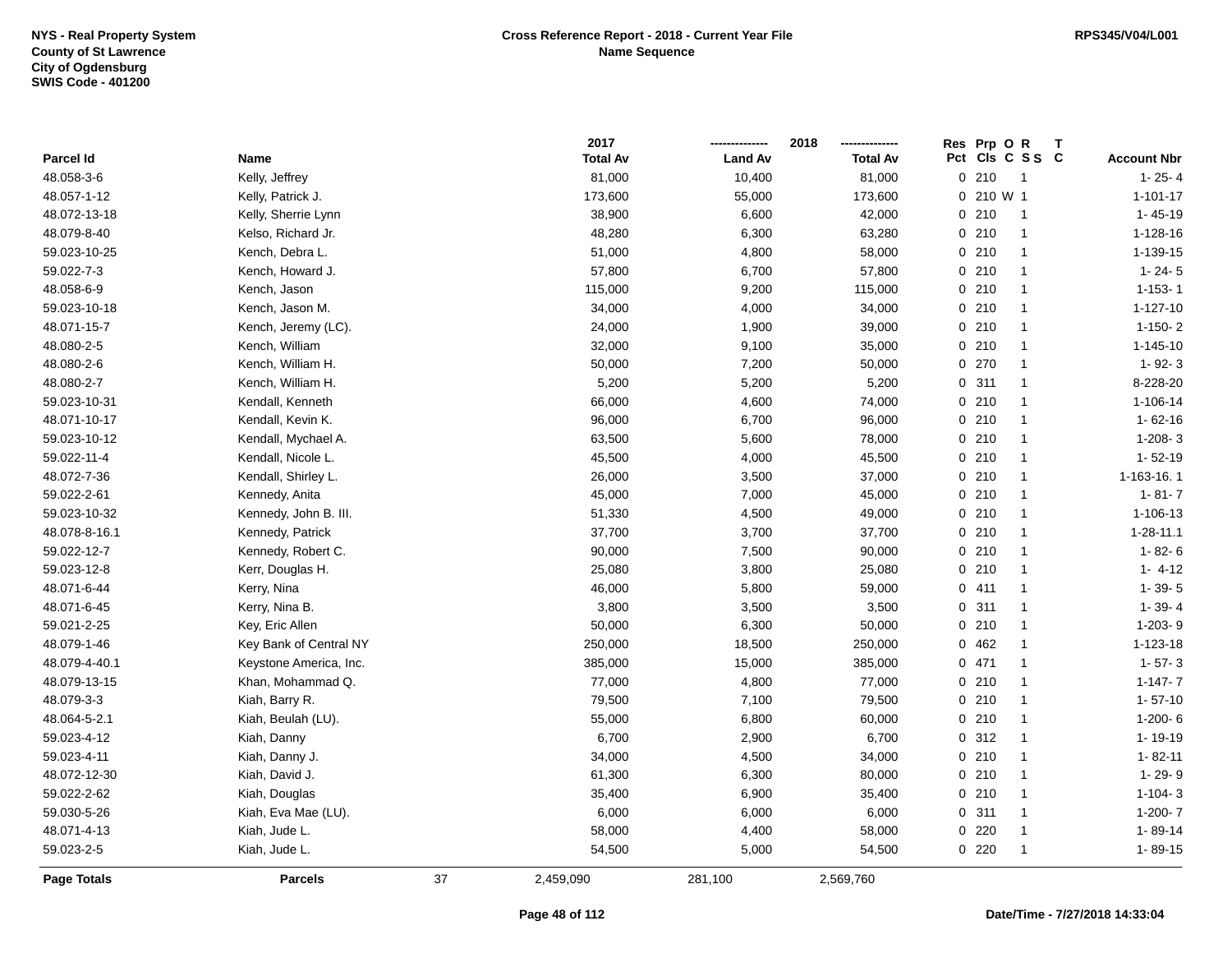|                    |                        |    | 2017            |                | 2018            | Res Prp O R                   |              |                    |
|--------------------|------------------------|----|-----------------|----------------|-----------------|-------------------------------|--------------|--------------------|
| Parcel Id          | Name                   |    | <b>Total Av</b> | <b>Land Av</b> | <b>Total Av</b> | Pct Cls C S S C               |              | <b>Account Nbr</b> |
| 48.058-3-6         | Kelly, Jeffrey         |    | 81,000          | 10,400         | 81,000          | 0210<br>$\overline{1}$        |              | $1 - 25 - 4$       |
| 48.057-1-12        | Kelly, Patrick J.      |    | 173,600         | 55,000         | 173,600         | 0 210 W 1                     |              | $1 - 101 - 17$     |
| 48.072-13-18       | Kelly, Sherrie Lynn    |    | 38,900          | 6,600          | 42,000          | 0210<br>$\overline{1}$        |              | $1 - 45 - 19$      |
| 48.079-8-40        | Kelso, Richard Jr.     |    | 48,280          | 6,300          | 63,280          | 0210<br>$\overline{1}$        |              | 1-128-16           |
| 59.023-10-25       | Kench, Debra L.        |    | 51,000          | 4,800          | 58,000          | 0210<br>-1                    |              | 1-139-15           |
| 59.022-7-3         | Kench, Howard J.       |    | 57,800          | 6,700          | 57,800          | 0210<br>-1                    |              | $1 - 24 - 5$       |
| 48.058-6-9         | Kench, Jason           |    | 115,000         | 9,200          | 115,000         | 0210<br>$\mathbf{1}$          |              | $1 - 153 - 1$      |
| 59.023-10-18       | Kench, Jason M.        |    | 34,000          | 4,000          | 34,000          | 0210                          | $\mathbf{1}$ | $1 - 127 - 10$     |
| 48.071-15-7        | Kench, Jeremy (LC).    |    | 24,000          | 1,900          | 39,000          | 0210<br>$\mathbf{1}$          |              | $1-150-2$          |
| 48.080-2-5         | Kench, William         |    | 32,000          | 9,100          | 35,000          | 0210<br>$\overline{1}$        |              | $1 - 145 - 10$     |
| 48.080-2-6         | Kench, William H.      |    | 50,000          | 7,200          | 50,000          | 0 270<br>-1                   |              | $1 - 92 - 3$       |
| 48.080-2-7         | Kench, William H.      |    | 5,200           | 5,200          | 5,200           | 0.311<br>-1                   |              | 8-228-20           |
| 59.023-10-31       | Kendall, Kenneth       |    | 66,000          | 4,600          | 74,000          | 0210<br>-1                    |              | 1-106-14           |
| 48.071-10-17       | Kendall, Kevin K.      |    | 96,000          | 6,700          | 96,000          | 0210<br>-1                    |              | $1 - 62 - 16$      |
| 59.023-10-12       | Kendall, Mychael A.    |    | 63,500          | 5,600          | 78,000          | 0210<br>$\overline{1}$        |              | $1-208-3$          |
| 59.022-11-4        | Kendall, Nicole L.     |    | 45,500          | 4,000          | 45,500          | 0210<br>$\overline{1}$        |              | $1 - 52 - 19$      |
| 48.072-7-36        | Kendall, Shirley L.    |    | 26,000          | 3,500          | 37,000          | 0210<br>$\overline{1}$        |              | 1-163-16.1         |
| 59.022-2-61        | Kennedy, Anita         |    | 45,000          | 7,000          | 45,000          | 0210<br>$\mathbf{1}$          |              | $1 - 81 - 7$       |
| 59.023-10-32       | Kennedy, John B. III.  |    | 51,330          | 4,500          | 49,000          | 0.210<br>$\blacktriangleleft$ |              | 1-106-13           |
| 48.078-8-16.1      | Kennedy, Patrick       |    | 37,700          | 3,700          | 37,700          | 0.210<br>$\blacktriangleleft$ |              | $1 - 28 - 11.1$    |
| 59.022-12-7        | Kennedy, Robert C.     |    | 90,000          | 7,500          | 90,000          | 0210<br>$\blacktriangleleft$  |              | $1 - 82 - 6$       |
| 59.023-12-8        | Kerr, Douglas H.       |    | 25,080          | 3,800          | 25,080          | 0210<br>$\overline{1}$        |              | $1 - 4 - 12$       |
| 48.071-6-44        | Kerry, Nina            |    | 46,000          | 5,800          | 59,000          | 0411<br>$\blacktriangleleft$  |              | $1 - 39 - 5$       |
| 48.071-6-45        | Kerry, Nina B.         |    | 3,800           | 3,500          | 3,500           | 0.311<br>$\blacktriangleleft$ |              | $1 - 39 - 4$       |
| 59.021-2-25        | Key, Eric Allen        |    | 50,000          | 6,300          | 50,000          | 0210<br>$\overline{1}$        |              | 1-203-9            |
| 48.079-1-46        | Key Bank of Central NY |    | 250,000         | 18,500         | 250,000         | 0462<br>-1                    |              | 1-123-18           |
| 48.079-4-40.1      | Keystone America, Inc. |    | 385,000         | 15,000         | 385,000         | 0471<br>-1                    |              | $1 - 57 - 3$       |
| 48.079-13-15       | Khan, Mohammad Q.      |    | 77,000          | 4,800          | 77,000          | 0210<br>-1                    |              | $1 - 147 - 7$      |
| 48.079-3-3         | Kiah, Barry R.         |    | 79,500          | 7,100          | 79,500          | 0210<br>-1                    |              | $1 - 57 - 10$      |
| 48.064-5-2.1       | Kiah, Beulah (LU).     |    | 55,000          | 6,800          | 60,000          | 0210<br>-1                    |              | $1-200-6$          |
| 59.023-4-12        | Kiah, Danny            |    | 6,700           | 2,900          | 6,700           | 0.312<br>-1                   |              | 1-19-19            |
| 59.023-4-11        | Kiah, Danny J.         |    | 34,000          | 4,500          | 34,000          | 0210<br>$\overline{1}$        |              | 1-82-11            |
| 48.072-12-30       | Kiah, David J.         |    | 61,300          | 6,300          | 80,000          | 0210<br>$\overline{1}$        |              | 1-29-9             |
| 59.022-2-62        | Kiah, Douglas          |    | 35,400          | 6,900          | 35,400          | 0210<br>$\overline{1}$        |              | $1-104-3$          |
| 59.030-5-26        | Kiah, Eva Mae (LU).    |    | 6,000           | 6,000          | 6,000           | 0.311                         | $\mathbf{1}$ | $1-200-7$          |
| 48.071-4-13        | Kiah, Jude L.          |    | 58,000          | 4,400          | 58,000          | 0220<br>-1                    |              | 1-89-14            |
| 59.023-2-5         | Kiah, Jude L.          |    | 54,500          | 5,000          | 54,500          | 0220                          |              | $1 - 89 - 15$      |
| <b>Page Totals</b> | <b>Parcels</b>         | 37 | 2,459,090       | 281,100        | 2,569,760       |                               |              |                    |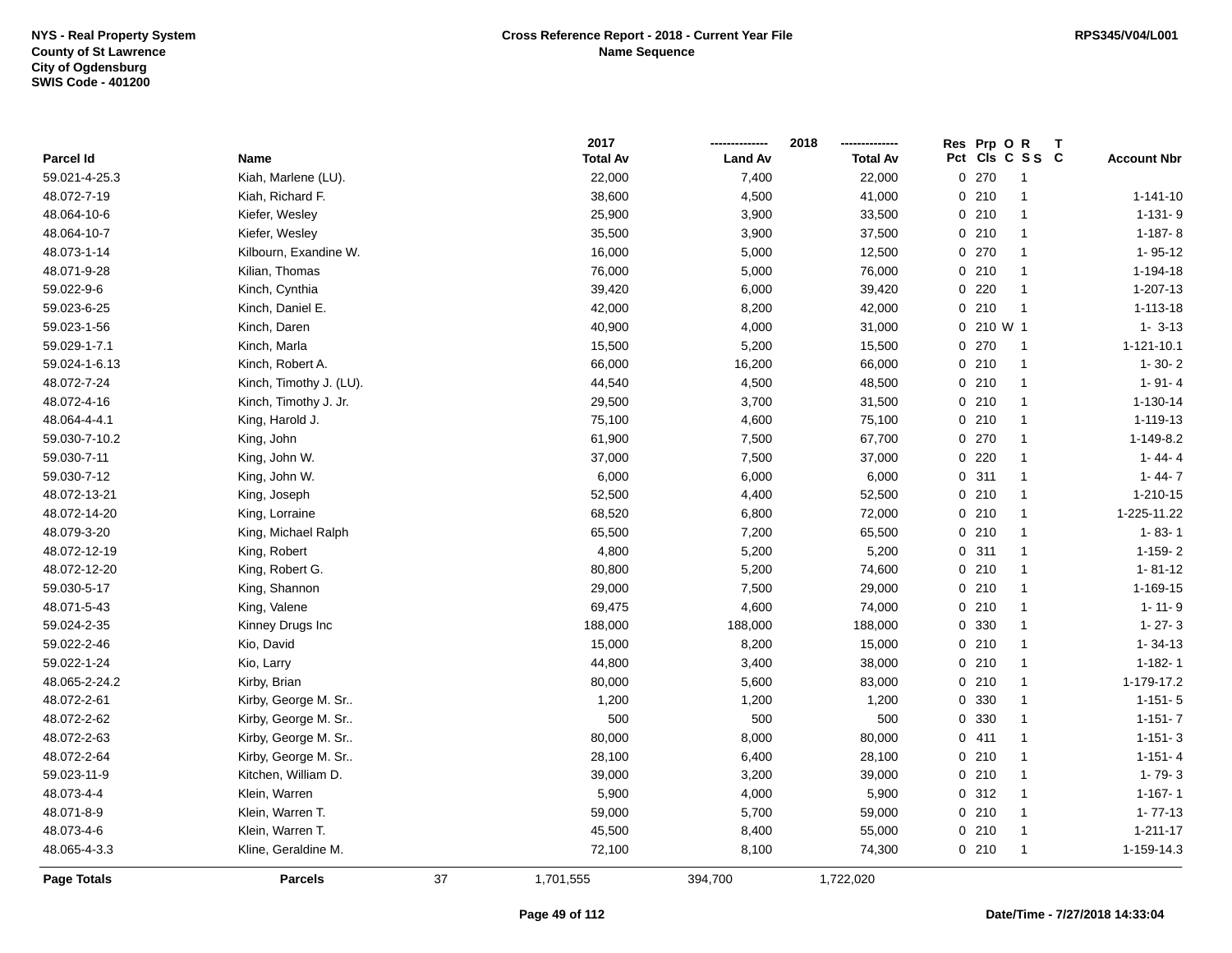|               |                         |    | 2017            |                | 2018            |     | Res Prp O R |                |                    |
|---------------|-------------------------|----|-----------------|----------------|-----------------|-----|-------------|----------------|--------------------|
| Parcel Id     | Name                    |    | <b>Total Av</b> | <b>Land Av</b> | <b>Total Av</b> | Pct |             | CIs C S S C    | <b>Account Nbr</b> |
| 59.021-4-25.3 | Kiah, Marlene (LU).     |    | 22,000          | 7,400          | 22,000          |     | 0270        | -1             |                    |
| 48.072-7-19   | Kiah, Richard F.        |    | 38,600          | 4,500          | 41,000          |     | 0210        | $\mathbf{1}$   | $1 - 141 - 10$     |
| 48.064-10-6   | Kiefer, Wesley          |    | 25,900          | 3,900          | 33,500          |     | 0210        | $\mathbf{1}$   | $1 - 131 - 9$      |
| 48.064-10-7   | Kiefer, Wesley          |    | 35,500          | 3,900          | 37,500          |     | 0210        | $\mathbf{1}$   | $1 - 187 - 8$      |
| 48.073-1-14   | Kilbourn, Exandine W.   |    | 16,000          | 5,000          | 12,500          |     | 0.270       | -1             | $1 - 95 - 12$      |
| 48.071-9-28   | Kilian, Thomas          |    | 76,000          | 5,000          | 76,000          |     | 0210        | -1             | 1-194-18           |
| 59.022-9-6    | Kinch, Cynthia          |    | 39,420          | 6,000          | 39,420          |     | $0$ 220     | $\mathbf{1}$   | 1-207-13           |
| 59.023-6-25   | Kinch, Daniel E.        |    | 42,000          | 8,200          | 42,000          |     | 0210        | $\mathbf{1}$   | $1 - 113 - 18$     |
| 59.023-1-56   | Kinch, Daren            |    | 40,900          | 4,000          | 31,000          |     | 0 210 W 1   |                | $1 - 3 - 13$       |
| 59.029-1-7.1  | Kinch, Marla            |    | 15,500          | 5,200          | 15,500          |     | 0 270       | $\overline{1}$ | $1 - 121 - 10.1$   |
| 59.024-1-6.13 | Kinch, Robert A.        |    | 66,000          | 16,200         | 66,000          |     | 0210        | $\mathbf{1}$   | $1 - 30 - 2$       |
| 48.072-7-24   | Kinch, Timothy J. (LU). |    | 44,540          | 4,500          | 48,500          |     | 0210        | $\mathbf{1}$   | $1 - 91 - 4$       |
| 48.072-4-16   | Kinch, Timothy J. Jr.   |    | 29,500          | 3,700          | 31,500          |     | 0210        | $\mathbf{1}$   | 1-130-14           |
| 48.064-4-4.1  | King, Harold J.         |    | 75,100          | 4,600          | 75,100          |     | 0210        | $\mathbf{1}$   | 1-119-13           |
| 59.030-7-10.2 | King, John              |    | 61,900          | 7,500          | 67,700          |     | 0270        | $\mathbf{1}$   | 1-149-8.2          |
| 59.030-7-11   | King, John W.           |    | 37,000          | 7,500          | 37,000          |     | 0.220       | $\mathbf{1}$   | $1 - 44 - 4$       |
| 59.030-7-12   | King, John W.           |    | 6,000           | 6,000          | 6,000           |     | 0.311       | $\mathbf{1}$   | $1 - 44 - 7$       |
| 48.072-13-21  | King, Joseph            |    | 52,500          | 4,400          | 52,500          |     | 0210        | $\mathbf{1}$   | 1-210-15           |
| 48.072-14-20  | King, Lorraine          |    | 68,520          | 6,800          | 72,000          |     | 0210        | $\mathbf{1}$   | 1-225-11.22        |
| 48.079-3-20   | King, Michael Ralph     |    | 65,500          | 7,200          | 65,500          |     | 0210        | $\mathbf{1}$   | $1 - 83 - 1$       |
| 48.072-12-19  | King, Robert            |    | 4,800           | 5,200          | 5,200           |     | 0.311       | $\mathbf{1}$   | $1-159-2$          |
| 48.072-12-20  | King, Robert G.         |    | 80,800          | 5,200          | 74,600          |     | 0210        | $\mathbf{1}$   | $1 - 81 - 12$      |
| 59.030-5-17   | King, Shannon           |    | 29,000          | 7,500          | 29,000          |     | 0210        | $\mathbf{1}$   | 1-169-15           |
| 48.071-5-43   | King, Valene            |    | 69,475          | 4,600          | 74,000          |     | 0210        | $\mathbf{1}$   | $1 - 11 - 9$       |
| 59.024-2-35   | Kinney Drugs Inc        |    | 188,000         | 188,000        | 188,000         |     | 0 330       | $\mathbf{1}$   | $1 - 27 - 3$       |
| 59.022-2-46   | Kio, David              |    | 15,000          | 8,200          | 15,000          |     | 0210        | $\mathbf{1}$   | $1 - 34 - 13$      |
| 59.022-1-24   | Kio, Larry              |    | 44,800          | 3,400          | 38,000          |     | 0210        | $\mathbf{1}$   | $1 - 182 - 1$      |
| 48.065-2-24.2 | Kirby, Brian            |    | 80,000          | 5,600          | 83,000          |     | 0210        | -1             | 1-179-17.2         |
| 48.072-2-61   | Kirby, George M. Sr     |    | 1,200           | 1,200          | 1,200           |     | 0 330       | -1             | $1 - 151 - 5$      |
| 48.072-2-62   | Kirby, George M. Sr     |    | 500             | 500            | 500             |     | 0 330       | $\mathbf{1}$   | $1 - 151 - 7$      |
| 48.072-2-63   | Kirby, George M. Sr     |    | 80,000          | 8,000          | 80,000          |     | 0411        | $\mathbf{1}$   | $1 - 151 - 3$      |
| 48.072-2-64   | Kirby, George M. Sr     |    | 28,100          | 6,400          | 28,100          |     | 0210        | $\mathbf{1}$   | $1 - 151 - 4$      |
| 59.023-11-9   | Kitchen, William D.     |    | 39,000          | 3,200          | 39,000          |     | 0210        | $\mathbf{1}$   | $1 - 79 - 3$       |
| 48.073-4-4    | Klein, Warren           |    | 5,900           | 4,000          | 5,900           |     | 0.312       | $\mathbf{1}$   | $1 - 167 - 1$      |
| 48.071-8-9    | Klein, Warren T.        |    | 59,000          | 5,700          | 59,000          |     | 0210        | $\mathbf{1}$   | $1 - 77 - 13$      |
| 48.073-4-6    | Klein, Warren T.        |    | 45,500          | 8,400          | 55,000          |     | 0210        | $\mathbf{1}$   | $1 - 211 - 17$     |
| 48.065-4-3.3  | Kline, Geraldine M.     |    | 72,100          | 8,100          | 74,300          |     | 0210        | $\mathbf{1}$   | 1-159-14.3         |
| Page Totals   | <b>Parcels</b>          | 37 | 1,701,555       | 394,700        | 1,722,020       |     |             |                |                    |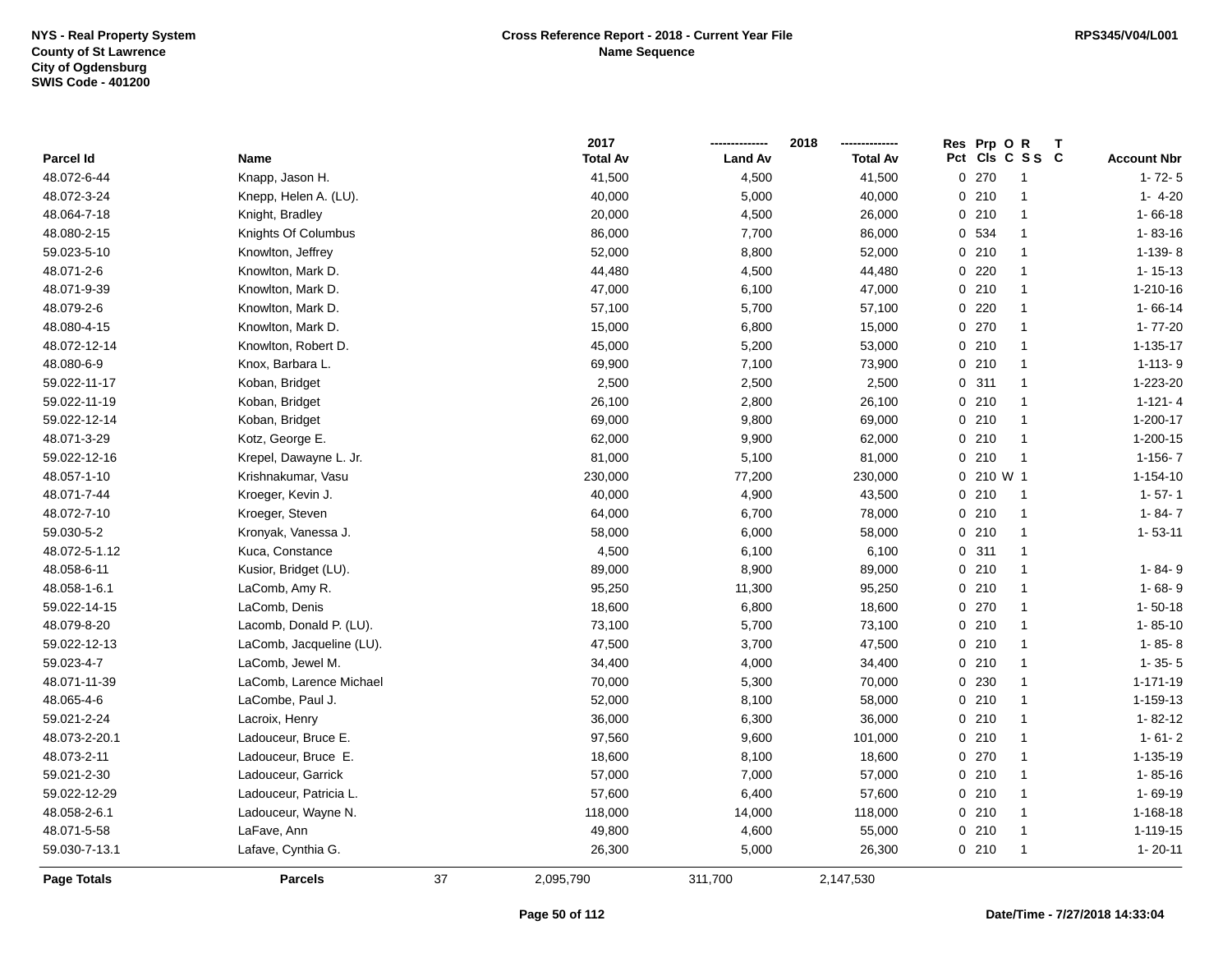|               |                          |    | 2017            |                | 2018            | Res Prp O R |                      |                    |
|---------------|--------------------------|----|-----------------|----------------|-----------------|-------------|----------------------|--------------------|
| Parcel Id     | Name                     |    | <b>Total Av</b> | <b>Land Av</b> | <b>Total Av</b> |             | Pct Cls C S S C      | <b>Account Nbr</b> |
| 48.072-6-44   | Knapp, Jason H.          |    | 41,500          | 4,500          | 41,500          | 0270        | $\overline{1}$       | $1 - 72 - 5$       |
| 48.072-3-24   | Knepp, Helen A. (LU).    |    | 40,000          | 5,000          | 40,000          | 0210        | $\overline{1}$       | $1 - 4 - 20$       |
| 48.064-7-18   | Knight, Bradley          |    | 20,000          | 4,500          | 26,000          | 0210        | $\overline{1}$       | $1 - 66 - 18$      |
| 48.080-2-15   | Knights Of Columbus      |    | 86,000          | 7,700          | 86,000          | 0 534       | $\overline{1}$       | $1 - 83 - 16$      |
| 59.023-5-10   | Knowlton, Jeffrey        |    | 52,000          | 8,800          | 52,000          | 0210        | $\mathbf{1}$         | $1-139-8$          |
| 48.071-2-6    | Knowlton, Mark D.        |    | 44,480          | 4,500          | 44,480          | $0$ 220     | $\overline{1}$       | $1 - 15 - 13$      |
| 48.071-9-39   | Knowlton, Mark D.        |    | 47,000          | 6,100          | 47,000          | 0210        | $\overline{1}$       | 1-210-16           |
| 48.079-2-6    | Knowlton, Mark D.        |    | 57,100          | 5,700          | 57,100          | $0$ 220     | $\overline{1}$       | $1 - 66 - 14$      |
| 48.080-4-15   | Knowlton, Mark D.        |    | 15,000          | 6,800          | 15,000          | 0270        | $\overline{1}$       | $1 - 77 - 20$      |
| 48.072-12-14  | Knowlton, Robert D.      |    | 45,000          | 5,200          | 53,000          | 0210        | $\overline{1}$       | $1 - 135 - 17$     |
| 48.080-6-9    | Knox, Barbara L.         |    | 69,900          | 7,100          | 73,900          | 0210        | $\overline{1}$       | $1 - 113 - 9$      |
| 59.022-11-17  | Koban, Bridget           |    | 2,500           | 2,500          | 2,500           | 0.311       | $\mathbf{1}$         | 1-223-20           |
| 59.022-11-19  | Koban, Bridget           |    | 26,100          | 2,800          | 26,100          | 0210        | $\mathbf{1}$         | $1 - 121 - 4$      |
| 59.022-12-14  | Koban, Bridget           |    | 69,000          | 9,800          | 69,000          | 0210        | $\overline{1}$       | 1-200-17           |
| 48.071-3-29   | Kotz, George E.          |    | 62,000          | 9,900          | 62,000          | 0210        | $\overline{1}$       | 1-200-15           |
| 59.022-12-16  | Krepel, Dawayne L. Jr.   |    | 81,000          | 5,100          | 81,000          | 0210        | $\overline{1}$       | $1 - 156 - 7$      |
| 48.057-1-10   | Krishnakumar, Vasu       |    | 230,000         | 77,200         | 230,000         | 0 210 W 1   |                      | $1 - 154 - 10$     |
| 48.071-7-44   | Kroeger, Kevin J.        |    | 40,000          | 4,900          | 43,500          | 0210        | $\overline{1}$       | $1 - 57 - 1$       |
| 48.072-7-10   | Kroeger, Steven          |    | 64,000          | 6,700          | 78,000          | 0210        | $\overline{1}$       | $1 - 84 - 7$       |
| 59.030-5-2    | Kronyak, Vanessa J.      |    | 58,000          | 6,000          | 58,000          | 0210        | $\overline{1}$       | $1 - 53 - 11$      |
| 48.072-5-1.12 | Kuca, Constance          |    | 4,500           | 6,100          | 6,100           | 0.311       | $\overline{1}$       |                    |
| 48.058-6-11   | Kusior, Bridget (LU).    |    | 89,000          | 8,900          | 89,000          | 0210        | $\overline{1}$       | 1-84-9             |
| 48.058-1-6.1  | LaComb, Amy R.           |    | 95,250          | 11,300         | 95,250          | 0210        | $\overline{1}$       | $1 - 68 - 9$       |
| 59.022-14-15  | LaComb, Denis            |    | 18,600          | 6,800          | 18,600          | 0 270       | $\overline{1}$       | $1 - 50 - 18$      |
| 48.079-8-20   | Lacomb, Donald P. (LU).  |    | 73,100          | 5,700          | 73,100          | 0210        | $\overline{1}$       | $1 - 85 - 10$      |
| 59.022-12-13  | LaComb, Jacqueline (LU). |    | 47,500          | 3,700          | 47,500          | 0210        | $\overline{1}$       | $1 - 85 - 8$       |
| 59.023-4-7    | LaComb, Jewel M.         |    | 34,400          | 4,000          | 34,400          | 0210        | $\overline{1}$       | $1 - 35 - 5$       |
| 48.071-11-39  | LaComb, Larence Michael  |    | 70,000          | 5,300          | 70,000          | 0 230       | $\mathbf{1}$         | $1 - 171 - 19$     |
| 48.065-4-6    | LaCombe, Paul J.         |    | 52,000          | 8,100          | 58,000          | 0210        | $\mathbf{1}$         | 1-159-13           |
| 59.021-2-24   | Lacroix, Henry           |    | 36,000          | 6,300          | 36,000          | 0210        | $\blacktriangleleft$ | $1 - 82 - 12$      |
| 48.073-2-20.1 | Ladouceur, Bruce E.      |    | 97,560          | 9,600          | 101,000         | 0210        | $\mathbf{1}$         | $1 - 61 - 2$       |
| 48.073-2-11   | Ladouceur, Bruce E.      |    | 18,600          | 8,100          | 18,600          | 0.270       | $\overline{1}$       | 1-135-19           |
| 59.021-2-30   | Ladouceur, Garrick       |    | 57,000          | 7,000          | 57,000          | 0210        | $\overline{1}$       | $1 - 85 - 16$      |
| 59.022-12-29  | Ladouceur, Patricia L.   |    | 57,600          | 6,400          | 57,600          | 0210        | $\overline{1}$       | 1-69-19            |
| 48.058-2-6.1  | Ladouceur, Wayne N.      |    | 118,000         | 14,000         | 118,000         | 0210        | $\mathbf{1}$         | 1-168-18           |
| 48.071-5-58   | LaFave, Ann              |    | 49,800          | 4,600          | 55,000          | 0210        | $\overline{1}$       | 1-119-15           |
| 59.030-7-13.1 | Lafave, Cynthia G.       |    | 26,300          | 5,000          | 26,300          | 0210        | $\overline{1}$       | $1 - 20 - 11$      |
| Page Totals   | <b>Parcels</b>           | 37 | 2,095,790       | 311,700        | 2,147,530       |             |                      |                    |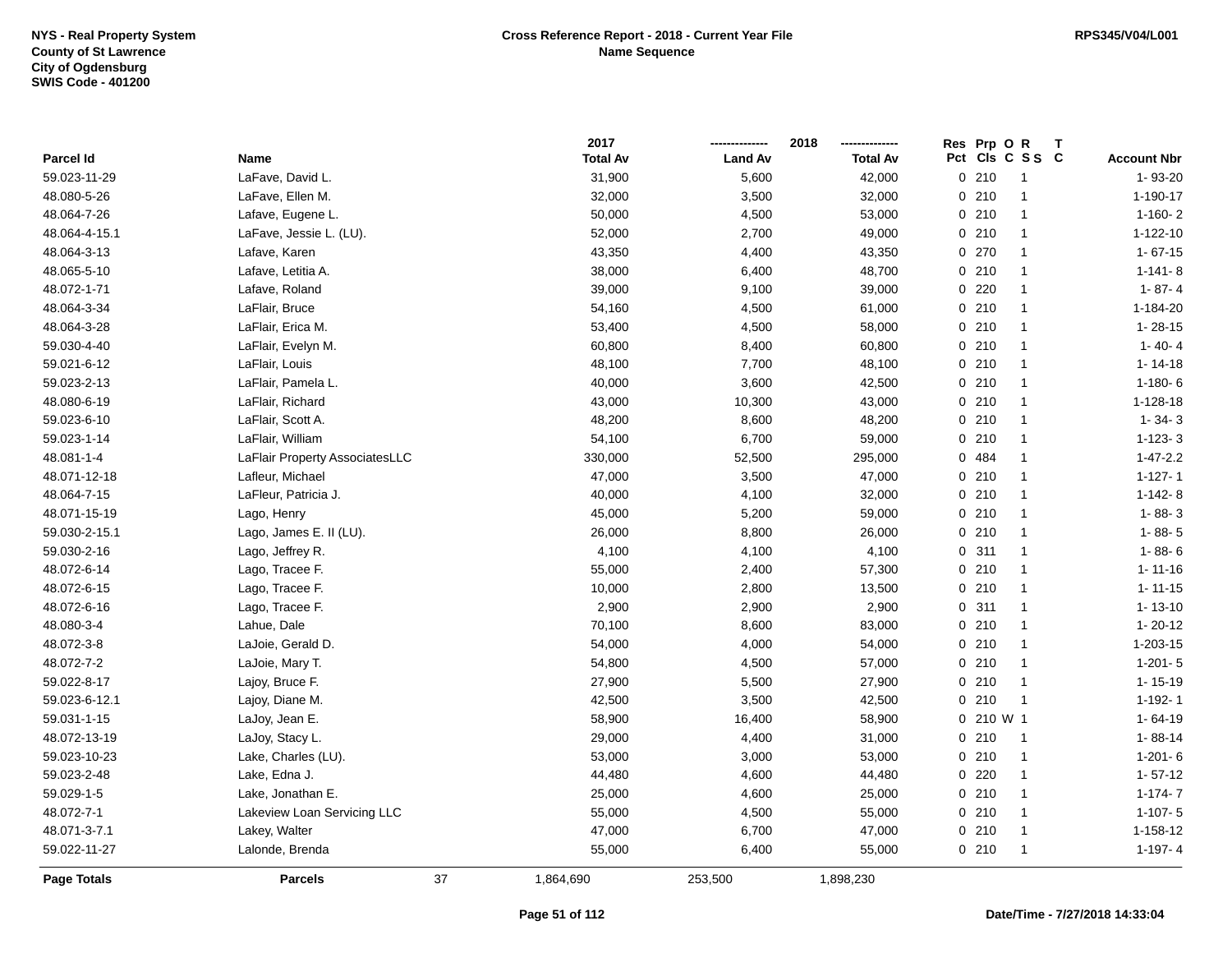|                  |                                |    | 2017            |                | 2018            | Prp OR<br><b>Res</b><br>$\mathbf{T}$ |                    |
|------------------|--------------------------------|----|-----------------|----------------|-----------------|--------------------------------------|--------------------|
| <b>Parcel Id</b> | Name                           |    | <b>Total Av</b> | <b>Land Av</b> | <b>Total Av</b> | Pct Cls C S S C                      | <b>Account Nbr</b> |
| 59.023-11-29     | LaFave, David L.               |    | 31,900          | 5,600          | 42,000          | 0210<br>$\overline{1}$               | 1-93-20            |
| 48.080-5-26      | LaFave, Ellen M.               |    | 32,000          | 3,500          | 32,000          | 0210<br>-1                           | $1 - 190 - 17$     |
| 48.064-7-26      | Lafave, Eugene L.              |    | 50,000          | 4,500          | 53,000          | 0210<br>$\mathbf{1}$                 | $1 - 160 - 2$      |
| 48.064-4-15.1    | LaFave, Jessie L. (LU).        |    | 52,000          | 2,700          | 49,000          | 0210<br>$\mathbf{1}$                 | 1-122-10           |
| 48.064-3-13      | Lafave, Karen                  |    | 43,350          | 4,400          | 43,350          | 0 270<br>$\mathbf{1}$                | $1 - 67 - 15$      |
| 48.065-5-10      | Lafave, Letitia A.             |    | 38,000          | 6,400          | 48,700          | 0210<br>$\mathbf{1}$                 | $1 - 141 - 8$      |
| 48.072-1-71      | Lafave, Roland                 |    | 39,000          | 9,100          | 39,000          | $0$ 220<br>$\mathbf{1}$              | $1 - 87 - 4$       |
| 48.064-3-34      | LaFlair, Bruce                 |    | 54,160          | 4,500          | 61,000          | 0210<br>$\mathbf{1}$                 | 1-184-20           |
| 48.064-3-28      | LaFlair, Erica M.              |    | 53,400          | 4,500          | 58,000          | 0210<br>$\mathbf{1}$                 | $1 - 28 - 15$      |
| 59.030-4-40      | LaFlair, Evelyn M.             |    | 60,800          | 8,400          | 60,800          | 0210<br>$\mathbf{1}$                 | $1 - 40 - 4$       |
| 59.021-6-12      | LaFlair, Louis                 |    | 48,100          | 7,700          | 48,100          | 0210<br>$\mathbf{1}$                 | $1 - 14 - 18$      |
| 59.023-2-13      | LaFlair, Pamela L.             |    | 40,000          | 3,600          | 42,500          | 0210<br>$\mathbf{1}$                 | $1 - 180 - 6$      |
| 48.080-6-19      | LaFlair, Richard               |    | 43,000          | 10,300         | 43,000          | 0210<br>$\mathbf{1}$                 | 1-128-18           |
| 59.023-6-10      | LaFlair, Scott A.              |    | 48,200          | 8,600          | 48,200          | 0210<br>$\mathbf{1}$                 | $1 - 34 - 3$       |
| 59.023-1-14      | LaFlair, William               |    | 54,100          | 6,700          | 59,000          | 0210<br>$\mathbf{1}$                 | $1 - 123 - 3$      |
| 48.081-1-4       | LaFlair Property AssociatesLLC |    | 330,000         | 52,500         | 295,000         | 0 484<br>-1                          | $1 - 47 - 2.2$     |
| 48.071-12-18     | Lafleur, Michael               |    | 47,000          | 3,500          | 47,000          | 0210<br>$\mathbf{1}$                 | $1 - 127 - 1$      |
| 48.064-7-15      | LaFleur, Patricia J.           |    | 40,000          | 4,100          | 32,000          | 0210<br>$\mathbf{1}$                 | $1-142-8$          |
| 48.071-15-19     | Lago, Henry                    |    | 45,000          | 5,200          | 59,000          | 0210<br>$\mathbf{1}$                 | $1 - 88 - 3$       |
| 59.030-2-15.1    | Lago, James E. II (LU).        |    | 26,000          | 8,800          | 26,000          | 0210<br>$\mathbf{1}$                 | $1 - 88 - 5$       |
| 59.030-2-16      | Lago, Jeffrey R.               |    | 4,100           | 4,100          | 4,100           | 0.311<br>$\mathbf{1}$                | $1 - 88 - 6$       |
| 48.072-6-14      | Lago, Tracee F.                |    | 55,000          | 2,400          | 57,300          | 0210<br>$\mathbf{1}$                 | $1 - 11 - 16$      |
| 48.072-6-15      | Lago, Tracee F.                |    | 10,000          | 2,800          | 13,500          | 0210<br>$\mathbf{1}$                 | $1 - 11 - 15$      |
| 48.072-6-16      | Lago, Tracee F.                |    | 2,900           | 2,900          | 2,900           | 0.311<br>$\mathbf{1}$                | $1 - 13 - 10$      |
| 48.080-3-4       | Lahue, Dale                    |    | 70,100          | 8,600          | 83,000          | 0210<br>$\mathbf{1}$                 | $1 - 20 - 12$      |
| 48.072-3-8       | LaJoie, Gerald D.              |    | 54,000          | 4,000          | 54,000          | 0210<br>$\mathbf{1}$                 | 1-203-15           |
| 48.072-7-2       | LaJoie, Mary T.                |    | 54,800          | 4,500          | 57,000          | 0210<br>$\mathbf{1}$                 | $1-201-5$          |
| 59.022-8-17      | Lajoy, Bruce F.                |    | 27,900          | 5,500          | 27,900          | 0210<br>$\mathbf{1}$                 | $1 - 15 - 19$      |
| 59.023-6-12.1    | Lajoy, Diane M.                |    | 42,500          | 3,500          | 42,500          | 0210<br>-1                           | $1 - 192 - 1$      |
| 59.031-1-15      | LaJoy, Jean E.                 |    | 58,900          | 16,400         | 58,900          | 0 210 W 1                            | $1 - 64 - 19$      |
| 48.072-13-19     | LaJoy, Stacy L.                |    | 29,000          | 4,400          | 31,000          | 0210<br>$\overline{1}$               | $1 - 88 - 14$      |
| 59.023-10-23     | Lake, Charles (LU).            |    | 53,000          | 3,000          | 53,000          | 0210<br>$\overline{1}$               | $1-201-6$          |
| 59.023-2-48      | Lake, Edna J.                  |    | 44,480          | 4,600          | 44,480          | $0$ 220<br>$\mathbf{1}$              | $1 - 57 - 12$      |
| 59.029-1-5       | Lake, Jonathan E.              |    | 25,000          | 4,600          | 25,000          | 0210<br>$\mathbf{1}$                 | $1 - 174 - 7$      |
| 48.072-7-1       | Lakeview Loan Servicing LLC    |    | 55,000          | 4,500          | 55,000          | 0210<br>$\mathbf{1}$                 | $1-107-5$          |
| 48.071-3-7.1     | Lakey, Walter                  |    | 47,000          | 6,700          | 47,000          | 0210<br>$\mathbf{1}$                 | 1-158-12           |
| 59.022-11-27     | Lalonde, Brenda                |    | 55,000          | 6,400          | 55,000          | 0210<br>$\mathbf{1}$                 | $1-197-4$          |
| Page Totals      | <b>Parcels</b>                 | 37 | 1,864,690       | 253,500        | 1,898,230       |                                      |                    |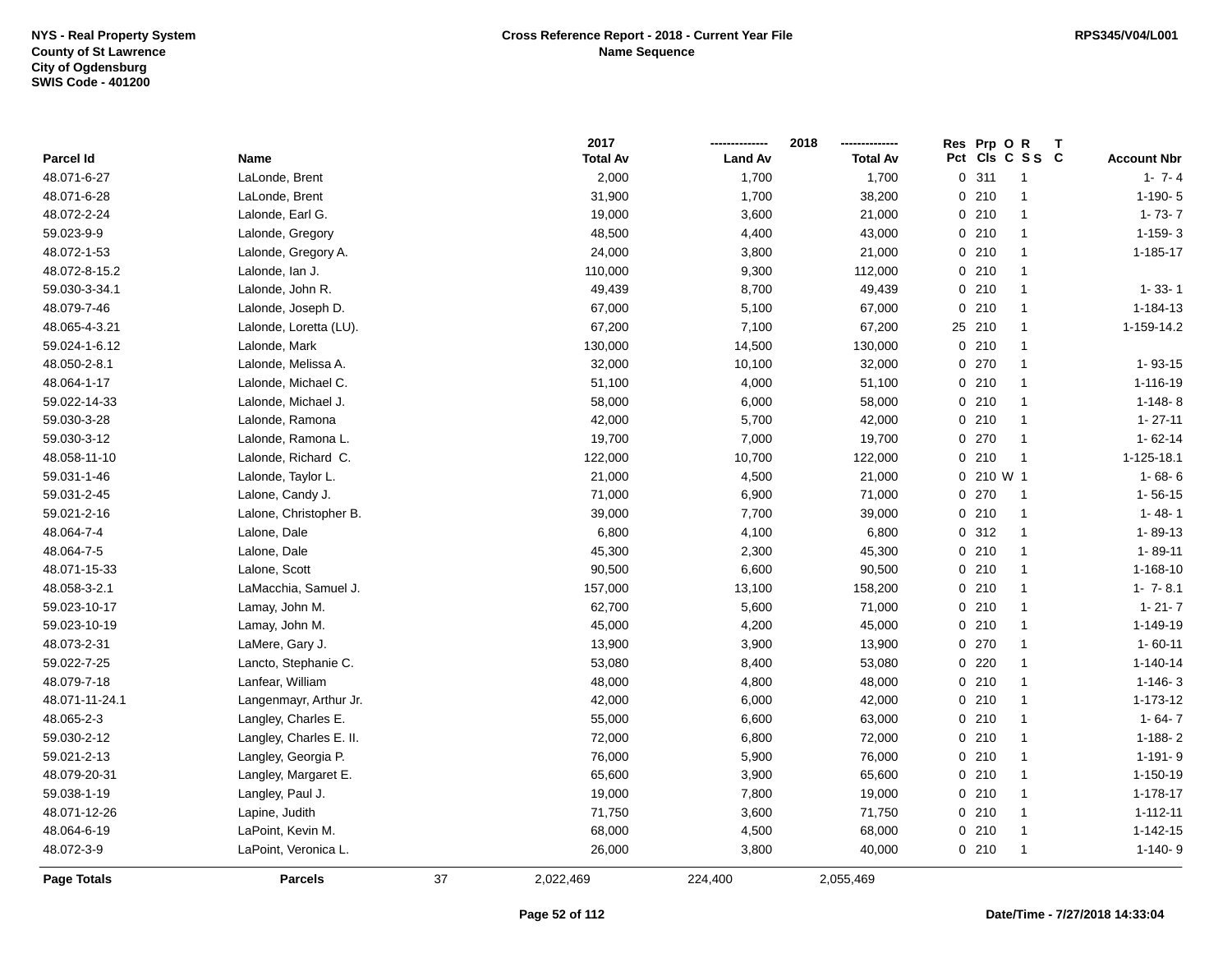|                    |                         |    | 2017            |                | 2018            | Res Prp O R  |                      |                    |
|--------------------|-------------------------|----|-----------------|----------------|-----------------|--------------|----------------------|--------------------|
| Parcel Id          | Name                    |    | <b>Total Av</b> | <b>Land Av</b> | <b>Total Av</b> |              | Pct Cls C S S C      | <b>Account Nbr</b> |
| 48.071-6-27        | LaLonde, Brent          |    | 2,000           | 1,700          | 1,700           | 0.311        | $\overline{1}$       | $1 - 7 - 4$        |
| 48.071-6-28        | LaLonde, Brent          |    | 31,900          | 1,700          | 38,200          | 0210         | $\overline{1}$       | $1-190-5$          |
| 48.072-2-24        | Lalonde, Earl G.        |    | 19,000          | 3,600          | 21,000          | 0210         | $\overline{1}$       | $1 - 73 - 7$       |
| 59.023-9-9         | Lalonde, Gregory        |    | 48,500          | 4,400          | 43,000          | 0210         | $\overline{1}$       | $1-159-3$          |
| 48.072-1-53        | Lalonde, Gregory A.     |    | 24,000          | 3,800          | 21,000          | 0210         | $\mathbf{1}$         | 1-185-17           |
| 48.072-8-15.2      | Lalonde, Ian J.         |    | 110,000         | 9,300          | 112,000         | 0210         | $\overline{1}$       |                    |
| 59.030-3-34.1      | Lalonde, John R.        |    | 49,439          | 8,700          | 49,439          | 0210         | $\mathbf{1}$         | $1 - 33 - 1$       |
| 48.079-7-46        | Lalonde, Joseph D.      |    | 67,000          | 5,100          | 67,000          | 0210         | $\overline{1}$       | 1-184-13           |
| 48.065-4-3.21      | Lalonde, Loretta (LU).  |    | 67,200          | 7,100          | 67,200          | 25 210       | $\overline{1}$       | 1-159-14.2         |
| 59.024-1-6.12      | Lalonde, Mark           |    | 130,000         | 14,500         | 130,000         | 0210         | $\overline{1}$       |                    |
| 48.050-2-8.1       | Lalonde, Melissa A.     |    | 32,000          | 10,100         | 32,000          | 0270         | $\mathbf{1}$         | $1 - 93 - 15$      |
| 48.064-1-17        | Lalonde, Michael C.     |    | 51,100          | 4,000          | 51,100          | 0210         | $\blacktriangleleft$ | 1-116-19           |
| 59.022-14-33       | Lalonde, Michael J.     |    | 58,000          | 6,000          | 58,000          | 0210         | -1                   | $1-148-8$          |
| 59.030-3-28        | Lalonde, Ramona         |    | 42,000          | 5,700          | 42,000          | 0210         | $\overline{1}$       | $1 - 27 - 11$      |
| 59.030-3-12        | Lalonde, Ramona L.      |    | 19,700          | 7,000          | 19,700          | 0 270        | $\mathbf{1}$         | $1 - 62 - 14$      |
| 48.058-11-10       | Lalonde, Richard C.     |    | 122,000         | 10,700         | 122,000         | 0210         | $\overline{1}$       | 1-125-18.1         |
| 59.031-1-46        | Lalonde, Taylor L.      |    | 21,000          | 4,500          | 21,000          | $0, 210$ W 1 |                      | $1 - 68 - 6$       |
| 59.031-2-45        | Lalone, Candy J.        |    | 71,000          | 6,900          | 71,000          | 0 270        | $\overline{1}$       | $1 - 56 - 15$      |
| 59.021-2-16        | Lalone, Christopher B.  |    | 39,000          | 7,700          | 39,000          | 0210         | $\mathbf{1}$         | $1 - 48 - 1$       |
| 48.064-7-4         | Lalone, Dale            |    | 6,800           | 4,100          | 6,800           | 0.312        | $\overline{1}$       | 1-89-13            |
| 48.064-7-5         | Lalone, Dale            |    | 45,300          | 2,300          | 45,300          | 0210         | $\mathbf{1}$         | $1 - 89 - 11$      |
| 48.071-15-33       | Lalone, Scott           |    | 90,500          | 6,600          | 90,500          | 0210         | $\overline{1}$       | 1-168-10           |
| 48.058-3-2.1       | LaMacchia, Samuel J.    |    | 157,000         | 13,100         | 158,200         | 0210         | $\overline{1}$       | $1 - 7 - 8.1$      |
| 59.023-10-17       | Lamay, John M.          |    | 62,700          | 5,600          | 71,000          | 0210         | $\overline{1}$       | $1 - 21 - 7$       |
| 59.023-10-19       | Lamay, John M.          |    | 45,000          | 4,200          | 45,000          | 0210         | $\overline{1}$       | 1-149-19           |
| 48.073-2-31        | LaMere, Gary J.         |    | 13,900          | 3,900          | 13,900          | 0270         | $\overline{1}$       | $1 - 60 - 11$      |
| 59.022-7-25        | Lancto, Stephanie C.    |    | 53,080          | 8,400          | 53,080          | 0220         | $\overline{1}$       | $1 - 140 - 14$     |
| 48.079-7-18        | Lanfear, William        |    | 48,000          | 4,800          | 48,000          | 0210         | $\mathbf{1}$         | $1 - 146 - 3$      |
| 48.071-11-24.1     | Langenmayr, Arthur Jr.  |    | 42,000          | 6,000          | 42,000          | 0210         | $\mathbf{1}$         | 1-173-12           |
| 48.065-2-3         | Langley, Charles E.     |    | 55,000          | 6,600          | 63,000          | 0210         | $\mathbf{1}$         | $1 - 64 - 7$       |
| 59.030-2-12        | Langley, Charles E. II. |    | 72,000          | 6,800          | 72,000          | 0210         | $\mathbf{1}$         | $1 - 188 - 2$      |
| 59.021-2-13        | Langley, Georgia P.     |    | 76,000          | 5,900          | 76,000          | 0210         | $\overline{1}$       | $1 - 191 - 9$      |
| 48.079-20-31       | Langley, Margaret E.    |    | 65,600          | 3,900          | 65,600          | 0210         | $\overline{1}$       | 1-150-19           |
| 59.038-1-19        | Langley, Paul J.        |    | 19,000          | 7,800          | 19,000          | 0210         | $\overline{1}$       | $1 - 178 - 17$     |
| 48.071-12-26       | Lapine, Judith          |    | 71,750          | 3,600          | 71,750          | 0210         | 1                    | $1 - 112 - 11$     |
| 48.064-6-19        | LaPoint, Kevin M.       |    | 68,000          | 4,500          | 68,000          | 0210         | $\overline{1}$       | $1 - 142 - 15$     |
| 48.072-3-9         | LaPoint, Veronica L.    |    | 26,000          | 3,800          | 40,000          | 0210         | $\overline{1}$       | $1-140-9$          |
| <b>Page Totals</b> | <b>Parcels</b>          | 37 | 2,022,469       | 224,400        | 2,055,469       |              |                      |                    |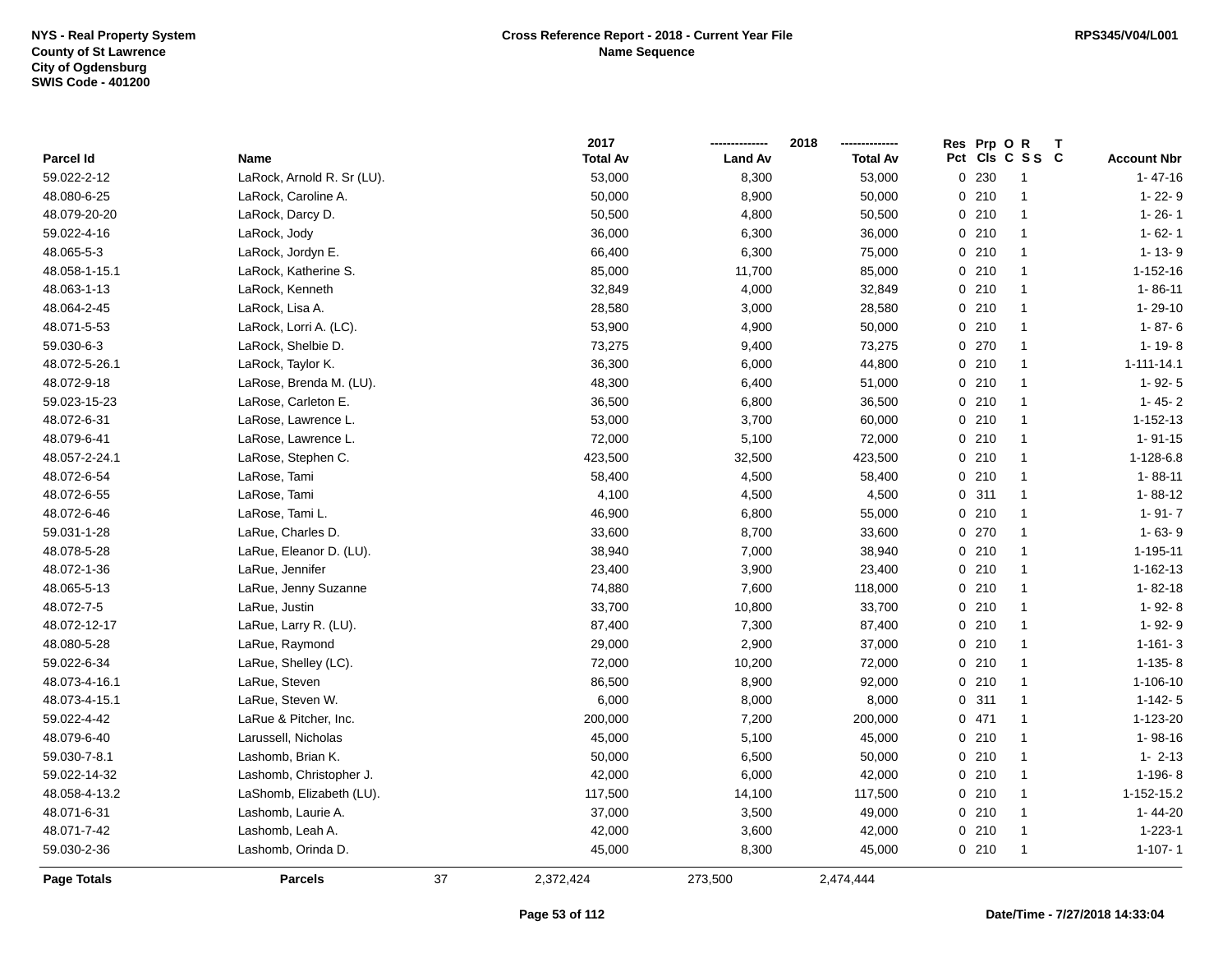|               |                            |    | 2017            |                | 2018            | Res Prp O R |                 |                    |
|---------------|----------------------------|----|-----------------|----------------|-----------------|-------------|-----------------|--------------------|
| Parcel Id     | Name                       |    | <b>Total Av</b> | <b>Land Av</b> | <b>Total Av</b> |             | Pct Cls C S S C | <b>Account Nbr</b> |
| 59.022-2-12   | LaRock, Arnold R. Sr (LU). |    | 53,000          | 8,300          | 53,000          | 0 230       | $\mathbf{1}$    | $1 - 47 - 16$      |
| 48.080-6-25   | LaRock, Caroline A.        |    | 50,000          | 8,900          | 50,000          | 0210        | $\mathbf{1}$    | 1-22-9             |
| 48.079-20-20  | LaRock, Darcy D.           |    | 50,500          | 4,800          | 50,500          | 0210        | $\mathbf{1}$    | $1 - 26 - 1$       |
| 59.022-4-16   | LaRock, Jody               |    | 36,000          | 6,300          | 36,000          | 0210        | $\mathbf{1}$    | $1 - 62 - 1$       |
| 48.065-5-3    | LaRock, Jordyn E.          |    | 66,400          | 6,300          | 75,000          | 0210        | $\mathbf{1}$    | $1 - 13 - 9$       |
| 48.058-1-15.1 | LaRock, Katherine S.       |    | 85,000          | 11,700         | 85,000          | 0210        | $\mathbf{1}$    | 1-152-16           |
| 48.063-1-13   | LaRock, Kenneth            |    | 32,849          | 4,000          | 32,849          | 0210        | $\mathbf{1}$    | $1 - 86 - 11$      |
| 48.064-2-45   | LaRock, Lisa A.            |    | 28,580          | 3,000          | 28,580          | 0210        | $\mathbf{1}$    | $1 - 29 - 10$      |
| 48.071-5-53   | LaRock, Lorri A. (LC).     |    | 53,900          | 4,900          | 50,000          | 0210        | $\mathbf{1}$    | $1 - 87 - 6$       |
| 59.030-6-3    | LaRock, Shelbie D.         |    | 73,275          | 9,400          | 73,275          | 0.270       | $\mathbf{1}$    | $1 - 19 - 8$       |
| 48.072-5-26.1 | LaRock, Taylor K.          |    | 36,300          | 6,000          | 44,800          | 0210        | $\mathbf{1}$    | $1 - 111 - 14.1$   |
| 48.072-9-18   | LaRose, Brenda M. (LU).    |    | 48,300          | 6,400          | 51,000          | 0210        | $\mathbf{1}$    | $1 - 92 - 5$       |
| 59.023-15-23  | LaRose, Carleton E.        |    | 36,500          | 6,800          | 36,500          | 0210        | $\mathbf{1}$    | $1 - 45 - 2$       |
| 48.072-6-31   | LaRose, Lawrence L.        |    | 53,000          | 3,700          | 60,000          | 0210        | $\mathbf{1}$    | 1-152-13           |
| 48.079-6-41   | LaRose, Lawrence L.        |    | 72,000          | 5,100          | 72,000          | 0210        | $\mathbf{1}$    | $1 - 91 - 15$      |
| 48.057-2-24.1 | LaRose, Stephen C.         |    | 423,500         | 32,500         | 423,500         | 0210        | $\mathbf{1}$    | 1-128-6.8          |
| 48.072-6-54   | LaRose, Tami               |    | 58,400          | 4,500          | 58,400          | 0210        | $\mathbf{1}$    | $1 - 88 - 11$      |
| 48.072-6-55   | LaRose, Tami               |    | 4,100           | 4,500          | 4,500           | 0.311       | $\mathbf{1}$    | $1 - 88 - 12$      |
| 48.072-6-46   | LaRose, Tami L.            |    | 46,900          | 6,800          | 55,000          | 0210        | $\mathbf{1}$    | $1 - 91 - 7$       |
| 59.031-1-28   | LaRue, Charles D.          |    | 33,600          | 8,700          | 33,600          | 0270        | $\mathbf{1}$    | $1 - 63 - 9$       |
| 48.078-5-28   | LaRue, Eleanor D. (LU).    |    | 38,940          | 7,000          | 38,940          | 0210        | $\mathbf{1}$    | 1-195-11           |
| 48.072-1-36   | LaRue, Jennifer            |    | 23,400          | 3,900          | 23,400          | 0210        | $\mathbf{1}$    | 1-162-13           |
| 48.065-5-13   | LaRue, Jenny Suzanne       |    | 74,880          | 7,600          | 118,000         | 0210        | $\mathbf{1}$    | $1 - 82 - 18$      |
| 48.072-7-5    | LaRue, Justin              |    | 33,700          | 10,800         | 33,700          | 0210        | $\mathbf{1}$    | 1-92-8             |
| 48.072-12-17  | LaRue, Larry R. (LU).      |    | 87,400          | 7,300          | 87,400          | 0210        | $\mathbf{1}$    | 1-92-9             |
| 48.080-5-28   | LaRue, Raymond             |    | 29,000          | 2,900          | 37,000          | 0210        | $\mathbf{1}$    | $1 - 161 - 3$      |
| 59.022-6-34   | LaRue, Shelley (LC).       |    | 72,000          | 10,200         | 72,000          | 0210        | $\mathbf{1}$    | $1-135-8$          |
| 48.073-4-16.1 | LaRue, Steven              |    | 86,500          | 8,900          | 92,000          | 0210        | $\mathbf{1}$    | 1-106-10           |
| 48.073-4-15.1 | LaRue, Steven W.           |    | 6,000           | 8,000          | 8,000           | 0.311       | $\mathbf{1}$    | $1 - 142 - 5$      |
| 59.022-4-42   | LaRue & Pitcher, Inc.      |    | 200,000         | 7,200          | 200,000         | 0471        | $\mathbf{1}$    | 1-123-20           |
| 48.079-6-40   | Larussell, Nicholas        |    | 45,000          | 5,100          | 45,000          | 0210        | $\mathbf{1}$    | $1 - 98 - 16$      |
| 59.030-7-8.1  | Lashomb, Brian K.          |    | 50,000          | 6,500          | 50,000          | 0210        | $\mathbf{1}$    | $1 - 2 - 13$       |
| 59.022-14-32  | Lashomb, Christopher J.    |    | 42,000          | 6,000          | 42,000          | 0210        | $\mathbf{1}$    | $1-196-8$          |
| 48.058-4-13.2 | LaShomb, Elizabeth (LU).   |    | 117,500         | 14,100         | 117,500         | 0210        | $\mathbf{1}$    | 1-152-15.2         |
| 48.071-6-31   | Lashomb, Laurie A.         |    | 37,000          | 3,500          | 49,000          | 0210        | $\mathbf{1}$    | 1-44-20            |
| 48.071-7-42   | Lashomb, Leah A.           |    | 42,000          | 3,600          | 42,000          | 0210        | $\mathbf{1}$    | $1 - 223 - 1$      |
| 59.030-2-36   | Lashomb, Orinda D.         |    | 45,000          | 8,300          | 45,000          | 0210        | $\mathbf{1}$    | $1 - 107 - 1$      |
| Page Totals   | <b>Parcels</b>             | 37 | 2,372,424       | 273,500        | 2,474,444       |             |                 |                    |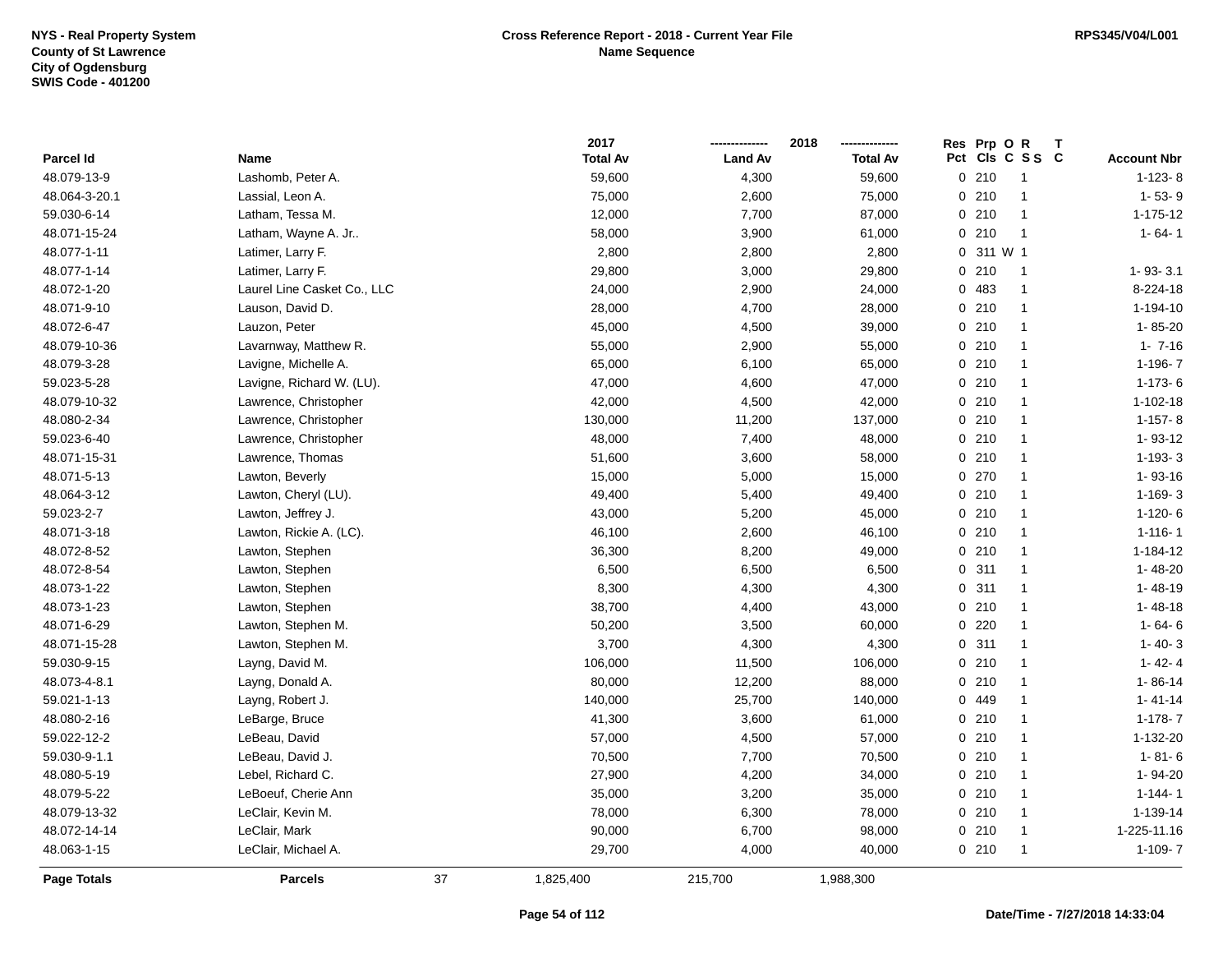|                    |                             |    | 2017            |                | 2018            | Res | Prp OR    |                 | $\mathbf T$ |                    |
|--------------------|-----------------------------|----|-----------------|----------------|-----------------|-----|-----------|-----------------|-------------|--------------------|
| Parcel Id          | Name                        |    | <b>Total Av</b> | <b>Land Av</b> | <b>Total Av</b> |     |           | Pct Cls C S S C |             | <b>Account Nbr</b> |
| 48.079-13-9        | Lashomb, Peter A.           |    | 59,600          | 4,300          | 59,600          |     | 0210      | $\overline{1}$  |             | $1 - 123 - 8$      |
| 48.064-3-20.1      | Lassial, Leon A.            |    | 75,000          | 2,600          | 75,000          |     | 0210      | -1              |             | $1 - 53 - 9$       |
| 59.030-6-14        | Latham, Tessa M.            |    | 12,000          | 7,700          | 87,000          |     | 0210      | $\overline{1}$  |             | 1-175-12           |
| 48.071-15-24       | Latham, Wayne A. Jr         |    | 58,000          | 3,900          | 61,000          |     | 0210      | $\overline{1}$  |             | $1 - 64 - 1$       |
| 48.077-1-11        | Latimer, Larry F.           |    | 2,800           | 2,800          | 2,800           |     | 0 311 W 1 |                 |             |                    |
| 48.077-1-14        | Latimer, Larry F.           |    | 29,800          | 3,000          | 29,800          |     | 0210      | $\overline{1}$  |             | 1-93-3.1           |
| 48.072-1-20        | Laurel Line Casket Co., LLC |    | 24,000          | 2,900          | 24,000          |     | 0 483     | $\overline{1}$  |             | 8-224-18           |
| 48.071-9-10        | Lauson, David D.            |    | 28,000          | 4,700          | 28,000          |     | 0210      | $\mathbf{1}$    |             | $1 - 194 - 10$     |
| 48.072-6-47        | Lauzon, Peter               |    | 45,000          | 4,500          | 39,000          |     | 0210      | $\mathbf{1}$    |             | 1-85-20            |
| 48.079-10-36       | Lavarnway, Matthew R.       |    | 55,000          | 2,900          | 55,000          |     | 0210      | $\overline{1}$  |             | $1 - 7 - 16$       |
| 48.079-3-28        | Lavigne, Michelle A.        |    | 65,000          | 6,100          | 65,000          |     | 0210      | $\overline{1}$  |             | $1-196-7$          |
| 59.023-5-28        | Lavigne, Richard W. (LU).   |    | 47,000          | 4,600          | 47,000          |     | 0210      | $\overline{1}$  |             | $1 - 173 - 6$      |
| 48.079-10-32       | Lawrence, Christopher       |    | 42,000          | 4,500          | 42,000          |     | 0210      | $\mathbf{1}$    |             | 1-102-18           |
| 48.080-2-34        | Lawrence, Christopher       |    | 130,000         | 11,200         | 137,000         |     | 0210      | $\overline{1}$  |             | $1 - 157 - 8$      |
| 59.023-6-40        | Lawrence, Christopher       |    | 48,000          | 7,400          | 48,000          |     | 0210      | $\mathbf{1}$    |             | 1-93-12            |
| 48.071-15-31       | Lawrence, Thomas            |    | 51,600          | 3,600          | 58,000          |     | 0210      | $\mathbf{1}$    |             | $1-193-3$          |
| 48.071-5-13        | Lawton, Beverly             |    | 15,000          | 5,000          | 15,000          |     | 0270      | $\mathbf{1}$    |             | 1-93-16            |
| 48.064-3-12        | Lawton, Cheryl (LU).        |    | 49,400          | 5,400          | 49,400          |     | 0210      | $\overline{1}$  |             | $1 - 169 - 3$      |
| 59.023-2-7         | Lawton, Jeffrey J.          |    | 43,000          | 5,200          | 45,000          |     | 0210      | $\mathbf{1}$    |             | $1-120-6$          |
| 48.071-3-18        | Lawton, Rickie A. (LC).     |    | 46,100          | 2,600          | 46,100          |     | 0210      | $\mathbf{1}$    |             | $1 - 116 - 1$      |
| 48.072-8-52        | Lawton, Stephen             |    | 36,300          | 8,200          | 49,000          |     | 0210      | $\overline{1}$  |             | 1-184-12           |
| 48.072-8-54        | Lawton, Stephen             |    | 6,500           | 6,500          | 6,500           |     | 0.311     | $\overline{1}$  |             | 1-48-20            |
| 48.073-1-22        | Lawton, Stephen             |    | 8,300           | 4,300          | 4,300           |     | 0.311     | $\mathbf{1}$    |             | 1-48-19            |
| 48.073-1-23        | Lawton, Stephen             |    | 38,700          | 4,400          | 43,000          |     | 0210      | $\mathbf{1}$    |             | $1 - 48 - 18$      |
| 48.071-6-29        | Lawton, Stephen M.          |    | 50,200          | 3,500          | 60,000          |     | $0$ 220   | $\overline{1}$  |             | $1 - 64 - 6$       |
| 48.071-15-28       | Lawton, Stephen M.          |    | 3,700           | 4,300          | 4,300           |     | 0.311     | $\overline{1}$  |             | $1 - 40 - 3$       |
| 59.030-9-15        | Layng, David M.             |    | 106,000         | 11,500         | 106,000         |     | 0210      | $\overline{1}$  |             | $1 - 42 - 4$       |
| 48.073-4-8.1       | Layng, Donald A.            |    | 80,000          | 12,200         | 88,000          |     | 0210      | $\mathbf{1}$    |             | $1 - 86 - 14$      |
| 59.021-1-13        | Layng, Robert J.            |    | 140,000         | 25,700         | 140,000         |     | 0 449     | $\mathbf{1}$    |             | $1 - 41 - 14$      |
| 48.080-2-16        | LeBarge, Bruce              |    | 41,300          | 3,600          | 61,000          |     | 0210      | $\mathbf{1}$    |             | $1 - 178 - 7$      |
| 59.022-12-2        | LeBeau, David               |    | 57,000          | 4,500          | 57,000          |     | 0210      | $\mathbf{1}$    |             | 1-132-20           |
| 59.030-9-1.1       | LeBeau, David J.            |    | 70,500          | 7,700          | 70,500          |     | 0210      | $\overline{1}$  |             | $1 - 81 - 6$       |
| 48.080-5-19        | Lebel, Richard C.           |    | 27,900          | 4,200          | 34,000          |     | 0210      | $\mathbf{1}$    |             | 1-94-20            |
| 48.079-5-22        | LeBoeuf, Cherie Ann         |    | 35,000          | 3,200          | 35,000          |     | 0210      | $\overline{1}$  |             | $1 - 144 - 1$      |
| 48.079-13-32       | LeClair, Kevin M.           |    | 78,000          | 6,300          | 78,000          |     | 0210      | $\overline{1}$  |             | 1-139-14           |
| 48.072-14-14       | LeClair, Mark               |    | 90,000          | 6,700          | 98,000          |     | 0210      | $\overline{1}$  |             | 1-225-11.16        |
| 48.063-1-15        | LeClair, Michael A.         |    | 29,700          | 4,000          | 40,000          |     | 0 210     | $\mathbf{1}$    |             | $1-109 - 7$        |
| <b>Page Totals</b> | <b>Parcels</b>              | 37 | 1,825,400       | 215,700        | 1,988,300       |     |           |                 |             |                    |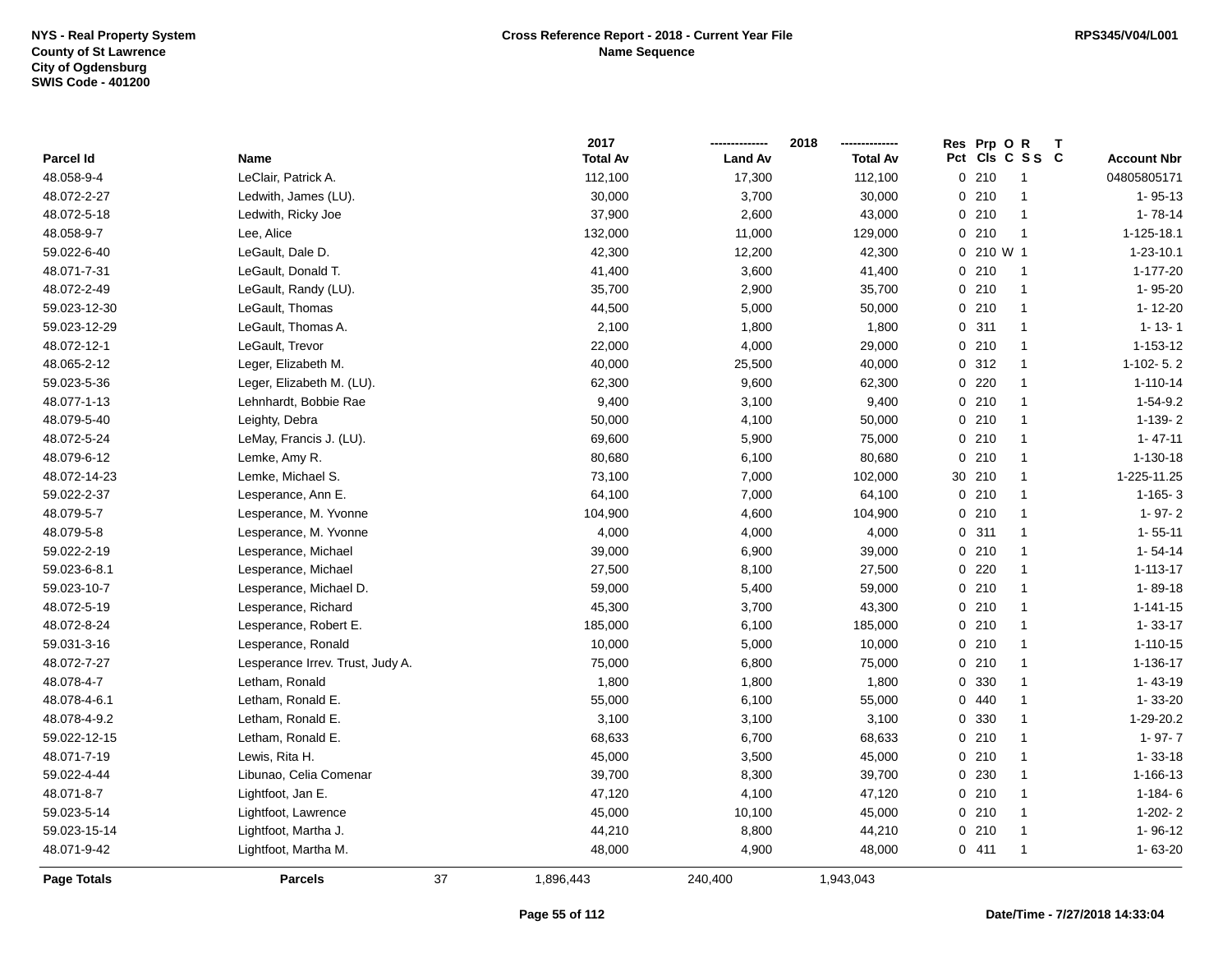|              |                                  |    | 2017            |                | 2018            | Res Prp O R |                      |                    |
|--------------|----------------------------------|----|-----------------|----------------|-----------------|-------------|----------------------|--------------------|
| Parcel Id    | Name                             |    | <b>Total Av</b> | <b>Land Av</b> | <b>Total Av</b> |             | Pct Cls C S S C      | <b>Account Nbr</b> |
| 48.058-9-4   | LeClair, Patrick A.              |    | 112,100         | 17,300         | 112,100         | 0210        | $\overline{1}$       | 04805805171        |
| 48.072-2-27  | Ledwith, James (LU).             |    | 30,000          | 3,700          | 30,000          | 0210        | $\overline{1}$       | $1 - 95 - 13$      |
| 48.072-5-18  | Ledwith, Ricky Joe               |    | 37,900          | 2,600          | 43,000          | 0210        | $\overline{1}$       | $1 - 78 - 14$      |
| 48.058-9-7   | Lee, Alice                       |    | 132,000         | 11,000         | 129,000         | 0210        | $\overline{1}$       | 1-125-18.1         |
| 59.022-6-40  | LeGault, Dale D.                 |    | 42,300          | 12,200         | 42,300          | 0 210 W 1   |                      | $1 - 23 - 10.1$    |
| 48.071-7-31  | LeGault, Donald T.               |    | 41,400          | 3,600          | 41,400          | 0210        | $\overline{1}$       | 1-177-20           |
| 48.072-2-49  | LeGault, Randy (LU).             |    | 35,700          | 2,900          | 35,700          | 0210        | $\overline{1}$       | 1-95-20            |
| 59.023-12-30 | LeGault, Thomas                  |    | 44,500          | 5,000          | 50,000          | 0210        | $\overline{1}$       | 1-12-20            |
| 59.023-12-29 | LeGault, Thomas A.               |    | 2,100           | 1,800          | 1,800           | 0.311       | $\overline{1}$       | $1 - 13 - 1$       |
| 48.072-12-1  | LeGault, Trevor                  |    | 22,000          | 4,000          | 29,000          | 0210        | $\overline{1}$       | $1 - 153 - 12$     |
| 48.065-2-12  | Leger, Elizabeth M.              |    | 40,000          | 25,500         | 40,000          | 0.312       | $\mathbf{1}$         | $1-102-5.2$        |
| 59.023-5-36  | Leger, Elizabeth M. (LU).        |    | 62,300          | 9,600          | 62,300          | 0220        | -1                   | $1 - 110 - 14$     |
| 48.077-1-13  | Lehnhardt, Bobbie Rae            |    | 9,400           | 3,100          | 9,400           | 0210        | $\mathbf{1}$         | $1-54-9.2$         |
| 48.079-5-40  | Leighty, Debra                   |    | 50,000          | 4,100          | 50,000          | 0210        | $\overline{1}$       | $1-139-2$          |
| 48.072-5-24  | LeMay, Francis J. (LU).          |    | 69,600          | 5,900          | 75,000          | 0210        | $\mathbf{1}$         | $1 - 47 - 11$      |
| 48.079-6-12  | Lemke, Amy R.                    |    | 80,680          | 6,100          | 80,680          | 0210        | $\overline{1}$       | 1-130-18           |
| 48.072-14-23 | Lemke, Michael S.                |    | 73,100          | 7,000          | 102,000         | 30 210      | $\mathbf{1}$         | 1-225-11.25        |
| 59.022-2-37  | Lesperance, Ann E.               |    | 64,100          | 7,000          | 64,100          | 0210        | $\overline{1}$       | $1-165-3$          |
| 48.079-5-7   | Lesperance, M. Yvonne            |    | 104,900         | 4,600          | 104,900         | 0210        | $\mathbf{1}$         | $1 - 97 - 2$       |
| 48.079-5-8   | Lesperance, M. Yvonne            |    | 4,000           | 4,000          | 4,000           | 0.311       | $\overline{1}$       | $1 - 55 - 11$      |
| 59.022-2-19  | Lesperance, Michael              |    | 39,000          | 6,900          | 39,000          | 0210        | $\mathbf{1}$         | $1 - 54 - 14$      |
| 59.023-6-8.1 | Lesperance, Michael              |    | 27,500          | 8,100          | 27,500          | 0220        | $\overline{1}$       | $1 - 113 - 17$     |
| 59.023-10-7  | Lesperance, Michael D.           |    | 59,000          | 5,400          | 59,000          | 0210        | $\overline{1}$       | $1 - 89 - 18$      |
| 48.072-5-19  | Lesperance, Richard              |    | 45,300          | 3,700          | 43,300          | 0210        | $\overline{1}$       | $1 - 141 - 15$     |
| 48.072-8-24  | Lesperance, Robert E.            |    | 185,000         | 6,100          | 185,000         | 0210        | $\overline{1}$       | $1 - 33 - 17$      |
| 59.031-3-16  | Lesperance, Ronald               |    | 10,000          | 5,000          | 10,000          | 0210        | $\overline{1}$       | $1 - 110 - 15$     |
| 48.072-7-27  | Lesperance Irrev. Trust, Judy A. |    | 75,000          | 6,800          | 75,000          | 0210        | $\mathbf{1}$         | 1-136-17           |
| 48.078-4-7   | Letham, Ronald                   |    | 1,800           | 1,800          | 1,800           | 0 330       | -1                   | $1 - 43 - 19$      |
| 48.078-4-6.1 | Letham, Ronald E.                |    | 55,000          | 6,100          | 55,000          | 0440        | $\mathbf{1}$         | $1 - 33 - 20$      |
| 48.078-4-9.2 | Letham, Ronald E.                |    | 3,100           | 3,100          | 3,100           | 0 330       | $\overline{1}$       | 1-29-20.2          |
| 59.022-12-15 | Letham, Ronald E.                |    | 68,633          | 6,700          | 68,633          | 0210        | $\mathbf{1}$         | $1 - 97 - 7$       |
| 48.071-7-19  | Lewis, Rita H.                   |    | 45,000          | 3,500          | 45,000          | 0210        | $\overline{1}$       | $1 - 33 - 18$      |
| 59.022-4-44  | Libunao, Celia Comenar           |    | 39,700          | 8,300          | 39,700          | 0 230       | $\overline{1}$       | 1-166-13           |
| 48.071-8-7   | Lightfoot, Jan E.                |    | 47,120          | 4,100          | 47,120          | 0210        | $\overline{1}$       | $1-184-6$          |
| 59.023-5-14  | Lightfoot, Lawrence              |    | 45,000          | 10,100         | 45,000          | 0210        | $\mathbf{1}$         | $1-202-2$          |
| 59.023-15-14 | Lightfoot, Martha J.             |    | 44,210          | 8,800          | 44,210          | 0210        | $\overline{1}$       | $1 - 96 - 12$      |
| 48.071-9-42  | Lightfoot, Martha M.             |    | 48,000          | 4,900          | 48,000          | 0411        | $\blacktriangleleft$ | 1-63-20            |
| Page Totals  | <b>Parcels</b>                   | 37 | 1,896,443       | 240,400        | 1,943,043       |             |                      |                    |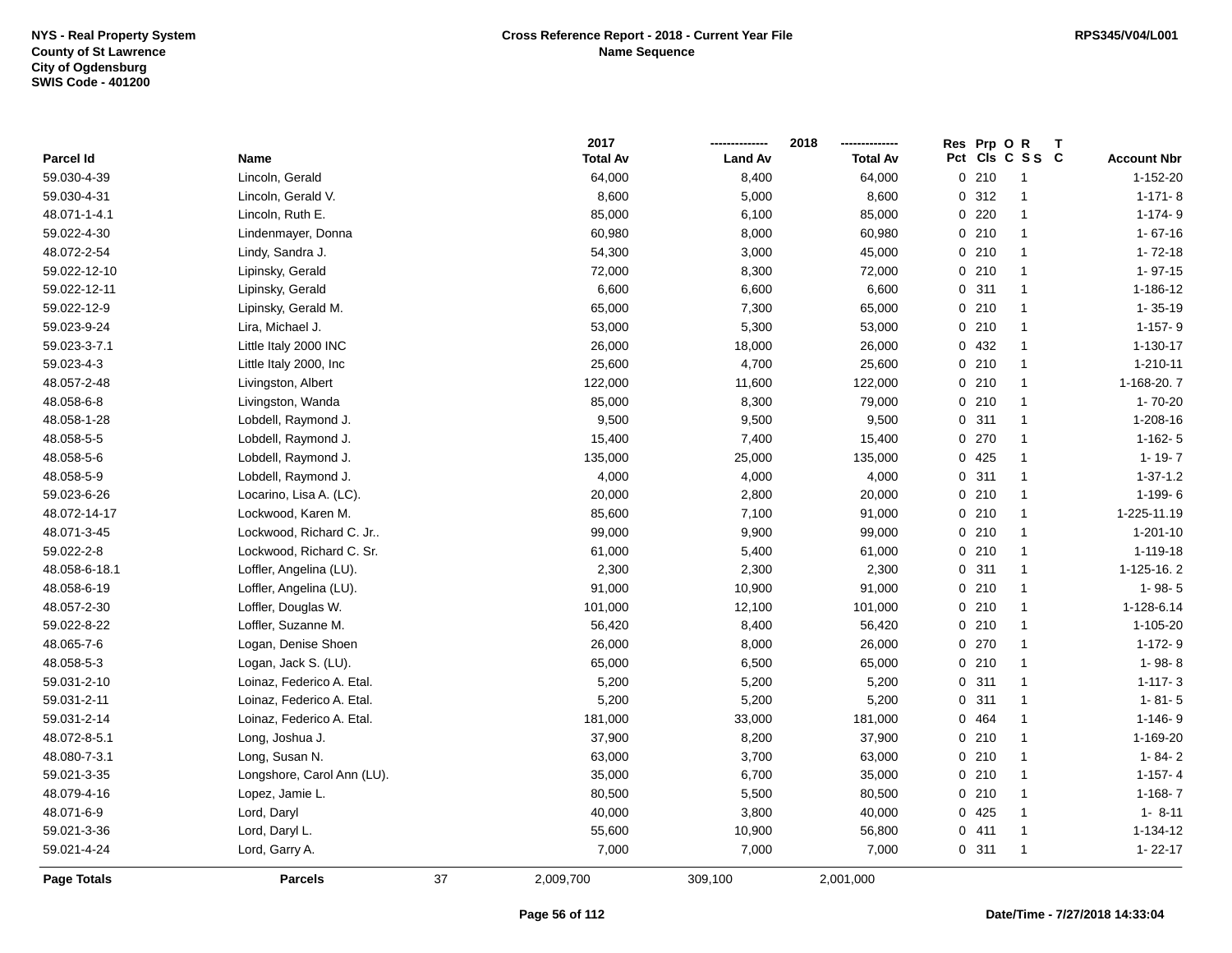|                    |                            |    | 2017            |                | 2018            |     | Res Prp O R |                |                    |
|--------------------|----------------------------|----|-----------------|----------------|-----------------|-----|-------------|----------------|--------------------|
| Parcel Id          | Name                       |    | <b>Total Av</b> | <b>Land Av</b> | <b>Total Av</b> | Pct |             | CIs C S S C    | <b>Account Nbr</b> |
| 59.030-4-39        | Lincoln, Gerald            |    | 64,000          | 8,400          | 64,000          |     | 0210        | $\mathbf{1}$   | 1-152-20           |
| 59.030-4-31        | Lincoln, Gerald V.         |    | 8,600           | 5,000          | 8,600           |     | 0.312       | $\overline{1}$ | $1 - 171 - 8$      |
| 48.071-1-4.1       | Lincoln, Ruth E.           |    | 85,000          | 6,100          | 85,000          |     | $0$ 220     | $\mathbf{1}$   | $1-174-9$          |
| 59.022-4-30        | Lindenmayer, Donna         |    | 60,980          | 8,000          | 60,980          |     | 0210        | $\mathbf{1}$   | $1 - 67 - 16$      |
| 48.072-2-54        | Lindy, Sandra J.           |    | 54,300          | 3,000          | 45,000          |     | 0210        | $\overline{1}$ | $1 - 72 - 18$      |
| 59.022-12-10       | Lipinsky, Gerald           |    | 72,000          | 8,300          | 72,000          |     | 0210        | -1             | $1 - 97 - 15$      |
| 59.022-12-11       | Lipinsky, Gerald           |    | 6,600           | 6,600          | 6,600           |     | 0.311       | $\mathbf{1}$   | 1-186-12           |
| 59.022-12-9        | Lipinsky, Gerald M.        |    | 65,000          | 7,300          | 65,000          |     | 0210        | $\mathbf{1}$   | $1 - 35 - 19$      |
| 59.023-9-24        | Lira, Michael J.           |    | 53,000          | 5,300          | 53,000          |     | 0210        | $\mathbf{1}$   | $1-157-9$          |
| 59.023-3-7.1       | Little Italy 2000 INC      |    | 26,000          | 18,000         | 26,000          |     | 0 432       | $\mathbf{1}$   | $1 - 130 - 17$     |
| 59.023-4-3         | Little Italy 2000, Inc     |    | 25,600          | 4,700          | 25,600          |     | 0210        | $\mathbf{1}$   | 1-210-11           |
| 48.057-2-48        | Livingston, Albert         |    | 122,000         | 11,600         | 122,000         |     | 0210        | $\mathbf{1}$   | 1-168-20.7         |
| 48.058-6-8         | Livingston, Wanda          |    | 85,000          | 8,300          | 79,000          |     | 0210        | $\mathbf{1}$   | $1 - 70 - 20$      |
| 48.058-1-28        | Lobdell, Raymond J.        |    | 9,500           | 9,500          | 9,500           |     | 0.311       | $\mathbf{1}$   | 1-208-16           |
| 48.058-5-5         | Lobdell, Raymond J.        |    | 15,400          | 7,400          | 15,400          |     | 0270        | $\mathbf{1}$   | $1-162-5$          |
| 48.058-5-6         | Lobdell, Raymond J.        |    | 135,000         | 25,000         | 135,000         |     | 0 425       | $\mathbf{1}$   | $1 - 19 - 7$       |
| 48.058-5-9         | Lobdell, Raymond J.        |    | 4,000           | 4,000          | 4,000           |     | 0.311       | $\mathbf{1}$   | $1 - 37 - 1.2$     |
| 59.023-6-26        | Locarino, Lisa A. (LC).    |    | 20,000          | 2,800          | 20,000          |     | 0210        | $\mathbf{1}$   | $1-199-6$          |
| 48.072-14-17       | Lockwood, Karen M.         |    | 85,600          | 7,100          | 91,000          |     | 0210        | $\mathbf{1}$   | 1-225-11.19        |
| 48.071-3-45        | Lockwood, Richard C. Jr    |    | 99,000          | 9,900          | 99,000          |     | 0210        | $\mathbf{1}$   | $1 - 201 - 10$     |
| 59.022-2-8         | Lockwood, Richard C. Sr.   |    | 61,000          | 5,400          | 61,000          |     | 0210        | $\mathbf{1}$   | $1 - 119 - 18$     |
| 48.058-6-18.1      | Loffler, Angelina (LU).    |    | 2,300           | 2,300          | 2,300           |     | 0.311       | $\mathbf{1}$   | 1-125-16.2         |
| 48.058-6-19        | Loffler, Angelina (LU).    |    | 91,000          | 10,900         | 91,000          |     | 0210        | $\mathbf{1}$   | $1 - 98 - 5$       |
| 48.057-2-30        | Loffler, Douglas W.        |    | 101,000         | 12,100         | 101,000         |     | 0210        | $\mathbf{1}$   | 1-128-6.14         |
| 59.022-8-22        | Loffler, Suzanne M.        |    | 56,420          | 8,400          | 56,420          |     | 0210        | $\mathbf{1}$   | 1-105-20           |
| 48.065-7-6         | Logan, Denise Shoen        |    | 26,000          | 8,000          | 26,000          |     | 0270        | $\mathbf{1}$   | $1-172-9$          |
| 48.058-5-3         | Logan, Jack S. (LU).       |    | 65,000          | 6,500          | 65,000          |     | 0210        | $\mathbf{1}$   | 1-98-8             |
| 59.031-2-10        | Loinaz, Federico A. Etal.  |    | 5,200           | 5,200          | 5,200           |     | 0.311       | $\mathbf{1}$   | $1 - 117 - 3$      |
| 59.031-2-11        | Loinaz, Federico A. Etal.  |    | 5,200           | 5,200          | 5,200           |     | 0.311       | $\mathbf{1}$   | $1 - 81 - 5$       |
| 59.031-2-14        | Loinaz, Federico A. Etal.  |    | 181,000         | 33,000         | 181,000         |     | 0 464       | $\mathbf{1}$   | $1 - 146 - 9$      |
| 48.072-8-5.1       | Long, Joshua J.            |    | 37,900          | 8,200          | 37,900          |     | 0210        | $\mathbf{1}$   | 1-169-20           |
| 48.080-7-3.1       | Long, Susan N.             |    | 63,000          | 3,700          | 63,000          |     | 0210        | $\mathbf{1}$   | $1 - 84 - 2$       |
| 59.021-3-35        | Longshore, Carol Ann (LU). |    | 35,000          | 6,700          | 35,000          |     | 0210        | $\mathbf{1}$   | $1-157-4$          |
| 48.079-4-16        | Lopez, Jamie L.            |    | 80,500          | 5,500          | 80,500          |     | 0210        | $\mathbf{1}$   | $1-168 - 7$        |
| 48.071-6-9         | Lord, Daryl                |    | 40,000          | 3,800          | 40,000          |     | 0425        | $\mathbf{1}$   | $1 - 8 - 11$       |
| 59.021-3-36        | Lord, Daryl L.             |    | 55,600          | 10,900         | 56,800          |     | 0411        | $\mathbf{1}$   | 1-134-12           |
| 59.021-4-24        | Lord, Garry A.             |    | 7,000           | 7,000          | 7,000           |     | 0.311       | $\mathbf{1}$   | $1 - 22 - 17$      |
| <b>Page Totals</b> | <b>Parcels</b>             | 37 | 2,009,700       | 309,100        | 2,001,000       |     |             |                |                    |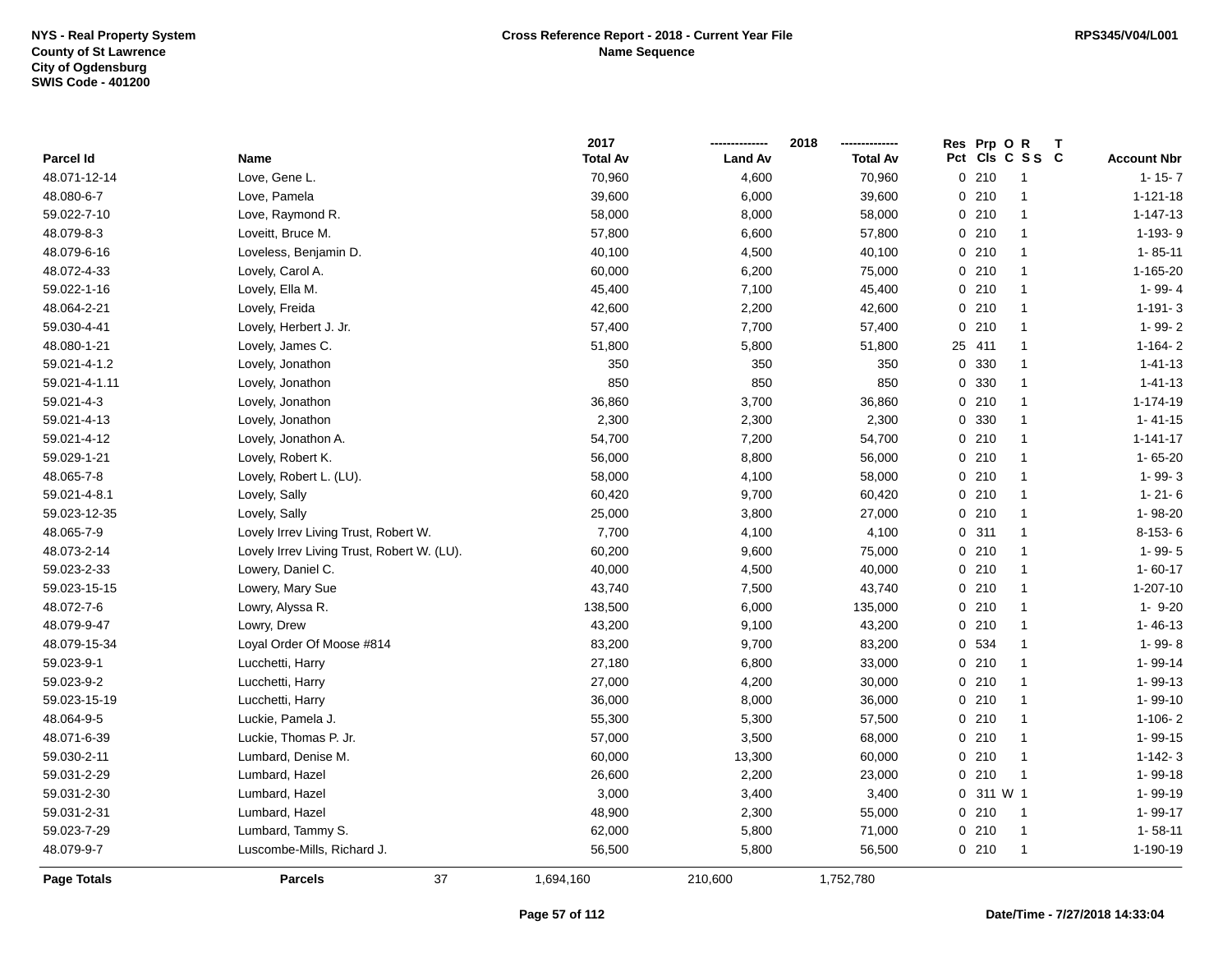|               |                                            | 2017            |                | 2018            | Res Prp O R               |                    |
|---------------|--------------------------------------------|-----------------|----------------|-----------------|---------------------------|--------------------|
| Parcel Id     | Name                                       | <b>Total Av</b> | <b>Land Av</b> | <b>Total Av</b> | Pct<br>CIs C S S C        | <b>Account Nbr</b> |
| 48.071-12-14  | Love, Gene L.                              | 70,960          | 4,600          | 70,960          | 0210<br>$\overline{1}$    | $1 - 15 - 7$       |
| 48.080-6-7    | Love, Pamela                               | 39,600          | 6,000          | 39,600          | 0210<br>$\overline{1}$    | $1 - 121 - 18$     |
| 59.022-7-10   | Love, Raymond R.                           | 58,000          | 8,000          | 58,000          | 0210<br>$\mathbf{1}$      | $1 - 147 - 13$     |
| 48.079-8-3    | Loveitt, Bruce M.                          | 57,800          | 6,600          | 57,800          | 0210<br>$\mathbf{1}$      | 1-193-9            |
| 48.079-6-16   | Loveless, Benjamin D.                      | 40,100          | 4,500          | 40,100          | 0210<br>$\mathbf 1$       | $1 - 85 - 11$      |
| 48.072-4-33   | Lovely, Carol A.                           | 60,000          | 6,200          | 75,000          | 0210<br>$\overline{1}$    | 1-165-20           |
| 59.022-1-16   | Lovely, Ella M.                            | 45,400          | 7,100          | 45,400          | 0210<br>$\mathbf{1}$      | 1-99-4             |
| 48.064-2-21   | Lovely, Freida                             | 42,600          | 2,200          | 42,600          | 0210<br>$\mathbf{1}$      | $1 - 191 - 3$      |
| 59.030-4-41   | Lovely, Herbert J. Jr.                     | 57,400          | 7,700          | 57,400          | 210<br>0<br>$\mathbf{1}$  | $1 - 99 - 2$       |
| 48.080-1-21   | Lovely, James C.                           | 51,800          | 5,800          | 51,800          | 25<br>411<br>$\mathbf{1}$ | $1 - 164 - 2$      |
| 59.021-4-1.2  | Lovely, Jonathon                           | 350             | 350            | 350             | 330<br>0<br>$\mathbf{1}$  | $1 - 41 - 13$      |
| 59.021-4-1.11 | Lovely, Jonathon                           | 850             | 850            | 850             | 0 330<br>-1               | $1 - 41 - 13$      |
| 59.021-4-3    | Lovely, Jonathon                           | 36,860          | 3,700          | 36,860          | 0210<br>-1                | $1 - 174 - 19$     |
| 59.021-4-13   | Lovely, Jonathon                           | 2,300           | 2,300          | 2,300           | 0 330<br>-1               | $1 - 41 - 15$      |
| 59.021-4-12   | Lovely, Jonathon A.                        | 54,700          | 7,200          | 54,700          | 0210<br>$\mathbf{1}$      | $1 - 141 - 17$     |
| 59.029-1-21   | Lovely, Robert K.                          | 56,000          | 8,800          | 56,000          | 0210<br>$\mathbf 1$       | $1 - 65 - 20$      |
| 48.065-7-8    | Lovely, Robert L. (LU).                    | 58,000          | 4,100          | 58,000          | 0210<br>$\mathbf{1}$      | $1 - 99 - 3$       |
| 59.021-4-8.1  | Lovely, Sally                              | 60,420          | 9,700          | 60,420          | 0210<br>$\mathbf{1}$      | $1 - 21 - 6$       |
| 59.023-12-35  | Lovely, Sally                              | 25,000          | 3,800          | 27,000          | 0210<br>$\mathbf 1$       | 1-98-20            |
| 48.065-7-9    | Lovely Irrev Living Trust, Robert W.       | 7,700           | 4,100          | 4,100           | 0.311<br>$\mathbf 1$      | $8-153-6$          |
| 48.073-2-14   | Lovely Irrev Living Trust, Robert W. (LU). | 60,200          | 9,600          | 75,000          | 0210<br>-1                | $1 - 99 - 5$       |
| 59.023-2-33   | Lowery, Daniel C.                          | 40,000          | 4,500          | 40,000          | 0210<br>$\mathbf 1$       | $1 - 60 - 17$      |
| 59.023-15-15  | Lowery, Mary Sue                           | 43,740          | 7,500          | 43,740          | 0210<br>$\mathbf{1}$      | $1 - 207 - 10$     |
| 48.072-7-6    | Lowry, Alyssa R.                           | 138,500         | 6,000          | 135,000         | 0210<br>$\mathbf{1}$      | $1 - 9 - 20$       |
| 48.079-9-47   | Lowry, Drew                                | 43,200          | 9,100          | 43,200          | 0210<br>$\mathbf{1}$      | $1 - 46 - 13$      |
| 48.079-15-34  | Loyal Order Of Moose #814                  | 83,200          | 9,700          | 83,200          | 0 534<br>$\mathbf{1}$     | 1-99-8             |
| 59.023-9-1    | Lucchetti, Harry                           | 27,180          | 6,800          | 33,000          | 0210<br>$\mathbf{1}$      | 1-99-14            |
| 59.023-9-2    | Lucchetti, Harry                           | 27,000          | 4,200          | 30,000          | 0210<br>-1                | 1-99-13            |
| 59.023-15-19  | Lucchetti, Harry                           | 36,000          | 8,000          | 36,000          | 0210<br>$\mathbf{1}$      | 1-99-10            |
| 48.064-9-5    | Luckie, Pamela J.                          | 55,300          | 5,300          | 57,500          | 0210<br>$\mathbf{1}$      | $1 - 106 - 2$      |
| 48.071-6-39   | Luckie, Thomas P. Jr.                      | 57,000          | 3,500          | 68,000          | 0210<br>$\mathbf{1}$      | $1 - 99 - 15$      |
| 59.030-2-11   | Lumbard, Denise M.                         | 60,000          | 13,300         | 60,000          | 0210<br>$\mathbf{1}$      | $1 - 142 - 3$      |
| 59.031-2-29   | Lumbard, Hazel                             | 26,600          | 2,200          | 23,000          | 0210<br>$\overline{1}$    | 1-99-18            |
| 59.031-2-30   | Lumbard, Hazel                             | 3,000           | 3,400          | 3,400           | 0.311 W1                  | 1-99-19            |
| 59.031-2-31   | Lumbard, Hazel                             | 48,900          | 2,300          | 55,000          | 0210<br>$\overline{1}$    | 1-99-17            |
| 59.023-7-29   | Lumbard, Tammy S.                          | 62,000          | 5,800          | 71,000          | 0210<br>$\overline{1}$    | $1 - 58 - 11$      |
| 48.079-9-7    | Luscombe-Mills, Richard J.                 | 56,500          | 5,800          | 56,500          | 0210<br>$\mathbf{1}$      | 1-190-19           |
| Page Totals   | 37<br><b>Parcels</b>                       | 1,694,160       | 210,600        | 1,752,780       |                           |                    |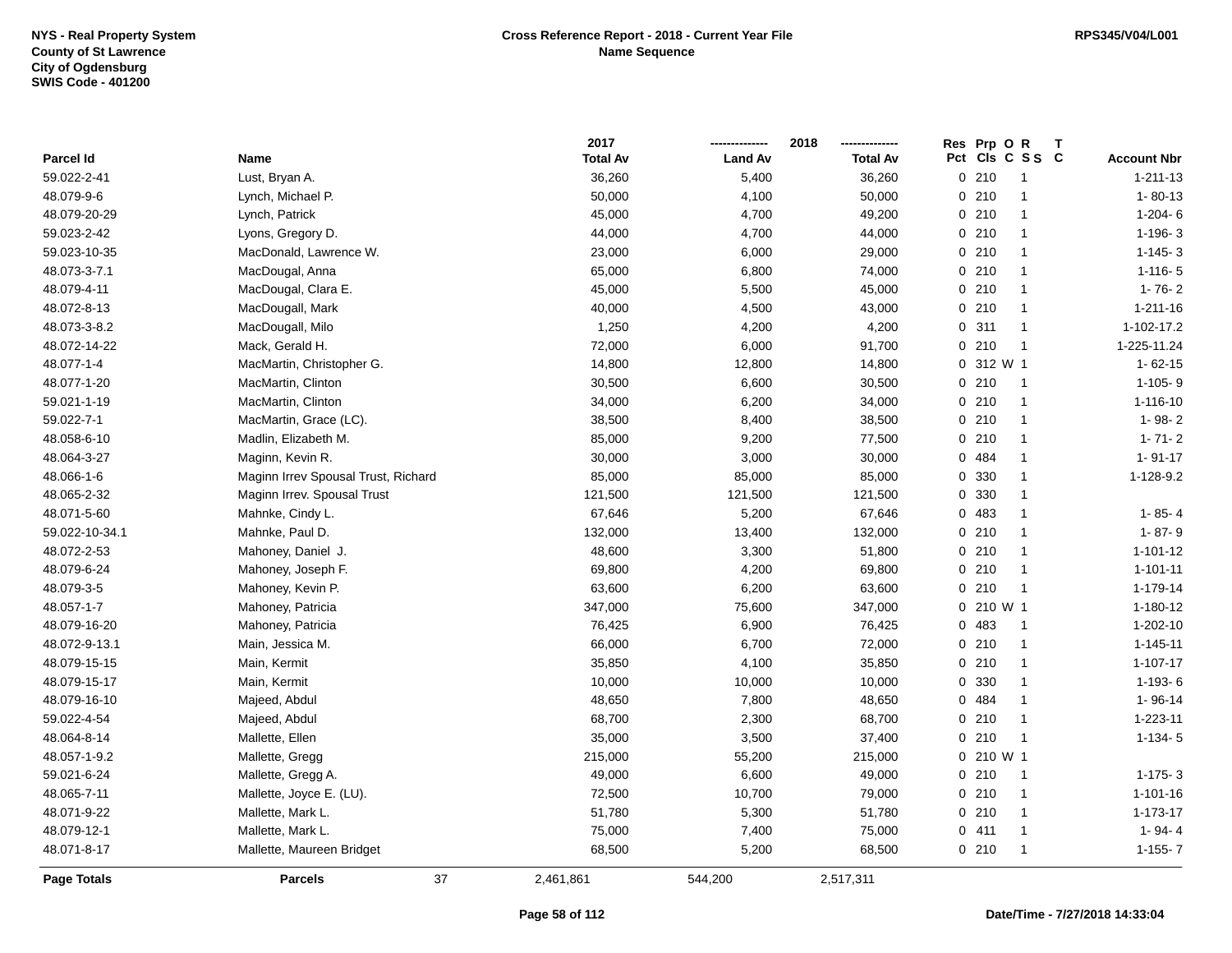|                |                                     | 2017            |                | 2018            | Res Prp O R            |                    |
|----------------|-------------------------------------|-----------------|----------------|-----------------|------------------------|--------------------|
| Parcel Id      | Name                                | <b>Total Av</b> | <b>Land Av</b> | <b>Total Av</b> | Pct<br>CIs C S S C     | <b>Account Nbr</b> |
| 59.022-2-41    | Lust, Bryan A.                      | 36,260          | 5,400          | 36,260          | 0210<br>$\overline{1}$ | $1 - 211 - 13$     |
| 48.079-9-6     | Lynch, Michael P.                   | 50,000          | 4,100          | 50,000          | 0210<br>$\mathbf{1}$   | $1 - 80 - 13$      |
| 48.079-20-29   | Lynch, Patrick                      | 45,000          | 4,700          | 49,200          | 0210<br>$\mathbf{1}$   | $1-204-6$          |
| 59.023-2-42    | Lyons, Gregory D.                   | 44,000          | 4,700          | 44,000          | 0210<br>$\mathbf{1}$   | $1-196-3$          |
| 59.023-10-35   | MacDonald, Lawrence W.              | 23,000          | 6,000          | 29,000          | 0210<br>$\mathbf{1}$   | $1 - 145 - 3$      |
| 48.073-3-7.1   | MacDougal, Anna                     | 65,000          | 6,800          | 74,000          | 0210<br>$\mathbf{1}$   | $1 - 116 - 5$      |
| 48.079-4-11    | MacDougal, Clara E.                 | 45,000          | 5,500          | 45,000          | 0210<br>$\mathbf{1}$   | $1 - 76 - 2$       |
| 48.072-8-13    | MacDougall, Mark                    | 40,000          | 4,500          | 43,000          | 0210<br>$\mathbf{1}$   | $1 - 211 - 16$     |
| 48.073-3-8.2   | MacDougall, Milo                    | 1,250           | 4,200          | 4,200           | 0.311<br>$\mathbf{1}$  | 1-102-17.2         |
| 48.072-14-22   | Mack, Gerald H.                     | 72,000          | 6,000          | 91,700          | 0210<br>$\mathbf{1}$   | 1-225-11.24        |
| 48.077-1-4     | MacMartin, Christopher G.           | 14,800          | 12,800         | 14,800          | 0 312 W 1              | $1 - 62 - 15$      |
| 48.077-1-20    | MacMartin, Clinton                  | 30,500          | 6,600          | 30,500          | 0210<br>$\mathbf{1}$   | $1 - 105 - 9$      |
| 59.021-1-19    | MacMartin, Clinton                  | 34,000          | 6,200          | 34,000          | 0210<br>$\mathbf{1}$   | 1-116-10           |
| 59.022-7-1     | MacMartin, Grace (LC).              | 38,500          | 8,400          | 38,500          | 0210<br>$\mathbf{1}$   | $1 - 98 - 2$       |
| 48.058-6-10    | Madlin, Elizabeth M.                | 85,000          | 9,200          | 77,500          | 0210<br>$\mathbf{1}$   | $1 - 71 - 2$       |
| 48.064-3-27    | Maginn, Kevin R.                    | 30,000          | 3,000          | 30,000          | 0 484<br>$\mathbf{1}$  | $1 - 91 - 17$      |
| 48.066-1-6     | Maginn Irrev Spousal Trust, Richard | 85,000          | 85,000         | 85,000          | 0 330<br>$\mathbf{1}$  | 1-128-9.2          |
| 48.065-2-32    | Maginn Irrev. Spousal Trust         | 121,500         | 121,500        | 121,500         | 0 330<br>$\mathbf{1}$  |                    |
| 48.071-5-60    | Mahnke, Cindy L.                    | 67,646          | 5,200          | 67,646          | 0 483<br>$\mathbf{1}$  | $1 - 85 - 4$       |
| 59.022-10-34.1 | Mahnke, Paul D.                     | 132,000         | 13,400         | 132,000         | 0210<br>$\mathbf{1}$   | $1 - 87 - 9$       |
| 48.072-2-53    | Mahoney, Daniel J.                  | 48,600          | 3,300          | 51,800          | 0210<br>$\mathbf{1}$   | $1 - 101 - 12$     |
| 48.079-6-24    | Mahoney, Joseph F.                  | 69,800          | 4,200          | 69,800          | 0210<br>$\mathbf{1}$   | $1 - 101 - 11$     |
| 48.079-3-5     | Mahoney, Kevin P.                   | 63,600          | 6,200          | 63,600          | 0210<br>$\mathbf{1}$   | 1-179-14           |
| 48.057-1-7     | Mahoney, Patricia                   | 347,000         | 75,600         | 347,000         | 0 210 W 1              | $1 - 180 - 12$     |
| 48.079-16-20   | Mahoney, Patricia                   | 76,425          | 6,900          | 76,425          | 0 483<br>$\mathbf{1}$  | $1 - 202 - 10$     |
| 48.072-9-13.1  | Main, Jessica M.                    | 66,000          | 6,700          | 72,000          | 0210<br>$\mathbf{1}$   | $1 - 145 - 11$     |
| 48.079-15-15   | Main, Kermit                        | 35,850          | 4,100          | 35,850          | 0210<br>$\mathbf{1}$   | $1 - 107 - 17$     |
| 48.079-15-17   | Main, Kermit                        | 10,000          | 10,000         | 10,000          | 0 330<br>$\mathbf{1}$  | 1-193-6            |
| 48.079-16-10   | Majeed, Abdul                       | 48,650          | 7,800          | 48,650          | 0 484<br>$\mathbf{1}$  | 1-96-14            |
| 59.022-4-54    | Majeed, Abdul                       | 68,700          | 2,300          | 68,700          | 0210<br>$\mathbf{1}$   | $1 - 223 - 11$     |
| 48.064-8-14    | Mallette, Ellen                     | 35,000          | 3,500          | 37,400          | 0210<br>$\mathbf{1}$   | $1-134-5$          |
| 48.057-1-9.2   | Mallette, Gregg                     | 215,000         | 55,200         | 215,000         | 0 210 W 1              |                    |
| 59.021-6-24    | Mallette, Gregg A.                  | 49,000          | 6,600          | 49,000          | 0210<br>$\mathbf{1}$   | $1 - 175 - 3$      |
| 48.065-7-11    | Mallette, Joyce E. (LU).            | 72,500          | 10,700         | 79,000          | 0210<br>$\mathbf{1}$   | $1 - 101 - 16$     |
| 48.071-9-22    | Mallette, Mark L.                   | 51,780          | 5,300          | 51,780          | 0210<br>$\mathbf{1}$   | $1 - 173 - 17$     |
| 48.079-12-1    | Mallette, Mark L.                   | 75,000          | 7,400          | 75,000          | 0411<br>$\mathbf{1}$   | $1 - 94 - 4$       |
| 48.071-8-17    | Mallette, Maureen Bridget           | 68,500          | 5,200          | 68,500          | 0210<br>$\mathbf{1}$   | $1 - 155 - 7$      |
| Page Totals    | 37<br><b>Parcels</b>                | 2,461,861       | 544,200        | 2,517,311       |                        |                    |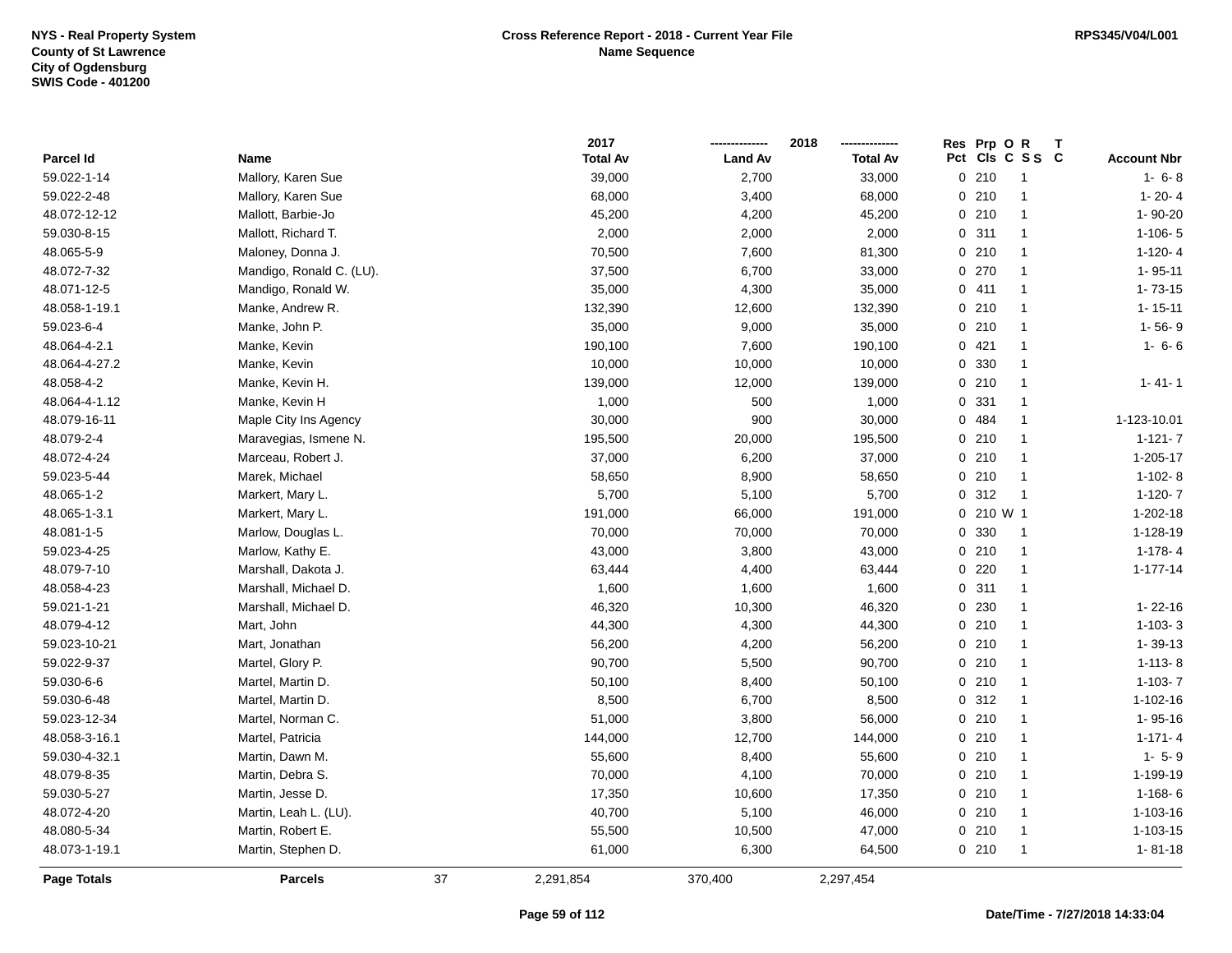|                    |                          |    | 2017            |                | 2018            | Res   | Prp OR    | $\mathsf{T}$         |                    |
|--------------------|--------------------------|----|-----------------|----------------|-----------------|-------|-----------|----------------------|--------------------|
| <b>Parcel Id</b>   | Name                     |    | <b>Total Av</b> | <b>Land Av</b> | <b>Total Av</b> |       |           | Pct Cls C S S C      | <b>Account Nbr</b> |
| 59.022-1-14        | Mallory, Karen Sue       |    | 39,000          | 2,700          | 33,000          | 0210  |           | $\overline{1}$       | $1 - 6 - 8$        |
| 59.022-2-48        | Mallory, Karen Sue       |    | 68,000          | 3,400          | 68,000          | 0210  |           |                      | $1 - 20 - 4$       |
| 48.072-12-12       | Mallott, Barbie-Jo       |    | 45,200          | 4,200          | 45,200          | 0210  |           | $\mathbf{1}$         | 1-90-20            |
| 59.030-8-15        | Mallott, Richard T.      |    | 2,000           | 2,000          | 2,000           | 0.311 |           | $\mathbf{1}$         | $1-106-5$          |
| 48.065-5-9         | Maloney, Donna J.        |    | 70,500          | 7,600          | 81,300          | 0210  |           | $\overline{1}$       | $1-120-4$          |
| 48.072-7-32        | Mandigo, Ronald C. (LU). |    | 37,500          | 6,700          | 33,000          | 0 270 |           | $\overline{1}$       | $1 - 95 - 11$      |
| 48.071-12-5        | Mandigo, Ronald W.       |    | 35,000          | 4,300          | 35,000          | 0411  |           | $\overline{1}$       | $1 - 73 - 15$      |
| 48.058-1-19.1      | Manke, Andrew R.         |    | 132,390         | 12,600         | 132,390         | 0210  |           | $\mathbf{1}$         | $1 - 15 - 11$      |
| 59.023-6-4         | Manke, John P.           |    | 35,000          | 9,000          | 35,000          | 0210  |           | $\blacktriangleleft$ | $1 - 56 - 9$       |
| 48.064-4-2.1       | Manke, Kevin             |    | 190,100         | 7,600          | 190,100         | 0421  |           | $\mathbf{1}$         | $1 - 6 - 6$        |
| 48.064-4-27.2      | Manke, Kevin             |    | 10,000          | 10,000         | 10,000          | 0 330 |           | $\overline{1}$       |                    |
| 48.058-4-2         | Manke, Kevin H.          |    | 139,000         | 12,000         | 139,000         | 0210  |           | $\overline{1}$       | $1 - 41 - 1$       |
| 48.064-4-1.12      | Manke, Kevin H           |    | 1,000           | 500            | 1,000           | 0 331 |           | $\mathbf{1}$         |                    |
| 48.079-16-11       | Maple City Ins Agency    |    | 30,000          | 900            | 30,000          | 0 484 |           | $\mathbf{1}$         | 1-123-10.01        |
| 48.079-2-4         | Maravegias, Ismene N.    |    | 195,500         | 20,000         | 195,500         | 0210  |           | $\mathbf{1}$         | $1 - 121 - 7$      |
| 48.072-4-24        | Marceau, Robert J.       |    | 37,000          | 6,200          | 37,000          | 0210  |           | $\overline{1}$       | 1-205-17           |
| 59.023-5-44        | Marek, Michael           |    | 58,650          | 8,900          | 58,650          | 0210  |           | $\overline{1}$       | $1 - 102 - 8$      |
| 48.065-1-2         | Markert, Mary L.         |    | 5,700           | 5,100          | 5,700           | 0.312 |           | $\overline{1}$       | $1-120-7$          |
| 48.065-1-3.1       | Markert, Mary L.         |    | 191,000         | 66,000         | 191,000         |       | 0 210 W 1 |                      | $1 - 202 - 18$     |
| 48.081-1-5         | Marlow, Douglas L.       |    | 70,000          | 70,000         | 70,000          | 0 330 |           | $\overline{1}$       | 1-128-19           |
| 59.023-4-25        | Marlow, Kathy E.         |    | 43,000          | 3,800          | 43,000          | 0210  |           | $\overline{1}$       | $1-178-4$          |
| 48.079-7-10        | Marshall, Dakota J.      |    | 63,444          | 4,400          | 63,444          | 0220  |           | $\mathbf{1}$         | $1 - 177 - 14$     |
| 48.058-4-23        | Marshall, Michael D.     |    | 1,600           | 1,600          | 1,600           | 0.311 |           | $\overline{1}$       |                    |
| 59.021-1-21        | Marshall, Michael D.     |    | 46,320          | 10,300         | 46,320          | 0 230 |           | $\overline{1}$       | $1 - 22 - 16$      |
| 48.079-4-12        | Mart, John               |    | 44,300          | 4,300          | 44,300          | 0210  |           | $\overline{1}$       | $1-103-3$          |
| 59.023-10-21       | Mart, Jonathan           |    | 56,200          | 4,200          | 56,200          | 0210  |           | $\overline{1}$       | $1 - 39 - 13$      |
| 59.022-9-37        | Martel, Glory P.         |    | 90,700          | 5,500          | 90,700          | 0210  |           | $\overline{1}$       | $1-113-8$          |
| 59.030-6-6         | Martel, Martin D.        |    | 50,100          | 8,400          | 50,100          | 0210  |           | $\mathbf{1}$         | $1 - 103 - 7$      |
| 59.030-6-48        | Martel, Martin D.        |    | 8,500           | 6,700          | 8,500           | 0.312 |           | $\overline{1}$       | 1-102-16           |
| 59.023-12-34       | Martel, Norman C.        |    | 51,000          | 3,800          | 56,000          | 0210  |           | $\overline{1}$       | 1-95-16            |
| 48.058-3-16.1      | Martel, Patricia         |    | 144,000         | 12,700         | 144,000         | 0210  |           | $\overline{1}$       | $1 - 171 - 4$      |
| 59.030-4-32.1      | Martin, Dawn M.          |    | 55,600          | 8,400          | 55,600          | 0210  |           | $\mathbf{1}$         | $1 - 5 - 9$        |
| 48.079-8-35        | Martin, Debra S.         |    | 70,000          | 4,100          | 70,000          | 0210  |           | $\overline{1}$       | 1-199-19           |
| 59.030-5-27        | Martin, Jesse D.         |    | 17,350          | 10,600         | 17,350          | 0210  |           | $\overline{1}$       | $1 - 168 - 6$      |
| 48.072-4-20        | Martin, Leah L. (LU).    |    | 40,700          | 5,100          | 46,000          | 0210  |           | $\mathbf{1}$         | 1-103-16           |
| 48.080-5-34        | Martin, Robert E.        |    | 55,500          | 10,500         | 47,000          | 0210  |           | $\overline{1}$       | 1-103-15           |
| 48.073-1-19.1      | Martin, Stephen D.       |    | 61,000          | 6,300          | 64,500          | 0210  |           | $\overline{1}$       | $1 - 81 - 18$      |
| <b>Page Totals</b> | <b>Parcels</b>           | 37 | 2,291,854       | 370,400        | 2,297,454       |       |           |                      |                    |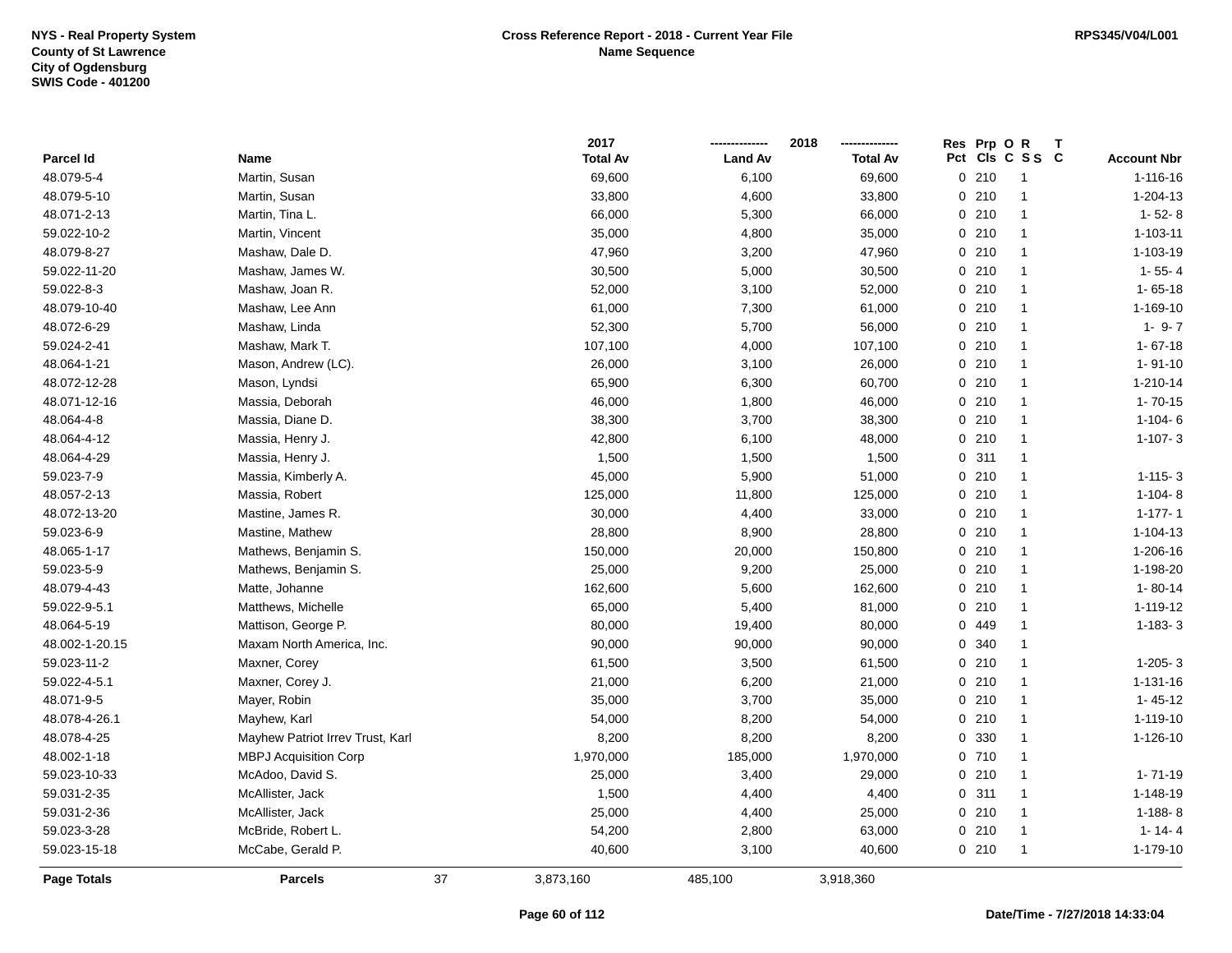|                    |                                  |    | 2017            |                | 2018            |     | Res Prp O | R<br>т         |                    |
|--------------------|----------------------------------|----|-----------------|----------------|-----------------|-----|-----------|----------------|--------------------|
| Parcel Id          | Name                             |    | <b>Total Av</b> | <b>Land Av</b> | <b>Total Av</b> | Pct |           | CIs C S S C    | <b>Account Nbr</b> |
| 48.079-5-4         | Martin, Susan                    |    | 69,600          | 6,100          | 69,600          |     | 0210      | $\mathbf{1}$   | 1-116-16           |
| 48.079-5-10        | Martin, Susan                    |    | 33,800          | 4,600          | 33,800          |     | 0210      | $\mathbf{1}$   | 1-204-13           |
| 48.071-2-13        | Martin, Tina L.                  |    | 66,000          | 5,300          | 66,000          |     | 0210      | $\mathbf{1}$   | $1 - 52 - 8$       |
| 59.022-10-2        | Martin, Vincent                  |    | 35,000          | 4,800          | 35,000          |     | 0210      | 1              | $1 - 103 - 11$     |
| 48.079-8-27        | Mashaw, Dale D.                  |    | 47,960          | 3,200          | 47,960          |     | 0210      | $\mathbf{1}$   | 1-103-19           |
| 59.022-11-20       | Mashaw, James W.                 |    | 30,500          | 5,000          | 30,500          |     | 0210      | $\mathbf{1}$   | $1 - 55 - 4$       |
| 59.022-8-3         | Mashaw, Joan R.                  |    | 52,000          | 3,100          | 52,000          |     | 0210      | $\mathbf{1}$   | $1 - 65 - 18$      |
| 48.079-10-40       | Mashaw, Lee Ann                  |    | 61,000          | 7,300          | 61,000          |     | 0210      | $\mathbf{1}$   | 1-169-10           |
| 48.072-6-29        | Mashaw, Linda                    |    | 52,300          | 5,700          | 56,000          |     | 0210      | $\overline{1}$ | $1 - 9 - 7$        |
| 59.024-2-41        | Mashaw, Mark T.                  |    | 107,100         | 4,000          | 107,100         |     | 0210      | 1              | $1 - 67 - 18$      |
| 48.064-1-21        | Mason, Andrew (LC).              |    | 26,000          | 3,100          | 26,000          |     | 0210      | $\mathbf{1}$   | $1 - 91 - 10$      |
| 48.072-12-28       | Mason, Lyndsi                    |    | 65,900          | 6,300          | 60,700          |     | 0210      | $\mathbf{1}$   | 1-210-14           |
| 48.071-12-16       | Massia, Deborah                  |    | 46,000          | 1,800          | 46,000          |     | 0210      | $\mathbf 1$    | $1 - 70 - 15$      |
| 48.064-4-8         | Massia, Diane D.                 |    | 38,300          | 3,700          | 38,300          |     | 0210      | $\mathbf{1}$   | $1 - 104 - 6$      |
| 48.064-4-12        | Massia, Henry J.                 |    | 42,800          | 6,100          | 48,000          |     | 0210      | $\mathbf{1}$   | $1 - 107 - 3$      |
| 48.064-4-29        | Massia, Henry J.                 |    | 1,500           | 1,500          | 1,500           |     | 0.311     | $\mathbf{1}$   |                    |
| 59.023-7-9         | Massia, Kimberly A.              |    | 45,000          | 5,900          | 51,000          |     | 0210      | $\mathbf{1}$   | $1 - 115 - 3$      |
| 48.057-2-13        | Massia, Robert                   |    | 125,000         | 11,800         | 125,000         |     | 0210      | $\mathbf{1}$   | $1-104-8$          |
| 48.072-13-20       | Mastine, James R.                |    | 30,000          | 4,400          | 33,000          |     | 0210      | $\mathbf{1}$   | $1 - 177 - 1$      |
| 59.023-6-9         | Mastine, Mathew                  |    | 28,800          | 8,900          | 28,800          |     | 0210      | $\mathbf{1}$   | $1 - 104 - 13$     |
| 48.065-1-17        | Mathews, Benjamin S.             |    | 150,000         | 20,000         | 150,800         |     | 0210      | $\mathbf{1}$   | 1-206-16           |
| 59.023-5-9         | Mathews, Benjamin S.             |    | 25,000          | 9,200          | 25,000          |     | 0210      | $\mathbf{1}$   | 1-198-20           |
| 48.079-4-43        | Matte, Johanne                   |    | 162,600         | 5,600          | 162,600         |     | 0210      | $\mathbf{1}$   | $1 - 80 - 14$      |
| 59.022-9-5.1       | Matthews, Michelle               |    | 65,000          | 5,400          | 81,000          |     | 0210      | $\overline{1}$ | 1-119-12           |
| 48.064-5-19        | Mattison, George P.              |    | 80,000          | 19,400         | 80,000          |     | 0 449     | $\mathbf{1}$   | $1 - 183 - 3$      |
| 48.002-1-20.15     | Maxam North America, Inc.        |    | 90,000          | 90,000         | 90,000          | 0   | 340       | $\mathbf{1}$   |                    |
| 59.023-11-2        | Maxner, Corey                    |    | 61,500          | 3,500          | 61,500          |     | 0210      | $\mathbf{1}$   | $1-205-3$          |
| 59.022-4-5.1       | Maxner, Corey J.                 |    | 21,000          | 6,200          | 21,000          |     | 0210      | $\mathbf{1}$   | 1-131-16           |
| 48.071-9-5         | Mayer, Robin                     |    | 35,000          | 3,700          | 35,000          |     | 0210      | $\mathbf{1}$   | $1 - 45 - 12$      |
| 48.078-4-26.1      | Mayhew, Karl                     |    | 54,000          | 8,200          | 54,000          |     | 0210      | $\mathbf{1}$   | 1-119-10           |
| 48.078-4-25        | Mayhew Patriot Irrev Trust, Karl |    | 8,200           | 8,200          | 8,200           |     | 0 330     | $\mathbf{1}$   | 1-126-10           |
| 48.002-1-18        | <b>MBPJ Acquisition Corp</b>     |    | 1,970,000       | 185,000        | 1,970,000       |     | 0710      | $\mathbf{1}$   |                    |
| 59.023-10-33       | McAdoo, David S.                 |    | 25,000          | 3,400          | 29,000          |     | 0210      | $\overline{1}$ | $1 - 71 - 19$      |
| 59.031-2-35        | McAllister, Jack                 |    | 1,500           | 4,400          | 4,400           |     | 0.311     | $\mathbf{1}$   | 1-148-19           |
| 59.031-2-36        | McAllister, Jack                 |    | 25,000          | 4,400          | 25,000          |     | 0210      | $\mathbf{1}$   | $1 - 188 - 8$      |
| 59.023-3-28        | McBride, Robert L.               |    | 54,200          | 2,800          | 63,000          |     | 0210      | $\overline{1}$ | $1 - 14 - 4$       |
| 59.023-15-18       | McCabe, Gerald P.                |    | 40,600          | 3,100          | 40,600          |     | 0210      | $\mathbf{1}$   | 1-179-10           |
| <b>Page Totals</b> | <b>Parcels</b>                   | 37 | 3,873,160       | 485,100        | 3,918,360       |     |           |                |                    |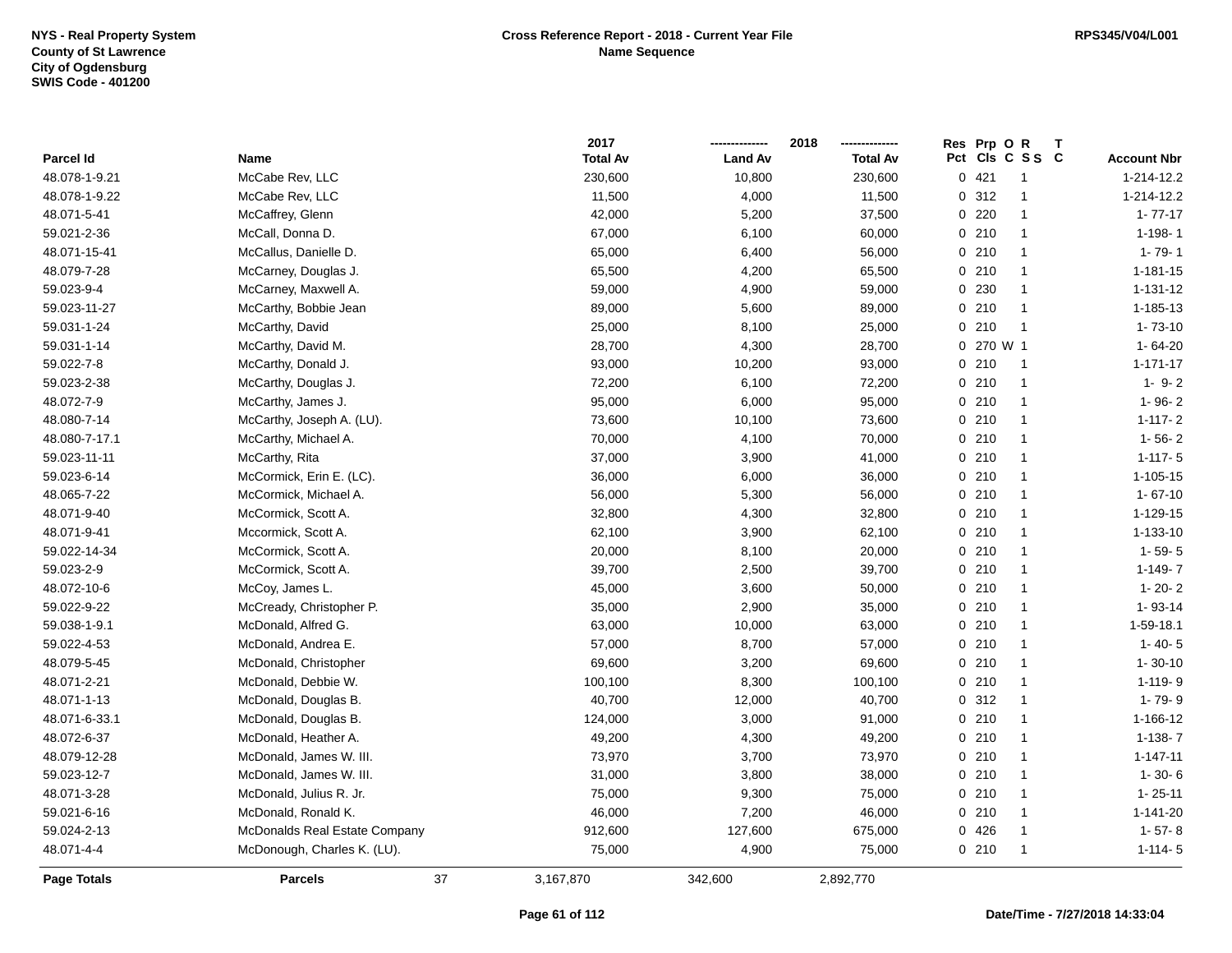|               |                               |    | 2017            |                | 2018<br>-------------- | Res Prp O R |                      |                    |
|---------------|-------------------------------|----|-----------------|----------------|------------------------|-------------|----------------------|--------------------|
| Parcel Id     | <b>Name</b>                   |    | <b>Total Av</b> | <b>Land Av</b> | <b>Total Av</b>        |             | Pct Cls C S S C      | <b>Account Nbr</b> |
| 48.078-1-9.21 | McCabe Rev, LLC               |    | 230,600         | 10,800         | 230,600                | 0421        | $\overline{1}$       | 1-214-12.2         |
| 48.078-1-9.22 | McCabe Rev, LLC               |    | 11,500          | 4,000          | 11,500                 | 0.312       | $\overline{1}$       | 1-214-12.2         |
| 48.071-5-41   | McCaffrey, Glenn              |    | 42,000          | 5,200          | 37,500                 | 0.220       | $\overline{1}$       | $1 - 77 - 17$      |
| 59.021-2-36   | McCall, Donna D.              |    | 67,000          | 6,100          | 60,000                 | 0210        | $\overline{1}$       | $1 - 198 - 1$      |
| 48.071-15-41  | McCallus, Danielle D.         |    | 65,000          | 6,400          | 56,000                 | 0210        | $\overline{1}$       | $1 - 79 - 1$       |
| 48.079-7-28   | McCarney, Douglas J.          |    | 65,500          | 4,200          | 65,500                 | 0210        | $\blacktriangleleft$ | $1 - 181 - 15$     |
| 59.023-9-4    | McCarney, Maxwell A.          |    | 59,000          | 4,900          | 59,000                 | 0 230       | $\mathbf{1}$         | $1 - 131 - 12$     |
| 59.023-11-27  | McCarthy, Bobbie Jean         |    | 89,000          | 5,600          | 89,000                 | 0210        | $\overline{1}$       | 1-185-13           |
| 59.031-1-24   | McCarthy, David               |    | 25,000          | 8,100          | 25,000                 | 0210        | $\overline{1}$       | $1 - 73 - 10$      |
| 59.031-1-14   | McCarthy, David M.            |    | 28,700          | 4,300          | 28,700                 | 0 270 W 1   |                      | 1-64-20            |
| 59.022-7-8    | McCarthy, Donald J.           |    | 93,000          | 10,200         | 93,000                 | 0210        | $\overline{1}$       | $1 - 171 - 17$     |
| 59.023-2-38   | McCarthy, Douglas J.          |    | 72,200          | 6,100          | 72,200                 | 0210        | $\overline{1}$       | $1 - 9 - 2$        |
| 48.072-7-9    | McCarthy, James J.            |    | 95,000          | 6,000          | 95,000                 | 0210        | $\mathbf{1}$         | $1 - 96 - 2$       |
| 48.080-7-14   | McCarthy, Joseph A. (LU).     |    | 73,600          | 10,100         | 73,600                 | 0210        | $\overline{1}$       | $1 - 117 - 2$      |
| 48.080-7-17.1 | McCarthy, Michael A.          |    | 70,000          | 4,100          | 70,000                 | 0210        | $\overline{1}$       | $1 - 56 - 2$       |
| 59.023-11-11  | McCarthy, Rita                |    | 37,000          | 3,900          | 41,000                 | 0210        | $\overline{1}$       | $1 - 117 - 5$      |
| 59.023-6-14   | McCormick, Erin E. (LC).      |    | 36,000          | 6,000          | 36,000                 | 0210        | $\mathbf{1}$         | $1 - 105 - 15$     |
| 48.065-7-22   | McCormick, Michael A.         |    | 56,000          | 5,300          | 56,000                 | 0210        | $\overline{1}$       | $1 - 67 - 10$      |
| 48.071-9-40   | McCormick, Scott A.           |    | 32,800          | 4,300          | 32,800                 | 0210        | $\mathbf{1}$         | $1 - 129 - 15$     |
| 48.071-9-41   | Mccormick, Scott A.           |    | 62,100          | 3,900          | 62,100                 | 0210        | $\overline{1}$       | $1 - 133 - 10$     |
| 59.022-14-34  | McCormick, Scott A.           |    | 20,000          | 8,100          | 20,000                 | 0210        | $\overline{1}$       | $1 - 59 - 5$       |
| 59.023-2-9    | McCormick, Scott A.           |    | 39,700          | 2,500          | 39,700                 | 0210        | $\overline{1}$       | $1 - 149 - 7$      |
| 48.072-10-6   | McCoy, James L.               |    | 45,000          | 3,600          | 50,000                 | 0210        | $\overline{1}$       | $1 - 20 - 2$       |
| 59.022-9-22   | McCready, Christopher P.      |    | 35,000          | 2,900          | 35,000                 | 0210        | $\overline{1}$       | 1-93-14            |
| 59.038-1-9.1  | McDonald, Alfred G.           |    | 63,000          | 10,000         | 63,000                 | 0210        | $\overline{1}$       | 1-59-18.1          |
| 59.022-4-53   | McDonald, Andrea E.           |    | 57,000          | 8,700          | 57,000                 | 0 210       | $\overline{1}$       | $1 - 40 - 5$       |
| 48.079-5-45   | McDonald, Christopher         |    | 69,600          | 3,200          | 69,600                 | 0210        | $\overline{1}$       | $1 - 30 - 10$      |
| 48.071-2-21   | McDonald, Debbie W.           |    | 100,100         | 8,300          | 100,100                | 0210        | $\overline{1}$       | 1-119-9            |
| 48.071-1-13   | McDonald, Douglas B.          |    | 40,700          | 12,000         | 40,700                 | 0.312       | $\overline{1}$       | 1-79-9             |
| 48.071-6-33.1 | McDonald, Douglas B.          |    | 124,000         | 3,000          | 91,000                 | 0210        | $\overline{1}$       | 1-166-12           |
| 48.072-6-37   | McDonald, Heather A.          |    | 49,200          | 4,300          | 49,200                 | 0210        | $\mathbf{1}$         | $1 - 138 - 7$      |
| 48.079-12-28  | McDonald, James W. III.       |    | 73,970          | 3,700          | 73,970                 | 0210        | $\overline{1}$       | $1 - 147 - 11$     |
| 59.023-12-7   | McDonald, James W. III.       |    | 31,000          | 3,800          | 38,000                 | 0210        | $\mathbf{1}$         | $1 - 30 - 6$       |
| 48.071-3-28   | McDonald, Julius R. Jr.       |    | 75,000          | 9,300          | 75,000                 | 0210        | $\overline{1}$       | $1 - 25 - 11$      |
| 59.021-6-16   | McDonald, Ronald K.           |    | 46,000          | 7,200          | 46,000                 | 0210        | $\mathbf{1}$         | $1 - 141 - 20$     |
| 59.024-2-13   | McDonalds Real Estate Company |    | 912,600         | 127,600        | 675,000                | 0426        | $\overline{1}$       | $1 - 57 - 8$       |
| 48.071-4-4    | McDonough, Charles K. (LU).   |    | 75,000          | 4,900          | 75,000                 | 0210        | $\overline{1}$       | $1 - 114 - 5$      |
| Page Totals   | <b>Parcels</b>                | 37 | 3,167,870       | 342,600        | 2,892,770              |             |                      |                    |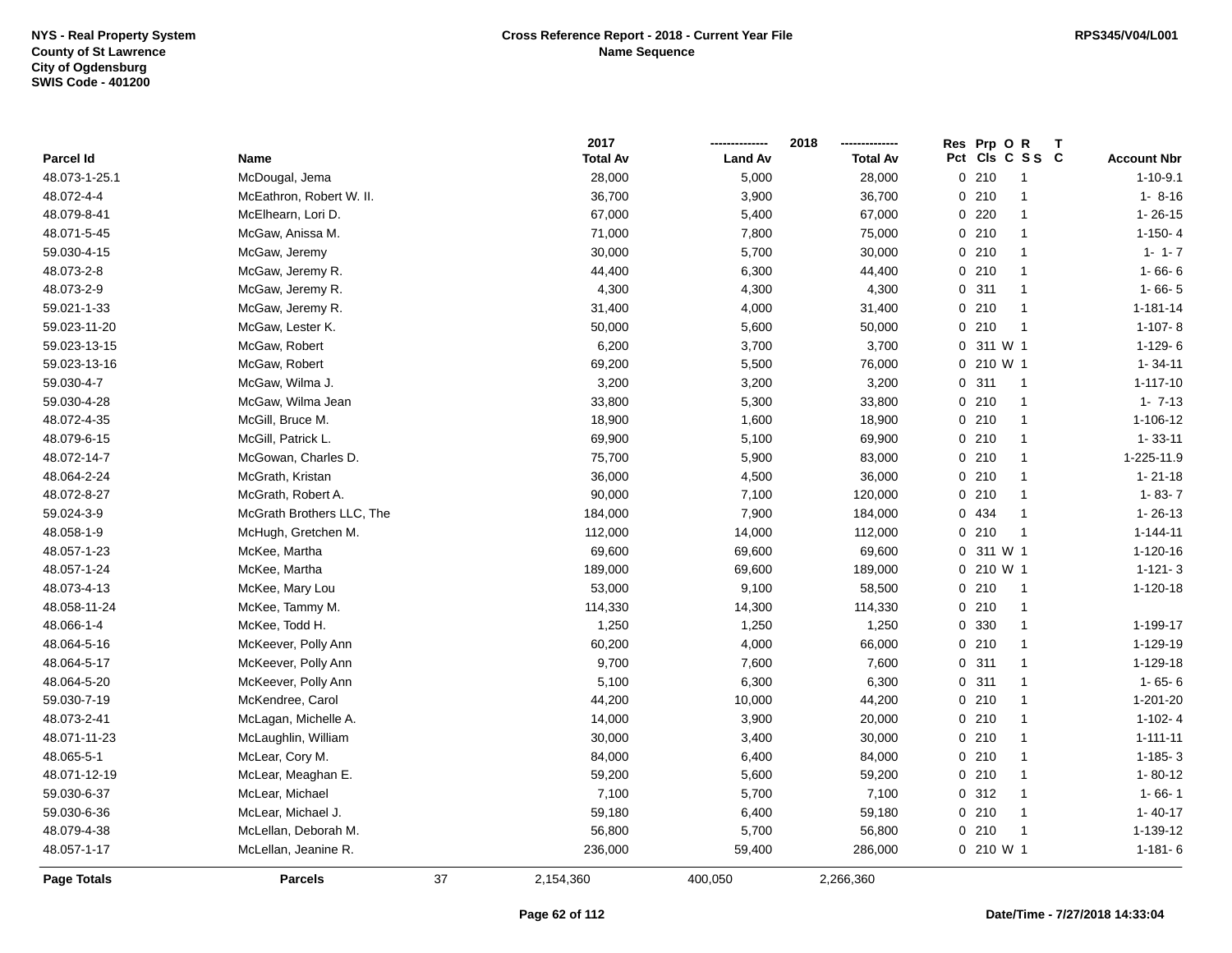|               |                           |    | 2017            |                | 2018            | Prp OR<br><b>Res</b><br>$\mathsf{T}$ |                    |
|---------------|---------------------------|----|-----------------|----------------|-----------------|--------------------------------------|--------------------|
| Parcel Id     | Name                      |    | <b>Total Av</b> | <b>Land Av</b> | <b>Total Av</b> | Pct Cls C S S C                      | <b>Account Nbr</b> |
| 48.073-1-25.1 | McDougal, Jema            |    | 28,000          | 5,000          | 28,000          | 0210<br>-1                           | $1 - 10 - 9.1$     |
| 48.072-4-4    | McEathron, Robert W. II.  |    | 36,700          | 3,900          | 36,700          | 0210<br>-1                           | $1 - 8 - 16$       |
| 48.079-8-41   | McElhearn, Lori D.        |    | 67,000          | 5,400          | 67,000          | 0.220<br>$\mathbf{1}$                | $1 - 26 - 15$      |
| 48.071-5-45   | McGaw, Anissa M.          |    | 71,000          | 7,800          | 75,000          | 0210<br>$\mathbf{1}$                 | $1-150-4$          |
| 59.030-4-15   | McGaw, Jeremy             |    | 30,000          | 5,700          | 30,000          | 0210<br>$\mathbf{1}$                 | $1 - 1 - 7$        |
| 48.073-2-8    | McGaw, Jeremy R.          |    | 44,400          | 6,300          | 44,400          | 0210<br>$\mathbf{1}$                 | $1 - 66 - 6$       |
| 48.073-2-9    | McGaw, Jeremy R.          |    | 4,300           | 4,300          | 4,300           | 0.311<br>$\mathbf{1}$                | $1 - 66 - 5$       |
| 59.021-1-33   | McGaw, Jeremy R.          |    | 31,400          | 4,000          | 31,400          | 0210<br>$\overline{1}$               | $1 - 181 - 14$     |
| 59.023-11-20  | McGaw, Lester K.          |    | 50,000          | 5,600          | 50,000          | 0210<br>$\overline{1}$               | $1-107 - 8$        |
| 59.023-13-15  | McGaw, Robert             |    | 6,200           | 3,700          | 3,700           | 0 311 W 1                            | $1-129-6$          |
| 59.023-13-16  | McGaw, Robert             |    | 69,200          | 5,500          | 76,000          | $0, 210$ W 1                         | $1 - 34 - 11$      |
| 59.030-4-7    | McGaw, Wilma J.           |    | 3,200           | 3,200          | 3,200           | 311<br>0<br>$\overline{1}$           | $1 - 117 - 10$     |
| 59.030-4-28   | McGaw, Wilma Jean         |    | 33,800          | 5,300          | 33,800          | 0210<br>$\mathbf{1}$                 | $1 - 7 - 13$       |
| 48.072-4-35   | McGill, Bruce M.          |    | 18,900          | 1,600          | 18,900          | 0210<br>$\mathbf{1}$                 | 1-106-12           |
| 48.079-6-15   | McGill, Patrick L.        |    | 69,900          | 5,100          | 69,900          | 0210<br>$\overline{1}$               | $1 - 33 - 11$      |
| 48.072-14-7   | McGowan, Charles D.       |    | 75,700          | 5,900          | 83,000          | 0210<br>$\mathbf{1}$                 | 1-225-11.9         |
| 48.064-2-24   | McGrath, Kristan          |    | 36,000          | 4,500          | 36,000          | 0210<br>$\mathbf{1}$                 | $1 - 21 - 18$      |
| 48.072-8-27   | McGrath, Robert A.        |    | 90,000          | 7,100          | 120,000         | 0210<br>$\mathbf{1}$                 | $1 - 83 - 7$       |
| 59.024-3-9    | McGrath Brothers LLC, The |    | 184,000         | 7,900          | 184,000         | 0 434<br>$\mathbf{1}$                | $1 - 26 - 13$      |
| 48.058-1-9    | McHugh, Gretchen M.       |    | 112,000         | 14,000         | 112,000         | 0210<br>$\overline{1}$               | $1 - 144 - 11$     |
| 48.057-1-23   | McKee, Martha             |    | 69,600          | 69,600         | 69,600          | 0 311 W 1                            | 1-120-16           |
| 48.057-1-24   | McKee, Martha             |    | 189,000         | 69,600         | 189,000         | 0 210 W 1                            | $1 - 121 - 3$      |
| 48.073-4-13   | McKee, Mary Lou           |    | 53,000          | 9,100          | 58,500          | 0210<br>-1                           | 1-120-18           |
| 48.058-11-24  | McKee, Tammy M.           |    | 114,330         | 14,300         | 114,330         | 0210<br>$\mathbf{1}$                 |                    |
| 48.066-1-4    | McKee, Todd H.            |    | 1,250           | 1,250          | 1,250           | 0 330<br>$\mathbf{1}$                | 1-199-17           |
| 48.064-5-16   | McKeever, Polly Ann       |    | 60,200          | 4,000          | 66,000          | 0210<br>$\mathbf{1}$                 | 1-129-19           |
| 48.064-5-17   | McKeever, Polly Ann       |    | 9,700           | 7,600          | 7,600           | 0.311<br>$\mathbf{1}$                | 1-129-18           |
| 48.064-5-20   | McKeever, Polly Ann       |    | 5,100           | 6,300          | 6,300           | 0.311<br>$\mathbf{1}$                | $1 - 65 - 6$       |
| 59.030-7-19   | McKendree, Carol          |    | 44,200          | 10,000         | 44,200          | 0210<br>$\mathbf{1}$                 | 1-201-20           |
| 48.073-2-41   | McLagan, Michelle A.      |    | 14,000          | 3,900          | 20,000          | 0210<br>$\mathbf{1}$                 | $1 - 102 - 4$      |
| 48.071-11-23  | McLaughlin, William       |    | 30,000          | 3,400          | 30,000          | 0210<br>$\mathbf{1}$                 | $1 - 111 - 11$     |
| 48.065-5-1    | McLear, Cory M.           |    | 84,000          | 6,400          | 84,000          | 0210<br>$\mathbf{1}$                 | $1 - 185 - 3$      |
| 48.071-12-19  | McLear, Meaghan E.        |    | 59,200          | 5,600          | 59,200          | 0210<br>$\mathbf{1}$                 | $1 - 80 - 12$      |
| 59.030-6-37   | McLear, Michael           |    | 7,100           | 5,700          | 7,100           | 0.312<br>$\mathbf{1}$                | $1 - 66 - 1$       |
| 59.030-6-36   | McLear, Michael J.        |    | 59,180          | 6,400          | 59,180          | 0210<br>$\mathbf{1}$                 | $1 - 40 - 17$      |
| 48.079-4-38   | McLellan, Deborah M.      |    | 56,800          | 5,700          | 56,800          | 0210<br>$\overline{1}$               | 1-139-12           |
| 48.057-1-17   | McLellan, Jeanine R.      |    | 236,000         | 59,400         | 286,000         | 0 210 W 1                            | $1 - 181 - 6$      |
| Page Totals   | <b>Parcels</b>            | 37 | 2,154,360       | 400,050        | 2,266,360       |                                      |                    |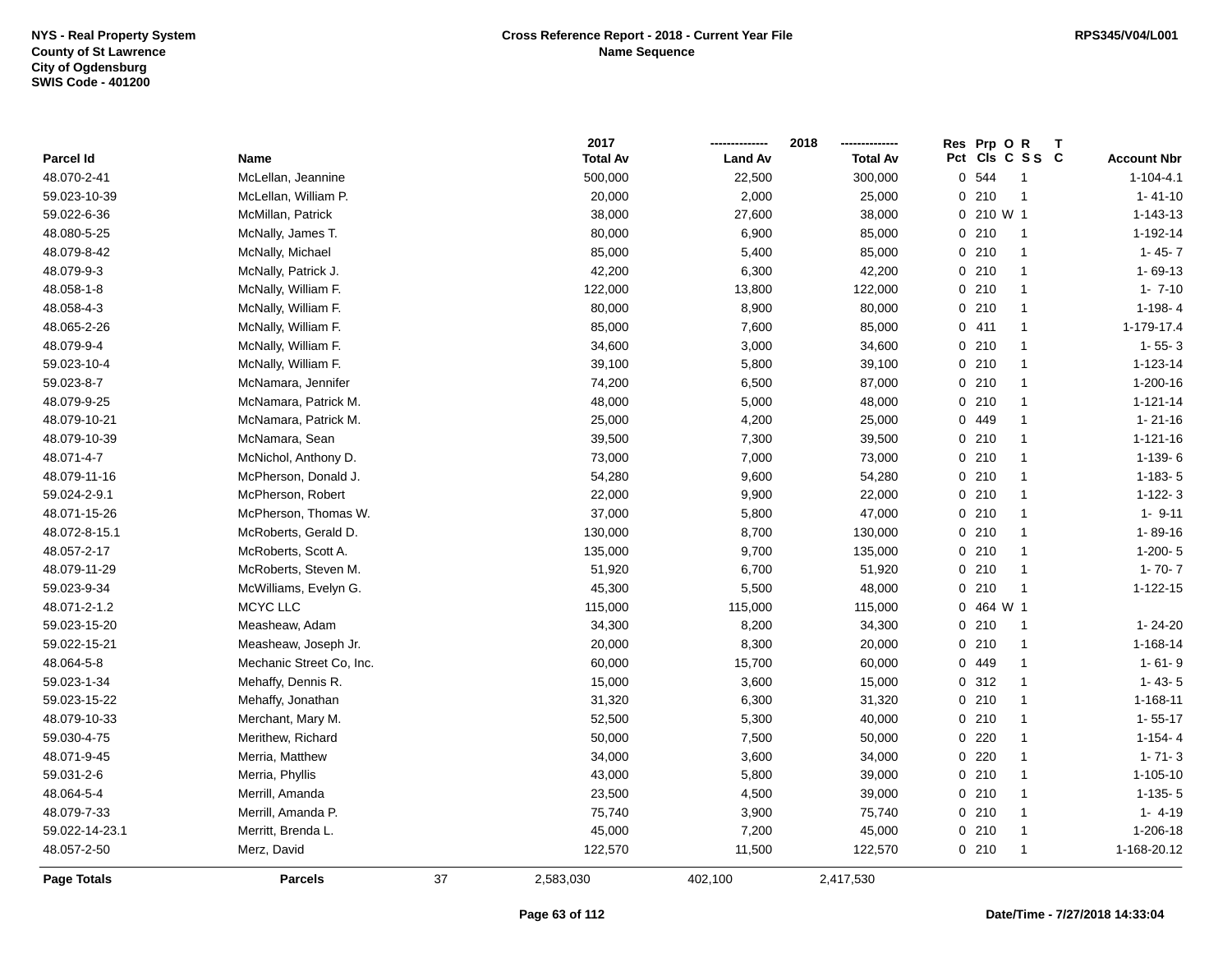|                |                          |    | 2017            |                | 2018            |     | Res Prp O R | Т                       |                    |
|----------------|--------------------------|----|-----------------|----------------|-----------------|-----|-------------|-------------------------|--------------------|
| Parcel Id      | Name                     |    | <b>Total Av</b> | <b>Land Av</b> | <b>Total Av</b> | Pct |             | CIs C S S C             | <b>Account Nbr</b> |
| 48.070-2-41    | McLellan, Jeannine       |    | 500,000         | 22,500         | 300,000         |     | 0 544       | $\overline{\mathbf{1}}$ | $1 - 104 - 4.1$    |
| 59.023-10-39   | McLellan, William P.     |    | 20,000          | 2,000          | 25,000          |     | 0210        | $\overline{1}$          | $1 - 41 - 10$      |
| 59.022-6-36    | McMillan, Patrick        |    | 38,000          | 27,600         | 38,000          |     | 0 210 W 1   |                         | 1-143-13           |
| 48.080-5-25    | McNally, James T.        |    | 80,000          | 6,900          | 85,000          |     | 0210        | $\overline{1}$          | 1-192-14           |
| 48.079-8-42    | McNally, Michael         |    | 85,000          | 5,400          | 85,000          |     | 0210        | $\overline{1}$          | $1 - 45 - 7$       |
| 48.079-9-3     | McNally, Patrick J.      |    | 42,200          | 6,300          | 42,200          |     | 0210        | -1                      | $1 - 69 - 13$      |
| 48.058-1-8     | McNally, William F.      |    | 122,000         | 13,800         | 122,000         |     | 0210        | $\mathbf{1}$            | $1 - 7 - 10$       |
| 48.058-4-3     | McNally, William F.      |    | 80,000          | 8,900          | 80,000          |     | 0210        | $\mathbf{1}$            | $1-198-4$          |
| 48.065-2-26    | McNally, William F.      |    | 85,000          | 7,600          | 85,000          |     | 0411        | $\mathbf{1}$            | 1-179-17.4         |
| 48.079-9-4     | McNally, William F.      |    | 34,600          | 3,000          | 34,600          |     | 0210        | $\mathbf{1}$            | $1 - 55 - 3$       |
| 59.023-10-4    | McNally, William F.      |    | 39,100          | 5,800          | 39,100          |     | 0210        | $\mathbf{1}$            | 1-123-14           |
| 59.023-8-7     | McNamara, Jennifer       |    | 74,200          | 6,500          | 87,000          |     | 0210        | -1                      | 1-200-16           |
| 48.079-9-25    | McNamara, Patrick M.     |    | 48,000          | 5,000          | 48,000          |     | 0210        | $\overline{1}$          | $1 - 121 - 14$     |
| 48.079-10-21   | McNamara, Patrick M.     |    | 25,000          | 4,200          | 25,000          |     | 0 449       | -1                      | $1 - 21 - 16$      |
| 48.079-10-39   | McNamara, Sean           |    | 39,500          | 7,300          | 39,500          |     | 0210        | $\mathbf{1}$            | $1 - 121 - 16$     |
| 48.071-4-7     | McNichol, Anthony D.     |    | 73,000          | 7,000          | 73,000          |     | 0210        | $\mathbf{1}$            | $1-139-6$          |
| 48.079-11-16   | McPherson, Donald J.     |    | 54,280          | 9,600          | 54,280          |     | 0210        | $\mathbf{1}$            | $1-183-5$          |
| 59.024-2-9.1   | McPherson, Robert        |    | 22,000          | 9,900          | 22,000          |     | 0210        | $\mathbf{1}$            | $1 - 122 - 3$      |
| 48.071-15-26   | McPherson, Thomas W.     |    | 37,000          | 5,800          | 47,000          |     | 0210        | $\mathbf{1}$            | $1 - 9 - 11$       |
| 48.072-8-15.1  | McRoberts, Gerald D.     |    | 130,000         | 8,700          | 130,000         |     | 0210        | $\overline{1}$          | 1-89-16            |
| 48.057-2-17    | McRoberts, Scott A.      |    | 135,000         | 9,700          | 135,000         |     | 0210        | $\overline{1}$          | $1-200-5$          |
| 48.079-11-29   | McRoberts, Steven M.     |    | 51,920          | 6,700          | 51,920          |     | 0210        | $\overline{1}$          | $1 - 70 - 7$       |
| 59.023-9-34    | McWilliams, Evelyn G.    |    | 45,300          | 5,500          | 48,000          |     | 0210        | $\overline{1}$          | $1 - 122 - 15$     |
| 48.071-2-1.2   | MCYC LLC                 |    | 115,000         | 115,000        | 115,000         | 0   | 464 W 1     |                         |                    |
| 59.023-15-20   | Measheaw, Adam           |    | 34,300          | 8,200          | 34,300          |     | 0210        | $\overline{1}$          | $1 - 24 - 20$      |
| 59.022-15-21   | Measheaw, Joseph Jr.     |    | 20,000          | 8,300          | 20,000          |     | 0210        | $\mathbf{1}$            | 1-168-14           |
| 48.064-5-8     | Mechanic Street Co, Inc. |    | 60,000          | 15,700         | 60,000          |     | 0 449       | $\mathbf{1}$            | $1 - 61 - 9$       |
| 59.023-1-34    | Mehaffy, Dennis R.       |    | 15,000          | 3,600          | 15,000          |     | 0.312       | $\overline{1}$          | $1 - 43 - 5$       |
| 59.023-15-22   | Mehaffy, Jonathan        |    | 31,320          | 6,300          | 31,320          |     | 0210        | -1                      | 1-168-11           |
| 48.079-10-33   | Merchant, Mary M.        |    | 52,500          | 5,300          | 40,000          |     | 0210        | $\overline{1}$          | $1 - 55 - 17$      |
| 59.030-4-75    | Merithew, Richard        |    | 50,000          | 7,500          | 50,000          |     | 0220        | $\overline{1}$          | $1 - 154 - 4$      |
| 48.071-9-45    | Merria, Matthew          |    | 34,000          | 3,600          | 34,000          |     | 0220        | $\mathbf{1}$            | $1 - 71 - 3$       |
| 59.031-2-6     | Merria, Phyllis          |    | 43,000          | 5,800          | 39,000          |     | 0210        | $\mathbf{1}$            | $1 - 105 - 10$     |
| 48.064-5-4     | Merrill, Amanda          |    | 23,500          | 4,500          | 39,000          |     | 0210        | $\mathbf{1}$            | $1-135-5$          |
| 48.079-7-33    | Merrill, Amanda P.       |    | 75,740          | 3,900          | 75,740          |     | 0210        | $\mathbf{1}$            | $1 - 4 - 19$       |
| 59.022-14-23.1 | Merritt, Brenda L.       |    | 45,000          | 7,200          | 45,000          |     | 0210        | $\overline{1}$          | 1-206-18           |
| 48.057-2-50    | Merz, David              |    | 122,570         | 11,500         | 122,570         |     | 0210        | -1                      | 1-168-20.12        |
| Page Totals    | <b>Parcels</b>           | 37 | 2,583,030       | 402,100        | 2,417,530       |     |             |                         |                    |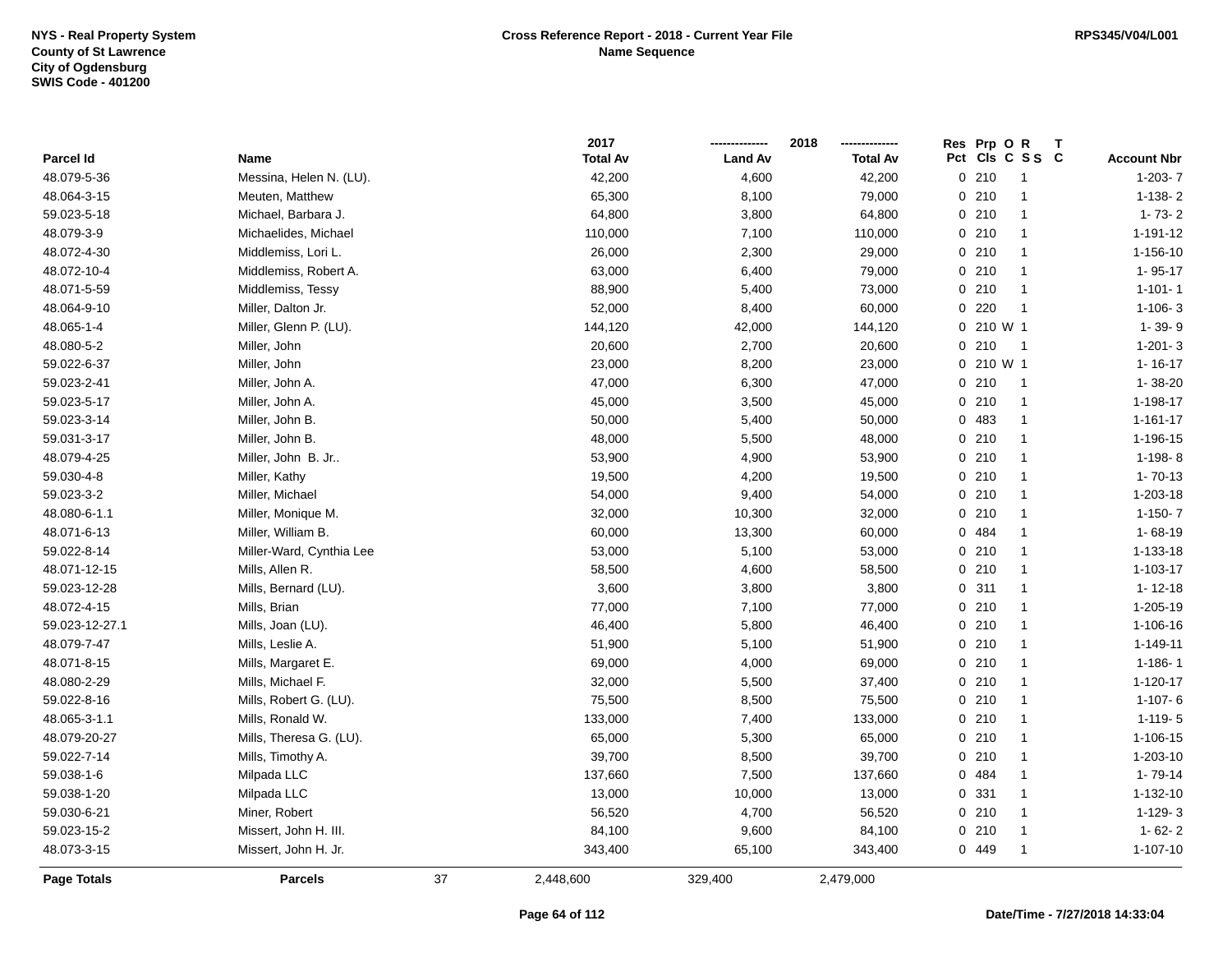|                |                          |    | 2017            |                | 2018            |     | Res Prp O R |                |                    |
|----------------|--------------------------|----|-----------------|----------------|-----------------|-----|-------------|----------------|--------------------|
| Parcel Id      | Name                     |    | <b>Total Av</b> | <b>Land Av</b> | <b>Total Av</b> | Pct |             | CIs C S S C    | <b>Account Nbr</b> |
| 48.079-5-36    | Messina, Helen N. (LU).  |    | 42,200          | 4,600          | 42,200          |     | 0210        | -1             | $1-203-7$          |
| 48.064-3-15    | Meuten, Matthew          |    | 65,300          | 8,100          | 79,000          |     | 0210        | $\mathbf{1}$   | $1-138-2$          |
| 59.023-5-18    | Michael, Barbara J.      |    | 64,800          | 3,800          | 64,800          |     | 0210        | $\mathbf{1}$   | $1 - 73 - 2$       |
| 48.079-3-9     | Michaelides, Michael     |    | 110,000         | 7,100          | 110,000         |     | 0210        | $\mathbf{1}$   | 1-191-12           |
| 48.072-4-30    | Middlemiss, Lori L.      |    | 26,000          | 2,300          | 29,000          |     | 0210        | $\mathbf{1}$   | 1-156-10           |
| 48.072-10-4    | Middlemiss, Robert A.    |    | 63,000          | 6,400          | 79,000          |     | 0210        | $\mathbf{1}$   | 1-95-17            |
| 48.071-5-59    | Middlemiss, Tessy        |    | 88,900          | 5,400          | 73,000          |     | 0210        | -1             | $1 - 101 - 1$      |
| 48.064-9-10    | Miller, Dalton Jr.       |    | 52,000          | 8,400          | 60,000          |     | $0$ 220     | $\overline{1}$ | $1-106-3$          |
| 48.065-1-4     | Miller, Glenn P. (LU).   |    | 144,120         | 42,000         | 144,120         |     | 0 210 W 1   |                | 1-39-9             |
| 48.080-5-2     | Miller, John             |    | 20,600          | 2,700          | 20,600          |     | 0210        | $\overline{1}$ | $1 - 201 - 3$      |
| 59.022-6-37    | Miller, John             |    | 23,000          | 8,200          | 23,000          |     | 0 210 W 1   |                | $1 - 16 - 17$      |
| 59.023-2-41    | Miller, John A.          |    | 47,000          | 6,300          | 47,000          |     | 0210        | $\overline{1}$ | 1-38-20            |
| 59.023-5-17    | Miller, John A.          |    | 45,000          | 3,500          | 45,000          |     | 0210        | $\mathbf{1}$   | 1-198-17           |
| 59.023-3-14    | Miller, John B.          |    | 50,000          | 5,400          | 50,000          |     | 0 483       | $\mathbf{1}$   | $1 - 161 - 17$     |
| 59.031-3-17    | Miller, John B.          |    | 48,000          | 5,500          | 48,000          |     | 0210        | $\mathbf{1}$   | 1-196-15           |
| 48.079-4-25    | Miller, John B. Jr       |    | 53,900          | 4,900          | 53,900          |     | 0210        | $\mathbf{1}$   | $1-198-8$          |
| 59.030-4-8     | Miller, Kathy            |    | 19,500          | 4,200          | 19,500          |     | 0210        | $\mathbf{1}$   | $1 - 70 - 13$      |
| 59.023-3-2     | Miller, Michael          |    | 54,000          | 9,400          | 54,000          |     | 0210        | $\mathbf{1}$   | 1-203-18           |
| 48.080-6-1.1   | Miller, Monique M.       |    | 32,000          | 10,300         | 32,000          |     | 0210        | $\mathbf{1}$   | $1-150-7$          |
| 48.071-6-13    | Miller, William B.       |    | 60,000          | 13,300         | 60,000          |     | 0 484       | $\mathbf{1}$   | $1 - 68 - 19$      |
| 59.022-8-14    | Miller-Ward, Cynthia Lee |    | 53,000          | 5,100          | 53,000          |     | 0210        | $\mathbf{1}$   | 1-133-18           |
| 48.071-12-15   | Mills, Allen R.          |    | 58,500          | 4,600          | 58,500          |     | 0210        | $\overline{1}$ | 1-103-17           |
| 59.023-12-28   | Mills, Bernard (LU).     |    | 3,600           | 3,800          | 3,800           |     | 0.311       | $\mathbf{1}$   | $1 - 12 - 18$      |
| 48.072-4-15    | Mills, Brian             |    | 77,000          | 7,100          | 77,000          |     | 0210        | $\mathbf{1}$   | 1-205-19           |
| 59.023-12-27.1 | Mills, Joan (LU).        |    | 46,400          | 5,800          | 46,400          |     | 0210        | $\mathbf{1}$   | 1-106-16           |
| 48.079-7-47    | Mills, Leslie A.         |    | 51,900          | 5,100          | 51,900          |     | 0210        | $\mathbf{1}$   | 1-149-11           |
| 48.071-8-15    | Mills, Margaret E.       |    | 69,000          | 4,000          | 69,000          |     | 0210        | $\mathbf{1}$   | $1 - 186 - 1$      |
| 48.080-2-29    | Mills, Michael F.        |    | 32,000          | 5,500          | 37,400          |     | 0210        | $\mathbf{1}$   | $1 - 120 - 17$     |
| 59.022-8-16    | Mills, Robert G. (LU).   |    | 75,500          | 8,500          | 75,500          |     | 0210        | 1              | $1 - 107 - 6$      |
| 48.065-3-1.1   | Mills, Ronald W.         |    | 133,000         | 7,400          | 133,000         |     | 0210        | $\mathbf{1}$   | $1 - 119 - 5$      |
| 48.079-20-27   | Mills, Theresa G. (LU).  |    | 65,000          | 5,300          | 65,000          |     | 0210        | $\mathbf{1}$   | 1-106-15           |
| 59.022-7-14    | Mills, Timothy A.        |    | 39,700          | 8,500          | 39,700          |     | 0210        | $\mathbf{1}$   | 1-203-10           |
| 59.038-1-6     | Milpada LLC              |    | 137,660         | 7,500          | 137,660         |     | 0 484       | $\mathbf{1}$   | 1-79-14            |
| 59.038-1-20    | Milpada LLC              |    | 13,000          | 10,000         | 13,000          |     | 0 331       | $\mathbf{1}$   | 1-132-10           |
| 59.030-6-21    | Miner, Robert            |    | 56,520          | 4,700          | 56,520          |     | 0210        | $\mathbf{1}$   | $1-129-3$          |
| 59.023-15-2    | Missert, John H. III.    |    | 84,100          | 9,600          | 84,100          |     | 0210        | $\mathbf{1}$   | $1 - 62 - 2$       |
| 48.073-3-15    | Missert, John H. Jr.     |    | 343,400         | 65,100         | 343,400         |     | 0 449       |                | $1 - 107 - 10$     |
| Page Totals    | <b>Parcels</b>           | 37 | 2,448,600       | 329,400        | 2,479,000       |     |             |                |                    |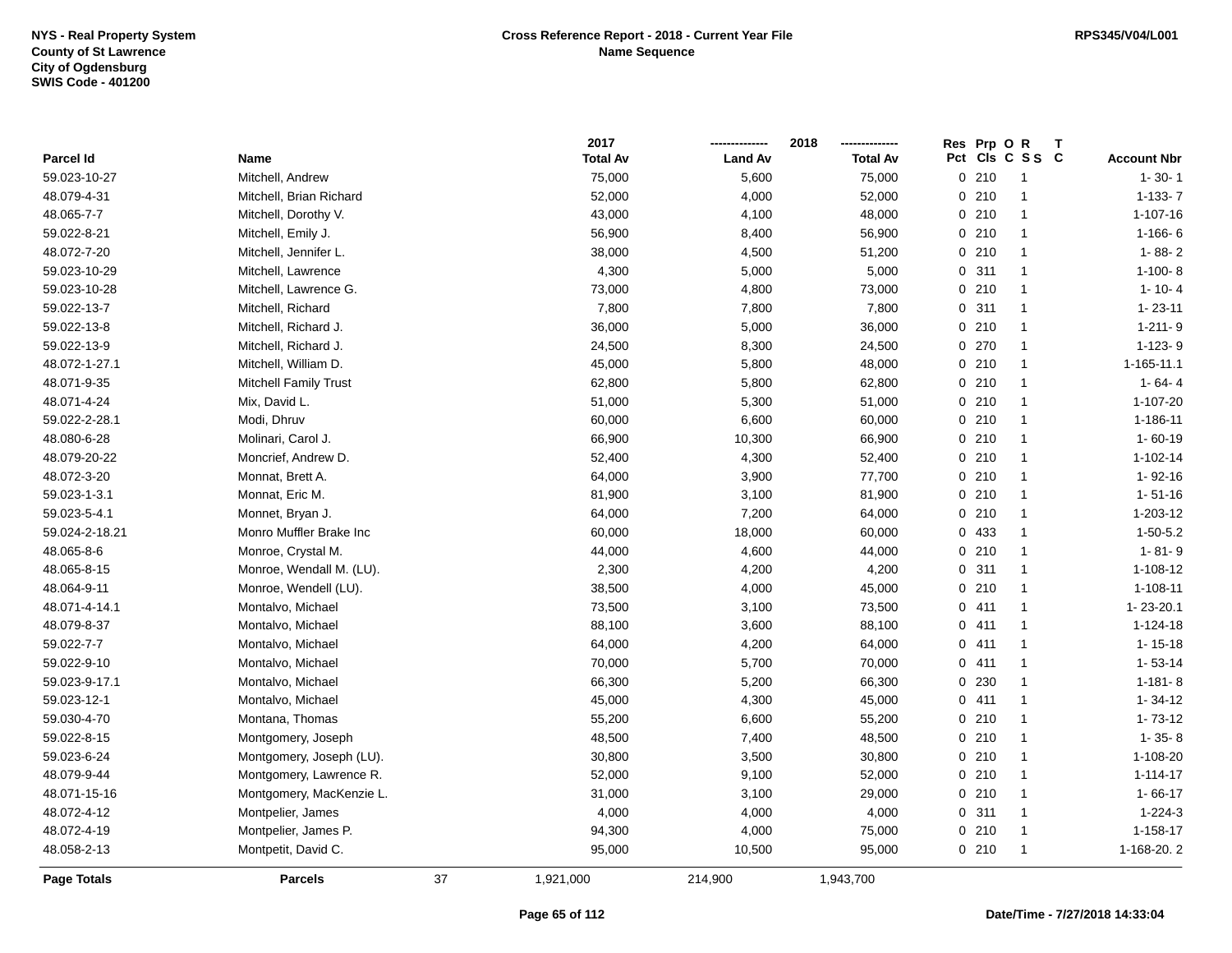|                |                              |    | 2017            |                | 2018            | Res Prp O | R<br>т          |                    |
|----------------|------------------------------|----|-----------------|----------------|-----------------|-----------|-----------------|--------------------|
| Parcel Id      | Name                         |    | <b>Total Av</b> | <b>Land Av</b> | <b>Total Av</b> |           | Pct Cls C S S C | <b>Account Nbr</b> |
| 59.023-10-27   | Mitchell, Andrew             |    | 75,000          | 5,600          | 75,000          | 0210      | 1               | $1 - 30 - 1$       |
| 48.079-4-31    | Mitchell, Brian Richard      |    | 52,000          | 4,000          | 52,000          | 0210      | $\mathbf{1}$    | $1-133-7$          |
| 48.065-7-7     | Mitchell, Dorothy V.         |    | 43,000          | 4,100          | 48,000          | 0210      | $\mathbf{1}$    | $1 - 107 - 16$     |
| 59.022-8-21    | Mitchell, Emily J.           |    | 56,900          | 8,400          | 56,900          | 0210      | $\mathbf{1}$    | $1-166-6$          |
| 48.072-7-20    | Mitchell, Jennifer L.        |    | 38,000          | 4,500          | 51,200          | 0210      | $\mathbf{1}$    | $1 - 88 - 2$       |
| 59.023-10-29   | Mitchell, Lawrence           |    | 4,300           | 5,000          | 5,000           | 0.311     | $\mathbf{1}$    | $1-100-8$          |
| 59.023-10-28   | Mitchell, Lawrence G.        |    | 73,000          | 4,800          | 73,000          | 0210      | 1               | $1 - 10 - 4$       |
| 59.022-13-7    | Mitchell, Richard            |    | 7,800           | 7,800          | 7,800           | 0.311     | 1               | $1 - 23 - 11$      |
| 59.022-13-8    | Mitchell, Richard J.         |    | 36,000          | 5,000          | 36,000          | 0210      | 1               | $1 - 211 - 9$      |
| 59.022-13-9    | Mitchell, Richard J.         |    | 24,500          | 8,300          | 24,500          | 0 270     | 1               | $1-123-9$          |
| 48.072-1-27.1  | Mitchell, William D.         |    | 45,000          | 5,800          | 48,000          | 0.210     | $\mathbf{1}$    | 1-165-11.1         |
| 48.071-9-35    | <b>Mitchell Family Trust</b> |    | 62,800          | 5,800          | 62,800          | 0210      | $\mathbf{1}$    | $1 - 64 - 4$       |
| 48.071-4-24    | Mix, David L.                |    | 51,000          | 5,300          | 51,000          | 0210      | 1               | 1-107-20           |
| 59.022-2-28.1  | Modi, Dhruv                  |    | 60,000          | 6,600          | 60,000          | 0210      | $\mathbf{1}$    | 1-186-11           |
| 48.080-6-28    | Molinari, Carol J.           |    | 66,900          | 10,300         | 66,900          | 0210      | $\mathbf{1}$    | $1 - 60 - 19$      |
| 48.079-20-22   | Moncrief, Andrew D.          |    | 52,400          | 4,300          | 52,400          | 0210      | $\mathbf{1}$    | $1 - 102 - 14$     |
| 48.072-3-20    | Monnat, Brett A.             |    | 64,000          | 3,900          | 77,700          | 0210      | $\mathbf{1}$    | $1 - 92 - 16$      |
| 59.023-1-3.1   | Monnat, Eric M.              |    | 81,900          | 3,100          | 81,900          | 0210      | $\mathbf{1}$    | $1 - 51 - 16$      |
| 59.023-5-4.1   | Monnet, Bryan J.             |    | 64,000          | 7,200          | 64,000          | 0210      | $\mathbf{1}$    | 1-203-12           |
| 59.024-2-18.21 | Monro Muffler Brake Inc      |    | 60,000          | 18,000         | 60,000          | 0 433     | $\mathbf{1}$    | $1 - 50 - 5.2$     |
| 48.065-8-6     | Monroe, Crystal M.           |    | 44,000          | 4,600          | 44,000          | 0210      | $\mathbf{1}$    | $1 - 81 - 9$       |
| 48.065-8-15    | Monroe, Wendall M. (LU).     |    | 2,300           | 4,200          | 4,200           | 0.311     | $\mathbf{1}$    | 1-108-12           |
| 48.064-9-11    | Monroe, Wendell (LU).        |    | 38,500          | 4,000          | 45,000          | 0210      | $\mathbf{1}$    | $1 - 108 - 11$     |
| 48.071-4-14.1  | Montalvo, Michael            |    | 73,500          | 3,100          | 73,500          | 0411      | $\mathbf{1}$    | 1-23-20.1          |
| 48.079-8-37    | Montalvo, Michael            |    | 88,100          | 3,600          | 88,100          | 0411      | $\mathbf{1}$    | 1-124-18           |
| 59.022-7-7     | Montalvo, Michael            |    | 64,000          | 4,200          | 64,000          | 0411      | $\mathbf{1}$    | $1 - 15 - 18$      |
| 59.022-9-10    | Montalvo, Michael            |    | 70,000          | 5,700          | 70,000          | 0411      | $\mathbf{1}$    | $1 - 53 - 14$      |
| 59.023-9-17.1  | Montalvo, Michael            |    | 66,300          | 5,200          | 66,300          | 0 230     | $\mathbf{1}$    | $1 - 181 - 8$      |
| 59.023-12-1    | Montalvo, Michael            |    | 45,000          | 4,300          | 45,000          | 0411      | 1               | $1 - 34 - 12$      |
| 59.030-4-70    | Montana, Thomas              |    | 55,200          | 6,600          | 55,200          | 0210      | $\mathbf{1}$    | $1 - 73 - 12$      |
| 59.022-8-15    | Montgomery, Joseph           |    | 48,500          | 7,400          | 48,500          | 0210      | $\mathbf{1}$    | $1 - 35 - 8$       |
| 59.023-6-24    | Montgomery, Joseph (LU).     |    | 30,800          | 3,500          | 30,800          | 0210      | $\mathbf{1}$    | 1-108-20           |
| 48.079-9-44    | Montgomery, Lawrence R.      |    | 52,000          | 9,100          | 52,000          | 0210      | 1               | $1 - 114 - 17$     |
| 48.071-15-16   | Montgomery, MacKenzie L.     |    | 31,000          | 3,100          | 29,000          | 0210      | $\mathbf{1}$    | $1 - 66 - 17$      |
| 48.072-4-12    | Montpelier, James            |    | 4,000           | 4,000          | 4,000           | 0.311     | $\mathbf{1}$    | $1 - 224 - 3$      |
| 48.072-4-19    | Montpelier, James P.         |    | 94,300          | 4,000          | 75,000          | 0210      | 1               | $1 - 158 - 17$     |
| 48.058-2-13    | Montpetit, David C.          |    | 95,000          | 10,500         | 95,000          | 0210      | $\mathbf{1}$    | 1-168-20.2         |
| Page Totals    | <b>Parcels</b>               | 37 | 1,921,000       | 214,900        | 1,943,700       |           |                 |                    |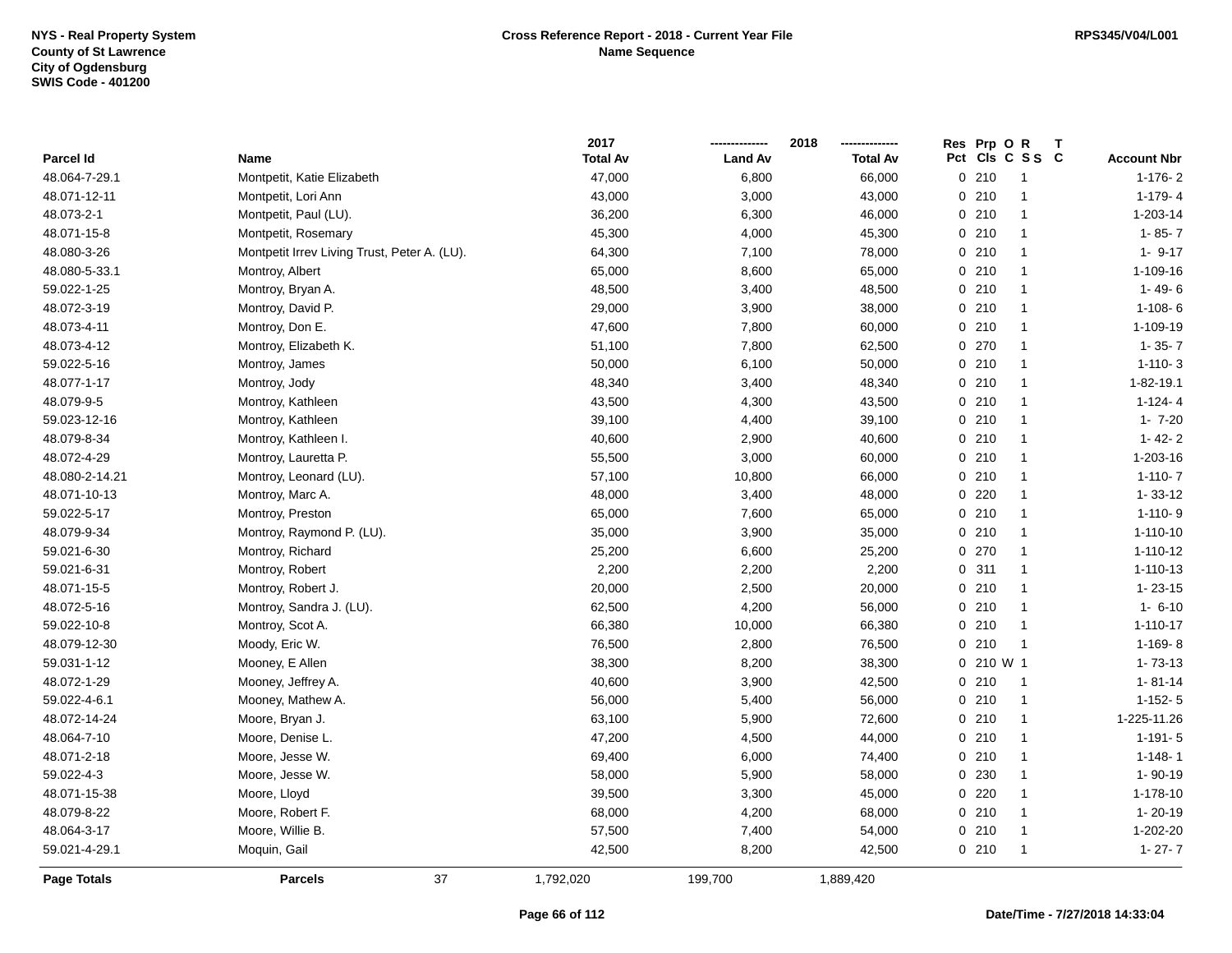|                  |                                              | 2017            |                | 2018            | Res Prp O R |                 | $\mathbf{T}$ |                    |
|------------------|----------------------------------------------|-----------------|----------------|-----------------|-------------|-----------------|--------------|--------------------|
| <b>Parcel Id</b> | Name                                         | <b>Total Av</b> | <b>Land Av</b> | <b>Total Av</b> |             | Pct Cls C S S C |              | <b>Account Nbr</b> |
| 48.064-7-29.1    | Montpetit, Katie Elizabeth                   | 47,000          | 6,800          | 66,000          | 0210        | $\mathbf{1}$    |              | $1-176-2$          |
| 48.071-12-11     | Montpetit, Lori Ann                          | 43,000          | 3,000          | 43,000          | 0210        | 1               |              | $1 - 179 - 4$      |
| 48.073-2-1       | Montpetit, Paul (LU).                        | 36,200          | 6,300          | 46,000          | 0210        | $\mathbf{1}$    |              | 1-203-14           |
| 48.071-15-8      | Montpetit, Rosemary                          | 45,300          | 4,000          | 45,300          | 0210        | $\mathbf{1}$    |              | $1 - 85 - 7$       |
| 48.080-3-26      | Montpetit Irrev Living Trust, Peter A. (LU). | 64,300          | 7,100          | 78,000          | 0210        | $\mathbf{1}$    |              | $1 - 9 - 17$       |
| 48.080-5-33.1    | Montroy, Albert                              | 65,000          | 8,600          | 65,000          | 0210        | $\mathbf{1}$    |              | 1-109-16           |
| 59.022-1-25      | Montroy, Bryan A.                            | 48,500          | 3,400          | 48,500          | 0210        | $\mathbf{1}$    |              | $1 - 49 - 6$       |
| 48.072-3-19      | Montroy, David P.                            | 29,000          | 3,900          | 38,000          | 0210        | $\mathbf{1}$    |              | $1 - 108 - 6$      |
| 48.073-4-11      | Montroy, Don E.                              | 47,600          | 7,800          | 60,000          | 0210        | $\mathbf{1}$    |              | 1-109-19           |
| 48.073-4-12      | Montroy, Elizabeth K.                        | 51,100          | 7,800          | 62,500          | 0270        | $\mathbf{1}$    |              | $1 - 35 - 7$       |
| 59.022-5-16      | Montroy, James                               | 50,000          | 6,100          | 50,000          | 0210        | $\mathbf{1}$    |              | $1 - 110 - 3$      |
| 48.077-1-17      | Montroy, Jody                                | 48,340          | 3,400          | 48,340          | 0210        | $\mathbf{1}$    |              | $1 - 82 - 19.1$    |
| 48.079-9-5       | Montroy, Kathleen                            | 43,500          | 4,300          | 43,500          | 0210        | $\mathbf{1}$    |              | $1 - 124 - 4$      |
| 59.023-12-16     | Montroy, Kathleen                            | 39,100          | 4,400          | 39,100          | 0210        | $\mathbf{1}$    |              | $1 - 7 - 20$       |
| 48.079-8-34      | Montroy, Kathleen I.                         | 40,600          | 2,900          | 40,600          | 0210        | $\mathbf{1}$    |              | $1 - 42 - 2$       |
| 48.072-4-29      | Montroy, Lauretta P.                         | 55,500          | 3,000          | 60,000          | 0210        | $\mathbf{1}$    |              | 1-203-16           |
| 48.080-2-14.21   | Montroy, Leonard (LU).                       | 57,100          | 10,800         | 66,000          | 0210        | $\mathbf{1}$    |              | $1 - 110 - 7$      |
| 48.071-10-13     | Montroy, Marc A.                             | 48,000          | 3,400          | 48,000          | $0$ 220     | $\mathbf{1}$    |              | $1 - 33 - 12$      |
| 59.022-5-17      | Montroy, Preston                             | 65,000          | 7,600          | 65,000          | 0210        | $\mathbf{1}$    |              | $1 - 110 - 9$      |
| 48.079-9-34      | Montroy, Raymond P. (LU).                    | 35,000          | 3,900          | 35,000          | 0210        | $\mathbf{1}$    |              | $1 - 110 - 10$     |
| 59.021-6-30      | Montroy, Richard                             | 25,200          | 6,600          | 25,200          | 0270        | $\mathbf{1}$    |              | 1-110-12           |
| 59.021-6-31      | Montroy, Robert                              | 2,200           | 2,200          | 2,200           | 0.311       | $\mathbf{1}$    |              | 1-110-13           |
| 48.071-15-5      | Montroy, Robert J.                           | 20,000          | 2,500          | 20,000          | 0210        | $\mathbf{1}$    |              | $1 - 23 - 15$      |
| 48.072-5-16      | Montroy, Sandra J. (LU).                     | 62,500          | 4,200          | 56,000          | 0210        | $\mathbf{1}$    |              | $1 - 6 - 10$       |
| 59.022-10-8      | Montroy, Scot A.                             | 66,380          | 10,000         | 66,380          | 0210        | $\mathbf{1}$    |              | $1 - 110 - 17$     |
| 48.079-12-30     | Moody, Eric W.                               | 76,500          | 2,800          | 76,500          | 0210        | $\mathbf{1}$    |              | $1-169-8$          |
| 59.031-1-12      | Mooney, E Allen                              | 38,300          | 8,200          | 38,300          | 0 210 W 1   |                 |              | $1 - 73 - 13$      |
| 48.072-1-29      | Mooney, Jeffrey A.                           | 40,600          | 3,900          | 42,500          | 0210        | $\mathbf{1}$    |              | $1 - 81 - 14$      |
| 59.022-4-6.1     | Mooney, Mathew A.                            | 56,000          | 5,400          | 56,000          | 0210        | $\mathbf{1}$    |              | $1 - 152 - 5$      |
| 48.072-14-24     | Moore, Bryan J.                              | 63,100          | 5,900          | 72,600          | 0210        | $\mathbf{1}$    |              | 1-225-11.26        |
| 48.064-7-10      | Moore, Denise L.                             | 47,200          | 4,500          | 44,000          | $0$ 210     | $\mathbf{1}$    |              | $1 - 191 - 5$      |
| 48.071-2-18      | Moore, Jesse W.                              | 69,400          | 6,000          | 74,400          | 0210        | $\mathbf{1}$    |              | $1 - 148 - 1$      |
| 59.022-4-3       | Moore, Jesse W.                              | 58,000          | 5,900          | 58,000          | 0 230       | $\mathbf{1}$    |              | 1-90-19            |
| 48.071-15-38     | Moore, Lloyd                                 | 39,500          | 3,300          | 45,000          | 0220        | $\mathbf{1}$    |              | 1-178-10           |
| 48.079-8-22      | Moore, Robert F.                             | 68,000          | 4,200          | 68,000          | 0210        | $\mathbf{1}$    |              | $1 - 20 - 19$      |
| 48.064-3-17      | Moore, Willie B.                             | 57,500          | 7,400          | 54,000          | 0210        | $\mathbf{1}$    |              | 1-202-20           |
| 59.021-4-29.1    | Moquin, Gail                                 | 42,500          | 8,200          | 42,500          | 0210        | $\mathbf{1}$    |              | $1 - 27 - 7$       |
| Page Totals      | 37<br><b>Parcels</b>                         | 1,792,020       | 199,700        | 1,889,420       |             |                 |              |                    |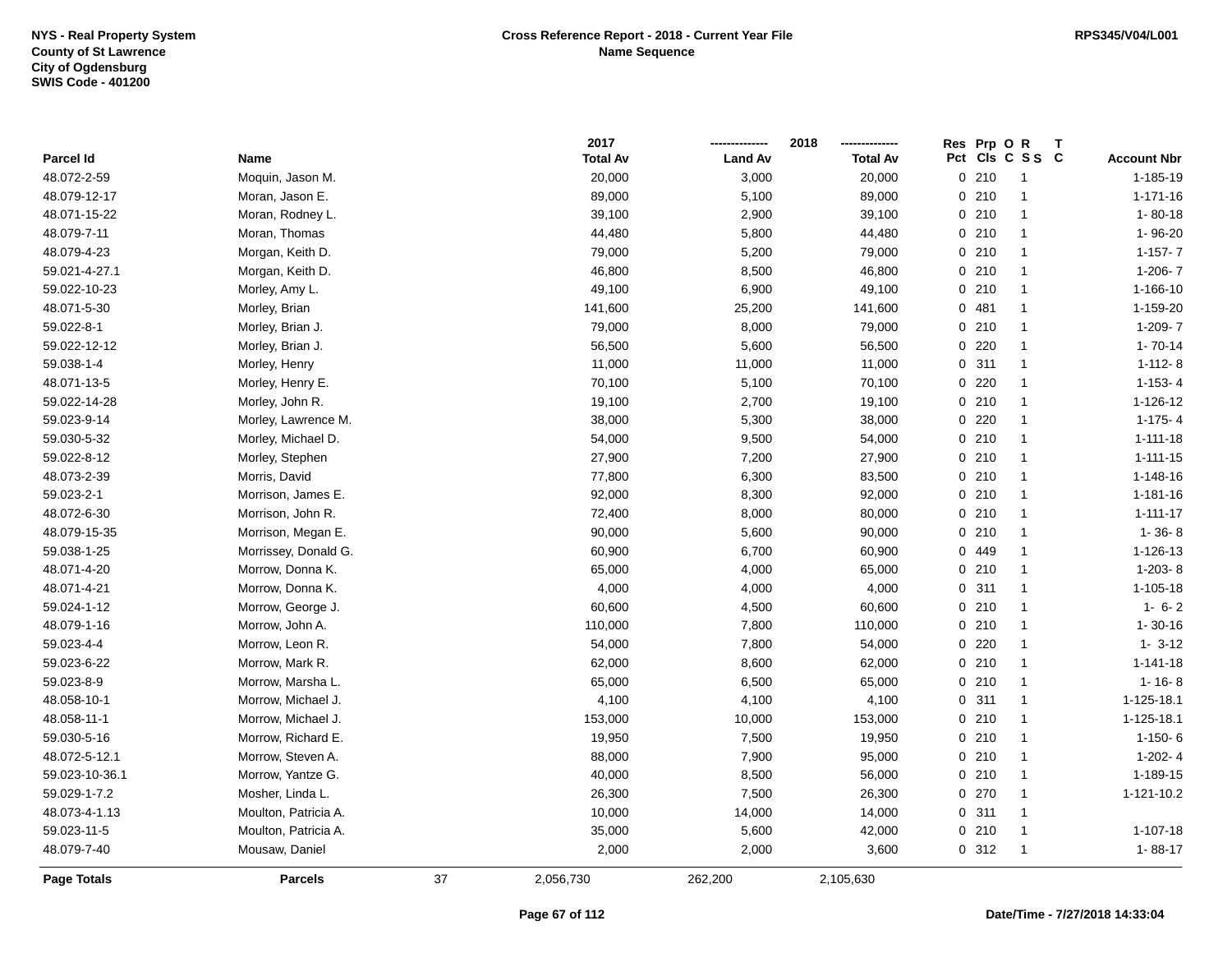|                    |                      |    | 2017            |                | 2018            | Res Prp O R           |                 |                    |
|--------------------|----------------------|----|-----------------|----------------|-----------------|-----------------------|-----------------|--------------------|
| Parcel Id          | Name                 |    | <b>Total Av</b> | <b>Land Av</b> | <b>Total Av</b> |                       | Pct Cls C S S C | <b>Account Nbr</b> |
| 48.072-2-59        | Moquin, Jason M.     |    | 20,000          | 3,000          | 20,000          | 0210                  | $\mathbf{1}$    | 1-185-19           |
| 48.079-12-17       | Moran, Jason E.      |    | 89,000          | 5,100          | 89,000          | 0210                  | $\mathbf{1}$    | $1 - 171 - 16$     |
| 48.071-15-22       | Moran, Rodney L.     |    | 39,100          | 2,900          | 39,100          | 0210                  | $\mathbf{1}$    | $1 - 80 - 18$      |
| 48.079-7-11        | Moran, Thomas        |    | 44,480          | 5,800          | 44,480          | 0210                  | $\mathbf{1}$    | 1-96-20            |
| 48.079-4-23        | Morgan, Keith D.     |    | 79,000          | 5,200          | 79,000          | 0210                  | $\mathbf{1}$    | $1 - 157 - 7$      |
| 59.021-4-27.1      | Morgan, Keith D.     |    | 46,800          | 8,500          | 46,800          | 0210                  | $\mathbf{1}$    | $1-206 - 7$        |
| 59.022-10-23       | Morley, Amy L.       |    | 49,100          | 6,900          | 49,100          | 0210                  | $\mathbf{1}$    | 1-166-10           |
| 48.071-5-30        | Morley, Brian        |    | 141,600         | 25,200         | 141,600         | 0.481                 | $\overline{1}$  | 1-159-20           |
| 59.022-8-1         | Morley, Brian J.     |    | 79,000          | 8,000          | 79,000          | 0210                  | $\mathbf{1}$    | 1-209-7            |
| 59.022-12-12       | Morley, Brian J.     |    | 56,500          | 5,600          | 56,500          | 220<br>$\overline{0}$ | -1              | $1 - 70 - 14$      |
| 59.038-1-4         | Morley, Henry        |    | 11,000          | 11,000         | 11,000          | 0.311                 | $\mathbf{1}$    | $1 - 112 - 8$      |
| 48.071-13-5        | Morley, Henry E.     |    | 70,100          | 5,100          | 70,100          | 0.220                 | -1              | $1-153-4$          |
| 59.022-14-28       | Morley, John R.      |    | 19,100          | 2,700          | 19,100          | 0210                  | -1              | 1-126-12           |
| 59.023-9-14        | Morley, Lawrence M.  |    | 38,000          | 5,300          | 38,000          | $0$ 220               | $\mathbf{1}$    | $1-175-4$          |
| 59.030-5-32        | Morley, Michael D.   |    | 54,000          | 9,500          | 54,000          | 0210                  | $\mathbf{1}$    | $1 - 111 - 18$     |
| 59.022-8-12        | Morley, Stephen      |    | 27,900          | 7,200          | 27,900          | 0210                  | $\mathbf{1}$    | $1 - 111 - 15$     |
| 48.073-2-39        | Morris, David        |    | 77,800          | 6,300          | 83,500          | 0210                  | $\mathbf{1}$    | 1-148-16           |
| 59.023-2-1         | Morrison, James E.   |    | 92,000          | 8,300          | 92,000          | 0210                  | $\mathbf{1}$    | 1-181-16           |
| 48.072-6-30        | Morrison, John R.    |    | 72,400          | 8,000          | 80,000          | 0210                  | -1              | $1 - 111 - 17$     |
| 48.079-15-35       | Morrison, Megan E.   |    | 90,000          | 5,600          | 90,000          | 0210                  | $\overline{1}$  | $1 - 36 - 8$       |
| 59.038-1-25        | Morrissey, Donald G. |    | 60,900          | 6,700          | 60,900          | 0 449                 | $\overline{1}$  | 1-126-13           |
| 48.071-4-20        | Morrow, Donna K.     |    | 65,000          | 4,000          | 65,000          | 0210                  | $\mathbf{1}$    | $1-203-8$          |
| 48.071-4-21        | Morrow, Donna K.     |    | 4,000           | 4,000          | 4,000           | 311<br>0              | $\mathbf{1}$    | $1 - 105 - 18$     |
| 59.024-1-12        | Morrow, George J.    |    | 60,600          | 4,500          | 60,600          | 0210                  | $\mathbf{1}$    | $1 - 6 - 2$        |
| 48.079-1-16        | Morrow, John A.      |    | 110,000         | 7,800          | 110,000         | 0210                  | $\mathbf{1}$    | $1 - 30 - 16$      |
| 59.023-4-4         | Morrow, Leon R.      |    | 54,000          | 7,800          | 54,000          | 0220                  | -1              | $1 - 3 - 12$       |
| 59.023-6-22        | Morrow, Mark R.      |    | 62,000          | 8,600          | 62,000          | 0210                  | $\overline{1}$  | $1 - 141 - 18$     |
| 59.023-8-9         | Morrow, Marsha L.    |    | 65,000          | 6,500          | 65,000          | 0210                  | -1              | $1 - 16 - 8$       |
| 48.058-10-1        | Morrow, Michael J.   |    | 4,100           | 4,100          | 4,100           | 0.311                 | $\mathbf{1}$    | 1-125-18.1         |
| 48.058-11-1        | Morrow, Michael J.   |    | 153,000         | 10,000         | 153,000         | 0210                  | $\mathbf{1}$    | 1-125-18.1         |
| 59.030-5-16        | Morrow, Richard E.   |    | 19,950          | 7,500          | 19,950          | 0210                  | $\mathbf{1}$    | $1 - 150 - 6$      |
| 48.072-5-12.1      | Morrow, Steven A.    |    | 88,000          | 7,900          | 95,000          | 0210                  | $\mathbf{1}$    | $1-202 - 4$        |
| 59.023-10-36.1     | Morrow, Yantze G.    |    | 40,000          | 8,500          | 56,000          | 0210                  | $\mathbf{1}$    | 1-189-15           |
| 59.029-1-7.2       | Mosher, Linda L.     |    | 26,300          | 7,500          | 26,300          | 0270                  | -1              | 1-121-10.2         |
| 48.073-4-1.13      | Moulton, Patricia A. |    | 10,000          | 14,000         | 14,000          | 0.311                 | $\mathbf{1}$    |                    |
| 59.023-11-5        | Moulton, Patricia A. |    | 35,000          | 5,600          | 42,000          | $0$ 210               | -1              | 1-107-18           |
| 48.079-7-40        | Mousaw, Daniel       |    | 2,000           | 2,000          | 3,600           | 0.312                 | $\overline{1}$  | $1 - 88 - 17$      |
| <b>Page Totals</b> | <b>Parcels</b>       | 37 | 2,056,730       | 262,200        | 2,105,630       |                       |                 |                    |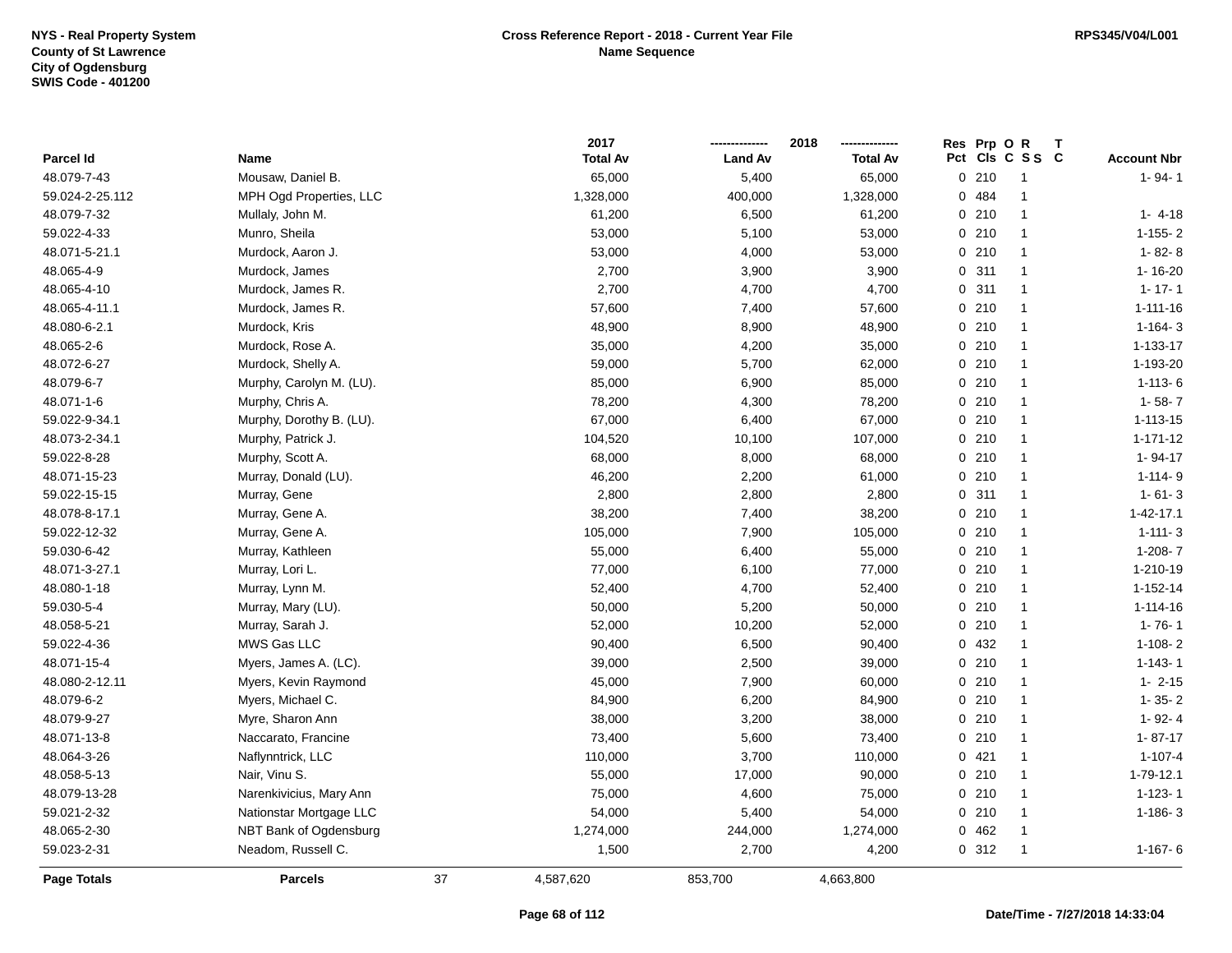|                 |                          |    | 2017            |                | 2018            |     | Res Prp O R |                | T |                    |
|-----------------|--------------------------|----|-----------------|----------------|-----------------|-----|-------------|----------------|---|--------------------|
| Parcel Id       | Name                     |    | <b>Total Av</b> | <b>Land Av</b> | <b>Total Av</b> | Pct |             | CIS C S S C    |   | <b>Account Nbr</b> |
| 48.079-7-43     | Mousaw, Daniel B.        |    | 65,000          | 5,400          | 65,000          |     | 0210        | $\overline{1}$ |   | $1 - 94 - 1$       |
| 59.024-2-25.112 | MPH Ogd Properties, LLC  |    | 1,328,000       | 400,000        | 1,328,000       |     | 0.484       | $\mathbf{1}$   |   |                    |
| 48.079-7-32     | Mullaly, John M.         |    | 61,200          | 6,500          | 61,200          |     | 0210        | $\mathbf{1}$   |   | $1 - 4 - 18$       |
| 59.022-4-33     | Munro, Sheila            |    | 53,000          | 5,100          | 53,000          |     | 0210        | $\mathbf{1}$   |   | $1 - 155 - 2$      |
| 48.071-5-21.1   | Murdock, Aaron J.        |    | 53,000          | 4,000          | 53,000          |     | 0210        | $\mathbf{1}$   |   | $1 - 82 - 8$       |
| 48.065-4-9      | Murdock, James           |    | 2,700           | 3,900          | 3,900           |     | 0.311       | $\mathbf{1}$   |   | 1-16-20            |
| 48.065-4-10     | Murdock, James R.        |    | 2,700           | 4,700          | 4,700           |     | 0.311       | $\mathbf{1}$   |   | $1 - 17 - 1$       |
| 48.065-4-11.1   | Murdock, James R.        |    | 57,600          | 7,400          | 57,600          |     | 0210        | $\mathbf{1}$   |   | $1 - 111 - 16$     |
| 48.080-6-2.1    | Murdock, Kris            |    | 48,900          | 8,900          | 48,900          |     | 0210        | $\mathbf{1}$   |   | $1 - 164 - 3$      |
| 48.065-2-6      | Murdock, Rose A.         |    | 35,000          | 4,200          | 35,000          |     | 0210        | $\mathbf{1}$   |   | 1-133-17           |
| 48.072-6-27     | Murdock, Shelly A.       |    | 59,000          | 5,700          | 62,000          |     | 0210        | $\mathbf{1}$   |   | 1-193-20           |
| 48.079-6-7      | Murphy, Carolyn M. (LU). |    | 85,000          | 6,900          | 85,000          |     | 0210        | $\mathbf{1}$   |   | $1 - 113 - 6$      |
| 48.071-1-6      | Murphy, Chris A.         |    | 78,200          | 4,300          | 78,200          |     | 0210        | $\mathbf{1}$   |   | $1 - 58 - 7$       |
| 59.022-9-34.1   | Murphy, Dorothy B. (LU). |    | 67,000          | 6,400          | 67,000          |     | 0210        | $\mathbf{1}$   |   | $1 - 113 - 15$     |
| 48.073-2-34.1   | Murphy, Patrick J.       |    | 104,520         | 10,100         | 107,000         |     | 0210        | $\mathbf{1}$   |   | $1 - 171 - 12$     |
| 59.022-8-28     | Murphy, Scott A.         |    | 68,000          | 8,000          | 68,000          |     | 0210        | $\mathbf{1}$   |   | $1 - 94 - 17$      |
| 48.071-15-23    | Murray, Donald (LU).     |    | 46,200          | 2,200          | 61,000          |     | 0210        | $\mathbf{1}$   |   | $1 - 114 - 9$      |
| 59.022-15-15    | Murray, Gene             |    | 2,800           | 2,800          | 2,800           |     | 0.311       | $\mathbf{1}$   |   | $1 - 61 - 3$       |
| 48.078-8-17.1   | Murray, Gene A.          |    | 38,200          | 7,400          | 38,200          |     | 0210        | $\mathbf{1}$   |   | $1 - 42 - 17.1$    |
| 59.022-12-32    | Murray, Gene A.          |    | 105,000         | 7,900          | 105,000         |     | 0210        | $\mathbf{1}$   |   | $1 - 111 - 3$      |
| 59.030-6-42     | Murray, Kathleen         |    | 55,000          | 6,400          | 55,000          |     | 0210        | $\mathbf{1}$   |   | $1-208 - 7$        |
| 48.071-3-27.1   | Murray, Lori L.          |    | 77,000          | 6,100          | 77,000          |     | 0210        | $\mathbf{1}$   |   | 1-210-19           |
| 48.080-1-18     | Murray, Lynn M.          |    | 52,400          | 4,700          | 52,400          |     | 0210        | $\mathbf{1}$   |   | $1 - 152 - 14$     |
| 59.030-5-4      | Murray, Mary (LU).       |    | 50,000          | 5,200          | 50,000          |     | 0210        | $\mathbf{1}$   |   | $1 - 114 - 16$     |
| 48.058-5-21     | Murray, Sarah J.         |    | 52,000          | 10,200         | 52,000          |     | 0210        | $\mathbf{1}$   |   | $1 - 76 - 1$       |
| 59.022-4-36     | MWS Gas LLC              |    | 90,400          | 6,500          | 90,400          |     | 0 432       | $\mathbf{1}$   |   | $1 - 108 - 2$      |
| 48.071-15-4     | Myers, James A. (LC).    |    | 39,000          | 2,500          | 39,000          |     | 0210        | $\mathbf{1}$   |   | $1 - 143 - 1$      |
| 48.080-2-12.11  | Myers, Kevin Raymond     |    | 45,000          | 7,900          | 60,000          |     | 0210        | $\mathbf{1}$   |   | $1 - 2 - 15$       |
| 48.079-6-2      | Myers, Michael C.        |    | 84,900          | 6,200          | 84,900          |     | 0210        | $\mathbf{1}$   |   | $1 - 35 - 2$       |
| 48.079-9-27     | Myre, Sharon Ann         |    | 38,000          | 3,200          | 38,000          |     | 0210        | $\mathbf{1}$   |   | $1 - 92 - 4$       |
| 48.071-13-8     | Naccarato, Francine      |    | 73,400          | 5,600          | 73,400          |     | 0210        | $\mathbf{1}$   |   | $1 - 87 - 17$      |
| 48.064-3-26     | Naflynntrick, LLC        |    | 110,000         | 3,700          | 110,000         |     | 0421        | $\mathbf{1}$   |   | $1 - 107 - 4$      |
| 48.058-5-13     | Nair, Vinu S.            |    | 55,000          | 17,000         | 90,000          |     | 0210        | $\mathbf{1}$   |   | $1 - 79 - 12.1$    |
| 48.079-13-28    | Narenkivicius, Mary Ann  |    | 75,000          | 4,600          | 75,000          |     | 0210        | $\mathbf{1}$   |   | $1 - 123 - 1$      |
| 59.021-2-32     | Nationstar Mortgage LLC  |    | 54,000          | 5,400          | 54,000          |     | 0210        | $\mathbf{1}$   |   | $1 - 186 - 3$      |
| 48.065-2-30     | NBT Bank of Ogdensburg   |    | 1,274,000       | 244,000        | 1,274,000       |     | 0462        | $\mathbf{1}$   |   |                    |
| 59.023-2-31     | Neadom, Russell C.       |    | 1,500           | 2,700          | 4,200           |     | 0.312       | $\mathbf{1}$   |   | $1 - 167 - 6$      |
| Page Totals     | <b>Parcels</b>           | 37 | 4,587,620       | 853,700        | 4,663,800       |     |             |                |   |                    |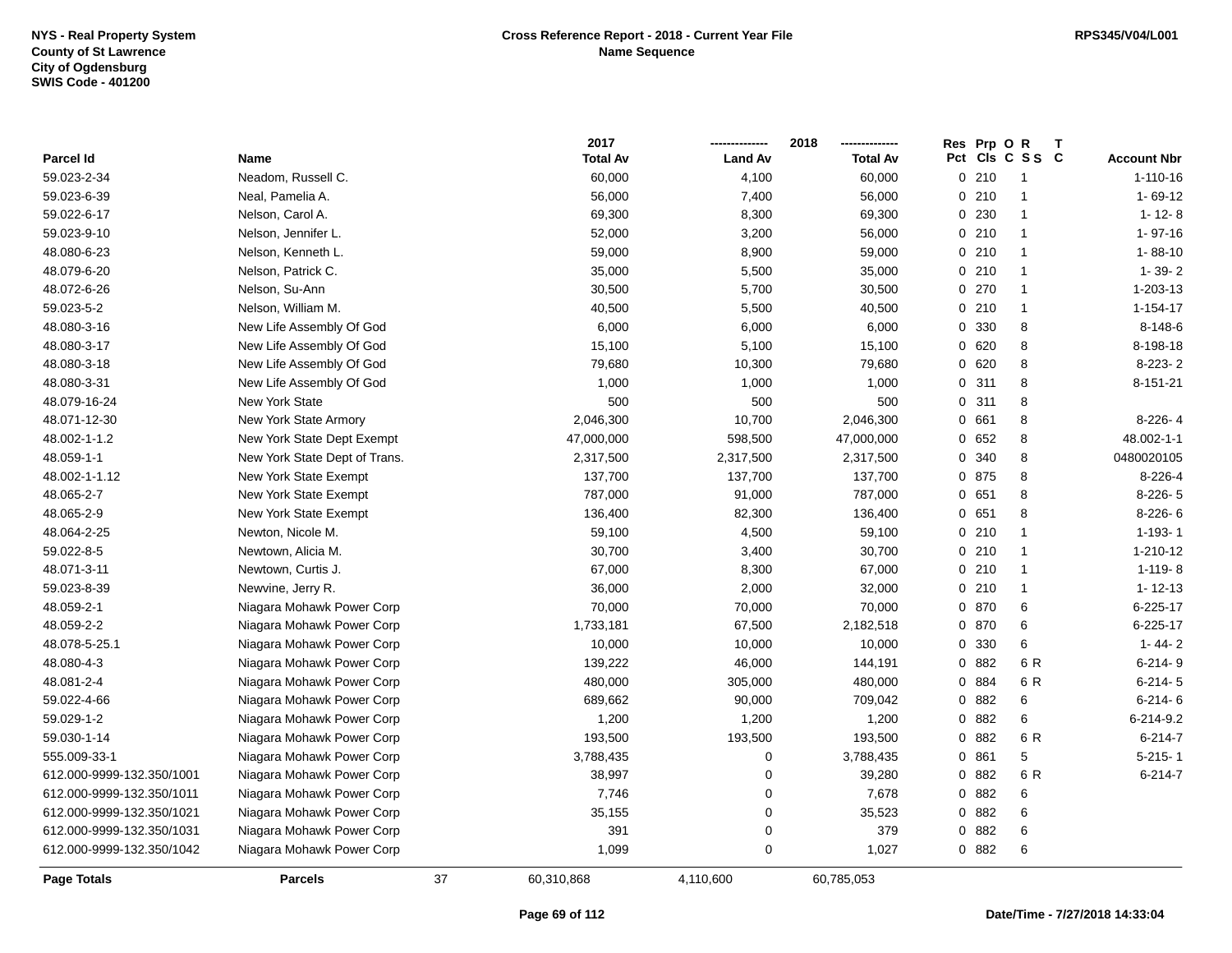|                           |                               |    | 2017            |                | 2018            | Res | Prp O | R               |                    |
|---------------------------|-------------------------------|----|-----------------|----------------|-----------------|-----|-------|-----------------|--------------------|
| Parcel Id                 | Name                          |    | <b>Total Av</b> | <b>Land Av</b> | <b>Total Av</b> |     |       | Pct Cls C S S C | <b>Account Nbr</b> |
| 59.023-2-34               | Neadom, Russell C.            |    | 60,000          | 4,100          | 60,000          |     | 0210  | -1              | $1 - 110 - 16$     |
| 59.023-6-39               | Neal, Pamelia A.              |    | 56,000          | 7,400          | 56,000          | 0   | 210   | $\mathbf{1}$    | $1 - 69 - 12$      |
| 59.022-6-17               | Nelson, Carol A.              |    | 69,300          | 8,300          | 69,300          |     | 0 230 | $\mathbf{1}$    | $1 - 12 - 8$       |
| 59.023-9-10               | Nelson, Jennifer L.           |    | 52,000          | 3,200          | 56,000          |     | 0210  | $\mathbf{1}$    | $1 - 97 - 16$      |
| 48.080-6-23               | Nelson, Kenneth L.            |    | 59,000          | 8,900          | 59,000          |     | 0210  | $\mathbf{1}$    | $1 - 88 - 10$      |
| 48.079-6-20               | Nelson, Patrick C.            |    | 35,000          | 5,500          | 35,000          |     | 0210  | $\mathbf{1}$    | $1 - 39 - 2$       |
| 48.072-6-26               | Nelson, Su-Ann                |    | 30,500          | 5,700          | 30,500          |     | 0270  | $\mathbf{1}$    | 1-203-13           |
| 59.023-5-2                | Nelson, William M.            |    | 40,500          | 5,500          | 40,500          |     | 0210  | 1               | $1 - 154 - 17$     |
| 48.080-3-16               | New Life Assembly Of God      |    | 6,000           | 6,000          | 6,000           | 0   | 330   | 8               | 8-148-6            |
| 48.080-3-17               | New Life Assembly Of God      |    | 15,100          | 5,100          | 15,100          | 0   | 620   | 8               | 8-198-18           |
| 48.080-3-18               | New Life Assembly Of God      |    | 79,680          | 10,300         | 79,680          |     | 0620  | 8               | $8-223-2$          |
| 48.080-3-31               | New Life Assembly Of God      |    | 1,000           | 1,000          | 1,000           |     | 0.311 | 8               | 8-151-21           |
| 48.079-16-24              | <b>New York State</b>         |    | 500             | 500            | 500             |     | 0.311 | 8               |                    |
| 48.071-12-30              | New York State Armory         |    | 2,046,300       | 10,700         | 2,046,300       | 0   | 661   | 8               | $8-226-4$          |
| 48.002-1-1.2              | New York State Dept Exempt    |    | 47,000,000      | 598,500        | 47,000,000      | 0   | 652   | 8               | 48.002-1-1         |
| 48.059-1-1                | New York State Dept of Trans. |    | 2,317,500       | 2,317,500      | 2,317,500       | 0   | 340   | 8               | 0480020105         |
| 48.002-1-1.12             | New York State Exempt         |    | 137,700         | 137,700        | 137,700         |     | 0 875 | 8               | $8-226-4$          |
| 48.065-2-7                | New York State Exempt         |    | 787,000         | 91,000         | 787,000         | 0   | 651   | 8               | $8-226-5$          |
| 48.065-2-9                | New York State Exempt         |    | 136,400         | 82,300         | 136,400         |     | 0651  | 8               | $8-226-6$          |
| 48.064-2-25               | Newton, Nicole M.             |    | 59,100          | 4,500          | 59,100          |     | 0.210 | $\mathbf{1}$    | $1 - 193 - 1$      |
| 59.022-8-5                | Newtown, Alicia M.            |    | 30,700          | 3,400          | 30,700          |     | 0210  | $\mathbf{1}$    | 1-210-12           |
| 48.071-3-11               | Newtown, Curtis J.            |    | 67,000          | 8,300          | 67,000          |     | 0210  | $\mathbf{1}$    | $1 - 119 - 8$      |
| 59.023-8-39               | Newvine, Jerry R.             |    | 36,000          | 2,000          | 32,000          |     | 0210  | $\mathbf{1}$    | $1 - 12 - 13$      |
| 48.059-2-1                | Niagara Mohawk Power Corp     |    | 70,000          | 70,000         | 70,000          |     | 0 870 | 6               | 6-225-17           |
| 48.059-2-2                | Niagara Mohawk Power Corp     |    | 1,733,181       | 67,500         | 2,182,518       |     | 0 870 | 6               | 6-225-17           |
| 48.078-5-25.1             | Niagara Mohawk Power Corp     |    | 10,000          | 10,000         | 10,000          |     | 0 330 | 6               | $1 - 44 - 2$       |
| 48.080-4-3                | Niagara Mohawk Power Corp     |    | 139,222         | 46,000         | 144,191         |     | 0 882 | 6 R             | $6 - 214 - 9$      |
| 48.081-2-4                | Niagara Mohawk Power Corp     |    | 480,000         | 305,000        | 480,000         |     | 0 884 | 6 R             | $6 - 214 - 5$      |
| 59.022-4-66               | Niagara Mohawk Power Corp     |    | 689,662         | 90,000         | 709,042         |     | 0 882 | 6               | $6 - 214 - 6$      |
| 59.029-1-2                | Niagara Mohawk Power Corp     |    | 1,200           | 1,200          | 1,200           |     | 0 882 | 6               | 6-214-9.2          |
| 59.030-1-14               | Niagara Mohawk Power Corp     |    | 193,500         | 193,500        | 193,500         |     | 0 882 | 6 R             | $6 - 214 - 7$      |
| 555.009-33-1              | Niagara Mohawk Power Corp     |    | 3,788,435       | 0              | 3,788,435       | 0   | 861   | 5               | $5 - 215 - 1$      |
| 612.000-9999-132.350/1001 | Niagara Mohawk Power Corp     |    | 38,997          | 0              | 39,280          |     | 0 882 | 6 R             | $6 - 214 - 7$      |
| 612.000-9999-132.350/1011 | Niagara Mohawk Power Corp     |    | 7,746           | 0              | 7,678           |     | 0 882 | 6               |                    |
| 612.000-9999-132.350/1021 | Niagara Mohawk Power Corp     |    | 35,155          | 0              | 35,523          |     | 0 882 | 6               |                    |
| 612.000-9999-132.350/1031 | Niagara Mohawk Power Corp     |    | 391             | 0              | 379             |     | 0 882 | 6               |                    |
| 612.000-9999-132.350/1042 | Niagara Mohawk Power Corp     |    | 1,099           | 0              | 1,027           |     | 0 882 | 6               |                    |
| Page Totals               | <b>Parcels</b>                | 37 | 60,310,868      | 4,110,600      | 60,785,053      |     |       |                 |                    |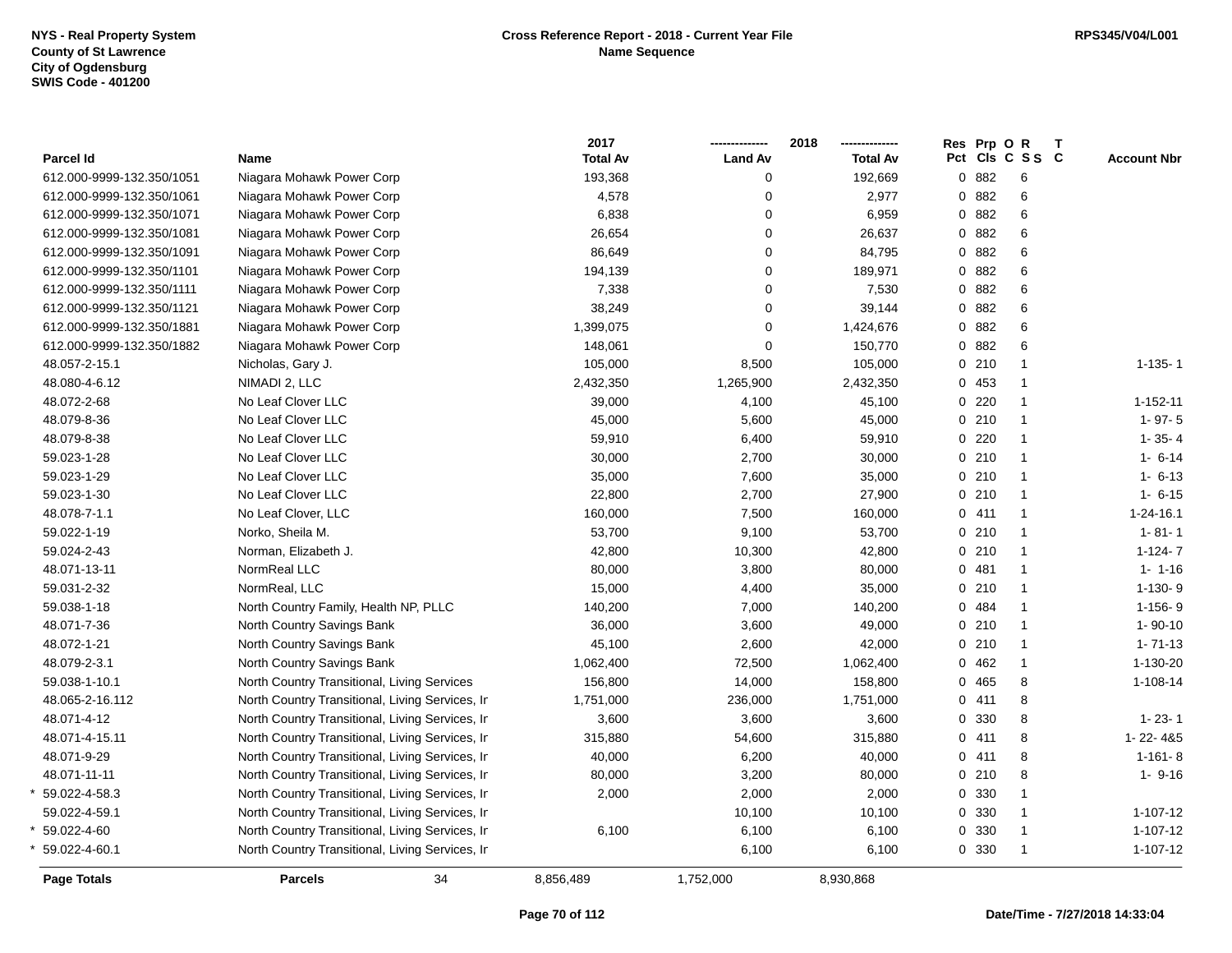|                           |                                                 | 2017            |                | 2018            | Res Prp O R |         |                 | $\mathbf{T}$ |                    |
|---------------------------|-------------------------------------------------|-----------------|----------------|-----------------|-------------|---------|-----------------|--------------|--------------------|
| Parcel Id                 | Name                                            | <b>Total Av</b> | <b>Land Av</b> | <b>Total Av</b> |             |         | Pct Cls C S S C |              | <b>Account Nbr</b> |
| 612.000-9999-132.350/1051 | Niagara Mohawk Power Corp                       | 193,368         | $\Omega$       | 192,669         |             | 0882    | 6               |              |                    |
| 612.000-9999-132.350/1061 | Niagara Mohawk Power Corp                       | 4,578           | $\mathbf 0$    | 2,977           |             | 0882    | 6               |              |                    |
| 612.000-9999-132.350/1071 | Niagara Mohawk Power Corp                       | 6,838           | $\mathbf 0$    | 6,959           |             | 0 882   | 6               |              |                    |
| 612.000-9999-132.350/1081 | Niagara Mohawk Power Corp                       | 26,654          | $\mathbf 0$    | 26,637          |             | 0 882   | 6               |              |                    |
| 612.000-9999-132.350/1091 | Niagara Mohawk Power Corp                       | 86,649          | 0              | 84,795          |             | 0882    | 6               |              |                    |
| 612.000-9999-132.350/1101 | Niagara Mohawk Power Corp                       | 194,139         | $\mathbf 0$    | 189,971         |             | 0 882   | 6               |              |                    |
| 612.000-9999-132.350/1111 | Niagara Mohawk Power Corp                       | 7,338           | $\mathbf 0$    | 7,530           |             | 0.882   | 6               |              |                    |
| 612.000-9999-132.350/1121 | Niagara Mohawk Power Corp                       | 38,249          | $\Omega$       | 39,144          |             | 0.882   | 6               |              |                    |
| 612.000-9999-132.350/1881 | Niagara Mohawk Power Corp                       | 1,399,075       | $\Omega$       | 1,424,676       |             | 0 882   | 6               |              |                    |
| 612.000-9999-132.350/1882 | Niagara Mohawk Power Corp                       | 148,061         | $\mathbf 0$    | 150,770         |             | 0 882   | 6               |              |                    |
| 48.057-2-15.1             | Nicholas, Gary J.                               | 105,000         | 8,500          | 105,000         |             | 0210    | $\overline{1}$  |              | $1 - 135 - 1$      |
| 48.080-4-6.12             | NIMADI 2, LLC                                   | 2,432,350       | 1,265,900      | 2,432,350       |             | 0.453   | $\overline{1}$  |              |                    |
| 48.072-2-68               | No Leaf Clover LLC                              | 39,000          | 4,100          | 45,100          |             | $0$ 220 | $\mathbf{1}$    |              | $1 - 152 - 11$     |
| 48.079-8-36               | No Leaf Clover LLC                              | 45,000          | 5,600          | 45,000          |             | 0210    | $\mathbf{1}$    |              | $1 - 97 - 5$       |
| 48.079-8-38               | No Leaf Clover LLC                              | 59,910          | 6,400          | 59,910          |             | 0220    | $\overline{1}$  |              | $1 - 35 - 4$       |
| 59.023-1-28               | No Leaf Clover LLC                              | 30,000          | 2,700          | 30,000          |             | 0210    | $\overline{1}$  |              | $1 - 6 - 14$       |
| 59.023-1-29               | No Leaf Clover LLC                              | 35,000          | 7,600          | 35,000          |             | 0210    | $\overline{1}$  |              | $1 - 6 - 13$       |
| 59.023-1-30               | No Leaf Clover LLC                              | 22,800          | 2,700          | 27,900          |             | 0210    | $\overline{1}$  |              | $1 - 6 - 15$       |
| 48.078-7-1.1              | No Leaf Clover, LLC                             | 160,000         | 7,500          | 160,000         |             | 0411    | $\overline{1}$  |              | $1 - 24 - 16.1$    |
| 59.022-1-19               | Norko, Sheila M.                                | 53,700          | 9,100          | 53,700          |             | 0210    | $\overline{1}$  |              | $1 - 81 - 1$       |
| 59.024-2-43               | Norman, Elizabeth J.                            | 42,800          | 10,300         | 42,800          |             | $0$ 210 | $\overline{1}$  |              | $1 - 124 - 7$      |
| 48.071-13-11              | NormReal LLC                                    | 80,000          | 3,800          | 80,000          |             | 0481    | $\mathbf{1}$    |              | $1 - 1 - 16$       |
| 59.031-2-32               | NormReal, LLC                                   | 15,000          | 4,400          | 35,000          |             | 0210    | $\overline{1}$  |              | $1-130-9$          |
| 59.038-1-18               | North Country Family, Health NP, PLLC           | 140,200         | 7,000          | 140,200         |             | 0 484   | $\overline{1}$  |              | $1 - 156 - 9$      |
| 48.071-7-36               | North Country Savings Bank                      | 36,000          | 3,600          | 49,000          |             | 0210    | $\overline{1}$  |              | $1 - 90 - 10$      |
| 48.072-1-21               | North Country Savings Bank                      | 45,100          | 2,600          | 42,000          |             | 0210    | $\mathbf{1}$    |              | $1 - 71 - 13$      |
| 48.079-2-3.1              | North Country Savings Bank                      | 1,062,400       | 72,500         | 1,062,400       |             | 0462    | $\overline{1}$  |              | 1-130-20           |
| 59.038-1-10.1             | North Country Transitional, Living Services     | 156,800         | 14,000         | 158,800         |             | 0 465   | 8               |              | $1 - 108 - 14$     |
| 48.065-2-16.112           | North Country Transitional, Living Services, Ir | 1,751,000       | 236,000        | 1,751,000       |             | 0411    | 8               |              |                    |
| 48.071-4-12               | North Country Transitional, Living Services, Ir | 3,600           | 3,600          | 3,600           |             | 0 330   | 8               |              | $1 - 23 - 1$       |
| 48.071-4-15.11            | North Country Transitional, Living Services, Ir | 315,880         | 54,600         | 315,880         |             | 0411    | 8               |              | 1-22-4&5           |
| 48.071-9-29               | North Country Transitional, Living Services, Ir | 40,000          | 6,200          | 40,000          |             | 0411    | 8               |              | $1 - 161 - 8$      |
| 48.071-11-11              | North Country Transitional, Living Services, Ir | 80,000          | 3,200          | 80,000          |             | 0210    | 8               |              | $1 - 9 - 16$       |
| 59.022-4-58.3             | North Country Transitional, Living Services, Ir | 2,000           | 2,000          | 2,000           |             | 0 330   | $\overline{1}$  |              |                    |
| 59.022-4-59.1             | North Country Transitional, Living Services, Ir |                 | 10,100         | 10,100          |             | 0 330   | $\overline{1}$  |              | $1 - 107 - 12$     |
| 59.022-4-60               | North Country Transitional, Living Services, Ir | 6,100           | 6,100          | 6,100           |             | 0 330   | $\overline{1}$  |              | 1-107-12           |
| 59.022-4-60.1             | North Country Transitional, Living Services, Ir |                 | 6,100          | 6,100           |             | 0 330   | $\overline{1}$  |              | 1-107-12           |
| <b>Page Totals</b>        | 34<br><b>Parcels</b>                            | 8,856,489       | 1,752,000      | 8,930,868       |             |         |                 |              |                    |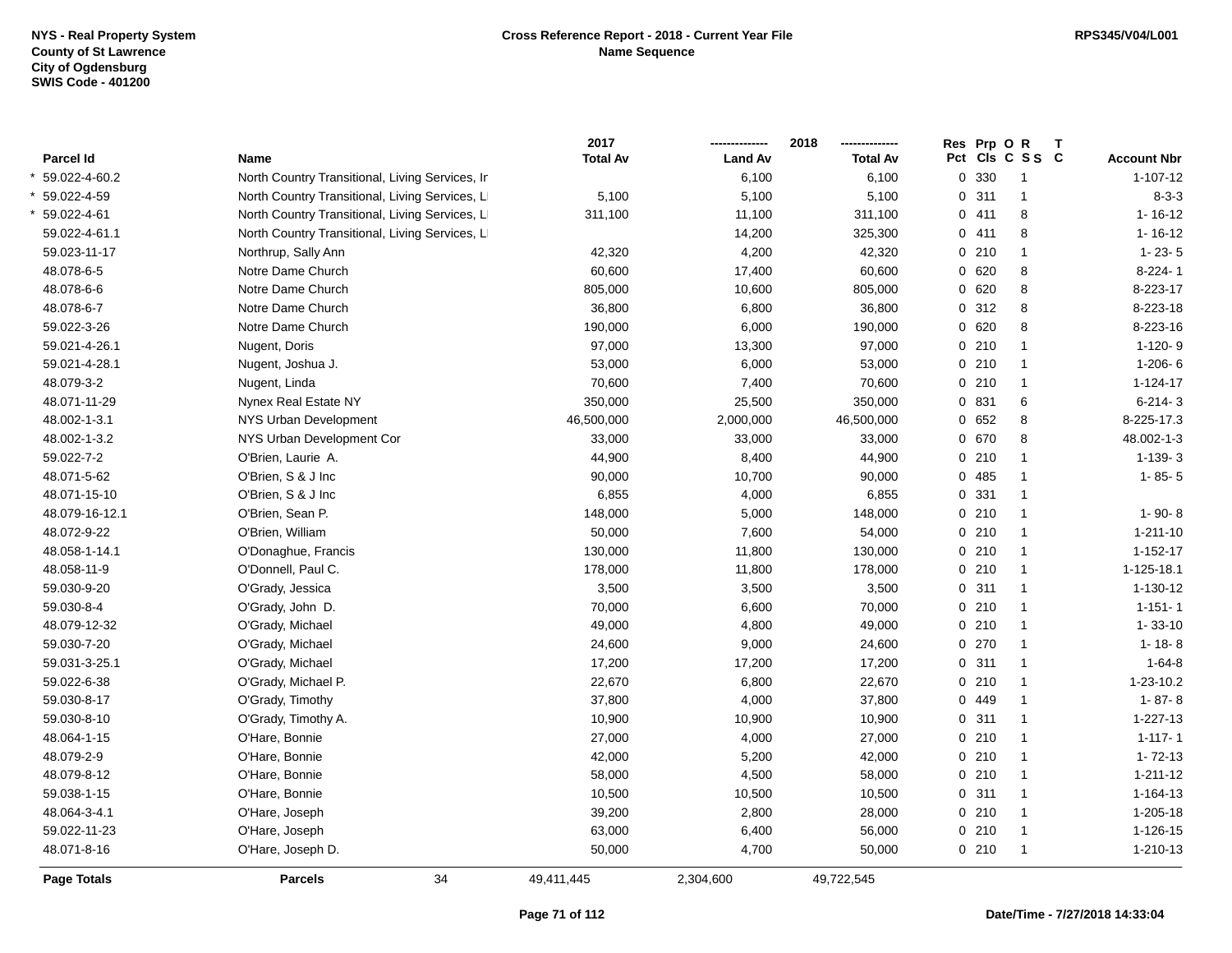|                    |                                                 | 2017            |                | 2018            | Res Prp O R |                 | Т |                    |
|--------------------|-------------------------------------------------|-----------------|----------------|-----------------|-------------|-----------------|---|--------------------|
| <b>Parcel Id</b>   | Name                                            | <b>Total Av</b> | <b>Land Av</b> | <b>Total Av</b> |             | Pct Cls C S S C |   | <b>Account Nbr</b> |
| 59.022-4-60.2      | North Country Transitional, Living Services, Ir |                 | 6,100          | 6,100           | 0 330       | $\mathbf{1}$    |   | $1 - 107 - 12$     |
| 59.022-4-59        | North Country Transitional, Living Services, L  | 5,100           | 5,100          | 5,100           | 0.311       | $\mathbf{1}$    |   | $8 - 3 - 3$        |
| 59.022-4-61        | North Country Transitional, Living Services, L  | 311,100         | 11,100         | 311,100         | 0411        | 8               |   | $1 - 16 - 12$      |
| 59.022-4-61.1      | North Country Transitional, Living Services, L  |                 | 14,200         | 325,300         | 0411        | 8               |   | $1 - 16 - 12$      |
| 59.023-11-17       | Northrup, Sally Ann                             | 42,320          | 4,200          | 42,320          | 0210        | $\mathbf{1}$    |   | $1 - 23 - 5$       |
| 48.078-6-5         | Notre Dame Church                               | 60,600          | 17,400         | 60,600          | 0 620       | 8               |   | $8-224-1$          |
| 48.078-6-6         | Notre Dame Church                               | 805,000         | 10,600         | 805,000         | 0620        | 8               |   | 8-223-17           |
| 48.078-6-7         | Notre Dame Church                               | 36,800          | 6,800          | 36,800          | 0 312       | 8               |   | 8-223-18           |
| 59.022-3-26        | Notre Dame Church                               | 190,000         | 6,000          | 190,000         | 0 620       | 8               |   | 8-223-16           |
| 59.021-4-26.1      | Nugent, Doris                                   | 97,000          | 13,300         | 97,000          | 0210        | $\mathbf{1}$    |   | $1-120-9$          |
| 59.021-4-28.1      | Nugent, Joshua J.                               | 53,000          | 6,000          | 53,000          | 0210        | $\mathbf{1}$    |   | $1 - 206 - 6$      |
| 48.079-3-2         | Nugent, Linda                                   | 70,600          | 7,400          | 70,600          | 0210        | $\mathbf{1}$    |   | $1 - 124 - 17$     |
| 48.071-11-29       | Nynex Real Estate NY                            | 350,000         | 25,500         | 350,000         | 0 831       | 6               |   | $6 - 214 - 3$      |
| 48.002-1-3.1       | NYS Urban Development                           | 46,500,000      | 2,000,000      | 46,500,000      | 0 652       | 8               |   | 8-225-17.3         |
| 48.002-1-3.2       | NYS Urban Development Cor                       | 33,000          | 33,000         | 33,000          | 0 670       | 8               |   | 48.002-1-3         |
| 59.022-7-2         | O'Brien, Laurie A.                              | 44,900          | 8,400          | 44,900          | 0210        | $\mathbf{1}$    |   | $1 - 139 - 3$      |
| 48.071-5-62        | O'Brien, S & J Inc                              | 90,000          | 10,700         | 90,000          | 0.485       | $\mathbf{1}$    |   | $1 - 85 - 5$       |
| 48.071-15-10       | O'Brien, S & J Inc                              | 6,855           | 4,000          | 6,855           | 0 331       | $\mathbf{1}$    |   |                    |
| 48.079-16-12.1     | O'Brien, Sean P.                                | 148,000         | 5,000          | 148,000         | 0210        | $\mathbf{1}$    |   | $1 - 90 - 8$       |
| 48.072-9-22        | O'Brien, William                                | 50,000          | 7,600          | 54,000          | 0210        | $\mathbf{1}$    |   | $1 - 211 - 10$     |
| 48.058-1-14.1      | O'Donaghue, Francis                             | 130,000         | 11,800         | 130,000         | 0210        | $\mathbf{1}$    |   | 1-152-17           |
| 48.058-11-9        | O'Donnell, Paul C.                              | 178,000         | 11,800         | 178,000         | 0210        | $\mathbf{1}$    |   | 1-125-18.1         |
| 59.030-9-20        | O'Grady, Jessica                                | 3,500           | 3,500          | 3,500           | 0.311       | $\mathbf{1}$    |   | 1-130-12           |
| 59.030-8-4         | O'Grady, John D.                                | 70,000          | 6,600          | 70,000          | 0210        | $\mathbf{1}$    |   | $1 - 151 - 1$      |
| 48.079-12-32       | O'Grady, Michael                                | 49,000          | 4,800          | 49,000          | 0210        | $\mathbf{1}$    |   | $1 - 33 - 10$      |
| 59.030-7-20        | O'Grady, Michael                                | 24,600          | 9,000          | 24,600          | 0270        | $\mathbf{1}$    |   | $1 - 18 - 8$       |
| 59.031-3-25.1      | O'Grady, Michael                                | 17,200          | 17,200         | 17,200          | 0.311       | $\mathbf{1}$    |   | $1 - 64 - 8$       |
| 59.022-6-38        | O'Grady, Michael P.                             | 22,670          | 6,800          | 22,670          | 0210        | $\mathbf{1}$    |   | 1-23-10.2          |
| 59.030-8-17        | O'Grady, Timothy                                | 37,800          | 4,000          | 37,800          | 0 449       | $\mathbf{1}$    |   | $1 - 87 - 8$       |
| 59.030-8-10        | O'Grady, Timothy A.                             | 10,900          | 10,900         | 10,900          | 0.311       | $\overline{1}$  |   | $1 - 227 - 13$     |
| 48.064-1-15        | O'Hare, Bonnie                                  | 27,000          | 4,000          | 27,000          | 0210        | $\mathbf{1}$    |   | $1 - 117 - 1$      |
| 48.079-2-9         | O'Hare, Bonnie                                  | 42,000          | 5,200          | 42,000          | 0210        | $\mathbf{1}$    |   | $1 - 72 - 13$      |
| 48.079-8-12        | O'Hare, Bonnie                                  | 58,000          | 4,500          | 58,000          | 0210        | $\mathbf{1}$    |   | $1 - 211 - 12$     |
| 59.038-1-15        | O'Hare, Bonnie                                  | 10,500          | 10,500         | 10,500          | 0.311       | $\mathbf{1}$    |   | 1-164-13           |
| 48.064-3-4.1       | O'Hare, Joseph                                  | 39,200          | 2,800          | 28,000          | 0210        | $\mathbf{1}$    |   | 1-205-18           |
| 59.022-11-23       | O'Hare, Joseph                                  | 63,000          | 6,400          | 56,000          | 0210        | $\overline{1}$  |   | 1-126-15           |
| 48.071-8-16        | O'Hare, Joseph D.                               | 50,000          | 4,700          | 50,000          | 0210        | $\overline{1}$  |   | 1-210-13           |
| <b>Page Totals</b> | 34<br><b>Parcels</b>                            | 49,411,445      | 2,304,600      | 49,722,545      |             |                 |   |                    |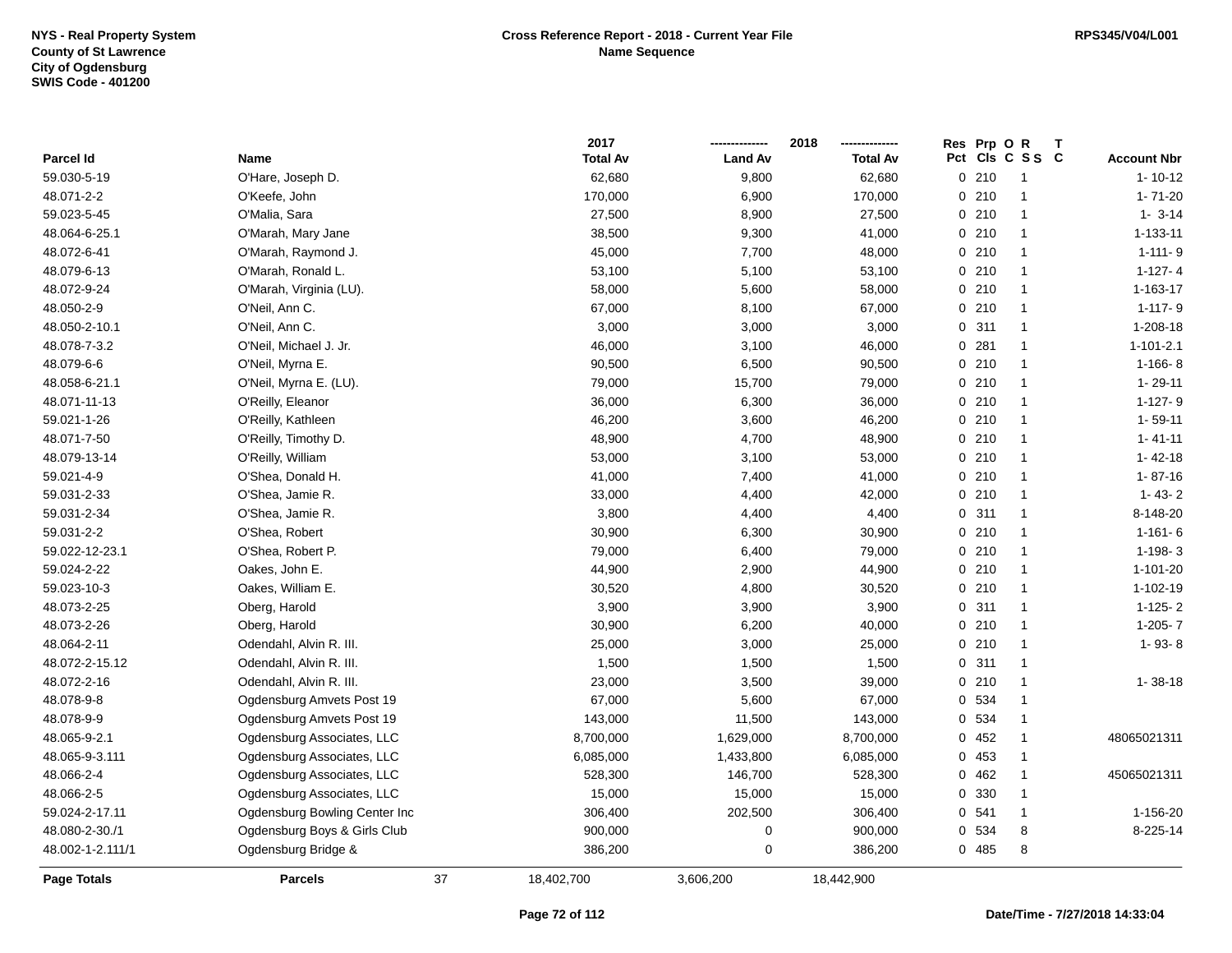|                  |                               |    | 2017            |                | 2018            | Res Prp O R | т               |                    |
|------------------|-------------------------------|----|-----------------|----------------|-----------------|-------------|-----------------|--------------------|
| Parcel Id        | Name                          |    | <b>Total Av</b> | <b>Land Av</b> | <b>Total Av</b> |             | Pct Cls C S S C | <b>Account Nbr</b> |
| 59.030-5-19      | O'Hare, Joseph D.             |    | 62,680          | 9,800          | 62,680          | 0210        | $\overline{1}$  | $1 - 10 - 12$      |
| 48.071-2-2       | O'Keefe, John                 |    | 170,000         | 6,900          | 170,000         | 0210        | $\overline{1}$  | $1 - 71 - 20$      |
| 59.023-5-45      | O'Malia, Sara                 |    | 27,500          | 8,900          | 27,500          | 0210        | $\overline{1}$  | $1 - 3 - 14$       |
| 48.064-6-25.1    | O'Marah, Mary Jane            |    | 38,500          | 9,300          | 41,000          | 0210        | $\mathbf{1}$    | 1-133-11           |
| 48.072-6-41      | O'Marah, Raymond J.           |    | 45,000          | 7,700          | 48,000          | 0210        | $\mathbf 1$     | $1 - 111 - 9$      |
| 48.079-6-13      | O'Marah, Ronald L.            |    | 53,100          | 5,100          | 53,100          | 0210        | $\mathbf 1$     | $1-127-4$          |
| 48.072-9-24      | O'Marah, Virginia (LU).       |    | 58,000          | 5,600          | 58,000          | 0210        | $\overline{1}$  | 1-163-17           |
| 48.050-2-9       | O'Neil, Ann C.                |    | 67,000          | 8,100          | 67,000          | 0210        | $\overline{1}$  | $1 - 117 - 9$      |
| 48.050-2-10.1    | O'Neil, Ann C.                |    | 3,000           | 3,000          | 3,000           | 0.311       | $\overline{1}$  | 1-208-18           |
| 48.078-7-3.2     | O'Neil, Michael J. Jr.        |    | 46,000          | 3,100          | 46,000          | 0.281       | $\mathbf{1}$    | $1 - 101 - 2.1$    |
| 48.079-6-6       | O'Neil, Myrna E.              |    | 90,500          | 6,500          | 90,500          | 0210        | $\mathbf 1$     | $1-166-8$          |
| 48.058-6-21.1    | O'Neil, Myrna E. (LU).        |    | 79,000          | 15,700         | 79,000          | 0210        | $\mathbf 1$     | $1 - 29 - 11$      |
| 48.071-11-13     | O'Reilly, Eleanor             |    | 36,000          | 6,300          | 36,000          | 0210        | $\mathbf 1$     | $1-127-9$          |
| 59.021-1-26      | O'Reilly, Kathleen            |    | 46,200          | 3,600          | 46,200          | 0210        | $\mathbf 1$     | $1 - 59 - 11$      |
| 48.071-7-50      | O'Reilly, Timothy D.          |    | 48,900          | 4,700          | 48,900          | 0210        | $\mathbf{1}$    | $1 - 41 - 11$      |
| 48.079-13-14     | O'Reilly, William             |    | 53,000          | 3,100          | 53,000          | 0210        | $\overline{1}$  | $1 - 42 - 18$      |
| 59.021-4-9       | O'Shea, Donald H.             |    | 41,000          | 7,400          | 41,000          | 0210        | $\overline{1}$  | $1 - 87 - 16$      |
| 59.031-2-33      | O'Shea, Jamie R.              |    | 33,000          | 4,400          | 42,000          | 0210        | $\overline{1}$  | $1 - 43 - 2$       |
| 59.031-2-34      | O'Shea, Jamie R.              |    | 3,800           | 4,400          | 4,400           | 0 311       | 1               | 8-148-20           |
| 59.031-2-2       | O'Shea, Robert                |    | 30,900          | 6,300          | 30,900          | 0210        | $\mathbf 1$     | $1 - 161 - 6$      |
| 59.022-12-23.1   | O'Shea, Robert P.             |    | 79,000          | 6,400          | 79,000          | 0210        | $\mathbf 1$     | $1-198-3$          |
| 59.024-2-22      | Oakes, John E.                |    | 44,900          | 2,900          | 44,900          | 0210        | $\overline{1}$  | 1-101-20           |
| 59.023-10-3      | Oakes, William E.             |    | 30,520          | 4,800          | 30,520          | 0210        | $\overline{1}$  | 1-102-19           |
| 48.073-2-25      | Oberg, Harold                 |    | 3,900           | 3,900          | 3,900           | 0.311       | $\overline{1}$  | $1-125-2$          |
| 48.073-2-26      | Oberg, Harold                 |    | 30,900          | 6,200          | 40,000          | 0210        | $\mathbf{1}$    | $1-205-7$          |
| 48.064-2-11      | Odendahl, Alvin R. III.       |    | 25,000          | 3,000          | 25,000          | 0210        | $\mathbf 1$     | $1 - 93 - 8$       |
| 48.072-2-15.12   | Odendahl, Alvin R. III.       |    | 1,500           | 1,500          | 1,500           | 0.311       | $\mathbf{1}$    |                    |
| 48.072-2-16      | Odendahl, Alvin R. III.       |    | 23,000          | 3,500          | 39,000          | 0210        | 1               | $1 - 38 - 18$      |
| 48.078-9-8       | Ogdensburg Amvets Post 19     |    | 67,000          | 5,600          | 67,000          | 0 534       | $\mathbf 1$     |                    |
| 48.078-9-9       | Ogdensburg Amvets Post 19     |    | 143,000         | 11,500         | 143,000         | 0 534       | $\mathbf 1$     |                    |
| 48.065-9-2.1     | Ogdensburg Associates, LLC    |    | 8,700,000       | 1,629,000      | 8,700,000       | 0452        | $\overline{1}$  | 48065021311        |
| 48.065-9-3.111   | Ogdensburg Associates, LLC    |    | 6,085,000       | 1,433,800      | 6,085,000       | 0 453       | $\overline{1}$  |                    |
| 48.066-2-4       | Ogdensburg Associates, LLC    |    | 528,300         | 146,700        | 528,300         | 0462        | $\mathbf{1}$    | 45065021311        |
| 48.066-2-5       | Ogdensburg Associates, LLC    |    | 15,000          | 15,000         | 15,000          | 0 330       | $\overline{1}$  |                    |
| 59.024-2-17.11   | Ogdensburg Bowling Center Inc |    | 306,400         | 202,500        | 306,400         | 0.541       | $\mathbf{1}$    | 1-156-20           |
| 48.080-2-30./1   | Ogdensburg Boys & Girls Club  |    | 900,000         | 0              | 900,000         | 0 534       | 8               | 8-225-14           |
| 48.002-1-2.111/1 | Ogdensburg Bridge &           |    | 386,200         | 0              | 386,200         | 0485        | 8               |                    |
| Page Totals      | <b>Parcels</b>                | 37 | 18,402,700      | 3,606,200      | 18,442,900      |             |                 |                    |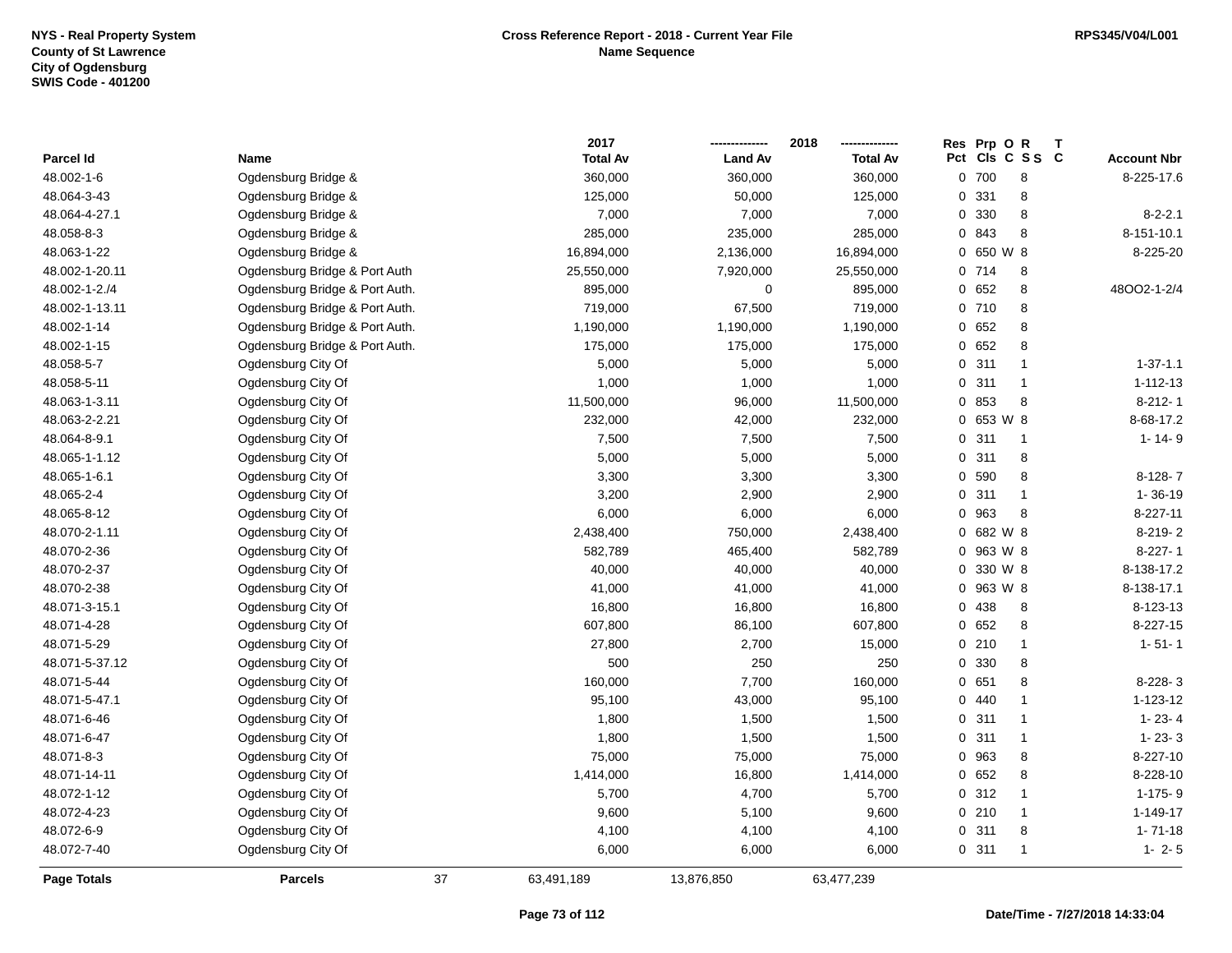|                |                                |    | 2017            |                | 2018            |     | Res Prp O R |                | Т |                    |
|----------------|--------------------------------|----|-----------------|----------------|-----------------|-----|-------------|----------------|---|--------------------|
| Parcel Id      | Name                           |    | <b>Total Av</b> | <b>Land Av</b> | <b>Total Av</b> | Pct |             | CIs C S S C    |   | <b>Account Nbr</b> |
| 48.002-1-6     | Ogdensburg Bridge &            |    | 360,000         | 360,000        | 360,000         |     | 0 700       | 8              |   | 8-225-17.6         |
| 48.064-3-43    | Ogdensburg Bridge &            |    | 125,000         | 50,000         | 125,000         |     | 0 331       | $\bf 8$        |   |                    |
| 48.064-4-27.1  | Ogdensburg Bridge &            |    | 7,000           | 7,000          | 7,000           |     | 0 330       | 8              |   | $8 - 2 - 2.1$      |
| 48.058-8-3     | Ogdensburg Bridge &            |    | 285,000         | 235,000        | 285,000         |     | 0 843       | 8              |   | 8-151-10.1         |
| 48.063-1-22    | Ogdensburg Bridge &            |    | 16,894,000      | 2,136,000      | 16,894,000      |     | 0 650 W 8   |                |   | 8-225-20           |
| 48.002-1-20.11 | Ogdensburg Bridge & Port Auth  |    | 25,550,000      | 7,920,000      | 25,550,000      |     | 0714        | 8              |   |                    |
| 48.002-1-2./4  | Ogdensburg Bridge & Port Auth. |    | 895,000         | 0              | 895,000         |     | 0652        | 8              |   | 48002-1-2/4        |
| 48.002-1-13.11 | Ogdensburg Bridge & Port Auth. |    | 719,000         | 67,500         | 719,000         |     | 0710        | $\bf 8$        |   |                    |
| 48.002-1-14    | Ogdensburg Bridge & Port Auth. |    | 1,190,000       | 1,190,000      | 1,190,000       |     | 0 652       | 8              |   |                    |
| 48.002-1-15    | Ogdensburg Bridge & Port Auth. |    | 175,000         | 175,000        | 175,000         |     | 0 652       | 8              |   |                    |
| 48.058-5-7     | Ogdensburg City Of             |    | 5,000           | 5,000          | 5,000           |     | 0.311       | $\mathbf{1}$   |   | $1 - 37 - 1.1$     |
| 48.058-5-11    | Ogdensburg City Of             |    | 1,000           | 1,000          | 1,000           |     | 0.311       | $\mathbf{1}$   |   | $1 - 112 - 13$     |
| 48.063-1-3.11  | Ogdensburg City Of             |    | 11,500,000      | 96,000         | 11,500,000      |     | 0 853       | 8              |   | $8-212-1$          |
| 48.063-2-2.21  | Ogdensburg City Of             |    | 232,000         | 42,000         | 232,000         |     | 0 653 W 8   |                |   | 8-68-17.2          |
| 48.064-8-9.1   | Ogdensburg City Of             |    | 7,500           | 7,500          | 7,500           |     | 0.311       | $\overline{1}$ |   | $1 - 14 - 9$       |
| 48.065-1-1.12  | Ogdensburg City Of             |    | 5,000           | 5,000          | 5,000           |     | 0.311       | 8              |   |                    |
| 48.065-1-6.1   | Ogdensburg City Of             |    | 3,300           | 3,300          | 3,300           |     | 0 590       | 8              |   | $8-128-7$          |
| 48.065-2-4     | Ogdensburg City Of             |    | 3,200           | 2,900          | 2,900           |     | 0.311       | $\mathbf{1}$   |   | $1 - 36 - 19$      |
| 48.065-8-12    | Ogdensburg City Of             |    | 6,000           | 6,000          | 6,000           |     | 0 963       | 8              |   | 8-227-11           |
| 48.070-2-1.11  | Ogdensburg City Of             |    | 2,438,400       | 750,000        | 2,438,400       |     | 0 682 W 8   |                |   | 8-219-2            |
| 48.070-2-36    | Ogdensburg City Of             |    | 582,789         | 465,400        | 582,789         |     | 0 963 W 8   |                |   | $8-227-1$          |
| 48.070-2-37    | Ogdensburg City Of             |    | 40,000          | 40,000         | 40,000          |     | 0 330 W 8   |                |   | 8-138-17.2         |
| 48.070-2-38    | Ogdensburg City Of             |    | 41,000          | 41,000         | 41,000          |     | 0 963 W 8   |                |   | 8-138-17.1         |
| 48.071-3-15.1  | Ogdensburg City Of             |    | 16,800          | 16,800         | 16,800          |     | 0 438       | 8              |   | 8-123-13           |
| 48.071-4-28    | Ogdensburg City Of             |    | 607,800         | 86,100         | 607,800         |     | 0.652       | 8              |   | 8-227-15           |
| 48.071-5-29    | Ogdensburg City Of             |    | 27,800          | 2,700          | 15,000          |     | 0210        | $\mathbf{1}$   |   | $1 - 51 - 1$       |
| 48.071-5-37.12 | Ogdensburg City Of             |    | 500             | 250            | 250             |     | 0 330       | 8              |   |                    |
| 48.071-5-44    | Ogdensburg City Of             |    | 160,000         | 7,700          | 160,000         |     | 0651        | 8              |   | 8-228-3            |
| 48.071-5-47.1  | Ogdensburg City Of             |    | 95,100          | 43,000         | 95,100          |     | 0440        | $\mathbf{1}$   |   | 1-123-12           |
| 48.071-6-46    | Ogdensburg City Of             |    | 1,800           | 1,500          | 1,500           |     | 0.311       | $\mathbf{1}$   |   | $1 - 23 - 4$       |
| 48.071-6-47    | Ogdensburg City Of             |    | 1,800           | 1,500          | 1,500           |     | 0.311       | $\mathbf{1}$   |   | $1 - 23 - 3$       |
| 48.071-8-3     | Ogdensburg City Of             |    | 75,000          | 75,000         | 75,000          |     | 0 963       | $\bf 8$        |   | 8-227-10           |
| 48.071-14-11   | Ogdensburg City Of             |    | 1,414,000       | 16,800         | 1,414,000       |     | 0 652       | 8              |   | 8-228-10           |
| 48.072-1-12    | Ogdensburg City Of             |    | 5,700           | 4,700          | 5,700           |     | 0.312       | $\mathbf{1}$   |   | 1-175-9            |
| 48.072-4-23    | Ogdensburg City Of             |    | 9,600           | 5,100          | 9,600           |     | 0210        | $\mathbf{1}$   |   | 1-149-17           |
| 48.072-6-9     | Ogdensburg City Of             |    | 4,100           | 4,100          | 4,100           |     | 0.311       | $\bf 8$        |   | $1 - 71 - 18$      |
| 48.072-7-40    | Ogdensburg City Of             |    | 6,000           | 6,000          | 6,000           |     | 0.311       | $\mathbf{1}$   |   | $1 - 2 - 5$        |
| Page Totals    | <b>Parcels</b>                 | 37 | 63,491,189      | 13,876,850     | 63,477,239      |     |             |                |   |                    |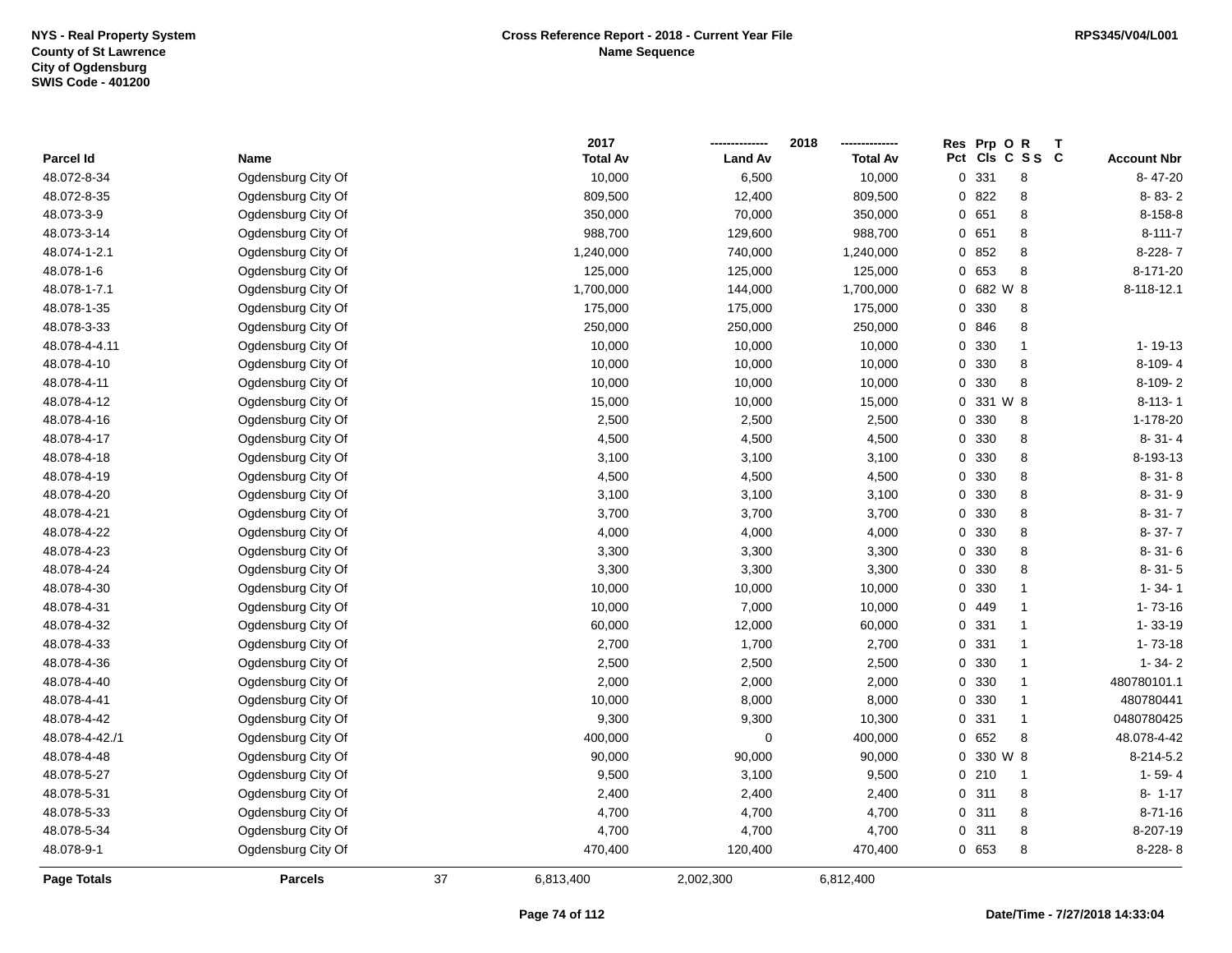|                |                    |    | 2017            |                | 2018            | Res Prp O R |                 | Т |                    |
|----------------|--------------------|----|-----------------|----------------|-----------------|-------------|-----------------|---|--------------------|
| Parcel Id      | Name               |    | <b>Total Av</b> | <b>Land Av</b> | <b>Total Av</b> |             | Pct Cls C S S C |   | <b>Account Nbr</b> |
| 48.072-8-34    | Ogdensburg City Of |    | 10,000          | 6,500          | 10,000          | 0 331       | 8               |   | 8-47-20            |
| 48.072-8-35    | Ogdensburg City Of |    | 809,500         | 12,400         | 809,500         | 0 822       | $\bf 8$         |   | 8-83-2             |
| 48.073-3-9     | Ogdensburg City Of |    | 350,000         | 70,000         | 350,000         | 0 651       | 8               |   | 8-158-8            |
| 48.073-3-14    | Ogdensburg City Of |    | 988,700         | 129,600        | 988,700         | 0 651       | $\bf 8$         |   | $8 - 111 - 7$      |
| 48.074-1-2.1   | Ogdensburg City Of |    | 1,240,000       | 740,000        | 1,240,000       | 0 852       | 8               |   | $8-228-7$          |
| 48.078-1-6     | Ogdensburg City Of |    | 125,000         | 125,000        | 125,000         | 0 653       | 8               |   | 8-171-20           |
| 48.078-1-7.1   | Ogdensburg City Of |    | 1,700,000       | 144,000        | 1,700,000       | 0 682 W 8   |                 |   | 8-118-12.1         |
| 48.078-1-35    | Ogdensburg City Of |    | 175,000         | 175,000        | 175,000         | 0 330       | 8               |   |                    |
| 48.078-3-33    | Ogdensburg City Of |    | 250,000         | 250,000        | 250,000         | 0 846       | 8               |   |                    |
| 48.078-4-4.11  | Ogdensburg City Of |    | 10,000          | 10,000         | 10,000          | 0 330       | $\mathbf{1}$    |   | $1 - 19 - 13$      |
| 48.078-4-10    | Ogdensburg City Of |    | 10,000          | 10,000         | 10,000          | 0 330       | $\bf 8$         |   | 8-109-4            |
| 48.078-4-11    | Ogdensburg City Of |    | 10,000          | 10,000         | 10,000          | 0 330       | 8               |   | 8-109-2            |
| 48.078-4-12    | Ogdensburg City Of |    | 15,000          | 10,000         | 15,000          | 0 331 W 8   |                 |   | $8 - 113 - 1$      |
| 48.078-4-16    | Ogdensburg City Of |    | 2,500           | 2,500          | 2,500           | 0 330       | $\bf 8$         |   | 1-178-20           |
| 48.078-4-17    | Ogdensburg City Of |    | 4,500           | 4,500          | 4,500           | 0 330       | 8               |   | $8 - 31 - 4$       |
| 48.078-4-18    | Ogdensburg City Of |    | 3,100           | 3,100          | 3,100           | 0 330       | 8               |   | 8-193-13           |
| 48.078-4-19    | Ogdensburg City Of |    | 4,500           | 4,500          | 4,500           | 0 330       | $\bf 8$         |   | $8 - 31 - 8$       |
| 48.078-4-20    | Ogdensburg City Of |    | 3,100           | 3,100          | 3,100           | 0 330       | 8               |   | 8-31-9             |
| 48.078-4-21    | Ogdensburg City Of |    | 3,700           | 3,700          | 3,700           | 0 330       | 8               |   | $8 - 31 - 7$       |
| 48.078-4-22    | Ogdensburg City Of |    | 4,000           | 4,000          | 4,000           | 0 330       | 8               |   | $8 - 37 - 7$       |
| 48.078-4-23    | Ogdensburg City Of |    | 3,300           | 3,300          | 3,300           | 0 330       | 8               |   | $8 - 31 - 6$       |
| 48.078-4-24    | Ogdensburg City Of |    | 3,300           | 3,300          | 3,300           | 0 330       | $\bf 8$         |   | $8 - 31 - 5$       |
| 48.078-4-30    | Ogdensburg City Of |    | 10,000          | 10,000         | 10,000          | 0 330       | $\mathbf{1}$    |   | $1 - 34 - 1$       |
| 48.078-4-31    | Ogdensburg City Of |    | 10,000          | 7,000          | 10,000          | 0 449       | $\mathbf{1}$    |   | $1 - 73 - 16$      |
| 48.078-4-32    | Ogdensburg City Of |    | 60,000          | 12,000         | 60,000          | 0 331       | $\mathbf{1}$    |   | $1 - 33 - 19$      |
| 48.078-4-33    | Ogdensburg City Of |    | 2,700           | 1,700          | 2,700           | 0 331       | $\mathbf{1}$    |   | $1 - 73 - 18$      |
| 48.078-4-36    | Ogdensburg City Of |    | 2,500           | 2,500          | 2,500           | 0 330       | 1               |   | $1 - 34 - 2$       |
| 48.078-4-40    | Ogdensburg City Of |    | 2,000           | 2,000          | 2,000           | 0 330       | $\mathbf{1}$    |   | 480780101.1        |
| 48.078-4-41    | Ogdensburg City Of |    | 10,000          | 8,000          | 8,000           | 0 330       | $\mathbf{1}$    |   | 480780441          |
| 48.078-4-42    | Ogdensburg City Of |    | 9,300           | 9,300          | 10,300          | 0 331       | $\mathbf{1}$    |   | 0480780425         |
| 48.078-4-42./1 | Ogdensburg City Of |    | 400,000         | $\mathbf 0$    | 400,000         | 0652        | 8               |   | 48.078-4-42        |
| 48.078-4-48    | Ogdensburg City Of |    | 90,000          | 90,000         | 90,000          | 0 330 W 8   |                 |   | 8-214-5.2          |
| 48.078-5-27    | Ogdensburg City Of |    | 9,500           | 3,100          | 9,500           | 0210        | $\mathbf{1}$    |   | $1 - 59 - 4$       |
| 48.078-5-31    | Ogdensburg City Of |    | 2,400           | 2,400          | 2,400           | 0.311       | 8               |   | $8 - 1 - 17$       |
| 48.078-5-33    | Ogdensburg City Of |    | 4,700           | 4,700          | 4,700           | 0.311       | $\bf 8$         |   | $8 - 71 - 16$      |
| 48.078-5-34    | Ogdensburg City Of |    | 4,700           | 4,700          | 4,700           | 0.311       | $\bf 8$         |   | 8-207-19           |
| 48.078-9-1     | Ogdensburg City Of |    | 470,400         | 120,400        | 470,400         | 0 653       | 8               |   | 8-228-8            |
| Page Totals    | <b>Parcels</b>     | 37 | 6,813,400       | 2,002,300      | 6,812,400       |             |                 |   |                    |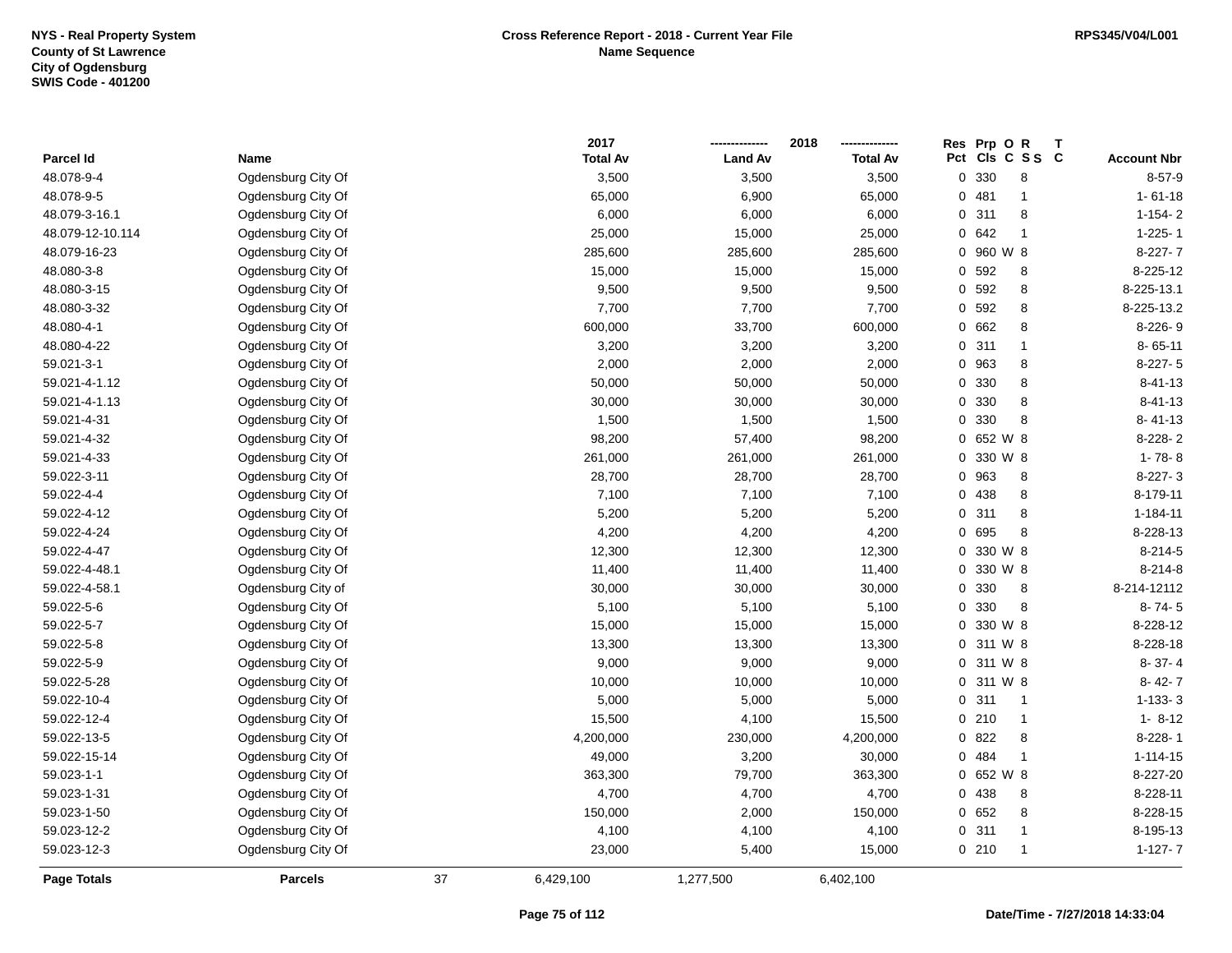|                  |                    |    | 2017            |                | 2018            | Res | Prp O R       |                 |                    |
|------------------|--------------------|----|-----------------|----------------|-----------------|-----|---------------|-----------------|--------------------|
| Parcel Id        | Name               |    | <b>Total Av</b> | <b>Land Av</b> | <b>Total Av</b> |     |               | Pct Cls C S S C | <b>Account Nbr</b> |
| 48.078-9-4       | Ogdensburg City Of |    | 3,500           | 3,500          | 3,500           |     | 0 330         | 8               | $8 - 57 - 9$       |
| 48.078-9-5       | Ogdensburg City Of |    | 65,000          | 6,900          | 65,000          |     | 0481          | $\overline{1}$  | $1 - 61 - 18$      |
| 48.079-3-16.1    | Ogdensburg City Of |    | 6,000           | 6,000          | 6,000           |     | 0.311         | 8               | $1 - 154 - 2$      |
| 48.079-12-10.114 | Ogdensburg City Of |    | 25,000          | 15,000         | 25,000          |     | 0642          | $\overline{1}$  | $1 - 225 - 1$      |
| 48.079-16-23     | Ogdensburg City Of |    | 285,600         | 285,600        | 285,600         |     | 0 960 W 8     |                 | $8-227-7$          |
| 48.080-3-8       | Ogdensburg City Of |    | 15,000          | 15,000         | 15,000          |     | 0 592         | 8               | 8-225-12           |
| 48.080-3-15      | Ogdensburg City Of |    | 9,500           | 9,500          | 9,500           |     | 0 592         | $\bf 8$         | 8-225-13.1         |
| 48.080-3-32      | Ogdensburg City Of |    | 7,700           | 7,700          | 7,700           |     | 0 592         | $\bf 8$         | 8-225-13.2         |
| 48.080-4-1       | Ogdensburg City Of |    | 600,000         | 33,700         | 600,000         |     | 0 662         | 8               | 8-226-9            |
| 48.080-4-22      | Ogdensburg City Of |    | 3,200           | 3,200          | 3,200           |     | 0.311         | $\mathbf{1}$    | $8 - 65 - 11$      |
| 59.021-3-1       | Ogdensburg City Of |    | 2,000           | 2,000          | 2,000           |     | 0 963         | 8               | $8-227-5$          |
| 59.021-4-1.12    | Ogdensburg City Of |    | 50,000          | 50,000         | 50,000          |     | 0 330         | $\bf 8$         | $8 - 41 - 13$      |
| 59.021-4-1.13    | Ogdensburg City Of |    | 30,000          | 30,000         | 30,000          |     | 0 330         | 8               | $8 - 41 - 13$      |
| 59.021-4-31      | Ogdensburg City Of |    | 1,500           | 1,500          | 1,500           |     | 0 330         | 8               | $8 - 41 - 13$      |
| 59.021-4-32      | Ogdensburg City Of |    | 98,200          | 57,400         | 98,200          |     | $0,652$ W $8$ |                 | 8-228-2            |
| 59.021-4-33      | Ogdensburg City Of |    | 261,000         | 261,000        | 261,000         |     | 0 330 W 8     |                 | $1 - 78 - 8$       |
| 59.022-3-11      | Ogdensburg City Of |    | 28,700          | 28,700         | 28,700          |     | 0 963         | 8               | $8-227-3$          |
| 59.022-4-4       | Ogdensburg City Of |    | 7,100           | 7,100          | 7,100           |     | 0 438         | $\bf 8$         | 8-179-11           |
| 59.022-4-12      | Ogdensburg City Of |    | 5,200           | 5,200          | 5,200           |     | 0.311         | 8               | $1 - 184 - 11$     |
| 59.022-4-24      | Ogdensburg City Of |    | 4,200           | 4,200          | 4,200           |     | 0 695         | 8               | 8-228-13           |
| 59.022-4-47      | Ogdensburg City Of |    | 12,300          | 12,300         | 12,300          |     | 0 330 W 8     |                 | $8-214-5$          |
| 59.022-4-48.1    | Ogdensburg City Of |    | 11,400          | 11,400         | 11,400          |     | 0 330 W 8     |                 | $8 - 214 - 8$      |
| 59.022-4-58.1    | Ogdensburg City of |    | 30,000          | 30,000         | 30,000          |     | 0 330         | 8               | 8-214-12112        |
| 59.022-5-6       | Ogdensburg City Of |    | 5,100           | 5,100          | 5,100           |     | 0 330         | 8               | $8 - 74 - 5$       |
| 59.022-5-7       | Ogdensburg City Of |    | 15,000          | 15,000         | 15,000          |     | 0 330 W 8     |                 | 8-228-12           |
| 59.022-5-8       | Ogdensburg City Of |    | 13,300          | 13,300         | 13,300          |     | 0 311 W 8     |                 | 8-228-18           |
| 59.022-5-9       | Ogdensburg City Of |    | 9,000           | 9,000          | 9,000           |     | 0 311 W 8     |                 | $8 - 37 - 4$       |
| 59.022-5-28      | Ogdensburg City Of |    | 10,000          | 10,000         | 10,000          |     | 0 311 W 8     |                 | $8 - 42 - 7$       |
| 59.022-10-4      | Ogdensburg City Of |    | 5,000           | 5,000          | 5,000           |     | 0.311         | $\overline{1}$  | $1 - 133 - 3$      |
| 59.022-12-4      | Ogdensburg City Of |    | 15,500          | 4,100          | 15,500          |     | 0210          | $\overline{1}$  | $1 - 8 - 12$       |
| 59.022-13-5      | Ogdensburg City Of |    | 4,200,000       | 230,000        | 4,200,000       |     | 0 822         | $\,$ 8 $\,$     | 8-228-1            |
| 59.022-15-14     | Ogdensburg City Of |    | 49,000          | 3,200          | 30,000          |     | 0 484         | $\overline{1}$  | $1 - 114 - 15$     |
| 59.023-1-1       | Ogdensburg City Of |    | 363,300         | 79,700         | 363,300         |     | $0,652$ W $8$ |                 | 8-227-20           |
| 59.023-1-31      | Ogdensburg City Of |    | 4,700           | 4,700          | 4,700           |     | 0 438         | 8               | 8-228-11           |
| 59.023-1-50      | Ogdensburg City Of |    | 150,000         | 2,000          | 150,000         |     | 0652          | 8               | 8-228-15           |
| 59.023-12-2      | Ogdensburg City Of |    | 4,100           | 4,100          | 4,100           |     | 0.311         | $\mathbf{1}$    | 8-195-13           |
| 59.023-12-3      | Ogdensburg City Of |    | 23,000          | 5,400          | 15,000          |     | 0210          | $\overline{1}$  | $1 - 127 - 7$      |
| Page Totals      | <b>Parcels</b>     | 37 | 6,429,100       | 1,277,500      | 6,402,100       |     |               |                 |                    |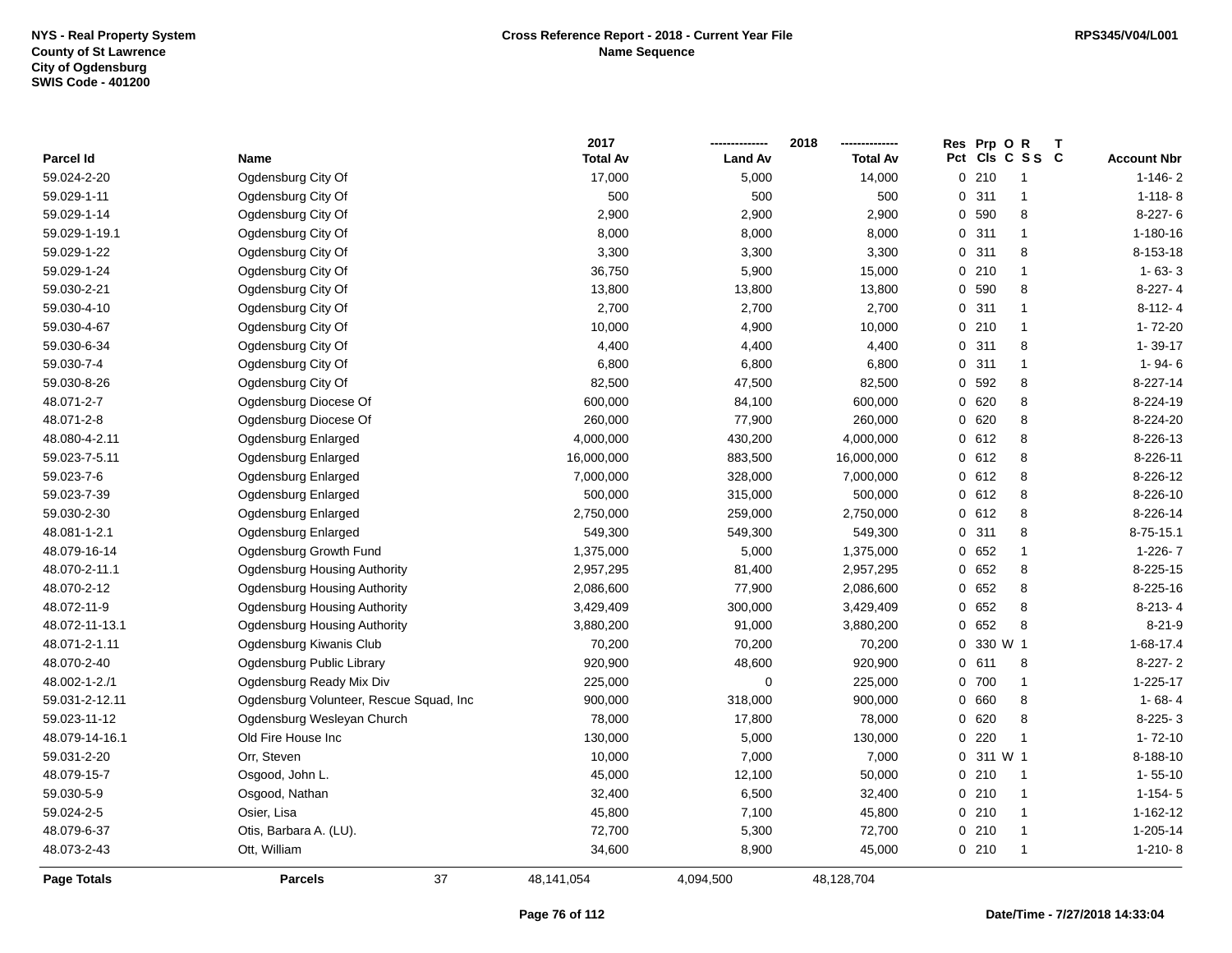|                    |                                         | 2017            |                | 2018            | <b>Res</b> | Prp O     | $\mathsf{R}$    | $\mathbf{T}$ |                    |
|--------------------|-----------------------------------------|-----------------|----------------|-----------------|------------|-----------|-----------------|--------------|--------------------|
| Parcel Id          | Name                                    | <b>Total Av</b> | <b>Land Av</b> | <b>Total Av</b> |            |           | Pct Cls C S S C |              | <b>Account Nbr</b> |
| 59.024-2-20        | Ogdensburg City Of                      | 17,000          | 5,000          | 14,000          |            | 0210      | 1               |              | $1 - 146 - 2$      |
| 59.029-1-11        | Ogdensburg City Of                      | 500             | 500            | 500             |            | 0.311     | 1               |              | $1 - 118 - 8$      |
| 59.029-1-14        | Ogdensburg City Of                      | 2,900           | 2,900          | 2,900           |            | 0 590     | 8               |              | $8-227-6$          |
| 59.029-1-19.1      | Ogdensburg City Of                      | 8,000           | 8,000          | 8,000           |            | 0.311     | $\mathbf{1}$    |              | 1-180-16           |
| 59.029-1-22        | Ogdensburg City Of                      | 3,300           | 3,300          | 3,300           |            | 0.311     | 8               |              | 8-153-18           |
| 59.029-1-24        | Ogdensburg City Of                      | 36,750          | 5,900          | 15,000          |            | 0210      | $\mathbf{1}$    |              | $1 - 63 - 3$       |
| 59.030-2-21        | Ogdensburg City Of                      | 13,800          | 13,800         | 13,800          |            | 0 590     | 8               |              | $8-227-4$          |
| 59.030-4-10        | Ogdensburg City Of                      | 2,700           | 2,700          | 2,700           |            | 0.311     | $\mathbf{1}$    |              | $8 - 112 - 4$      |
| 59.030-4-67        | Ogdensburg City Of                      | 10,000          | 4,900          | 10,000          |            | 0210      | $\mathbf{1}$    |              | 1-72-20            |
| 59.030-6-34        | Ogdensburg City Of                      | 4,400           | 4,400          | 4,400           |            | 0.311     | 8               |              | $1 - 39 - 17$      |
| 59.030-7-4         | Ogdensburg City Of                      | 6,800           | 6,800          | 6,800           |            | 0.311     | $\mathbf{1}$    |              | $1 - 94 - 6$       |
| 59.030-8-26        | Ogdensburg City Of                      | 82,500          | 47,500         | 82,500          |            | 0 592     | 8               |              | 8-227-14           |
| 48.071-2-7         | Ogdensburg Diocese Of                   | 600,000         | 84,100         | 600,000         |            | 0 620     | 8               |              | 8-224-19           |
| 48.071-2-8         | Ogdensburg Diocese Of                   | 260,000         | 77,900         | 260,000         |            | 0620      | 8               |              | 8-224-20           |
| 48.080-4-2.11      | Ogdensburg Enlarged                     | 4,000,000       | 430,200        | 4,000,000       |            | 0 612     | 8               |              | 8-226-13           |
| 59.023-7-5.11      | Ogdensburg Enlarged                     | 16,000,000      | 883,500        | 16,000,000      |            | 0 612     | 8               |              | 8-226-11           |
| 59.023-7-6         | Ogdensburg Enlarged                     | 7,000,000       | 328,000        | 7,000,000       |            | 0 612     | 8               |              | 8-226-12           |
| 59.023-7-39        | Ogdensburg Enlarged                     | 500,000         | 315,000        | 500,000         |            | 0612      | 8               |              | 8-226-10           |
| 59.030-2-30        | Ogdensburg Enlarged                     | 2,750,000       | 259,000        | 2,750,000       |            | 0 612     | 8               |              | 8-226-14           |
| 48.081-1-2.1       | Ogdensburg Enlarged                     | 549,300         | 549,300        | 549,300         |            | 0.311     | 8               |              | $8 - 75 - 15.1$    |
| 48.079-16-14       | Ogdensburg Growth Fund                  | 1,375,000       | 5,000          | 1,375,000       |            | 0652      | $\mathbf{1}$    |              | $1 - 226 - 7$      |
| 48.070-2-11.1      | Ogdensburg Housing Authority            | 2,957,295       | 81,400         | 2,957,295       |            | 0652      | 8               |              | 8-225-15           |
| 48.070-2-12        | Ogdensburg Housing Authority            | 2,086,600       | 77,900         | 2,086,600       |            | 0652      | 8               |              | 8-225-16           |
| 48.072-11-9        | <b>Ogdensburg Housing Authority</b>     | 3,429,409       | 300,000        | 3,429,409       |            | 0 652     | 8               |              | $8-213-4$          |
| 48.072-11-13.1     | <b>Ogdensburg Housing Authority</b>     | 3,880,200       | 91,000         | 3,880,200       |            | 0 652     | 8               |              | $8 - 21 - 9$       |
| 48.071-2-1.11      | Ogdensburg Kiwanis Club                 | 70,200          | 70,200         | 70,200          |            | 0 330 W 1 |                 |              | $1 - 68 - 17.4$    |
| 48.070-2-40        | Ogdensburg Public Library               | 920,900         | 48,600         | 920,900         |            | 0 611     | 8               |              | $8-227-2$          |
| 48.002-1-2./1      | Ogdensburg Ready Mix Div                | 225,000         | $\mathbf 0$    | 225,000         |            | 0 700     | $\mathbf{1}$    |              | $1 - 225 - 17$     |
| 59.031-2-12.11     | Ogdensburg Volunteer, Rescue Squad, Inc | 900,000         | 318,000        | 900,000         |            | 0 660     | 8               |              | $1 - 68 - 4$       |
| 59.023-11-12       | Ogdensburg Wesleyan Church              | 78,000          | 17,800         | 78,000          |            | 0620      | 8               |              | $8-225-3$          |
| 48.079-14-16.1     | Old Fire House Inc                      | 130,000         | 5,000          | 130,000         |            | 0220      | $\mathbf{1}$    |              | $1 - 72 - 10$      |
| 59.031-2-20        | Orr, Steven                             | 10,000          | 7,000          | 7,000           |            | 0 311 W 1 |                 |              | 8-188-10           |
| 48.079-15-7        | Osgood, John L.                         | 45,000          | 12,100         | 50,000          |            | 0210      | $\mathbf{1}$    |              | $1 - 55 - 10$      |
| 59.030-5-9         | Osgood, Nathan                          | 32,400          | 6,500          | 32,400          |            | 0210      | $\mathbf{1}$    |              | $1-154-5$          |
| 59.024-2-5         | Osier, Lisa                             | 45,800          | 7,100          | 45,800          |            | 0210      | $\mathbf{1}$    |              | 1-162-12           |
| 48.079-6-37        | Otis, Barbara A. (LU).                  | 72,700          | 5,300          | 72,700          |            | 0210      | $\mathbf{1}$    |              | 1-205-14           |
| 48.073-2-43        | Ott, William                            | 34,600          | 8,900          | 45,000          |            | 0210      | $\mathbf{1}$    |              | $1-210-8$          |
| <b>Page Totals</b> | 37<br><b>Parcels</b>                    | 48,141,054      | 4,094,500      | 48,128,704      |            |           |                 |              |                    |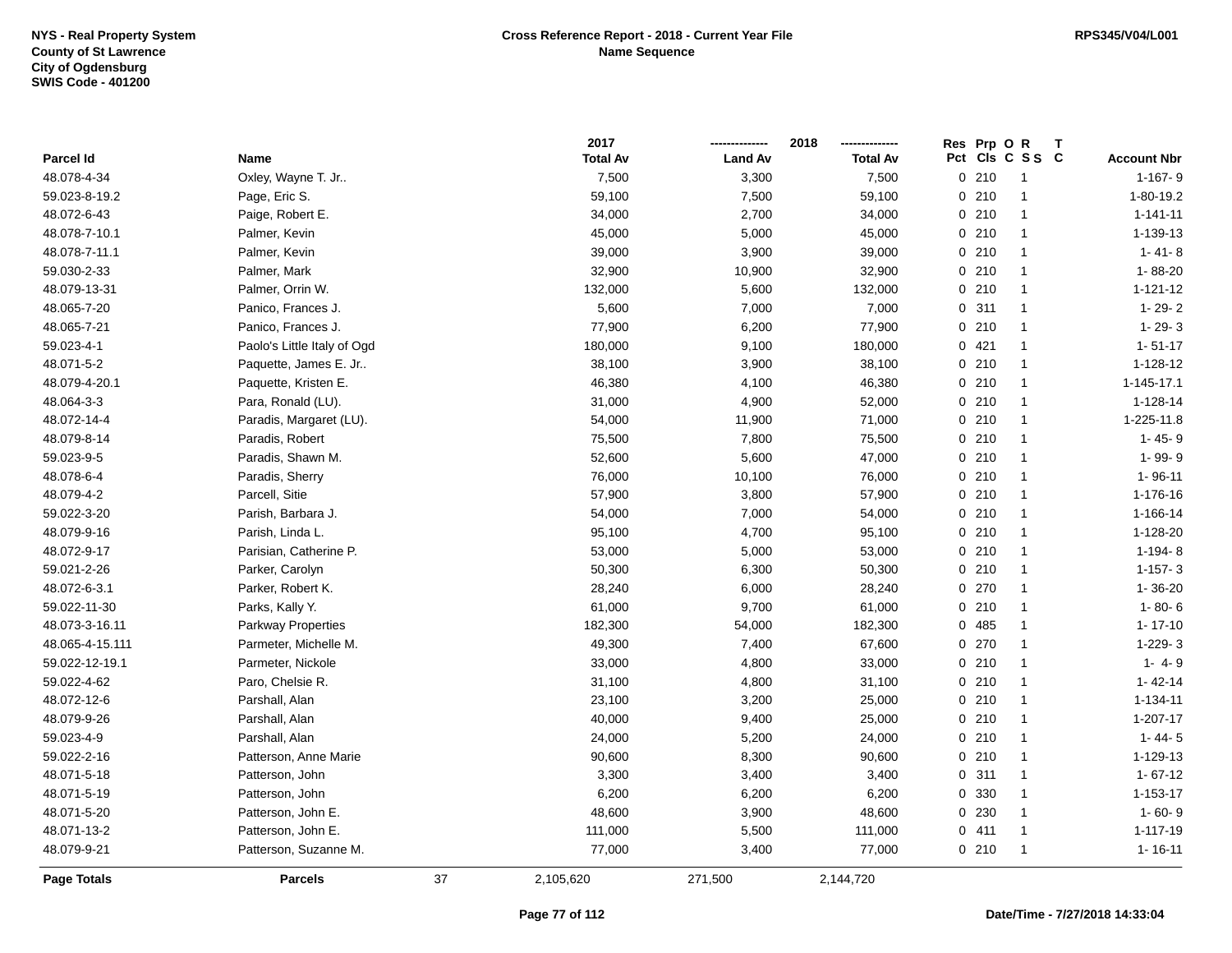|                 |                             |    | 2017            |                | 2018            |     | Res Prp O R |                         |                    |
|-----------------|-----------------------------|----|-----------------|----------------|-----------------|-----|-------------|-------------------------|--------------------|
| Parcel Id       | <b>Name</b>                 |    | <b>Total Av</b> | <b>Land Av</b> | <b>Total Av</b> | Pct |             | CIs C S S C             | <b>Account Nbr</b> |
| 48.078-4-34     | Oxley, Wayne T. Jr          |    | 7,500           | 3,300          | 7,500           |     | 0210        | $\overline{\mathbf{1}}$ | $1-167-9$          |
| 59.023-8-19.2   | Page, Eric S.               |    | 59,100          | 7,500          | 59,100          |     | 0210        | $\overline{1}$          | 1-80-19.2          |
| 48.072-6-43     | Paige, Robert E.            |    | 34,000          | 2,700          | 34,000          |     | 0210        | $\mathbf{1}$            | $1 - 141 - 11$     |
| 48.078-7-10.1   | Palmer, Kevin               |    | 45,000          | 5,000          | 45,000          |     | 0210        | $\mathbf{1}$            | 1-139-13           |
| 48.078-7-11.1   | Palmer, Kevin               |    | 39,000          | 3,900          | 39,000          |     | 0210        | $\mathbf{1}$            | $1 - 41 - 8$       |
| 59.030-2-33     | Palmer, Mark                |    | 32,900          | 10,900         | 32,900          |     | 0210        | $\overline{1}$          | 1-88-20            |
| 48.079-13-31    | Palmer, Orrin W.            |    | 132,000         | 5,600          | 132,000         |     | 0210        | $\mathbf{1}$            | $1 - 121 - 12$     |
| 48.065-7-20     | Panico, Frances J.          |    | 5,600           | 7,000          | 7,000           |     | 0.311       | $\mathbf{1}$            | $1 - 29 - 2$       |
| 48.065-7-21     | Panico, Frances J.          |    | 77,900          | 6,200          | 77,900          |     | 0210        | $\mathbf{1}$            | $1 - 29 - 3$       |
| 59.023-4-1      | Paolo's Little Italy of Ogd |    | 180,000         | 9,100          | 180,000         |     | 0421        | $\mathbf{1}$            | $1 - 51 - 17$      |
| 48.071-5-2      | Paquette, James E. Jr       |    | 38,100          | 3,900          | 38,100          |     | 0210        | $\mathbf{1}$            | 1-128-12           |
| 48.079-4-20.1   | Paquette, Kristen E.        |    | 46,380          | 4,100          | 46,380          |     | 0210        | -1                      | 1-145-17.1         |
| 48.064-3-3      | Para, Ronald (LU).          |    | 31,000          | 4,900          | 52,000          |     | 0210        | -1                      | 1-128-14           |
| 48.072-14-4     | Paradis, Margaret (LU).     |    | 54,000          | 11,900         | 71,000          |     | 0210        | $\overline{1}$          | 1-225-11.8         |
| 48.079-8-14     | Paradis, Robert             |    | 75,500          | 7,800          | 75,500          |     | 0210        | $\mathbf{1}$            | $1 - 45 - 9$       |
| 59.023-9-5      | Paradis, Shawn M.           |    | 52,600          | 5,600          | 47,000          |     | 0210        | $\mathbf{1}$            | 1-99-9             |
| 48.078-6-4      | Paradis, Sherry             |    | 76,000          | 10,100         | 76,000          |     | 0210        | $\mathbf{1}$            | $1 - 96 - 11$      |
| 48.079-4-2      | Parcell, Sitie              |    | 57,900          | 3,800          | 57,900          |     | 0210        | $\mathbf{1}$            | 1-176-16           |
| 59.022-3-20     | Parish, Barbara J.          |    | 54,000          | 7,000          | 54,000          |     | 0210        | $\mathbf{1}$            | 1-166-14           |
| 48.079-9-16     | Parish, Linda L.            |    | 95,100          | 4,700          | 95,100          |     | 0210        | $\mathbf{1}$            | 1-128-20           |
| 48.072-9-17     | Parisian, Catherine P.      |    | 53,000          | 5,000          | 53,000          |     | 0210        | -1                      | 1-194-8            |
| 59.021-2-26     | Parker, Carolyn             |    | 50,300          | 6,300          | 50,300          |     | 0210        | $\mathbf{1}$            | $1 - 157 - 3$      |
| 48.072-6-3.1    | Parker, Robert K.           |    | 28,240          | 6,000          | 28,240          |     | 0270        | $\mathbf{1}$            | $1 - 36 - 20$      |
| 59.022-11-30    | Parks, Kally Y.             |    | 61,000          | 9,700          | 61,000          |     | 0210        | $\mathbf{1}$            | $1 - 80 - 6$       |
| 48.073-3-16.11  | <b>Parkway Properties</b>   |    | 182,300         | 54,000         | 182,300         |     | 0 485       | $\mathbf{1}$            | $1 - 17 - 10$      |
| 48.065-4-15.111 | Parmeter, Michelle M.       |    | 49,300          | 7,400          | 67,600          |     | 0 270       | $\mathbf{1}$            | 1-229-3            |
| 59.022-12-19.1  | Parmeter, Nickole           |    | 33,000          | 4,800          | 33,000          |     | 0210        | $\mathbf{1}$            | $1 - 4 - 9$        |
| 59.022-4-62     | Paro, Chelsie R.            |    | 31,100          | 4,800          | 31,100          |     | 0210        | -1                      | $1 - 42 - 14$      |
| 48.072-12-6     | Parshall, Alan              |    | 23,100          | 3,200          | 25,000          |     | 0210        | $\overline{1}$          | $1 - 134 - 11$     |
| 48.079-9-26     | Parshall, Alan              |    | 40,000          | 9,400          | 25,000          |     | 0210        | $\mathbf{1}$            | 1-207-17           |
| 59.023-4-9      | Parshall, Alan              |    | 24,000          | 5,200          | 24,000          |     | 0210        | $\mathbf{1}$            | $1 - 44 - 5$       |
| 59.022-2-16     | Patterson, Anne Marie       |    | 90,600          | 8,300          | 90,600          |     | 0210        | $\mathbf{1}$            | 1-129-13           |
| 48.071-5-18     | Patterson, John             |    | 3,300           | 3,400          | 3,400           |     | 0.311       | $\mathbf{1}$            | $1 - 67 - 12$      |
| 48.071-5-19     | Patterson, John             |    | 6,200           | 6,200          | 6,200           |     | 0 330       | $\mathbf{1}$            | $1 - 153 - 17$     |
| 48.071-5-20     | Patterson, John E.          |    | 48,600          | 3,900          | 48,600          |     | 0 230       | $\mathbf{1}$            | $1 - 60 - 9$       |
| 48.071-13-2     | Patterson, John E.          |    | 111,000         | 5,500          | 111,000         |     | 0411        | -1                      | 1-117-19           |
| 48.079-9-21     | Patterson, Suzanne M.       |    | 77,000          | 3,400          | 77,000          |     | 0210        | $\mathbf{1}$            | $1 - 16 - 11$      |
| Page Totals     | <b>Parcels</b>              | 37 | 2,105,620       | 271,500        | 2,144,720       |     |             |                         |                    |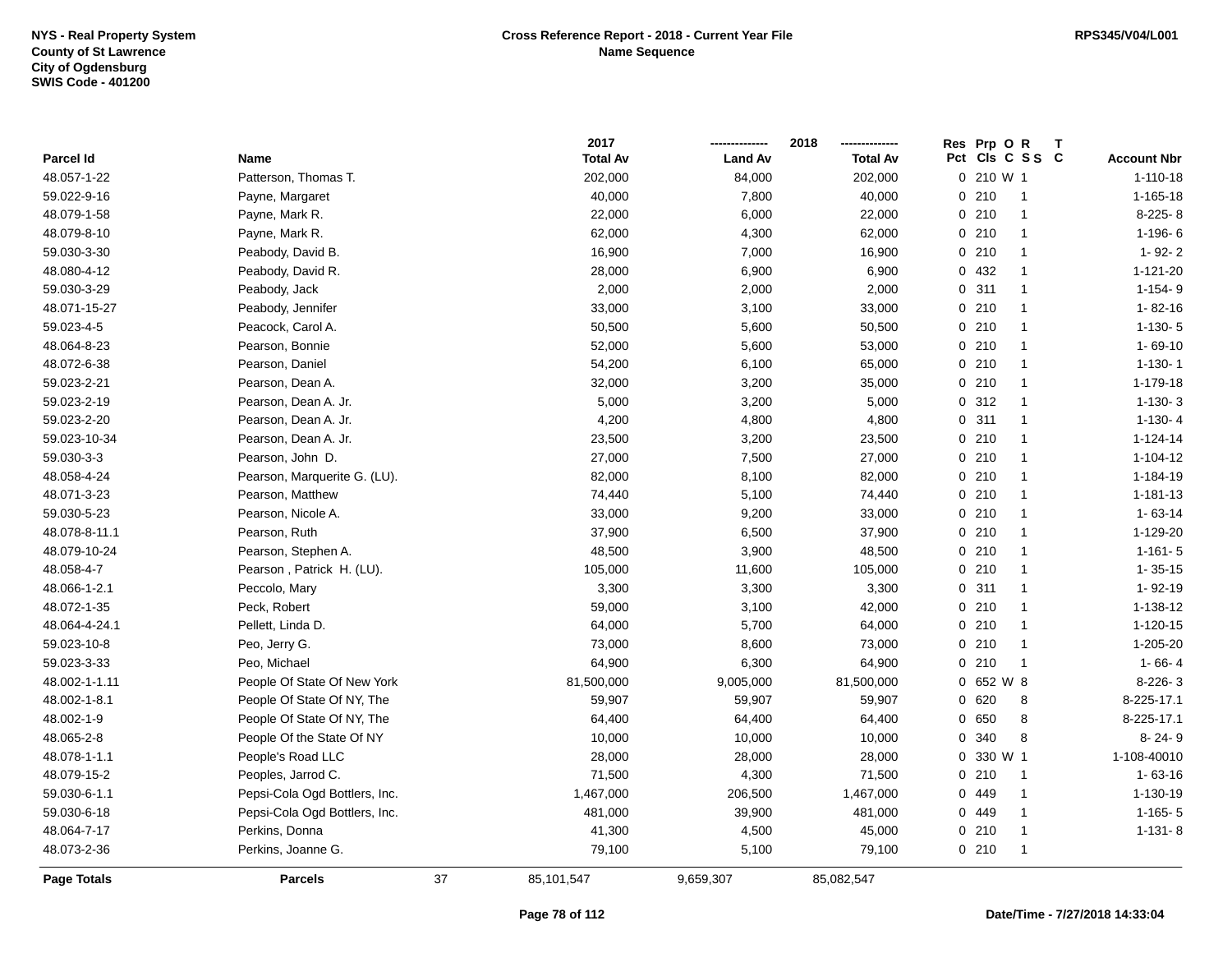|                    |                               |    | 2017            |                | 2018            | Res Prp O R |                         |                    |
|--------------------|-------------------------------|----|-----------------|----------------|-----------------|-------------|-------------------------|--------------------|
| Parcel Id          | Name                          |    | <b>Total Av</b> | <b>Land Av</b> | <b>Total Av</b> |             | Pct Cls C S S C         | <b>Account Nbr</b> |
| 48.057-1-22        | Patterson, Thomas T.          |    | 202,000         | 84,000         | 202,000         | 0 210 W 1   |                         | $1 - 110 - 18$     |
| 59.022-9-16        | Payne, Margaret               |    | 40,000          | 7,800          | 40,000          | 0210        | $\overline{1}$          | $1 - 165 - 18$     |
| 48.079-1-58        | Payne, Mark R.                |    | 22,000          | 6,000          | 22,000          | 0210        | $\overline{1}$          | 8-225-8            |
| 48.079-8-10        | Payne, Mark R.                |    | 62,000          | 4,300          | 62,000          | 0210        | $\overline{1}$          | $1-196-6$          |
| 59.030-3-30        | Peabody, David B.             |    | 16,900          | 7,000          | 16,900          | 0210        | $\mathbf{1}$            | $1 - 92 - 2$       |
| 48.080-4-12        | Peabody, David R.             |    | 28,000          | 6,900          | 6,900           | 0 432       | $\overline{\mathbf{1}}$ | 1-121-20           |
| 59.030-3-29        | Peabody, Jack                 |    | 2,000           | 2,000          | 2,000           | 0.311       | $\overline{1}$          | $1-154-9$          |
| 48.071-15-27       | Peabody, Jennifer             |    | 33,000          | 3,100          | 33,000          | 0210        | $\overline{1}$          | $1 - 82 - 16$      |
| 59.023-4-5         | Peacock, Carol A.             |    | 50,500          | 5,600          | 50,500          | 0210        | $\mathbf{1}$            | $1-130-5$          |
| 48.064-8-23        | Pearson, Bonnie               |    | 52,000          | 5,600          | 53,000          | 0210        | $\mathbf{1}$            | $1 - 69 - 10$      |
| 48.072-6-38        | Pearson, Daniel               |    | 54,200          | 6,100          | 65,000          | 0210        | $\mathbf{1}$            | $1-130-1$          |
| 59.023-2-21        | Pearson, Dean A.              |    | 32,000          | 3,200          | 35,000          | 0210        | $\mathbf{1}$            | 1-179-18           |
| 59.023-2-19        | Pearson, Dean A. Jr.          |    | 5,000           | 3,200          | 5,000           | 0.312       | $\overline{1}$          | $1-130-3$          |
| 59.023-2-20        | Pearson, Dean A. Jr.          |    | 4,200           | 4,800          | 4,800           | 0.311       | $\overline{\mathbf{1}}$ | $1-130-4$          |
| 59.023-10-34       | Pearson, Dean A. Jr.          |    | 23,500          | 3,200          | 23,500          | 0210        | $\mathbf{1}$            | $1 - 124 - 14$     |
| 59.030-3-3         | Pearson, John D.              |    | 27,000          | 7,500          | 27,000          | 0210        | $\mathbf{1}$            | $1 - 104 - 12$     |
| 48.058-4-24        | Pearson, Marquerite G. (LU).  |    | 82,000          | 8,100          | 82,000          | 0210        | $\mathbf{1}$            | 1-184-19           |
| 48.071-3-23        | Pearson, Matthew              |    | 74,440          | 5,100          | 74,440          | 0210        | $\mathbf{1}$            | $1 - 181 - 13$     |
| 59.030-5-23        | Pearson, Nicole A.            |    | 33,000          | 9,200          | 33,000          | 0210        | $\mathbf{1}$            | $1 - 63 - 14$      |
| 48.078-8-11.1      | Pearson, Ruth                 |    | 37,900          | 6,500          | 37,900          | 0210        | $\mathbf{1}$            | 1-129-20           |
| 48.079-10-24       | Pearson, Stephen A.           |    | 48,500          | 3,900          | 48,500          | 0210        | $\overline{\mathbf{1}}$ | $1 - 161 - 5$      |
| 48.058-4-7         | Pearson, Patrick H. (LU).     |    | 105,000         | 11,600         | 105,000         | 0210        | $\overline{\mathbf{1}}$ | $1 - 35 - 15$      |
| 48.066-1-2.1       | Peccolo, Mary                 |    | 3,300           | 3,300          | 3,300           | 0.311       | $\overline{1}$          | 1-92-19            |
| 48.072-1-35        | Peck, Robert                  |    | 59,000          | 3,100          | 42,000          | 0210        | $\mathbf{1}$            | 1-138-12           |
| 48.064-4-24.1      | Pellett, Linda D.             |    | 64,000          | 5,700          | 64,000          | 0210        | $\mathbf{1}$            | $1 - 120 - 15$     |
| 59.023-10-8        | Peo, Jerry G.                 |    | 73,000          | 8,600          | 73,000          | 0210        | $\overline{1}$          | 1-205-20           |
| 59.023-3-33        | Peo, Michael                  |    | 64,900          | 6,300          | 64,900          | 0210        | $\overline{1}$          | $1 - 66 - 4$       |
| 48.002-1-1.11      | People Of State Of New York   |    | 81,500,000      | 9,005,000      | 81,500,000      | 0 652 W 8   |                         | 8-226-3            |
| 48.002-1-8.1       | People Of State Of NY, The    |    | 59,907          | 59,907         | 59,907          | 0 620       | 8                       | 8-225-17.1         |
| 48.002-1-9         | People Of State Of NY, The    |    | 64,400          | 64,400         | 64,400          | 0 650       | 8                       | 8-225-17.1         |
| 48.065-2-8         | People Of the State Of NY     |    | 10,000          | 10,000         | 10,000          | 0 340       | 8                       | $8 - 24 - 9$       |
| 48.078-1-1.1       | People's Road LLC             |    | 28,000          | 28,000         | 28,000          | 0 330 W 1   |                         | 1-108-40010        |
| 48.079-15-2        | Peoples, Jarrod C.            |    | 71,500          | 4,300          | 71,500          | 0210        | $\overline{1}$          | $1 - 63 - 16$      |
| 59.030-6-1.1       | Pepsi-Cola Ogd Bottlers, Inc. |    | 1,467,000       | 206,500        | 1,467,000       | 0 449       | $\overline{1}$          | 1-130-19           |
| 59.030-6-18        | Pepsi-Cola Ogd Bottlers, Inc. |    | 481,000         | 39,900         | 481,000         | 0 449       | $\mathbf{1}$            | $1 - 165 - 5$      |
| 48.064-7-17        | Perkins, Donna                |    | 41,300          | 4,500          | 45,000          | 0210        | $\mathbf{1}$            | $1-131-8$          |
| 48.073-2-36        | Perkins, Joanne G.            |    | 79,100          | 5,100          | 79,100          | 0210        | $\mathbf{1}$            |                    |
| <b>Page Totals</b> | <b>Parcels</b>                | 37 | 85,101,547      | 9,659,307      | 85,082,547      |             |                         |                    |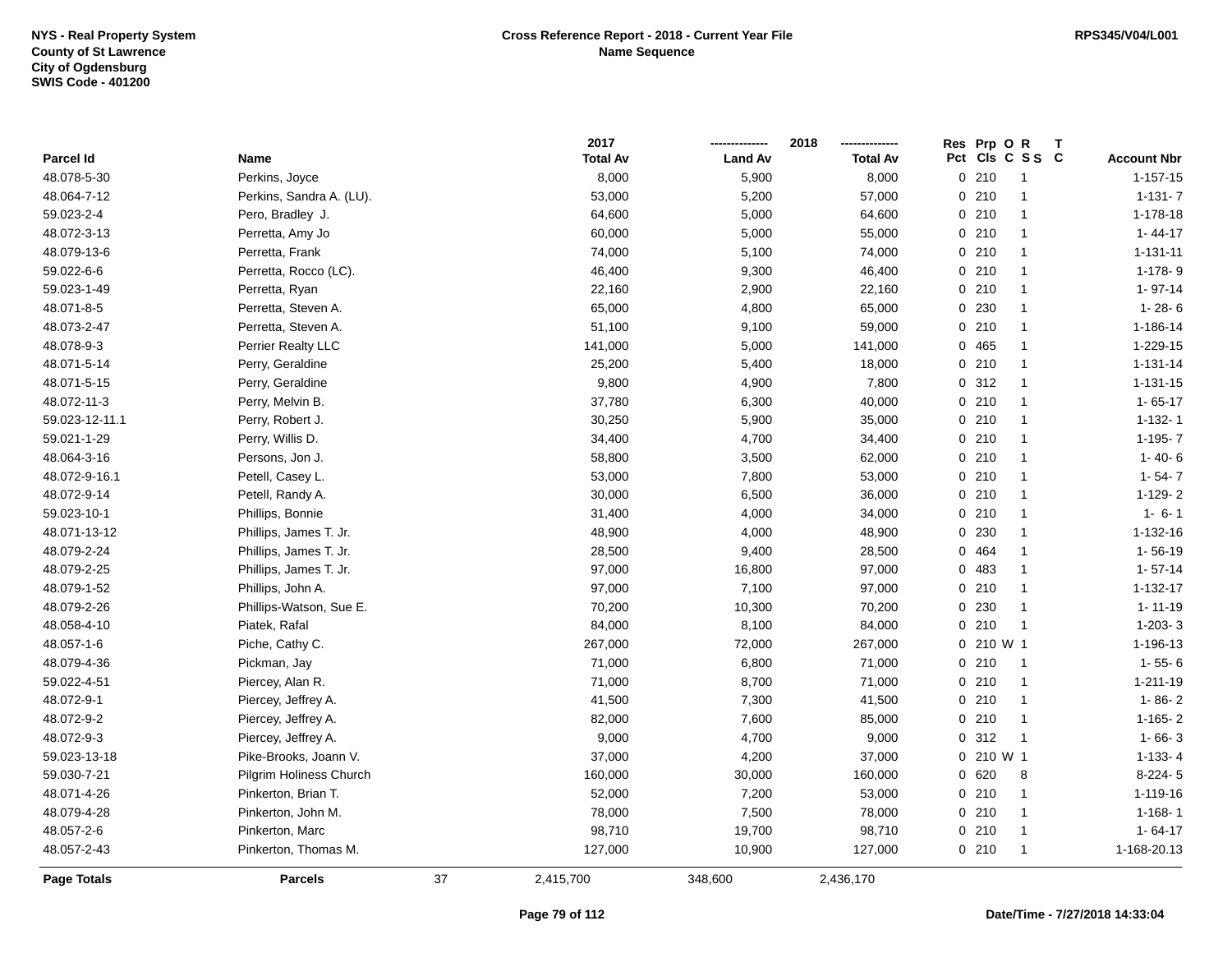|                    |                          |    | 2017            |                | 2018            | Res |                 | Prp OR         | $\mathbf{T}$ |                    |
|--------------------|--------------------------|----|-----------------|----------------|-----------------|-----|-----------------|----------------|--------------|--------------------|
| Parcel Id          | Name                     |    | <b>Total Av</b> | <b>Land Av</b> | <b>Total Av</b> |     | Pct Cls C S S C |                |              | <b>Account Nbr</b> |
| 48.078-5-30        | Perkins, Joyce           |    | 8,000           | 5,900          | 8,000           |     | 0210            | $\overline{1}$ |              | $1 - 157 - 15$     |
| 48.064-7-12        | Perkins, Sandra A. (LU). |    | 53,000          | 5,200          | 57,000          |     | 0210            | -1             |              | $1 - 131 - 7$      |
| 59.023-2-4         | Pero, Bradley J.         |    | 64,600          | 5,000          | 64,600          |     | 0210            | $\overline{1}$ |              | 1-178-18           |
| 48.072-3-13        | Perretta, Amy Jo         |    | 60,000          | 5,000          | 55,000          |     | 0210            | $\overline{1}$ |              | $1 - 44 - 17$      |
| 48.079-13-6        | Perretta, Frank          |    | 74,000          | 5,100          | 74,000          |     | 0210            | $\overline{1}$ |              | $1 - 131 - 11$     |
| 59.022-6-6         | Perretta, Rocco (LC).    |    | 46,400          | 9,300          | 46,400          |     | 0210            | $\mathbf{1}$   |              | $1-178-9$          |
| 59.023-1-49        | Perretta, Ryan           |    | 22,160          | 2,900          | 22,160          |     | 0210            | $\overline{1}$ |              | $1 - 97 - 14$      |
| 48.071-8-5         | Perretta, Steven A.      |    | 65,000          | 4,800          | 65,000          |     | 0 230           | $\mathbf{1}$   |              | $1 - 28 - 6$       |
| 48.073-2-47        | Perretta, Steven A.      |    | 51,100          | 9,100          | 59,000          |     | 0210            | $\overline{1}$ |              | 1-186-14           |
| 48.078-9-3         | Perrier Realty LLC       |    | 141,000         | 5,000          | 141,000         |     | 0465            | $\mathbf{1}$   |              | 1-229-15           |
| 48.071-5-14        | Perry, Geraldine         |    | 25,200          | 5,400          | 18,000          |     | 0210            | $\overline{1}$ |              | $1 - 131 - 14$     |
| 48.071-5-15        | Perry, Geraldine         |    | 9,800           | 4,900          | 7,800           |     | 0.312           | $\overline{1}$ |              | 1-131-15           |
| 48.072-11-3        | Perry, Melvin B.         |    | 37,780          | 6,300          | 40,000          |     | 0210            | $\mathbf{1}$   |              | $1 - 65 - 17$      |
| 59.023-12-11.1     | Perry, Robert J.         |    | 30,250          | 5,900          | 35,000          |     | 0210            | $\overline{1}$ |              | $1 - 132 - 1$      |
| 59.021-1-29        | Perry, Willis D.         |    | 34,400          | 4,700          | 34,400          |     | 0210            | $\overline{1}$ |              | $1-195 - 7$        |
| 48.064-3-16        | Persons, Jon J.          |    | 58,800          | 3,500          | 62,000          |     | 0210            | $\overline{1}$ |              | $1 - 40 - 6$       |
| 48.072-9-16.1      | Petell, Casey L.         |    | 53,000          | 7,800          | 53,000          |     | 0210            | $\overline{1}$ |              | $1 - 54 - 7$       |
| 48.072-9-14        | Petell, Randy A.         |    | 30,000          | 6,500          | 36,000          |     | 0210            | $\overline{1}$ |              | $1 - 129 - 2$      |
| 59.023-10-1        | Phillips, Bonnie         |    | 31,400          | 4,000          | 34,000          |     | 0210            | $\overline{1}$ |              | $1 - 6 - 1$        |
| 48.071-13-12       | Phillips, James T. Jr.   |    | 48,900          | 4,000          | 48,900          |     | 0 230           | $\mathbf{1}$   |              | $1 - 132 - 16$     |
| 48.079-2-24        | Phillips, James T. Jr.   |    | 28,500          | 9,400          | 28,500          |     | 0 464           | $\mathbf{1}$   |              | $1 - 56 - 19$      |
| 48.079-2-25        | Phillips, James T. Jr.   |    | 97,000          | 16,800         | 97,000          |     | 0 483           | $\mathbf{1}$   |              | $1 - 57 - 14$      |
| 48.079-1-52        | Phillips, John A.        |    | 97,000          | 7,100          | 97,000          |     | 0210            | $\mathbf{1}$   |              | 1-132-17           |
| 48.079-2-26        | Phillips-Watson, Sue E.  |    | 70,200          | 10,300         | 70,200          |     | 0 230           | $\overline{1}$ |              | $1 - 11 - 19$      |
| 48.058-4-10        | Piatek, Rafal            |    | 84,000          | 8,100          | 84,000          |     | 0210            | $\overline{1}$ |              | $1-203-3$          |
| 48.057-1-6         | Piche, Cathy C.          |    | 267,000         | 72,000         | 267,000         |     | 0 210 W 1       |                |              | 1-196-13           |
| 48.079-4-36        | Pickman, Jay             |    | 71,000          | 6,800          | 71,000          |     | 0210            | $\overline{1}$ |              | $1 - 55 - 6$       |
| 59.022-4-51        | Piercey, Alan R.         |    | 71,000          | 8,700          | 71,000          |     | 0210            | $\overline{1}$ |              | $1 - 211 - 19$     |
| 48.072-9-1         | Piercey, Jeffrey A.      |    | 41,500          | 7,300          | 41,500          |     | 0210            | $\overline{1}$ |              | $1 - 86 - 2$       |
| 48.072-9-2         | Piercey, Jeffrey A.      |    | 82,000          | 7,600          | 85,000          |     | 0210            | $\overline{1}$ |              | $1-165-2$          |
| 48.072-9-3         | Piercey, Jeffrey A.      |    | 9,000           | 4,700          | 9,000           |     | 0.312           | $\overline{1}$ |              | $1 - 66 - 3$       |
| 59.023-13-18       | Pike-Brooks, Joann V.    |    | 37,000          | 4,200          | 37,000          |     | $0, 210$ W 1    |                |              | $1-133-4$          |
| 59.030-7-21        | Pilgrim Holiness Church  |    | 160,000         | 30,000         | 160,000         |     | 0620            | 8              |              | $8-224-5$          |
| 48.071-4-26        | Pinkerton, Brian T.      |    | 52,000          | 7,200          | 53,000          |     | 0210            | $\overline{1}$ |              | 1-119-16           |
| 48.079-4-28        | Pinkerton, John M.       |    | 78,000          | 7,500          | 78,000          |     | 0210            | $\overline{1}$ |              | $1 - 168 - 1$      |
| 48.057-2-6         | Pinkerton, Marc          |    | 98,710          | 19,700         | 98,710          |     | 0210            | $\overline{1}$ |              | $1 - 64 - 17$      |
| 48.057-2-43        | Pinkerton, Thomas M.     |    | 127,000         | 10,900         | 127,000         |     | 0210            | $\overline{1}$ |              | 1-168-20.13        |
| <b>Page Totals</b> | <b>Parcels</b>           | 37 | 2,415,700       | 348,600        | 2,436,170       |     |                 |                |              |                    |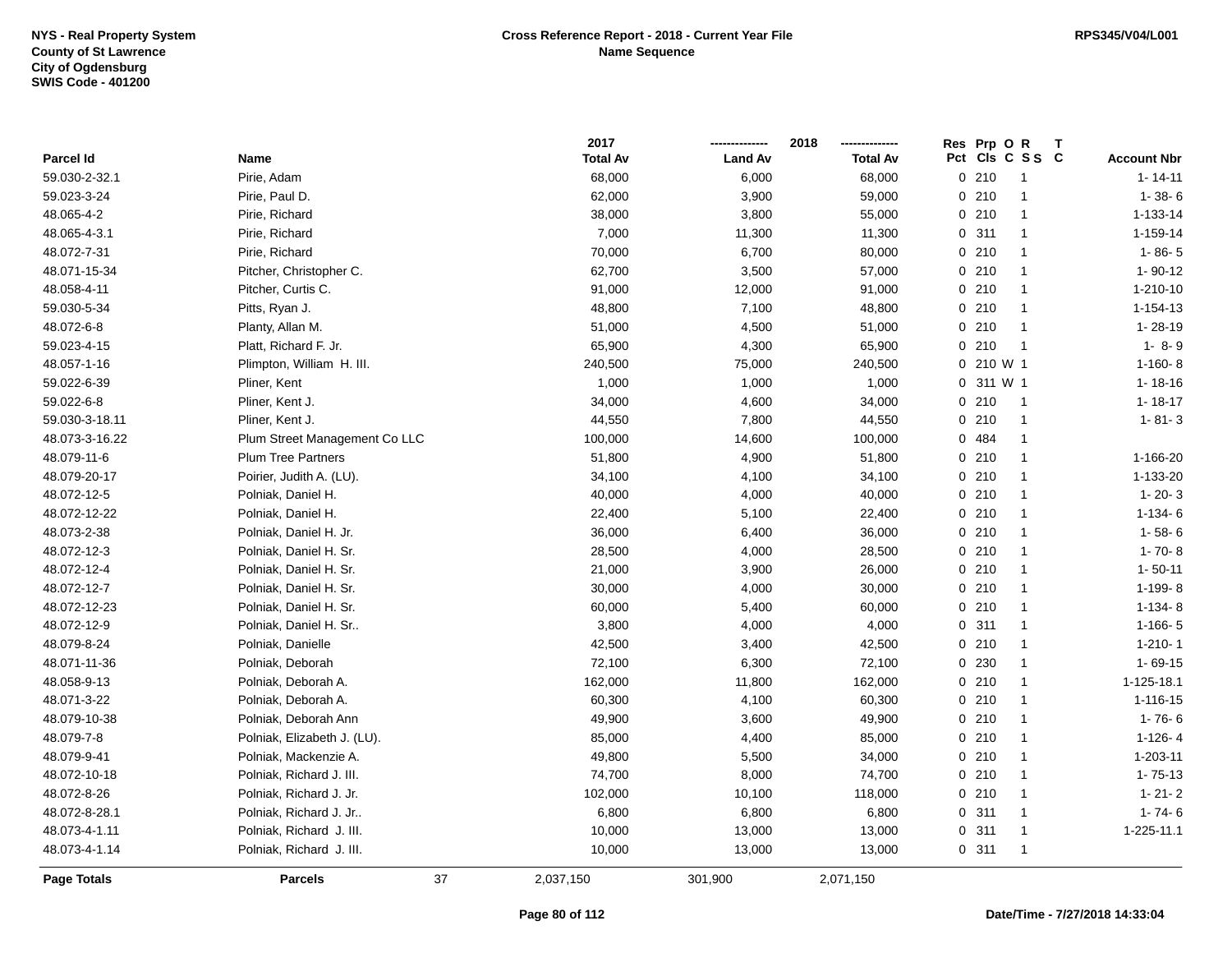|                    |                               |    | 2017            |                | 2018            |             | Res Prp O R | Т               |                    |
|--------------------|-------------------------------|----|-----------------|----------------|-----------------|-------------|-------------|-----------------|--------------------|
| <b>Parcel Id</b>   | Name                          |    | <b>Total Av</b> | <b>Land Av</b> | <b>Total Av</b> |             |             | Pct Cls C S S C | <b>Account Nbr</b> |
| 59.030-2-32.1      | Pirie, Adam                   |    | 68,000          | 6,000          | 68,000          |             | 0210        | -1              | $1 - 14 - 11$      |
| 59.023-3-24        | Pirie, Paul D.                |    | 62,000          | 3,900          | 59,000          |             | 0210        | $\mathbf{1}$    | $1 - 38 - 6$       |
| 48.065-4-2         | Pirie, Richard                |    | 38,000          | 3,800          | 55,000          |             | 0210        | $\mathbf{1}$    | 1-133-14           |
| 48.065-4-3.1       | Pirie, Richard                |    | 7,000           | 11,300         | 11,300          |             | 0.311       | $\mathbf{1}$    | 1-159-14           |
| 48.072-7-31        | Pirie, Richard                |    | 70,000          | 6,700          | 80,000          |             | 0210        | -1              | $1 - 86 - 5$       |
| 48.071-15-34       | Pitcher, Christopher C.       |    | 62,700          | 3,500          | 57,000          |             | 0210        | -1              | $1 - 90 - 12$      |
| 48.058-4-11        | Pitcher, Curtis C.            |    | 91,000          | 12,000         | 91,000          |             | 0210        | $\mathbf{1}$    | 1-210-10           |
| 59.030-5-34        | Pitts, Ryan J.                |    | 48,800          | 7,100          | 48,800          |             | 0210        | $\mathbf{1}$    | 1-154-13           |
| 48.072-6-8         | Planty, Allan M.              |    | 51,000          | 4,500          | 51,000          |             | 0210        | $\mathbf{1}$    | $1 - 28 - 19$      |
| 59.023-4-15        | Platt, Richard F. Jr.         |    | 65,900          | 4,300          | 65,900          |             | 0210        | $\overline{1}$  | $1 - 8 - 9$        |
| 48.057-1-16        | Plimpton, William H. III.     |    | 240,500         | 75,000         | 240,500         |             | 0 210 W 1   |                 | $1-160-8$          |
| 59.022-6-39        | Pliner, Kent                  |    | 1,000           | 1,000          | 1,000           |             | 0 311 W 1   |                 | $1 - 18 - 16$      |
| 59.022-6-8         | Pliner, Kent J.               |    | 34,000          | 4,600          | 34,000          |             | 0210        | $\overline{1}$  | $1 - 18 - 17$      |
| 59.030-3-18.11     | Pliner, Kent J.               |    | 44,550          | 7,800          | 44,550          |             | 0210        | $\mathbf{1}$    | $1 - 81 - 3$       |
| 48.073-3-16.22     | Plum Street Management Co LLC |    | 100,000         | 14,600         | 100,000         | $\mathbf 0$ | 484         | $\mathbf{1}$    |                    |
| 48.079-11-6        | <b>Plum Tree Partners</b>     |    | 51,800          | 4,900          | 51,800          |             | 0210        | $\mathbf{1}$    | 1-166-20           |
| 48.079-20-17       | Poirier, Judith A. (LU).      |    | 34,100          | 4,100          | 34,100          |             | 0210        | $\mathbf{1}$    | 1-133-20           |
| 48.072-12-5        | Polniak, Daniel H.            |    | 40,000          | 4,000          | 40,000          |             | 0210        | $\mathbf{1}$    | $1 - 20 - 3$       |
| 48.072-12-22       | Polniak, Daniel H.            |    | 22,400          | 5,100          | 22,400          |             | 0210        | $\mathbf{1}$    | $1 - 134 - 6$      |
| 48.073-2-38        | Polniak, Daniel H. Jr.        |    | 36,000          | 6,400          | 36,000          |             | 0210        | $\mathbf{1}$    | $1 - 58 - 6$       |
| 48.072-12-3        | Polniak, Daniel H. Sr.        |    | 28,500          | 4,000          | 28,500          |             | 0210        | -1              | $1 - 70 - 8$       |
| 48.072-12-4        | Polniak, Daniel H. Sr.        |    | 21,000          | 3,900          | 26,000          |             | 0210        | $\mathbf{1}$    | $1 - 50 - 11$      |
| 48.072-12-7        | Polniak, Daniel H. Sr.        |    | 30,000          | 4,000          | 30,000          |             | 0210        | $\mathbf{1}$    | 1-199-8            |
| 48.072-12-23       | Polniak, Daniel H. Sr.        |    | 60,000          | 5,400          | 60,000          |             | 0210        | $\mathbf{1}$    | $1 - 134 - 8$      |
| 48.072-12-9        | Polniak, Daniel H. Sr         |    | 3,800           | 4,000          | 4,000           |             | 0.311       | $\mathbf{1}$    | $1-166-5$          |
| 48.079-8-24        | Polniak, Danielle             |    | 42,500          | 3,400          | 42,500          |             | 0210        | $\mathbf{1}$    | $1-210-1$          |
| 48.071-11-36       | Polniak, Deborah              |    | 72,100          | 6,300          | 72,100          |             | 0 230       | $\mathbf{1}$    | $1 - 69 - 15$      |
| 48.058-9-13        | Polniak, Deborah A.           |    | 162,000         | 11,800         | 162,000         |             | 0210        | -1              | 1-125-18.1         |
| 48.071-3-22        | Polniak, Deborah A.           |    | 60,300          | 4,100          | 60,300          |             | 0210        | -1              | 1-116-15           |
| 48.079-10-38       | Polniak, Deborah Ann          |    | 49,900          | 3,600          | 49,900          |             | 0210        | -1              | $1 - 76 - 6$       |
| 48.079-7-8         | Polniak, Elizabeth J. (LU).   |    | 85,000          | 4,400          | 85,000          |             | 0210        | $\mathbf{1}$    | $1 - 126 - 4$      |
| 48.079-9-41        | Polniak, Mackenzie A.         |    | 49,800          | 5,500          | 34,000          |             | 0210        | $\mathbf{1}$    | 1-203-11           |
| 48.072-10-18       | Polniak, Richard J. III.      |    | 74,700          | 8,000          | 74,700          |             | 0210        | $\mathbf{1}$    | $1 - 75 - 13$      |
| 48.072-8-26        | Polniak, Richard J. Jr.       |    | 102,000         | 10,100         | 118,000         |             | 0210        | $\mathbf{1}$    | $1 - 21 - 2$       |
| 48.072-8-28.1      | Polniak, Richard J. Jr        |    | 6,800           | 6,800          | 6,800           |             | 0.311       | $\mathbf{1}$    | $1 - 74 - 6$       |
| 48.073-4-1.11      | Polniak, Richard J. III.      |    | 10,000          | 13,000         | 13,000          |             | 0.311       | -1              | 1-225-11.1         |
| 48.073-4-1.14      | Polniak, Richard J. III.      |    | 10,000          | 13,000         | 13,000          |             | 0.311       | $\mathbf{1}$    |                    |
| <b>Page Totals</b> | <b>Parcels</b>                | 37 | 2,037,150       | 301,900        | 2,071,150       |             |             |                 |                    |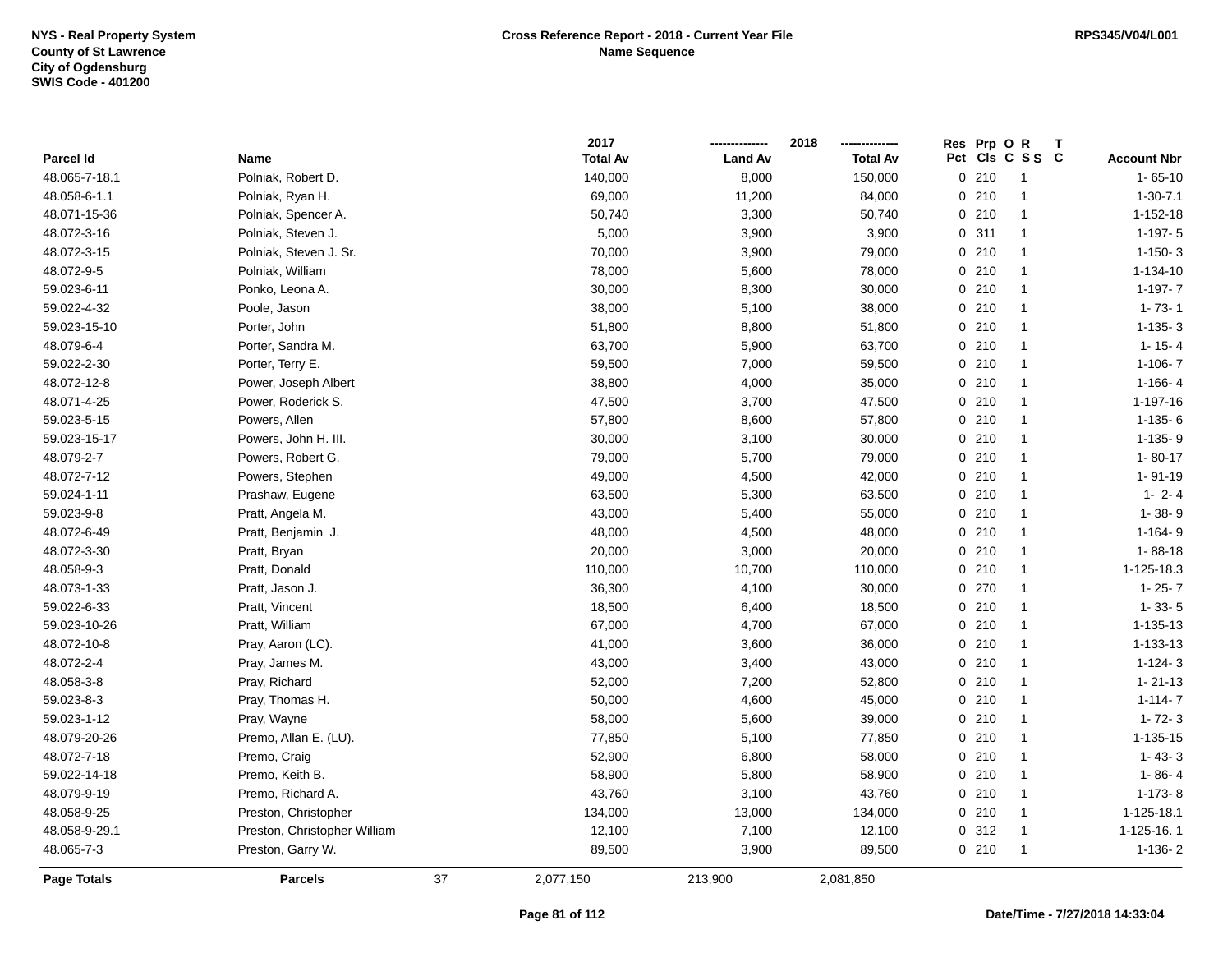|               |                              |    | 2017            |                | 2018            |     | Res Prp O R |                |                    |
|---------------|------------------------------|----|-----------------|----------------|-----------------|-----|-------------|----------------|--------------------|
| Parcel Id     | Name                         |    | <b>Total Av</b> | <b>Land Av</b> | <b>Total Av</b> | Pct |             | CIs C S S C    | <b>Account Nbr</b> |
| 48.065-7-18.1 | Polniak, Robert D.           |    | 140,000         | 8,000          | 150,000         |     | 0210        | -1             | $1 - 65 - 10$      |
| 48.058-6-1.1  | Polniak, Ryan H.             |    | 69,000          | 11,200         | 84,000          |     | 0210        | $\overline{1}$ | $1 - 30 - 7.1$     |
| 48.071-15-36  | Polniak, Spencer A.          |    | 50,740          | 3,300          | 50,740          |     | 0210        | $\mathbf{1}$   | $1 - 152 - 18$     |
| 48.072-3-16   | Polniak, Steven J.           |    | 5,000           | 3,900          | 3,900           |     | 0.311       | $\mathbf{1}$   | $1 - 197 - 5$      |
| 48.072-3-15   | Polniak, Steven J. Sr.       |    | 70,000          | 3,900          | 79,000          |     | 0210        | $\mathbf{1}$   | $1-150-3$          |
| 48.072-9-5    | Polniak, William             |    | 78,000          | 5,600          | 78,000          |     | 0210        | $\mathbf{1}$   | 1-134-10           |
| 59.023-6-11   | Ponko, Leona A.              |    | 30,000          | 8,300          | 30,000          |     | 0210        | $\mathbf{1}$   | $1-197-7$          |
| 59.022-4-32   | Poole, Jason                 |    | 38,000          | 5,100          | 38,000          |     | 0210        | $\mathbf{1}$   | $1 - 73 - 1$       |
| 59.023-15-10  | Porter, John                 |    | 51,800          | 8,800          | 51,800          |     | 0210        | $\mathbf{1}$   | $1-135-3$          |
| 48.079-6-4    | Porter, Sandra M.            |    | 63,700          | 5,900          | 63,700          |     | 0210        | $\mathbf{1}$   | $1 - 15 - 4$       |
| 59.022-2-30   | Porter, Terry E.             |    | 59,500          | 7,000          | 59,500          |     | 0210        | $\mathbf{1}$   | $1-106 - 7$        |
| 48.072-12-8   | Power, Joseph Albert         |    | 38,800          | 4,000          | 35,000          |     | 0210        | $\mathbf{1}$   | $1-166-4$          |
| 48.071-4-25   | Power, Roderick S.           |    | 47,500          | 3,700          | 47,500          |     | 0210        | $\mathbf{1}$   | 1-197-16           |
| 59.023-5-15   | Powers, Allen                |    | 57,800          | 8,600          | 57,800          |     | 0210        | $\mathbf{1}$   | $1-135-6$          |
| 59.023-15-17  | Powers, John H. III.         |    | 30,000          | 3,100          | 30,000          |     | 0210        | $\mathbf{1}$   | $1-135-9$          |
| 48.079-2-7    | Powers, Robert G.            |    | 79,000          | 5,700          | 79,000          |     | 0210        | $\mathbf{1}$   | $1 - 80 - 17$      |
| 48.072-7-12   | Powers, Stephen              |    | 49,000          | 4,500          | 42,000          |     | 0210        | $\mathbf{1}$   | $1 - 91 - 19$      |
| 59.024-1-11   | Prashaw, Eugene              |    | 63,500          | 5,300          | 63,500          |     | 0210        | $\mathbf{1}$   | $1 - 2 - 4$        |
| 59.023-9-8    | Pratt, Angela M.             |    | 43,000          | 5,400          | 55,000          |     | 0210        | $\mathbf{1}$   | $1 - 38 - 9$       |
| 48.072-6-49   | Pratt, Benjamin J.           |    | 48,000          | 4,500          | 48,000          |     | 0210        | $\mathbf{1}$   | $1 - 164 - 9$      |
| 48.072-3-30   | Pratt, Bryan                 |    | 20,000          | 3,000          | 20,000          |     | 0210        | $\mathbf{1}$   | $1 - 88 - 18$      |
| 48.058-9-3    | Pratt, Donald                |    | 110,000         | 10,700         | 110,000         |     | 0210        | $\mathbf{1}$   | 1-125-18.3         |
| 48.073-1-33   | Pratt, Jason J.              |    | 36,300          | 4,100          | 30,000          |     | 0270        | $\mathbf{1}$   | $1 - 25 - 7$       |
| 59.022-6-33   | Pratt, Vincent               |    | 18,500          | 6,400          | 18,500          |     | 0210        | $\mathbf{1}$   | $1 - 33 - 5$       |
| 59.023-10-26  | Pratt, William               |    | 67,000          | 4,700          | 67,000          |     | 0210        | $\mathbf{1}$   | 1-135-13           |
| 48.072-10-8   | Pray, Aaron (LC).            |    | 41,000          | 3,600          | 36,000          |     | 0210        | $\mathbf{1}$   | 1-133-13           |
| 48.072-2-4    | Pray, James M.               |    | 43,000          | 3,400          | 43,000          |     | 0210        | $\mathbf{1}$   | $1 - 124 - 3$      |
| 48.058-3-8    | Pray, Richard                |    | 52,000          | 7,200          | 52,800          |     | 0210        | $\mathbf{1}$   | $1 - 21 - 13$      |
| 59.023-8-3    | Pray, Thomas H.              |    | 50,000          | 4,600          | 45,000          |     | 0210        | 1              | $1 - 114 - 7$      |
| 59.023-1-12   | Pray, Wayne                  |    | 58,000          | 5,600          | 39,000          |     | 0210        | $\mathbf{1}$   | $1 - 72 - 3$       |
| 48.079-20-26  | Premo, Allan E. (LU).        |    | 77,850          | 5,100          | 77,850          |     | 0210        | $\mathbf{1}$   | 1-135-15           |
| 48.072-7-18   | Premo, Craig                 |    | 52,900          | 6,800          | 58,000          |     | 0210        | $\mathbf{1}$   | $1 - 43 - 3$       |
| 59.022-14-18  | Premo, Keith B.              |    | 58,900          | 5,800          | 58,900          |     | 0210        | $\mathbf{1}$   | $1 - 86 - 4$       |
| 48.079-9-19   | Premo, Richard A.            |    | 43,760          | 3,100          | 43,760          |     | 0210        | $\mathbf{1}$   | $1-173-8$          |
| 48.058-9-25   | Preston, Christopher         |    | 134,000         | 13,000         | 134,000         |     | 0210        | $\mathbf{1}$   | 1-125-18.1         |
| 48.058-9-29.1 | Preston, Christopher William |    | 12,100          | 7,100          | 12,100          |     | 0.312       | $\mathbf{1}$   | 1-125-16.1         |
| 48.065-7-3    | Preston, Garry W.            |    | 89,500          | 3,900          | 89,500          |     | 0210        | -1             | $1-136-2$          |
| Page Totals   | <b>Parcels</b>               | 37 | 2,077,150       | 213,900        | 2,081,850       |     |             |                |                    |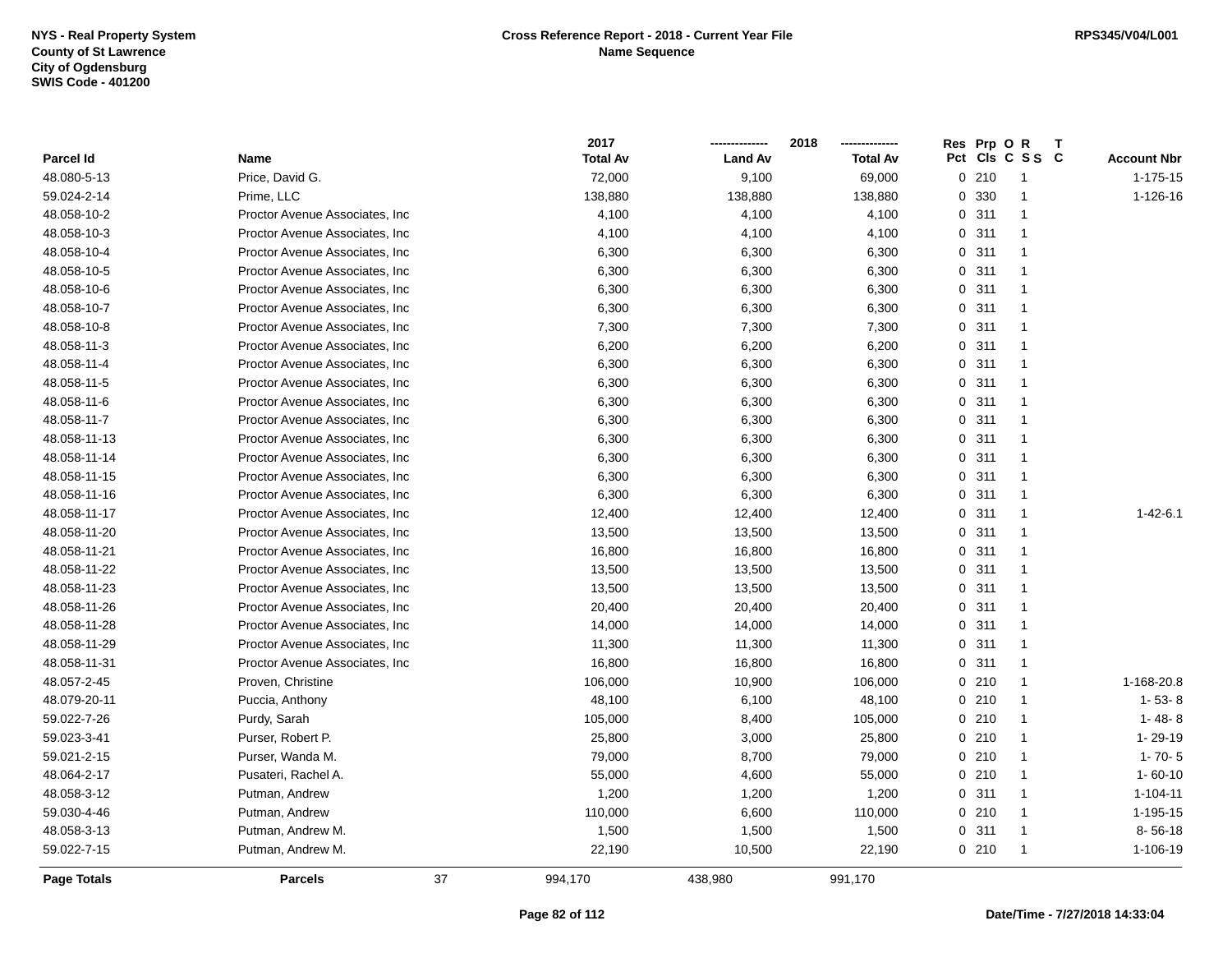|              |                                 | 2017            |                | 2018<br>        |     | Res Prp O R |              | T |                    |
|--------------|---------------------------------|-----------------|----------------|-----------------|-----|-------------|--------------|---|--------------------|
| Parcel Id    | Name                            | <b>Total Av</b> | <b>Land Av</b> | <b>Total Av</b> | Pct |             | CIs C S S C  |   | <b>Account Nbr</b> |
| 48.080-5-13  | Price, David G.                 | 72,000          | 9,100          | 69,000          |     | 0210        | 1            |   | 1-175-15           |
| 59.024-2-14  | Prime, LLC                      | 138,880         | 138,880        | 138,880         |     | 0 330       | $\mathbf{1}$ |   | 1-126-16           |
| 48.058-10-2  | Proctor Avenue Associates, Inc. | 4,100           | 4,100          | 4,100           |     | 0.311       | $\mathbf{1}$ |   |                    |
| 48.058-10-3  | Proctor Avenue Associates, Inc. | 4,100           | 4,100          | 4,100           |     | 0.311       | $\mathbf{1}$ |   |                    |
| 48.058-10-4  | Proctor Avenue Associates, Inc. | 6,300           | 6,300          | 6,300           |     | 0.311       | $\mathbf{1}$ |   |                    |
| 48.058-10-5  | Proctor Avenue Associates, Inc. | 6,300           | 6,300          | 6,300           |     | 0.311       | $\mathbf{1}$ |   |                    |
| 48.058-10-6  | Proctor Avenue Associates, Inc. | 6,300           | 6,300          | 6,300           |     | 0.311       | $\mathbf{1}$ |   |                    |
| 48.058-10-7  | Proctor Avenue Associates, Inc. | 6,300           | 6,300          | 6,300           |     | 0.311       | $\mathbf{1}$ |   |                    |
| 48.058-10-8  | Proctor Avenue Associates, Inc. | 7,300           | 7,300          | 7,300           |     | 0.311       | $\mathbf{1}$ |   |                    |
| 48.058-11-3  | Proctor Avenue Associates, Inc. | 6,200           | 6,200          | 6,200           |     | 0.311       | $\mathbf{1}$ |   |                    |
| 48.058-11-4  | Proctor Avenue Associates, Inc. | 6,300           | 6,300          | 6,300           |     | 0.311       | $\mathbf{1}$ |   |                    |
| 48.058-11-5  | Proctor Avenue Associates, Inc. | 6,300           | 6,300          | 6,300           |     | 0.311       | $\mathbf{1}$ |   |                    |
| 48.058-11-6  | Proctor Avenue Associates, Inc. | 6,300           | 6,300          | 6,300           |     | 0.311       | $\mathbf{1}$ |   |                    |
| 48.058-11-7  | Proctor Avenue Associates, Inc. | 6,300           | 6,300          | 6,300           |     | 0.311       | $\mathbf{1}$ |   |                    |
| 48.058-11-13 | Proctor Avenue Associates, Inc. | 6,300           | 6,300          | 6,300           |     | 0.311       | $\mathbf{1}$ |   |                    |
| 48.058-11-14 | Proctor Avenue Associates, Inc. | 6,300           | 6,300          | 6,300           |     | 0.311       | $\mathbf{1}$ |   |                    |
| 48.058-11-15 | Proctor Avenue Associates, Inc. | 6,300           | 6,300          | 6,300           |     | 0.311       | $\mathbf{1}$ |   |                    |
| 48.058-11-16 | Proctor Avenue Associates, Inc. | 6,300           | 6,300          | 6,300           |     | 0.311       | $\mathbf{1}$ |   |                    |
| 48.058-11-17 | Proctor Avenue Associates, Inc. | 12,400          | 12,400         | 12,400          |     | 0.311       | $\mathbf{1}$ |   | $1 - 42 - 6.1$     |
| 48.058-11-20 | Proctor Avenue Associates, Inc. | 13,500          | 13,500         | 13,500          |     | 0.311       | $\mathbf{1}$ |   |                    |
| 48.058-11-21 | Proctor Avenue Associates, Inc. | 16,800          | 16,800         | 16,800          |     | 0.311       | $\mathbf{1}$ |   |                    |
| 48.058-11-22 | Proctor Avenue Associates, Inc. | 13,500          | 13,500         | 13,500          |     | 0.311       | $\mathbf{1}$ |   |                    |
| 48.058-11-23 | Proctor Avenue Associates, Inc  | 13,500          | 13,500         | 13,500          |     | 0.311       | $\mathbf{1}$ |   |                    |
| 48.058-11-26 | Proctor Avenue Associates, Inc. | 20,400          | 20,400         | 20,400          |     | 0.311       | $\mathbf{1}$ |   |                    |
| 48.058-11-28 | Proctor Avenue Associates, Inc. | 14,000          | 14,000         | 14,000          |     | 0.311       | $\mathbf{1}$ |   |                    |
| 48.058-11-29 | Proctor Avenue Associates, Inc. | 11,300          | 11,300         | 11,300          |     | 0.311       | $\mathbf{1}$ |   |                    |
| 48.058-11-31 | Proctor Avenue Associates, Inc. | 16,800          | 16,800         | 16,800          |     | 0.311       | $\mathbf{1}$ |   |                    |
| 48.057-2-45  | Proven, Christine               | 106,000         | 10,900         | 106,000         |     | 0210        | 1            |   | 1-168-20.8         |
| 48.079-20-11 | Puccia, Anthony                 | 48,100          | 6,100          | 48,100          |     | 0210        | $\mathbf{1}$ |   | $1 - 53 - 8$       |
| 59.022-7-26  | Purdy, Sarah                    | 105,000         | 8,400          | 105,000         |     | 0210        | $\mathbf{1}$ |   | $1 - 48 - 8$       |
| 59.023-3-41  | Purser, Robert P.               | 25,800          | 3,000          | 25,800          |     | 0210        | $\mathbf{1}$ |   | 1-29-19            |
| 59.021-2-15  | Purser, Wanda M.                | 79,000          | 8,700          | 79,000          |     | 0210        | $\mathbf{1}$ |   | $1 - 70 - 5$       |
| 48.064-2-17  | Pusateri, Rachel A.             | 55,000          | 4,600          | 55,000          |     | 0210        | $\mathbf{1}$ |   | $1 - 60 - 10$      |
| 48.058-3-12  | Putman, Andrew                  | 1,200           | 1,200          | 1,200           |     | 0.311       | $\mathbf{1}$ |   | $1 - 104 - 11$     |
| 59.030-4-46  | Putman, Andrew                  | 110,000         | 6,600          | 110,000         |     | 0210        | $\mathbf{1}$ |   | 1-195-15           |
| 48.058-3-13  | Putman, Andrew M.               | 1,500           | 1,500          | 1,500           |     | 0.311       | $\mathbf{1}$ |   | $8 - 56 - 18$      |
| 59.022-7-15  | Putman, Andrew M.               | 22,190          | 10,500         | 22,190          |     | 0210        | $\mathbf{1}$ |   | 1-106-19           |
| Page Totals  | <b>Parcels</b>                  | 37<br>994,170   | 438,980        | 991,170         |     |             |              |   |                    |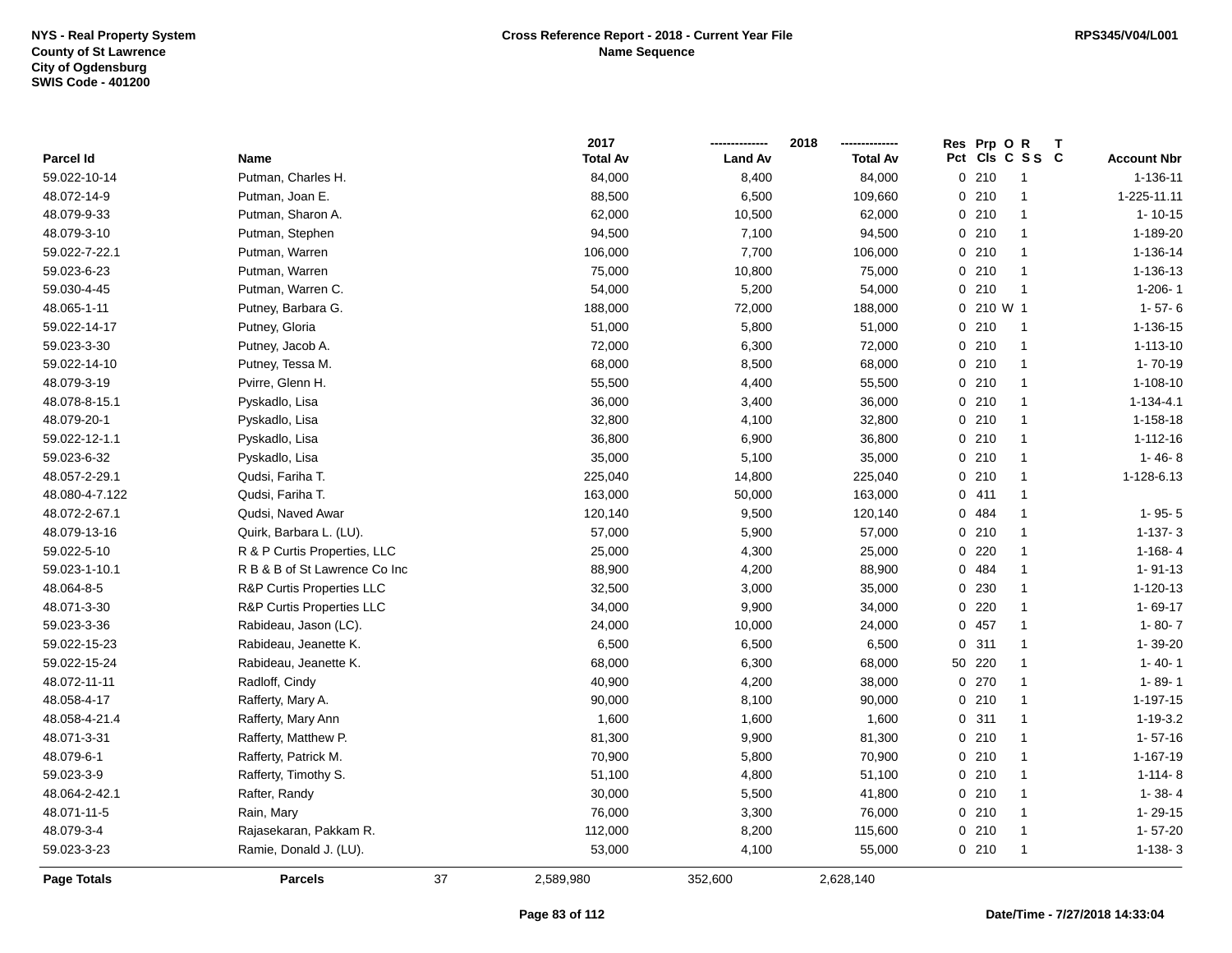|                    |                                      |    | 2017            |                | 2018            | Res Prp O R |                 |                    |
|--------------------|--------------------------------------|----|-----------------|----------------|-----------------|-------------|-----------------|--------------------|
| Parcel Id          | Name                                 |    | <b>Total Av</b> | <b>Land Av</b> | <b>Total Av</b> |             | Pct Cls C S S C | <b>Account Nbr</b> |
| 59.022-10-14       | Putman, Charles H.                   |    | 84,000          | 8,400          | 84,000          | 0210        | $\overline{1}$  | 1-136-11           |
| 48.072-14-9        | Putman, Joan E.                      |    | 88,500          | 6,500          | 109,660         | 0210        | $\overline{1}$  | 1-225-11.11        |
| 48.079-9-33        | Putman, Sharon A.                    |    | 62,000          | 10,500         | 62,000          | 0210        | $\overline{1}$  | $1 - 10 - 15$      |
| 48.079-3-10        | Putman, Stephen                      |    | 94,500          | 7,100          | 94,500          | 0210        | $\overline{1}$  | 1-189-20           |
| 59.022-7-22.1      | Putman, Warren                       |    | 106,000         | 7,700          | 106,000         | 0210        | $\overline{1}$  | 1-136-14           |
| 59.023-6-23        | Putman, Warren                       |    | 75,000          | 10,800         | 75,000          | 0210        | $\overline{1}$  | 1-136-13           |
| 59.030-4-45        | Putman, Warren C.                    |    | 54,000          | 5,200          | 54,000          | 0210        | $\overline{1}$  | $1 - 206 - 1$      |
| 48.065-1-11        | Putney, Barbara G.                   |    | 188,000         | 72,000         | 188,000         | 0 210 W 1   |                 | $1 - 57 - 6$       |
| 59.022-14-17       | Putney, Gloria                       |    | 51,000          | 5,800          | 51,000          | 0210        | $\overline{1}$  | 1-136-15           |
| 59.023-3-30        | Putney, Jacob A.                     |    | 72,000          | 6,300          | 72,000          | 0210        | $\overline{1}$  | $1 - 113 - 10$     |
| 59.022-14-10       | Putney, Tessa M.                     |    | 68,000          | 8,500          | 68,000          | 0210        | $\overline{1}$  | $1 - 70 - 19$      |
| 48.079-3-19        | Pvirre, Glenn H.                     |    | 55,500          | 4,400          | 55,500          | 0210        | $\mathbf{1}$    | $1 - 108 - 10$     |
| 48.078-8-15.1      | Pyskadlo, Lisa                       |    | 36,000          | 3,400          | 36,000          | 0210        | $\mathbf{1}$    | $1 - 134 - 4.1$    |
| 48.079-20-1        | Pyskadlo, Lisa                       |    | 32,800          | 4,100          | 32,800          | 0210        | $\overline{1}$  | 1-158-18           |
| 59.022-12-1.1      | Pyskadlo, Lisa                       |    | 36,800          | 6,900          | 36,800          | 0210        | $\overline{1}$  | $1 - 112 - 16$     |
| 59.023-6-32        | Pyskadlo, Lisa                       |    | 35,000          | 5,100          | 35,000          | 0210        | $\overline{1}$  | $1 - 46 - 8$       |
| 48.057-2-29.1      | Qudsi, Fariha T.                     |    | 225,040         | 14,800         | 225,040         | 0210        | $\overline{1}$  | 1-128-6.13         |
| 48.080-4-7.122     | Qudsi, Fariha T.                     |    | 163,000         | 50,000         | 163,000         | 0411        | $\overline{1}$  |                    |
| 48.072-2-67.1      | Qudsi, Naved Awar                    |    | 120,140         | 9,500          | 120,140         | 0 484       | $\overline{1}$  | $1 - 95 - 5$       |
| 48.079-13-16       | Quirk, Barbara L. (LU).              |    | 57,000          | 5,900          | 57,000          | 0210        | $\mathbf{1}$    | $1-137-3$          |
| 59.022-5-10        | R & P Curtis Properties, LLC         |    | 25,000          | 4,300          | 25,000          | 0220        | $\mathbf{1}$    | $1 - 168 - 4$      |
| 59.023-1-10.1      | R B & B of St Lawrence Co Inc        |    | 88,900          | 4,200          | 88,900          | 0 484       | $\mathbf{1}$    | $1 - 91 - 13$      |
| 48.064-8-5         | <b>R&amp;P Curtis Properties LLC</b> |    | 32,500          | 3,000          | 35,000          | 0 230       | $\overline{1}$  | $1 - 120 - 13$     |
| 48.071-3-30        | R&P Curtis Properties LLC            |    | 34,000          | 9,900          | 34,000          | $0$ 220     | $\overline{1}$  | $1 - 69 - 17$      |
| 59.023-3-36        | Rabideau, Jason (LC).                |    | 24,000          | 10,000         | 24,000          | 0 457       | $\overline{1}$  | $1 - 80 - 7$       |
| 59.022-15-23       | Rabideau, Jeanette K.                |    | 6,500           | 6,500          | 6,500           | 0.311       | $\mathbf{1}$    | 1-39-20            |
| 59.022-15-24       | Rabideau, Jeanette K.                |    | 68,000          | 6,300          | 68,000          | 50 220      | $\mathbf{1}$    | $1 - 40 - 1$       |
| 48.072-11-11       | Radloff, Cindy                       |    | 40,900          | 4,200          | 38,000          | 0270        | $\overline{1}$  | $1 - 89 - 1$       |
| 48.058-4-17        | Rafferty, Mary A.                    |    | 90,000          | 8,100          | 90,000          | 0210        | $\mathbf{1}$    | 1-197-15           |
| 48.058-4-21.4      | Rafferty, Mary Ann                   |    | 1,600           | 1,600          | 1,600           | 0.311       | $\overline{1}$  | $1 - 19 - 3.2$     |
| 48.071-3-31        | Rafferty, Matthew P.                 |    | 81,300          | 9,900          | 81,300          | 0210        | $\mathbf{1}$    | $1 - 57 - 16$      |
| 48.079-6-1         | Rafferty, Patrick M.                 |    | 70,900          | 5,800          | 70,900          | 0210        | $\overline{1}$  | 1-167-19           |
| 59.023-3-9         | Rafferty, Timothy S.                 |    | 51,100          | 4,800          | 51,100          | 0210        | $\overline{1}$  | $1 - 114 - 8$      |
| 48.064-2-42.1      | Rafter, Randy                        |    | 30,000          | 5,500          | 41,800          | 0210        | $\mathbf{1}$    | $1 - 38 - 4$       |
| 48.071-11-5        | Rain, Mary                           |    | 76,000          | 3,300          | 76,000          | 0210        | $\mathbf{1}$    | 1-29-15            |
| 48.079-3-4         | Rajasekaran, Pakkam R.               |    | 112,000         | 8,200          | 115,600         | 0210        | $\overline{1}$  | 1-57-20            |
| 59.023-3-23        | Ramie, Donald J. (LU).               |    | 53,000          | 4,100          | 55,000          | 0210        | $\mathbf{1}$    | $1 - 138 - 3$      |
| <b>Page Totals</b> | <b>Parcels</b>                       | 37 | 2,589,980       | 352,600        | 2,628,140       |             |                 |                    |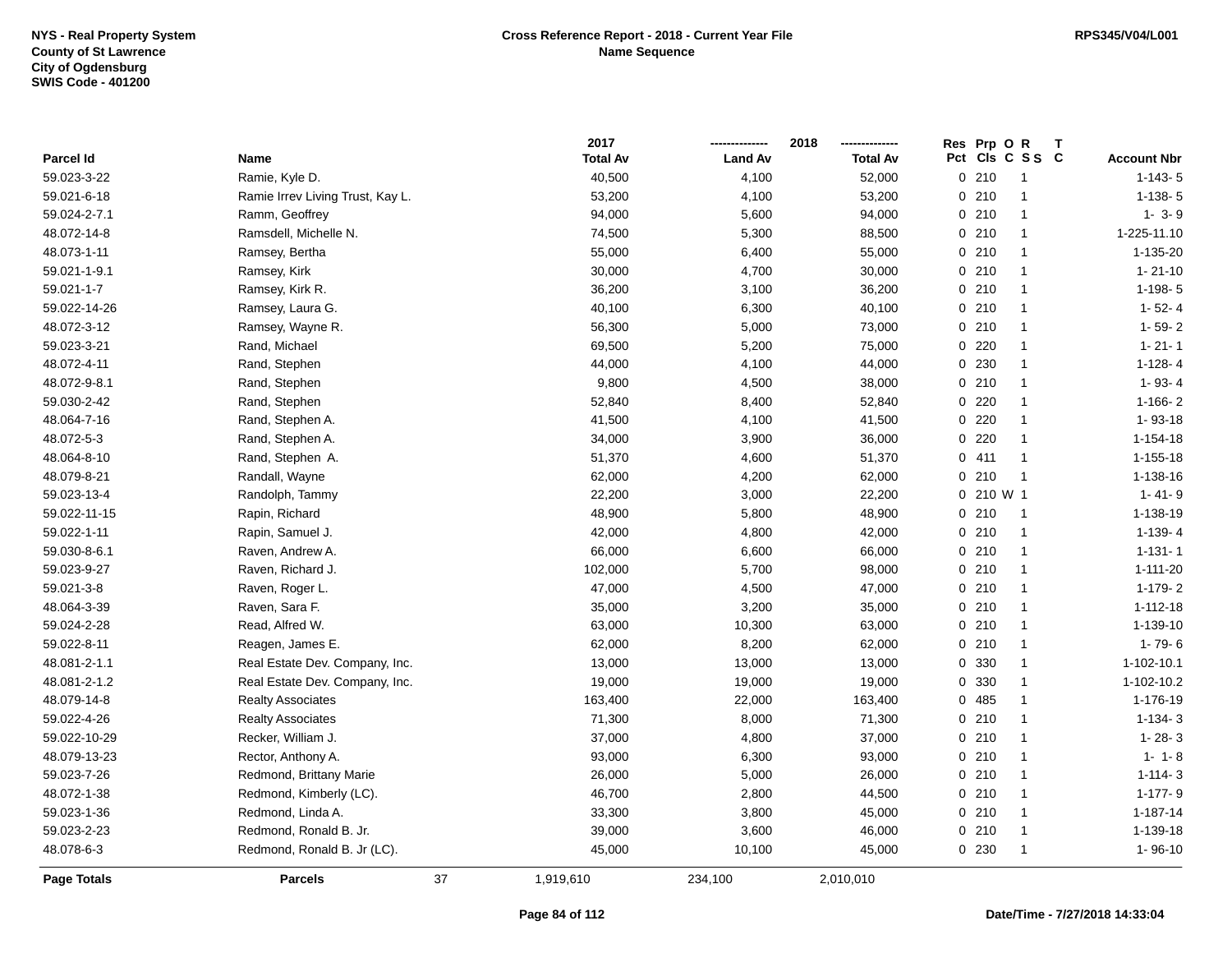|              |                                  |    | 2017            |                | 2018            | Res Prp O R |                         |                    |
|--------------|----------------------------------|----|-----------------|----------------|-----------------|-------------|-------------------------|--------------------|
| Parcel Id    | Name                             |    | <b>Total Av</b> | <b>Land Av</b> | <b>Total Av</b> |             | Pct Cls C S S C         | <b>Account Nbr</b> |
| 59.023-3-22  | Ramie, Kyle D.                   |    | 40,500          | 4,100          | 52,000          | 0210        | $\overline{\mathbf{1}}$ | $1 - 143 - 5$      |
| 59.021-6-18  | Ramie Irrev Living Trust, Kay L. |    | 53,200          | 4,100          | 53,200          | 0210        | $\overline{1}$          | $1-138-5$          |
| 59.024-2-7.1 | Ramm, Geoffrey                   |    | 94,000          | 5,600          | 94,000          | 0210        | $\overline{1}$          | $1 - 3 - 9$        |
| 48.072-14-8  | Ramsdell, Michelle N.            |    | 74,500          | 5,300          | 88,500          | 0210        | $\overline{1}$          | 1-225-11.10        |
| 48.073-1-11  | Ramsey, Bertha                   |    | 55,000          | 6,400          | 55,000          | 0210        | $\mathbf{1}$            | 1-135-20           |
| 59.021-1-9.1 | Ramsey, Kirk                     |    | 30,000          | 4,700          | 30,000          | 0210        | $\overline{1}$          | $1 - 21 - 10$      |
| 59.021-1-7   | Ramsey, Kirk R.                  |    | 36,200          | 3,100          | 36,200          | 0210        | $\overline{1}$          | $1-198-5$          |
| 59.022-14-26 | Ramsey, Laura G.                 |    | 40,100          | 6,300          | 40,100          | 0210        | $\overline{1}$          | $1 - 52 - 4$       |
| 48.072-3-12  | Ramsey, Wayne R.                 |    | 56,300          | 5,000          | 73,000          | 0210        | $\overline{1}$          | $1 - 59 - 2$       |
| 59.023-3-21  | Rand, Michael                    |    | 69,500          | 5,200          | 75,000          | 0220        | $\overline{1}$          | $1 - 21 - 1$       |
| 48.072-4-11  | Rand, Stephen                    |    | 44,000          | 4,100          | 44,000          | 0 230       | $\overline{1}$          | $1 - 128 - 4$      |
| 48.072-9-8.1 | Rand, Stephen                    |    | 9,800           | 4,500          | 38,000          | 0210        | $\mathbf{1}$            | $1 - 93 - 4$       |
| 59.030-2-42  | Rand, Stephen                    |    | 52,840          | 8,400          | 52,840          | $0$ 220     | $\mathbf 1$             | $1-166-2$          |
| 48.064-7-16  | Rand, Stephen A.                 |    | 41,500          | 4,100          | 41,500          | 0220        | $\overline{1}$          | 1-93-18            |
| 48.072-5-3   | Rand, Stephen A.                 |    | 34,000          | 3,900          | 36,000          | 0220        | $\overline{1}$          | $1 - 154 - 18$     |
| 48.064-8-10  | Rand, Stephen A.                 |    | 51,370          | 4,600          | 51,370          | 0411        | $\overline{1}$          | $1 - 155 - 18$     |
| 48.079-8-21  | Randall, Wayne                   |    | 62,000          | 4,200          | 62,000          | 0210        | $\overline{1}$          | 1-138-16           |
| 59.023-13-4  | Randolph, Tammy                  |    | 22,200          | 3,000          | 22,200          | 0 210 W 1   |                         | $1 - 41 - 9$       |
| 59.022-11-15 | Rapin, Richard                   |    | 48,900          | 5,800          | 48,900          | 0210        | $\overline{1}$          | 1-138-19           |
| 59.022-1-11  | Rapin, Samuel J.                 |    | 42,000          | 4,800          | 42,000          | 0210        | $\overline{1}$          | $1 - 139 - 4$      |
| 59.030-8-6.1 | Raven, Andrew A.                 |    | 66,000          | 6,600          | 66,000          | 0210        | $\overline{1}$          | $1 - 131 - 1$      |
| 59.023-9-27  | Raven, Richard J.                |    | 102,000         | 5,700          | 98,000          | 0210        | $\overline{1}$          | 1-111-20           |
| 59.021-3-8   | Raven, Roger L.                  |    | 47,000          | 4,500          | 47,000          | 0210        | $\overline{1}$          | 1-179-2            |
| 48.064-3-39  | Raven, Sara F.                   |    | 35,000          | 3,200          | 35,000          | 0210        | $\overline{1}$          | $1 - 112 - 18$     |
| 59.024-2-28  | Read, Alfred W.                  |    | 63,000          | 10,300         | 63,000          | 0210        | $\overline{1}$          | 1-139-10           |
| 59.022-8-11  | Reagen, James E.                 |    | 62,000          | 8,200          | 62,000          | 0210        | $\overline{1}$          | $1 - 79 - 6$       |
| 48.081-2-1.1 | Real Estate Dev. Company, Inc.   |    | 13,000          | 13,000         | 13,000          | 0 330       | $\overline{1}$          | 1-102-10.1         |
| 48.081-2-1.2 | Real Estate Dev. Company, Inc.   |    | 19,000          | 19,000         | 19,000          | 0 330       | $\mathbf{1}$            | 1-102-10.2         |
| 48.079-14-8  | <b>Realty Associates</b>         |    | 163,400         | 22,000         | 163,400         | 0485        | -1                      | 1-176-19           |
| 59.022-4-26  | <b>Realty Associates</b>         |    | 71,300          | 8,000          | 71,300          | 0210        | $\overline{1}$          | $1-134-3$          |
| 59.022-10-29 | Recker, William J.               |    | 37,000          | 4,800          | 37,000          | 0210        | $\overline{1}$          | $1 - 28 - 3$       |
| 48.079-13-23 | Rector, Anthony A.               |    | 93,000          | 6,300          | 93,000          | 0210        | $\overline{1}$          | $1 - 1 - 8$        |
| 59.023-7-26  | Redmond, Brittany Marie          |    | 26,000          | 5,000          | 26,000          | 0210        | $\overline{1}$          | $1 - 114 - 3$      |
| 48.072-1-38  | Redmond, Kimberly (LC).          |    | 46,700          | 2,800          | 44,500          | 0210        | $\overline{1}$          | $1 - 177 - 9$      |
| 59.023-1-36  | Redmond, Linda A.                |    | 33,300          | 3,800          | 45,000          | 0210        | $\overline{1}$          | 1-187-14           |
| 59.023-2-23  | Redmond, Ronald B. Jr.           |    | 39,000          | 3,600          | 46,000          | 0210        | $\overline{1}$          | 1-139-18           |
| 48.078-6-3   | Redmond, Ronald B. Jr (LC).      |    | 45,000          | 10,100         | 45,000          | 0 230       | $\overline{1}$          | 1-96-10            |
| Page Totals  | <b>Parcels</b>                   | 37 | 1,919,610       | 234,100        | 2,010,010       |             |                         |                    |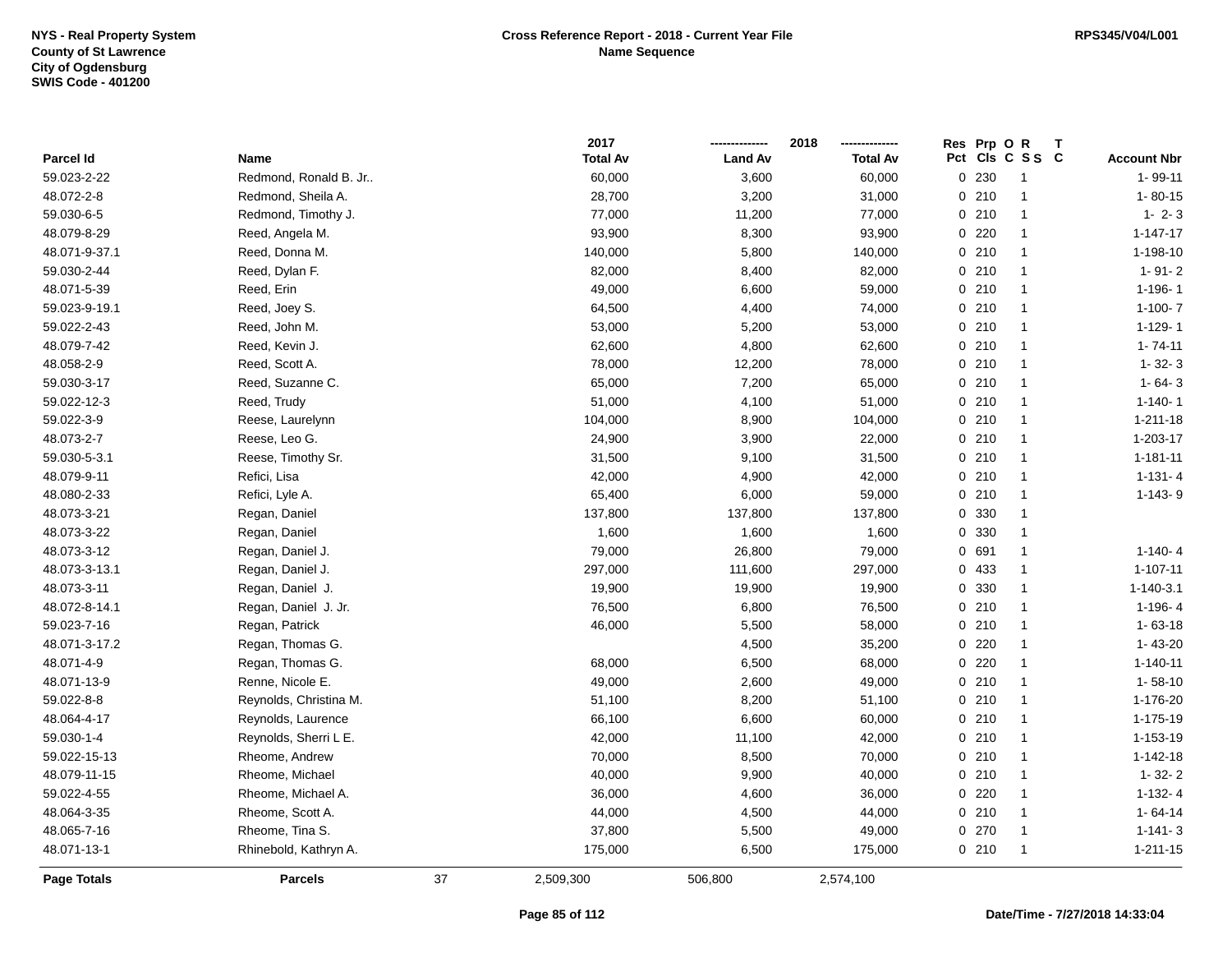|                    |                        |    | 2017            |                | 2018            | Res Prp O R |                 |                    |
|--------------------|------------------------|----|-----------------|----------------|-----------------|-------------|-----------------|--------------------|
| Parcel Id          | Name                   |    | <b>Total Av</b> | <b>Land Av</b> | <b>Total Av</b> |             | Pct Cls C S S C | <b>Account Nbr</b> |
| 59.023-2-22        | Redmond, Ronald B. Jr  |    | 60,000          | 3,600          | 60,000          | 0 230       | $\overline{1}$  | 1-99-11            |
| 48.072-2-8         | Redmond, Sheila A.     |    | 28,700          | 3,200          | 31,000          | 0210        | $\overline{1}$  | $1 - 80 - 15$      |
| 59.030-6-5         | Redmond, Timothy J.    |    | 77,000          | 11,200         | 77,000          | 0210        | $\mathbf{1}$    | $1 - 2 - 3$        |
| 48.079-8-29        | Reed, Angela M.        |    | 93,900          | 8,300          | 93,900          | $0$ 220     | $\overline{1}$  | $1 - 147 - 17$     |
| 48.071-9-37.1      | Reed, Donna M.         |    | 140,000         | 5,800          | 140,000         | 0210        | $\mathbf{1}$    | 1-198-10           |
| 59.030-2-44        | Reed, Dylan F.         |    | 82,000          | 8,400          | 82,000          | 0210        | $\mathbf{1}$    | $1 - 91 - 2$       |
| 48.071-5-39        | Reed, Erin             |    | 49,000          | 6,600          | 59,000          | 0210        | $\mathbf{1}$    | 1-196-1            |
| 59.023-9-19.1      | Reed, Joey S.          |    | 64,500          | 4,400          | 74,000          | 0210        | $\overline{1}$  | $1-100-7$          |
| 59.022-2-43        | Reed, John M.          |    | 53,000          | 5,200          | 53,000          | 0210        | $\mathbf{1}$    | $1 - 129 - 1$      |
| 48.079-7-42        | Reed, Kevin J.         |    | 62,600          | 4,800          | 62,600          | 0210        | $\mathbf{1}$    | $1 - 74 - 11$      |
| 48.058-2-9         | Reed, Scott A.         |    | 78,000          | 12,200         | 78,000          | 0210        | $\mathbf{1}$    | $1 - 32 - 3$       |
| 59.030-3-17        | Reed, Suzanne C.       |    | 65,000          | 7,200          | 65,000          | 0210        | $\mathbf{1}$    | $1 - 64 - 3$       |
| 59.022-12-3        | Reed, Trudy            |    | 51,000          | 4,100          | 51,000          | 0210        | $\mathbf{1}$    | $1 - 140 - 1$      |
| 59.022-3-9         | Reese, Laurelynn       |    | 104,000         | 8,900          | 104,000         | 0210        | $\overline{1}$  | $1 - 211 - 18$     |
| 48.073-2-7         | Reese, Leo G.          |    | 24,900          | 3,900          | 22,000          | 0210        | $\mathbf{1}$    | 1-203-17           |
| 59.030-5-3.1       | Reese, Timothy Sr.     |    | 31,500          | 9,100          | 31,500          | 0210        | $\mathbf{1}$    | $1 - 181 - 11$     |
| 48.079-9-11        | Refici, Lisa           |    | 42,000          | 4,900          | 42,000          | 0210        | $\mathbf{1}$    | $1 - 131 - 4$      |
| 48.080-2-33        | Refici, Lyle A.        |    | 65,400          | 6,000          | 59,000          | 0210        | $\mathbf{1}$    | $1 - 143 - 9$      |
| 48.073-3-21        | Regan, Daniel          |    | 137,800         | 137,800        | 137,800         | 0 330       | $\mathbf{1}$    |                    |
| 48.073-3-22        | Regan, Daniel          |    | 1,600           | 1,600          | 1,600           | 0 330       | $\mathbf{1}$    |                    |
| 48.073-3-12        | Regan, Daniel J.       |    | 79,000          | 26,800         | 79,000          | 0 691       | $\mathbf{1}$    | $1 - 140 - 4$      |
| 48.073-3-13.1      | Regan, Daniel J.       |    | 297,000         | 111,600        | 297,000         | 0 433       | $\mathbf{1}$    | $1 - 107 - 11$     |
| 48.073-3-11        | Regan, Daniel J.       |    | 19,900          | 19,900         | 19,900          | 0 330       | $\mathbf{1}$    | $1 - 140 - 3.1$    |
| 48.072-8-14.1      | Regan, Daniel J. Jr.   |    | 76,500          | 6,800          | 76,500          | 0210        | $\overline{1}$  | $1 - 196 - 4$      |
| 59.023-7-16        | Regan, Patrick         |    | 46,000          | 5,500          | 58,000          | 0210        | $\mathbf{1}$    | $1 - 63 - 18$      |
| 48.071-3-17.2      | Regan, Thomas G.       |    |                 | 4,500          | 35,200          | 0220        | $\mathbf{1}$    | $1 - 43 - 20$      |
| 48.071-4-9         | Regan, Thomas G.       |    | 68,000          | 6,500          | 68,000          | 0220        | $\mathbf{1}$    | $1 - 140 - 11$     |
| 48.071-13-9        | Renne, Nicole E.       |    | 49,000          | 2,600          | 49,000          | 0210        | $\mathbf{1}$    | $1 - 58 - 10$      |
| 59.022-8-8         | Reynolds, Christina M. |    | 51,100          | 8,200          | 51,100          | 0210        | $\mathbf{1}$    | 1-176-20           |
| 48.064-4-17        | Reynolds, Laurence     |    | 66,100          | 6,600          | 60,000          | 0210        | $\mathbf{1}$    | 1-175-19           |
| 59.030-1-4         | Reynolds, Sherri L E.  |    | 42,000          | 11,100         | 42,000          | 0210        | $\overline{1}$  | 1-153-19           |
| 59.022-15-13       | Rheome, Andrew         |    | 70,000          | 8,500          | 70,000          | 0210        | $\mathbf{1}$    | $1 - 142 - 18$     |
| 48.079-11-15       | Rheome, Michael        |    | 40,000          | 9,900          | 40,000          | 0210        | $\overline{1}$  | $1 - 32 - 2$       |
| 59.022-4-55        | Rheome, Michael A.     |    | 36,000          | 4,600          | 36,000          | $0$ 220     | $\mathbf{1}$    | $1-132-4$          |
| 48.064-3-35        | Rheome, Scott A.       |    | 44,000          | 4,500          | 44,000          | 0210        | $\overline{1}$  | $1 - 64 - 14$      |
| 48.065-7-16        | Rheome, Tina S.        |    | 37,800          | 5,500          | 49,000          | 0 270       | $\mathbf{1}$    | $1 - 141 - 3$      |
| 48.071-13-1        | Rhinebold, Kathryn A.  |    | 175,000         | 6,500          | 175,000         | 0210        | $\mathbf{1}$    | $1 - 211 - 15$     |
| <b>Page Totals</b> | <b>Parcels</b>         | 37 | 2,509,300       | 506,800        | 2,574,100       |             |                 |                    |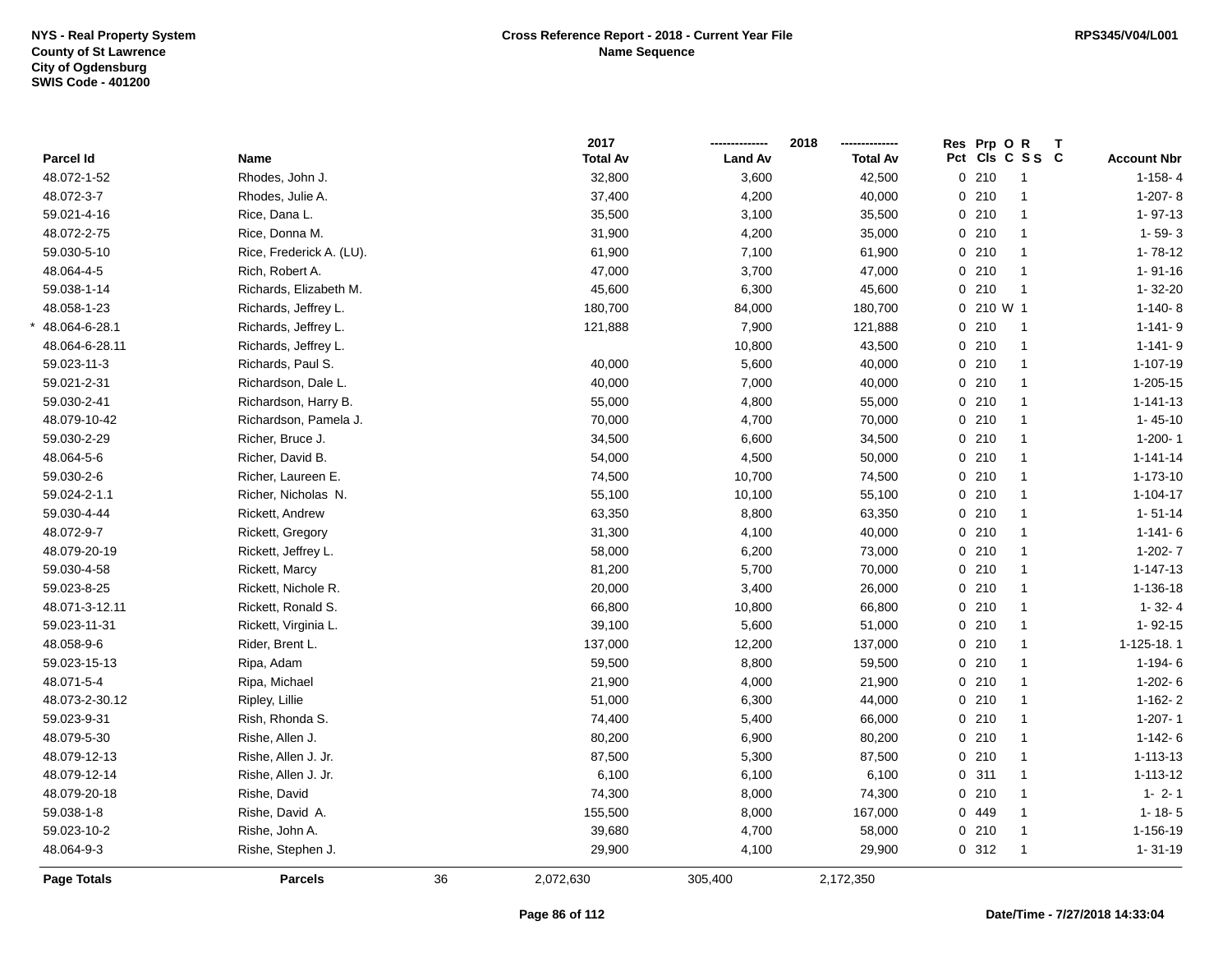|                    |                          |    | 2017            |                | 2018            | Res Prp O R |                 | Т |                    |
|--------------------|--------------------------|----|-----------------|----------------|-----------------|-------------|-----------------|---|--------------------|
| Parcel Id          | Name                     |    | <b>Total Av</b> | <b>Land Av</b> | <b>Total Av</b> |             | Pct Cls C S S C |   | <b>Account Nbr</b> |
| 48.072-1-52        | Rhodes, John J.          |    | 32,800          | 3,600          | 42,500          | 0210        | $\overline{1}$  |   | $1-158-4$          |
| 48.072-3-7         | Rhodes, Julie A.         |    | 37,400          | 4,200          | 40,000          | 0210        | $\mathbf{1}$    |   | $1-207 - 8$        |
| 59.021-4-16        | Rice, Dana L.            |    | 35,500          | 3,100          | 35,500          | 0210        | $\mathbf{1}$    |   | $1 - 97 - 13$      |
| 48.072-2-75        | Rice, Donna M.           |    | 31,900          | 4,200          | 35,000          | 0210        | $\mathbf{1}$    |   | $1 - 59 - 3$       |
| 59.030-5-10        | Rice, Frederick A. (LU). |    | 61,900          | 7,100          | 61,900          | 0210        | $\mathbf{1}$    |   | $1 - 78 - 12$      |
| 48.064-4-5         | Rich, Robert A.          |    | 47,000          | 3,700          | 47,000          | 0210        | $\mathbf{1}$    |   | $1 - 91 - 16$      |
| 59.038-1-14        | Richards, Elizabeth M.   |    | 45,600          | 6,300          | 45,600          | 0210        | $\mathbf{1}$    |   | $1 - 32 - 20$      |
| 48.058-1-23        | Richards, Jeffrey L.     |    | 180,700         | 84,000         | 180,700         | 0 210 W 1   |                 |   | $1-140-8$          |
| 48.064-6-28.1      | Richards, Jeffrey L.     |    | 121,888         | 7,900          | 121,888         | 0210        | $\overline{1}$  |   | $1 - 141 - 9$      |
| 48.064-6-28.11     | Richards, Jeffrey L.     |    |                 | 10,800         | 43,500          | 0210        | $\mathbf{1}$    |   | $1 - 141 - 9$      |
| 59.023-11-3        | Richards, Paul S.        |    | 40,000          | 5,600          | 40,000          | 0210        | $\mathbf{1}$    |   | 1-107-19           |
| 59.021-2-31        | Richardson, Dale L.      |    | 40,000          | 7,000          | 40,000          | 0210        | $\mathbf{1}$    |   | 1-205-15           |
| 59.030-2-41        | Richardson, Harry B.     |    | 55,000          | 4,800          | 55,000          | 0210        | $\mathbf{1}$    |   | $1 - 141 - 13$     |
| 48.079-10-42       | Richardson, Pamela J.    |    | 70,000          | 4,700          | 70,000          | 0210        | $\mathbf{1}$    |   | $1 - 45 - 10$      |
| 59.030-2-29        | Richer, Bruce J.         |    | 34,500          | 6,600          | 34,500          | 0210        | $\mathbf{1}$    |   | $1-200-1$          |
| 48.064-5-6         | Richer, David B.         |    | 54,000          | 4,500          | 50,000          | 0210        | $\mathbf{1}$    |   | $1 - 141 - 14$     |
| 59.030-2-6         | Richer, Laureen E.       |    | 74,500          | 10,700         | 74,500          | 0210        | $\mathbf{1}$    |   | 1-173-10           |
| 59.024-2-1.1       | Richer, Nicholas N.      |    | 55,100          | 10,100         | 55,100          | 0210        | $\mathbf{1}$    |   | $1 - 104 - 17$     |
| 59.030-4-44        | Rickett, Andrew          |    | 63,350          | 8,800          | 63,350          | 0210        | $\mathbf{1}$    |   | $1 - 51 - 14$      |
| 48.072-9-7         | Rickett, Gregory         |    | 31,300          | 4,100          | 40,000          | 0210        | $\mathbf{1}$    |   | $1 - 141 - 6$      |
| 48.079-20-19       | Rickett, Jeffrey L.      |    | 58,000          | 6,200          | 73,000          | 0210        | $\mathbf{1}$    |   | $1-202 - 7$        |
| 59.030-4-58        | Rickett, Marcy           |    | 81,200          | 5,700          | 70,000          | 0210        | $\mathbf{1}$    |   | $1 - 147 - 13$     |
| 59.023-8-25        | Rickett, Nichole R.      |    | 20,000          | 3,400          | 26,000          | $0$ 210     | $\mathbf{1}$    |   | 1-136-18           |
| 48.071-3-12.11     | Rickett, Ronald S.       |    | 66,800          | 10,800         | 66,800          | 0210        | $\mathbf{1}$    |   | $1 - 32 - 4$       |
| 59.023-11-31       | Rickett, Virginia L.     |    | 39,100          | 5,600          | 51,000          | 0210        | $\mathbf{1}$    |   | $1 - 92 - 15$      |
| 48.058-9-6         | Rider, Brent L.          |    | 137,000         | 12,200         | 137,000         | 0210        | $\mathbf{1}$    |   | 1-125-18.1         |
| 59.023-15-13       | Ripa, Adam               |    | 59,500          | 8,800          | 59,500          | 0210        | $\mathbf{1}$    |   | $1-194-6$          |
| 48.071-5-4         | Ripa, Michael            |    | 21,900          | 4,000          | 21,900          | $0$ 210     | $\mathbf{1}$    |   | $1-202-6$          |
| 48.073-2-30.12     | Ripley, Lillie           |    | 51,000          | 6,300          | 44,000          | 0210        | $\mathbf{1}$    |   | $1-162-2$          |
| 59.023-9-31        | Rish, Rhonda S.          |    | 74,400          | 5,400          | 66,000          | 0210        | 1               |   | $1 - 207 - 1$      |
| 48.079-5-30        | Rishe, Allen J.          |    | 80,200          | 6,900          | 80,200          | 0210        | $\mathbf{1}$    |   | $1 - 142 - 6$      |
| 48.079-12-13       | Rishe, Allen J. Jr.      |    | 87,500          | 5,300          | 87,500          | 0210        | 1               |   | 1-113-13           |
| 48.079-12-14       | Rishe, Allen J. Jr.      |    | 6,100           | 6,100          | 6,100           | 0.311       | 1               |   | 1-113-12           |
| 48.079-20-18       | Rishe, David             |    | 74,300          | 8,000          | 74,300          | 0210        | 1               |   | $1 - 2 - 1$        |
| 59.038-1-8         | Rishe, David A.          |    | 155,500         | 8,000          | 167,000         | 0 449       | 1               |   | $1 - 18 - 5$       |
| 59.023-10-2        | Rishe, John A.           |    | 39,680          | 4,700          | 58,000          | 0210        | 1               |   | 1-156-19           |
| 48.064-9-3         | Rishe, Stephen J.        |    | 29,900          | 4,100          | 29,900          | 0.312       | $\mathbf{1}$    |   | $1 - 31 - 19$      |
| <b>Page Totals</b> | <b>Parcels</b>           | 36 | 2,072,630       | 305,400        | 2,172,350       |             |                 |   |                    |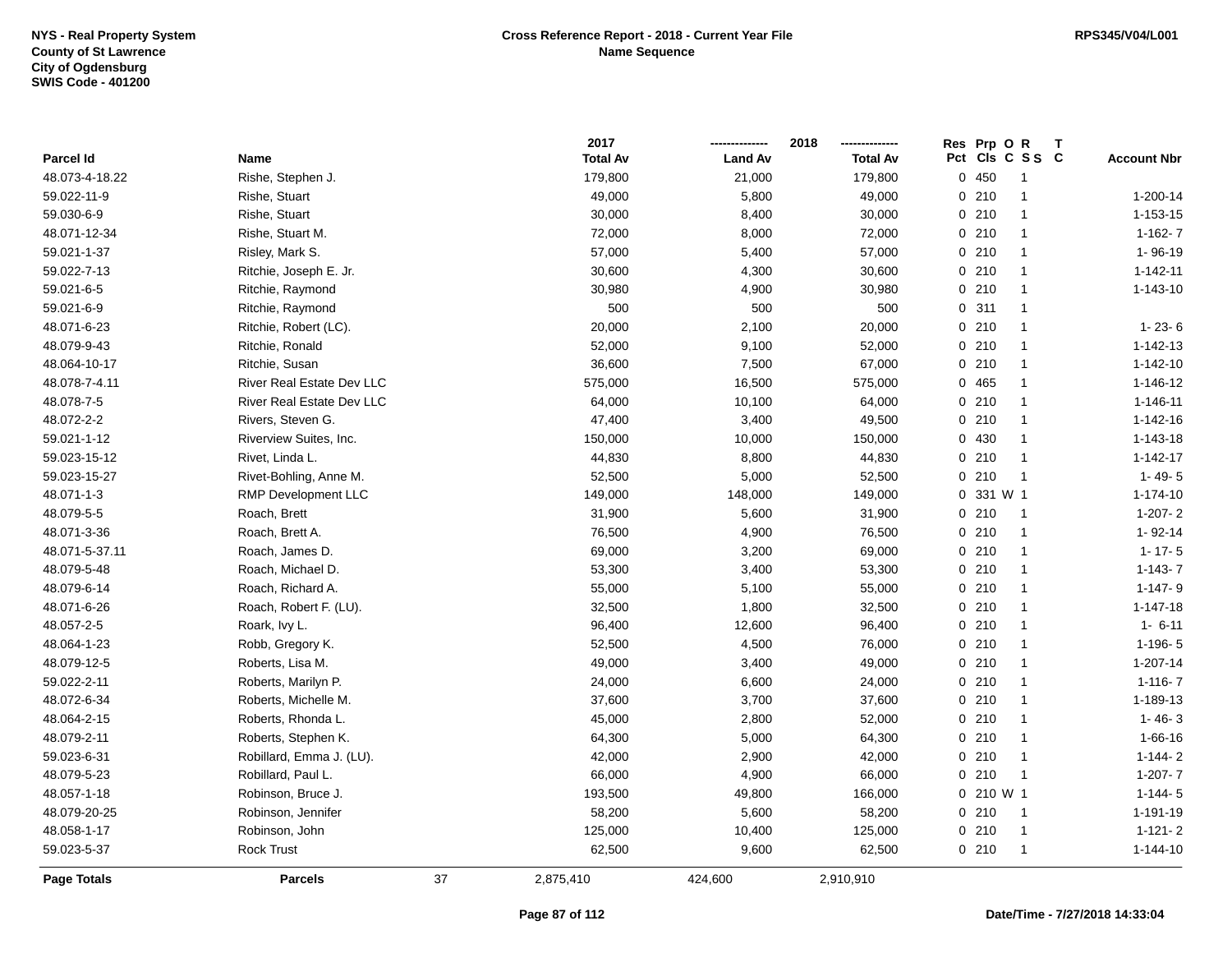|                |                           |    | 2017            |                | 2018            | Res Prp O R  |                 |                    |
|----------------|---------------------------|----|-----------------|----------------|-----------------|--------------|-----------------|--------------------|
| Parcel Id      | Name                      |    | <b>Total Av</b> | <b>Land Av</b> | <b>Total Av</b> |              | Pct Cls C S S C | <b>Account Nbr</b> |
| 48.073-4-18.22 | Rishe, Stephen J.         |    | 179,800         | 21,000         | 179,800         | 0450         | $\overline{1}$  |                    |
| 59.022-11-9    | Rishe, Stuart             |    | 49,000          | 5,800          | 49,000          | 0210         | $\overline{1}$  | 1-200-14           |
| 59.030-6-9     | Rishe, Stuart             |    | 30,000          | 8,400          | 30,000          | 0210         | $\overline{1}$  | $1 - 153 - 15$     |
| 48.071-12-34   | Rishe, Stuart M.          |    | 72,000          | 8,000          | 72,000          | 0210         | $\overline{1}$  | $1 - 162 - 7$      |
| 59.021-1-37    | Risley, Mark S.           |    | 57,000          | 5,400          | 57,000          | 0210         | $\mathbf{1}$    | 1-96-19            |
| 59.022-7-13    | Ritchie, Joseph E. Jr.    |    | 30,600          | 4,300          | 30,600          | 0210         | $\overline{1}$  | 1-142-11           |
| 59.021-6-5     | Ritchie, Raymond          |    | 30,980          | 4,900          | 30,980          | 0210         | $\mathbf{1}$    | $1 - 143 - 10$     |
| 59.021-6-9     | Ritchie, Raymond          |    | 500             | 500            | 500             | 0.311        | $\mathbf{1}$    |                    |
| 48.071-6-23    | Ritchie, Robert (LC).     |    | 20,000          | 2,100          | 20,000          | 0210         | $\overline{1}$  | $1 - 23 - 6$       |
| 48.079-9-43    | Ritchie, Ronald           |    | 52,000          | 9,100          | 52,000          | 0210         | $\overline{1}$  | $1 - 142 - 13$     |
| 48.064-10-17   | Ritchie, Susan            |    | 36,600          | 7,500          | 67,000          | 0210         | $\overline{1}$  | $1 - 142 - 10$     |
| 48.078-7-4.11  | River Real Estate Dev LLC |    | 575,000         | 16,500         | 575,000         | 0 465        | $\mathbf{1}$    | $1 - 146 - 12$     |
| 48.078-7-5     | River Real Estate Dev LLC |    | 64,000          | 10,100         | 64,000          | 0210         | $\mathbf{1}$    | 1-146-11           |
| 48.072-2-2     | Rivers, Steven G.         |    | 47,400          | 3,400          | 49,500          | 0210         | $\overline{1}$  | $1 - 142 - 16$     |
| 59.021-1-12    | Riverview Suites, Inc.    |    | 150,000         | 10,000         | 150,000         | 0 430        | $\mathbf{1}$    | 1-143-18           |
| 59.023-15-12   | Rivet, Linda L.           |    | 44,830          | 8,800          | 44,830          | 0210         | $\overline{1}$  | $1 - 142 - 17$     |
| 59.023-15-27   | Rivet-Bohling, Anne M.    |    | 52,500          | 5,000          | 52,500          | 0210         | $\overline{1}$  | $1 - 49 - 5$       |
| 48.071-1-3     | RMP Development LLC       |    | 149,000         | 148,000        | 149,000         | 0 331 W 1    |                 | $1 - 174 - 10$     |
| 48.079-5-5     | Roach, Brett              |    | 31,900          | 5,600          | 31,900          | 0210         | $\overline{1}$  | $1-207-2$          |
| 48.071-3-36    | Roach, Brett A.           |    | 76,500          | 4,900          | 76,500          | 0210         | $\overline{1}$  | 1-92-14            |
| 48.071-5-37.11 | Roach, James D.           |    | 69,000          | 3,200          | 69,000          | 0210         | $\overline{1}$  | $1 - 17 - 5$       |
| 48.079-5-48    | Roach, Michael D.         |    | 53,300          | 3,400          | 53,300          | 0210         | $\overline{1}$  | $1 - 143 - 7$      |
| 48.079-6-14    | Roach, Richard A.         |    | 55,000          | 5,100          | 55,000          | 0210         | $\overline{1}$  | $1 - 147 - 9$      |
| 48.071-6-26    | Roach, Robert F. (LU).    |    | 32,500          | 1,800          | 32,500          | 0210         | $\overline{1}$  | $1 - 147 - 18$     |
| 48.057-2-5     | Roark, Ivy L.             |    | 96,400          | 12,600         | 96,400          | 0210         | $\overline{1}$  | $1 - 6 - 11$       |
| 48.064-1-23    | Robb, Gregory K.          |    | 52,500          | 4,500          | 76,000          | 0210         | $\overline{1}$  | $1-196-5$          |
| 48.079-12-5    | Roberts, Lisa M.          |    | 49,000          | 3,400          | 49,000          | 0210         | $\overline{1}$  | 1-207-14           |
| 59.022-2-11    | Roberts, Marilyn P.       |    | 24,000          | 6,600          | 24,000          | 0210         | $\mathbf{1}$    | $1 - 116 - 7$      |
| 48.072-6-34    | Roberts, Michelle M.      |    | 37,600          | 3,700          | 37,600          | 0210         | $\mathbf{1}$    | 1-189-13           |
| 48.064-2-15    | Roberts, Rhonda L.        |    | 45,000          | 2,800          | 52,000          | 0210         | $\overline{1}$  | $1 - 46 - 3$       |
| 48.079-2-11    | Roberts, Stephen K.       |    | 64,300          | 5,000          | 64,300          | 0210         | $\mathbf{1}$    | $1 - 66 - 16$      |
| 59.023-6-31    | Robillard, Emma J. (LU).  |    | 42,000          | 2,900          | 42,000          | 0210         | $\overline{1}$  | $1 - 144 - 2$      |
| 48.079-5-23    | Robillard, Paul L.        |    | 66,000          | 4,900          | 66,000          | 0210         | $\overline{1}$  | $1-207 - 7$        |
| 48.057-1-18    | Robinson, Bruce J.        |    | 193,500         | 49,800         | 166,000         | $0, 210$ W 1 |                 | $1 - 144 - 5$      |
| 48.079-20-25   | Robinson, Jennifer        |    | 58,200          | 5,600          | 58,200          | 0210         | $\overline{1}$  | 1-191-19           |
| 48.058-1-17    | Robinson, John            |    | 125,000         | 10,400         | 125,000         | 0210         | $\overline{1}$  | $1 - 121 - 2$      |
| 59.023-5-37    | Rock Trust                |    | 62,500          | 9,600          | 62,500          | 0210         | $\overline{1}$  | $1 - 144 - 10$     |
| Page Totals    | <b>Parcels</b>            | 37 | 2,875,410       | 424,600        | 2,910,910       |              |                 |                    |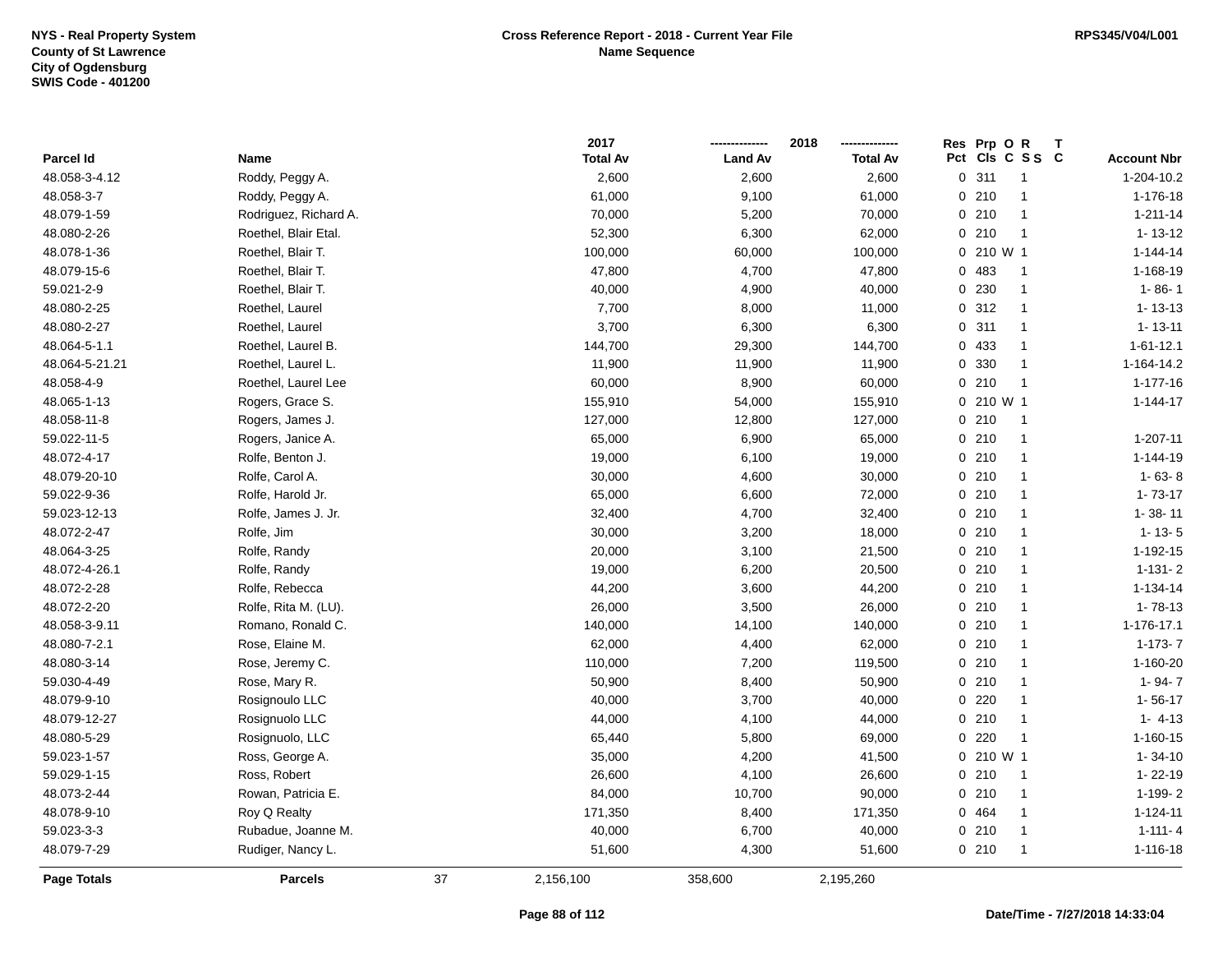|                    |                       |    | 2017            |                | 2018            |     | Res Prp O R  | Τ              |                    |
|--------------------|-----------------------|----|-----------------|----------------|-----------------|-----|--------------|----------------|--------------------|
| Parcel Id          | Name                  |    | <b>Total Av</b> | <b>Land Av</b> | <b>Total Av</b> | Pct |              | CIs C S S C    | <b>Account Nbr</b> |
| 48.058-3-4.12      | Roddy, Peggy A.       |    | 2,600           | 2,600          | 2,600           |     | 0.311        | $\overline{1}$ | 1-204-10.2         |
| 48.058-3-7         | Roddy, Peggy A.       |    | 61,000          | 9,100          | 61,000          |     | 0210         | $\mathbf{1}$   | 1-176-18           |
| 48.079-1-59        | Rodriguez, Richard A. |    | 70,000          | 5,200          | 70,000          |     | 0210         | $\mathbf{1}$   | $1 - 211 - 14$     |
| 48.080-2-26        | Roethel, Blair Etal.  |    | 52,300          | 6,300          | 62,000          |     | 0210         | $\overline{1}$ | $1 - 13 - 12$      |
| 48.078-1-36        | Roethel, Blair T.     |    | 100,000         | 60,000         | 100,000         |     | $0, 210$ W 1 |                | $1 - 144 - 14$     |
| 48.079-15-6        | Roethel, Blair T.     |    | 47,800          | 4,700          | 47,800          |     | 0 483        | $\overline{1}$ | 1-168-19           |
| 59.021-2-9         | Roethel, Blair T.     |    | 40,000          | 4,900          | 40,000          |     | 0 230        | $\overline{1}$ | $1 - 86 - 1$       |
| 48.080-2-25        | Roethel, Laurel       |    | 7,700           | 8,000          | 11,000          |     | 0.312        | $\mathbf{1}$   | $1 - 13 - 13$      |
| 48.080-2-27        | Roethel, Laurel       |    | 3,700           | 6,300          | 6,300           |     | 0.311        | $\mathbf{1}$   | $1 - 13 - 11$      |
| 48.064-5-1.1       | Roethel, Laurel B.    |    | 144,700         | 29,300         | 144,700         |     | 0 433        | $\mathbf{1}$   | $1 - 61 - 12.1$    |
| 48.064-5-21.21     | Roethel, Laurel L.    |    | 11,900          | 11,900         | 11,900          |     | 0 330        | $\mathbf{1}$   | 1-164-14.2         |
| 48.058-4-9         | Roethel, Laurel Lee   |    | 60,000          | 8,900          | 60,000          |     | 0210         | $\overline{1}$ | $1 - 177 - 16$     |
| 48.065-1-13        | Rogers, Grace S.      |    | 155,910         | 54,000         | 155,910         |     | 0 210 W 1    |                | $1 - 144 - 17$     |
| 48.058-11-8        | Rogers, James J.      |    | 127,000         | 12,800         | 127,000         |     | 0210         | $\overline{1}$ |                    |
| 59.022-11-5        | Rogers, Janice A.     |    | 65,000          | 6,900          | 65,000          |     | 0210         | $\mathbf{1}$   | 1-207-11           |
| 48.072-4-17        | Rolfe, Benton J.      |    | 19,000          | 6,100          | 19,000          |     | 0210         | $\mathbf{1}$   | $1 - 144 - 19$     |
| 48.079-20-10       | Rolfe, Carol A.       |    | 30,000          | 4,600          | 30,000          |     | 0210         | $\mathbf{1}$   | $1 - 63 - 8$       |
| 59.022-9-36        | Rolfe, Harold Jr.     |    | 65,000          | 6,600          | 72,000          |     | 0210         | $\mathbf{1}$   | $1 - 73 - 17$      |
| 59.023-12-13       | Rolfe, James J. Jr.   |    | 32,400          | 4,700          | 32,400          |     | 0210         | $\mathbf{1}$   | $1 - 38 - 11$      |
| 48.072-2-47        | Rolfe, Jim            |    | 30,000          | 3,200          | 18,000          |     | 0210         | $\mathbf{1}$   | $1 - 13 - 5$       |
| 48.064-3-25        | Rolfe, Randy          |    | 20,000          | 3,100          | 21,500          |     | 0210         | $\mathbf{1}$   | 1-192-15           |
| 48.072-4-26.1      | Rolfe, Randy          |    | 19,000          | 6,200          | 20,500          |     | 0210         | $\mathbf{1}$   | $1 - 131 - 2$      |
| 48.072-2-28        | Rolfe, Rebecca        |    | 44,200          | 3,600          | 44,200          |     | 0210         | $\mathbf{1}$   | 1-134-14           |
| 48.072-2-20        | Rolfe, Rita M. (LU).  |    | 26,000          | 3,500          | 26,000          |     | 0210         | $\mathbf{1}$   | $1 - 78 - 13$      |
| 48.058-3-9.11      | Romano, Ronald C.     |    | 140,000         | 14,100         | 140,000         |     | 0210         | $\mathbf{1}$   | 1-176-17.1         |
| 48.080-7-2.1       | Rose, Elaine M.       |    | 62,000          | 4,400          | 62,000          |     | 0210         | $\mathbf{1}$   | $1-173-7$          |
| 48.080-3-14        | Rose, Jeremy C.       |    | 110,000         | 7,200          | 119,500         |     | 0210         | $\mathbf{1}$   | 1-160-20           |
| 59.030-4-49        | Rose, Mary R.         |    | 50,900          | 8,400          | 50,900          |     | 0210         | $\mathbf{1}$   | $1 - 94 - 7$       |
| 48.079-9-10        | Rosignoulo LLC        |    | 40,000          | 3,700          | 40,000          |     | $0$ 220      | $\overline{1}$ | $1 - 56 - 17$      |
| 48.079-12-27       | Rosignuolo LLC        |    | 44,000          | 4,100          | 44,000          |     | 0210         | $\mathbf{1}$   | $1 - 4 - 13$       |
| 48.080-5-29        | Rosignuolo, LLC       |    | 65,440          | 5,800          | 69,000          |     | 0220         | $\mathbf{1}$   | $1 - 160 - 15$     |
| 59.023-1-57        | Ross, George A.       |    | 35,000          | 4,200          | 41,500          |     | 0 210 W 1    |                | $1 - 34 - 10$      |
| 59.029-1-15        | Ross, Robert          |    | 26,600          | 4,100          | 26,600          |     | 0210         | $\overline{1}$ | $1 - 22 - 19$      |
| 48.073-2-44        | Rowan, Patricia E.    |    | 84,000          | 10,700         | 90,000          |     | 0210         | $\mathbf{1}$   | 1-199-2            |
| 48.078-9-10        | Roy Q Realty          |    | 171,350         | 8,400          | 171,350         |     | 0 464        | $\mathbf{1}$   | $1 - 124 - 11$     |
| 59.023-3-3         | Rubadue, Joanne M.    |    | 40,000          | 6,700          | 40,000          |     | 0210         | -1             | $1 - 111 - 4$      |
| 48.079-7-29        | Rudiger, Nancy L.     |    | 51,600          | 4,300          | 51,600          |     | 0210         | $\mathbf{1}$   | 1-116-18           |
| <b>Page Totals</b> | <b>Parcels</b>        | 37 | 2,156,100       | 358,600        | 2,195,260       |     |              |                |                    |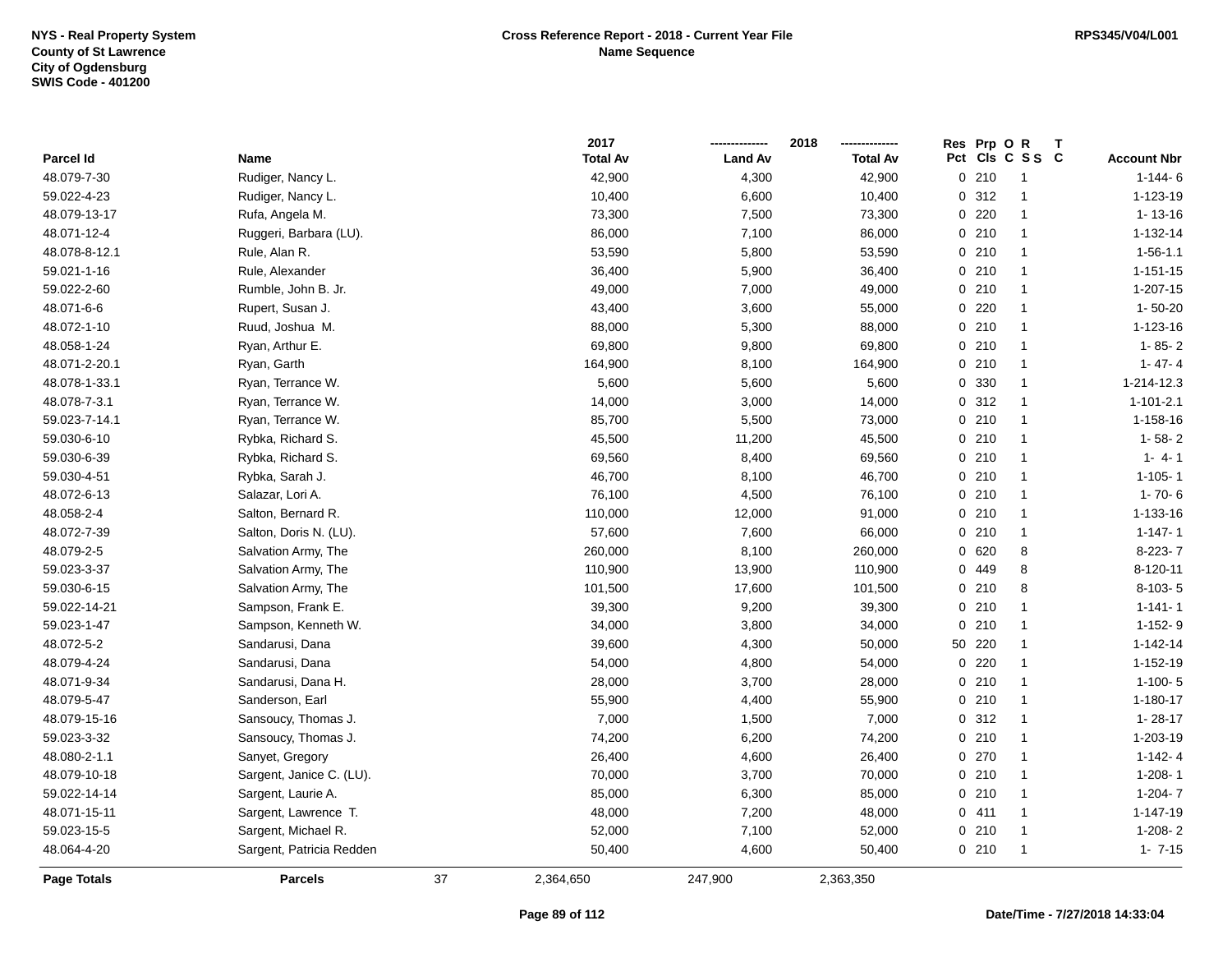|                    |                          |    | 2017            |                | 2018            |                | Res Prp O R     |                |                    |
|--------------------|--------------------------|----|-----------------|----------------|-----------------|----------------|-----------------|----------------|--------------------|
| Parcel Id          | Name                     |    | <b>Total Av</b> | <b>Land Av</b> | <b>Total Av</b> |                | Pct Cls C S S C |                | <b>Account Nbr</b> |
| 48.079-7-30        | Rudiger, Nancy L.        |    | 42,900          | 4,300          | 42,900          | 0210           |                 | $\mathbf{1}$   | $1 - 144 - 6$      |
| 59.022-4-23        | Rudiger, Nancy L.        |    | 10,400          | 6,600          | 10,400          | 0.312          |                 | $\mathbf{1}$   | 1-123-19           |
| 48.079-13-17       | Rufa, Angela M.          |    | 73,300          | 7,500          | 73,300          | $0$ 220        |                 | $\mathbf{1}$   | $1 - 13 - 16$      |
| 48.071-12-4        | Ruggeri, Barbara (LU).   |    | 86,000          | 7,100          | 86,000          | 0210           |                 | $\mathbf{1}$   | $1 - 132 - 14$     |
| 48.078-8-12.1      | Rule, Alan R.            |    | 53,590          | 5,800          | 53,590          | 0210           |                 | $\mathbf 1$    | $1 - 56 - 1.1$     |
| 59.021-1-16        | Rule, Alexander          |    | 36,400          | 5,900          | 36,400          | 0210           |                 | $\overline{1}$ | $1 - 151 - 15$     |
| 59.022-2-60        | Rumble, John B. Jr.      |    | 49,000          | 7,000          | 49,000          | 0210           |                 | $\mathbf{1}$   | $1 - 207 - 15$     |
| 48.071-6-6         | Rupert, Susan J.         |    | 43,400          | 3,600          | 55,000          | $0$ 220        |                 | $\mathbf{1}$   | $1 - 50 - 20$      |
| 48.072-1-10        | Ruud, Joshua M.          |    | 88,000          | 5,300          | 88,000          | 0210           |                 | $\mathbf{1}$   | 1-123-16           |
| 48.058-1-24        | Ryan, Arthur E.          |    | 69,800          | 9,800          | 69,800          | 0210           |                 | $\mathbf{1}$   | $1 - 85 - 2$       |
| 48.071-2-20.1      | Ryan, Garth              |    | 164,900         | 8,100          | 164,900         | 0210           |                 | $\mathbf{1}$   | $1 - 47 - 4$       |
| 48.078-1-33.1      | Ryan, Terrance W.        |    | 5,600           | 5,600          | 5,600           | 0 330          |                 | -1             | 1-214-12.3         |
| 48.078-7-3.1       | Ryan, Terrance W.        |    | 14,000          | 3,000          | 14,000          | 0.312          |                 | -1             | $1 - 101 - 2.1$    |
| 59.023-7-14.1      | Ryan, Terrance W.        |    | 85,700          | 5,500          | 73,000          | 0210           |                 | $\mathbf 1$    | 1-158-16           |
| 59.030-6-10        | Rybka, Richard S.        |    | 45,500          | 11,200         | 45,500          | 0210           |                 | $\mathbf 1$    | $1 - 58 - 2$       |
| 59.030-6-39        | Rybka, Richard S.        |    | 69,560          | 8,400          | 69,560          | 0210           |                 | $\mathbf{1}$   | $1 - 4 - 1$        |
| 59.030-4-51        | Rybka, Sarah J.          |    | 46,700          | 8,100          | 46,700          | 0210           |                 | $\mathbf{1}$   | $1 - 105 - 1$      |
| 48.072-6-13        | Salazar, Lori A.         |    | 76,100          | 4,500          | 76,100          | 0210           |                 | $\mathbf{1}$   | $1 - 70 - 6$       |
| 48.058-2-4         | Salton, Bernard R.       |    | 110,000         | 12,000         | 91,000          | 0210           |                 | $\mathbf{1}$   | 1-133-16           |
| 48.072-7-39        | Salton, Doris N. (LU).   |    | 57,600          | 7,600          | 66,000          | 0210           |                 | -1             | $1 - 147 - 1$      |
| 48.079-2-5         | Salvation Army, The      |    | 260,000         | 8,100          | 260,000         | 0620           |                 | 8              | $8-223-7$          |
| 59.023-3-37        | Salvation Army, The      |    | 110,900         | 13,900         | 110,900         | 0 449          |                 | 8              | 8-120-11           |
| 59.030-6-15        | Salvation Army, The      |    | 101,500         | 17,600         | 101,500         | 0210           |                 | 8              | $8-103-5$          |
| 59.022-14-21       | Sampson, Frank E.        |    | 39,300          | 9,200          | 39,300          | 0210           |                 | $\overline{1}$ | $1 - 141 - 1$      |
| 59.023-1-47        | Sampson, Kenneth W.      |    | 34,000          | 3,800          | 34,000          | $\Omega$       | 210             | $\overline{1}$ | $1-152-9$          |
| 48.072-5-2         | Sandarusi, Dana          |    | 39,600          | 4,300          | 50,000          | 50             | 220             | $\mathbf 1$    | $1 - 142 - 14$     |
| 48.079-4-24        | Sandarusi, Dana          |    | 54,000          | 4,800          | 54,000          | $\overline{0}$ | 220             | -1             | 1-152-19           |
| 48.071-9-34        | Sandarusi, Dana H.       |    | 28,000          | 3,700          | 28,000          | 0210           |                 | -1             | $1-100-5$          |
| 48.079-5-47        | Sanderson, Earl          |    | 55,900          | 4,400          | 55,900          | 0210           |                 | -1             | $1 - 180 - 17$     |
| 48.079-15-16       | Sansoucy, Thomas J.      |    | 7,000           | 1,500          | 7,000           | 0.312          |                 | -1             | $1 - 28 - 17$      |
| 59.023-3-32        | Sansoucy, Thomas J.      |    | 74,200          | 6,200          | 74,200          | 0210           |                 | $\mathbf{1}$   | 1-203-19           |
| 48.080-2-1.1       | Sanyet, Gregory          |    | 26,400          | 4,600          | 26,400          | 0.270          |                 | $\mathbf{1}$   | $1 - 142 - 4$      |
| 48.079-10-18       | Sargent, Janice C. (LU). |    | 70,000          | 3,700          | 70,000          | 0210           |                 | $\mathbf{1}$   | $1 - 208 - 1$      |
| 59.022-14-14       | Sargent, Laurie A.       |    | 85,000          | 6,300          | 85,000          | 0210           |                 | $\mathbf{1}$   | $1-204-7$          |
| 48.071-15-11       | Sargent, Lawrence T.     |    | 48,000          | 7,200          | 48,000          | 0411           |                 | $\mathbf{1}$   | 1-147-19           |
| 59.023-15-5        | Sargent, Michael R.      |    | 52,000          | 7,100          | 52,000          | 0210           |                 | $\mathbf{1}$   | $1-208-2$          |
| 48.064-4-20        | Sargent, Patricia Redden |    | 50,400          | 4,600          | 50,400          | 0210           |                 | $\mathbf 1$    | $1 - 7 - 15$       |
| <b>Page Totals</b> | <b>Parcels</b>           | 37 | 2,364,650       | 247,900        | 2,363,350       |                |                 |                |                    |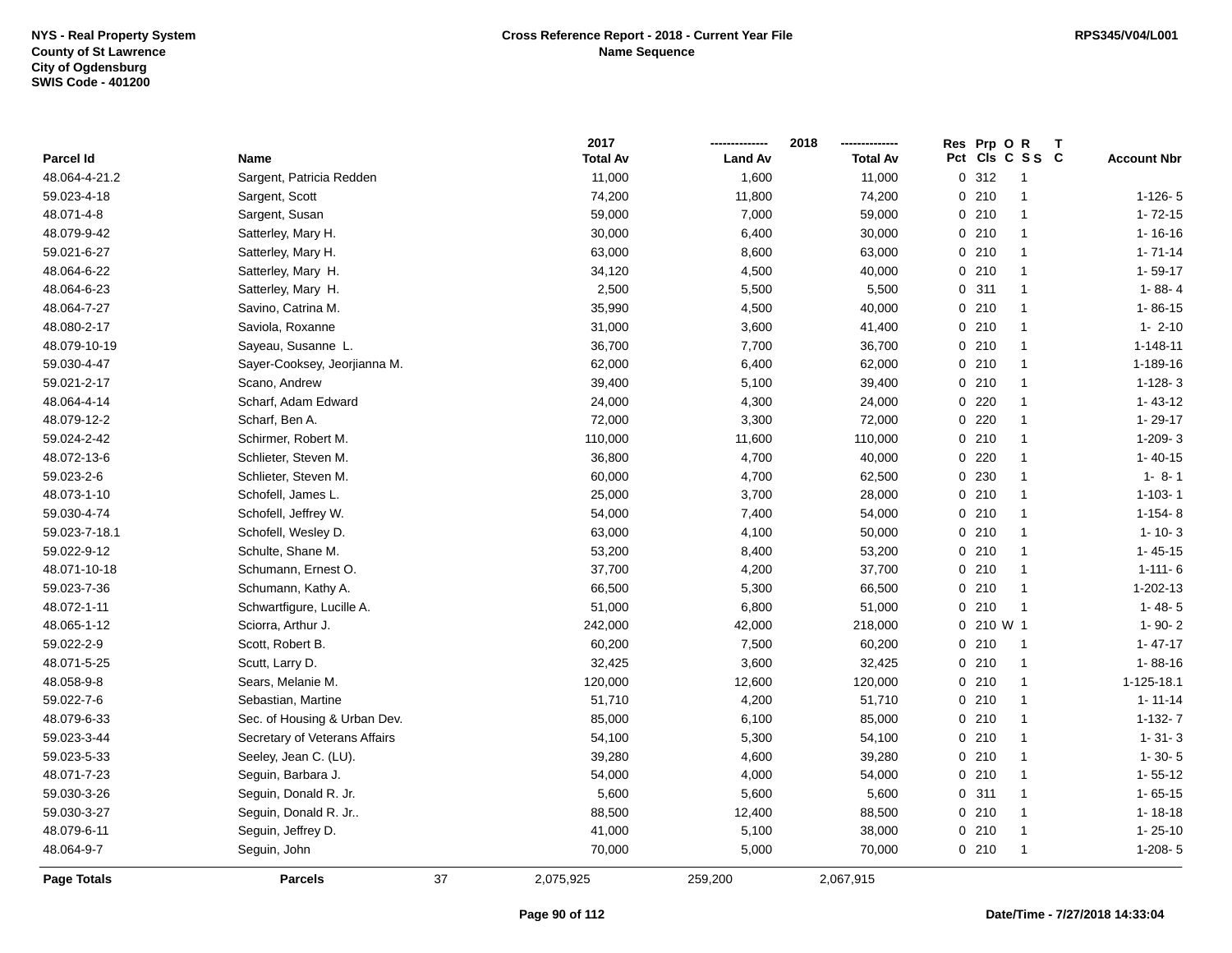|               |                               |    | 2017            |                | 2018            | Res Prp O R | т               |                    |
|---------------|-------------------------------|----|-----------------|----------------|-----------------|-------------|-----------------|--------------------|
| Parcel Id     | Name                          |    | <b>Total Av</b> | <b>Land Av</b> | <b>Total Av</b> |             | Pct Cls C S S C | <b>Account Nbr</b> |
| 48.064-4-21.2 | Sargent, Patricia Redden      |    | 11,000          | 1,600          | 11,000          | 0.312       | $\overline{1}$  |                    |
| 59.023-4-18   | Sargent, Scott                |    | 74,200          | 11,800         | 74,200          | 0210        | $\overline{1}$  | $1 - 126 - 5$      |
| 48.071-4-8    | Sargent, Susan                |    | 59,000          | 7,000          | 59,000          | 0210        | $\overline{1}$  | $1 - 72 - 15$      |
| 48.079-9-42   | Satterley, Mary H.            |    | 30,000          | 6,400          | 30,000          | 0210        | $\overline{1}$  | $1 - 16 - 16$      |
| 59.021-6-27   | Satterley, Mary H.            |    | 63,000          | 8,600          | 63,000          | 0210        | $\overline{1}$  | $1 - 71 - 14$      |
| 48.064-6-22   | Satterley, Mary H.            |    | 34,120          | 4,500          | 40,000          | 0210        | $\overline{1}$  | $1 - 59 - 17$      |
| 48.064-6-23   | Satterley, Mary H.            |    | 2,500           | 5,500          | 5,500           | 0.311       | $\overline{1}$  | $1 - 88 - 4$       |
| 48.064-7-27   | Savino, Catrina M.            |    | 35,990          | 4,500          | 40,000          | 0210        | $\overline{1}$  | $1 - 86 - 15$      |
| 48.080-2-17   | Saviola, Roxanne              |    | 31,000          | 3,600          | 41,400          | 0210        | $\overline{1}$  | $1 - 2 - 10$       |
| 48.079-10-19  | Sayeau, Susanne L.            |    | 36,700          | 7,700          | 36,700          | 0210        | $\overline{1}$  | $1 - 148 - 11$     |
| 59.030-4-47   | Sayer-Cooksey, Jeorjianna M.  |    | 62,000          | 6,400          | 62,000          | 0210        | $\overline{1}$  | 1-189-16           |
| 59.021-2-17   | Scano, Andrew                 |    | 39,400          | 5,100          | 39,400          | 0210        | $\overline{1}$  | $1 - 128 - 3$      |
| 48.064-4-14   | Scharf, Adam Edward           |    | 24,000          | 4,300          | 24,000          | $0$ 220     | $\overline{1}$  | $1 - 43 - 12$      |
| 48.079-12-2   | Scharf, Ben A.                |    | 72,000          | 3,300          | 72,000          | 0220        | $\mathbf 1$     | 1-29-17            |
| 59.024-2-42   | Schirmer, Robert M.           |    | 110,000         | 11,600         | 110,000         | 0210        | $\overline{1}$  | 1-209-3            |
| 48.072-13-6   | Schlieter, Steven M.          |    | 36,800          | 4,700          | 40,000          | 0220        | $\overline{1}$  | $1 - 40 - 15$      |
| 59.023-2-6    | Schlieter, Steven M.          |    | 60,000          | 4,700          | 62,500          | 0 230       | $\overline{1}$  | $1 - 8 - 1$        |
| 48.073-1-10   | Schofell, James L.            |    | 25,000          | 3,700          | 28,000          | 0210        | $\overline{1}$  | $1 - 103 - 1$      |
| 59.030-4-74   | Schofell, Jeffrey W.          |    | 54,000          | 7,400          | 54,000          | 0210        | $\overline{1}$  | $1 - 154 - 8$      |
| 59.023-7-18.1 | Schofell, Wesley D.           |    | 63,000          | 4,100          | 50,000          | 0210        | $\mathbf{1}$    | $1 - 10 - 3$       |
| 59.022-9-12   | Schulte, Shane M.             |    | 53,200          | 8,400          | 53,200          | 0210        | $\overline{1}$  | $1 - 45 - 15$      |
| 48.071-10-18  | Schumann, Ernest O.           |    | 37,700          | 4,200          | 37,700          | 0210        | $\overline{1}$  | $1 - 111 - 6$      |
| 59.023-7-36   | Schumann, Kathy A.            |    | 66,500          | 5,300          | 66,500          | 0210        | $\overline{1}$  | 1-202-13           |
| 48.072-1-11   | Schwartfigure, Lucille A.     |    | 51,000          | 6,800          | 51,000          | 0210        | $\overline{1}$  | $1 - 48 - 5$       |
| 48.065-1-12   | Sciorra, Arthur J.            |    | 242,000         | 42,000         | 218,000         | 0 210 W 1   |                 | $1 - 90 - 2$       |
| 59.022-2-9    | Scott, Robert B.              |    | 60,200          | 7,500          | 60,200          | 0210        | $\overline{1}$  | $1 - 47 - 17$      |
| 48.071-5-25   | Scutt, Larry D.               |    | 32,425          | 3,600          | 32,425          | 0210        | $\overline{1}$  | $1 - 88 - 16$      |
| 48.058-9-8    | Sears, Melanie M.             |    | 120,000         | 12,600         | 120,000         | 0210        | $\overline{1}$  | 1-125-18.1         |
| 59.022-7-6    | Sebastian, Martine            |    | 51,710          | 4,200          | 51,710          | 0210        | $\overline{1}$  | $1 - 11 - 14$      |
| 48.079-6-33   | Sec. of Housing & Urban Dev.  |    | 85,000          | 6,100          | 85,000          | 0210        | $\overline{1}$  | $1 - 132 - 7$      |
| 59.023-3-44   | Secretary of Veterans Affairs |    | 54,100          | 5,300          | 54,100          | 0210        | $\overline{1}$  | $1 - 31 - 3$       |
| 59.023-5-33   | Seeley, Jean C. (LU).         |    | 39,280          | 4,600          | 39,280          | 0210        | $\overline{1}$  | $1 - 30 - 5$       |
| 48.071-7-23   | Seguin, Barbara J.            |    | 54,000          | 4,000          | 54,000          | 0210        | $\overline{1}$  | $1 - 55 - 12$      |
| 59.030-3-26   | Seguin, Donald R. Jr.         |    | 5,600           | 5,600          | 5,600           | 0.311       | $\overline{1}$  | $1 - 65 - 15$      |
| 59.030-3-27   | Seguin, Donald R. Jr          |    | 88,500          | 12,400         | 88,500          | 0210        | $\overline{1}$  | $1 - 18 - 18$      |
| 48.079-6-11   | Seguin, Jeffrey D.            |    | 41,000          | 5,100          | 38,000          | 0210        | $\overline{1}$  | $1 - 25 - 10$      |
| 48.064-9-7    | Seguin, John                  |    | 70,000          | 5,000          | 70,000          | 0210        | $\overline{1}$  | $1 - 208 - 5$      |
| Page Totals   | <b>Parcels</b>                | 37 | 2,075,925       | 259,200        | 2,067,915       |             |                 |                    |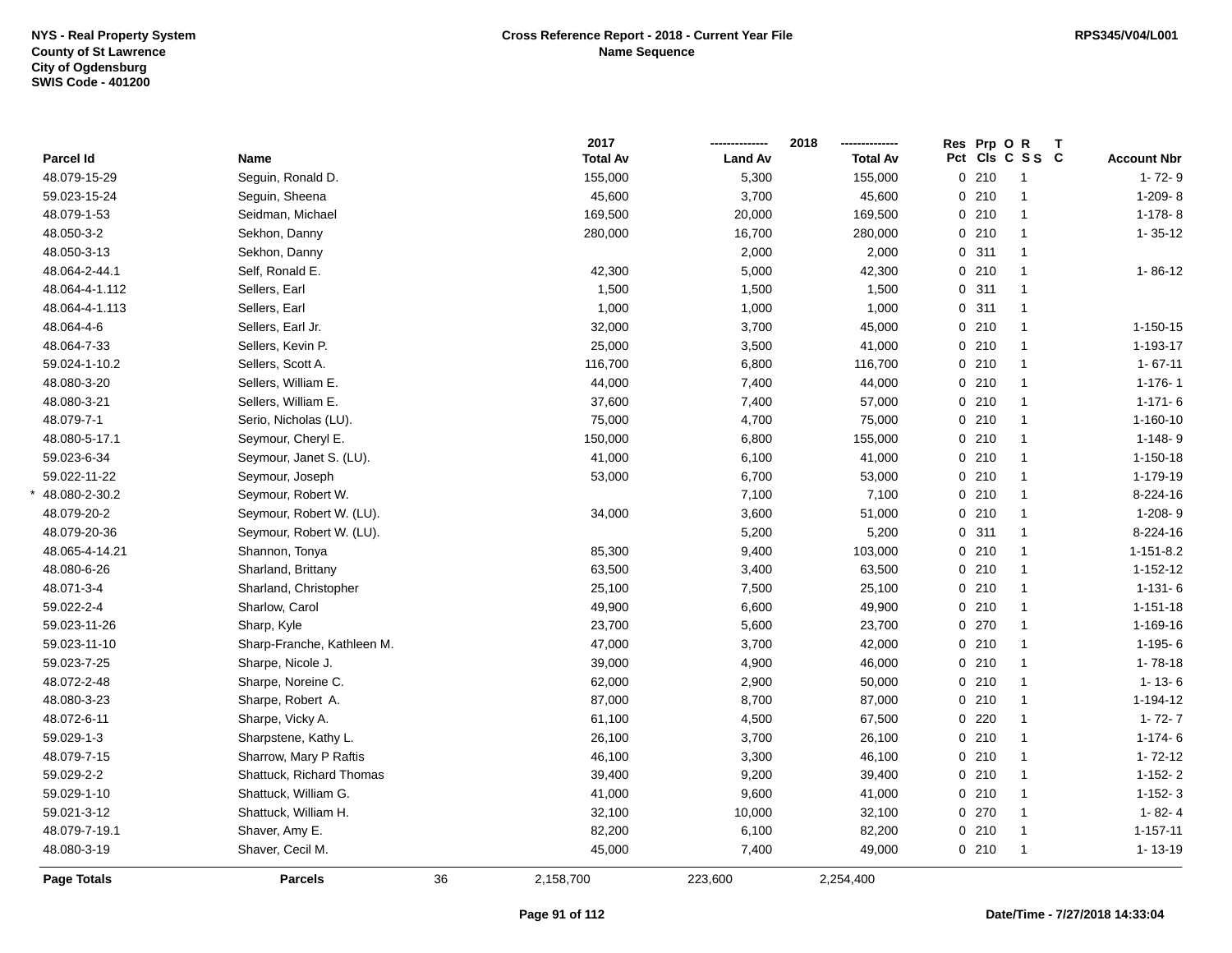\*

|                    |                            |    | 2017            |                | 2018<br>-------------- | Res Prp O R |                 |                    |
|--------------------|----------------------------|----|-----------------|----------------|------------------------|-------------|-----------------|--------------------|
| Parcel Id          | Name                       |    | <b>Total Av</b> | <b>Land Av</b> | <b>Total Av</b>        |             | Pct Cls C S S C | <b>Account Nbr</b> |
| 48.079-15-29       | Seguin, Ronald D.          |    | 155,000         | 5,300          | 155,000                | 0210        | $\overline{1}$  | $1 - 72 - 9$       |
| 59.023-15-24       | Seguin, Sheena             |    | 45,600          | 3,700          | 45,600                 | 0210        | $\overline{1}$  | $1-209-8$          |
| 48.079-1-53        | Seidman, Michael           |    | 169,500         | 20,000         | 169,500                | 0210        | $\overline{1}$  | $1-178-8$          |
| 48.050-3-2         | Sekhon, Danny              |    | 280,000         | 16,700         | 280,000                | 0210        | $\overline{1}$  | $1 - 35 - 12$      |
| 48.050-3-13        | Sekhon, Danny              |    |                 | 2,000          | 2,000                  | 0.311       | $\overline{1}$  |                    |
| 48.064-2-44.1      | Self, Ronald E.            |    | 42,300          | 5,000          | 42,300                 | 0210        | $\overline{1}$  | $1 - 86 - 12$      |
| 48.064-4-1.112     | Sellers, Earl              |    | 1,500           | 1,500          | 1,500                  | 0.311       | $\overline{1}$  |                    |
| 48.064-4-1.113     | Sellers, Earl              |    | 1,000           | 1,000          | 1,000                  | 0.311       | $\overline{1}$  |                    |
| 48.064-4-6         | Sellers, Earl Jr.          |    | 32,000          | 3,700          | 45,000                 | 0210        | $\overline{1}$  | $1 - 150 - 15$     |
| 48.064-7-33        | Sellers, Kevin P.          |    | 25,000          | 3,500          | 41,000                 | 0210        | $\overline{1}$  | 1-193-17           |
| 59.024-1-10.2      | Sellers, Scott A.          |    | 116,700         | 6,800          | 116,700                | 0210        | $\overline{1}$  | $1 - 67 - 11$      |
| 48.080-3-20        | Sellers, William E.        |    | 44,000          | 7,400          | 44,000                 | 0210        | $\mathbf{1}$    | $1 - 176 - 1$      |
| 48.080-3-21        | Sellers, William E.        |    | 37,600          | 7,400          | 57,000                 | 0210        | $\mathbf{1}$    | $1 - 171 - 6$      |
| 48.079-7-1         | Serio, Nicholas (LU).      |    | 75,000          | 4,700          | 75,000                 | 0210        | $\overline{1}$  | $1 - 160 - 10$     |
| 48.080-5-17.1      | Seymour, Cheryl E.         |    | 150,000         | 6,800          | 155,000                | 0210        | $\overline{1}$  | 1-148-9            |
| 59.023-6-34        | Seymour, Janet S. (LU).    |    | 41,000          | 6,100          | 41,000                 | 0210        | $\overline{1}$  | $1 - 150 - 18$     |
| 59.022-11-22       | Seymour, Joseph            |    | 53,000          | 6,700          | 53,000                 | 0210        | $\overline{1}$  | 1-179-19           |
| 48.080-2-30.2      | Seymour, Robert W.         |    |                 | 7,100          | 7,100                  | 0210        | $\overline{1}$  | 8-224-16           |
| 48.079-20-2        | Seymour, Robert W. (LU).   |    | 34,000          | 3,600          | 51,000                 | 0210        | $\overline{1}$  | $1-208-9$          |
| 48.079-20-36       | Seymour, Robert W. (LU).   |    |                 | 5,200          | 5,200                  | 0.311       | $\mathbf{1}$    | 8-224-16           |
| 48.065-4-14.21     | Shannon, Tonya             |    | 85,300          | 9,400          | 103,000                | 0210        | $\mathbf{1}$    | $1 - 151 - 8.2$    |
| 48.080-6-26        | Sharland, Brittany         |    | 63,500          | 3,400          | 63,500                 | 0210        | $\overline{1}$  | $1 - 152 - 12$     |
| 48.071-3-4         | Sharland, Christopher      |    | 25,100          | 7,500          | 25,100                 | 0210        | $\overline{1}$  | $1 - 131 - 6$      |
| 59.022-2-4         | Sharlow, Carol             |    | 49,900          | 6,600          | 49,900                 | 0210        | $\overline{1}$  | $1 - 151 - 18$     |
| 59.023-11-26       | Sharp, Kyle                |    | 23,700          | 5,600          | 23,700                 | 0270        | $\overline{1}$  | 1-169-16           |
| 59.023-11-10       | Sharp-Franche, Kathleen M. |    | 47,000          | 3,700          | 42,000                 | 0210        | $\overline{1}$  | $1-195-6$          |
| 59.023-7-25        | Sharpe, Nicole J.          |    | 39,000          | 4,900          | 46,000                 | 0210        | $\mathbf{1}$    | $1 - 78 - 18$      |
| 48.072-2-48        | Sharpe, Noreine C.         |    | 62,000          | 2,900          | 50,000                 | 0210        | $\mathbf{1}$    | $1 - 13 - 6$       |
| 48.080-3-23        | Sharpe, Robert A.          |    | 87,000          | 8,700          | 87,000                 | 0210        | $\mathbf{1}$    | 1-194-12           |
| 48.072-6-11        | Sharpe, Vicky A.           |    | 61,100          | 4,500          | 67,500                 | $0$ 220     | $\overline{1}$  | $1 - 72 - 7$       |
| 59.029-1-3         | Sharpstene, Kathy L.       |    | 26,100          | 3,700          | 26,100                 | 0210        | $\mathbf{1}$    | $1 - 174 - 6$      |
| 48.079-7-15        | Sharrow, Mary P Raftis     |    | 46,100          | 3,300          | 46,100                 | 0210        | $\mathbf{1}$    | $1 - 72 - 12$      |
| 59.029-2-2         | Shattuck, Richard Thomas   |    | 39,400          | 9,200          | 39,400                 | 0210        | $\overline{1}$  | $1 - 152 - 2$      |
| 59.029-1-10        | Shattuck, William G.       |    | 41,000          | 9,600          | 41,000                 | 0210        | $\mathbf{1}$    | $1 - 152 - 3$      |
| 59.021-3-12        | Shattuck, William H.       |    | 32,100          | 10,000         | 32,100                 | 0270        | $\overline{1}$  | $1 - 82 - 4$       |
| 48.079-7-19.1      | Shaver, Amy E.             |    | 82,200          | 6,100          | 82,200                 | 0210        | $\overline{1}$  | $1 - 157 - 11$     |
| 48.080-3-19        | Shaver, Cecil M.           |    | 45,000          | 7,400          | 49,000                 | 0210        | $\mathbf{1}$    | $1 - 13 - 19$      |
| <b>Page Totals</b> | <b>Parcels</b>             | 36 | 2,158,700       | 223,600        | 2,254,400              |             |                 |                    |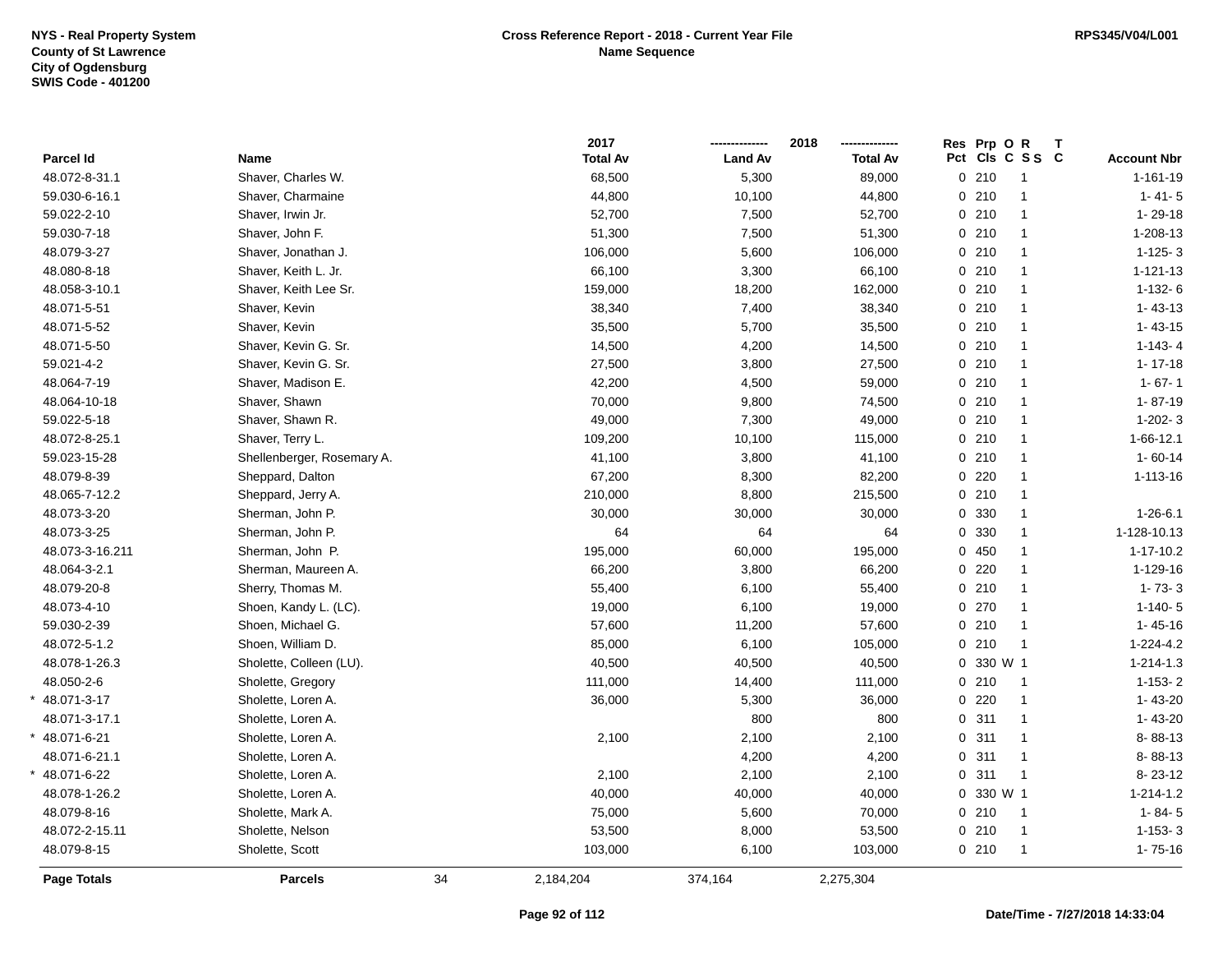\*

\*

|                    |                            |    | 2017            |                | 2018            | Res Prp O R     |                |                    |
|--------------------|----------------------------|----|-----------------|----------------|-----------------|-----------------|----------------|--------------------|
| Parcel Id          | Name                       |    | <b>Total Av</b> | <b>Land Av</b> | <b>Total Av</b> | Pct Cls C S S C |                | <b>Account Nbr</b> |
| 48.072-8-31.1      | Shaver, Charles W.         |    | 68,500          | 5,300          | 89,000          | 0210            | $\overline{1}$ | $1 - 161 - 19$     |
| 59.030-6-16.1      | Shaver, Charmaine          |    | 44,800          | 10,100         | 44,800          | 0210            | $\overline{1}$ | $1 - 41 - 5$       |
| 59.022-2-10        | Shaver, Irwin Jr.          |    | 52,700          | 7,500          | 52,700          | 0210            | $\overline{1}$ | $1 - 29 - 18$      |
| 59.030-7-18        | Shaver, John F.            |    | 51,300          | 7,500          | 51,300          | 0210            | $\mathbf{1}$   | 1-208-13           |
| 48.079-3-27        | Shaver, Jonathan J.        |    | 106,000         | 5,600          | 106,000         | 0210            | $\overline{1}$ | $1-125-3$          |
| 48.080-8-18        | Shaver, Keith L. Jr.       |    | 66,100          | 3,300          | 66,100          | 0210            | $\overline{1}$ | $1 - 121 - 13$     |
| 48.058-3-10.1      | Shaver, Keith Lee Sr.      |    | 159,000         | 18,200         | 162,000         | 0210            | $\mathbf{1}$   | $1-132-6$          |
| 48.071-5-51        | Shaver, Kevin              |    | 38,340          | 7,400          | 38,340          | 0210            | $\mathbf{1}$   | $1 - 43 - 13$      |
| 48.071-5-52        | Shaver, Kevin              |    | 35,500          | 5,700          | 35,500          | 0210            | $\mathbf{1}$   | $1 - 43 - 15$      |
| 48.071-5-50        | Shaver, Kevin G. Sr.       |    | 14,500          | 4,200          | 14,500          | 0210            | $\mathbf{1}$   | $1-143-4$          |
| 59.021-4-2         | Shaver, Kevin G. Sr.       |    | 27,500          | 3,800          | 27,500          | 0210            | $\overline{1}$ | $1 - 17 - 18$      |
| 48.064-7-19        | Shaver, Madison E.         |    | 42,200          | 4,500          | 59,000          | 0210            | $\mathbf{1}$   | $1 - 67 - 1$       |
| 48.064-10-18       | Shaver, Shawn              |    | 70,000          | 9,800          | 74,500          | 0210            | $\overline{1}$ | $1 - 87 - 19$      |
| 59.022-5-18        | Shaver, Shawn R.           |    | 49,000          | 7,300          | 49,000          | 0210            | $\overline{1}$ | $1-202-3$          |
| 48.072-8-25.1      | Shaver, Terry L.           |    | 109,200         | 10,100         | 115,000         | 0210            | $\overline{1}$ | 1-66-12.1          |
| 59.023-15-28       | Shellenberger, Rosemary A. |    | 41,100          | 3,800          | 41,100          | 0210            | $\overline{1}$ | $1 - 60 - 14$      |
| 48.079-8-39        | Sheppard, Dalton           |    | 67,200          | 8,300          | 82,200          | 0220            | $\mathbf{1}$   | $1 - 113 - 16$     |
| 48.065-7-12.2      | Sheppard, Jerry A.         |    | 210,000         | 8,800          | 215,500         | 0210            | $\mathbf{1}$   |                    |
| 48.073-3-20        | Sherman, John P.           |    | 30,000          | 30,000         | 30,000          | 0 330           | $\mathbf{1}$   | $1 - 26 - 6.1$     |
| 48.073-3-25        | Sherman, John P.           |    | 64              | 64             | 64              | 0 330           | $\mathbf{1}$   | 1-128-10.13        |
| 48.073-3-16.211    | Sherman, John P.           |    | 195,000         | 60,000         | 195,000         | 0450            | $\mathbf{1}$   | $1 - 17 - 10.2$    |
| 48.064-3-2.1       | Sherman, Maureen A.        |    | 66,200          | 3,800          | 66,200          | 0220            | $\mathbf{1}$   | 1-129-16           |
| 48.079-20-8        | Sherry, Thomas M.          |    | 55,400          | 6,100          | 55,400          | 0210            | $\overline{1}$ | $1 - 73 - 3$       |
| 48.073-4-10        | Shoen, Kandy L. (LC).      |    | 19,000          | 6,100          | 19,000          | 0270            | $\overline{1}$ | $1-140-5$          |
| 59.030-2-39        | Shoen, Michael G.          |    | 57,600          | 11,200         | 57,600          | 0210            | $\overline{1}$ | $1 - 45 - 16$      |
| 48.072-5-1.2       | Shoen, William D.          |    | 85,000          | 6,100          | 105,000         | 0210            | $\overline{1}$ | $1 - 224 - 4.2$    |
| 48.078-1-26.3      | Sholette, Colleen (LU).    |    | 40,500          | 40,500         | 40,500          | 0 330 W 1       |                | $1 - 214 - 1.3$    |
| 48.050-2-6         | Sholette, Gregory          |    | 111,000         | 14,400         | 111,000         | 0210            | $\overline{1}$ | $1-153-2$          |
| 48.071-3-17        | Sholette, Loren A.         |    | 36,000          | 5,300          | 36,000          | $0$ 220         | $\overline{1}$ | $1 - 43 - 20$      |
| 48.071-3-17.1      | Sholette, Loren A.         |    |                 | 800            | 800             | 0.311           | $\overline{1}$ | $1 - 43 - 20$      |
| 48.071-6-21        | Sholette, Loren A.         |    | 2,100           | 2,100          | 2,100           | 0.311           | $\mathbf{1}$   | 8-88-13            |
| 48.071-6-21.1      | Sholette, Loren A.         |    |                 | 4,200          | 4,200           | 0.311           | $\overline{1}$ | 8-88-13            |
| 48.071-6-22        | Sholette, Loren A.         |    | 2,100           | 2,100          | 2,100           | 0.311           | $\overline{1}$ | $8 - 23 - 12$      |
| 48.078-1-26.2      | Sholette, Loren A.         |    | 40,000          | 40,000         | 40,000          | 0 330 W 1       |                | $1 - 214 - 1.2$    |
| 48.079-8-16        | Sholette, Mark A.          |    | 75,000          | 5,600          | 70,000          | 0210            | $\overline{1}$ | $1 - 84 - 5$       |
| 48.072-2-15.11     | Sholette, Nelson           |    | 53,500          | 8,000          | 53,500          | 0210            | $\overline{1}$ | $1 - 153 - 3$      |
| 48.079-8-15        | Sholette, Scott            |    | 103,000         | 6,100          | 103,000         | 0210            | $\mathbf{1}$   | $1 - 75 - 16$      |
| <b>Page Totals</b> | <b>Parcels</b>             | 34 | 2,184,204       | 374,164        | 2,275,304       |                 |                |                    |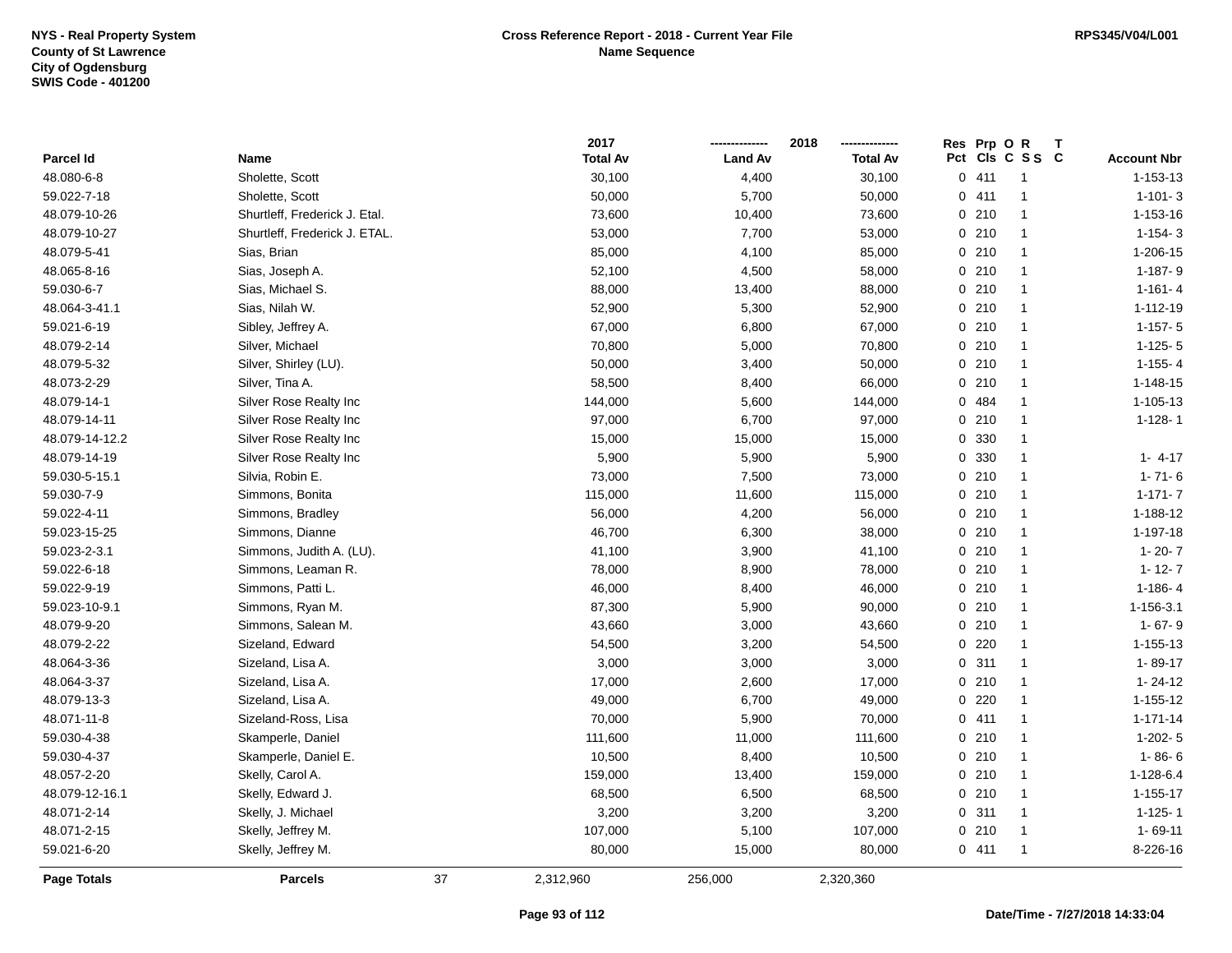|                    |                               |    | 2017            |                | 2018            | Res Prp O R | Т               |                    |
|--------------------|-------------------------------|----|-----------------|----------------|-----------------|-------------|-----------------|--------------------|
| Parcel Id          | Name                          |    | <b>Total Av</b> | <b>Land Av</b> | <b>Total Av</b> |             | Pct Cls C S S C | <b>Account Nbr</b> |
| 48.080-6-8         | Sholette, Scott               |    | 30,100          | 4,400          | 30,100          | 0411        | $\overline{1}$  | 1-153-13           |
| 59.022-7-18        | Sholette, Scott               |    | 50,000          | 5,700          | 50,000          | 0411        | $\overline{1}$  | $1 - 101 - 3$      |
| 48.079-10-26       | Shurtleff, Frederick J. Etal. |    | 73,600          | 10,400         | 73,600          | 0210        | $\overline{1}$  | 1-153-16           |
| 48.079-10-27       | Shurtleff, Frederick J. ETAL. |    | 53,000          | 7,700          | 53,000          | 0210        | $\overline{1}$  | $1 - 154 - 3$      |
| 48.079-5-41        | Sias, Brian                   |    | 85,000          | 4,100          | 85,000          | 0210        | $\overline{1}$  | 1-206-15           |
| 48.065-8-16        | Sias, Joseph A.               |    | 52,100          | 4,500          | 58,000          | 0210        | $\overline{1}$  | 1-187-9            |
| 59.030-6-7         | Sias, Michael S.              |    | 88,000          | 13,400         | 88,000          | 0210        | $\overline{1}$  | $1 - 161 - 4$      |
| 48.064-3-41.1      | Sias, Nilah W.                |    | 52,900          | 5,300          | 52,900          | 0210        | $\overline{1}$  | 1-112-19           |
| 59.021-6-19        | Sibley, Jeffrey A.            |    | 67,000          | 6,800          | 67,000          | 0210        | $\overline{1}$  | $1 - 157 - 5$      |
| 48.079-2-14        | Silver, Michael               |    | 70,800          | 5,000          | 70,800          | 0210        | $\mathbf{1}$    | $1-125-5$          |
| 48.079-5-32        | Silver, Shirley (LU).         |    | 50,000          | 3,400          | 50,000          | 0210        | $\overline{1}$  | $1-155-4$          |
| 48.073-2-29        | Silver, Tina A.               |    | 58,500          | 8,400          | 66,000          | 0210        | $\overline{1}$  | $1 - 148 - 15$     |
| 48.079-14-1        | Silver Rose Realty Inc        |    | 144,000         | 5,600          | 144,000         | 0 484       | $\mathbf{1}$    | 1-105-13           |
| 48.079-14-11       | Silver Rose Realty Inc        |    | 97,000          | 6,700          | 97,000          | 0210        | $\overline{1}$  | $1 - 128 - 1$      |
| 48.079-14-12.2     | Silver Rose Realty Inc        |    | 15,000          | 15,000         | 15,000          | 0 330       | $\mathbf{1}$    |                    |
| 48.079-14-19       | Silver Rose Realty Inc        |    | 5,900           | 5,900          | 5,900           | 0 330       | $\mathbf{1}$    | $1 - 4 - 17$       |
| 59.030-5-15.1      | Silvia, Robin E.              |    | 73,000          | 7,500          | 73,000          | 0210        | $\overline{1}$  | $1 - 71 - 6$       |
| 59.030-7-9         | Simmons, Bonita               |    | 115,000         | 11,600         | 115,000         | 0210        | $\mathbf{1}$    | $1 - 171 - 7$      |
| 59.022-4-11        | Simmons, Bradley              |    | 56,000          | 4,200          | 56,000          | 0210        | $\overline{1}$  | 1-188-12           |
| 59.023-15-25       | Simmons, Dianne               |    | 46,700          | 6,300          | 38,000          | 0210        | $\mathbf{1}$    | 1-197-18           |
| 59.023-2-3.1       | Simmons, Judith A. (LU).      |    | 41,100          | 3,900          | 41,100          | 0210        | $\overline{1}$  | $1 - 20 - 7$       |
| 59.022-6-18        | Simmons, Leaman R.            |    | 78,000          | 8,900          | 78,000          | 0210        | $\overline{1}$  | $1 - 12 - 7$       |
| 59.022-9-19        | Simmons, Patti L.             |    | 46,000          | 8,400          | 46,000          | 0210        | $\overline{1}$  | $1 - 186 - 4$      |
| 59.023-10-9.1      | Simmons, Ryan M.              |    | 87,300          | 5,900          | 90,000          | 0210        | $\overline{1}$  | 1-156-3.1          |
| 48.079-9-20        | Simmons, Salean M.            |    | 43,660          | 3,000          | 43,660          | 0210        | $\overline{1}$  | $1 - 67 - 9$       |
| 48.079-2-22        | Sizeland, Edward              |    | 54,500          | 3,200          | 54,500          | 0220        | $\overline{1}$  | 1-155-13           |
| 48.064-3-36        | Sizeland, Lisa A.             |    | 3,000           | 3,000          | 3,000           | 0.311       | $\overline{1}$  | $1 - 89 - 17$      |
| 48.064-3-37        | Sizeland, Lisa A.             |    | 17,000          | 2,600          | 17,000          | 0210        | $\mathbf{1}$    | $1 - 24 - 12$      |
| 48.079-13-3        | Sizeland, Lisa A.             |    | 49,000          | 6,700          | 49,000          | 0220        | $\overline{1}$  | 1-155-12           |
| 48.071-11-8        | Sizeland-Ross, Lisa           |    | 70,000          | 5,900          | 70,000          | 0411        | $\overline{1}$  | $1 - 171 - 14$     |
| 59.030-4-38        | Skamperle, Daniel             |    | 111,600         | 11,000         | 111,600         | 0210        | $\overline{1}$  | $1-202-5$          |
| 59.030-4-37        | Skamperle, Daniel E.          |    | 10,500          | 8,400          | 10,500          | 0210        | $\overline{1}$  | $1 - 86 - 6$       |
| 48.057-2-20        | Skelly, Carol A.              |    | 159,000         | 13,400         | 159,000         | 0210        | $\overline{1}$  | $1 - 128 - 6.4$    |
| 48.079-12-16.1     | Skelly, Edward J.             |    | 68,500          | 6,500          | 68,500          | 0210        | $\overline{1}$  | $1 - 155 - 17$     |
| 48.071-2-14        | Skelly, J. Michael            |    | 3,200           | 3,200          | 3,200           | 0.311       | $\overline{1}$  | $1-125-1$          |
| 48.071-2-15        | Skelly, Jeffrey M.            |    | 107,000         | 5,100          | 107,000         | 0210        | $\overline{1}$  | $1 - 69 - 11$      |
| 59.021-6-20        | Skelly, Jeffrey M.            |    | 80,000          | 15,000         | 80,000          | 0411        | $\overline{1}$  | 8-226-16           |
| <b>Page Totals</b> | <b>Parcels</b>                | 37 | 2,312,960       | 256,000        | 2,320,360       |             |                 |                    |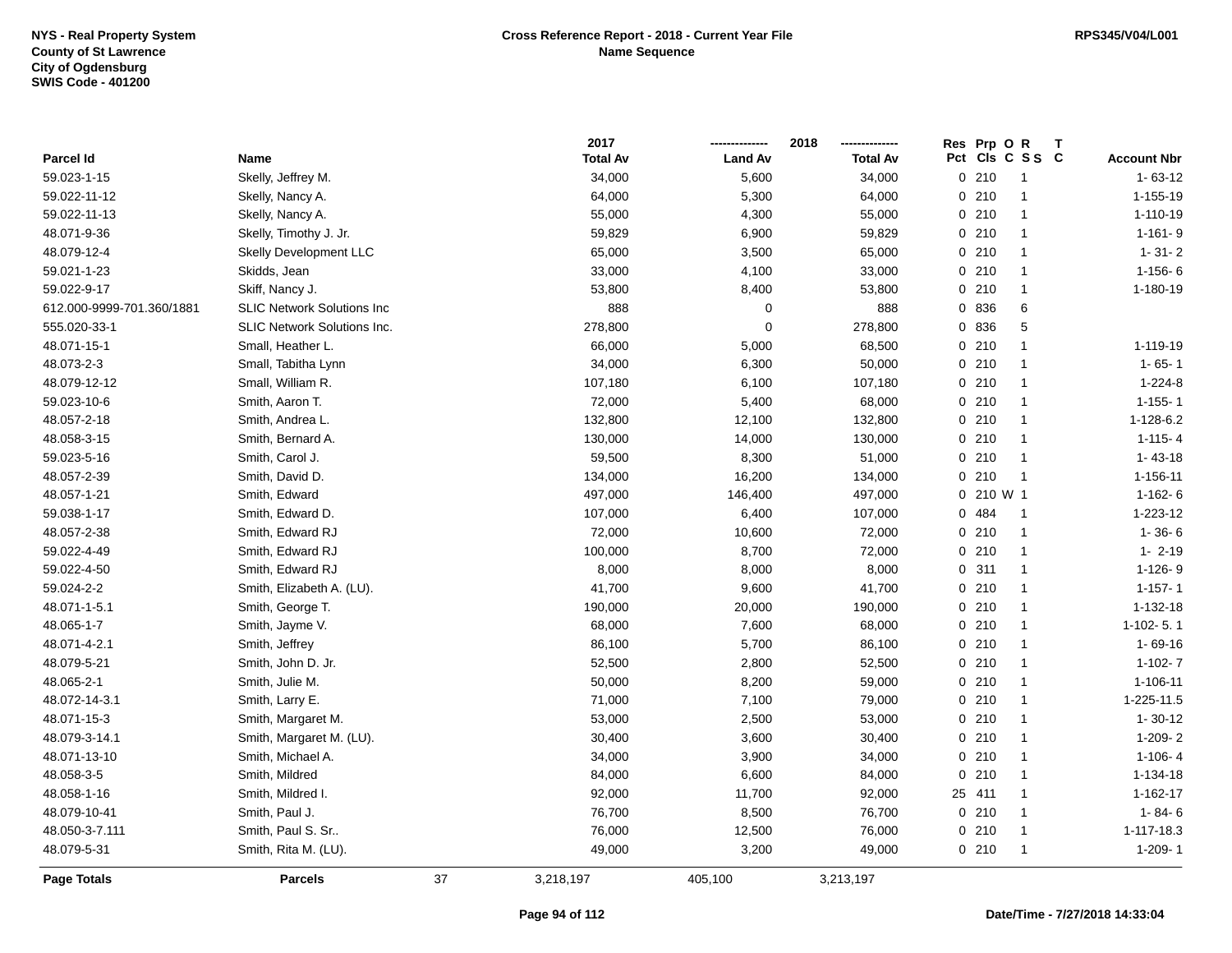|                           |                                    |    | 2017            |                | 2018            |     | Res Prp O R  |                |                    |
|---------------------------|------------------------------------|----|-----------------|----------------|-----------------|-----|--------------|----------------|--------------------|
| Parcel Id                 | Name                               |    | <b>Total Av</b> | <b>Land Av</b> | <b>Total Av</b> | Pct |              | CIs C S S C    | <b>Account Nbr</b> |
| 59.023-1-15               | Skelly, Jeffrey M.                 |    | 34,000          | 5,600          | 34,000          |     | 0210         | -1             | $1 - 63 - 12$      |
| 59.022-11-12              | Skelly, Nancy A.                   |    | 64,000          | 5,300          | 64,000          |     | 0210         | $\mathbf{1}$   | 1-155-19           |
| 59.022-11-13              | Skelly, Nancy A.                   |    | 55,000          | 4,300          | 55,000          |     | 0210         | $\mathbf{1}$   | 1-110-19           |
| 48.071-9-36               | Skelly, Timothy J. Jr.             |    | 59,829          | 6,900          | 59,829          |     | 0210         | $\mathbf{1}$   | $1 - 161 - 9$      |
| 48.079-12-4               | <b>Skelly Development LLC</b>      |    | 65,000          | 3,500          | 65,000          |     | 0210         | $\mathbf{1}$   | $1 - 31 - 2$       |
| 59.021-1-23               | Skidds, Jean                       |    | 33,000          | 4,100          | 33,000          |     | 0210         | $\mathbf{1}$   | $1 - 156 - 6$      |
| 59.022-9-17               | Skiff, Nancy J.                    |    | 53,800          | 8,400          | 53,800          |     | 0210         | $\mathbf{1}$   | 1-180-19           |
| 612.000-9999-701.360/1881 | <b>SLIC Network Solutions Inc</b>  |    | 888             | 0              | 888             |     | 0 836        | 6              |                    |
| 555.020-33-1              | <b>SLIC Network Solutions Inc.</b> |    | 278,800         | $\pmb{0}$      | 278,800         |     | 0 836        | 5              |                    |
| 48.071-15-1               | Small, Heather L.                  |    | 66,000          | 5,000          | 68,500          |     | 0210         | $\mathbf{1}$   | 1-119-19           |
| 48.073-2-3                | Small, Tabitha Lynn                |    | 34,000          | 6,300          | 50,000          |     | 0210         | $\mathbf{1}$   | $1 - 65 - 1$       |
| 48.079-12-12              | Small, William R.                  |    | 107,180         | 6,100          | 107,180         |     | 0210         | $\mathbf{1}$   | $1 - 224 - 8$      |
| 59.023-10-6               | Smith, Aaron T.                    |    | 72,000          | 5,400          | 68,000          |     | 0210         | $\mathbf{1}$   | $1 - 155 - 1$      |
| 48.057-2-18               | Smith, Andrea L.                   |    | 132,800         | 12,100         | 132,800         |     | 0210         | -1             | 1-128-6.2          |
| 48.058-3-15               | Smith, Bernard A.                  |    | 130,000         | 14,000         | 130,000         |     | 0210         | $\mathbf{1}$   | $1-115-4$          |
| 59.023-5-16               | Smith, Carol J.                    |    | 59,500          | 8,300          | 51,000          |     | 0210         | $\mathbf{1}$   | $1 - 43 - 18$      |
| 48.057-2-39               | Smith, David D.                    |    | 134,000         | 16,200         | 134,000         |     | 0210         | $\overline{1}$ | 1-156-11           |
| 48.057-1-21               | Smith, Edward                      |    | 497,000         | 146,400        | 497,000         |     | $0, 210$ W 1 |                | $1-162-6$          |
| 59.038-1-17               | Smith, Edward D.                   |    | 107,000         | 6,400          | 107,000         |     | 0 484        | $\overline{1}$ | 1-223-12           |
| 48.057-2-38               | Smith, Edward RJ                   |    | 72,000          | 10,600         | 72,000          |     | 0.210        | $\mathbf{1}$   | $1 - 36 - 6$       |
| 59.022-4-49               | Smith, Edward RJ                   |    | 100,000         | 8,700          | 72,000          |     | 0210         | $\mathbf{1}$   | $1 - 2 - 19$       |
| 59.022-4-50               | Smith, Edward RJ                   |    | 8,000           | 8,000          | 8,000           |     | 0.311        | $\overline{1}$ | $1 - 126 - 9$      |
| 59.024-2-2                | Smith, Elizabeth A. (LU).          |    | 41,700          | 9,600          | 41,700          |     | 0210         | $\mathbf{1}$   | $1 - 157 - 1$      |
| 48.071-1-5.1              | Smith, George T.                   |    | 190,000         | 20,000         | 190,000         |     | 0210         | $\mathbf{1}$   | 1-132-18           |
| 48.065-1-7                | Smith, Jayme V.                    |    | 68,000          | 7,600          | 68,000          |     | 0210         | $\mathbf{1}$   | 1-102-5.1          |
| 48.071-4-2.1              | Smith, Jeffrey                     |    | 86,100          | 5,700          | 86,100          |     | 0210         | $\mathbf{1}$   | $1 - 69 - 16$      |
| 48.079-5-21               | Smith, John D. Jr.                 |    | 52,500          | 2,800          | 52,500          |     | 0210         | $\mathbf{1}$   | $1-102 - 7$        |
| 48.065-2-1                | Smith, Julie M.                    |    | 50,000          | 8,200          | 59,000          |     | 0210         | $\mathbf{1}$   | 1-106-11           |
| 48.072-14-3.1             | Smith, Larry E.                    |    | 71,000          | 7,100          | 79,000          |     | 0210         | 1              | 1-225-11.5         |
| 48.071-15-3               | Smith, Margaret M.                 |    | 53,000          | 2,500          | 53,000          |     | 0210         | $\mathbf{1}$   | $1 - 30 - 12$      |
| 48.079-3-14.1             | Smith, Margaret M. (LU).           |    | 30,400          | 3,600          | 30,400          |     | 0210         | $\mathbf{1}$   | 1-209-2            |
| 48.071-13-10              | Smith, Michael A.                  |    | 34,000          | 3,900          | 34,000          |     | 0210         | $\mathbf{1}$   | $1-106-4$          |
| 48.058-3-5                | Smith, Mildred                     |    | 84,000          | 6,600          | 84,000          | 0   | 210          | $\mathbf{1}$   | 1-134-18           |
| 48.058-1-16               | Smith, Mildred I.                  |    | 92,000          | 11,700         | 92,000          |     | 25 411       | $\mathbf{1}$   | 1-162-17           |
| 48.079-10-41              | Smith, Paul J.                     |    | 76,700          | 8,500          | 76,700          |     | 0210         | $\mathbf{1}$   | $1 - 84 - 6$       |
| 48.050-3-7.111            | Smith, Paul S. Sr                  |    | 76,000          | 12,500         | 76,000          |     | 0210         | $\mathbf{1}$   | 1-117-18.3         |
| 48.079-5-31               | Smith, Rita M. (LU).               |    | 49,000          | 3,200          | 49,000          |     | 0210         | -1             | $1-209 - 1$        |
| Page Totals               | Parcels                            | 37 | 3,218,197       | 405,100        | 3,213,197       |     |              |                |                    |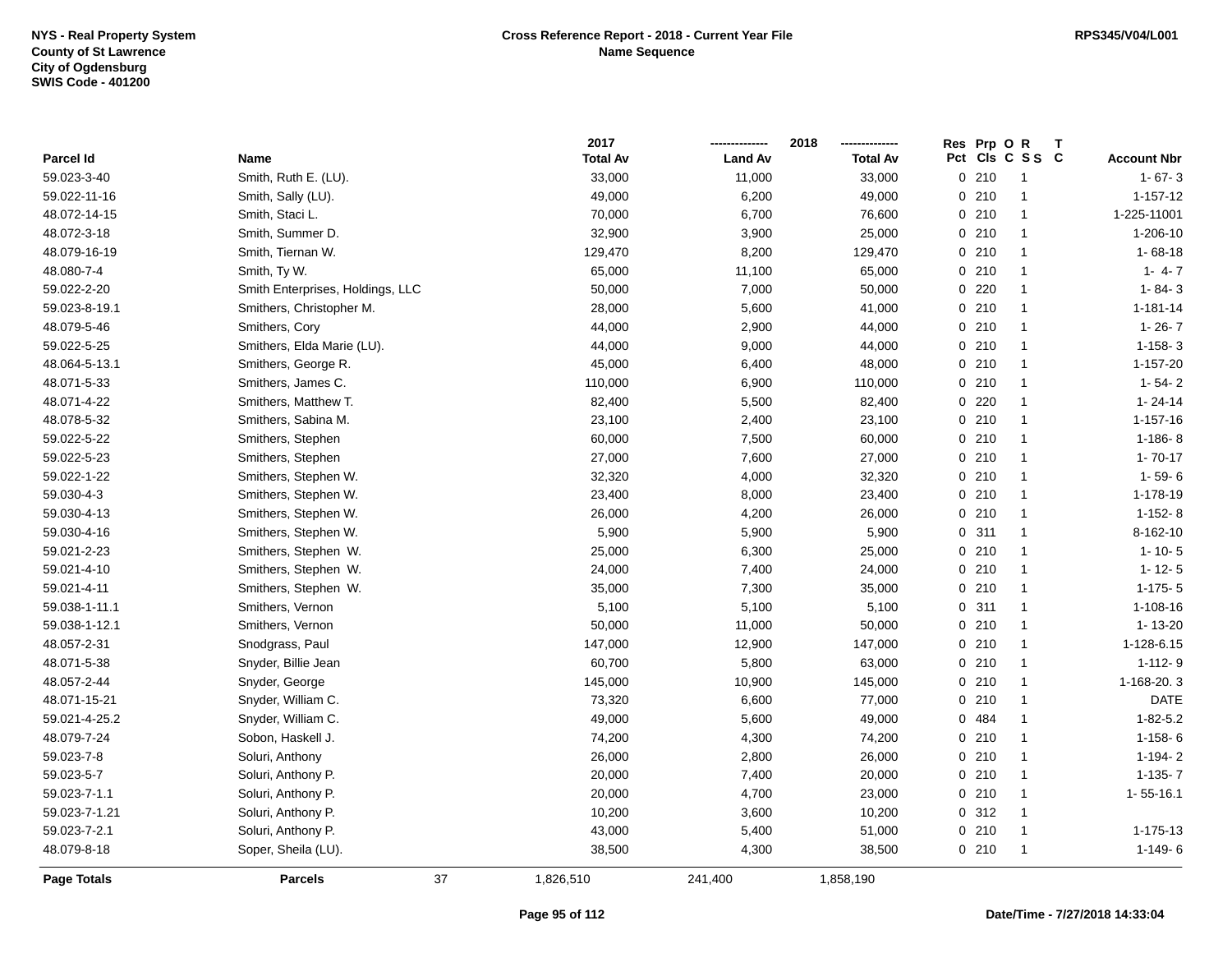|               |                                  | 2017            |                | 2018            | Res Prp O R | Т                       |                    |
|---------------|----------------------------------|-----------------|----------------|-----------------|-------------|-------------------------|--------------------|
| Parcel Id     | Name                             | <b>Total Av</b> | <b>Land Av</b> | <b>Total Av</b> | Pct         | CIs C S S C             | <b>Account Nbr</b> |
| 59.023-3-40   | Smith, Ruth E. (LU).             | 33,000          | 11,000         | 33,000          | 0210        | $\overline{1}$          | $1 - 67 - 3$       |
| 59.022-11-16  | Smith, Sally (LU).               | 49,000          | 6,200          | 49,000          | 0210        | $\overline{1}$          | $1 - 157 - 12$     |
| 48.072-14-15  | Smith, Staci L.                  | 70,000          | 6,700          | 76,600          | 0210        | $\overline{1}$          | 1-225-11001        |
| 48.072-3-18   | Smith, Summer D.                 | 32,900          | 3,900          | 25,000          | 0210        | -1                      | 1-206-10           |
| 48.079-16-19  | Smith, Tiernan W.                | 129,470         | 8,200          | 129,470         | 0210        | $\mathbf{1}$            | $1 - 68 - 18$      |
| 48.080-7-4    | Smith, Ty W.                     | 65,000          | 11,100         | 65,000          | 0210        | $\mathbf 1$             | $1 - 4 - 7$        |
| 59.022-2-20   | Smith Enterprises, Holdings, LLC | 50,000          | 7,000          | 50,000          | 0220        | $\overline{1}$          | $1 - 84 - 3$       |
| 59.023-8-19.1 | Smithers, Christopher M.         | 28,000          | 5,600          | 41,000          | 0210        | $\overline{1}$          | $1 - 181 - 14$     |
| 48.079-5-46   | Smithers, Cory                   | 44,000          | 2,900          | 44,000          | 0210        | $\mathbf{1}$            | $1 - 26 - 7$       |
| 59.022-5-25   | Smithers, Elda Marie (LU).       | 44,000          | 9,000          | 44,000          | 0210        | $\overline{1}$          | $1-158-3$          |
| 48.064-5-13.1 | Smithers, George R.              | 45,000          | 6,400          | 48,000          | 0210        | $\mathbf{1}$            | 1-157-20           |
| 48.071-5-33   | Smithers, James C.               | 110,000         | 6,900          | 110,000         | 0210        | -1                      | $1 - 54 - 2$       |
| 48.071-4-22   | Smithers, Matthew T.             | 82,400          | 5,500          | 82,400          | 0220        | -1                      | $1 - 24 - 14$      |
| 48.078-5-32   | Smithers, Sabina M.              | 23,100          | 2,400          | 23,100          | 0210        | $\mathbf 1$             | $1 - 157 - 16$     |
| 59.022-5-22   | Smithers, Stephen                | 60,000          | 7,500          | 60,000          | 0210        | $\mathbf{1}$            | $1-186-8$          |
| 59.022-5-23   | Smithers, Stephen                | 27,000          | 7,600          | 27,000          | 0210        | $\overline{\mathbf{1}}$ | $1 - 70 - 17$      |
| 59.022-1-22   | Smithers, Stephen W.             | 32,320          | 4,000          | 32,320          | 0210        | $\overline{1}$          | $1 - 59 - 6$       |
| 59.030-4-3    | Smithers, Stephen W.             | 23,400          | 8,000          | 23,400          | 0210        | $\mathbf{1}$            | 1-178-19           |
| 59.030-4-13   | Smithers, Stephen W.             | 26,000          | 4,200          | 26,000          | 0210        | -1                      | $1-152-8$          |
| 59.030-4-16   | Smithers, Stephen W.             | 5,900           | 5,900          | 5,900           | 0.311       | -1                      | 8-162-10           |
| 59.021-2-23   | Smithers, Stephen W.             | 25,000          | 6,300          | 25,000          | 0210        | $\mathbf 1$             | $1 - 10 - 5$       |
| 59.021-4-10   | Smithers, Stephen W.             | 24,000          | 7,400          | 24,000          | 0210        | $\overline{1}$          | $1 - 12 - 5$       |
| 59.021-4-11   | Smithers, Stephen W.             | 35,000          | 7,300          | 35,000          | 0210        | $\overline{1}$          | $1-175-5$          |
| 59.038-1-11.1 | Smithers, Vernon                 | 5,100           | 5,100          | 5,100           | 311<br>0    | $\mathbf{1}$            | $1 - 108 - 16$     |
| 59.038-1-12.1 | Smithers, Vernon                 | 50,000          | 11,000         | 50,000          | 0210        | $\overline{1}$          | $1 - 13 - 20$      |
| 48.057-2-31   | Snodgrass, Paul                  | 147,000         | 12,900         | 147,000         | 0210        | $\overline{\mathbf{1}}$ | 1-128-6.15         |
| 48.071-5-38   | Snyder, Billie Jean              | 60,700          | 5,800          | 63,000          | 0210        | -1                      | $1 - 112 - 9$      |
| 48.057-2-44   | Snyder, George                   | 145,000         | 10,900         | 145,000         | 0210        | -1                      | 1-168-20.3         |
| 48.071-15-21  | Snyder, William C.               | 73,320          | 6,600          | 77,000          | 0210        | -1                      | <b>DATE</b>        |
| 59.021-4-25.2 | Snyder, William C.               | 49,000          | 5,600          | 49,000          | 484<br>0    | $\mathbf{1}$            | $1 - 82 - 5.2$     |
| 48.079-7-24   | Sobon, Haskell J.                | 74,200          | 4,300          | 74,200          | 210<br>0    | $\overline{\mathbf{1}}$ | $1-158-6$          |
| 59.023-7-8    | Soluri, Anthony                  | 26,000          | 2,800          | 26,000          | 0210        | $\overline{1}$          | $1-194-2$          |
| 59.023-5-7    | Soluri, Anthony P.               | 20,000          | 7,400          | 20,000          | 0210        | $\overline{1}$          | $1-135-7$          |
| 59.023-7-1.1  | Soluri, Anthony P.               | 20,000          | 4,700          | 23,000          | 0210        | $\overline{\mathbf{1}}$ | $1 - 55 - 16.1$    |
| 59.023-7-1.21 | Soluri, Anthony P.               | 10,200          | 3,600          | 10,200          | 0.312       | $\overline{1}$          |                    |
| 59.023-7-2.1  | Soluri, Anthony P.               | 43,000          | 5,400          | 51,000          | 0210        | -1                      | 1-175-13           |
| 48.079-8-18   | Soper, Sheila (LU).              | 38,500          | 4,300          | 38,500          | 0210        | $\overline{1}$          | $1-149-6$          |
| Page Totals   | 37<br><b>Parcels</b>             | 1,826,510       | 241,400        | 1,858,190       |             |                         |                    |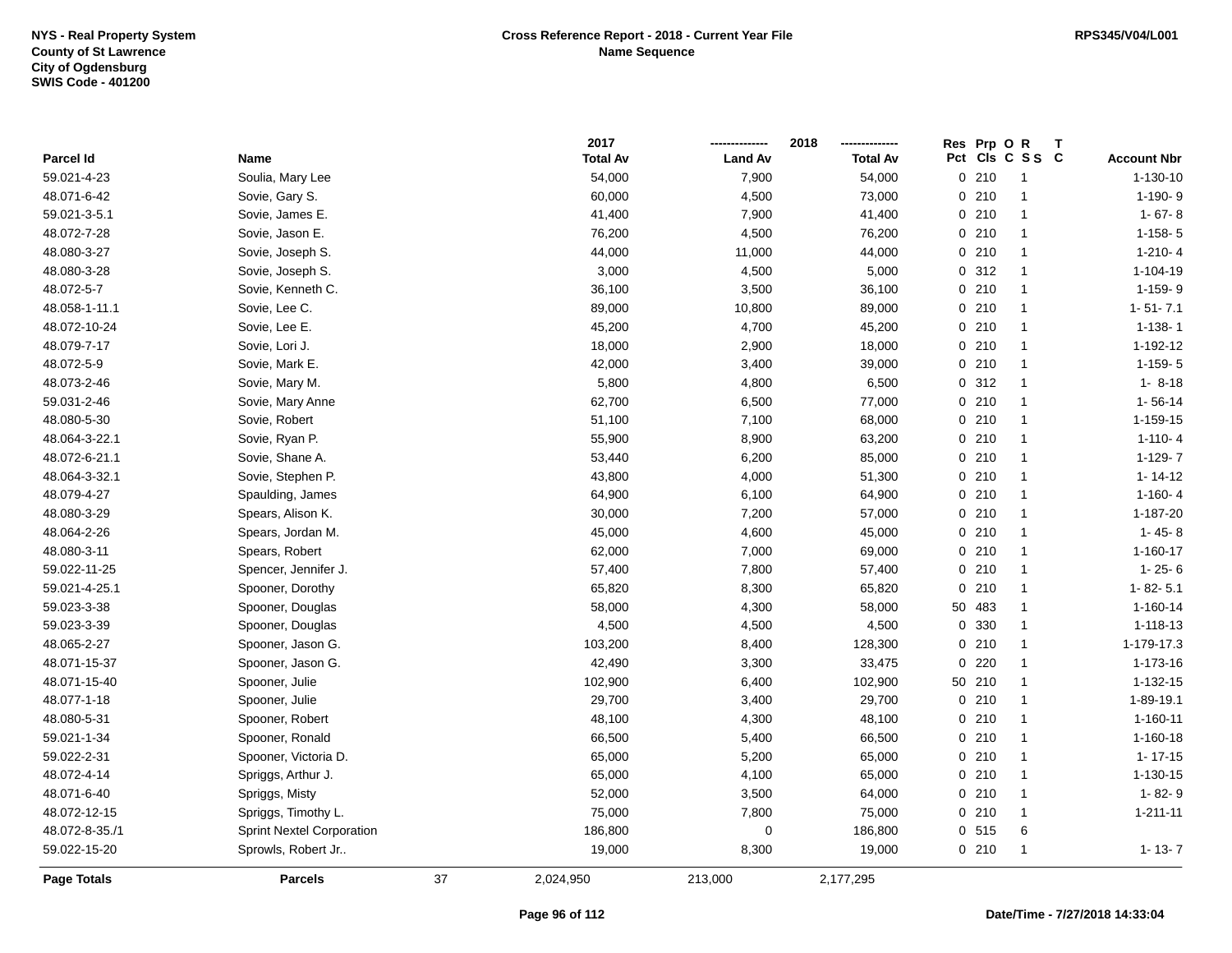|                    |                                  |    | 2017            |                | 2018            | Prp OR<br>Res       | Т              |                    |
|--------------------|----------------------------------|----|-----------------|----------------|-----------------|---------------------|----------------|--------------------|
| Parcel Id          | Name                             |    | <b>Total Av</b> | <b>Land Av</b> | <b>Total Av</b> | Pct Cls C S S C     |                | <b>Account Nbr</b> |
| 59.021-4-23        | Soulia, Mary Lee                 |    | 54,000          | 7,900          | 54,000          | 0210                | $\overline{1}$ | $1 - 130 - 10$     |
| 48.071-6-42        | Sovie, Gary S.                   |    | 60,000          | 4,500          | 73,000          | 0210                | $\mathbf{1}$   | 1-190-9            |
| 59.021-3-5.1       | Sovie, James E.                  |    | 41,400          | 7,900          | 41,400          | 0210                | $\mathbf{1}$   | $1 - 67 - 8$       |
| 48.072-7-28        | Sovie, Jason E.                  |    | 76,200          | 4,500          | 76,200          | 0210                | $\mathbf{1}$   | $1-158-5$          |
| 48.080-3-27        | Sovie, Joseph S.                 |    | 44,000          | 11,000         | 44,000          | 0210                | $\mathbf{1}$   | $1-210-4$          |
| 48.080-3-28        | Sovie, Joseph S.                 |    | 3,000           | 4,500          | 5,000           | 0.312               | $\overline{1}$ | $1 - 104 - 19$     |
| 48.072-5-7         | Sovie, Kenneth C.                |    | 36,100          | 3,500          | 36,100          | 0210                | $\mathbf{1}$   | 1-159-9            |
| 48.058-1-11.1      | Sovie, Lee C.                    |    | 89,000          | 10,800         | 89,000          | $0$ 210             | $\mathbf{1}$   | $1 - 51 - 7.1$     |
| 48.072-10-24       | Sovie, Lee E.                    |    | 45,200          | 4,700          | 45,200          | 0210                | $\mathbf{1}$   | $1 - 138 - 1$      |
| 48.079-7-17        | Sovie, Lori J.                   |    | 18,000          | 2,900          | 18,000          | 0210                | $\mathbf{1}$   | 1-192-12           |
| 48.072-5-9         | Sovie, Mark E.                   |    | 42,000          | 3,400          | 39,000          | 0210                | $\mathbf{1}$   | $1-159-5$          |
| 48.073-2-46        | Sovie, Mary M.                   |    | 5,800           | 4,800          | 6,500           | 0.312               | $\mathbf{1}$   | $1 - 8 - 18$       |
| 59.031-2-46        | Sovie, Mary Anne                 |    | 62,700          | 6,500          | 77,000          | 0210                | -1             | $1 - 56 - 14$      |
| 48.080-5-30        | Sovie, Robert                    |    | 51,100          | 7,100          | 68,000          | 0210                | $\overline{1}$ | 1-159-15           |
| 48.064-3-22.1      | Sovie, Ryan P.                   |    | 55,900          | 8,900          | 63,200          | 0210                | $\overline{1}$ | $1 - 110 - 4$      |
| 48.072-6-21.1      | Sovie, Shane A.                  |    | 53,440          | 6,200          | 85,000          | 0210                | $\mathbf{1}$   | $1-129-7$          |
| 48.064-3-32.1      | Sovie, Stephen P.                |    | 43,800          | 4,000          | 51,300          | 0210                | $\mathbf{1}$   | $1 - 14 - 12$      |
| 48.079-4-27        | Spaulding, James                 |    | 64,900          | 6,100          | 64,900          | 0210                | $\mathbf{1}$   | $1-160-4$          |
| 48.080-3-29        | Spears, Alison K.                |    | 30,000          | 7,200          | 57,000          | 0210                | $\mathbf{1}$   | 1-187-20           |
| 48.064-2-26        | Spears, Jordan M.                |    | 45,000          | 4,600          | 45,000          | 0210                | $\mathbf{1}$   | $1 - 45 - 8$       |
| 48.080-3-11        | Spears, Robert                   |    | 62,000          | 7,000          | 69,000          | 0210                | $\mathbf{1}$   | $1 - 160 - 17$     |
| 59.022-11-25       | Spencer, Jennifer J.             |    | 57,400          | 7,800          | 57,400          | 0210                | $\mathbf{1}$   | $1 - 25 - 6$       |
| 59.021-4-25.1      | Spooner, Dorothy                 |    | 65,820          | 8,300          | 65,820          | 0210                | $\mathbf{1}$   | $1 - 82 - 5.1$     |
| 59.023-3-38        | Spooner, Douglas                 |    | 58,000          | 4,300          | 58,000          | 50<br>483           | $\mathbf{1}$   | 1-160-14           |
| 59.023-3-39        | Spooner, Douglas                 |    | 4,500           | 4,500          | 4,500           | 330<br>0            | $\mathbf{1}$   | 1-118-13           |
| 48.065-2-27        | Spooner, Jason G.                |    | 103,200         | 8,400          | 128,300         | 210<br>$\mathbf{0}$ | $\mathbf{1}$   | 1-179-17.3         |
| 48.071-15-37       | Spooner, Jason G.                |    | 42,490          | 3,300          | 33,475          | 220<br>0            | -1             | 1-173-16           |
| 48.071-15-40       | Spooner, Julie                   |    | 102,900         | 6,400          | 102,900         | 50 210              | -1             | 1-132-15           |
| 48.077-1-18        | Spooner, Julie                   |    | 29,700          | 3,400          | 29,700          | 0210                | -1             | 1-89-19.1          |
| 48.080-5-31        | Spooner, Robert                  |    | 48,100          | 4,300          | 48,100          | 0210                | -1             | $1 - 160 - 11$     |
| 59.021-1-34        | Spooner, Ronald                  |    | 66,500          | 5,400          | 66,500          | 0210                | $\mathbf{1}$   | 1-160-18           |
| 59.022-2-31        | Spooner, Victoria D.             |    | 65,000          | 5,200          | 65,000          | 0210                | $\mathbf{1}$   | $1 - 17 - 15$      |
| 48.072-4-14        | Spriggs, Arthur J.               |    | 65,000          | 4,100          | 65,000          | 0210                | $\mathbf{1}$   | $1 - 130 - 15$     |
| 48.071-6-40        | Spriggs, Misty                   |    | 52,000          | 3,500          | 64,000          | 0210                | $\mathbf{1}$   | $1 - 82 - 9$       |
| 48.072-12-15       | Spriggs, Timothy L.              |    | 75,000          | 7,800          | 75,000          | 0210                | $\mathbf{1}$   | $1 - 211 - 11$     |
| 48.072-8-35./1     | <b>Sprint Nextel Corporation</b> |    | 186,800         | 0              | 186,800         | 0 515               | 6              |                    |
| 59.022-15-20       | Sprowls, Robert Jr               |    | 19,000          | 8,300          | 19,000          | 0210                | -1             | $1 - 13 - 7$       |
| <b>Page Totals</b> | <b>Parcels</b>                   | 37 | 2,024,950       | 213,000        | 2,177,295       |                     |                |                    |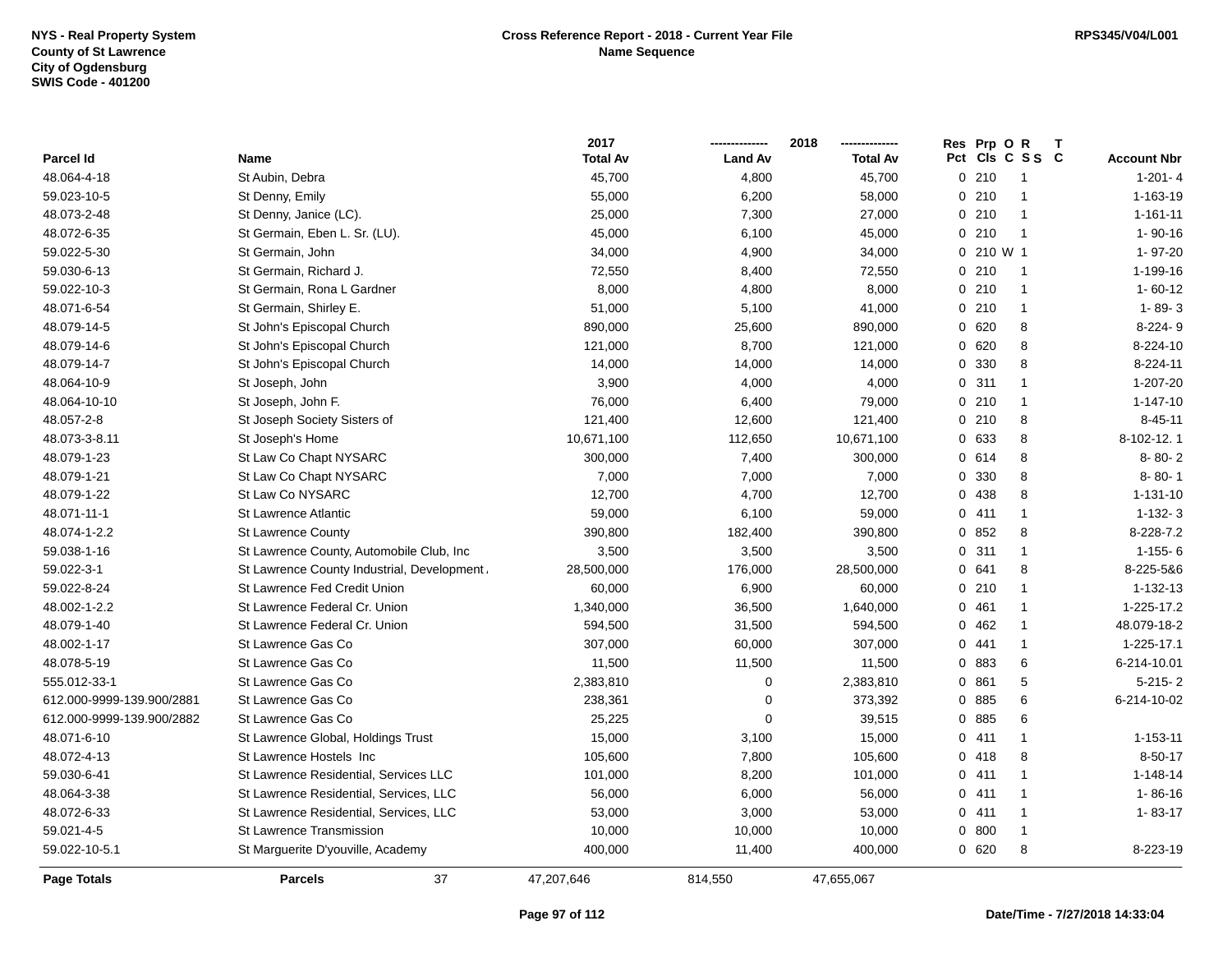|                           |                                             | 2017            |                | 2018            | Res          | Prp OR    |                      | $\mathbf{T}$       |
|---------------------------|---------------------------------------------|-----------------|----------------|-----------------|--------------|-----------|----------------------|--------------------|
| Parcel Id                 | Name                                        | <b>Total Av</b> | <b>Land Av</b> | <b>Total Av</b> |              |           | Pct Cls C S S C      | <b>Account Nbr</b> |
| 48.064-4-18               | St Aubin, Debra                             | 45,700          | 4,800          | 45,700          | 0.210        |           |                      | $1 - 201 - 4$      |
| 59.023-10-5               | St Denny, Emily                             | 55,000          | 6,200          | 58,000          | 0210         |           |                      | 1-163-19           |
| 48.073-2-48               | St Denny, Janice (LC).                      | 25,000          | 7,300          | 27,000          | 0210         |           | -1                   | $1 - 161 - 11$     |
| 48.072-6-35               | St Germain, Eben L. Sr. (LU).               | 45,000          | 6,100          | 45,000          | 0210         |           | $\overline{1}$       | $1 - 90 - 16$      |
| 59.022-5-30               | St Germain, John                            | 34,000          | 4,900          | 34,000          |              | 0 210 W 1 |                      | 1-97-20            |
| 59.030-6-13               | St Germain, Richard J.                      | 72,550          | 8,400          | 72,550          | 0210         |           | -1                   | 1-199-16           |
| 59.022-10-3               | St Germain, Rona L Gardner                  | 8,000           | 4,800          | 8,000           | 0210         |           | $\mathbf{1}$         | $1 - 60 - 12$      |
| 48.071-6-54               | St Germain, Shirley E.                      | 51,000          | 5,100          | 41,000          | 0.210        |           | $\mathbf{1}$         | $1 - 89 - 3$       |
| 48.079-14-5               | St John's Episcopal Church                  | 890,000         | 25,600         | 890,000         | 0620         |           | 8                    | 8-224-9            |
| 48.079-14-6               | St John's Episcopal Church                  | 121,000         | 8,700          | 121,000         | 0620         |           | 8                    | 8-224-10           |
| 48.079-14-7               | St John's Episcopal Church                  | 14,000          | 14,000         | 14,000          | $\mathbf{0}$ | 330       | 8                    | 8-224-11           |
| 48.064-10-9               | St Joseph, John                             | 3,900           | 4,000          | 4,000           | 0.311        |           | $\mathbf{1}$         | 1-207-20           |
| 48.064-10-10              | St Joseph, John F.                          | 76,000          | 6,400          | 79,000          | 0.210        |           | $\mathbf{1}$         | $1 - 147 - 10$     |
| 48.057-2-8                | St Joseph Society Sisters of                | 121,400         | 12,600         | 121,400         | 0210         |           | 8                    | $8 - 45 - 11$      |
| 48.073-3-8.11             | St Joseph's Home                            | 10,671,100      | 112,650        | 10,671,100      | 0 633        |           | 8                    | 8-102-12.1         |
| 48.079-1-23               | St Law Co Chapt NYSARC                      | 300,000         | 7,400          | 300,000         | 0614         |           | 8                    | $8 - 80 - 2$       |
| 48.079-1-21               | St Law Co Chapt NYSARC                      | 7,000           | 7,000          | 7,000           | 0 330        |           | 8                    | 8-80-1             |
| 48.079-1-22               | St Law Co NYSARC                            | 12,700          | 4,700          | 12,700          | $\mathbf{0}$ | 438       | 8                    | $1 - 131 - 10$     |
| 48.071-11-1               | <b>St Lawrence Atlantic</b>                 | 59,000          | 6,100          | 59,000          | 0411         |           | $\mathbf{1}$         | $1-132-3$          |
| 48.074-1-2.2              | <b>St Lawrence County</b>                   | 390,800         | 182,400        | 390,800         | 0852         |           | 8                    | 8-228-7.2          |
| 59.038-1-16               | St Lawrence County, Automobile Club, Inc    | 3,500           | 3,500          | 3,500           | 0.311        |           | $\mathbf{1}$         | $1 - 155 - 6$      |
| 59.022-3-1                | St Lawrence County Industrial, Development. | 28,500,000      | 176,000        | 28,500,000      | 0641         |           | 8                    | 8-225-5&6          |
| 59.022-8-24               | <b>St Lawrence Fed Credit Union</b>         | 60,000          | 6,900          | 60,000          | 0210         |           | $\overline{1}$       | 1-132-13           |
| 48.002-1-2.2              | St Lawrence Federal Cr. Union               | 1,340,000       | 36,500         | 1,640,000       | 0.461        |           | $\overline{1}$       | 1-225-17.2         |
| 48.079-1-40               | St Lawrence Federal Cr. Union               | 594,500         | 31,500         | 594,500         | 0.462        |           | $\mathbf{1}$         | 48.079-18-2        |
| 48.002-1-17               | St Lawrence Gas Co                          | 307,000         | 60,000         | 307,000         | 0.441        |           | $\mathbf{1}$         | 1-225-17.1         |
| 48.078-5-19               | St Lawrence Gas Co                          | 11,500          | 11,500         | 11,500          | 0 883        |           | 6                    | 6-214-10.01        |
| 555.012-33-1              | St Lawrence Gas Co                          | 2,383,810       | $\mathbf 0$    | 2,383,810       | 0861         |           | 5                    | $5 - 215 - 2$      |
| 612.000-9999-139.900/2881 | St Lawrence Gas Co                          | 238,361         | $\mathbf 0$    | 373,392         | 0 885        |           | 6                    | 6-214-10-02        |
| 612.000-9999-139.900/2882 | St Lawrence Gas Co                          | 25,225          | 0              | 39,515          | 0 885        |           | 6                    |                    |
| 48.071-6-10               | St Lawrence Global, Holdings Trust          | 15,000          | 3,100          | 15,000          | 0411         |           | $\mathbf{1}$         | 1-153-11           |
| 48.072-4-13               | St Lawrence Hostels Inc                     | 105,600         | 7,800          | 105,600         | 0418         |           | 8                    | $8 - 50 - 17$      |
| 59.030-6-41               | St Lawrence Residential, Services LLC       | 101,000         | 8,200          | 101,000         | 0411         |           | $\overline{1}$       | $1 - 148 - 14$     |
| 48.064-3-38               | St Lawrence Residential, Services, LLC      | 56,000          | 6,000          | 56,000          | 0411         |           | $\mathbf{1}$         | $1 - 86 - 16$      |
| 48.072-6-33               | St Lawrence Residential, Services, LLC      | 53,000          | 3,000          | 53,000          | 0411         |           | $\mathbf{1}$         | $1 - 83 - 17$      |
| 59.021-4-5                | <b>St Lawrence Transmission</b>             | 10,000          | 10,000         | 10,000          | 0 800        |           | $\blacktriangleleft$ |                    |
| 59.022-10-5.1             | St Marguerite D'youville, Academy           | 400,000         | 11,400         | 400,000         | 0620         |           | 8                    | 8-223-19           |
| <b>Page Totals</b>        | 37<br><b>Parcels</b>                        | 47,207,646      | 814.550        | 47,655,067      |              |           |                      |                    |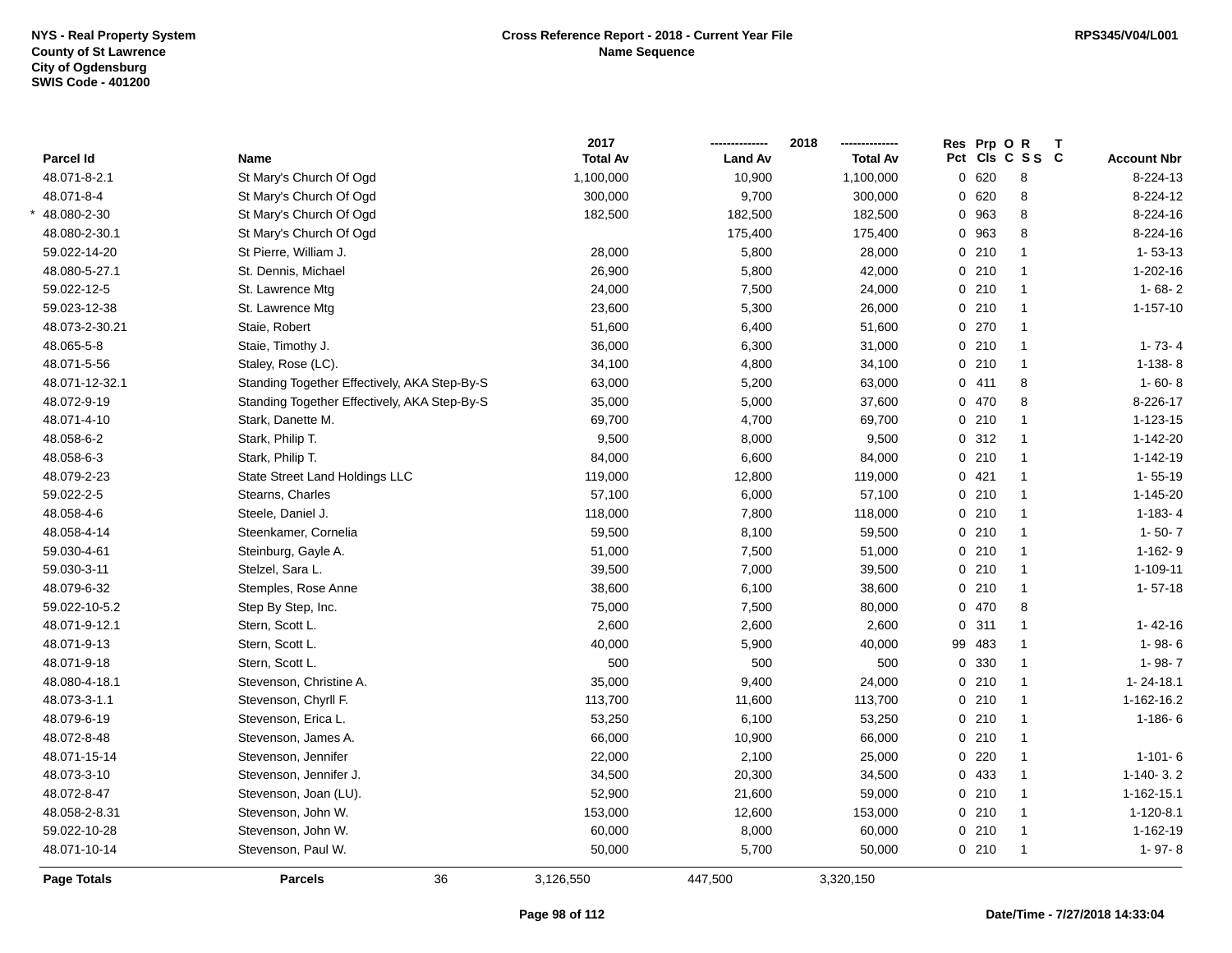|                    |                                              | 2017            |                | 2018            | Res Prp O | R               | Т |                    |
|--------------------|----------------------------------------------|-----------------|----------------|-----------------|-----------|-----------------|---|--------------------|
| Parcel Id          | Name                                         | <b>Total Av</b> | <b>Land Av</b> | <b>Total Av</b> |           | Pct Cls C S S C |   | <b>Account Nbr</b> |
| 48.071-8-2.1       | St Mary's Church Of Ogd                      | 1,100,000       | 10,900         | 1,100,000       | 0620      | 8               |   | 8-224-13           |
| 48.071-8-4         | St Mary's Church Of Ogd                      | 300,000         | 9,700          | 300,000         | 0620      | 8               |   | 8-224-12           |
| 48.080-2-30        | St Mary's Church Of Ogd                      | 182,500         | 182,500        | 182,500         | 0 963     | 8               |   | 8-224-16           |
| 48.080-2-30.1      | St Mary's Church Of Ogd                      |                 | 175,400        | 175,400         | 0 963     | 8               |   | 8-224-16           |
| 59.022-14-20       | St Pierre, William J.                        | 28,000          | 5,800          | 28,000          | 0210      | $\mathbf{1}$    |   | $1 - 53 - 13$      |
| 48.080-5-27.1      | St. Dennis, Michael                          | 26,900          | 5,800          | 42,000          | 0210      | $\mathbf{1}$    |   | 1-202-16           |
| 59.022-12-5        | St. Lawrence Mtg                             | 24,000          | 7,500          | 24,000          | 0210      | $\mathbf{1}$    |   | $1 - 68 - 2$       |
| 59.023-12-38       | St. Lawrence Mtg                             | 23,600          | 5,300          | 26,000          | $0$ 210   | $\mathbf{1}$    |   | $1 - 157 - 10$     |
| 48.073-2-30.21     | Staie, Robert                                | 51,600          | 6,400          | 51,600          | 0270      | $\mathbf{1}$    |   |                    |
| 48.065-5-8         | Staie, Timothy J.                            | 36,000          | 6,300          | 31,000          | 0210      | $\mathbf{1}$    |   | $1 - 73 - 4$       |
| 48.071-5-56        | Staley, Rose (LC).                           | 34,100          | 4,800          | 34,100          | 0210      | $\mathbf{1}$    |   | $1-138-8$          |
| 48.071-12-32.1     | Standing Together Effectively, AKA Step-By-S | 63,000          | 5,200          | 63,000          | 0411      | 8               |   | $1 - 60 - 8$       |
| 48.072-9-19        | Standing Together Effectively, AKA Step-By-S | 35,000          | 5,000          | 37,600          | 0 470     | 8               |   | 8-226-17           |
| 48.071-4-10        | Stark, Danette M.                            | 69,700          | 4,700          | 69,700          | 0210      | $\mathbf{1}$    |   | 1-123-15           |
| 48.058-6-2         | Stark, Philip T.                             | 9,500           | 8,000          | 9,500           | 0.312     | $\mathbf{1}$    |   | 1-142-20           |
| 48.058-6-3         | Stark, Philip T.                             | 84,000          | 6,600          | 84,000          | 0210      | $\mathbf{1}$    |   | 1-142-19           |
| 48.079-2-23        | State Street Land Holdings LLC               | 119,000         | 12,800         | 119,000         | 0421      | $\mathbf{1}$    |   | $1 - 55 - 19$      |
| 59.022-2-5         | Stearns, Charles                             | 57,100          | 6,000          | 57,100          | 0210      | $\mathbf{1}$    |   | $1 - 145 - 20$     |
| 48.058-4-6         | Steele, Daniel J.                            | 118,000         | 7,800          | 118,000         | 0210      | $\mathbf{1}$    |   | $1-183-4$          |
| 48.058-4-14        | Steenkamer, Cornelia                         | 59,500          | 8,100          | 59,500          | 0210      | $\mathbf{1}$    |   | $1 - 50 - 7$       |
| 59.030-4-61        | Steinburg, Gayle A.                          | 51,000          | 7,500          | 51,000          | 0210      | $\mathbf{1}$    |   | $1-162-9$          |
| 59.030-3-11        | Stelzel, Sara L.                             | 39,500          | 7,000          | 39,500          | 0210      | $\mathbf{1}$    |   | 1-109-11           |
| 48.079-6-32        | Stemples, Rose Anne                          | 38,600          | 6,100          | 38,600          | 0210      | $\mathbf{1}$    |   | $1 - 57 - 18$      |
| 59.022-10-5.2      | Step By Step, Inc.                           | 75,000          | 7,500          | 80,000          | 0470      | 8               |   |                    |
| 48.071-9-12.1      | Stern, Scott L.                              | 2,600           | 2,600          | 2,600           | 0.311     | $\mathbf{1}$    |   | $1 - 42 - 16$      |
| 48.071-9-13        | Stern, Scott L.                              | 40,000          | 5,900          | 40,000          | 99 483    | $\mathbf{1}$    |   | $1 - 98 - 6$       |
| 48.071-9-18        | Stern, Scott L.                              | 500             | 500            | 500             | 0 330     | $\mathbf{1}$    |   | 1-98-7             |
| 48.080-4-18.1      | Stevenson, Christine A.                      | 35,000          | 9,400          | 24,000          | $0$ 210   | $\mathbf{1}$    |   | 1-24-18.1          |
| 48.073-3-1.1       | Stevenson, Chyrll F.                         | 113,700         | 11,600         | 113,700         | 0210      | 1               |   | 1-162-16.2         |
| 48.079-6-19        | Stevenson, Erica L.                          | 53,250          | 6,100          | 53,250          | 0210      | 1               |   | $1 - 186 - 6$      |
| 48.072-8-48        | Stevenson, James A.                          | 66,000          | 10,900         | 66,000          | 0210      | $\mathbf{1}$    |   |                    |
| 48.071-15-14       | Stevenson, Jennifer                          | 22,000          | 2,100          | 25,000          | 0220      | $\mathbf{1}$    |   | $1 - 101 - 6$      |
| 48.073-3-10        | Stevenson, Jennifer J.                       | 34,500          | 20,300         | 34,500          | 0 433     | $\mathbf{1}$    |   | $1-140-3.2$        |
| 48.072-8-47        | Stevenson, Joan (LU).                        | 52,900          | 21,600         | 59,000          | 0210      | $\mathbf{1}$    |   | 1-162-15.1         |
| 48.058-2-8.31      | Stevenson, John W.                           | 153,000         | 12,600         | 153,000         | 0210      | $\mathbf{1}$    |   | $1 - 120 - 8.1$    |
| 59.022-10-28       | Stevenson, John W.                           | 60,000          | 8,000          | 60,000          | 0210      | $\mathbf{1}$    |   | 1-162-19           |
| 48.071-10-14       | Stevenson, Paul W.                           | 50,000          | 5,700          | 50,000          | 0210      | $\mathbf{1}$    |   | $1 - 97 - 8$       |
| <b>Page Totals</b> | 36<br><b>Parcels</b>                         | 3,126,550       | 447,500        | 3,320,150       |           |                 |   |                    |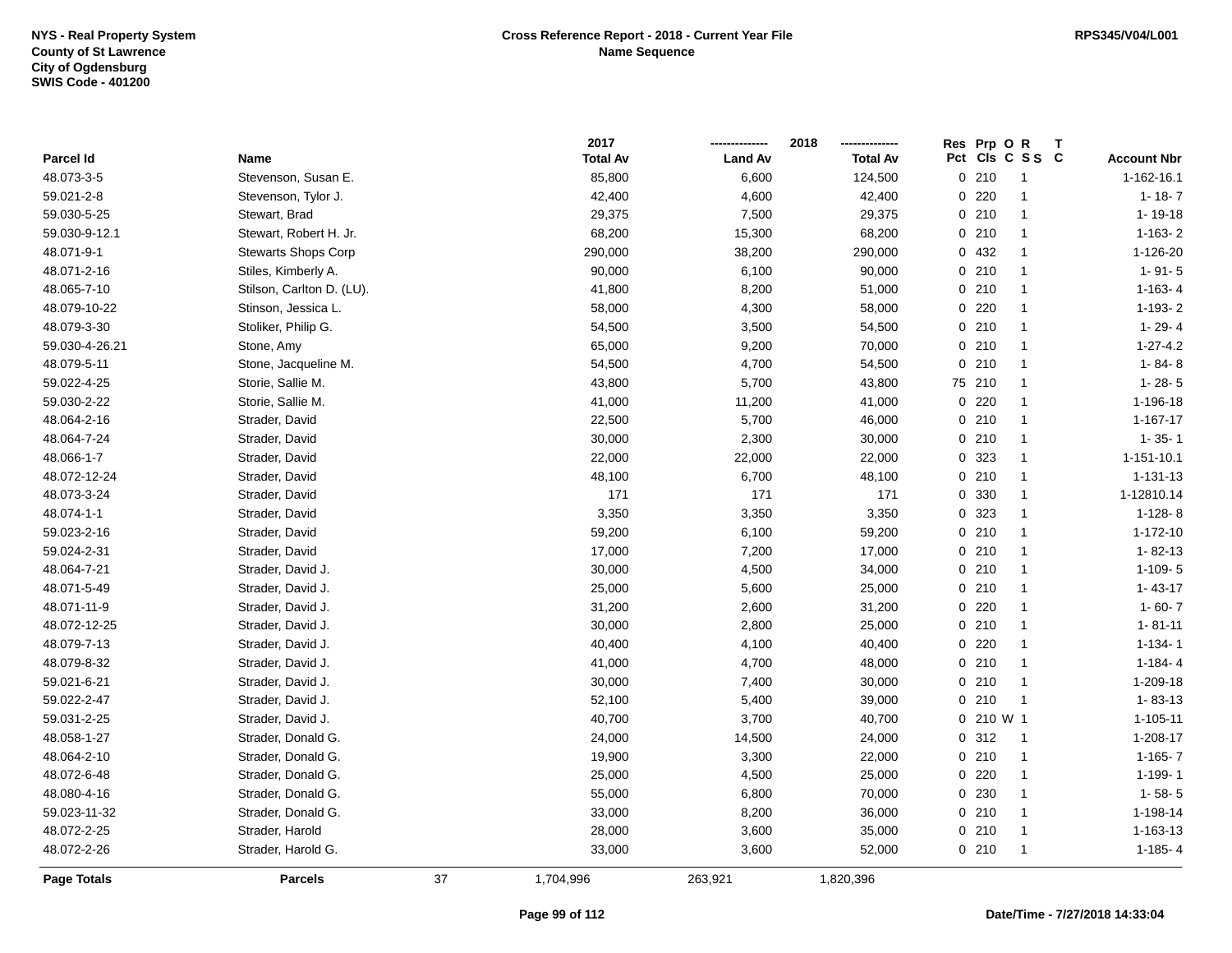|                    |                            |    | 2017            |                | 2018            | Res Prp O R |                 |                    |
|--------------------|----------------------------|----|-----------------|----------------|-----------------|-------------|-----------------|--------------------|
| Parcel Id          | Name                       |    | <b>Total Av</b> | <b>Land Av</b> | <b>Total Av</b> |             | Pct Cls C S S C | <b>Account Nbr</b> |
| 48.073-3-5         | Stevenson, Susan E.        |    | 85,800          | 6,600          | 124,500         | 0210        | $\overline{1}$  | 1-162-16.1         |
| 59.021-2-8         | Stevenson, Tylor J.        |    | 42,400          | 4,600          | 42,400          | 0.220       | $\mathbf{1}$    | $1 - 18 - 7$       |
| 59.030-5-25        | Stewart, Brad              |    | 29,375          | 7,500          | 29,375          | 0210        | $\mathbf{1}$    | $1 - 19 - 18$      |
| 59.030-9-12.1      | Stewart, Robert H. Jr.     |    | 68,200          | 15,300         | 68,200          | 0210        | $\mathbf{1}$    | $1 - 163 - 2$      |
| 48.071-9-1         | <b>Stewarts Shops Corp</b> |    | 290,000         | 38,200         | 290,000         | 0 432       | $\mathbf{1}$    | 1-126-20           |
| 48.071-2-16        | Stiles, Kimberly A.        |    | 90,000          | 6,100          | 90,000          | 0210        | $\mathbf{1}$    | $1 - 91 - 5$       |
| 48.065-7-10        | Stilson, Carlton D. (LU).  |    | 41,800          | 8,200          | 51,000          | 0210        | $\mathbf{1}$    | $1 - 163 - 4$      |
| 48.079-10-22       | Stinson, Jessica L.        |    | 58,000          | 4,300          | 58,000          | $0$ 220     | $\mathbf{1}$    | $1 - 193 - 2$      |
| 48.079-3-30        | Stoliker, Philip G.        |    | 54,500          | 3,500          | 54,500          | 0210        | $\mathbf{1}$    | $1 - 29 - 4$       |
| 59.030-4-26.21     | Stone, Amy                 |    | 65,000          | 9,200          | 70,000          | 0210        | $\mathbf{1}$    | $1 - 27 - 4.2$     |
| 48.079-5-11        | Stone, Jacqueline M.       |    | 54,500          | 4,700          | 54,500          | 0210        | $\mathbf{1}$    | $1 - 84 - 8$       |
| 59.022-4-25        | Storie, Sallie M.          |    | 43,800          | 5,700          | 43,800          | 75 210      | $\mathbf{1}$    | $1 - 28 - 5$       |
| 59.030-2-22        | Storie, Sallie M.          |    | 41,000          | 11,200         | 41,000          | 0.220       | $\mathbf{1}$    | 1-196-18           |
| 48.064-2-16        | Strader, David             |    | 22,500          | 5,700          | 46,000          | 0210        | $\mathbf{1}$    | $1 - 167 - 17$     |
| 48.064-7-24        | Strader, David             |    | 30,000          | 2,300          | 30,000          | 0210        | $\mathbf{1}$    | $1 - 35 - 1$       |
| 48.066-1-7         | Strader, David             |    | 22,000          | 22,000         | 22,000          | 0 323       | $\mathbf{1}$    | 1-151-10.1         |
| 48.072-12-24       | Strader, David             |    | 48,100          | 6,700          | 48,100          | 0210        | $\mathbf{1}$    | $1 - 131 - 13$     |
| 48.073-3-24        | Strader, David             |    | 171             | 171            | 171             | 0 330       | $\mathbf{1}$    | 1-12810.14         |
| 48.074-1-1         | Strader, David             |    | 3,350           | 3,350          | 3,350           | 0 323       | $\mathbf{1}$    | $1-128-8$          |
| 59.023-2-16        | Strader, David             |    | 59,200          | 6,100          | 59,200          | 0210        | $\mathbf{1}$    | $1 - 172 - 10$     |
| 59.024-2-31        | Strader, David             |    | 17,000          | 7,200          | 17,000          | 0210        | $\mathbf{1}$    | $1 - 82 - 13$      |
| 48.064-7-21        | Strader, David J.          |    | 30,000          | 4,500          | 34,000          | 0210        | $\mathbf{1}$    | $1-109 - 5$        |
| 48.071-5-49        | Strader, David J.          |    | 25,000          | 5,600          | 25,000          | 0210        | $\mathbf{1}$    | $1 - 43 - 17$      |
| 48.071-11-9        | Strader, David J.          |    | 31,200          | 2,600          | 31,200          | $0$ 220     | $\mathbf{1}$    | $1 - 60 - 7$       |
| 48.072-12-25       | Strader, David J.          |    | 30,000          | 2,800          | 25,000          | 0210        | $\mathbf{1}$    | $1 - 81 - 11$      |
| 48.079-7-13        | Strader, David J.          |    | 40,400          | 4,100          | 40,400          | $0$ 220     | $\mathbf{1}$    | $1 - 134 - 1$      |
| 48.079-8-32        | Strader, David J.          |    | 41,000          | 4,700          | 48,000          | 0210        | $\mathbf{1}$    | $1 - 184 - 4$      |
| 59.021-6-21        | Strader, David J.          |    | 30,000          | 7,400          | 30,000          | 0210        | $\mathbf{1}$    | 1-209-18           |
| 59.022-2-47        | Strader, David J.          |    | 52,100          | 5,400          | 39,000          | $0$ 210     | $\mathbf{1}$    | $1 - 83 - 13$      |
| 59.031-2-25        | Strader, David J.          |    | 40,700          | 3,700          | 40,700          | 0 210 W 1   |                 | $1 - 105 - 11$     |
| 48.058-1-27        | Strader, Donald G.         |    | 24,000          | 14,500         | 24,000          | 0 312       | $\mathbf{1}$    | 1-208-17           |
| 48.064-2-10        | Strader, Donald G.         |    | 19,900          | 3,300          | 22,000          | 0210        | $\mathbf{1}$    | $1 - 165 - 7$      |
| 48.072-6-48        | Strader, Donald G.         |    | 25,000          | 4,500          | 25,000          | 0220        | $\mathbf{1}$    | 1-199-1            |
| 48.080-4-16        | Strader, Donald G.         |    | 55,000          | 6,800          | 70,000          | 0 230       | $\mathbf{1}$    | $1 - 58 - 5$       |
| 59.023-11-32       | Strader, Donald G.         |    | 33,000          | 8,200          | 36,000          | 0210        | $\mathbf{1}$    | 1-198-14           |
| 48.072-2-25        | Strader, Harold            |    | 28,000          | 3,600          | 35,000          | 0210        | $\mathbf{1}$    | 1-163-13           |
| 48.072-2-26        | Strader, Harold G.         |    | 33,000          | 3,600          | 52,000          | 0210        | $\mathbf{1}$    | $1 - 185 - 4$      |
| <b>Page Totals</b> | <b>Parcels</b>             | 37 | 1,704,996       | 263,921        | 1,820,396       |             |                 |                    |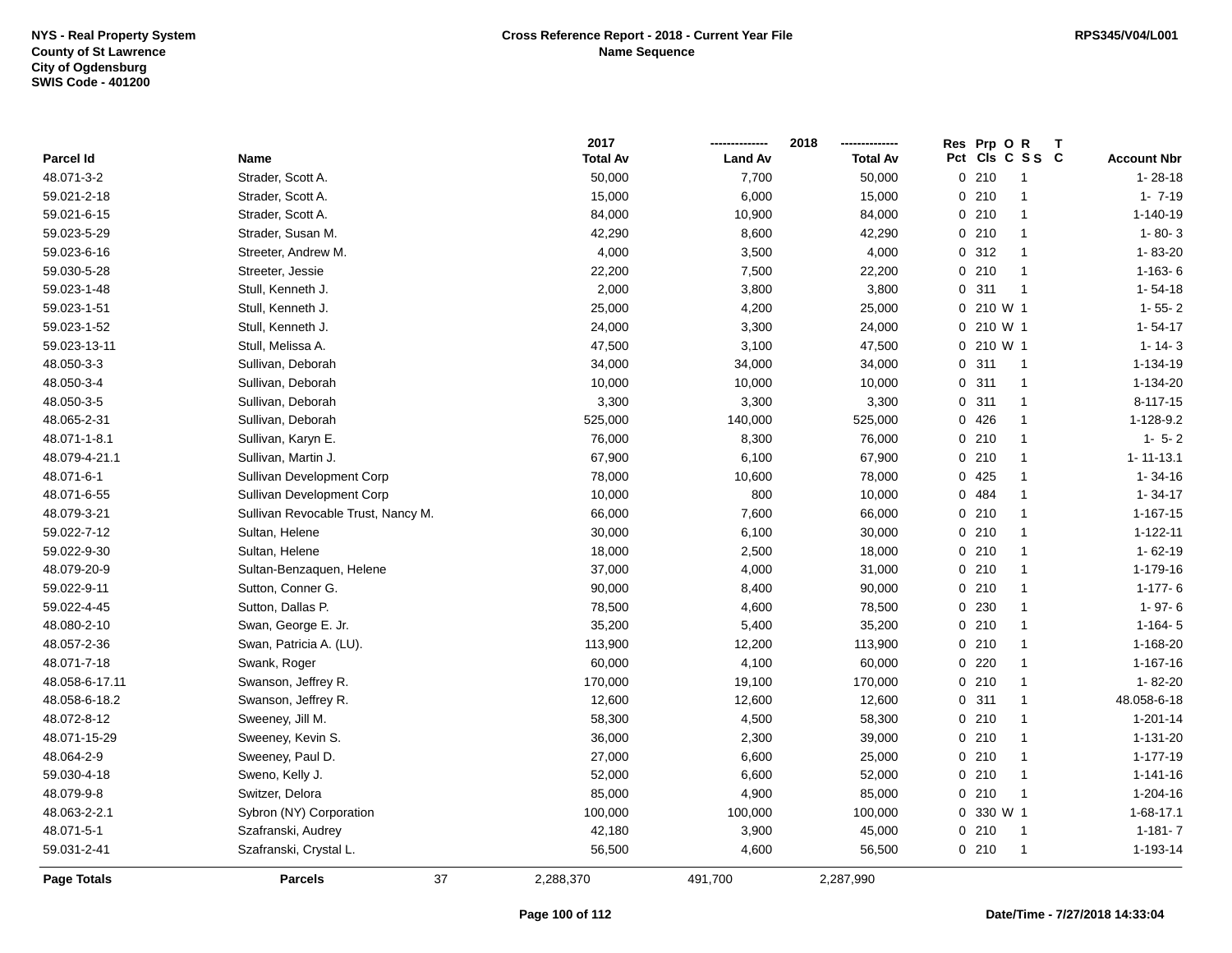|                    |                                    | 2017            |                | 2018            | Res Prp O R                        |                    |
|--------------------|------------------------------------|-----------------|----------------|-----------------|------------------------------------|--------------------|
| Parcel Id          | Name                               | <b>Total Av</b> | <b>Land Av</b> | <b>Total Av</b> | Pct Cls C S S C                    | <b>Account Nbr</b> |
| 48.071-3-2         | Strader, Scott A.                  | 50,000          | 7,700          | 50,000          | 0210<br>$\mathbf{1}$               | $1 - 28 - 18$      |
| 59.021-2-18        | Strader, Scott A.                  | 15,000          | 6,000          | 15,000          | 0210<br>$\mathbf{1}$               | $1 - 7 - 19$       |
| 59.021-6-15        | Strader, Scott A.                  | 84,000          | 10,900         | 84,000          | 0210<br>$\mathbf{1}$               | $1 - 140 - 19$     |
| 59.023-5-29        | Strader, Susan M.                  | 42,290          | 8,600          | 42,290          | 0210<br>$\mathbf{1}$               | $1 - 80 - 3$       |
| 59.023-6-16        | Streeter, Andrew M.                | 4,000           | 3,500          | 4,000           | 0.312<br>$\mathbf 1$               | 1-83-20            |
| 59.030-5-28        | Streeter, Jessie                   | 22,200          | 7,500          | 22,200          | 0210<br>-1                         | $1-163-6$          |
| 59.023-1-48        | Stull, Kenneth J.                  | 2,000           | 3,800          | 3,800           | 0.311<br>$\overline{1}$            | $1 - 54 - 18$      |
| 59.023-1-51        | Stull, Kenneth J.                  | 25,000          | 4,200          | 25,000          | 0 210 W 1                          | $1 - 55 - 2$       |
| 59.023-1-52        | Stull, Kenneth J.                  | 24,000          | 3,300          | 24,000          | 0 210 W 1                          | $1 - 54 - 17$      |
| 59.023-13-11       | Stull, Melissa A.                  | 47,500          | 3,100          | 47,500          | 0 210 W 1                          | $1 - 14 - 3$       |
| 48.050-3-3         | Sullivan, Deborah                  | 34,000          | 34,000         | 34,000          | 0.311<br>$\overline{1}$            | 1-134-19           |
| 48.050-3-4         | Sullivan, Deborah                  | 10,000          | 10,000         | 10,000          | 0.311<br>$\mathbf{1}$              | 1-134-20           |
| 48.050-3-5         | Sullivan, Deborah                  | 3,300           | 3,300          | 3,300           | 0.311<br>-1                        | $8 - 117 - 15$     |
| 48.065-2-31        | Sullivan, Deborah                  | 525,000         | 140,000        | 525,000         | 0426<br>-1                         | 1-128-9.2          |
| 48.071-1-8.1       | Sullivan, Karyn E.                 | 76,000          | 8,300          | 76,000          | 0210<br>$\mathbf{1}$               | $1 - 5 - 2$        |
| 48.079-4-21.1      | Sullivan, Martin J.                | 67,900          | 6,100          | 67,900          | 0210<br>$\mathbf{1}$               | $1 - 11 - 13.1$    |
| 48.071-6-1         | Sullivan Development Corp          | 78,000          | 10,600         | 78,000          | 0425<br>$\mathbf{1}$               | $1 - 34 - 16$      |
| 48.071-6-55        | Sullivan Development Corp          | 10,000          | 800            | 10,000          | 484<br>$\mathbf{0}$<br>$\mathbf 1$ | $1 - 34 - 17$      |
| 48.079-3-21        | Sullivan Revocable Trust, Nancy M. | 66,000          | 7,600          | 66,000          | 0210<br>$\mathbf{1}$               | $1 - 167 - 15$     |
| 59.022-7-12        | Sultan, Helene                     | 30,000          | 6,100          | 30,000          | 0210<br>-1                         | $1 - 122 - 11$     |
| 59.022-9-30        | Sultan, Helene                     | 18,000          | 2,500          | 18,000          | 0210<br>$\overline{1}$             | $1 - 62 - 19$      |
| 48.079-20-9        | Sultan-Benzaquen, Helene           | 37,000          | 4,000          | 31,000          | 0210<br>$\mathbf{1}$               | 1-179-16           |
| 59.022-9-11        | Sutton, Conner G.                  | 90,000          | 8,400          | 90,000          | 0210<br>$\mathbf{1}$               | $1-177-6$          |
| 59.022-4-45        | Sutton, Dallas P.                  | 78,500          | 4,600          | 78,500          | 0 230<br>$\mathbf{1}$              | $1 - 97 - 6$       |
| 48.080-2-10        | Swan, George E. Jr.                | 35,200          | 5,400          | 35,200          | 0210<br>$\mathbf{1}$               | $1-164-5$          |
| 48.057-2-36        | Swan, Patricia A. (LU).            | 113,900         | 12,200         | 113,900         | 0210<br>$\mathbf 1$                | 1-168-20           |
| 48.071-7-18        | Swank, Roger                       | 60,000          | 4,100          | 60,000          | $0$ 220<br>-1                      | 1-167-16           |
| 48.058-6-17.11     | Swanson, Jeffrey R.                | 170,000         | 19,100         | 170,000         | 0210<br>-1                         | 1-82-20            |
| 48.058-6-18.2      | Swanson, Jeffrey R.                | 12,600          | 12,600         | 12,600          | 0.311<br>-1                        | 48.058-6-18        |
| 48.072-8-12        | Sweeney, Jill M.                   | 58,300          | 4,500          | 58,300          | 0210<br>-1                         | $1 - 201 - 14$     |
| 48.071-15-29       | Sweeney, Kevin S.                  | 36,000          | 2,300          | 39,000          | 0210<br>$\mathbf{1}$               | 1-131-20           |
| 48.064-2-9         | Sweeney, Paul D.                   | 27,000          | 6,600          | 25,000          | 0210<br>$\mathbf{1}$               | 1-177-19           |
| 59.030-4-18        | Sweno, Kelly J.                    | 52,000          | 6,600          | 52,000          | 0210<br>$\mathbf{1}$               | $1 - 141 - 16$     |
| 48.079-9-8         | Switzer, Delora                    | 85,000          | 4,900          | 85,000          | 0210<br>$\overline{1}$             | 1-204-16           |
| 48.063-2-2.1       | Sybron (NY) Corporation            | 100,000         | 100,000        | 100,000         | 0 330 W 1                          | 1-68-17.1          |
| 48.071-5-1         | Szafranski, Audrey                 | 42,180          | 3,900          | 45,000          | 0210<br>$\overline{1}$             | $1 - 181 - 7$      |
| 59.031-2-41        | Szafranski, Crystal L.             | 56,500          | 4,600          | 56,500          | 0210<br>$\mathbf{1}$               | 1-193-14           |
| <b>Page Totals</b> | 37<br><b>Parcels</b>               | 2,288,370       | 491,700        | 2,287,990       |                                    |                    |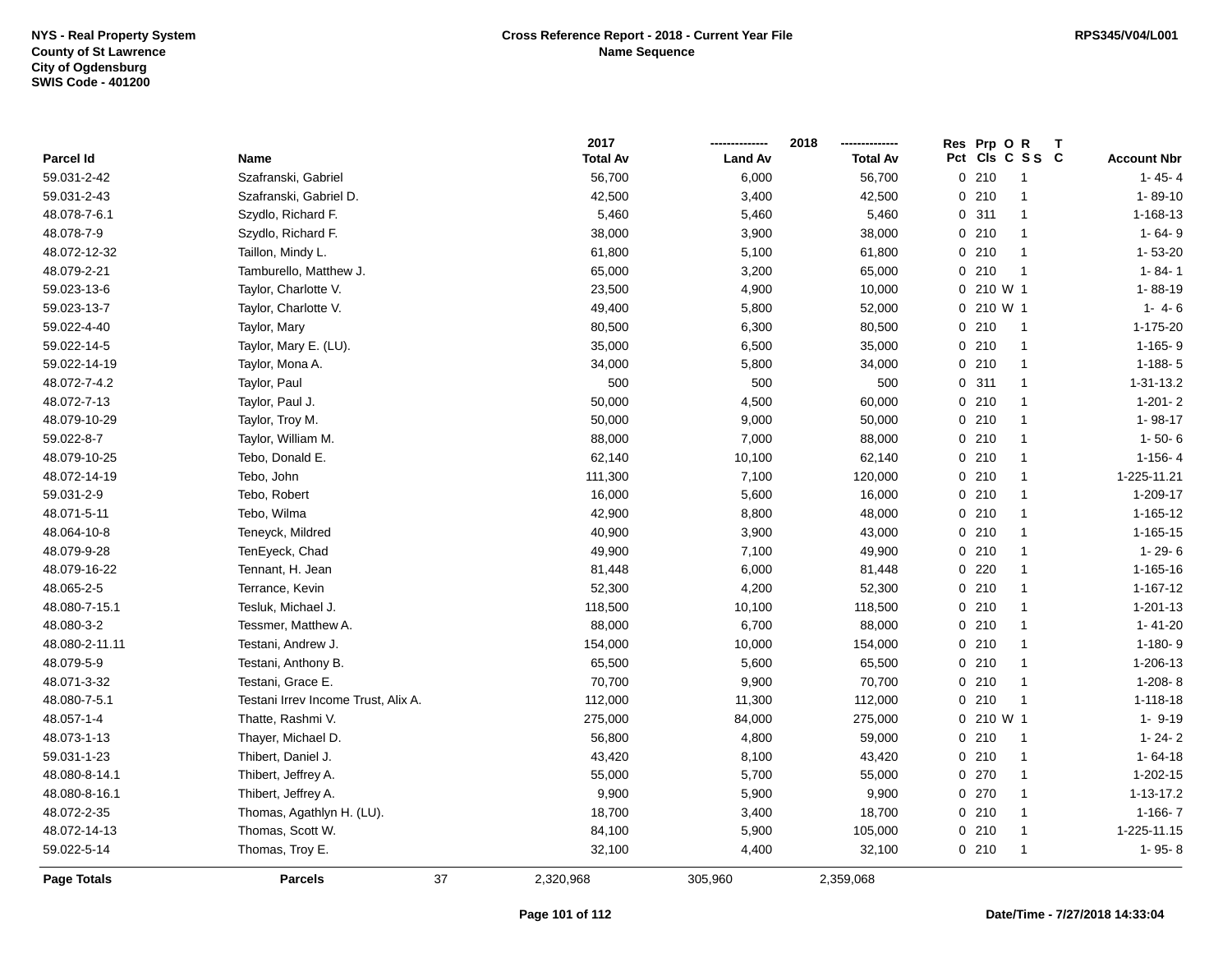|                    |                                     |    | 2017            |                | 2018            | Res Prp O R |                 |                    |
|--------------------|-------------------------------------|----|-----------------|----------------|-----------------|-------------|-----------------|--------------------|
| Parcel Id          | Name                                |    | <b>Total Av</b> | <b>Land Av</b> | <b>Total Av</b> |             | Pct Cls C S S C | <b>Account Nbr</b> |
| 59.031-2-42        | Szafranski, Gabriel                 |    | 56,700          | 6,000          | 56,700          | 0210        | -1              | $1 - 45 - 4$       |
| 59.031-2-43        | Szafranski, Gabriel D.              |    | 42,500          | 3,400          | 42,500          | 0210        | $\mathbf{1}$    | $1 - 89 - 10$      |
| 48.078-7-6.1       | Szydlo, Richard F.                  |    | 5,460           | 5,460          | 5,460           | 0.311       | $\mathbf{1}$    | 1-168-13           |
| 48.078-7-9         | Szydlo, Richard F.                  |    | 38,000          | 3,900          | 38,000          | 0210        | $\overline{1}$  | $1 - 64 - 9$       |
| 48.072-12-32       | Taillon, Mindy L.                   |    | 61,800          | 5,100          | 61,800          | 0210        | -1              | $1 - 53 - 20$      |
| 48.079-2-21        | Tamburello, Matthew J.              |    | 65,000          | 3,200          | 65,000          | 0210        | -1              | $1 - 84 - 1$       |
| 59.023-13-6        | Taylor, Charlotte V.                |    | 23,500          | 4,900          | 10,000          | 0 210 W 1   |                 | 1-88-19            |
| 59.023-13-7        | Taylor, Charlotte V.                |    | 49,400          | 5,800          | 52,000          | 0 210 W 1   |                 | $1 - 4 - 6$        |
| 59.022-4-40        | Taylor, Mary                        |    | 80,500          | 6,300          | 80,500          | 0210        | $\overline{1}$  | 1-175-20           |
| 59.022-14-5        | Taylor, Mary E. (LU).               |    | 35,000          | 6,500          | 35,000          | 0210        | $\mathbf{1}$    | $1-165-9$          |
| 59.022-14-19       | Taylor, Mona A.                     |    | 34,000          | 5,800          | 34,000          | 0210        | $\mathbf{1}$    | $1 - 188 - 5$      |
| 48.072-7-4.2       | Taylor, Paul                        |    | 500             | 500            | 500             | 0.311       | $\mathbf{1}$    | 1-31-13.2          |
| 48.072-7-13        | Taylor, Paul J.                     |    | 50,000          | 4,500          | 60,000          | 0210        | -1              | $1 - 201 - 2$      |
| 48.079-10-29       | Taylor, Troy M.                     |    | 50,000          | 9,000          | 50,000          | 0210        | $\overline{1}$  | 1-98-17            |
| 59.022-8-7         | Taylor, William M.                  |    | 88,000          | 7,000          | 88,000          | 0210        | $\mathbf{1}$    | $1 - 50 - 6$       |
| 48.079-10-25       | Tebo, Donald E.                     |    | 62,140          | 10,100         | 62,140          | 0210        | $\mathbf{1}$    | $1 - 156 - 4$      |
| 48.072-14-19       | Tebo, John                          |    | 111,300         | 7,100          | 120,000         | 0210        | $\mathbf{1}$    | 1-225-11.21        |
| 59.031-2-9         | Tebo, Robert                        |    | 16,000          | 5,600          | 16,000          | 0210        | $\mathbf{1}$    | 1-209-17           |
| 48.071-5-11        | Tebo, Wilma                         |    | 42,900          | 8,800          | 48,000          | 0210        | $\mathbf{1}$    | $1 - 165 - 12$     |
| 48.064-10-8        | Teneyck, Mildred                    |    | 40,900          | 3,900          | 43,000          | 0210        | $\mathbf{1}$    | $1 - 165 - 15$     |
| 48.079-9-28        | TenEyeck, Chad                      |    | 49,900          | 7,100          | 49,900          | 0210        | $\overline{1}$  | $1 - 29 - 6$       |
| 48.079-16-22       | Tennant, H. Jean                    |    | 81,448          | 6,000          | 81,448          | 0220        | $\overline{1}$  | 1-165-16           |
| 48.065-2-5         | Terrance, Kevin                     |    | 52,300          | 4,200          | 52,300          | 0210        | $\mathbf{1}$    | $1 - 167 - 12$     |
| 48.080-7-15.1      | Tesluk, Michael J.                  |    | 118,500         | 10,100         | 118,500         | 0210        | $\mathbf{1}$    | $1 - 201 - 13$     |
| 48.080-3-2         | Tessmer, Matthew A.                 |    | 88,000          | 6,700          | 88,000          | 0210        | $\mathbf{1}$    | $1 - 41 - 20$      |
| 48.080-2-11.11     | Testani, Andrew J.                  |    | 154,000         | 10,000         | 154,000         | 0210        | $\mathbf{1}$    | $1-180-9$          |
| 48.079-5-9         | Testani, Anthony B.                 |    | 65,500          | 5,600          | 65,500          | 0210        | -1              | 1-206-13           |
| 48.071-3-32        | Testani, Grace E.                   |    | 70,700          | 9,900          | 70,700          | 0210        | -1              | $1-208-8$          |
| 48.080-7-5.1       | Testani Irrev Income Trust, Alix A. |    | 112,000         | 11,300         | 112,000         | 0210        | -1              | $1 - 118 - 18$     |
| 48.057-1-4         | Thatte, Rashmi V.                   |    | 275,000         | 84,000         | 275,000         | 0 210 W 1   |                 | $1 - 9 - 19$       |
| 48.073-1-13        | Thayer, Michael D.                  |    | 56,800          | 4,800          | 59,000          | 0210        | -1              | $1 - 24 - 2$       |
| 59.031-1-23        | Thibert, Daniel J.                  |    | 43,420          | 8,100          | 43,420          | 0210        | $\overline{1}$  | $1 - 64 - 18$      |
| 48.080-8-14.1      | Thibert, Jeffrey A.                 |    | 55,000          | 5,700          | 55,000          | 0270        | $\mathbf{1}$    | 1-202-15           |
| 48.080-8-16.1      | Thibert, Jeffrey A.                 |    | 9,900           | 5,900          | 9,900           | 0270        | $\mathbf{1}$    | 1-13-17.2          |
| 48.072-2-35        | Thomas, Agathlyn H. (LU).           |    | 18,700          | 3,400          | 18,700          | 0210        | $\mathbf{1}$    | $1 - 166 - 7$      |
| 48.072-14-13       | Thomas, Scott W.                    |    | 84,100          | 5,900          | 105,000         | 0210        | $\overline{1}$  | 1-225-11.15        |
| 59.022-5-14        | Thomas, Troy E.                     |    | 32,100          | 4,400          | 32,100          | 0210        | -1              | $1 - 95 - 8$       |
| <b>Page Totals</b> | <b>Parcels</b>                      | 37 | 2,320,968       | 305,960        | 2,359,068       |             |                 |                    |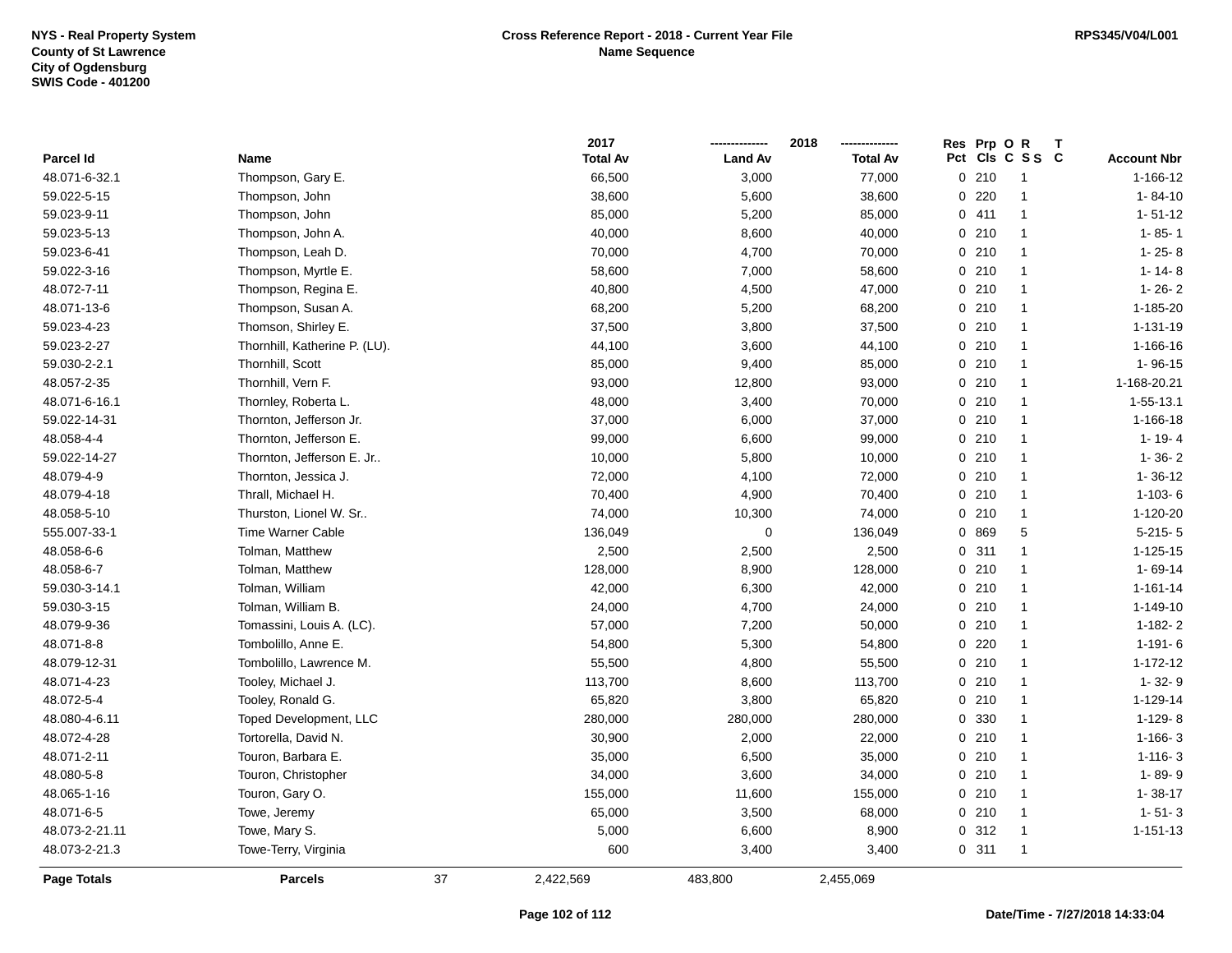|                    |                               |    | 2017            |                | 2018            | Res Prp O R |                 | $\mathbf{T}$ |                    |
|--------------------|-------------------------------|----|-----------------|----------------|-----------------|-------------|-----------------|--------------|--------------------|
| Parcel Id          | Name                          |    | <b>Total Av</b> | <b>Land Av</b> | <b>Total Av</b> |             | Pct Cls C S S C |              | <b>Account Nbr</b> |
| 48.071-6-32.1      | Thompson, Gary E.             |    | 66,500          | 3,000          | 77,000          | 0210        | $\mathbf{1}$    |              | $1 - 166 - 12$     |
| 59.022-5-15        | Thompson, John                |    | 38,600          | 5,600          | 38,600          | 0.220       | $\mathbf 1$     |              | $1 - 84 - 10$      |
| 59.023-9-11        | Thompson, John                |    | 85,000          | 5,200          | 85,000          | 0411        | $\mathbf{1}$    |              | $1 - 51 - 12$      |
| 59.023-5-13        | Thompson, John A.             |    | 40,000          | 8,600          | 40,000          | 0210        | $\mathbf{1}$    |              | $1 - 85 - 1$       |
| 59.023-6-41        | Thompson, Leah D.             |    | 70,000          | 4,700          | 70,000          | 0210        | $\mathbf{1}$    |              | $1 - 25 - 8$       |
| 59.022-3-16        | Thompson, Myrtle E.           |    | 58,600          | 7,000          | 58,600          | 0210        | $\mathbf{1}$    |              | $1 - 14 - 8$       |
| 48.072-7-11        | Thompson, Regina E.           |    | 40,800          | 4,500          | 47,000          | 0210        | $\mathbf{1}$    |              | $1 - 26 - 2$       |
| 48.071-13-6        | Thompson, Susan A.            |    | 68,200          | 5,200          | 68,200          | 0210        | $\mathbf{1}$    |              | 1-185-20           |
| 59.023-4-23        | Thomson, Shirley E.           |    | 37,500          | 3,800          | 37,500          | 0210        | $\mathbf{1}$    |              | 1-131-19           |
| 59.023-2-27        | Thornhill, Katherine P. (LU). |    | 44,100          | 3,600          | 44,100          | 0210        | $\mathbf{1}$    |              | 1-166-16           |
| 59.030-2-2.1       | Thornhill, Scott              |    | 85,000          | 9,400          | 85,000          | 0210        | $\mathbf{1}$    |              | 1-96-15            |
| 48.057-2-35        | Thornhill, Vern F.            |    | 93,000          | 12,800         | 93,000          | 0210        | $\mathbf{1}$    |              | 1-168-20.21        |
| 48.071-6-16.1      | Thornley, Roberta L.          |    | 48,000          | 3,400          | 70,000          | 0210        | $\mathbf{1}$    |              | $1 - 55 - 13.1$    |
| 59.022-14-31       | Thornton, Jefferson Jr.       |    | 37,000          | 6,000          | 37,000          | 0210        | $\mathbf{1}$    |              | 1-166-18           |
| 48.058-4-4         | Thornton, Jefferson E.        |    | 99,000          | 6,600          | 99,000          | 0210        | $\mathbf{1}$    |              | $1 - 19 - 4$       |
| 59.022-14-27       | Thornton, Jefferson E. Jr     |    | 10,000          | 5,800          | 10,000          | 0210        | $\mathbf{1}$    |              | $1 - 36 - 2$       |
| 48.079-4-9         | Thornton, Jessica J.          |    | 72,000          | 4,100          | 72,000          | 0210        | $\mathbf{1}$    |              | $1 - 36 - 12$      |
| 48.079-4-18        | Thrall, Michael H.            |    | 70,400          | 4,900          | 70,400          | 0210        | $\mathbf{1}$    |              | $1 - 103 - 6$      |
| 48.058-5-10        | Thurston, Lionel W. Sr        |    | 74,000          | 10,300         | 74,000          | 0210        | $\mathbf{1}$    |              | 1-120-20           |
| 555.007-33-1       | <b>Time Warner Cable</b>      |    | 136,049         | $\mathbf 0$    | 136,049         | 0 869       | 5               |              | $5 - 215 - 5$      |
| 48.058-6-6         | Tolman, Matthew               |    | 2,500           | 2,500          | 2,500           | 0.311       | $\mathbf{1}$    |              | $1 - 125 - 15$     |
| 48.058-6-7         | Tolman, Matthew               |    | 128,000         | 8,900          | 128,000         | 0210        | $\mathbf{1}$    |              | $1 - 69 - 14$      |
| 59.030-3-14.1      | Tolman, William               |    | 42,000          | 6,300          | 42,000          | 0210        | $\mathbf{1}$    |              | $1 - 161 - 14$     |
| 59.030-3-15        | Tolman, William B.            |    | 24,000          | 4,700          | 24,000          | 0210        | $\mathbf{1}$    |              | $1 - 149 - 10$     |
| 48.079-9-36        | Tomassini, Louis A. (LC).     |    | 57,000          | 7,200          | 50,000          | 0210        | $\mathbf{1}$    |              | $1 - 182 - 2$      |
| 48.071-8-8         | Tombolillo, Anne E.           |    | 54,800          | 5,300          | 54,800          | 0220        | $\mathbf{1}$    |              | $1 - 191 - 6$      |
| 48.079-12-31       | Tombolillo, Lawrence M.       |    | 55,500          | 4,800          | 55,500          | 0210        | $\mathbf{1}$    |              | $1 - 172 - 12$     |
| 48.071-4-23        | Tooley, Michael J.            |    | 113,700         | 8,600          | 113,700         | 0210        | $\mathbf{1}$    |              | $1 - 32 - 9$       |
| 48.072-5-4         | Tooley, Ronald G.             |    | 65,820          | 3,800          | 65,820          | 0210        | $\mathbf{1}$    |              | 1-129-14           |
| 48.080-4-6.11      | <b>Toped Development, LLC</b> |    | 280,000         | 280,000        | 280,000         | 0 330       | $\mathbf{1}$    |              | $1-129-8$          |
| 48.072-4-28        | Tortorella, David N.          |    | 30,900          | 2,000          | 22,000          | 0210        | $\mathbf{1}$    |              | $1-166-3$          |
| 48.071-2-11        | Touron, Barbara E.            |    | 35,000          | 6,500          | 35,000          | 0210        | $\mathbf{1}$    |              | $1 - 116 - 3$      |
| 48.080-5-8         | Touron, Christopher           |    | 34,000          | 3,600          | 34,000          | 0210        | $\mathbf{1}$    |              | 1-89-9             |
| 48.065-1-16        | Touron, Gary O.               |    | 155,000         | 11,600         | 155,000         | 0210        | $\mathbf{1}$    |              | $1 - 38 - 17$      |
| 48.071-6-5         | Towe, Jeremy                  |    | 65,000          | 3,500          | 68,000          | 0210        | $\mathbf{1}$    |              | $1 - 51 - 3$       |
| 48.073-2-21.11     | Towe, Mary S.                 |    | 5,000           | 6,600          | 8,900           | 0.312       | $\mathbf{1}$    |              | $1 - 151 - 13$     |
| 48.073-2-21.3      | Towe-Terry, Virginia          |    | 600             | 3,400          | 3,400           | 0.311       | $\mathbf{1}$    |              |                    |
| <b>Page Totals</b> | <b>Parcels</b>                | 37 | 2,422,569       | 483,800        | 2,455,069       |             |                 |              |                    |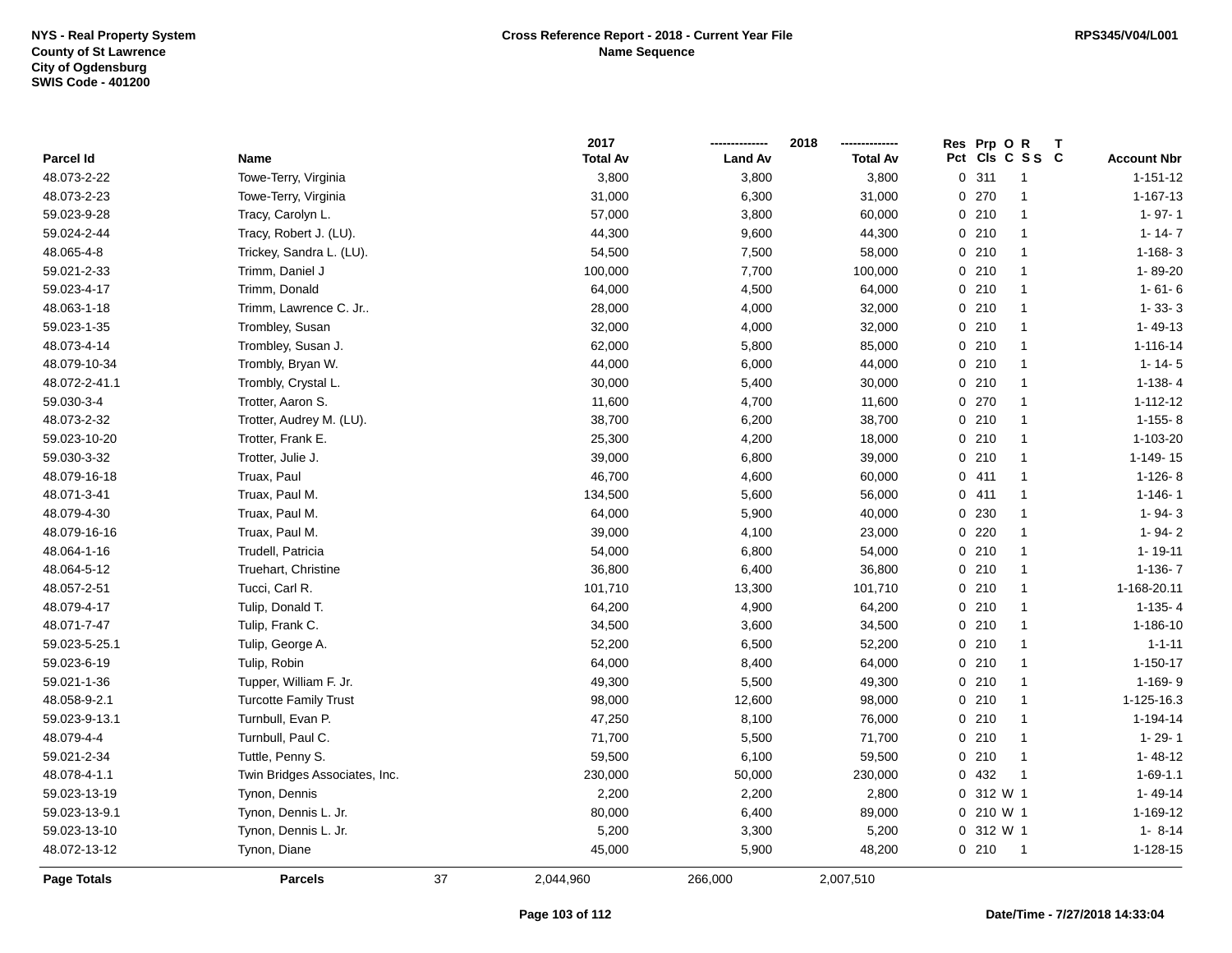|                    |                               |    | 2017            |                | 2018            | Prp OR<br><b>Res</b><br>$\mathsf{T}$ |                    |
|--------------------|-------------------------------|----|-----------------|----------------|-----------------|--------------------------------------|--------------------|
| <b>Parcel Id</b>   | Name                          |    | <b>Total Av</b> | <b>Land Av</b> | <b>Total Av</b> | Pct Cls C S S C                      | <b>Account Nbr</b> |
| 48.073-2-22        | Towe-Terry, Virginia          |    | 3,800           | 3,800          | 3,800           | 0.311<br>$\overline{1}$              | $1 - 151 - 12$     |
| 48.073-2-23        | Towe-Terry, Virginia          |    | 31,000          | 6,300          | 31,000          | 0.270                                | 1-167-13           |
| 59.023-9-28        | Tracy, Carolyn L.             |    | 57,000          | 3,800          | 60,000          | 0210<br>$\mathbf{1}$                 | $1 - 97 - 1$       |
| 59.024-2-44        | Tracy, Robert J. (LU).        |    | 44,300          | 9,600          | 44,300          | 0210<br>$\mathbf{1}$                 | $1 - 14 - 7$       |
| 48.065-4-8         | Trickey, Sandra L. (LU).      |    | 54,500          | 7,500          | 58,000          | 0210<br>$\mathbf{1}$                 | $1 - 168 - 3$      |
| 59.021-2-33        | Trimm, Daniel J               |    | 100,000         | 7,700          | 100,000         | 0210<br>$\mathbf{1}$                 | 1-89-20            |
| 59.023-4-17        | Trimm, Donald                 |    | 64,000          | 4,500          | 64,000          | 0210<br>$\mathbf{1}$                 | $1 - 61 - 6$       |
| 48.063-1-18        | Trimm, Lawrence C. Jr         |    | 28,000          | 4,000          | 32,000          | 0210<br>$\mathbf{1}$                 | $1 - 33 - 3$       |
| 59.023-1-35        | Trombley, Susan               |    | 32,000          | 4,000          | 32,000          | 0210<br>$\overline{1}$               | $1 - 49 - 13$      |
| 48.073-4-14        | Trombley, Susan J.            |    | 62,000          | 5,800          | 85,000          | 0210<br>$\mathbf{1}$                 | 1-116-14           |
| 48.079-10-34       | Trombly, Bryan W.             |    | 44,000          | 6,000          | 44,000          | 0210<br>$\mathbf{1}$                 | $1 - 14 - 5$       |
| 48.072-2-41.1      | Trombly, Crystal L.           |    | 30,000          | 5,400          | 30,000          | 0210<br>$\mathbf{1}$                 | $1-138-4$          |
| 59.030-3-4         | Trotter, Aaron S.             |    | 11,600          | 4,700          | 11,600          | 0270<br>$\mathbf{1}$                 | $1 - 112 - 12$     |
| 48.073-2-32        | Trotter, Audrey M. (LU).      |    | 38,700          | 6,200          | 38,700          | 0210<br>$\mathbf{1}$                 | $1 - 155 - 8$      |
| 59.023-10-20       | Trotter, Frank E.             |    | 25,300          | 4,200          | 18,000          | 0210<br>$\mathbf{1}$                 | 1-103-20           |
| 59.030-3-32        | Trotter, Julie J.             |    | 39,000          | 6,800          | 39,000          | 0210<br>$\overline{1}$               | 1-149-15           |
| 48.079-16-18       | Truax, Paul                   |    | 46,700          | 4,600          | 60,000          | 0411<br>$\mathbf{1}$                 | $1 - 126 - 8$      |
| 48.071-3-41        | Truax, Paul M.                |    | 134,500         | 5,600          | 56,000          | 0411<br>$\mathbf{1}$                 | $1 - 146 - 1$      |
| 48.079-4-30        | Truax, Paul M.                |    | 64,000          | 5,900          | 40,000          | 0 230<br>$\mathbf{1}$                | $1 - 94 - 3$       |
| 48.079-16-16       | Truax, Paul M.                |    | 39,000          | 4,100          | 23,000          | 0220<br>$\mathbf{1}$                 | $1 - 94 - 2$       |
| 48.064-1-16        | Trudell, Patricia             |    | 54,000          | 6,800          | 54,000          | 0210<br>$\mathbf{1}$                 | $1 - 19 - 11$      |
| 48.064-5-12        | Truehart, Christine           |    | 36,800          | 6,400          | 36,800          | 0210<br>$\mathbf{1}$                 | $1-136-7$          |
| 48.057-2-51        | Tucci, Carl R.                |    | 101,710         | 13,300         | 101,710         | 0210<br>$\overline{1}$               | 1-168-20.11        |
| 48.079-4-17        | Tulip, Donald T.              |    | 64,200          | 4,900          | 64,200          | 0210<br>$\mathbf{1}$                 | $1-135 - 4$        |
| 48.071-7-47        | Tulip, Frank C.               |    | 34,500          | 3,600          | 34,500          | 0210<br>$\mathbf{1}$                 | 1-186-10           |
| 59.023-5-25.1      | Tulip, George A.              |    | 52,200          | 6,500          | 52,200          | 0210<br>$\mathbf{1}$                 | $1 - 1 - 11$       |
| 59.023-6-19        | Tulip, Robin                  |    | 64,000          | 8,400          | 64,000          | 0210<br>$\mathbf{1}$                 | $1 - 150 - 17$     |
| 59.021-1-36        | Tupper, William F. Jr.        |    | 49,300          | 5,500          | 49,300          | 0210<br>$\mathbf{1}$                 | $1-169-9$          |
| 48.058-9-2.1       | <b>Turcotte Family Trust</b>  |    | 98,000          | 12,600         | 98,000          | 0210<br>$\mathbf{1}$                 | 1-125-16.3         |
| 59.023-9-13.1      | Turnbull, Evan P.             |    | 47,250          | 8,100          | 76,000          | 0210<br>-1                           | 1-194-14           |
| 48.079-4-4         | Turnbull, Paul C.             |    | 71,700          | 5,500          | 71,700          | 0210<br>$\mathbf{1}$                 | $1 - 29 - 1$       |
| 59.021-2-34        | Tuttle, Penny S.              |    | 59,500          | 6,100          | 59,500          | 0210<br>$\mathbf{1}$                 | $1 - 48 - 12$      |
| 48.078-4-1.1       | Twin Bridges Associates, Inc. |    | 230,000         | 50,000         | 230,000         | 0 432<br>$\overline{1}$              | $1 - 69 - 1.1$     |
| 59.023-13-19       | Tynon, Dennis                 |    | 2,200           | 2,200          | 2,800           | 0 312 W 1                            | $1 - 49 - 14$      |
| 59.023-13-9.1      | Tynon, Dennis L. Jr.          |    | 80,000          | 6,400          | 89,000          | $0, 210$ W 1                         | 1-169-12           |
| 59.023-13-10       | Tynon, Dennis L. Jr.          |    | 5,200           | 3,300          | 5,200           | 0 312 W 1                            | $1 - 8 - 14$       |
| 48.072-13-12       | Tynon, Diane                  |    | 45,000          | 5,900          | 48,200          | 0210<br>$\overline{1}$               | 1-128-15           |
| <b>Page Totals</b> | <b>Parcels</b>                | 37 | 2,044,960       | 266,000        | 2,007,510       |                                      |                    |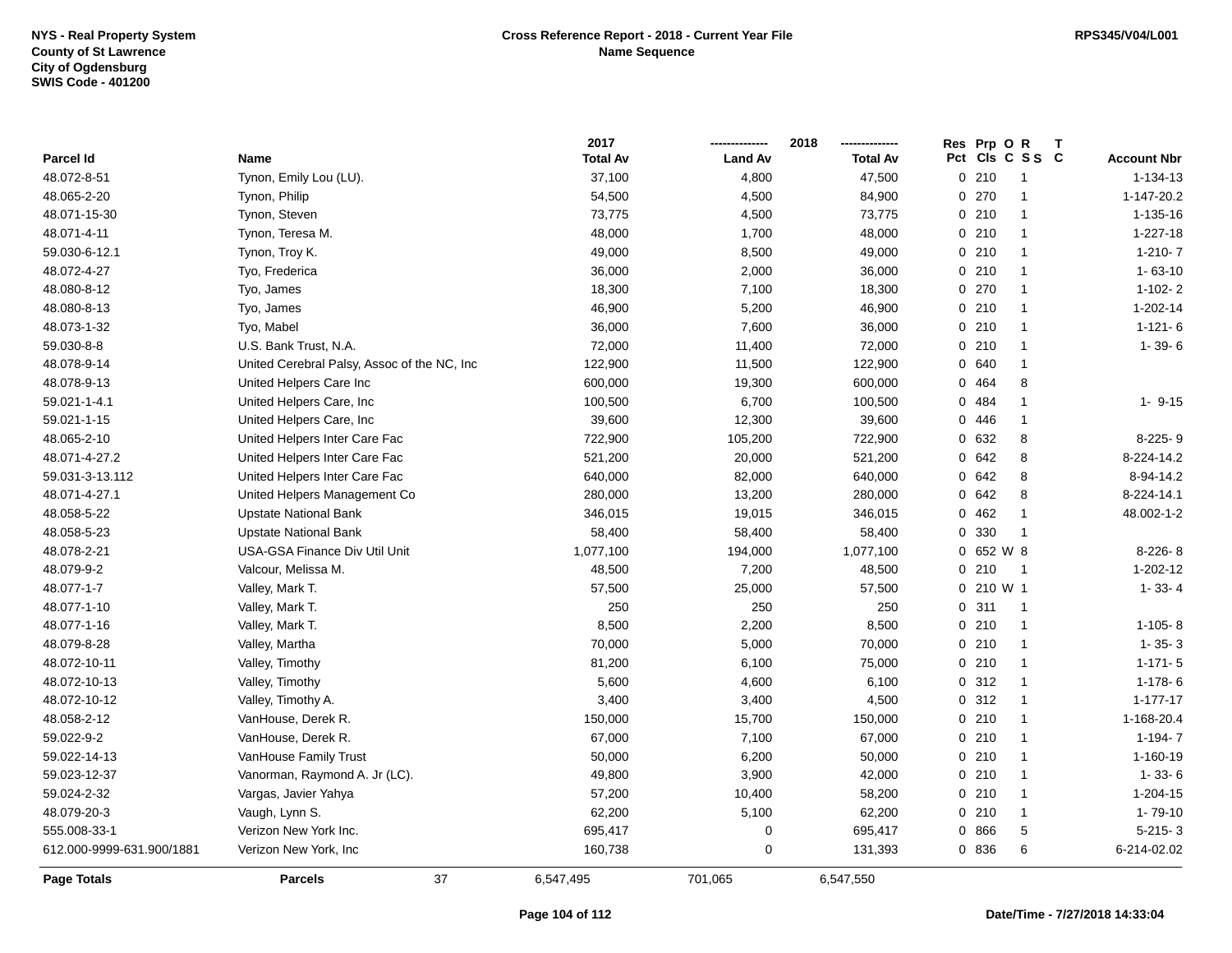|                           |                                             | 2017            |                | 2018            | Res Prp O R                      |                    |
|---------------------------|---------------------------------------------|-----------------|----------------|-----------------|----------------------------------|--------------------|
| Parcel Id                 | <b>Name</b>                                 | <b>Total Av</b> | <b>Land Av</b> | <b>Total Av</b> | Pct<br>CIs C S S C               | <b>Account Nbr</b> |
| 48.072-8-51               | Tynon, Emily Lou (LU).                      | 37,100          | 4,800          | 47,500          | 0210<br>-1                       | 1-134-13           |
| 48.065-2-20               | Tynon, Philip                               | 54,500          | 4,500          | 84,900          | 270<br>$\mathbf{1}$<br>$\Omega$  | 1-147-20.2         |
| 48.071-15-30              | Tynon, Steven                               | 73,775          | 4,500          | 73,775          | 0210<br>$\mathbf{1}$             | 1-135-16           |
| 48.071-4-11               | Tynon, Teresa M.                            | 48,000          | 1,700          | 48,000          | 0210<br>-1                       | $1 - 227 - 18$     |
| 59.030-6-12.1             | Tynon, Troy K.                              | 49,000          | 8,500          | 49,000          | 0210<br>-1                       | $1-210-7$          |
| 48.072-4-27               | Tyo, Frederica                              | 36,000          | 2,000          | 36,000          | 0210<br>$\mathbf 1$              | $1 - 63 - 10$      |
| 48.080-8-12               | Tyo, James                                  | 18,300          | 7,100          | 18,300          | 0 270<br>$\mathbf{1}$            | $1-102-2$          |
| 48.080-8-13               | Tyo, James                                  | 46,900          | 5,200          | 46,900          | 0210<br>$\mathbf{1}$             | 1-202-14           |
| 48.073-1-32               | Tyo, Mabel                                  | 36,000          | 7,600          | 36,000          | 0210<br>$\mathbf{1}$             | $1 - 121 - 6$      |
| 59.030-8-8                | U.S. Bank Trust, N.A.                       | 72,000          | 11,400         | 72,000          | 0210<br>$\mathbf{1}$             | $1 - 39 - 6$       |
| 48.078-9-14               | United Cerebral Palsy, Assoc of the NC, Inc | 122,900         | 11,500         | 122,900         | 0 640<br>$\mathbf{1}$            |                    |
| 48.078-9-13               | United Helpers Care Inc                     | 600,000         | 19,300         | 600,000         | 0 464<br>8                       |                    |
| 59.021-1-4.1              | United Helpers Care, Inc.                   | 100,500         | 6,700          | 100,500         | 0 484<br>-1                      | $1 - 9 - 15$       |
| 59.021-1-15               | United Helpers Care, Inc.                   | 39,600          | 12,300         | 39,600          | 446<br>0<br>-1                   |                    |
| 48.065-2-10               | United Helpers Inter Care Fac               | 722,900         | 105,200        | 722,900         | 632<br>8<br>0                    | $8-225-9$          |
| 48.071-4-27.2             | United Helpers Inter Care Fac               | 521,200         | 20,000         | 521,200         | 642<br>8<br>0                    | 8-224-14.2         |
| 59.031-3-13.112           | United Helpers Inter Care Fac               | 640,000         | 82,000         | 640,000         | 642<br>8<br>0                    | 8-94-14.2          |
| 48.071-4-27.1             | United Helpers Management Co                | 280,000         | 13,200         | 280,000         | 0 642<br>8                       | 8-224-14.1         |
| 48.058-5-22               | <b>Upstate National Bank</b>                | 346,015         | 19,015         | 346,015         | 0.462<br>-1                      | 48.002-1-2         |
| 48.058-5-23               | <b>Upstate National Bank</b>                | 58,400          | 58,400         | 58,400          | 0 330<br>-1                      |                    |
| 48.078-2-21               | USA-GSA Finance Div Util Unit               | 1,077,100       | 194,000        | 1,077,100       | 0 652 W 8                        | $8-226-8$          |
| 48.079-9-2                | Valcour, Melissa M.                         | 48,500          | 7,200          | 48,500          | 0210<br>$\overline{\phantom{0}}$ | $1 - 202 - 12$     |
| 48.077-1-7                | Valley, Mark T.                             | 57,500          | 25,000         | 57,500          | $0, 210$ W 1                     | $1 - 33 - 4$       |
| 48.077-1-10               | Valley, Mark T.                             | 250             | 250            | 250             | 311<br>$\Omega$<br>-1            |                    |
| 48.077-1-16               | Valley, Mark T.                             | 8,500           | 2,200          | 8,500           | 0210<br>$\mathbf{1}$             | $1-105-8$          |
| 48.079-8-28               | Valley, Martha                              | 70,000          | 5,000          | 70,000          | 0210<br>$\mathbf{1}$             | $1 - 35 - 3$       |
| 48.072-10-11              | Valley, Timothy                             | 81,200          | 6,100          | 75,000          | 0210<br>$\mathbf{1}$             | $1 - 171 - 5$      |
| 48.072-10-13              | Valley, Timothy                             | 5,600           | 4,600          | 6,100           | 0.312<br>-1                      | $1-178-6$          |
| 48.072-10-12              | Valley, Timothy A.                          | 3,400           | 3,400          | 4,500           | 0.312<br>$\mathbf{1}$            | $1 - 177 - 17$     |
| 48.058-2-12               | VanHouse, Derek R.                          | 150,000         | 15,700         | 150,000         | 0210<br>-1                       | 1-168-20.4         |
| 59.022-9-2                | VanHouse, Derek R.                          | 67,000          | 7,100          | 67,000          | 0210<br>$\mathbf{1}$             | $1 - 194 - 7$      |
| 59.022-14-13              | VanHouse Family Trust                       | 50,000          | 6,200          | 50,000          | 0210<br>$\mathbf{1}$             | 1-160-19           |
| 59.023-12-37              | Vanorman, Raymond A. Jr (LC).               | 49,800          | 3,900          | 42,000          | 0210<br>$\mathbf{1}$             | $1 - 33 - 6$       |
| 59.024-2-32               | Vargas, Javier Yahya                        | 57,200          | 10,400         | 58,200          | 0210<br>$\mathbf{1}$             | 1-204-15           |
| 48.079-20-3               | Vaugh, Lynn S.                              | 62,200          | 5,100          | 62,200          | 0210<br>$\mathbf{1}$             | $1 - 79 - 10$      |
| 555.008-33-1              | Verizon New York Inc.                       | 695,417         | 0              | 695,417         | 0 866<br>5                       | $5-215-3$          |
| 612.000-9999-631.900/1881 | Verizon New York, Inc                       | 160,738         | 0              | 131,393         | 6<br>0 836                       | 6-214-02.02        |
| Page Totals               | 37<br><b>Parcels</b>                        | 6,547,495       | 701,065        | 6,547,550       |                                  |                    |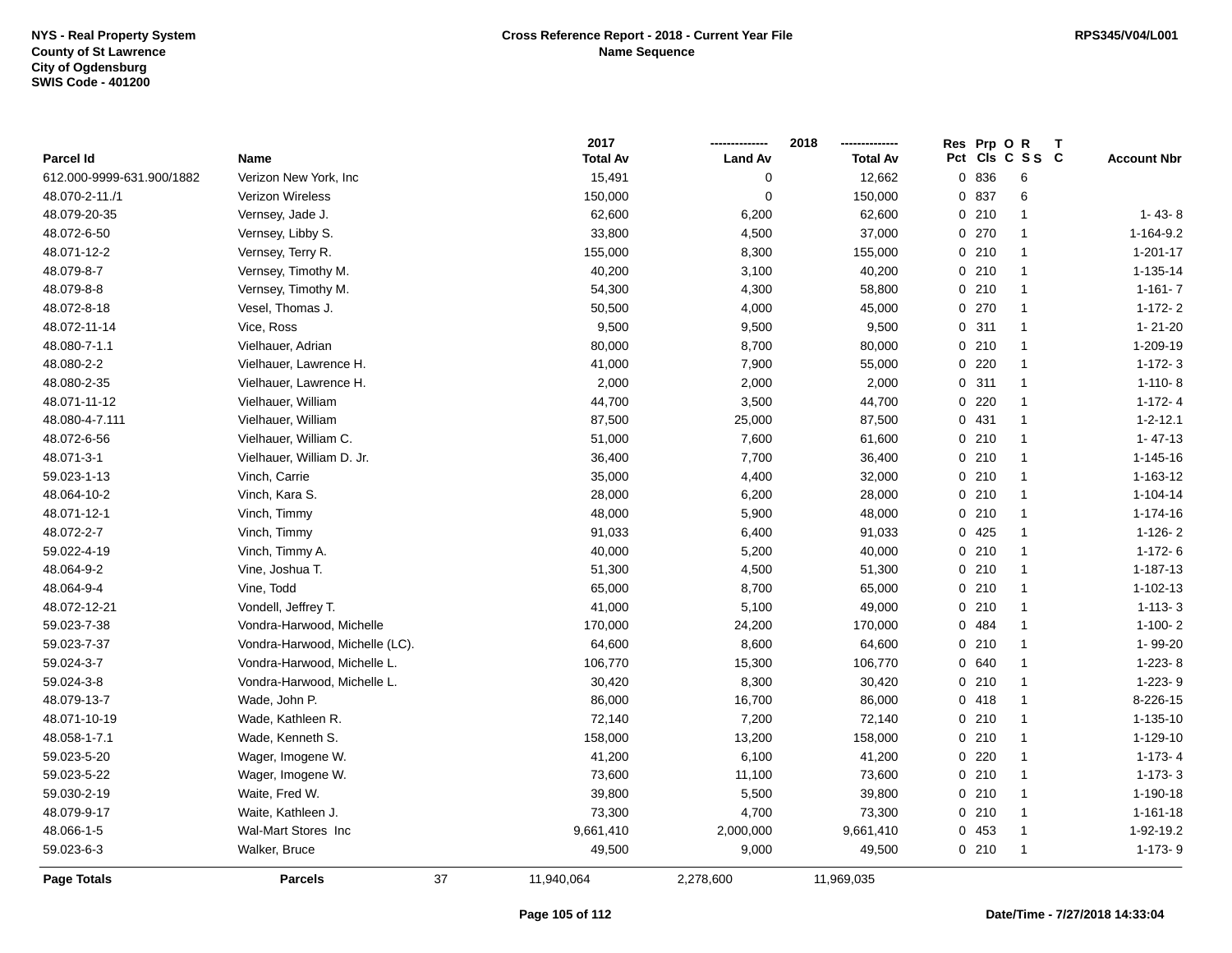|                           |                                |    | 2017            |                | 2018            |     | Res Prp O | R              | Т |                    |
|---------------------------|--------------------------------|----|-----------------|----------------|-----------------|-----|-----------|----------------|---|--------------------|
| Parcel Id                 | Name                           |    | <b>Total Av</b> | <b>Land Av</b> | <b>Total Av</b> | Pct |           | CIs C S S C    |   | <b>Account Nbr</b> |
| 612.000-9999-631.900/1882 | Verizon New York, Inc          |    | 15,491          | $\mathbf 0$    | 12,662          |     | 0 836     | 6              |   |                    |
| 48.070-2-11./1            | Verizon Wireless               |    | 150,000         | $\mathbf 0$    | 150,000         |     | 0 837     | 6              |   |                    |
| 48.079-20-35              | Vernsey, Jade J.               |    | 62,600          | 6,200          | 62,600          |     | 0210      | $\mathbf{1}$   |   | $1 - 43 - 8$       |
| 48.072-6-50               | Vernsey, Libby S.              |    | 33,800          | 4,500          | 37,000          |     | 0270      | $\mathbf{1}$   |   | 1-164-9.2          |
| 48.071-12-2               | Vernsey, Terry R.              |    | 155,000         | 8,300          | 155,000         |     | 0210      | $\mathbf{1}$   |   | $1 - 201 - 17$     |
| 48.079-8-7                | Vernsey, Timothy M.            |    | 40,200          | 3,100          | 40,200          |     | 0210      | $\overline{1}$ |   | 1-135-14           |
| 48.079-8-8                | Vernsey, Timothy M.            |    | 54,300          | 4,300          | 58,800          |     | 0210      | $\mathbf{1}$   |   | $1 - 161 - 7$      |
| 48.072-8-18               | Vesel, Thomas J.               |    | 50,500          | 4,000          | 45,000          |     | 0 270     | $\mathbf{1}$   |   | $1 - 172 - 2$      |
| 48.072-11-14              | Vice, Ross                     |    | 9,500           | 9,500          | 9,500           |     | 0.311     | $\mathbf{1}$   |   | $1 - 21 - 20$      |
| 48.080-7-1.1              | Vielhauer, Adrian              |    | 80,000          | 8,700          | 80,000          |     | 0210      | $\mathbf{1}$   |   | 1-209-19           |
| 48.080-2-2                | Vielhauer, Lawrence H.         |    | 41,000          | 7,900          | 55,000          |     | 0220      | $\mathbf{1}$   |   | $1 - 172 - 3$      |
| 48.080-2-35               | Vielhauer, Lawrence H.         |    | 2,000           | 2,000          | 2,000           |     | 0.311     | $\mathbf{1}$   |   | $1-110-8$          |
| 48.071-11-12              | Vielhauer, William             |    | 44,700          | 3,500          | 44,700          |     | 0220      | $\overline{1}$ |   | $1 - 172 - 4$      |
| 48.080-4-7.111            | Vielhauer, William             |    | 87,500          | 25,000         | 87,500          |     | 0 431     | $\mathbf{1}$   |   | $1 - 2 - 12.1$     |
| 48.072-6-56               | Vielhauer, William C.          |    | 51,000          | 7,600          | 61,600          |     | 0210      | $\mathbf{1}$   |   | $1 - 47 - 13$      |
| 48.071-3-1                | Vielhauer, William D. Jr.      |    | 36,400          | 7,700          | 36,400          |     | 0210      | $\mathbf{1}$   |   | 1-145-16           |
| 59.023-1-13               | Vinch, Carrie                  |    | 35,000          | 4,400          | 32,000          |     | 0210      | $\mathbf{1}$   |   | 1-163-12           |
| 48.064-10-2               | Vinch, Kara S.                 |    | 28,000          | 6,200          | 28,000          |     | 0210      | $\mathbf{1}$   |   | $1 - 104 - 14$     |
| 48.071-12-1               | Vinch, Timmy                   |    | 48,000          | 5,900          | 48,000          |     | 0210      | $\mathbf{1}$   |   | 1-174-16           |
| 48.072-2-7                | Vinch, Timmy                   |    | 91,033          | 6,400          | 91,033          |     | 0425      | $\mathbf{1}$   |   | $1-126-2$          |
| 59.022-4-19               | Vinch, Timmy A.                |    | 40,000          | 5,200          | 40,000          |     | 0210      | $\overline{1}$ |   | $1-172-6$          |
| 48.064-9-2                | Vine, Joshua T.                |    | 51,300          | 4,500          | 51,300          |     | 0210      | $\mathbf{1}$   |   | 1-187-13           |
| 48.064-9-4                | Vine, Todd                     |    | 65,000          | 8,700          | 65,000          |     | 0210      | $\mathbf{1}$   |   | 1-102-13           |
| 48.072-12-21              | Vondell, Jeffrey T.            |    | 41,000          | 5,100          | 49,000          | 0   | 210       | $\mathbf{1}$   |   | $1 - 113 - 3$      |
| 59.023-7-38               | Vondra-Harwood, Michelle       |    | 170,000         | 24,200         | 170,000         |     | 0 484     | $\mathbf{1}$   |   | $1-100-2$          |
| 59.023-7-37               | Vondra-Harwood, Michelle (LC). |    | 64,600          | 8,600          | 64,600          |     | 0210      | $\mathbf{1}$   |   | 1-99-20            |
| 59.024-3-7                | Vondra-Harwood, Michelle L.    |    | 106,770         | 15,300         | 106,770         |     | 0 640     | $\mathbf{1}$   |   | $1-223-8$          |
| 59.024-3-8                | Vondra-Harwood, Michelle L.    |    | 30,420          | 8,300          | 30,420          |     | 0210      | $\mathbf{1}$   |   | $1-223-9$          |
| 48.079-13-7               | Wade, John P.                  |    | 86,000          | 16,700         | 86,000          |     | 0418      | $\overline{1}$ |   | 8-226-15           |
| 48.071-10-19              | Wade, Kathleen R.              |    | 72,140          | 7,200          | 72,140          |     | 0210      | $\mathbf{1}$   |   | 1-135-10           |
| 48.058-1-7.1              | Wade, Kenneth S.               |    | 158,000         | 13,200         | 158,000         |     | 0210      | $\mathbf{1}$   |   | 1-129-10           |
| 59.023-5-20               | Wager, Imogene W.              |    | 41,200          | 6,100          | 41,200          |     | $0$ 220   | $\mathbf{1}$   |   | $1 - 173 - 4$      |
| 59.023-5-22               | Wager, Imogene W.              |    | 73,600          | 11,100         | 73,600          |     | 0210      | $\mathbf{1}$   |   | $1 - 173 - 3$      |
| 59.030-2-19               | Waite, Fred W.                 |    | 39,800          | 5,500          | 39,800          |     | 0210      | $\mathbf{1}$   |   | 1-190-18           |
| 48.079-9-17               | Waite, Kathleen J.             |    | 73,300          | 4,700          | 73,300          |     | 0210      | $\mathbf{1}$   |   | $1 - 161 - 18$     |
| 48.066-1-5                | Wal-Mart Stores Inc            |    | 9,661,410       | 2,000,000      | 9,661,410       |     | 0 453     | -1             |   | 1-92-19.2          |
| 59.023-6-3                | Walker, Bruce                  |    | 49,500          | 9,000          | 49,500          |     | 0210      | $\mathbf{1}$   |   | 1-173-9            |
| Page Totals               | <b>Parcels</b>                 | 37 | 11,940,064      | 2,278,600      | 11,969,035      |     |           |                |   |                    |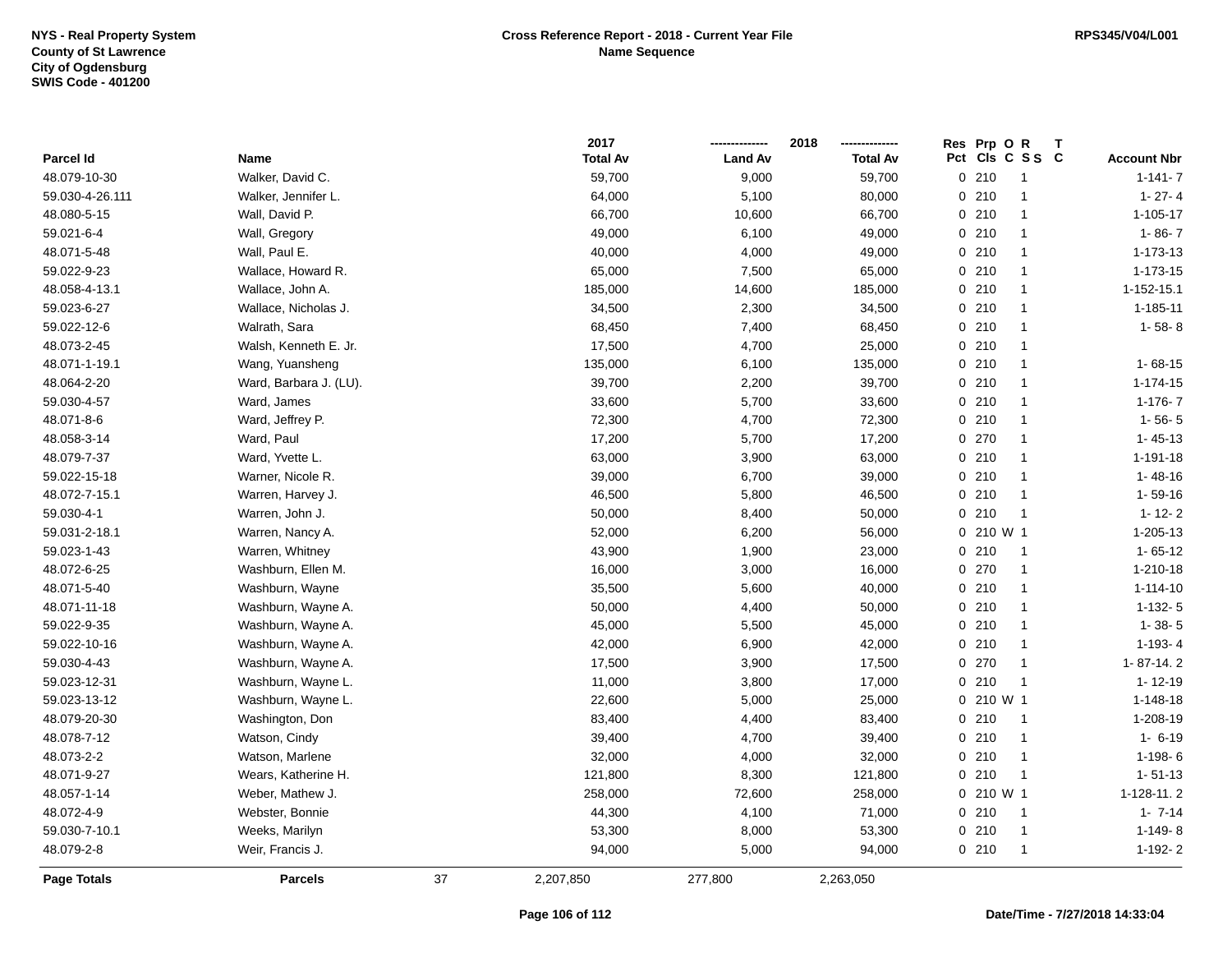|                    |                        |    | 2017            |                | 2018            | Res Prp O<br>R<br>т    |                    |
|--------------------|------------------------|----|-----------------|----------------|-----------------|------------------------|--------------------|
| Parcel Id          | Name                   |    | <b>Total Av</b> | <b>Land Av</b> | <b>Total Av</b> | Pct<br>CIs C S S C     | <b>Account Nbr</b> |
| 48.079-10-30       | Walker, David C.       |    | 59,700          | 9,000          | 59,700          | 0210<br>$\overline{1}$ | $1 - 141 - 7$      |
| 59.030-4-26.111    | Walker, Jennifer L.    |    | 64,000          | 5,100          | 80,000          | 0210<br>$\overline{1}$ | $1 - 27 - 4$       |
| 48.080-5-15        | Wall, David P.         |    | 66,700          | 10,600         | 66,700          | 0210<br>$\overline{1}$ | $1 - 105 - 17$     |
| 59.021-6-4         | Wall, Gregory          |    | 49,000          | 6,100          | 49,000          | 0210<br>$\mathbf{1}$   | $1 - 86 - 7$       |
| 48.071-5-48        | Wall, Paul E.          |    | 40,000          | 4,000          | 49,000          | 0210<br>$\mathbf{1}$   | $1 - 173 - 13$     |
| 59.022-9-23        | Wallace, Howard R.     |    | 65,000          | 7,500          | 65,000          | 0210<br>$\mathbf{1}$   | $1 - 173 - 15$     |
| 48.058-4-13.1      | Wallace, John A.       |    | 185,000         | 14,600         | 185,000         | 0210<br>$\mathbf{1}$   | 1-152-15.1         |
| 59.023-6-27        | Wallace, Nicholas J.   |    | 34,500          | 2,300          | 34,500          | 0210<br>$\overline{1}$ | $1 - 185 - 11$     |
| 59.022-12-6        | Walrath, Sara          |    | 68,450          | 7,400          | 68,450          | 0210<br>$\overline{1}$ | $1 - 58 - 8$       |
| 48.073-2-45        | Walsh, Kenneth E. Jr.  |    | 17,500          | 4,700          | 25,000          | 0210<br>$\mathbf{1}$   |                    |
| 48.071-1-19.1      | Wang, Yuansheng        |    | 135,000         | 6,100          | 135,000         | 0210<br>$\overline{1}$ | $1 - 68 - 15$      |
| 48.064-2-20        | Ward, Barbara J. (LU). |    | 39,700          | 2,200          | 39,700          | 0210<br>$\mathbf{1}$   | $1 - 174 - 15$     |
| 59.030-4-57        | Ward, James            |    | 33,600          | 5,700          | 33,600          | 0210<br>$\mathbf 1$    | $1-176-7$          |
| 48.071-8-6         | Ward, Jeffrey P.       |    | 72,300          | 4,700          | 72,300          | 0210<br>$\mathbf{1}$   | $1 - 56 - 5$       |
| 48.058-3-14        | Ward, Paul             |    | 17,200          | 5,700          | 17,200          | 0 270<br>$\mathbf{1}$  | $1 - 45 - 13$      |
| 48.079-7-37        | Ward, Yvette L.        |    | 63,000          | 3,900          | 63,000          | 0210<br>$\mathbf{1}$   | 1-191-18           |
| 59.022-15-18       | Warner, Nicole R.      |    | 39,000          | 6,700          | 39,000          | 0210<br>$\overline{1}$ | $1 - 48 - 16$      |
| 48.072-7-15.1      | Warren, Harvey J.      |    | 46,500          | 5,800          | 46,500          | 0210<br>$\mathbf{1}$   | $1 - 59 - 16$      |
| 59.030-4-1         | Warren, John J.        |    | 50,000          | 8,400          | 50,000          | 0210<br>$\overline{1}$ | $1 - 12 - 2$       |
| 59.031-2-18.1      | Warren, Nancy A.       |    | 52,000          | 6,200          | 56,000          | 0 210 W 1              | 1-205-13           |
| 59.023-1-43        | Warren, Whitney        |    | 43,900          | 1,900          | 23,000          | 0210<br>$\overline{1}$ | $1 - 65 - 12$      |
| 48.072-6-25        | Washburn, Ellen M.     |    | 16,000          | 3,000          | 16,000          | 0.270<br>$\mathbf{1}$  | 1-210-18           |
| 48.071-5-40        | Washburn, Wayne        |    | 35,500          | 5,600          | 40,000          | 0210<br>$\overline{1}$ | $1 - 114 - 10$     |
| 48.071-11-18       | Washburn, Wayne A.     |    | 50,000          | 4,400          | 50,000          | 0210<br>$\overline{1}$ | $1-132-5$          |
| 59.022-9-35        | Washburn, Wayne A.     |    | 45,000          | 5,500          | 45,000          | 0210<br>$\overline{1}$ | $1 - 38 - 5$       |
| 59.022-10-16       | Washburn, Wayne A.     |    | 42,000          | 6,900          | 42,000          | 0210<br>$\overline{1}$ | $1-193-4$          |
| 59.030-4-43        | Washburn, Wayne A.     |    | 17,500          | 3,900          | 17,500          | 0270<br>$\overline{1}$ | 1-87-14.2          |
| 59.023-12-31       | Washburn, Wayne L.     |    | 11,000          | 3,800          | 17,000          | 0210<br>$\overline{1}$ | $1 - 12 - 19$      |
| 59.023-13-12       | Washburn, Wayne L.     |    | 22,600          | 5,000          | 25,000          | $0, 210$ W 1           | 1-148-18           |
| 48.079-20-30       | Washington, Don        |    | 83,400          | 4,400          | 83,400          | 0210<br>$\overline{1}$ | 1-208-19           |
| 48.078-7-12        | Watson, Cindy          |    | 39,400          | 4,700          | 39,400          | 0210<br>$\overline{1}$ | $1 - 6 - 19$       |
| 48.073-2-2         | Watson, Marlene        |    | 32,000          | 4,000          | 32,000          | 0210<br>$\overline{1}$ | 1-198-6            |
| 48.071-9-27        | Wears, Katherine H.    |    | 121,800         | 8,300          | 121,800         | 0210<br>$\overline{1}$ | $1 - 51 - 13$      |
| 48.057-1-14        | Weber, Mathew J.       |    | 258,000         | 72,600         | 258,000         | 0 210 W 1              | 1-128-11.2         |
| 48.072-4-9         | Webster, Bonnie        |    | 44,300          | 4,100          | 71,000          | 0210<br>$\overline{1}$ | $1 - 7 - 14$       |
| 59.030-7-10.1      | Weeks, Marilyn         |    | 53,300          | 8,000          | 53,300          | 0210<br>$\overline{1}$ | $1-149-8$          |
| 48.079-2-8         | Weir, Francis J.       |    | 94,000          | 5,000          | 94,000          | 0210<br>$\mathbf{1}$   | $1-192-2$          |
| <b>Page Totals</b> | <b>Parcels</b>         | 37 | 2,207,850       | 277,800        | 2,263,050       |                        |                    |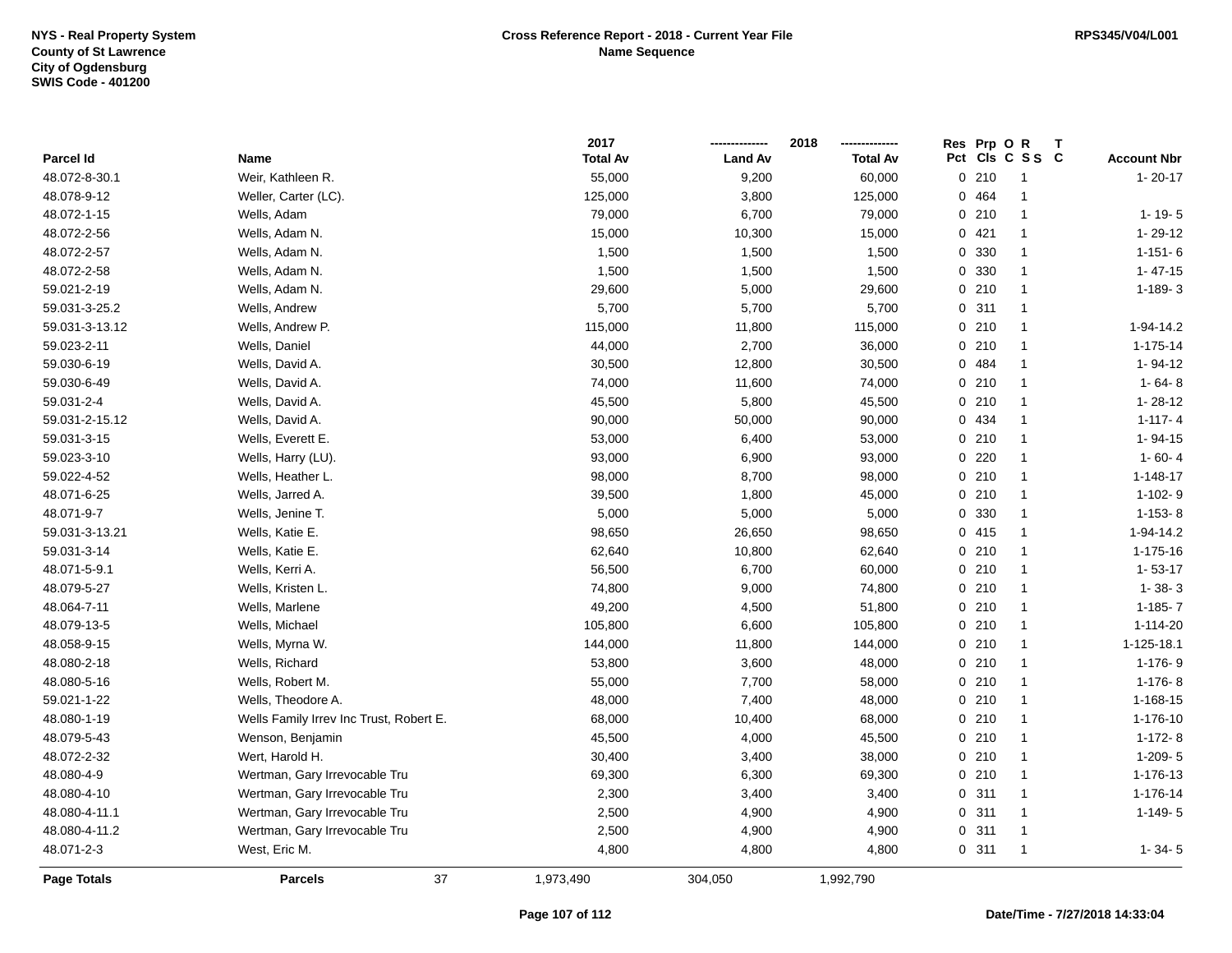|                    |                                         | 2017            |                | 2018            | Res Prp O |         | R<br>Т         |                    |
|--------------------|-----------------------------------------|-----------------|----------------|-----------------|-----------|---------|----------------|--------------------|
| Parcel Id          | Name                                    | <b>Total Av</b> | <b>Land Av</b> | <b>Total Av</b> | Pct       |         | CIs C S S C    | <b>Account Nbr</b> |
| 48.072-8-30.1      | Weir, Kathleen R.                       | 55,000          | 9,200          | 60,000          |           | 0210    | $\mathbf{1}$   | $1 - 20 - 17$      |
| 48.078-9-12        | Weller, Carter (LC).                    | 125,000         | 3,800          | 125,000         | 0         | 464     | $\mathbf{1}$   |                    |
| 48.072-1-15        | Wells, Adam                             | 79,000          | 6,700          | 79,000          |           | 0210    | $\mathbf{1}$   | $1 - 19 - 5$       |
| 48.072-2-56        | Wells, Adam N.                          | 15,000          | 10,300         | 15,000          |           | 0421    | $\mathbf{1}$   | 1-29-12            |
| 48.072-2-57        | Wells, Adam N.                          | 1,500           | 1,500          | 1,500           |           | 0 330   | $\mathbf{1}$   | $1 - 151 - 6$      |
| 48.072-2-58        | Wells, Adam N.                          | 1,500           | 1,500          | 1,500           |           | 0 330   | $\mathbf{1}$   | $1 - 47 - 15$      |
| 59.021-2-19        | Wells, Adam N.                          | 29,600          | 5,000          | 29,600          |           | 0210    | $\mathbf{1}$   | $1 - 189 - 3$      |
| 59.031-3-25.2      | Wells, Andrew                           | 5,700           | 5,700          | 5,700           |           | 0.311   | $\mathbf{1}$   |                    |
| 59.031-3-13.12     | Wells, Andrew P.                        | 115,000         | 11,800         | 115,000         |           | 0210    | $\overline{1}$ | 1-94-14.2          |
| 59.023-2-11        | Wells, Daniel                           | 44,000          | 2,700          | 36,000          |           | 0210    | $\mathbf{1}$   | $1 - 175 - 14$     |
| 59.030-6-19        | Wells, David A.                         | 30,500          | 12,800         | 30,500          |           | 0 484   | $\mathbf{1}$   | 1-94-12            |
| 59.030-6-49        | Wells, David A.                         | 74,000          | 11,600         | 74,000          |           | 0210    | $\mathbf{1}$   | $1 - 64 - 8$       |
| 59.031-2-4         | Wells, David A.                         | 45,500          | 5,800          | 45,500          |           | 0210    | $\mathbf{1}$   | $1 - 28 - 12$      |
| 59.031-2-15.12     | Wells, David A.                         | 90,000          | 50,000         | 90,000          |           | 0 434   | $\mathbf{1}$   | $1 - 117 - 4$      |
| 59.031-3-15        | Wells, Everett E.                       | 53,000          | 6,400          | 53,000          |           | 0210    | $\mathbf{1}$   | 1-94-15            |
| 59.023-3-10        | Wells, Harry (LU).                      | 93,000          | 6,900          | 93,000          |           | $0$ 220 | $\mathbf{1}$   | $1 - 60 - 4$       |
| 59.022-4-52        | Wells, Heather L.                       | 98,000          | 8,700          | 98,000          |           | 0210    | $\overline{1}$ | $1 - 148 - 17$     |
| 48.071-6-25        | Wells, Jarred A.                        | 39,500          | 1,800          | 45,000          |           | 0210    | $\mathbf{1}$   | $1-102-9$          |
| 48.071-9-7         | Wells, Jenine T.                        | 5,000           | 5,000          | 5,000           |           | 0 330   | $\mathbf{1}$   | $1-153-8$          |
| 59.031-3-13.21     | Wells, Katie E.                         | 98,650          | 26,650         | 98,650          |           | 0415    | $\mathbf{1}$   | 1-94-14.2          |
| 59.031-3-14        | Wells, Katie E.                         | 62,640          | 10,800         | 62,640          |           | 0210    | $\mathbf{1}$   | 1-175-16           |
| 48.071-5-9.1       | Wells, Kerri A.                         | 56,500          | 6,700          | 60,000          |           | 0210    | $\mathbf{1}$   | $1 - 53 - 17$      |
| 48.079-5-27        | Wells, Kristen L.                       | 74,800          | 9,000          | 74,800          |           | 0210    | $\mathbf{1}$   | $1 - 38 - 3$       |
| 48.064-7-11        | Wells, Marlene                          | 49,200          | 4,500          | 51,800          |           | 0210    | $\overline{1}$ | $1 - 185 - 7$      |
| 48.079-13-5        | Wells, Michael                          | 105,800         | 6,600          | 105,800         |           | 0210    | $\overline{1}$ | 1-114-20           |
| 48.058-9-15        | Wells, Myrna W.                         | 144,000         | 11,800         | 144,000         |           | 0210    | $\mathbf{1}$   | 1-125-18.1         |
| 48.080-2-18        | Wells, Richard                          | 53,800          | 3,600          | 48,000          |           | 0210    | $\mathbf{1}$   | $1 - 176 - 9$      |
| 48.080-5-16        | Wells, Robert M.                        | 55,000          | 7,700          | 58,000          |           | 0210    | $\mathbf{1}$   | $1-176-8$          |
| 59.021-1-22        | Wells, Theodore A.                      | 48,000          | 7,400          | 48,000          |           | 0210    | $\mathbf{1}$   | 1-168-15           |
| 48.080-1-19        | Wells Family Irrev Inc Trust, Robert E. | 68,000          | 10,400         | 68,000          |           | 0210    | $\mathbf{1}$   | 1-176-10           |
| 48.079-5-43        | Wenson, Benjamin                        | 45,500          | 4,000          | 45,500          |           | 0210    | $\overline{1}$ | $1-172-8$          |
| 48.072-2-32        | Wert, Harold H.                         | 30,400          | 3,400          | 38,000          |           | 0210    | $\overline{1}$ | $1-209-5$          |
| 48.080-4-9         | Wertman, Gary Irrevocable Tru           | 69,300          | 6,300          | 69,300          |           | 0210    | $\mathbf{1}$   | 1-176-13           |
| 48.080-4-10        | Wertman, Gary Irrevocable Tru           | 2,300           | 3,400          | 3,400           |           | 0.311   | $\mathbf{1}$   | 1-176-14           |
| 48.080-4-11.1      | Wertman, Gary Irrevocable Tru           | 2,500           | 4,900          | 4,900           |           | 0.311   | $\mathbf{1}$   | $1 - 149 - 5$      |
| 48.080-4-11.2      | Wertman, Gary Irrevocable Tru           | 2,500           | 4,900          | 4,900           |           | 0.311   | 1              |                    |
| 48.071-2-3         | West, Eric M.                           | 4,800           | 4,800          | 4,800           |           | 0.311   | $\mathbf{1}$   | $1 - 34 - 5$       |
| <b>Page Totals</b> | 37<br><b>Parcels</b>                    | 1,973,490       | 304,050        | 1,992,790       |           |         |                |                    |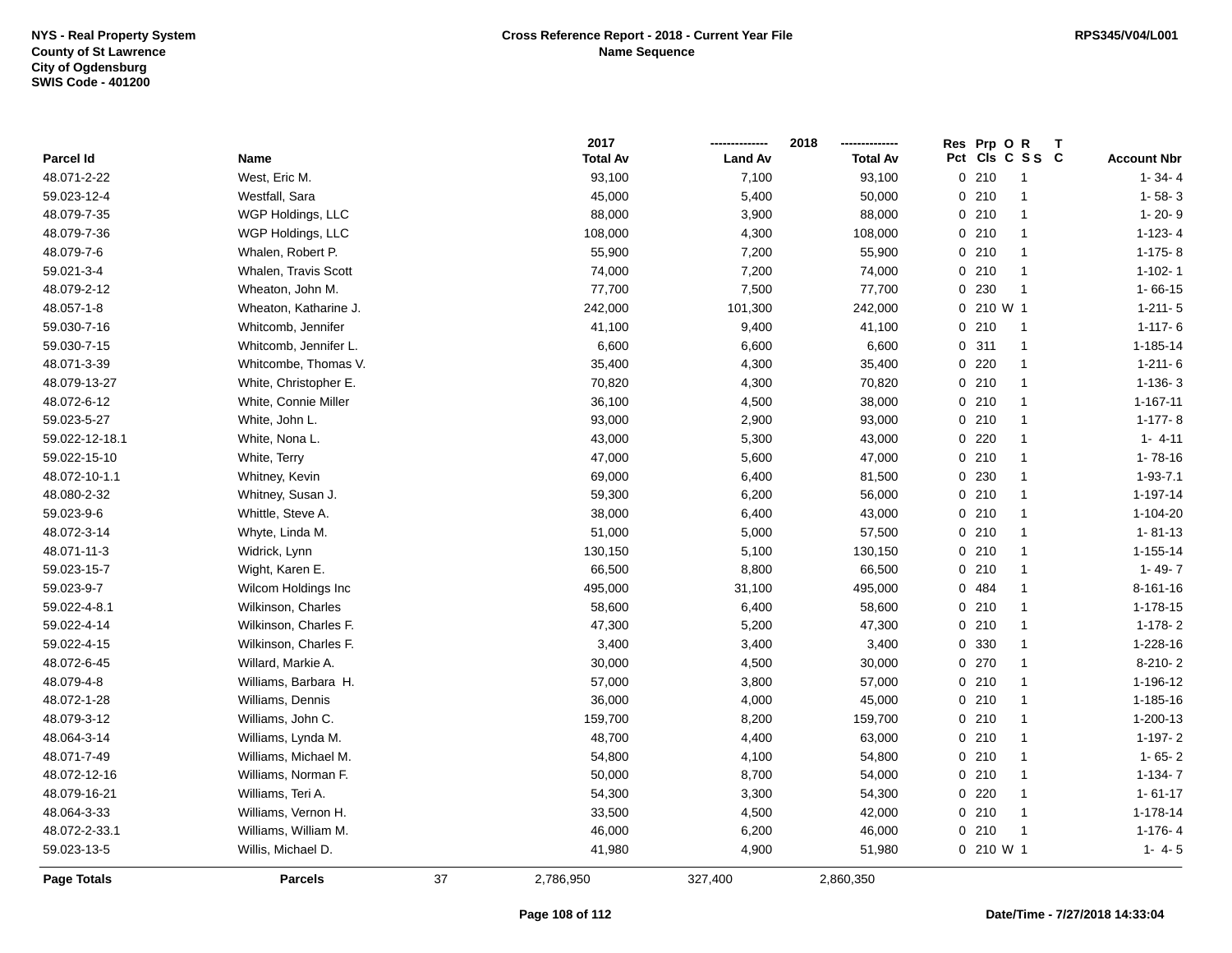|                |                       |    | 2017            |                | 2018            | Res Prp O R |                 |                    |
|----------------|-----------------------|----|-----------------|----------------|-----------------|-------------|-----------------|--------------------|
| Parcel Id      | Name                  |    | <b>Total Av</b> | <b>Land Av</b> | <b>Total Av</b> |             | Pct Cls C S S C | <b>Account Nbr</b> |
| 48.071-2-22    | West, Eric M.         |    | 93,100          | 7,100          | 93,100          | 0210        | -1              | $1 - 34 - 4$       |
| 59.023-12-4    | Westfall, Sara        |    | 45,000          | 5,400          | 50,000          | 0210        | $\overline{1}$  | $1 - 58 - 3$       |
| 48.079-7-35    | WGP Holdings, LLC     |    | 88,000          | 3,900          | 88,000          | 0210        | $\mathbf{1}$    | $1 - 20 - 9$       |
| 48.079-7-36    | WGP Holdings, LLC     |    | 108,000         | 4,300          | 108,000         | 0210        | $\mathbf{1}$    | $1-123-4$          |
| 48.079-7-6     | Whalen, Robert P.     |    | 55,900          | 7,200          | 55,900          | 0210        | -1              | $1-175-8$          |
| 59.021-3-4     | Whalen, Travis Scott  |    | 74,000          | 7,200          | 74,000          | 0210        | -1              | $1 - 102 - 1$      |
| 48.079-2-12    | Wheaton, John M.      |    | 77,700          | 7,500          | 77,700          | 0 230       | $\overline{1}$  | $1 - 66 - 15$      |
| 48.057-1-8     | Wheaton, Katharine J. |    | 242,000         | 101,300        | 242,000         | 0 210 W 1   |                 | $1 - 211 - 5$      |
| 59.030-7-16    | Whitcomb, Jennifer    |    | 41,100          | 9,400          | 41,100          | 0210        | $\overline{1}$  | $1 - 117 - 6$      |
| 59.030-7-15    | Whitcomb, Jennifer L. |    | 6,600           | 6,600          | 6,600           | 0.311       | $\overline{1}$  | 1-185-14           |
| 48.071-3-39    | Whitcombe, Thomas V.  |    | 35,400          | 4,300          | 35,400          | $0$ 220     | $\mathbf{1}$    | $1-211-6$          |
| 48.079-13-27   | White, Christopher E. |    | 70,820          | 4,300          | 70,820          | 0210        | $\mathbf{1}$    | $1-136-3$          |
| 48.072-6-12    | White, Connie Miller  |    | 36,100          | 4,500          | 38,000          | 0210        | $\overline{1}$  | 1-167-11           |
| 59.023-5-27    | White, John L.        |    | 93,000          | 2,900          | 93,000          | 0210        | -1              | $1-177-8$          |
| 59.022-12-18.1 | White, Nona L.        |    | 43,000          | 5,300          | 43,000          | 0220        | $\mathbf{1}$    | $1 - 4 - 11$       |
| 59.022-15-10   | White, Terry          |    | 47,000          | 5,600          | 47,000          | 0210        | $\mathbf{1}$    | $1 - 78 - 16$      |
| 48.072-10-1.1  | Whitney, Kevin        |    | 69,000          | 6,400          | 81,500          | 0 230       | $\mathbf{1}$    | $1 - 93 - 7.1$     |
| 48.080-2-32    | Whitney, Susan J.     |    | 59,300          | 6,200          | 56,000          | 0210        | $\mathbf{1}$    | 1-197-14           |
| 59.023-9-6     | Whittle, Steve A.     |    | 38,000          | 6,400          | 43,000          | 0210        | $\mathbf{1}$    | 1-104-20           |
| 48.072-3-14    | Whyte, Linda M.       |    | 51,000          | 5,000          | 57,500          | 0210        | $\mathbf{1}$    | $1 - 81 - 13$      |
| 48.071-11-3    | Widrick, Lynn         |    | 130,150         | 5,100          | 130,150         | 0210        | $\overline{1}$  | $1 - 155 - 14$     |
| 59.023-15-7    | Wight, Karen E.       |    | 66,500          | 8,800          | 66,500          | 0210        | $\overline{1}$  | $1 - 49 - 7$       |
| 59.023-9-7     | Wilcom Holdings Inc   |    | 495,000         | 31,100         | 495,000         | 0 484       | $\mathbf{1}$    | 8-161-16           |
| 59.022-4-8.1   | Wilkinson, Charles    |    | 58,600          | 6,400          | 58,600          | 0210        | $\mathbf{1}$    | 1-178-15           |
| 59.022-4-14    | Wilkinson, Charles F. |    | 47,300          | 5,200          | 47,300          | 0210        | $\mathbf{1}$    | $1-178-2$          |
| 59.022-4-15    | Wilkinson, Charles F. |    | 3,400           | 3,400          | 3,400           | 0 330       | $\mathbf{1}$    | 1-228-16           |
| 48.072-6-45    | Willard, Markie A.    |    | 30,000          | 4,500          | 30,000          | 0270        | $\mathbf{1}$    | 8-210-2            |
| 48.079-4-8     | Williams, Barbara H.  |    | 57,000          | 3,800          | 57,000          | 0210        | -1              | 1-196-12           |
| 48.072-1-28    | Williams, Dennis      |    | 36,000          | 4,000          | 45,000          | 0210        | -1              | 1-185-16           |
| 48.079-3-12    | Williams, John C.     |    | 159,700         | 8,200          | 159,700         | 0210        | $\overline{1}$  | 1-200-13           |
| 48.064-3-14    | Williams, Lynda M.    |    | 48,700          | 4,400          | 63,000          | 0210        | $\mathbf{1}$    | $1-197-2$          |
| 48.071-7-49    | Williams, Michael M.  |    | 54,800          | 4,100          | 54,800          | 0210        | $\mathbf{1}$    | $1 - 65 - 2$       |
| 48.072-12-16   | Williams, Norman F.   |    | 50,000          | 8,700          | 54,000          | 0210        | $\mathbf{1}$    | $1-134-7$          |
| 48.079-16-21   | Williams, Teri A.     |    | 54,300          | 3,300          | 54,300          | 0220        | $\mathbf{1}$    | $1 - 61 - 17$      |
| 48.064-3-33    | Williams, Vernon H.   |    | 33,500          | 4,500          | 42,000          | 0210        | -1              | 1-178-14           |
| 48.072-2-33.1  | Williams, William M.  |    | 46,000          | 6,200          | 46,000          | 0210        | -1              | $1-176-4$          |
| 59.023-13-5    | Willis, Michael D.    |    | 41,980          | 4,900          | 51,980          | 0 210 W 1   |                 | $1 - 4 - 5$        |
| Page Totals    | <b>Parcels</b>        | 37 | 2,786,950       | 327,400        | 2,860,350       |             |                 |                    |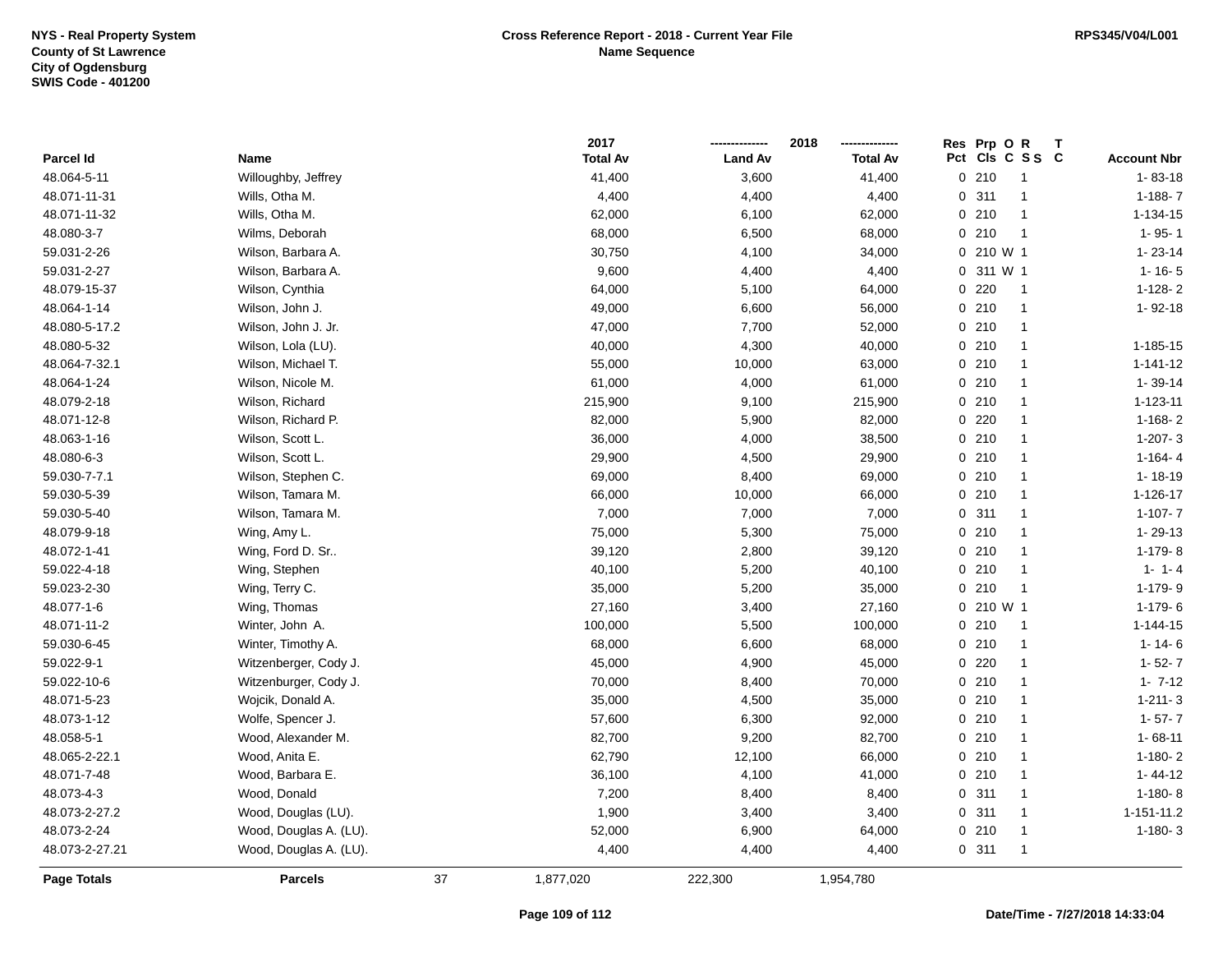|                    |                        |    | 2017            |                | 2018            | Res Prp O R |                 |                    |
|--------------------|------------------------|----|-----------------|----------------|-----------------|-------------|-----------------|--------------------|
| Parcel Id          | Name                   |    | <b>Total Av</b> | <b>Land Av</b> | <b>Total Av</b> |             | Pct Cls C S S C | <b>Account Nbr</b> |
| 48.064-5-11        | Willoughby, Jeffrey    |    | 41,400          | 3,600          | 41,400          | 0210        | $\overline{1}$  | $1 - 83 - 18$      |
| 48.071-11-31       | Wills, Otha M.         |    | 4,400           | 4,400          | 4,400           | 0.311       | $\overline{1}$  | $1 - 188 - 7$      |
| 48.071-11-32       | Wills, Otha M.         |    | 62,000          | 6,100          | 62,000          | 0210        | $\overline{1}$  | 1-134-15           |
| 48.080-3-7         | Wilms, Deborah         |    | 68,000          | 6,500          | 68,000          | 0210        | $\overline{1}$  | $1 - 95 - 1$       |
| 59.031-2-26        | Wilson, Barbara A.     |    | 30,750          | 4,100          | 34,000          | 0 210 W 1   |                 | $1 - 23 - 14$      |
| 59.031-2-27        | Wilson, Barbara A.     |    | 9,600           | 4,400          | 4,400           | 0 311 W 1   |                 | $1 - 16 - 5$       |
| 48.079-15-37       | Wilson, Cynthia        |    | 64,000          | 5,100          | 64,000          | $0$ 220     | $\overline{1}$  | $1-128-2$          |
| 48.064-1-14        | Wilson, John J.        |    | 49,000          | 6,600          | 56,000          | 0210        | $\overline{1}$  | 1-92-18            |
| 48.080-5-17.2      | Wilson, John J. Jr.    |    | 47,000          | 7,700          | 52,000          | 0210        | $\mathbf{1}$    |                    |
| 48.080-5-32        | Wilson, Lola (LU).     |    | 40,000          | 4,300          | 40,000          | 0210        | $\overline{1}$  | 1-185-15           |
| 48.064-7-32.1      | Wilson, Michael T.     |    | 55,000          | 10,000         | 63,000          | 0210        | $\overline{1}$  | $1 - 141 - 12$     |
| 48.064-1-24        | Wilson, Nicole M.      |    | 61,000          | 4,000          | 61,000          | 0210        | -1              | 1-39-14            |
| 48.079-2-18        | Wilson, Richard        |    | 215,900         | 9,100          | 215,900         | 0210        | $\overline{1}$  | 1-123-11           |
| 48.071-12-8        | Wilson, Richard P.     |    | 82,000          | 5,900          | 82,000          | 0220        | $\overline{1}$  | $1-168-2$          |
| 48.063-1-16        | Wilson, Scott L.       |    | 36,000          | 4,000          | 38,500          | 0210        | $\mathbf{1}$    | $1-207-3$          |
| 48.080-6-3         | Wilson, Scott L.       |    | 29,900          | 4,500          | 29,900          | 0210        | $\mathbf{1}$    | $1 - 164 - 4$      |
| 59.030-7-7.1       | Wilson, Stephen C.     |    | 69,000          | 8,400          | 69,000          | 0210        | $\overline{1}$  | $1 - 18 - 19$      |
| 59.030-5-39        | Wilson, Tamara M.      |    | 66,000          | 10,000         | 66,000          | 0210        | $\mathbf{1}$    | 1-126-17           |
| 59.030-5-40        | Wilson, Tamara M.      |    | 7,000           | 7,000          | 7,000           | 0.311       | $\mathbf{1}$    | $1 - 107 - 7$      |
| 48.079-9-18        | Wing, Amy L.           |    | 75,000          | 5,300          | 75,000          | 0210        | $\mathbf{1}$    | $1 - 29 - 13$      |
| 48.072-1-41        | Wing, Ford D. Sr       |    | 39,120          | 2,800          | 39,120          | 0210        | $\overline{1}$  | $1-179-8$          |
| 59.022-4-18        | Wing, Stephen          |    | 40,100          | 5,200          | 40,100          | 0210        | $\overline{1}$  | $1 - 1 - 4$        |
| 59.023-2-30        | Wing, Terry C.         |    | 35,000          | 5,200          | 35,000          | 0210        | $\overline{1}$  | 1-179-9            |
| 48.077-1-6         | Wing, Thomas           |    | 27,160          | 3,400          | 27,160          | 0 210 W 1   |                 | $1-179-6$          |
| 48.071-11-2        | Winter, John A.        |    | 100,000         | 5,500          | 100,000         | 0210        | $\overline{1}$  | $1 - 144 - 15$     |
| 59.030-6-45        | Winter, Timothy A.     |    | 68,000          | 6,600          | 68,000          | 0210        | $\mathbf{1}$    | $1 - 14 - 6$       |
| 59.022-9-1         | Witzenberger, Cody J.  |    | 45,000          | 4,900          | 45,000          | $0$ 220     | $\overline{1}$  | $1 - 52 - 7$       |
| 59.022-10-6        | Witzenburger, Cody J.  |    | 70,000          | 8,400          | 70,000          | 0210        | -1              | $1 - 7 - 12$       |
| 48.071-5-23        | Wojcik, Donald A.      |    | 35,000          | 4,500          | 35,000          | 0210        | $\overline{1}$  | $1 - 211 - 3$      |
| 48.073-1-12        | Wolfe, Spencer J.      |    | 57,600          | 6,300          | 92,000          | 0210        | $\mathbf{1}$    | $1 - 57 - 7$       |
| 48.058-5-1         | Wood, Alexander M.     |    | 82,700          | 9,200          | 82,700          | 0210        | $\overline{1}$  | $1 - 68 - 11$      |
| 48.065-2-22.1      | Wood, Anita E.         |    | 62,790          | 12,100         | 66,000          | 0210        | $\overline{1}$  | $1-180-2$          |
| 48.071-7-48        | Wood, Barbara E.       |    | 36,100          | 4,100          | 41,000          | 0210        | $\overline{1}$  | $1 - 44 - 12$      |
| 48.073-4-3         | Wood, Donald           |    | 7,200           | 8,400          | 8,400           | 0.311       | $\overline{1}$  | $1-180-8$          |
| 48.073-2-27.2      | Wood, Douglas (LU).    |    | 1,900           | 3,400          | 3,400           | 0.311       | $\overline{1}$  | 1-151-11.2         |
| 48.073-2-24        | Wood, Douglas A. (LU). |    | 52,000          | 6,900          | 64,000          | 0210        | $\overline{1}$  | $1-180-3$          |
| 48.073-2-27.21     | Wood, Douglas A. (LU). |    | 4,400           | 4,400          | 4,400           | 0.311       | $\overline{1}$  |                    |
| <b>Page Totals</b> | <b>Parcels</b>         | 37 | 1,877,020       | 222,300        | 1,954,780       |             |                 |                    |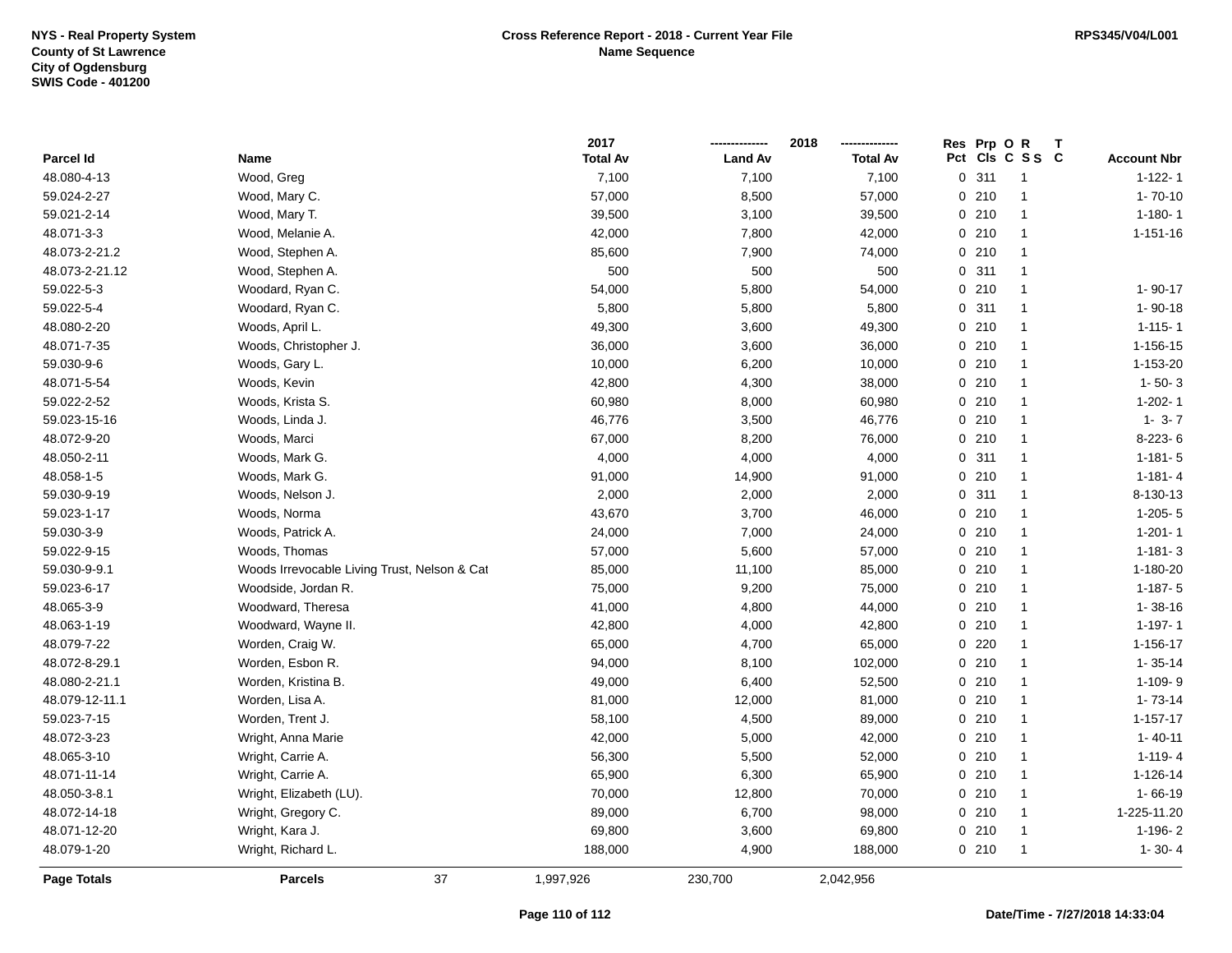|                    |                                              | 2017            |                | 2018            |     | Res Prp O R | Т                       |                    |
|--------------------|----------------------------------------------|-----------------|----------------|-----------------|-----|-------------|-------------------------|--------------------|
| Parcel Id          | Name                                         | <b>Total Av</b> | <b>Land Av</b> | <b>Total Av</b> | Pct |             | CIs C S S C             | <b>Account Nbr</b> |
| 48.080-4-13        | Wood, Greg                                   | 7,100           | 7,100          | 7,100           |     | 0.311       | $\overline{\mathbf{1}}$ | $1 - 122 - 1$      |
| 59.024-2-27        | Wood, Mary C.                                | 57,000          | 8,500          | 57,000          |     | 0210        | $\overline{1}$          | $1 - 70 - 10$      |
| 59.021-2-14        | Wood, Mary T.                                | 39,500          | 3,100          | 39,500          |     | 0210        | $\overline{1}$          | $1 - 180 - 1$      |
| 48.071-3-3         | Wood, Melanie A.                             | 42,000          | 7,800          | 42,000          |     | 0210        | -1                      | $1 - 151 - 16$     |
| 48.073-2-21.2      | Wood, Stephen A.                             | 85,600          | 7,900          | 74,000          |     | 0210        | -1                      |                    |
| 48.073-2-21.12     | Wood, Stephen A.                             | 500             | 500            | 500             |     | 0.311       | -1                      |                    |
| 59.022-5-3         | Woodard, Ryan C.                             | 54,000          | 5,800          | 54,000          |     | 0210        | $\overline{1}$          | $1 - 90 - 17$      |
| 59.022-5-4         | Woodard, Ryan C.                             | 5,800           | 5,800          | 5,800           |     | 0.311       | $\overline{1}$          | $1 - 90 - 18$      |
| 48.080-2-20        | Woods, April L.                              | 49,300          | 3,600          | 49,300          |     | 0210        | $\overline{\mathbf{1}}$ | $1 - 115 - 1$      |
| 48.071-7-35        | Woods, Christopher J.                        | 36,000          | 3,600          | 36,000          |     | 0210        | $\overline{1}$          | $1 - 156 - 15$     |
| 59.030-9-6         | Woods, Gary L.                               | 10,000          | 6,200          | 10,000          |     | 0210        | $\overline{1}$          | 1-153-20           |
| 48.071-5-54        | Woods, Kevin                                 | 42,800          | 4,300          | 38,000          |     | 0210        | -1                      | $1 - 50 - 3$       |
| 59.022-2-52        | Woods, Krista S.                             | 60,980          | 8,000          | 60,980          |     | 0210        | -1                      | $1 - 202 - 1$      |
| 59.023-15-16       | Woods, Linda J.                              | 46,776          | 3,500          | 46,776          |     | 0210        | -1                      | $1 - 3 - 7$        |
| 48.072-9-20        | Woods, Marci                                 | 67,000          | 8,200          | 76,000          |     | 0210        | $\overline{1}$          | 8-223-6            |
| 48.050-2-11        | Woods, Mark G.                               | 4,000           | 4,000          | 4,000           | 0   | 311         | -1                      | $1 - 181 - 5$      |
| 48.058-1-5         | Woods, Mark G.                               | 91,000          | 14,900         | 91,000          |     | 0210        | $\overline{1}$          | $1 - 181 - 4$      |
| 59.030-9-19        | Woods, Nelson J.                             | 2,000           | 2,000          | 2,000           |     | 0.311       | $\mathbf{1}$            | 8-130-13           |
| 59.023-1-17        | Woods, Norma                                 | 43,670          | 3,700          | 46,000          |     | 0210        | $\overline{1}$          | $1-205-5$          |
| 59.030-3-9         | Woods, Patrick A.                            | 24,000          | 7,000          | 24,000          |     | 0210        | -1                      | $1 - 201 - 1$      |
| 59.022-9-15        | Woods, Thomas                                | 57,000          | 5,600          | 57,000          |     | 0210        | $\overline{1}$          | $1 - 181 - 3$      |
| 59.030-9-9.1       | Woods Irrevocable Living Trust, Nelson & Cat | 85,000          | 11,100         | 85,000          |     | 0210        | $\blacktriangleleft$    | 1-180-20           |
| 59.023-6-17        | Woodside, Jordan R.                          | 75,000          | 9,200          | 75,000          |     | 0210        | $\overline{1}$          | $1-187-5$          |
| 48.065-3-9         | Woodward, Theresa                            | 41,000          | 4,800          | 44,000          |     | 0210        | $\overline{\mathbf{1}}$ | $1 - 38 - 16$      |
| 48.063-1-19        | Woodward, Wayne II.                          | 42,800          | 4,000          | 42,800          |     | 0210        | $\overline{1}$          | $1 - 197 - 1$      |
| 48.079-7-22        | Worden, Craig W.                             | 65,000          | 4,700          | 65,000          | 0   | 220         | -1                      | 1-156-17           |
| 48.072-8-29.1      | Worden, Esbon R.                             | 94,000          | 8,100          | 102,000         |     | 0210        | -1                      | $1 - 35 - 14$      |
| 48.080-2-21.1      | Worden, Kristina B.                          | 49,000          | 6,400          | 52,500          |     | 0210        | -1                      | 1-109-9            |
| 48.079-12-11.1     | Worden, Lisa A.                              | 81,000          | 12,000         | 81,000          |     | 0210        | -1                      | $1 - 73 - 14$      |
| 59.023-7-15        | Worden, Trent J.                             | 58,100          | 4,500          | 89,000          |     | 0210        | $\overline{1}$          | $1 - 157 - 17$     |
| 48.072-3-23        | Wright, Anna Marie                           | 42,000          | 5,000          | 42,000          |     | 0210        | $\overline{1}$          | $1 - 40 - 11$      |
| 48.065-3-10        | Wright, Carrie A.                            | 56,300          | 5,500          | 52,000          |     | 0210        | $\overline{\mathbf{1}}$ | $1 - 119 - 4$      |
| 48.071-11-14       | Wright, Carrie A.                            | 65,900          | 6,300          | 65,900          |     | 0210        | $\overline{1}$          | 1-126-14           |
| 48.050-3-8.1       | Wright, Elizabeth (LU).                      | 70,000          | 12,800         | 70,000          |     | 0210        | $\overline{1}$          | $1 - 66 - 19$      |
| 48.072-14-18       | Wright, Gregory C.                           | 89,000          | 6,700          | 98,000          |     | 0210        | $\overline{1}$          | 1-225-11.20        |
| 48.071-12-20       | Wright, Kara J.                              | 69,800          | 3,600          | 69,800          |     | 0210        | -1                      | 1-196-2            |
| 48.079-1-20        | Wright, Richard L.                           | 188,000         | 4,900          | 188,000         |     | 0210        | $\overline{\mathbf{1}}$ | $1 - 30 - 4$       |
| <b>Page Totals</b> | 37<br><b>Parcels</b>                         | 1,997,926       | 230,700        | 2,042,956       |     |             |                         |                    |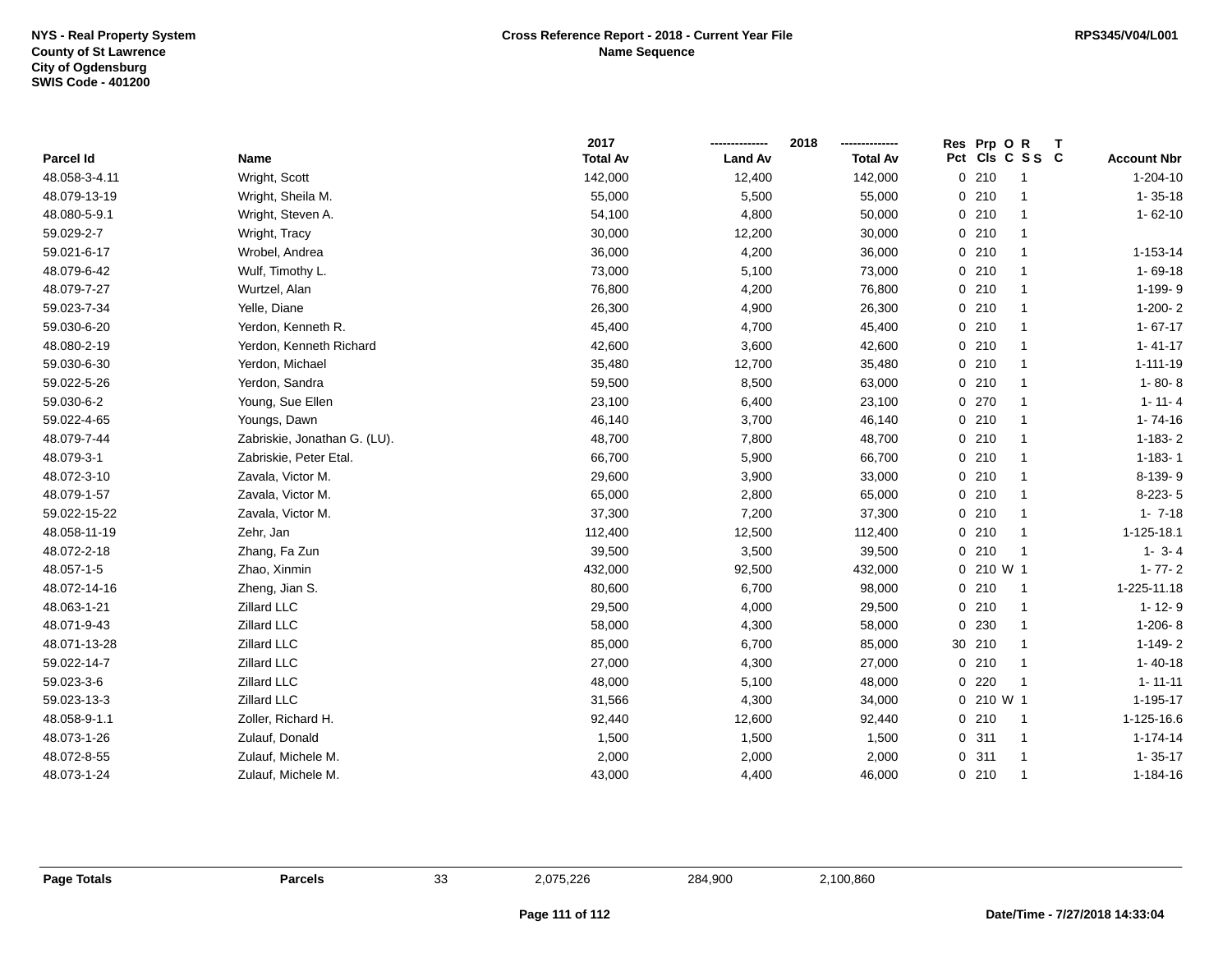|               |                              | 2017            |                | 2018<br>------------- | Res Prp O R          |                    |
|---------------|------------------------------|-----------------|----------------|-----------------------|----------------------|--------------------|
| Parcel Id     | Name                         | <b>Total Av</b> | <b>Land Av</b> | <b>Total Av</b>       | Pct Cls C S S C      | <b>Account Nbr</b> |
| 48.058-3-4.11 | Wright, Scott                | 142,000         | 12,400         | 142,000               | 0210                 | 1-204-10           |
| 48.079-13-19  | Wright, Sheila M.            | 55,000          | 5,500          | 55,000                | 0210                 | $1 - 35 - 18$      |
| 48.080-5-9.1  | Wright, Steven A.            | 54,100          | 4,800          | 50,000                | 0210<br>-1           | $1 - 62 - 10$      |
| 59.029-2-7    | Wright, Tracy                | 30,000          | 12,200         | 30,000                | 0210<br>-1           |                    |
| 59.021-6-17   | Wrobel, Andrea               | 36,000          | 4,200          | 36,000                | 0210                 | 1-153-14           |
| 48.079-6-42   | Wulf, Timothy L.             | 73,000          | 5,100          | 73,000                | 0210                 | $1 - 69 - 18$      |
| 48.079-7-27   | Wurtzel, Alan                | 76,800          | 4,200          | 76,800                | 0210<br>-1           | 1-199-9            |
| 59.023-7-34   | Yelle, Diane                 | 26,300          | 4,900          | 26,300                | 0210                 | $1-200-2$          |
| 59.030-6-20   | Yerdon, Kenneth R.           | 45,400          | 4,700          | 45,400                | 0210                 | $1 - 67 - 17$      |
| 48.080-2-19   | Yerdon, Kenneth Richard      | 42,600          | 3,600          | 42,600                | 0.210<br>-1          | $1 - 41 - 17$      |
| 59.030-6-30   | Yerdon, Michael              | 35,480          | 12,700         | 35,480                | 0210                 | $1 - 111 - 19$     |
| 59.022-5-26   | Yerdon, Sandra               | 59,500          | 8,500          | 63,000                | 0210                 | $1 - 80 - 8$       |
| 59.030-6-2    | Young, Sue Ellen             | 23,100          | 6,400          | 23,100                | 0 270                | $1 - 11 - 4$       |
| 59.022-4-65   | Youngs, Dawn                 | 46,140          | 3,700          | 46,140                | 0210<br>-1           | $1 - 74 - 16$      |
| 48.079-7-44   | Zabriskie, Jonathan G. (LU). | 48,700          | 7,800          | 48,700                | 0210<br>$\mathbf{1}$ | $1 - 183 - 2$      |
| 48.079-3-1    | Zabriskie, Peter Etal.       | 66,700          | 5,900          | 66,700                | 0210                 | $1 - 183 - 1$      |
| 48.072-3-10   | Zavala, Victor M.            | 29,600          | 3,900          | 33,000                | 0210<br>$\mathbf{1}$ | 8-139-9            |
| 48.079-1-57   | Zavala, Victor M.            | 65,000          | 2,800          | 65,000                | 0210                 | $8-223-5$          |
| 59.022-15-22  | Zavala, Victor M.            | 37,300          | 7,200          | 37,300                | 0210                 | $1 - 7 - 18$       |
| 48.058-11-19  | Zehr, Jan                    | 112,400         | 12,500         | 112,400               | 0.210                | 1-125-18.1         |
| 48.072-2-18   | Zhang, Fa Zun                | 39,500          | 3,500          | 39,500                | 0210                 | $1 - 3 - 4$        |
| 48.057-1-5    | Zhao, Xinmin                 | 432,000         | 92,500         | 432,000               | 0 210 W 1            | $1 - 77 - 2$       |
| 48.072-14-16  | Zheng, Jian S.               | 80,600          | 6,700          | 98,000                | 0210                 | 1-225-11.18        |
| 48.063-1-21   | Zillard LLC                  | 29,500          | 4,000          | 29,500                | 0210<br>-1           | $1 - 12 - 9$       |
| 48.071-9-43   | Zillard LLC                  | 58,000          | 4,300          | 58,000                | 230<br>0<br>-1       | $1-206-8$          |
| 48.071-13-28  | Zillard LLC                  | 85,000          | 6,700          | 85,000                | 30 210               | $1 - 149 - 2$      |
| 59.022-14-7   | Zillard LLC                  | 27,000          | 4,300          | 27,000                | 0210<br>$\mathbf{1}$ | $1 - 40 - 18$      |
| 59.023-3-6    | Zillard LLC                  | 48,000          | 5,100          | 48,000                | 0220                 | $1 - 11 - 11$      |
| 59.023-13-3   | Zillard LLC                  | 31,566          | 4,300          | 34,000                | $0, 210$ W 1         | 1-195-17           |
| 48.058-9-1.1  | Zoller, Richard H.           | 92,440          | 12,600         | 92,440                | 0210<br>-1           | 1-125-16.6         |
| 48.073-1-26   | Zulauf, Donald               | 1,500           | 1,500          | 1,500                 | 0.311                | $1 - 174 - 14$     |
| 48.072-8-55   | Zulauf, Michele M.           | 2,000           | 2,000          | 2,000                 | 0.311                | $1 - 35 - 17$      |
| 48.073-1-24   | Zulauf, Michele M.           | 43,000          | 4,400          | 46,000                | 0210                 | 1-184-16           |

**Page Totals Parcels** 33 2,075,226 284,900 2,100,860